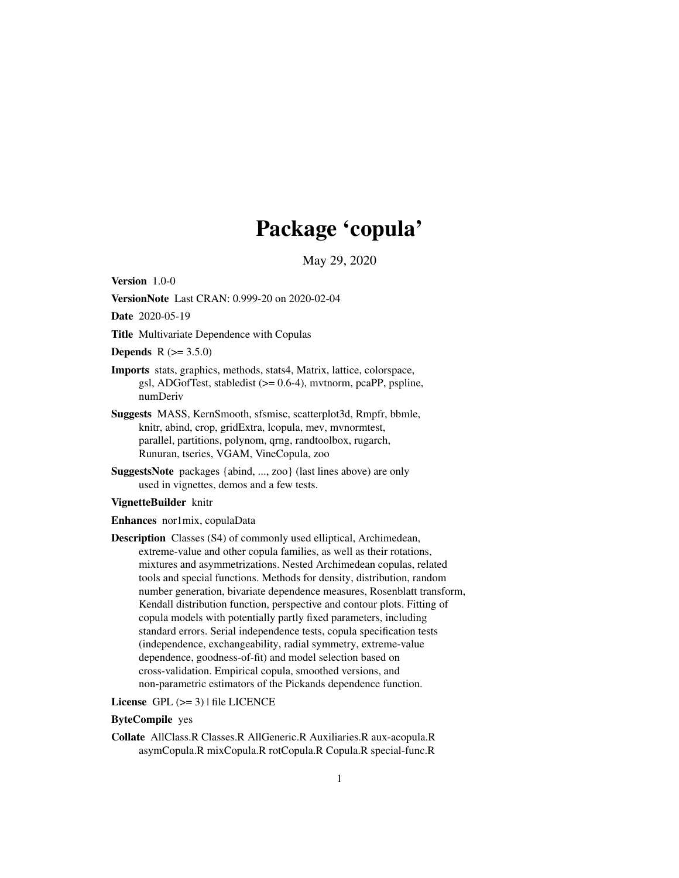# Package 'copula'

May 29, 2020

<span id="page-0-0"></span>Version 1.0-0

VersionNote Last CRAN: 0.999-20 on 2020-02-04

Date 2020-05-19

Title Multivariate Dependence with Copulas

**Depends**  $R (= 3.5.0)$ 

- Imports stats, graphics, methods, stats4, Matrix, lattice, colorspace, gsl, ADGofTest, stabledist (>= 0.6-4), mvtnorm, pcaPP, pspline, numDeriv
- Suggests MASS, KernSmooth, sfsmisc, scatterplot3d, Rmpfr, bbmle, knitr, abind, crop, gridExtra, lcopula, mev, mvnormtest, parallel, partitions, polynom, qrng, randtoolbox, rugarch, Runuran, tseries, VGAM, VineCopula, zoo
- SuggestsNote packages {abind, ..., zoo} (last lines above) are only used in vignettes, demos and a few tests.

#### VignetteBuilder knitr

Enhances nor1mix, copulaData

Description Classes (S4) of commonly used elliptical, Archimedean, extreme-value and other copula families, as well as their rotations, mixtures and asymmetrizations. Nested Archimedean copulas, related tools and special functions. Methods for density, distribution, random number generation, bivariate dependence measures, Rosenblatt transform, Kendall distribution function, perspective and contour plots. Fitting of copula models with potentially partly fixed parameters, including standard errors. Serial independence tests, copula specification tests (independence, exchangeability, radial symmetry, extreme-value dependence, goodness-of-fit) and model selection based on cross-validation. Empirical copula, smoothed versions, and non-parametric estimators of the Pickands dependence function.

License GPL  $(>= 3)$  | file LICENCE

### ByteCompile yes

Collate AllClass.R Classes.R AllGeneric.R Auxiliaries.R aux-acopula.R asymCopula.R mixCopula.R rotCopula.R Copula.R special-func.R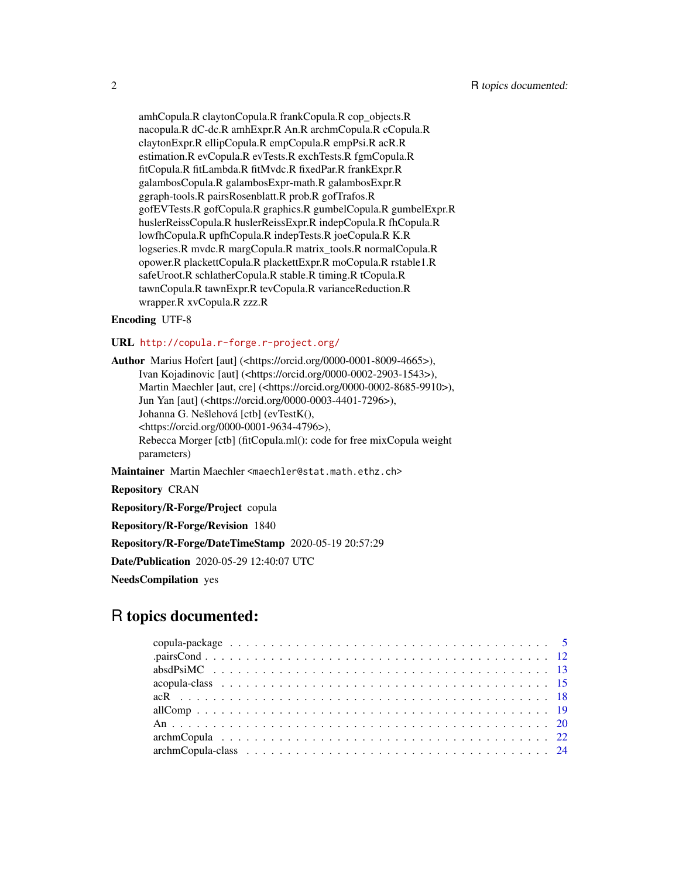amhCopula.R claytonCopula.R frankCopula.R cop\_objects.R nacopula.R dC-dc.R amhExpr.R An.R archmCopula.R cCopula.R claytonExpr.R ellipCopula.R empCopula.R empPsi.R acR.R estimation.R evCopula.R evTests.R exchTests.R fgmCopula.R fitCopula.R fitLambda.R fitMvdc.R fixedPar.R frankExpr.R galambosCopula.R galambosExpr-math.R galambosExpr.R ggraph-tools.R pairsRosenblatt.R prob.R gofTrafos.R gofEVTests.R gofCopula.R graphics.R gumbelCopula.R gumbelExpr.R huslerReissCopula.R huslerReissExpr.R indepCopula.R fhCopula.R lowfhCopula.R upfhCopula.R indepTests.R joeCopula.R K.R logseries.R mvdc.R margCopula.R matrix\_tools.R normalCopula.R opower.R plackettCopula.R plackettExpr.R moCopula.R rstable1.R safeUroot.R schlatherCopula.R stable.R timing.R tCopula.R tawnCopula.R tawnExpr.R tevCopula.R varianceReduction.R wrapper.R xvCopula.R zzz.R

### Encoding UTF-8

### URL <http://copula.r-forge.r-project.org/>

Author Marius Hofert [aut] (<https://orcid.org/0000-0001-8009-4665>), Ivan Kojadinovic [aut] (<https://orcid.org/0000-0002-2903-1543>), Martin Maechler [aut, cre] (<https://orcid.org/0000-0002-8685-9910>), Jun Yan [aut] (<https://orcid.org/0000-0003-4401-7296>), Johanna G. Nešlehová [ctb] (evTestK(), <https://orcid.org/0000-0001-9634-4796>), Rebecca Morger [ctb] (fitCopula.ml(): code for free mixCopula weight parameters)

Maintainer Martin Maechler <maechler@stat.math.ethz.ch>

Repository CRAN

Repository/R-Forge/Project copula

Repository/R-Forge/Revision 1840

Repository/R-Forge/DateTimeStamp 2020-05-19 20:57:29

Date/Publication 2020-05-29 12:40:07 UTC

NeedsCompilation yes

## R topics documented: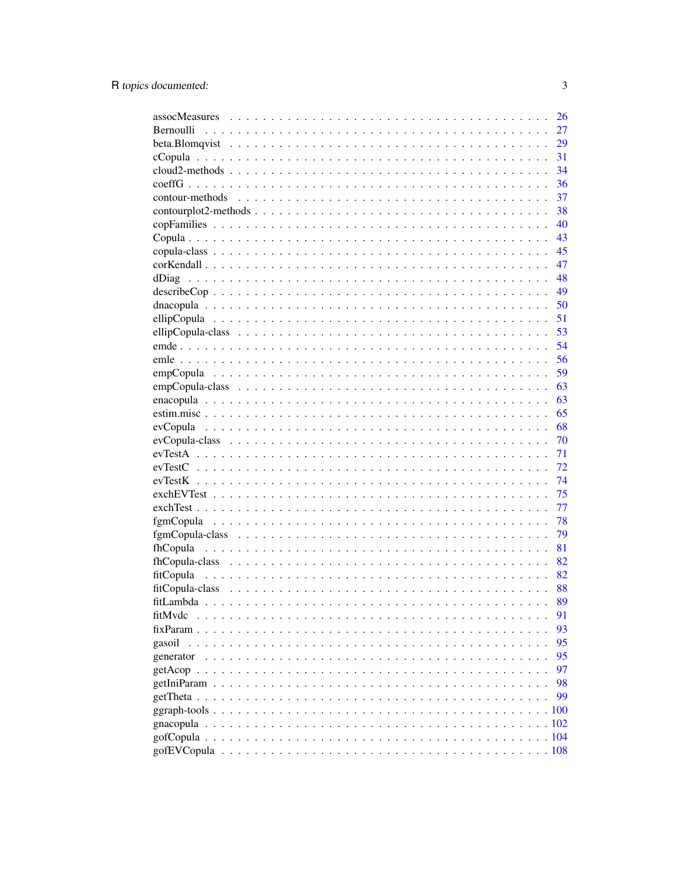|           | 26 |
|-----------|----|
| Bernoulli | 27 |
|           | 29 |
|           | 31 |
|           | 34 |
|           | 36 |
|           | 37 |
|           | 38 |
|           | 40 |
|           | 43 |
|           | 45 |
|           | 47 |
|           | 48 |
|           | 49 |
|           | 50 |
|           |    |
|           | 51 |
|           | 53 |
|           | 54 |
|           | 56 |
|           | 59 |
|           | 63 |
|           | 63 |
|           | 65 |
|           | 68 |
|           | 70 |
|           | 71 |
|           | 72 |
|           | 74 |
|           | 75 |
|           | 77 |
|           | 78 |
|           | 79 |
|           | 81 |
|           | 82 |
|           | 82 |
|           | 88 |
|           | 89 |
| fitMvdc   | 91 |
|           | 93 |
|           |    |
| gasoil    | 95 |
| generator | 95 |
|           | 97 |
|           | 98 |
|           | 99 |
|           |    |
| gnacopula |    |
|           |    |
|           |    |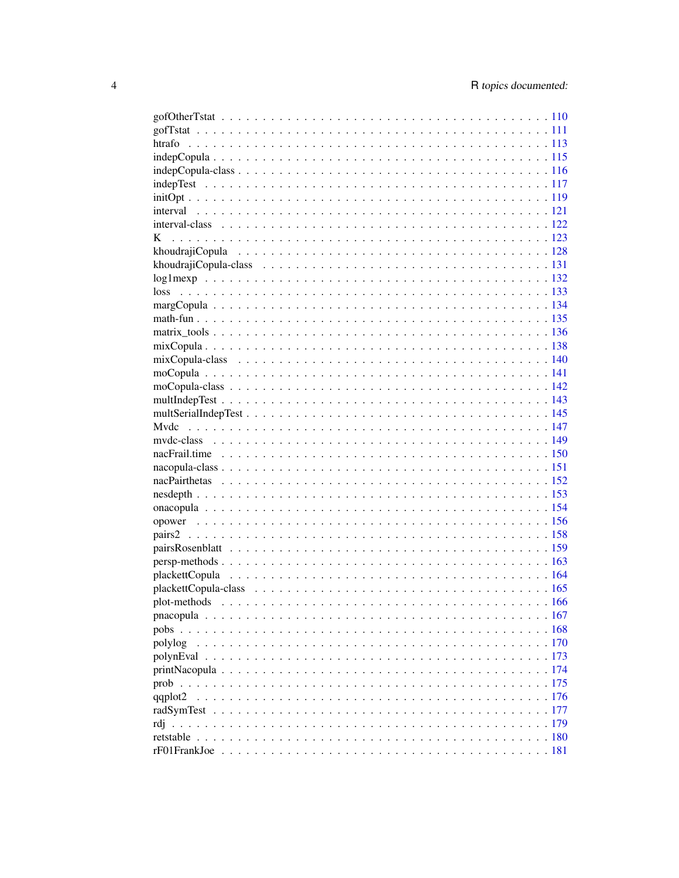| polylog |  |
|---------|--|
|         |  |
|         |  |
|         |  |
|         |  |
|         |  |
|         |  |
|         |  |
|         |  |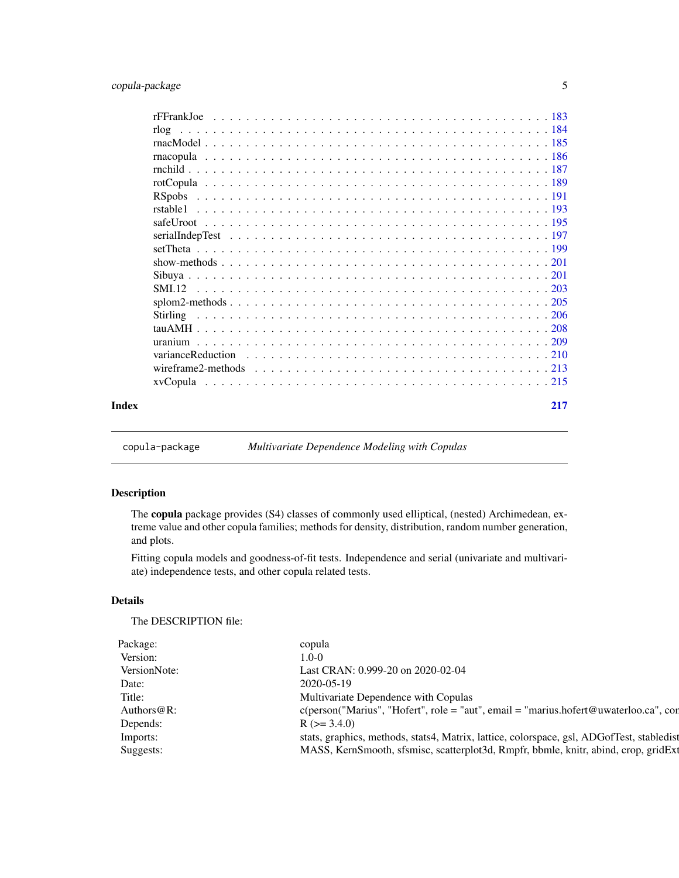<span id="page-4-0"></span>

| Index | 217 |
|-------|-----|

copula-package *Multivariate Dependence Modeling with Copulas*

### Description

The copula package provides (S4) classes of commonly used elliptical, (nested) Archimedean, extreme value and other copula families; methods for density, distribution, random number generation, and plots.

Fitting copula models and goodness-of-fit tests. Independence and serial (univariate and multivariate) independence tests, and other copula related tests.

### Details

The DESCRIPTION file:

| ekaσet −     |                                                                                           |
|--------------|-------------------------------------------------------------------------------------------|
| Version:     |                                                                                           |
|              |                                                                                           |
| VersionNote: | Last CRAN: 0.999-20 on 2020-02-04                                                         |
|              |                                                                                           |
|              | Multivariate Dependence with Copulas                                                      |
| Authors@R:   | c(person("Marius", "Hofert", role = "aut", email = "marius.hofert@uwaterloo.ca", con      |
| Depends:     | $(>= 3.4.0)$                                                                              |
| Imports:     | stats, graphics, methods, stats4, Matrix, lattice, colorspace, gsl, ADGofTest, stabledist |
|              |                                                                                           |
| Suggests:    | MASS, KernSmooth, sfsmisc, scatterplot3d, Rmpfr, bbmle, knitr, abind, crop, gridExt       |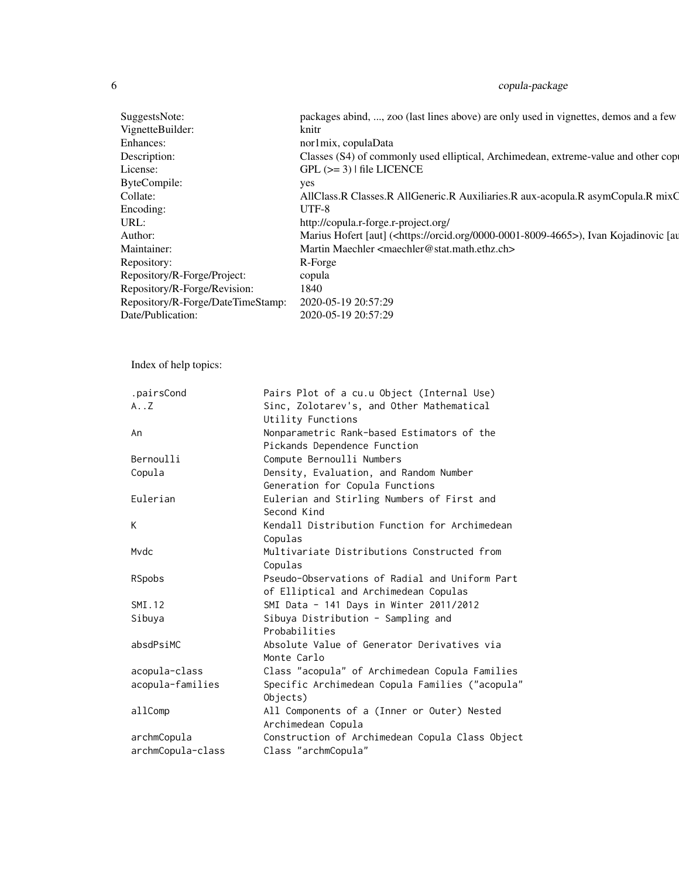| SuggestsNote:                                                                                                                       | packages abind, , zoo (last lines above) are only used in vignettes, demos and a few                                                                                         |
|-------------------------------------------------------------------------------------------------------------------------------------|------------------------------------------------------------------------------------------------------------------------------------------------------------------------------|
| VignetteBuilder:                                                                                                                    |                                                                                                                                                                              |
|                                                                                                                                     | nor1mix, copulaData                                                                                                                                                          |
| Description:                                                                                                                        | aly used elliptical, Archimedean, extreme-value and other cop                                                                                                                |
|                                                                                                                                     | $GPL (=3)$   file LICENCE                                                                                                                                                    |
| <b>ByteCompile:</b>                                                                                                                 |                                                                                                                                                                              |
|                                                                                                                                     | AllClass.R Classes.R AllGeneric.R Auxiliaries.R aux-acopula.R asymCopula.R mixC                                                                                              |
|                                                                                                                                     | UTF-8                                                                                                                                                                        |
|                                                                                                                                     | http://copula.r-forge.r-project.org/                                                                                                                                         |
|                                                                                                                                     | Marius Hofert [aut] ( <https: 0000-0001-8009-4665="" orcid.org="">), Ivan Kojadinovic [au Martin Maechler <maechler@stat.math.ethz.ch></maechler@stat.math.ethz.ch></https:> |
| Maintainer:                                                                                                                         |                                                                                                                                                                              |
| Repository:                                                                                                                         | $R$ -Eorge                                                                                                                                                                   |
| Repository/R-Forge/Project:                                                                                                         | copula                                                                                                                                                                       |
|                                                                                                                                     |                                                                                                                                                                              |
|                                                                                                                                     |                                                                                                                                                                              |
| Repository/R-Forge/Revision: 1840<br>Repository/R-Forge/DateTimeStamp: 2020-05-19 20:57:29<br>Date/Publication: 2020-05-19 20:57:29 |                                                                                                                                                                              |
|                                                                                                                                     |                                                                                                                                                                              |

Index of help topics:

| .pairsCond        | Pairs Plot of a cu.u Object (Internal Use)      |
|-------------------|-------------------------------------------------|
| $A \cdot .Z$      | Sinc, Zolotarev's, and Other Mathematical       |
|                   | Utility Functions                               |
| An                | Nonparametric Rank-based Estimators of the      |
|                   | Pickands Dependence Function                    |
| Bernoulli         | Compute Bernoulli Numbers                       |
| Copula            | Density, Evaluation, and Random Number          |
|                   | Generation for Copula Functions                 |
| Eulerian          | Eulerian and Stirling Numbers of First and      |
|                   | Second Kind                                     |
| K                 | Kendall Distribution Function for Archimedean   |
|                   | Copulas                                         |
| Mydc              | Multivariate Distributions Constructed from     |
|                   | Copulas                                         |
| RSpobs            | Pseudo-Observations of Radial and Uniform Part  |
|                   | of Elliptical and Archimedean Copulas           |
| SMI.12            | SMI Data - 141 Days in Winter 2011/2012         |
| Sibuya            | Sibuya Distribution - Sampling and              |
|                   | Probabilities                                   |
| absdPsiMC         | Absolute Value of Generator Derivatives via     |
|                   | Monte Carlo                                     |
| acopula-class     | Class "acopula" of Archimedean Copula Families  |
| acopula-families  | Specific Archimedean Copula Families ("acopula" |
|                   | Objects)                                        |
| allComp           | All Components of a (Inner or Outer) Nested     |
|                   | Archimedean Copula                              |
| archmCopula       | Construction of Archimedean Copula Class Object |
| archmCopula-class | Class "archmCopula"                             |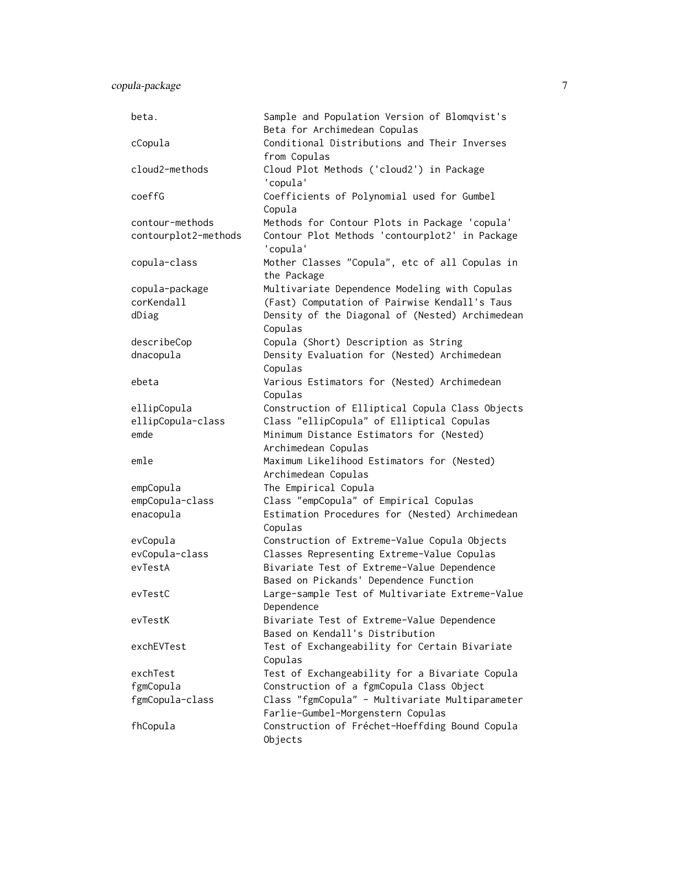| beta.                | Sample and Population Version of Blomqvist's<br>Beta for Archimedean Copulas         |
|----------------------|--------------------------------------------------------------------------------------|
| cCopula              | Conditional Distributions and Their Inverses<br>from Copulas                         |
| cloud2-methods       | Cloud Plot Methods ('cloud2') in Package<br>'copula'                                 |
| coeffG               | Coefficients of Polynomial used for Gumbel<br>Copula                                 |
| contour-methods      | Methods for Contour Plots in Package 'copula'                                        |
| contourplot2-methods | Contour Plot Methods 'contourplot2' in Package<br>'copula'                           |
| copula-class         | Mother Classes "Copula", etc of all Copulas in<br>the Package                        |
| copula-package       | Multivariate Dependence Modeling with Copulas                                        |
| corKendall           | (Fast) Computation of Pairwise Kendall's Taus                                        |
| dDiag                | Density of the Diagonal of (Nested) Archimedean<br>Copulas                           |
| describeCop          | Copula (Short) Description as String                                                 |
| dnacopula            | Density Evaluation for (Nested) Archimedean<br>Copulas                               |
| ebeta                | Various Estimators for (Nested) Archimedean<br>Copulas                               |
| ellipCopula          | Construction of Elliptical Copula Class Objects                                      |
| ellipCopula-class    | Class "ellipCopula" of Elliptical Copulas                                            |
| emde                 | Minimum Distance Estimators for (Nested)                                             |
|                      | Archimedean Copulas                                                                  |
| emle                 | Maximum Likelihood Estimators for (Nested)                                           |
|                      | Archimedean Copulas                                                                  |
| empCopula            | The Empirical Copula                                                                 |
| empCopula-class      | Class "empCopula" of Empirical Copulas                                               |
| enacopula            | Estimation Procedures for (Nested) Archimedean<br>Copulas                            |
| evCopula             | Construction of Extreme-Value Copula Objects                                         |
| evCopula-class       | Classes Representing Extreme-Value Copulas                                           |
| evTestA              | Bivariate Test of Extreme-Value Dependence<br>Based on Pickands' Dependence Function |
| evTestC              | Large-sample Test of Multivariate Extreme-Value<br>Dependence                        |
| evTestK              | Bivariate Test of Extreme-Value Dependence<br>Based on Kendall's Distribution        |
| exchEVTest           | Test of Exchangeability for Certain Bivariate<br>Copulas                             |
| exchTest             | Test of Exchangeability for a Bivariate Copula                                       |
| fgmCopula            | Construction of a fgmCopula Class Object                                             |
| fgmCopula-class      | Class "fgmCopula" - Multivariate Multiparameter<br>Farlie-Gumbel-Morgenstern Copulas |
| fhCopula             | Construction of Fréchet-Hoeffding Bound Copula<br>Objects                            |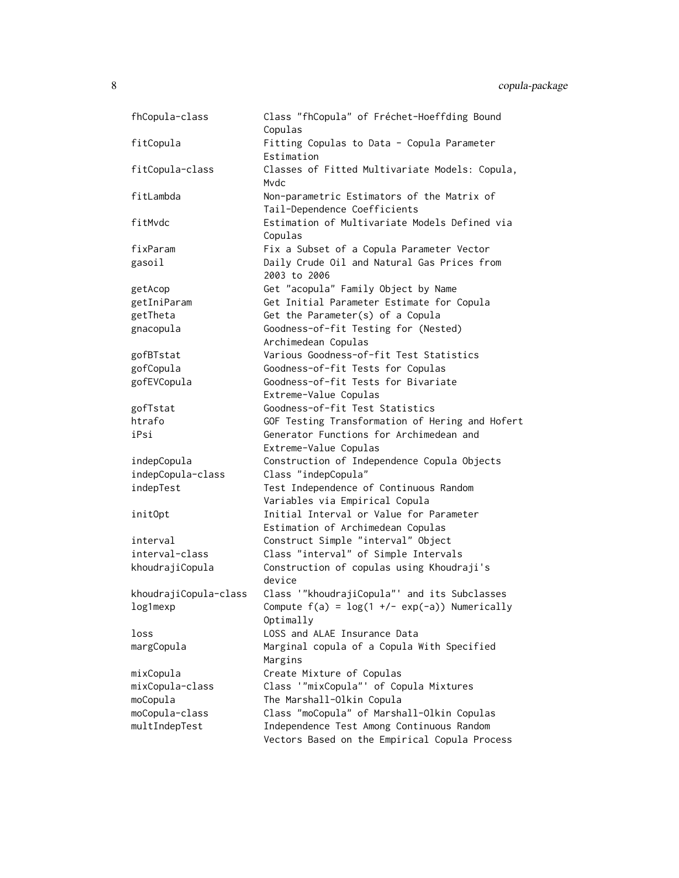| fhCopula-class        | Class "fhCopula" of Fréchet-Hoeffding Bound<br>Copulas                     |
|-----------------------|----------------------------------------------------------------------------|
| fitCopula             | Fitting Copulas to Data - Copula Parameter<br>Estimation                   |
|                       | Classes of Fitted Multivariate Models: Copula,                             |
| fitCopula-class       | Mvdc                                                                       |
| fitLambda             | Non-parametric Estimators of the Matrix of<br>Tail-Dependence Coefficients |
| fitMvdc               | Estimation of Multivariate Models Defined via                              |
|                       | Copulas                                                                    |
| fixParam              | Fix a Subset of a Copula Parameter Vector                                  |
| gasoil                | Daily Crude Oil and Natural Gas Prices from<br>2003 to 2006                |
| getAcop               | Get "acopula" Family Object by Name                                        |
| getIniParam           | Get Initial Parameter Estimate for Copula                                  |
| getTheta              | Get the Parameter(s) of a Copula                                           |
| gnacopula             | Goodness-of-fit Testing for (Nested)                                       |
|                       | Archimedean Copulas                                                        |
| gofBTstat             | Various Goodness-of-fit Test Statistics                                    |
| gofCopula             | Goodness-of-fit Tests for Copulas                                          |
| gofEVCopula           | Goodness-of-fit Tests for Bivariate                                        |
|                       | Extreme-Value Copulas                                                      |
| gofTstat              | Goodness-of-fit Test Statistics                                            |
| htrafo                | GOF Testing Transformation of Hering and Hofert                            |
| iPsi                  | Generator Functions for Archimedean and                                    |
|                       | Extreme-Value Copulas                                                      |
| indepCopula           | Construction of Independence Copula Objects                                |
| indepCopula-class     | Class "indepCopula"                                                        |
| indepTest             | Test Independence of Continuous Random                                     |
|                       | Variables via Empirical Copula                                             |
| init0pt               | Initial Interval or Value for Parameter                                    |
|                       | Estimation of Archimedean Copulas                                          |
| interval              | Construct Simple "interval" Object                                         |
| interval-class        | Class "interval" of Simple Intervals                                       |
| khoudrajiCopula       | Construction of copulas using Khoudraji's                                  |
|                       | device                                                                     |
| khoudrajiCopula-class | Class '"khoudrajiCopula"' and its Subclasses                               |
| log1mexp              | Compute $f(a) = log(1 +/- exp(-a))$ Numerically                            |
|                       | Optimally                                                                  |
| loss                  | LOSS and ALAE Insurance Data                                               |
| margCopula            | Marginal copula of a Copula With Specified                                 |
|                       | Margins                                                                    |
| mixCopula             | Create Mixture of Copulas                                                  |
| mixCopula-class       | Class '"mixCopula"' of Copula Mixtures                                     |
| moCopula              | The Marshall-Olkin Copula                                                  |
| moCopula-class        | Class "moCopula" of Marshall-Olkin Copulas                                 |
| multIndepTest         | Independence Test Among Continuous Random                                  |
|                       | Vectors Based on the Empirical Copula Process                              |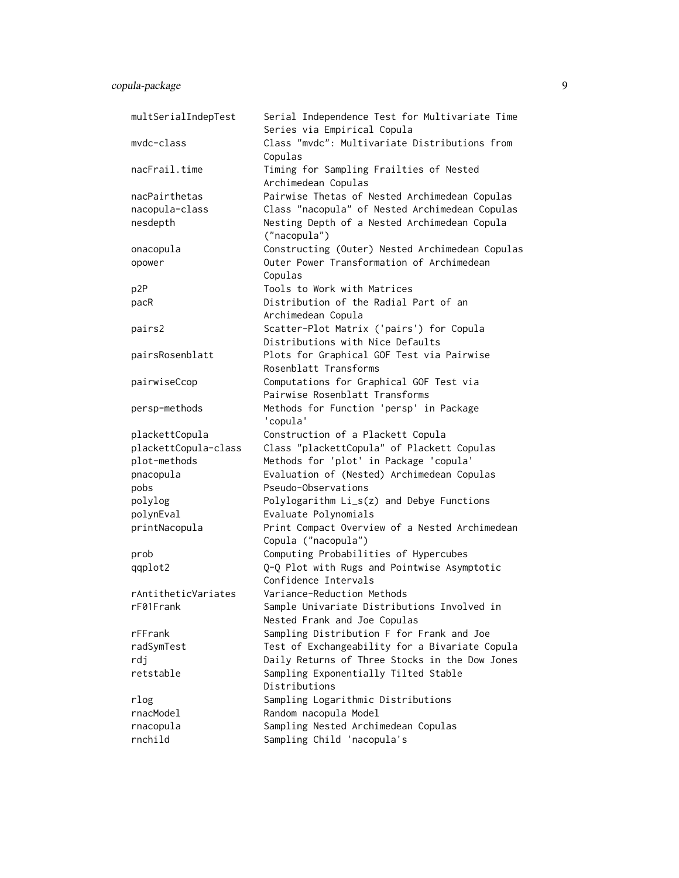| multSerialIndepTest  | Serial Independence Test for Multivariate Time<br>Series via Empirical Copula |
|----------------------|-------------------------------------------------------------------------------|
| mvdc-class           | Class "mvdc": Multivariate Distributions from<br>Copulas                      |
| nacFrail.time        | Timing for Sampling Frailties of Nested<br>Archimedean Copulas                |
| nacPairthetas        | Pairwise Thetas of Nested Archimedean Copulas                                 |
| nacopula-class       | Class "nacopula" of Nested Archimedean Copulas                                |
| nesdepth             | Nesting Depth of a Nested Archimedean Copula<br>("nacopula")                  |
| onacopula            | Constructing (Outer) Nested Archimedean Copulas                               |
| opower               | Outer Power Transformation of Archimedean<br>Copulas                          |
| p2P                  | Tools to Work with Matrices                                                   |
| pacR                 | Distribution of the Radial Part of an<br>Archimedean Copula                   |
| pairs2               | Scatter-Plot Matrix ('pairs') for Copula                                      |
|                      | Distributions with Nice Defaults                                              |
| pairsRosenblatt      | Plots for Graphical GOF Test via Pairwise                                     |
|                      | Rosenblatt Transforms                                                         |
| pairwiseCcop         | Computations for Graphical GOF Test via                                       |
|                      | Pairwise Rosenblatt Transforms                                                |
| persp-methods        | Methods for Function 'persp' in Package<br>'copula'                           |
| plackettCopula       | Construction of a Plackett Copula                                             |
| plackettCopula-class | Class "plackettCopula" of Plackett Copulas                                    |
| plot-methods         | Methods for 'plot' in Package 'copula'                                        |
| pnacopula            | Evaluation of (Nested) Archimedean Copulas                                    |
| pobs                 | Pseudo-Observations                                                           |
| polylog              | Polylogarithm Li_s(z) and Debye Functions                                     |
| polynEval            | Evaluate Polynomials                                                          |
| printNacopula        | Print Compact Overview of a Nested Archimedean                                |
|                      | Copula ("nacopula")                                                           |
| prob                 | Computing Probabilities of Hypercubes                                         |
| qqplot2              | Q-Q Plot with Rugs and Pointwise Asymptotic                                   |
|                      | Confidence Intervals                                                          |
| rAntitheticVariates  | Variance-Reduction Methods                                                    |
| rF01Frank            | Sample Univariate Distributions Involved in                                   |
|                      | Nested Frank and Joe Copulas                                                  |
| rFFrank              | Sampling Distribution F for Frank and Joe                                     |
| radSymTest           | Test of Exchangeability for a Bivariate Copula                                |
| rdj                  | Daily Returns of Three Stocks in the Dow Jones                                |
| retstable            | Sampling Exponentially Tilted Stable<br>Distributions                         |
| rlog                 | Sampling Logarithmic Distributions                                            |
| rnacModel            | Random nacopula Model                                                         |
| rnacopula            | Sampling Nested Archimedean Copulas                                           |
| rnchild              | Sampling Child 'nacopula's                                                    |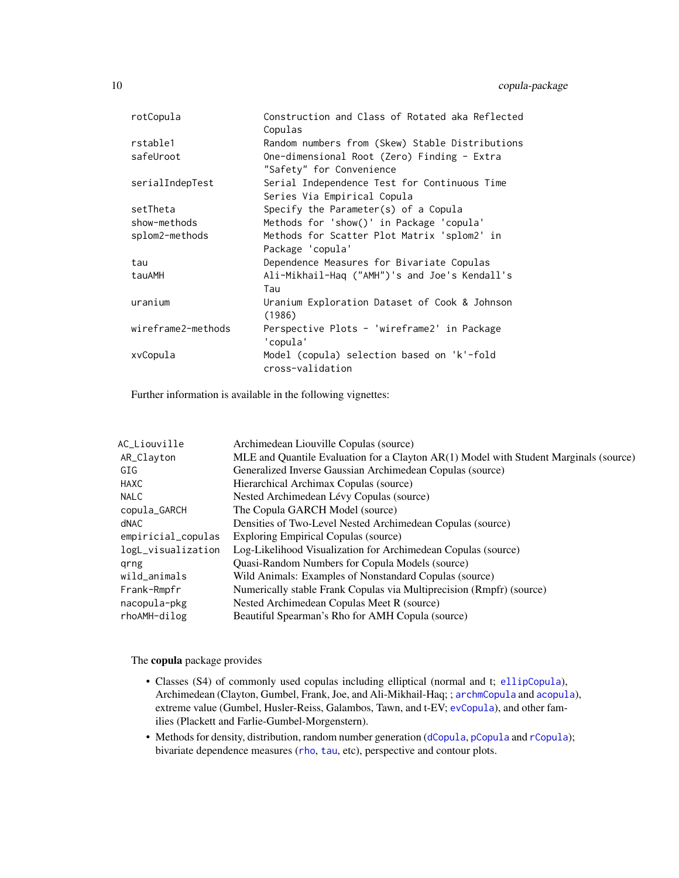| rotCopula          | Construction and Class of Rotated aka Reflected |
|--------------------|-------------------------------------------------|
|                    | Copulas                                         |
| rstable1           | Random numbers from (Skew) Stable Distributions |
| safeUroot          | One-dimensional Root (Zero) Finding - Extra     |
|                    | "Safety" for Convenience                        |
| serialIndepTest    | Serial Independence Test for Continuous Time    |
|                    | Series Via Empirical Copula                     |
| setTheta           | Specify the Parameter(s) of a Copula            |
| show-methods       | Methods for 'show()' in Package 'copula'        |
| splom2-methods     | Methods for Scatter Plot Matrix 'splom2' in     |
|                    | Package 'copula'                                |
| tau                | Dependence Measures for Bivariate Copulas       |
| tauAMH             | Ali-Mikhail-Haq ("AMH")'s and Joe's Kendall's   |
|                    | Tau                                             |
| uranium            | Uranium Exploration Dataset of Cook & Johnson   |
|                    | (1986)                                          |
| wireframe2-methods | Perspective Plots - 'wireframe2' in Package     |
|                    | 'copula'                                        |
| xvCopula           | Model (copula) selection based on 'k'-fold      |
|                    | cross-validation                                |
|                    |                                                 |

Further information is available in the following vignettes:

| AC_Liouville       | Archimedean Liouville Copulas (source)                                                |
|--------------------|---------------------------------------------------------------------------------------|
| AR_Clayton         | MLE and Quantile Evaluation for a Clayton AR(1) Model with Student Marginals (source) |
| GIG                | Generalized Inverse Gaussian Archimedean Copulas (source)                             |
| HAXC               | Hierarchical Archimax Copulas (source)                                                |
| <b>NALC</b>        | Nested Archimedean Lévy Copulas (source)                                              |
| copula_GARCH       | The Copula GARCH Model (source)                                                       |
| dNAC               | Densities of Two-Level Nested Archimedean Copulas (source)                            |
| empiricial_copulas | Exploring Empirical Copulas (source)                                                  |
| logL_visualization | Log-Likelihood Visualization for Archimedean Copulas (source)                         |
| grng               | Quasi-Random Numbers for Copula Models (source)                                       |
| wild_animals       | Wild Animals: Examples of Nonstandard Copulas (source)                                |
| Frank-Rmpfr        | Numerically stable Frank Copulas via Multiprecision (Rmpfr) (source)                  |
| nacopula-pkg       | Nested Archimedean Copulas Meet R (source)                                            |
| rhoAMH-dilog       | Beautiful Spearman's Rho for AMH Copula (source)                                      |

The copula package provides

- Classes (S4) of commonly used copulas including elliptical (normal and t; [ellipCopula](#page-52-1)), Archimedean (Clayton, Gumbel, Frank, Joe, and Ali-Mikhail-Haq; ; [archmCopula](#page-23-1) and [acopula](#page-14-1)), extreme value (Gumbel, Husler-Reiss, Galambos, Tawn, and t-EV; [evCopula](#page-69-1)), and other families (Plackett and Farlie-Gumbel-Morgenstern).
- Methods for density, distribution, random number generation ([dCopula](#page-42-1), [pCopula](#page-42-1) and [rCopula](#page-42-1)); bivariate dependence measures ([rho](#page-25-1), [tau](#page-25-1), etc), perspective and contour plots.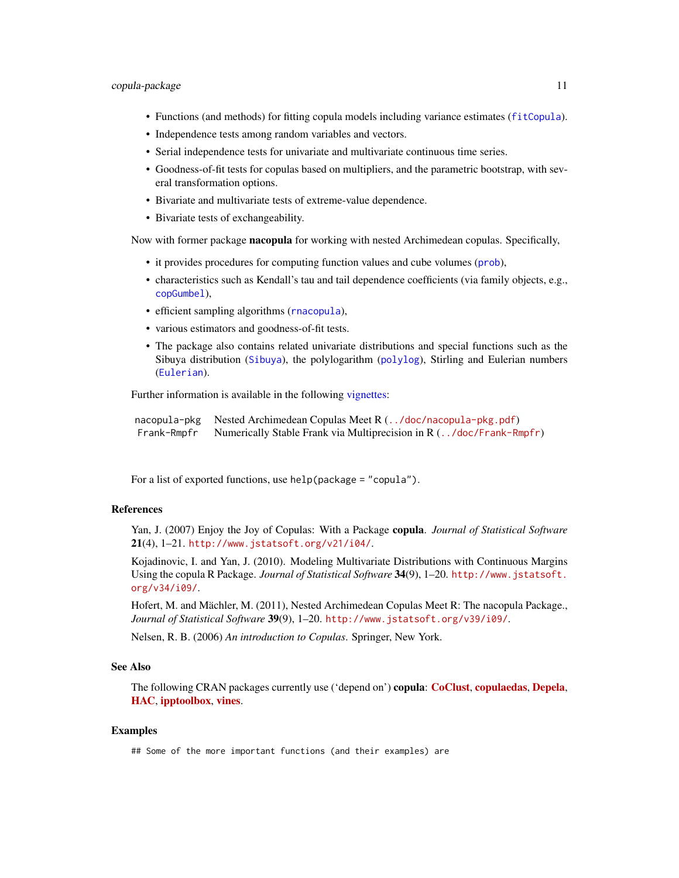- Functions (and methods) for fitting copula models including variance estimates ([fitCopula](#page-81-1)).
- Independence tests among random variables and vectors.
- Serial independence tests for univariate and multivariate continuous time series.
- Goodness-of-fit tests for copulas based on multipliers, and the parametric bootstrap, with several transformation options.
- Bivariate and multivariate tests of extreme-value dependence.
- Bivariate tests of exchangeability.

Now with former package nacopula for working with nested Archimedean copulas. Specifically,

- it provides procedures for computing function values and cube volumes ([prob](#page-174-1)),
- characteristics such as Kendall's tau and tail dependence coefficients (via family objects, e.g., [copGumbel](#page-39-1)),
- efficient sampling algorithms ([rnacopula](#page-185-1)),
- various estimators and goodness-of-fit tests.
- The package also contains related univariate distributions and special functions such as the Sibuya distribution ([Sibuya](#page-200-1)), the polylogarithm ([polylog](#page-169-1)), Stirling and Eulerian numbers ([Eulerian](#page-205-1)).

Further information is available in the following [vignettes:](#page-0-0)

```
nacopula-pkg Nested Archimedean Copulas Meet R (../doc/nacopula-pkg.pdf)
Frank-Rmpfr Numerically Stable Frank via Multiprecision in R (../doc/Frank-Rmpfr)
```
For a list of exported functions, use help(package = "copula").

### References

Yan, J. (2007) Enjoy the Joy of Copulas: With a Package copula. *Journal of Statistical Software*  $21(4)$ ,  $1-21$ . <http://www.jstatsoft.org/v21/i04/>.

Kojadinovic, I. and Yan, J. (2010). Modeling Multivariate Distributions with Continuous Margins Using the copula R Package. *Journal of Statistical Software* 34(9), 1–20. [http://www.jstatsoft.](http://www.jstatsoft.org/v34/i09/) [org/v34/i09/](http://www.jstatsoft.org/v34/i09/).

Hofert, M. and Mächler, M. (2011), Nested Archimedean Copulas Meet R: The nacopula Package., *Journal of Statistical Software* 39(9), 1–20. <http://www.jstatsoft.org/v39/i09/>.

Nelsen, R. B. (2006) *An introduction to Copulas*. Springer, New York.

#### See Also

The following CRAN packages currently use ('depend on') copula: [CoClust](https://CRAN.R-project.org/package=CoClust), [copulaedas](https://CRAN.R-project.org/package=copulaedas), [Depela](https://CRAN.R-project.org/package=Depela), [HAC](https://CRAN.R-project.org/package=HAC), [ipptoolbox](https://CRAN.R-project.org/package=ipptoolbox), [vines](https://CRAN.R-project.org/package=vines).

#### Examples

## Some of the more important functions (and their examples) are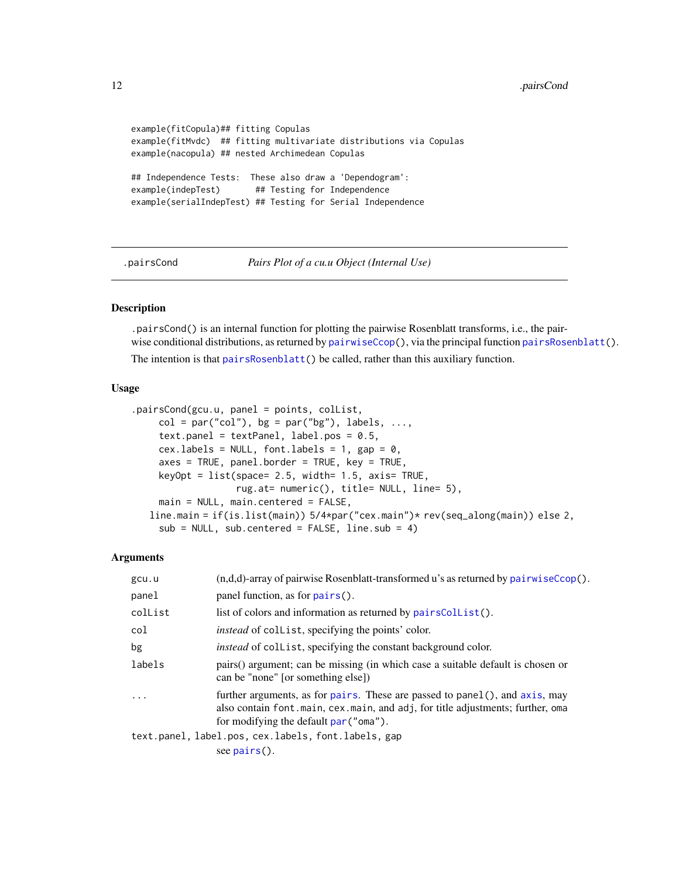#### <span id="page-11-0"></span>12 . In the set of the set of the set of the set of the set of the set of the set of the set of the set of the set of the set of the set of the set of the set of the set of the set of the set of the set of the set of the s

```
example(fitCopula)## fitting Copulas
example(fitMvdc) ## fitting multivariate distributions via Copulas
example(nacopula) ## nested Archimedean Copulas
## Independence Tests: These also draw a 'Dependogram':
example(indepTest) ## Testing for Independence
example(serialIndepTest) ## Testing for Serial Independence
```
.pairsCond *Pairs Plot of a cu.u Object (Internal Use)*

### Description

.pairsCond() is an internal function for plotting the pairwise Rosenblatt transforms, i.e., the pairwise conditional distributions, as returned by [pairwiseCcop\(](#page-99-1)), via the principal function [pairsRosenblatt\(](#page-158-1)).

The intention is that [pairsRosenblatt\(](#page-158-1)) be called, rather than this auxiliary function.

### Usage

```
.pairsCond(gcu.u, panel = points, colList,
    col = par("col"), bg = par("bg"), labels, ...,text.panel = textPanel, label.pos = 0.5,
    cex.labels = NULL, font.labels = 1, gap = 0,
    axes = TRUE, panel.border = TRUE, key = TRUE,
    keyOpt = list(space= 2.5, width= 1.5, axis= TRUE,
                  rug.at= numeric(), title= NULL, line= 5),
    main = NULL, main.centered = FALSE,
   line.main = if(is.list(main)) 5/4*par("cex.main")* rev(seq_along(main)) else 2,
    sub = NULL, subcentered = FALSE, line.sub = 4)
```
#### Arguments

| gcu.u                   | $(n,d,d)$ -array of pairwise Rosenblatt-transformed u's as returned by pairwise $Ccop()$ .                                                                                                              |
|-------------------------|---------------------------------------------------------------------------------------------------------------------------------------------------------------------------------------------------------|
| panel                   | panel function, as for $pairs()$ .                                                                                                                                                                      |
| collist                 | list of colors and information as returned by pairs Collist ().                                                                                                                                         |
| col                     | <i>instead</i> of collist, specifying the points' color.                                                                                                                                                |
| bg                      | <i>instead</i> of collist, specifying the constant background color.                                                                                                                                    |
| labels                  | pairs() argument; can be missing (in which case a suitable default is chosen or<br>can be "none" [or something else])                                                                                   |
| $\cdot$ $\cdot$ $\cdot$ | further arguments, as for pairs. These are passed to panel(), and axis, may<br>also contain font main, cex main, and adj, for title adjustments; further, oma<br>for modifying the default par ("oma"). |
|                         | text.panel, label.pos, cex.labels, font.labels, gap                                                                                                                                                     |
|                         | see $pairs()$ .                                                                                                                                                                                         |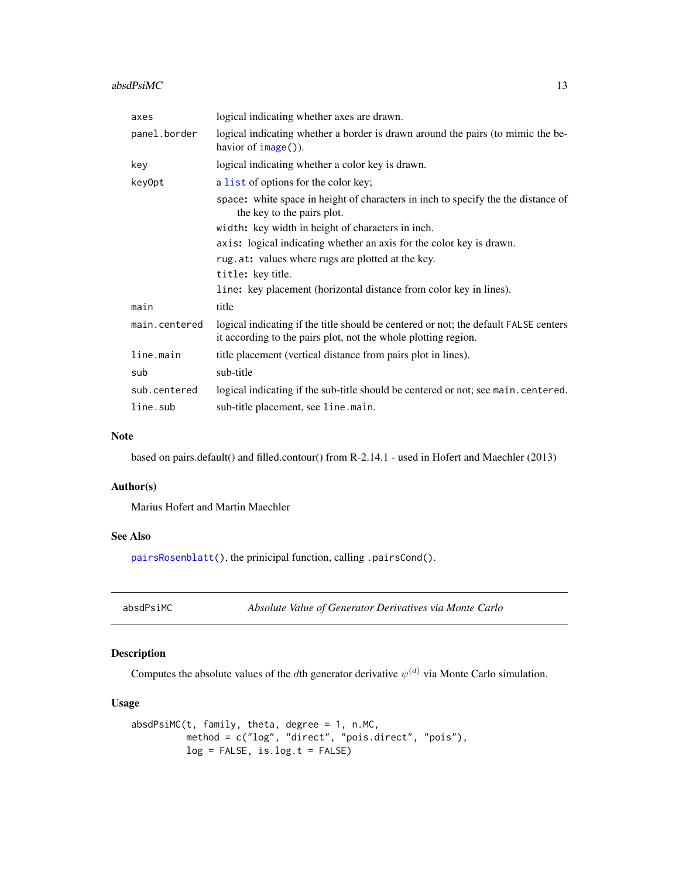#### <span id="page-12-0"></span> $absdPsiMC$  13

| axes          | logical indicating whether axes are drawn.                                                                                                             |  |
|---------------|--------------------------------------------------------------------------------------------------------------------------------------------------------|--|
| panel.border  | logical indicating whether a border is drawn around the pairs (to mimic the be-<br>havior of $image()$ ).                                              |  |
| key           | logical indicating whether a color key is drawn.                                                                                                       |  |
| key0pt        | a list of options for the color key;                                                                                                                   |  |
|               | space: white space in height of characters in inch to specify the the distance of<br>the key to the pairs plot.                                        |  |
|               | width: key width in height of characters in inch.                                                                                                      |  |
|               | axis: logical indicating whether an axis for the color key is drawn.                                                                                   |  |
|               | rug.at: values where rugs are plotted at the key.                                                                                                      |  |
|               | title: key title.                                                                                                                                      |  |
|               | line: key placement (horizontal distance from color key in lines).                                                                                     |  |
| main          | title                                                                                                                                                  |  |
| main.centered | logical indicating if the title should be centered or not; the default FALSE centers<br>it according to the pairs plot, not the whole plotting region. |  |
| line.main     | title placement (vertical distance from pairs plot in lines).                                                                                          |  |
| sub           | sub-title                                                                                                                                              |  |
| sub.centered  | logical indicating if the sub-title should be centered or not; see main.centered.                                                                      |  |
| line.sub      | sub-title placement, see line.main.                                                                                                                    |  |

#### Note

based on pairs.default() and filled.contour() from R-2.14.1 - used in Hofert and Maechler (2013)

#### Author(s)

Marius Hofert and Martin Maechler

### See Also

[pairsRosenblatt\(](#page-158-1)), the prinicipal function, calling .pairsCond().

| absdPsiMC | Absolute Value of Generator Derivatives via Monte Carlo |
|-----------|---------------------------------------------------------|
|-----------|---------------------------------------------------------|

### Description

Computes the absolute values of the dth generator derivative  $\psi^{(d)}$  via Monte Carlo simulation.

### Usage

```
absdPsiMC(t, family, theta, degree = 1, n.MC,
         method = c("log", "direct", "pois.direct", "pois"),
         log = FALSE, is.log.t = FALSE)
```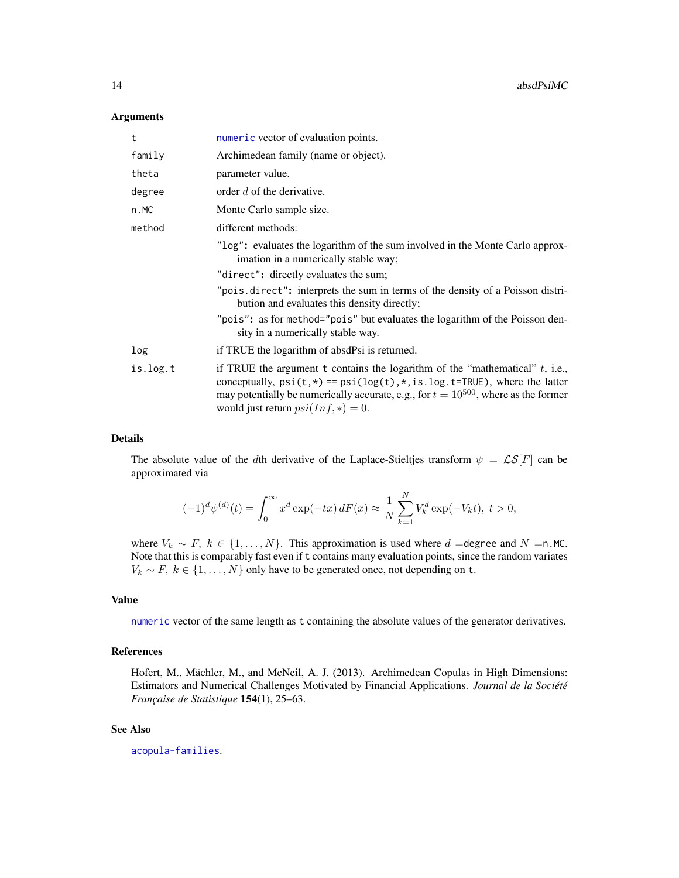#### Arguments

| t        | numeric vector of evaluation points.                                                                                                                                                                                                                                                                  |
|----------|-------------------------------------------------------------------------------------------------------------------------------------------------------------------------------------------------------------------------------------------------------------------------------------------------------|
| family   | Archimedean family (name or object).                                                                                                                                                                                                                                                                  |
| theta    | parameter value.                                                                                                                                                                                                                                                                                      |
| degree   | order d of the derivative.                                                                                                                                                                                                                                                                            |
| n.MC     | Monte Carlo sample size.                                                                                                                                                                                                                                                                              |
| method   | different methods:                                                                                                                                                                                                                                                                                    |
|          | "log": evaluates the logarithm of the sum involved in the Monte Carlo approx-<br>imation in a numerically stable way;                                                                                                                                                                                 |
|          | "direct": directly evaluates the sum;                                                                                                                                                                                                                                                                 |
|          | "pois.direct": interprets the sum in terms of the density of a Poisson distri-<br>bution and evaluates this density directly;                                                                                                                                                                         |
|          | "pois": as for method="pois" but evaluates the logarithm of the Poisson den-<br>sity in a numerically stable way.                                                                                                                                                                                     |
| log      | if TRUE the logarithm of absdPsi is returned.                                                                                                                                                                                                                                                         |
| is.log.t | if TRUE the argument $t$ contains the logarithm of the "mathematical" $t$ , i.e.,<br>conceptually, $psi(t,*) == psi(log(t), *, is.log.t=True)$ , where the latter<br>may potentially be numerically accurate, e.g., for $t = 10^{500}$ , where as the former<br>would just return $psi(Inf, *) = 0$ . |

#### Details

The absolute value of the dth derivative of the Laplace-Stieltjes transform  $\psi = \mathcal{LS}[F]$  can be approximated via

$$
(-1)^{d} \psi^{(d)}(t) = \int_{0}^{\infty} x^{d} \exp(-tx) dF(x) \approx \frac{1}{N} \sum_{k=1}^{N} V_{k}^{d} \exp(-V_{k}t), t > 0,
$$

where  $V_k \sim F$ ,  $k \in \{1, ..., N\}$ . This approximation is used where  $d$  =degree and  $N = n$ .MC. Note that this is comparably fast even if t contains many evaluation points, since the random variates  $V_k \sim F, k \in \{1, \ldots, N\}$  only have to be generated once, not depending on t.

#### Value

[numeric](#page-0-0) vector of the same length as t containing the absolute values of the generator derivatives.

### References

Hofert, M., Mächler, M., and McNeil, A. J. (2013). Archimedean Copulas in High Dimensions: Estimators and Numerical Challenges Motivated by Financial Applications. *Journal de la Société Française de Statistique* 154(1), 25–63.

### See Also

[acopula-families](#page-39-1).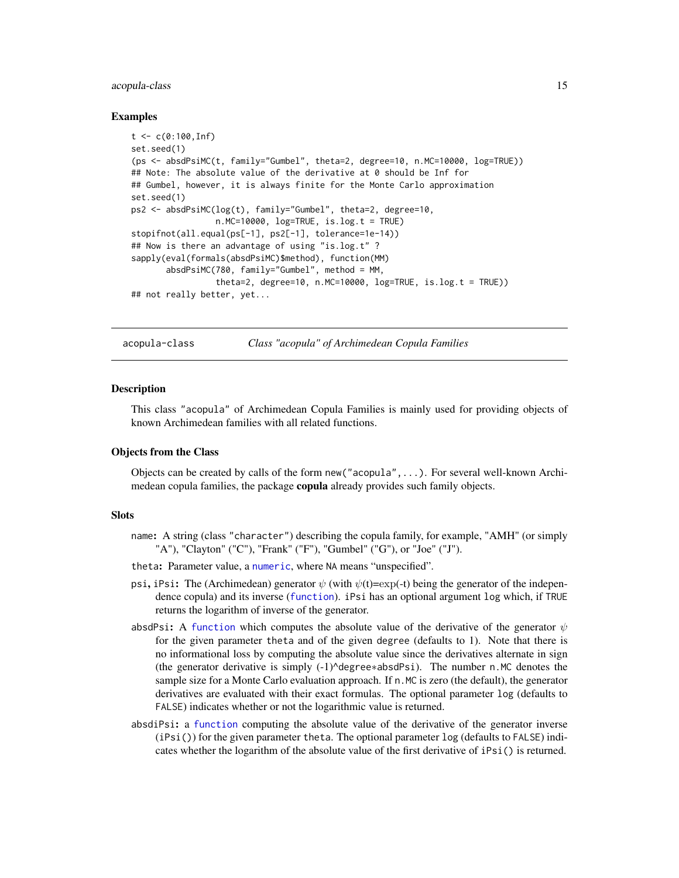#### <span id="page-14-0"></span>acopula-class 15

#### Examples

```
t < -c(0:100, \text{Inf})set.seed(1)
(ps <- absdPsiMC(t, family="Gumbel", theta=2, degree=10, n.MC=10000, log=TRUE))
## Note: The absolute value of the derivative at 0 should be Inf for
## Gumbel, however, it is always finite for the Monte Carlo approximation
set.seed(1)
ps2 <- absdPsiMC(log(t), family="Gumbel", theta=2, degree=10,
                 n.MC=10000, log=TRUE, is.log.t = TRUE)
stopifnot(all.equal(ps[-1], ps2[-1], tolerance=1e-14))
## Now is there an advantage of using "is.log.t" ?
sapply(eval(formals(absdPsiMC)$method), function(MM)
       absdPsiMC(780, family="Gumbel", method = MM,
                 theta=2, degree=10, n.MC=10000, log=TRUE, is.log.t = TRUE))
## not really better, yet...
```
<span id="page-14-1"></span>

acopula-class *Class "acopula" of Archimedean Copula Families*

#### Description

This class "acopula" of Archimedean Copula Families is mainly used for providing objects of known Archimedean families with all related functions.

### Objects from the Class

Objects can be created by calls of the form new("acopula",...). For several well-known Archimedean copula families, the package copula already provides such family objects.

#### **Slots**

- name: A string (class "character") describing the copula family, for example, "AMH" (or simply "A"), "Clayton" ("C"), "Frank" ("F"), "Gumbel" ("G"), or "Joe" ("J").
- theta: Parameter value, a [numeric](#page-0-0), where NA means "unspecified".
- psi, iPsi: The (Archimedean) generator  $\psi$  (with  $\psi(t)$ =exp(-t) being the generator of the independence copula) and its inverse ([function](#page-0-0)). iPsi has an optional argument log which, if TRUE returns the logarithm of inverse of the generator.
- absdPsi: A [function](#page-0-0) which computes the absolute value of the derivative of the generator  $\psi$ for the given parameter theta and of the given degree (defaults to 1). Note that there is no informational loss by computing the absolute value since the derivatives alternate in sign (the generator derivative is simply (-1)^degree∗absdPsi). The number n.MC denotes the sample size for a Monte Carlo evaluation approach. If n. MC is zero (the default), the generator derivatives are evaluated with their exact formulas. The optional parameter log (defaults to FALSE) indicates whether or not the logarithmic value is returned.
- absdiPsi: a [function](#page-0-0) computing the absolute value of the derivative of the generator inverse (iPsi()) for the given parameter theta. The optional parameter log (defaults to FALSE) indicates whether the logarithm of the absolute value of the first derivative of iPsi() is returned.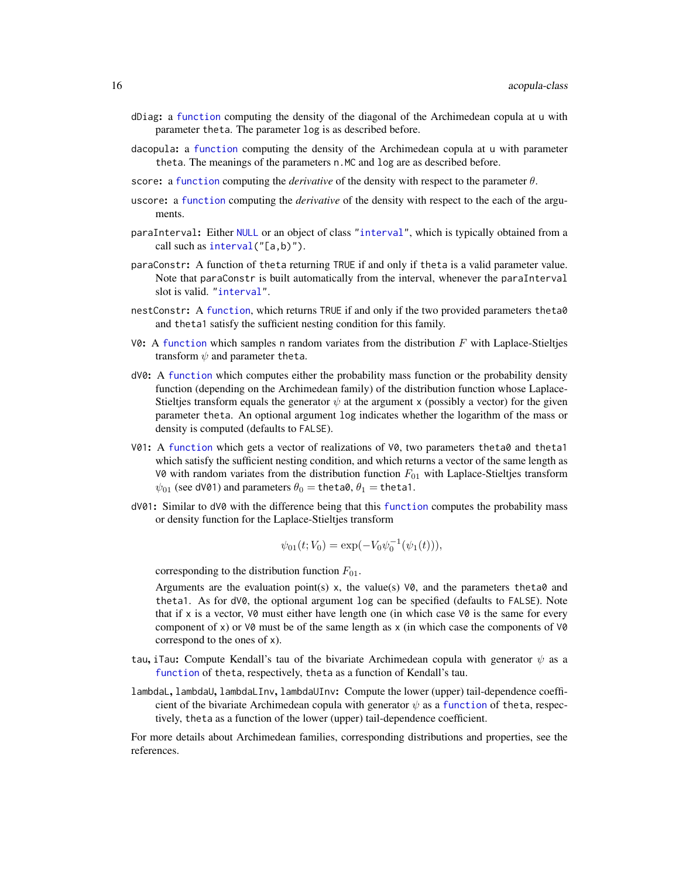- dDiag: a [function](#page-0-0) computing the density of the diagonal of the Archimedean copula at u with parameter theta. The parameter log is as described before.
- dacopula: a [function](#page-0-0) computing the density of the Archimedean copula at u with parameter theta. The meanings of the parameters n.MC and log are as described before.
- score: a [function](#page-0-0) computing the *derivative* of the density with respect to the parameter θ.
- uscore: a [function](#page-0-0) computing the *derivative* of the density with respect to the each of the arguments.
- paraInterval: Either [NULL](#page-0-0) or an object of class ["interval"](#page-121-1), which is typically obtained from a call such as [interval\(](#page-120-1)"[a,b)").
- paraConstr: A function of theta returning TRUE if and only if theta is a valid parameter value. Note that paraConstr is built automatically from the interval, whenever the paraInterval slot is valid. ["interval"](#page-121-1).
- nestConstr: A [function](#page-0-0), which returns TRUE if and only if the two provided parameters theta0 and theta1 satisfy the sufficient nesting condition for this family.
- V0: A [function](#page-0-0) which samples n random variates from the distribution  $F$  with Laplace-Stieltjes transform  $\psi$  and parameter theta.
- dV0: A [function](#page-0-0) which computes either the probability mass function or the probability density function (depending on the Archimedean family) of the distribution function whose Laplace-Stieltjes transform equals the generator  $\psi$  at the argument x (possibly a vector) for the given parameter theta. An optional argument log indicates whether the logarithm of the mass or density is computed (defaults to FALSE).
- V01: A [function](#page-0-0) which gets a vector of realizations of V0, two parameters theta0 and theta1 which satisfy the sufficient nesting condition, and which returns a vector of the same length as V0 with random variates from the distribution function  $F_{01}$  with Laplace-Stieltjes transform  $\psi_{01}$  (see dV01) and parameters  $\theta_0 =$  theta $\theta_1 =$  theta1.
- dV01: Similar to dV0 with the difference being that this [function](#page-0-0) computes the probability mass or density function for the Laplace-Stieltjes transform

$$
\psi_{01}(t;V_0) = \exp(-V_0 \psi_0^{-1}(\psi_1(t))),
$$

corresponding to the distribution function  $F_{01}$ .

Arguments are the evaluation point(s) x, the value(s)  $\vee$ 0, and the parameters theta0 and theta1. As for dV0, the optional argument log can be specified (defaults to FALSE). Note that if x is a vector,  $\nabla \phi$  must either have length one (in which case  $\nabla \phi$  is the same for every component of x) or  $\sqrt{0}$  must be of the same length as x (in which case the components of  $\sqrt{0}$ correspond to the ones of x).

- tau, iTau: Compute Kendall's tau of the bivariate Archimedean copula with generator  $\psi$  as a [function](#page-0-0) of theta, respectively, theta as a function of Kendall's tau.
- lambdaL, lambdaU, lambdaLInv, lambdaUInv: Compute the lower (upper) tail-dependence coefficient of the bivariate Archimedean copula with generator  $\psi$  as a [function](#page-0-0) of theta, respectively, theta as a function of the lower (upper) tail-dependence coefficient.

For more details about Archimedean families, corresponding distributions and properties, see the references.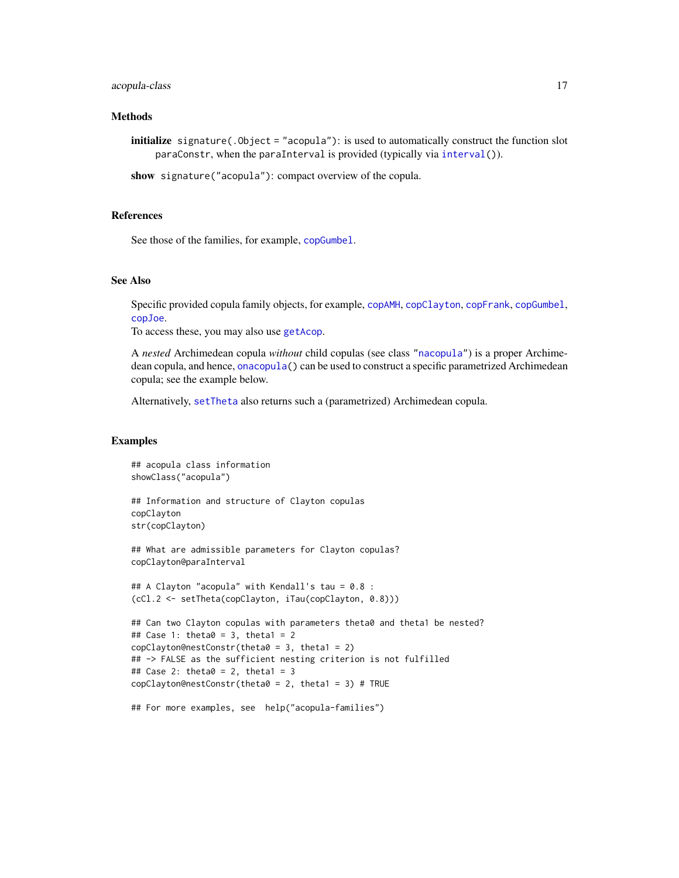### acopula-class 17

### Methods

initialize signature(.Object = "acopula"): is used to automatically construct the function slot paraConstr, when the paraInterval is provided (typically via [interval\(](#page-120-1))).

show signature("acopula"): compact overview of the copula.

#### References

See those of the families, for example, [copGumbel](#page-39-1).

#### See Also

Specific provided copula family objects, for example, [copAMH](#page-39-1), [copClayton](#page-39-1), [copFrank](#page-39-1), [copGumbel](#page-39-1), [copJoe](#page-39-1).

To access these, you may also use [getAcop](#page-96-1).

A *nested* Archimedean copula *without* child copulas (see class ["nacopula"](#page-150-1)) is a proper Archimedean copula, and hence, [onacopula\(](#page-153-1)) can be used to construct a specific parametrized Archimedean copula; see the example below.

Alternatively, [setTheta](#page-198-1) also returns such a (parametrized) Archimedean copula.

#### Examples

```
## acopula class information
showClass("acopula")
## Information and structure of Clayton copulas
copClayton
str(copClayton)
## What are admissible parameters for Clayton copulas?
copClayton@paraInterval
## A Clayton "acopula" with Kendall's tau = 0.8 :
(cCl.2 <- setTheta(copClayton, iTau(copClayton, 0.8)))
## Can two Clayton copulas with parameters theta0 and theta1 be nested?
## Case 1: theta0 = 3, theta1 = 2
copClayton@nestConstr(theta0 = 3, theta1 = 2)
## -> FALSE as the sufficient nesting criterion is not fulfilled
## Case 2: theta0 = 2, theta1 = 3
copClayton@nestConstr(theta0 = 2, theta1 = 3) # TRUE
```

```
## For more examples, see help("acopula-families")
```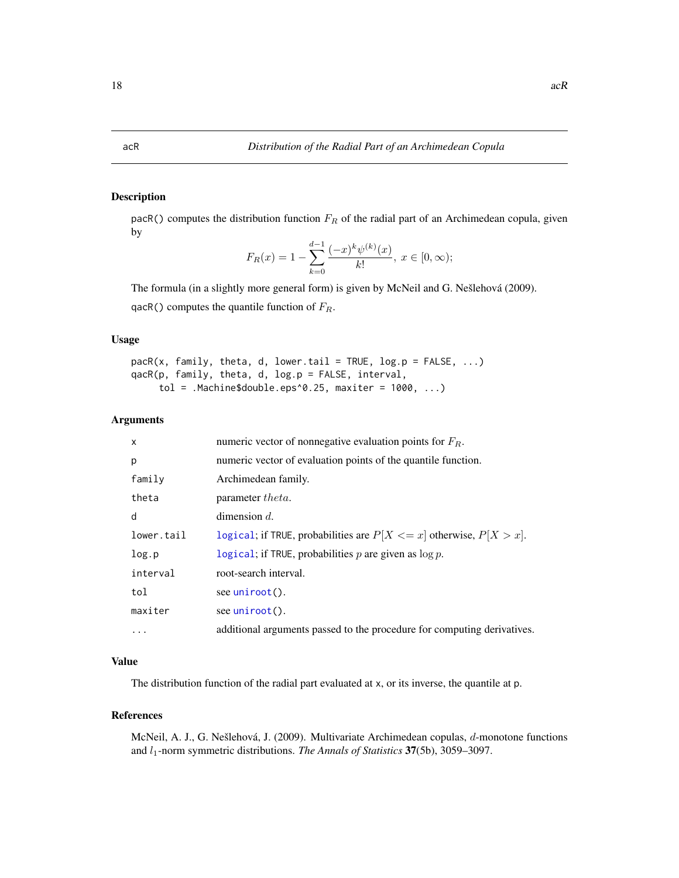### Description

pacR() computes the distribution function  $F_R$  of the radial part of an Archimedean copula, given by

$$
F_R(x) = 1 - \sum_{k=0}^{d-1} \frac{(-x)^k \psi^{(k)}(x)}{k!}, \ x \in [0, \infty);
$$

The formula (in a slightly more general form) is given by McNeil and G. Nešlehová (2009). qacR() computes the quantile function of  $F_R$ .

#### Usage

```
pack(x, family, theta, d, lower.tail = TRUE, log.p = FALSE, ...)qacR(p, family, theta, d, log.p = FALSE, interval,
     tol = .Machine$double.eps^0.25, maxiter = 1000, ...)
```
### Arguments

| X          | numeric vector of nonnegative evaluation points for $F_R$ .              |
|------------|--------------------------------------------------------------------------|
| p          | numeric vector of evaluation points of the quantile function.            |
| family     | Archimedean family.                                                      |
| theta      | parameter <i>theta</i> .                                                 |
| d          | dimension $d$ .                                                          |
| lower.tail | logical; if TRUE, probabilities are $P[X \le x]$ otherwise, $P[X > x]$ . |
| log.p      | logical; if TRUE, probabilities $p$ are given as $\log p$ .              |
| interval   | root-search interval.                                                    |
| tol        | see uniroot $()$ .                                                       |
| maxiter    | see uniroot().                                                           |
| $\cdots$   | additional arguments passed to the procedure for computing derivatives.  |

#### Value

The distribution function of the radial part evaluated at x, or its inverse, the quantile at p.

### References

McNeil, A. J., G. Nešlehová, J. (2009). Multivariate Archimedean copulas, d-monotone functions and  $l_1$ -norm symmetric distributions. *The Annals of Statistics* 37(5b), 3059–3097.

<span id="page-17-0"></span>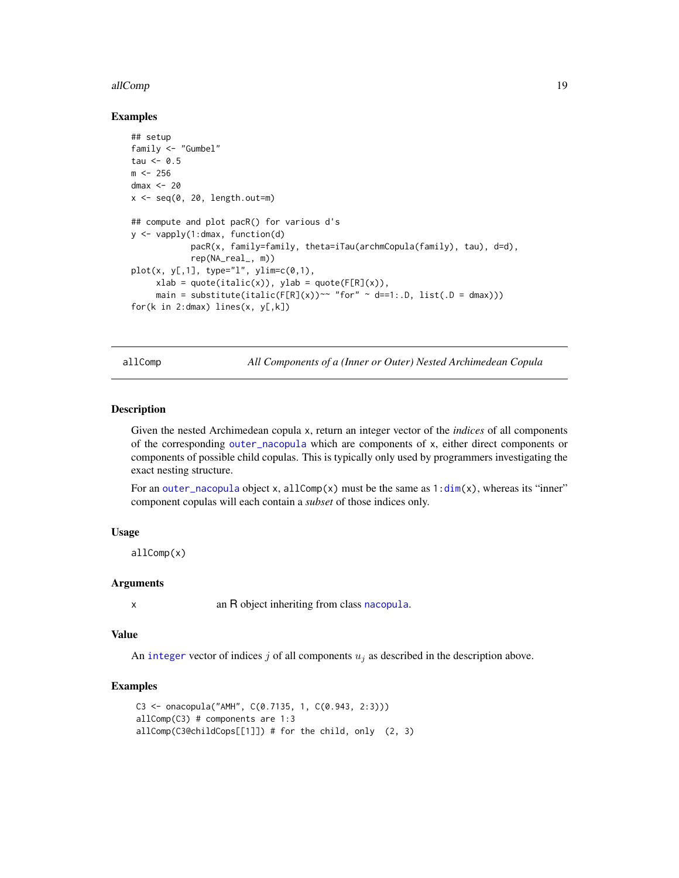#### <span id="page-18-0"></span>allComp and the state of the state of the state of the state of the state of the state of the state of the state of the state of the state of the state of the state of the state of the state of the state of the state of th

#### Examples

```
## setup
family <- "Gumbel"
tau \leq -0.5m < -256dmax <-20x \leq -\text{seq}(0, 20, \text{length.out} = m)## compute and plot pacR() for various d's
y <- vapply(1:dmax, function(d)
            pacR(x, family=family, theta=iTau(archmCopula(family), tau), d=d),
            rep(NA_real_, m))
plot(x, y[, 1], type="1", ylim=c(0,1),xlab = quote(italic(x)), ylab = quote(F[R](x)),main = substitute(italic(F[R](x))~~ "for" ~ d==1:.D, list(.D = dmax)))
for(k in 2:dmax) lines(x, y[,k])
```
allComp *All Components of a (Inner or Outer) Nested Archimedean Copula*

#### **Description**

Given the nested Archimedean copula x, return an integer vector of the *indices* of all components of the corresponding [outer\\_nacopula](#page-150-2) which are components of x, either direct components or components of possible child copulas. This is typically only used by programmers investigating the exact nesting structure.

For an [outer\\_nacopula](#page-150-2) object x, allComp(x) must be the same as  $1:dim(x)$  $1:dim(x)$  $1:dim(x)$ , whereas its "inner" component copulas will each contain a *subset* of those indices only.

#### Usage

allComp(x)

### Arguments

x an R object inheriting from class [nacopula](#page-150-1).

#### Value

An [integer](#page-0-0) vector of indices j of all components  $u_j$  as described in the description above.

#### Examples

```
C3 <- onacopula("AMH", C(0.7135, 1, C(0.943, 2:3)))
allComp(C3) # components are 1:3
allComp(C3@childCops[[1]]) # for the child, only (2, 3)
```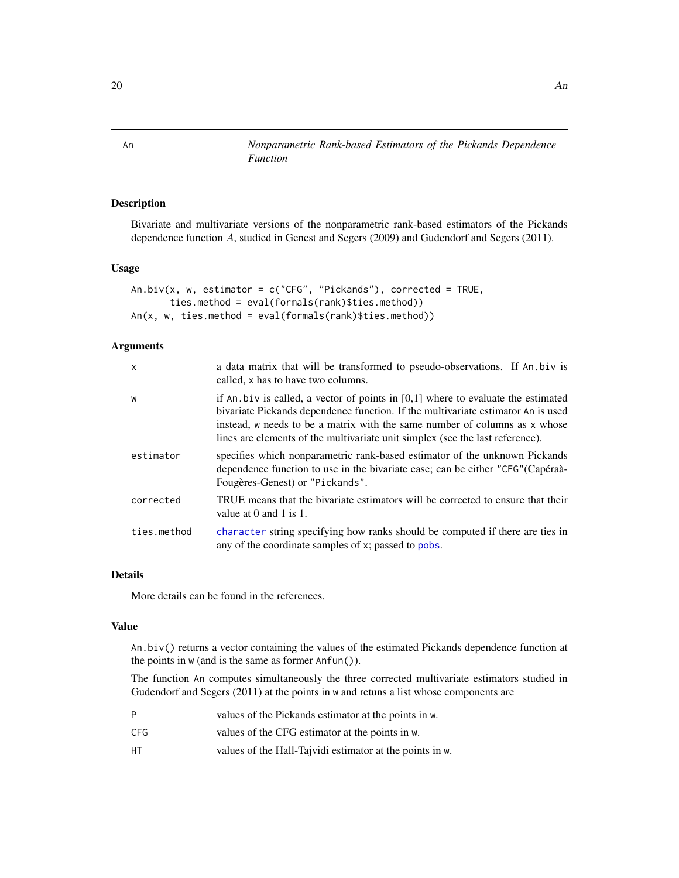<span id="page-19-0"></span>An *Nonparametric Rank-based Estimators of the Pickands Dependence Function*

### Description

Bivariate and multivariate versions of the nonparametric rank-based estimators of the Pickands dependence function A, studied in Genest and Segers (2009) and Gudendorf and Segers (2011).

#### Usage

```
An.biv(x, w, estimator = c("CFG", "Pickands"), corrected = TRUE,ties.method = eval(formals(rank)$ties.method))
An(x, w, ties.method = eval(formals(rank)$ties.method))
```
#### Arguments

| $\mathsf{x}$ | a data matrix that will be transformed to pseudo-observations. If An biv is<br>called, x has to have two columns.                                                                                                                                                                                                                     |
|--------------|---------------------------------------------------------------------------------------------------------------------------------------------------------------------------------------------------------------------------------------------------------------------------------------------------------------------------------------|
| W            | if An biv is called, a vector of points in $[0,1]$ where to evaluate the estimated<br>bivariate Pickands dependence function. If the multivariate estimator An is used<br>instead, w needs to be a matrix with the same number of columns as x whose<br>lines are elements of the multivariate unit simplex (see the last reference). |
| estimator    | specifies which nonparametric rank-based estimator of the unknown Pickands<br>dependence function to use in the bivariate case; can be either "CFG" (Capéraà-<br>Fougères-Genest) or "Pickands".                                                                                                                                      |
| corrected    | TRUE means that the bivariate estimators will be corrected to ensure that their<br>value at $0$ and $1$ is $1$ .                                                                                                                                                                                                                      |
| ties.method  | character string specifying how ranks should be computed if there are ties in<br>any of the coordinate samples of x; passed to pobs.                                                                                                                                                                                                  |

#### Details

More details can be found in the references.

#### Value

An.biv() returns a vector containing the values of the estimated Pickands dependence function at the points in w (and is the same as former Anfun()).

The function An computes simultaneously the three corrected multivariate estimators studied in Gudendorf and Segers (2011) at the points in w and retuns a list whose components are

| P   | values of the Pickands estimator at the points in w.     |
|-----|----------------------------------------------------------|
| CFG | values of the CFG estimator at the points in w.          |
| HТ  | values of the Hall-Tajvidi estimator at the points in w. |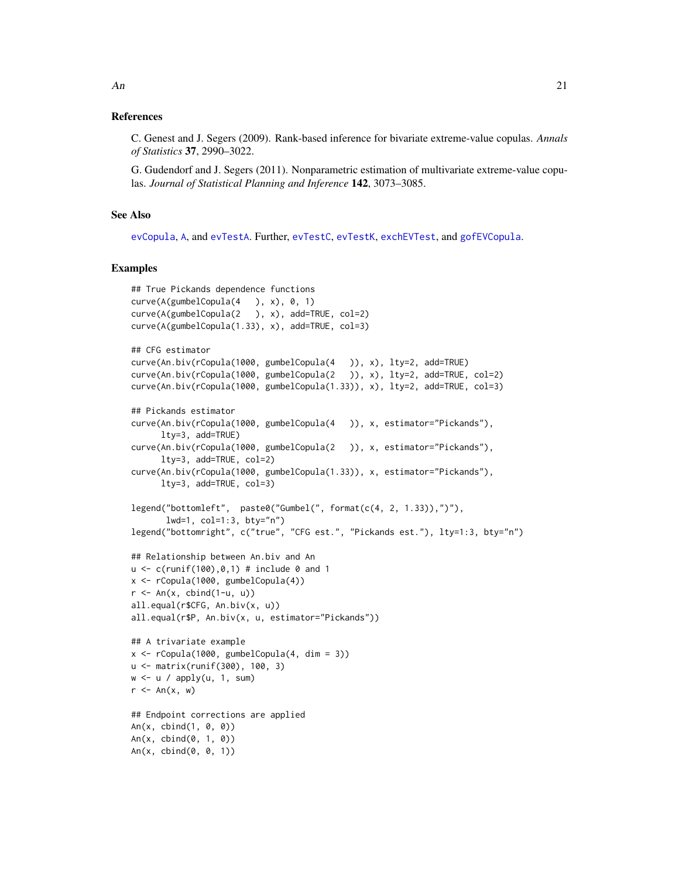#### References

C. Genest and J. Segers (2009). Rank-based inference for bivariate extreme-value copulas. *Annals of Statistics* 37, 2990–3022.

G. Gudendorf and J. Segers (2011). Nonparametric estimation of multivariate extreme-value copulas. *Journal of Statistical Planning and Inference* 142, 3073–3085.

### See Also

[evCopula](#page-67-1), [A](#page-94-1), and [evTestA](#page-70-1). Further, [evTestC](#page-71-1), [evTestK](#page-73-1), [exchEVTest](#page-74-1), and [gofEVCopula](#page-107-1).

#### Examples

```
## True Pickands dependence functions
curve(A(gumbelCopula(4), x), 0, 1)curve(A(gumbelCopula(2 ), x), add=TRUE, col=2)
curve(A(gumbelCopula(1.33), x), add=TRUE, col=3)
## CFG estimator
curve(An.biv(rCopula(1000, gumbelCopula(4 )), x), lty=2, add=TRUE)
curve(An.biv(rCopula(1000, gumbelCopula(2 )), x), lty=2, add=TRUE, col=2)
curve(An.biv(rCopula(1000, gumbelCopula(1.33)), x), lty=2, add=TRUE, col=3)
## Pickands estimator
curve(An.biv(rCopula(1000, gumbelCopula(4 )), x, estimator="Pickands"),
      lty=3, add=TRUE)
curve(An.biv(rCopula(1000, gumbelCopula(2 )), x, estimator="Pickands"),
      lty=3, add=TRUE, col=2)
curve(An.biv(rCopula(1000, gumbelCopula(1.33)), x, estimator="Pickands"),
      lty=3, add=TRUE, col=3)
legend("bottomleft", paste0("Gumbel(", format(c(4, 2, 1.33)),")"),
       lwd=1, col=1:3, bty="n")
legend("bottomright", c("true", "CFG est.", "Pickands est."), lty=1:3, bty="n")
## Relationship between An.biv and An
u < -c(runif(100), 0, 1) # include 0 and 1
x <- rCopula(1000, gumbelCopula(4))
r \leq An(x, \text{cbind}(1-u, u))all.equal(r$CFG, An.biv(x, u))
all.equal(r$P, An.biv(x, u, estimator="Pickands"))
## A trivariate example
x \le rCopula(1000, gumbelCopula(4, dim = 3))
u <- matrix(runif(300), 100, 3)
w \le -u / \text{apply}(u, 1, \text{sum})r \leq An(x, w)## Endpoint corrections are applied
An(x, cbind(1, 0, 0))
An(x, \text{cbind}(0, 1, 0))An(x, cbind(0, 0, 1))
```
An 21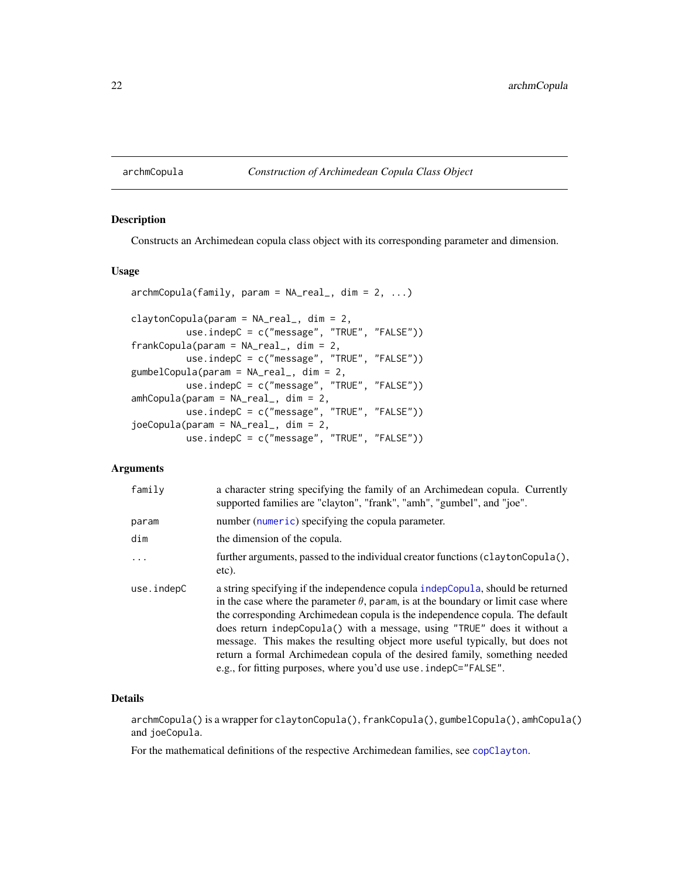#### <span id="page-21-1"></span><span id="page-21-0"></span>archmCopula *Construction of Archimedean Copula Class Object*

### Description

Constructs an Archimedean copula class object with its corresponding parameter and dimension.

### Usage

```
archmCopula(family, param = NA_real_, dim = 2, ...)claytonCopula(param = NA_real_, dim = 2,
          use.indepC = c("message", "TRUE", "FALSE"))
frankCopula(param = NA_real_, dim = 2,
         use.indepC = c("message", "TRUE", "FALSE"))
gumbelCopula(param = NA_real_, dim = 2,
         use.indepC = c("message", "TRUE", "FALSE"))
amhCopula(param = NA_real_, dim = 2,
         use.indepC = c("message", "TRUE", "FALSE"))
joeCopula(param = NA_real_, dim = 2,
         use.indepC = c("message", "TRUE", "FALSE"))
```
### Arguments

| family     | a character string specifying the family of an Archimedean copula. Currently<br>supported families are "clayton", "frank", "amh", "gumbel", and "joe".                                                                                                                                                                                                                                                                                                                                                                                                                    |
|------------|---------------------------------------------------------------------------------------------------------------------------------------------------------------------------------------------------------------------------------------------------------------------------------------------------------------------------------------------------------------------------------------------------------------------------------------------------------------------------------------------------------------------------------------------------------------------------|
| param      | number (numeric) specifying the copula parameter.                                                                                                                                                                                                                                                                                                                                                                                                                                                                                                                         |
| dim        | the dimension of the copula.                                                                                                                                                                                                                                                                                                                                                                                                                                                                                                                                              |
| $\ddots$   | further arguments, passed to the individual creator functions (claytonCopula(),<br>etc).                                                                                                                                                                                                                                                                                                                                                                                                                                                                                  |
| use.indepC | a string specifying if the independence copula indepCopula, should be returned<br>in the case where the parameter $\theta$ , param, is at the boundary or limit case where<br>the corresponding Archimedean copula is the independence copula. The default<br>does return indepCopula() with a message, using "TRUE" does it without a<br>message. This makes the resulting object more useful typically, but does not<br>return a formal Archimedean copula of the desired family, something needed<br>e.g., for fitting purposes, where you'd use use . indepC="FALSE". |

#### Details

archmCopula() is a wrapper for claytonCopula(), frankCopula(), gumbelCopula(), amhCopula() and joeCopula.

For the mathematical definitions of the respective Archimedean families, see [copClayton](#page-39-1).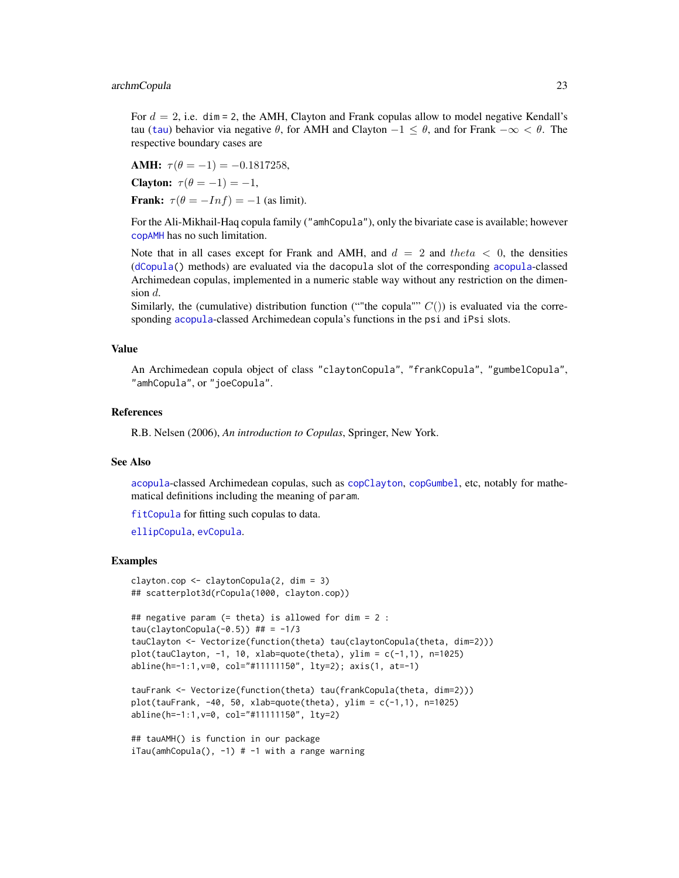#### archmCopula 23

For  $d = 2$ , i.e. dim = 2, the AMH, Clayton and Frank copulas allow to model negative Kendall's [tau](#page-25-1) (tau) behavior via negative  $\theta$ , for AMH and Clayton  $-1 \leq \theta$ , and for Frank  $-\infty < \theta$ . The respective boundary cases are

AMH:  $\tau(\theta = -1) = -0.1817258$ , Clayton:  $\tau(\theta = -1) = -1$ , Frank:  $\tau(\theta = -Inf) = -1$  (as limit).

For the Ali-Mikhail-Haq copula family ("amhCopula"), only the bivariate case is available; however [copAMH](#page-39-1) has no such limitation.

Note that in all cases except for Frank and AMH, and  $d = 2$  and theta  $\lt 0$ , the densities ([dCopula\(](#page-42-1)) methods) are evaluated via the dacopula slot of the corresponding [acopula](#page-14-1)-classed Archimedean copulas, implemented in a numeric stable way without any restriction on the dimension  $d$ .

Similarly, the (cumulative) distribution function (""the copula""  $C()$ ) is evaluated via the corresponding [acopula](#page-14-1)-classed Archimedean copula's functions in the psi and iPsi slots.

#### Value

An Archimedean copula object of class "claytonCopula", "frankCopula", "gumbelCopula", "amhCopula", or "joeCopula".

#### References

R.B. Nelsen (2006), *An introduction to Copulas*, Springer, New York.

#### See Also

[acopula](#page-14-1)-classed Archimedean copulas, such as [copClayton](#page-39-1), [copGumbel](#page-39-1), etc, notably for mathematical definitions including the meaning of param.

[fitCopula](#page-81-1) for fitting such copulas to data.

[ellipCopula](#page-50-1), [evCopula](#page-67-1).

#### Examples

```
clayton.cop <- claytonCopula(2, dim = 3)
## scatterplot3d(rCopula(1000, clayton.cop))
```

```
## negative param (= theta) is allowed for dim = 2 :
tau(claytonCopula(-0.5)) ## = -1/3tauClayton <- Vectorize(function(theta) tau(claytonCopula(theta, dim=2)))
plot(tauClayton, -1, 10, xlab=quote(theta), ylim = c(-1,1), n=1025)
abline(h=-1:1,v=0, col="#11111150", lty=2); axis(1, at=-1)
```

```
tauFrank <- Vectorize(function(theta) tau(frankCopula(theta, dim=2)))
plot(tauFrank, -40, 50, xlab=quote(theta), ylim = c(-1,1), n=1025)
abline(h=-1:1,v=0, col="#11111150", lty=2)
```

```
## tauAMH() is function in our package
iTau(amhCopula(), -1) # -1 with a range warning
```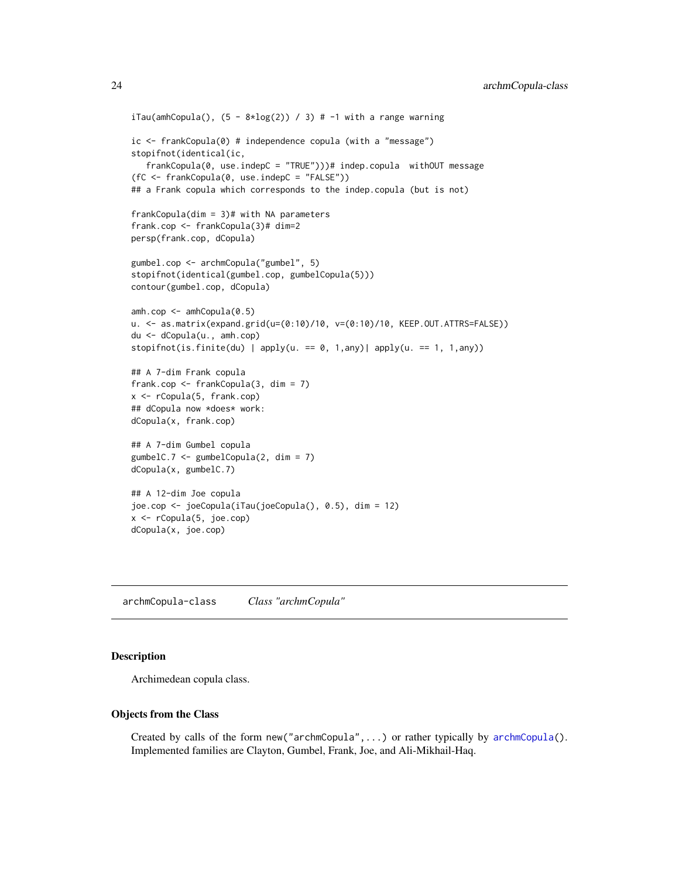```
iTau(amhCopula(), (5 - 8 * log(2)) / 3) # -1 with a range warningic <- frankCopula(0) # independence copula (with a "message")
stopifnot(identical(ic,
   frankCopula(0, use.indepC = "TRUE")))# indep.copula withOUT message
(fC <- frankCopula(0, use.indepC = "FALSE"))
## a Frank copula which corresponds to the indep.copula (but is not)
frankCopula(dim = 3)# with NA parameters
frank.cop <- frankCopula(3)# dim=2
persp(frank.cop, dCopula)
gumbel.cop <- archmCopula("gumbel", 5)
stopifnot(identical(gumbel.cop, gumbelCopula(5)))
contour(gumbel.cop, dCopula)
amh.cop <- amhCopula(0.5)
u. <- as.matrix(expand.grid(u=(0:10)/10, v=(0:10)/10, KEEP.OUT.ATTRS=FALSE))
du <- dCopula(u., amh.cop)
stopifnot(is.finite(du) | apply(u. == 0, 1,any)| apply(u. == 1, 1,any))
## A 7-dim Frank copula
frank.cop <- frankCopula(3, dim = 7)
x <- rCopula(5, frank.cop)
## dCopula now *does* work:
dCopula(x, frank.cop)
## A 7-dim Gumbel copula
gumbelC.7 <- gumbelCopula(2, dim = 7)
dCopula(x, gumbelC.7)
## A 12-dim Joe copula
joe.cop <- joeCopula(iTau(joeCopula(), 0.5), dim = 12)
x <- rCopula(5, joe.cop)
dCopula(x, joe.cop)
```
<span id="page-23-1"></span>archmCopula-class *Class "archmCopula"*

### Description

Archimedean copula class.

#### Objects from the Class

Created by calls of the form new("archmCopula",...) or rather typically by [archmCopula\(](#page-21-1)). Implemented families are Clayton, Gumbel, Frank, Joe, and Ali-Mikhail-Haq.

<span id="page-23-0"></span>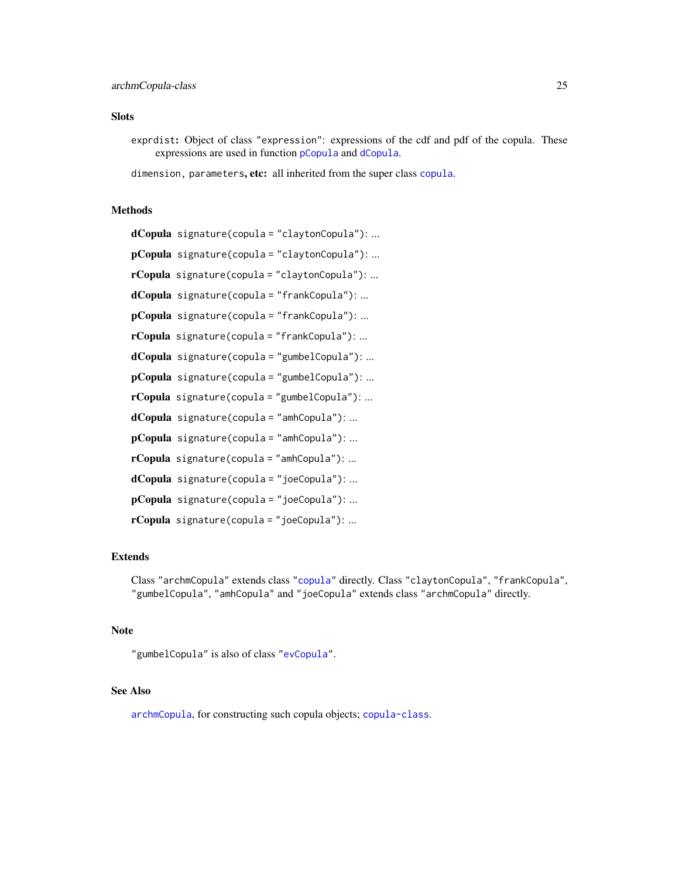### **Slots**

exprdist: Object of class "expression": expressions of the cdf and pdf of the copula. These expressions are used in function [pCopula](#page-42-1) and [dCopula](#page-42-1).

dimension, parameters, etc: all inherited from the super class [copula](#page-44-1).

#### Methods

```
dCopula signature(copula = "claytonCopula"): ...
pCopula signature(copula = "claytonCopula"): ...
rCopula signature(copula = "claytonCopula"): ...
dCopula signature(copula = "frankCopula"): ...
pCopula signature(copula = "frankCopula"): ...
rCopula signature(copula = "frankCopula"): ...
dCopula signature(copula = "gumbelCopula"): ...
pCopula signature(copula = "gumbelCopula"): ...
rCopula signature(copula = "gumbelCopula"): ...
dCopula signature(copula = "amhCopula"): ...
pCopula signature(copula = "amhCopula"): ...
rCopula signature(copula = "amhCopula"): ...
dCopula signature(copula = "joeCopula"): ...
pCopula signature(copula = "joeCopula"): ...
rCopula signature(copula = "joeCopula"): ...
```
### Extends

Class "archmCopula" extends class ["copula"](#page-44-1) directly. Class "claytonCopula", "frankCopula", "gumbelCopula", "amhCopula" and "joeCopula" extends class "archmCopula" directly.

### Note

"gumbelCopula" is also of class ["evCopula"](#page-69-1).

#### See Also

[archmCopula](#page-21-1), for constructing such copula objects; [copula-class](#page-44-1).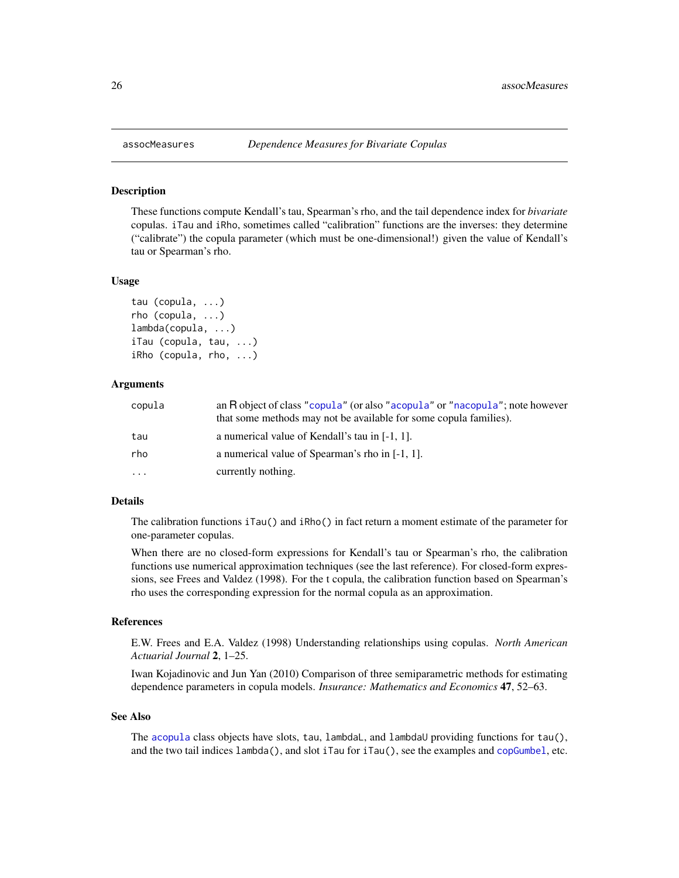#### <span id="page-25-1"></span>Description

These functions compute Kendall's tau, Spearman's rho, and the tail dependence index for *bivariate* copulas. iTau and iRho, sometimes called "calibration" functions are the inverses: they determine ("calibrate") the copula parameter (which must be one-dimensional!) given the value of Kendall's tau or Spearman's rho.

#### Usage

```
tau (copula, ...)
rho (copula, ...)
lambda(copula, ...)
iTau (copula, tau, ...)
iRho (copula, rho, ...)
```
### Arguments

| copula    | an R object of class "copula" (or also "acopula" or "nacopula"; note however<br>that some methods may not be available for some copula families). |
|-----------|---------------------------------------------------------------------------------------------------------------------------------------------------|
| tau       | a numerical value of Kendall's tau in $[-1, 1]$ .                                                                                                 |
| rho       | a numerical value of Spearman's rho in [-1, 1].                                                                                                   |
| $\ddotsc$ | currently nothing.                                                                                                                                |

### Details

The calibration functions iTau() and iRho() in fact return a moment estimate of the parameter for one-parameter copulas.

When there are no closed-form expressions for Kendall's tau or Spearman's rho, the calibration functions use numerical approximation techniques (see the last reference). For closed-form expressions, see Frees and Valdez (1998). For the t copula, the calibration function based on Spearman's rho uses the corresponding expression for the normal copula as an approximation.

### References

E.W. Frees and E.A. Valdez (1998) Understanding relationships using copulas. *North American Actuarial Journal* 2, 1–25.

Iwan Kojadinovic and Jun Yan (2010) Comparison of three semiparametric methods for estimating dependence parameters in copula models. *Insurance: Mathematics and Economics* 47, 52–63.

#### See Also

The [acopula](#page-14-1) class objects have slots, tau, lambdaL, and lambdaU providing functions for tau(), and the two tail indices lambda(), and slot iTau for iTau(), see the examples and [copGumbel](#page-39-1), etc.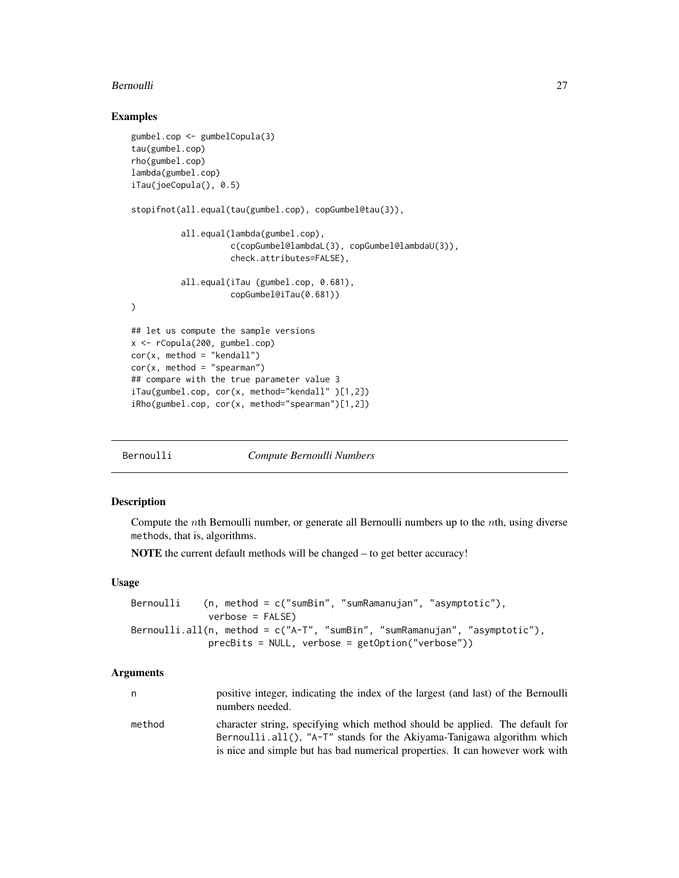#### <span id="page-26-0"></span>Bernoulli 27

#### Examples

```
gumbel.cop <- gumbelCopula(3)
tau(gumbel.cop)
rho(gumbel.cop)
lambda(gumbel.cop)
iTau(joeCopula(), 0.5)
stopifnot(all.equal(tau(gumbel.cop), copGumbel@tau(3)),
          all.equal(lambda(gumbel.cop),
                    c(copGumbel@lambdaL(3), copGumbel@lambdaU(3)),
                    check.attributes=FALSE),
          all.equal(iTau (gumbel.cop, 0.681),
                    copGumbel@iTau(0.681))
)
## let us compute the sample versions
x <- rCopula(200, gumbel.cop)
cor(x, method = "kendall")cor(x, method = "spearman")
## compare with the true parameter value 3
iTau(gumbel.cop, cor(x, method="kendall" )[1,2])
iRho(gumbel.cop, cor(x, method="spearman")[1,2])
```
Bernoulli *Compute Bernoulli Numbers*

### Description

Compute the nth Bernoulli number, or generate all Bernoulli numbers up to the nth, using diverse methods, that is, algorithms.

NOTE the current default methods will be changed – to get better accuracy!

#### Usage

```
Bernoulli (n, method = c("sumBin", "sumRamanujan", "asymptotic"),
             verbose = FALSE)
Bernoulli.all(n, method = c("A-T", "sumBin", "sumRamanujan", "asymptotic"),
             precBits = NULL, verbose = getOption("verbose"))
```
#### Arguments

| n      | positive integer, indicating the index of the largest (and last) of the Bernoulli<br>numbers needed.                                                       |
|--------|------------------------------------------------------------------------------------------------------------------------------------------------------------|
| method | character string, specifying which method should be applied. The default for<br>Bernoulli.all(), " $A-T$ " stands for the Akiyama-Tanigawa algorithm which |
|        | is nice and simple but has bad numerical properties. It can however work with                                                                              |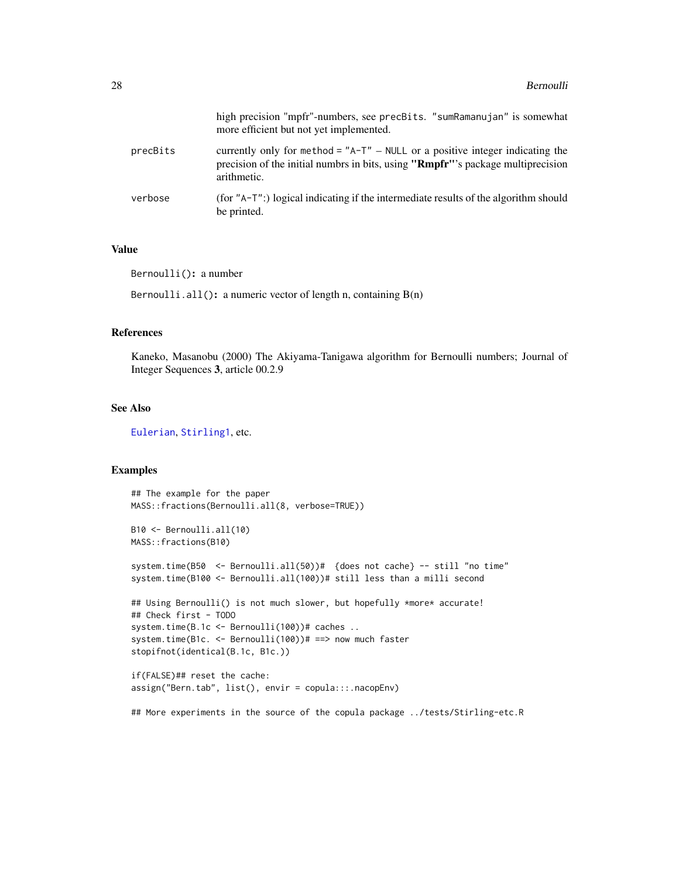|          | high precision "mpfr"-numbers, see precBits. "sumRamanujan" is somewhat<br>more efficient but not yet implemented.                                                                  |
|----------|-------------------------------------------------------------------------------------------------------------------------------------------------------------------------------------|
| precBits | currently only for method = $A - T'' - NULL$ or a positive integer indicating the<br>precision of the initial numbrs in bits, using "Rmpfr"'s package multiprecision<br>arithmetic. |
| verbose  | (for $"A-T"$ :) logical indicating if the intermediate results of the algorithm should<br>be printed.                                                                               |

### Value

Bernoulli(): a number

Bernoulli.all(): a numeric vector of length n, containing  $B(n)$ 

#### References

Kaneko, Masanobu (2000) The Akiyama-Tanigawa algorithm for Bernoulli numbers; Journal of Integer Sequences 3, article 00.2.9

### See Also

[Eulerian](#page-205-1), [Stirling1](#page-205-1), etc.

#### Examples

```
## The example for the paper
MASS::fractions(Bernoulli.all(8, verbose=TRUE))
B10 <- Bernoulli.all(10)
MASS::fractions(B10)
system.time(B50 <- Bernoulli.all(50))# {does not cache} -- still "no time"
system.time(B100 <- Bernoulli.all(100))# still less than a milli second
## Using Bernoulli() is not much slower, but hopefully *more* accurate!
## Check first - TODO
system.time(B.1c <- Bernoulli(100))# caches ..
system.time(B1c. <- Bernoulli(100))# ==> now much faster
stopifnot(identical(B.1c, B1c.))
if(FALSE)## reset the cache:
assign("Bern.tab", list(), envir = copula:::.nacopEnv)
```
## More experiments in the source of the copula package ../tests/Stirling-etc.R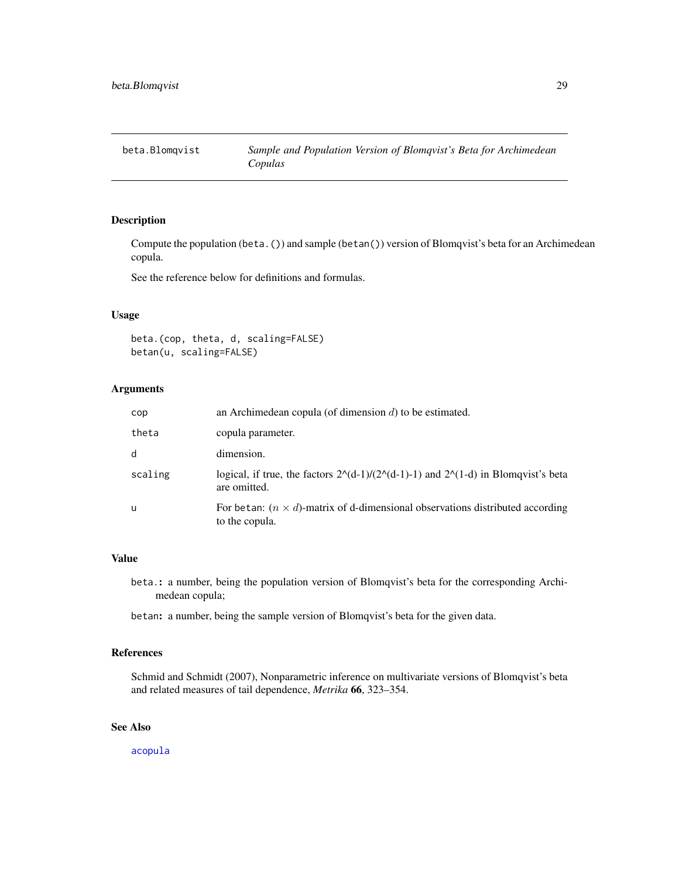<span id="page-28-0"></span>

### Description

Compute the population (beta.()) and sample (betan()) version of Blomqvist's beta for an Archimedean copula.

See the reference below for definitions and formulas.

### Usage

beta.(cop, theta, d, scaling=FALSE) betan(u, scaling=FALSE)

#### Arguments

| cop     | an Archimedean copula (of dimension $d$ ) to be estimated.                                                  |
|---------|-------------------------------------------------------------------------------------------------------------|
| theta   | copula parameter.                                                                                           |
| d       | dimension.                                                                                                  |
| scaling | logical, if true, the factors $2^{(d-1)/(2^{(d-1)-1})}$ and $2^{(d-1)}$ in Blomqvist's beta<br>are omitted. |
| u       | For betan: $(n \times d)$ -matrix of d-dimensional observations distributed according<br>to the copula.     |

#### Value

beta.: a number, being the population version of Blomqvist's beta for the corresponding Archimedean copula;

betan: a number, being the sample version of Blomqvist's beta for the given data.

### References

Schmid and Schmidt (2007), Nonparametric inference on multivariate versions of Blomqvist's beta and related measures of tail dependence, *Metrika* 66, 323–354.

### See Also

[acopula](#page-14-1)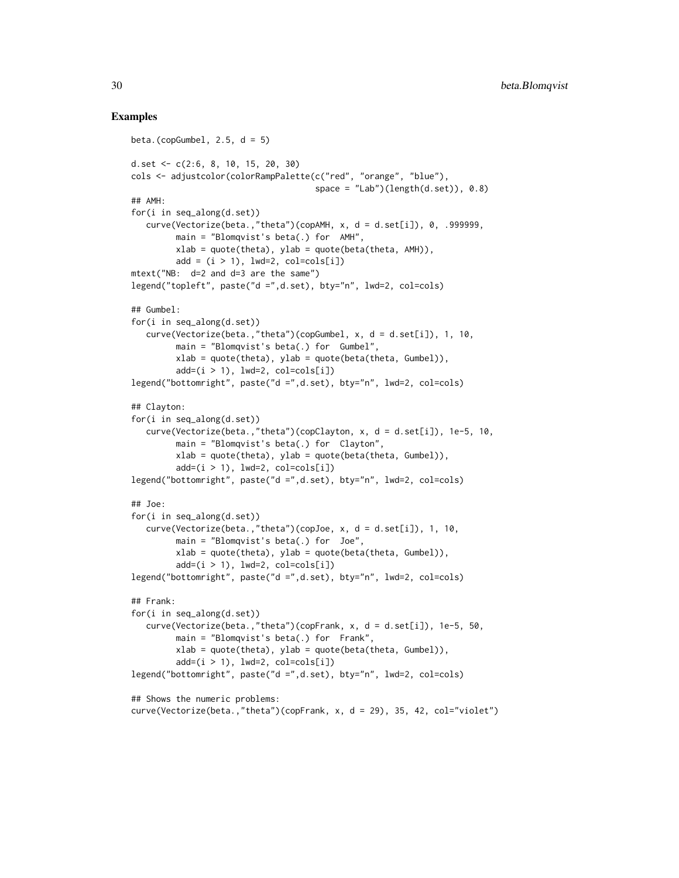#### Examples

```
beta.(copGumbel, 2.5, d = 5)
d.set <- c(2:6, 8, 10, 15, 20, 30)
cols <- adjustcolor(colorRampPalette(c("red", "orange", "blue"),
                                     space = "Lab")(length(d.set)), 0.8)
## AMH:
for(i in seq_along(d.set))
   curve(Vectorize(beta.,"theta")(copAMH, x, d = d.set[i]), 0, .999999,
        main = "Blomqvist's beta(.) for AMH",
         xlab = quote(theta), ylab = quote(beta(theta, AMH)),add = (i > 1), 1wd=2, col=cols[i])mtext("NB: d=2 and d=3 are the same")
legend("topleft", paste("d =",d.set), bty="n", lwd=2, col=cols)
## Gumbel:
for(i in seq_along(d.set))
   curve(Vectorize(beta.,"theta")(copGumbel, x, d = d.set[i]), 1, 10,
        main = "Blomqvist's beta(.) for Gumbel",
         xlab = quote(theta), ylab = quote(beta(theta, Gumbel)),
         add=(i > 1), 1wd=2, col=cols[i]legend("bottomright", paste("d =",d.set), bty="n", lwd=2, col=cols)
## Clayton:
for(i in seq_along(d.set))
   curve(Vectorize(beta.,"theta")(copClayton, x, d = d.set[i]), 1e-5, 10,
        main = "Blomqvist's beta(.) for Clayton",
         xlab = quote(theta), ylab = quote(beta(theta, Gumbel)),add=(i > 1), 1wd=2, col=cols[i]legend("bottomright", paste("d =",d.set), bty="n", lwd=2, col=cols)
## Joe:
for(i in seq_along(d.set))
   curve(Vectorize(beta.,"theta")(copJoe, x, d = d.set[i]), 1, 10,
        main = "Blomqvist's beta(.) for Joe",
         xlab = quote(theta), ylab = quote(beta(theta, Gumbel)),
         add=(i > 1), 1wd=2, col=cols[i]legend("bottomright", paste("d =",d.set), bty="n", lwd=2, col=cols)
## Frank:
for(i in seq_along(d.set))
   curve(Vectorize(beta.,"theta")(copFrank, x, d = d.set[i]), 1e-5, 50,
         main = "Blomqvist's beta(.) for Frank",
         xlab = quote(theta), ylab = quote(beta(theta, Gumbel)),
         add=(i > 1), 1wd=2, col=cols[i]legend("bottomright", paste("d =",d.set), bty="n", lwd=2, col=cols)
## Shows the numeric problems:
curve(Vectorize(beta.,"theta")(copFrank, x, d = 29), 35, 42, col="violet")
```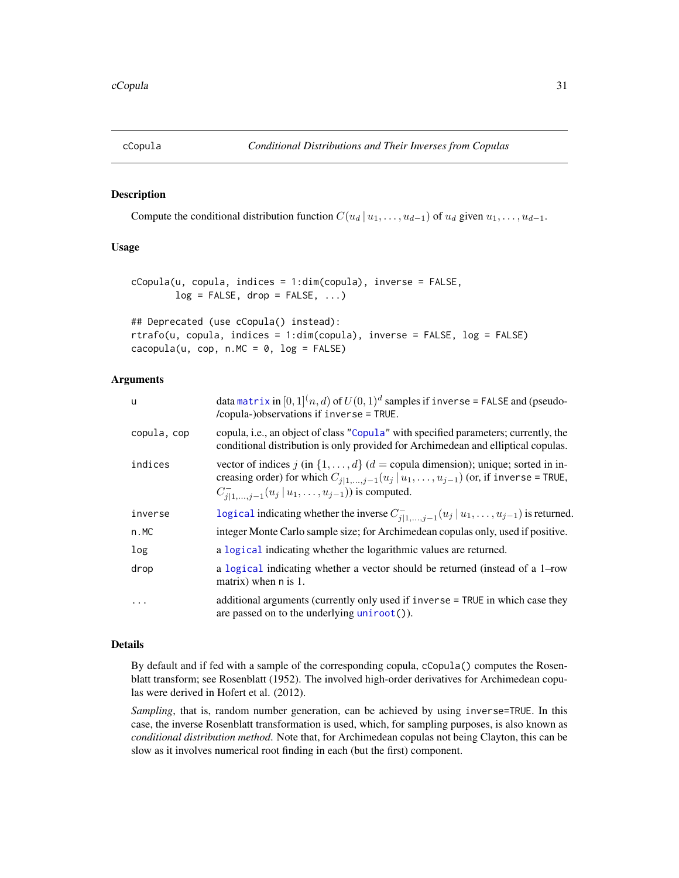<span id="page-30-0"></span>

### Description

Compute the conditional distribution function  $C(u_d | u_1, \ldots, u_{d-1})$  of  $u_d$  given  $u_1, \ldots, u_{d-1}$ .

### Usage

```
cCopula(u, copula, indices = 1:dim(copula), inverse = FALSE,
       log = FALSE, drop = FALSE, ...)
```

```
## Deprecated (use cCopula() instead):
rtrafo(u, copula, indices = 1:dim(copula), inverse = FALSE, log = FALSE)
cacopula(u, cop, n.MC = 0, log = FALSE)
```
#### Arguments

| ū           | data matrix in $[0,1]^n$ , d) of $U(0,1)^d$ samples if inverse = FALSE and (pseudo-<br>/copula-)observations if inverse = TRUE.                                                                                                            |
|-------------|--------------------------------------------------------------------------------------------------------------------------------------------------------------------------------------------------------------------------------------------|
| copula, cop | copula, i.e., an object of class "Copula" with specified parameters; currently, the<br>conditional distribution is only provided for Archimedean and elliptical copulas.                                                                   |
| indices     | vector of indices j (in $\{1, \ldots, d\}$ ) (d = copula dimension); unique; sorted in in-<br>creasing order) for which $C_{j 1,,j-1}(u_j   u_1,, u_{j-1})$ (or, if inverse = TRUE,<br>$C_{j 1,,j-1}^{-}(u_j   u_1,,u_{j-1})$ is computed. |
| inverse     | logical indicating whether the inverse $C_{i 1,,i-1}^{-}(u_j   u_1,,u_{j-1})$ is returned.                                                                                                                                                 |
| n.MC        | integer Monte Carlo sample size; for Archimedean copulas only, used if positive.                                                                                                                                                           |
| log         | a logical indicating whether the logarithmic values are returned.                                                                                                                                                                          |
| drop        | a logical indicating whether a vector should be returned (instead of a 1-row<br>matrix) when n is 1.                                                                                                                                       |
| $\ddots$ .  | additional arguments (currently only used if inverse = TRUE in which case they<br>are passed on to the underlying $uniroot()$ .                                                                                                            |

### Details

By default and if fed with a sample of the corresponding copula, cCopula() computes the Rosenblatt transform; see Rosenblatt (1952). The involved high-order derivatives for Archimedean copulas were derived in Hofert et al. (2012).

*Sampling*, that is, random number generation, can be achieved by using inverse=TRUE. In this case, the inverse Rosenblatt transformation is used, which, for sampling purposes, is also known as *conditional distribution method*. Note that, for Archimedean copulas not being Clayton, this can be slow as it involves numerical root finding in each (but the first) component.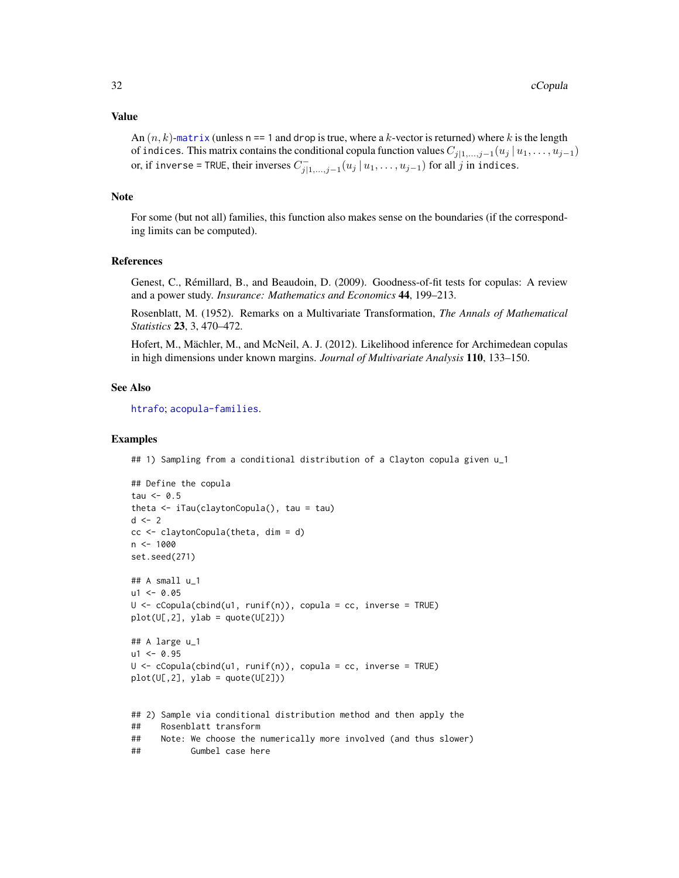#### Value

An  $(n, k)$ -[matrix](#page-0-0) (unless n == 1 and drop is true, where a k-vector is returned) where k is the length of indices. This matrix contains the conditional copula function values  $C_{j|1,\dots,j-1}(u_j | u_1, \dots, u_{j-1})$ or, if inverse = TRUE, their inverses  $C_{j|1,...,j-1}^-(u_j | u_1, \ldots, u_{j-1})$  for all  $j$  in indices.

### Note

For some (but not all) families, this function also makes sense on the boundaries (if the corresponding limits can be computed).

### References

Genest, C., Rémillard, B., and Beaudoin, D. (2009). Goodness-of-fit tests for copulas: A review and a power study. *Insurance: Mathematics and Economics* 44, 199–213.

Rosenblatt, M. (1952). Remarks on a Multivariate Transformation, *The Annals of Mathematical Statistics* 23, 3, 470–472.

Hofert, M., Mächler, M., and McNeil, A. J. (2012). Likelihood inference for Archimedean copulas in high dimensions under known margins. *Journal of Multivariate Analysis* 110, 133–150.

#### See Also

[htrafo](#page-112-1); [acopula-families](#page-39-1).

### Examples

## 1) Sampling from a conditional distribution of a Clayton copula given u\_1

```
## Define the copula
tau <-0.5theta <- iTau(claytonCopula(), tau = tau)
d \leq -2cc < - \text{claytonCopula}(theta, dim = d)
n <- 1000
set.seed(271)
## A small u_1
u1 < -0.05U \leq Ccopula(cbind(u1, runif(n)), copula = cc, inverse = TRUE)
plot(U[,2], ylab = quote(U[2]))
## A large u_1
u1 < -0.95U <- cCopula(cbind(u1, runif(n)), copula = cc, inverse = TRUE)
plot(U[, 2], ylab = quote(U[2]))## 2) Sample via conditional distribution method and then apply the
## Rosenblatt transform
```

```
## Note: We choose the numerically more involved (and thus slower)
```

```
## Gumbel case here
```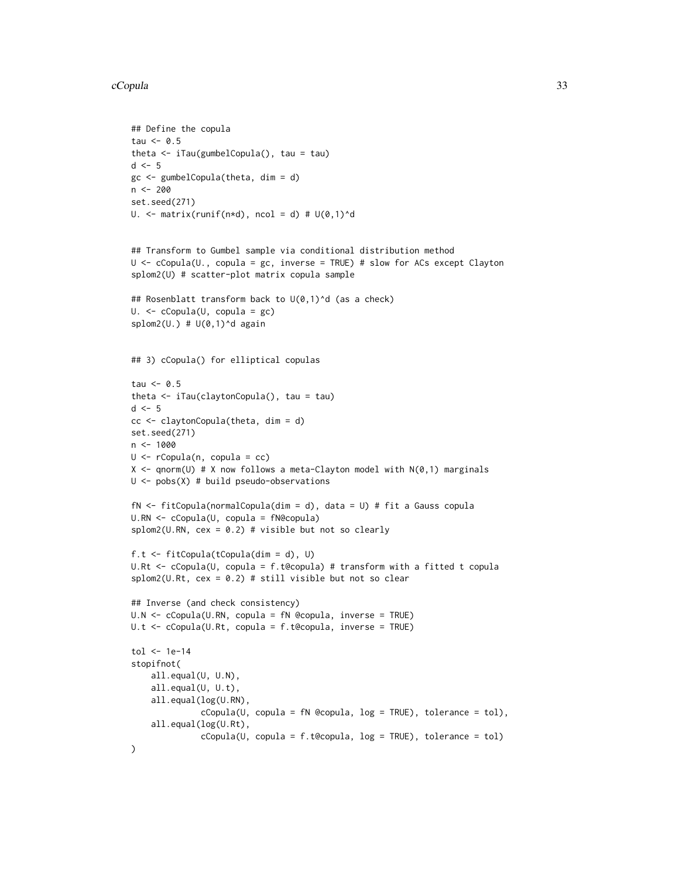#### cCopula 33

```
## Define the copula
tau <-0.5theta <- iTau(gumbelCopula(), tau = tau)
d \leq -5gc \leq-gumbelCopula(theta, dim = d)n <- 200
set.seed(271)
U. \le matrix(runif(n*d), ncol = d) # U(0,1)^d
## Transform to Gumbel sample via conditional distribution method
U <- cCopula(U., copula = gc, inverse = TRUE) # slow for ACs except Clayton
splom2(U) # scatter-plot matrix copula sample
## Rosenblatt transform back to U(0,1)^d (as a check)
U. <- cCopula(U, copula = gc)
splom2(U.) # U(0,1)^{\wedge}d again
## 3) cCopula() for elliptical copulas
tau \leq 0.5theta <- iTau(claytonCopula(), tau = tau)
d \leq -5cc <- claytonCopula(theta, dim = d)
set.seed(271)
n < - 1000U <- rCopula(n, copula = cc)
X <- qnorm(U) # X now follows a meta-Clayton model with N(0,1) marginals
U <- pobs(X) # build pseudo-observations
fN <- fitCopula(normalCopula(dim = d), data = U) # fit a Gauss copula
U.RN <- cCopula(U, copula = fN@copula)
splom2(U.RN, cex = 0.2) # visible but not so clearly
f.t <- fitCopula(tCopula(dim = d), U)
U.Rt <- cCopula(U, copula = f.t@copula) # transform with a fitted t copula
splom2(U.Rt, cex = 0.2) # still visible but not so clear
## Inverse (and check consistency)
U.N <- cCopula(U.RN, copula = fN @copula, inverse = TRUE)
U.t <- cCopula(U.Rt, copula = f.t@copula, inverse = TRUE)
tol <- 1e-14
stopifnot(
    all.equal(U, U.N),
    all.equal(U, U.t),
    all.equal(log(U.RN),
              cCopula(U, copula = fN @copula, log = TRUE), tolerance = tol),
    all.equal(log(U.Rt),
              cCopula(U, copula = f.t@copula, log = TRUE), tolerance = tol))
```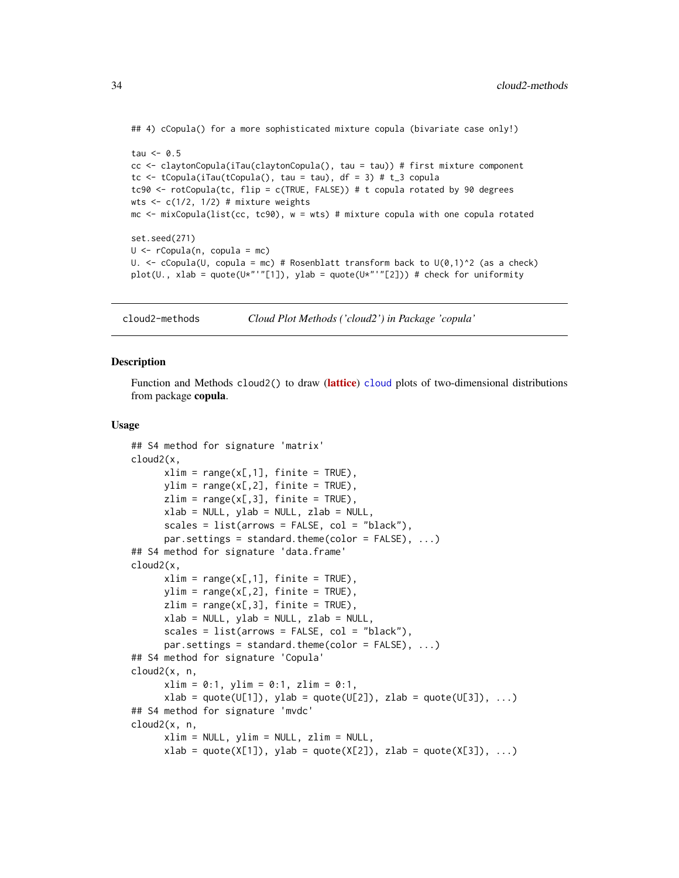```
## 4) cCopula() for a more sophisticated mixture copula (bivariate case only!)
tau \leq -0.5cc <- claytonCopula(iTau(claytonCopula(), tau = tau)) # first mixture component
tc \le tCopula(iTau(tCopula(), tau = tau), df = 3) # t_3 copula
tc90 <- rotCopula(tc, flip = c(TRUE, FALSE)) # t copula rotated by 90 degrees
wts \leq c(1/2, 1/2) # mixture weights
mc \le mixCopula(list(cc, tc90), w = wts) # mixture copula with one copula rotated
set.seed(271)
U \leq -rCopula(n, copula = mc)
U. \leq cCopula(U, copula = mc) # Rosenblatt transform back to U(0,1)^2 (as a check)
plot(U., xlab = quote(U*"'"[1]), ylab = quote(U*"'"[2])) # check for uniformity
```
cloud2-methods *Cloud Plot Methods ('cloud2') in Package 'copula'*

#### **Description**

Function and Methods cloud2() to draw ([lattice](https://CRAN.R-project.org/package=lattice)) [cloud](#page-0-0) plots of two-dimensional distributions from package copula.

#### Usage

```
## S4 method for signature 'matrix'
cloud2(x,
     xlim = range(x[, 1], finite = TRUE),ylim = range(x[, 2], finite = TRUE),
     zlim = range(x[, 3], finite = TRUE),xlab = NULL, ylab = NULL, zlab = NULL,
     scales = list(arrows = FALSE, col = "black"),par.settings = standard.theme(color = FALSE), ...)
## S4 method for signature 'data.frame'
cloud2(x,
     xlim = range(x[, 1], finite = TRUE),
     ylim = range(x[, 2], finite = TRUE),
     zlim = range(x[, 3], finite = TRUE),
     xlab = NULL, ylab = NULL, zlab = NULL,
     scales = list(arrows = FALSE, col = "black"),par.settings = standard.theme(color = FALSE), ...## S4 method for signature 'Copula'
cloud2(x, n,
     xlim = 0:1, ylim = 0:1, zlim = 0:1,
     xlab = quote(U[1]), ylab = quote(U[2]), zlab = quote(U[3]), ...)
## S4 method for signature 'mvdc'
cloud2(x, n,
     xlim = NULL, ylim = NULL, zlim = NULL,
     xlab = quote(X[1]), ylab = quote(X[2]), zlab = quote(X[3]), ...)
```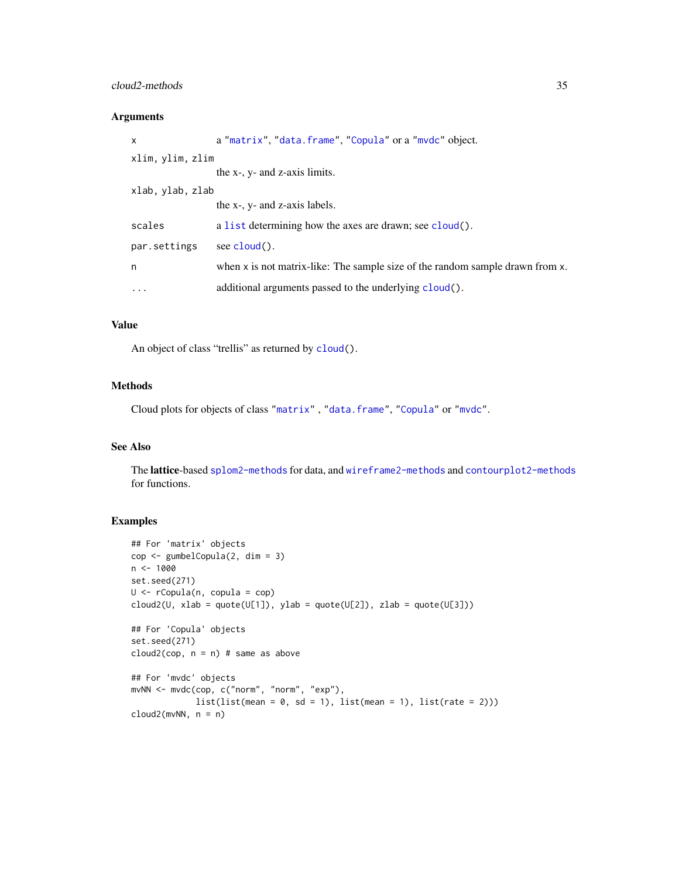### cloud2-methods 35

### Arguments

| X                | a "matrix", "data.frame", "Copula" or a "mydc" object.                        |
|------------------|-------------------------------------------------------------------------------|
| xlim, ylim, zlim |                                                                               |
|                  | the x-, y- and z-axis limits.                                                 |
| xlab, ylab, zlab |                                                                               |
|                  | the x-, y- and z-axis labels.                                                 |
| scales           | a list determining how the axes are drawn; see cloud().                       |
| par.settings     | see $cloud()$ .                                                               |
| n                | when x is not matrix-like: The sample size of the random sample drawn from x. |
| $\cdot$          | additional arguments passed to the underlying cloud().                        |

### Value

An object of class "trellis" as returned by [cloud\(](#page-0-0)).

### Methods

Cloud plots for objects of class ["matrix"](#page-0-0) , ["data.frame"](#page-0-0), ["Copula"](#page-44-2) or ["mvdc"](#page-148-1).

### See Also

The lattice-based [splom2-methods](#page-204-1) for data, and [wireframe2-methods](#page-212-1) and [contourplot2-methods](#page-37-1) for functions.

### Examples

```
## For 'matrix' objects
cop <- gumbelCopula(2, dim = 3)
n < -1000set.seed(271)
U <- rCopula(n, copula = cop)
cloud2(U, xlab = quote(U[1]), ylab = quote(U[2]), zlab = quote(U[3]))
## For 'Copula' objects
set.seed(271)
cloud2(cop, n = n) # same as above
## For 'mvdc' objects
mvNN <- mvdc(cop, c("norm", "norm", "exp"),
            list(list(mean = 0, sd = 1), list(mean = 1), list(rate = 2)))cloud2(mvNN, n = n)
```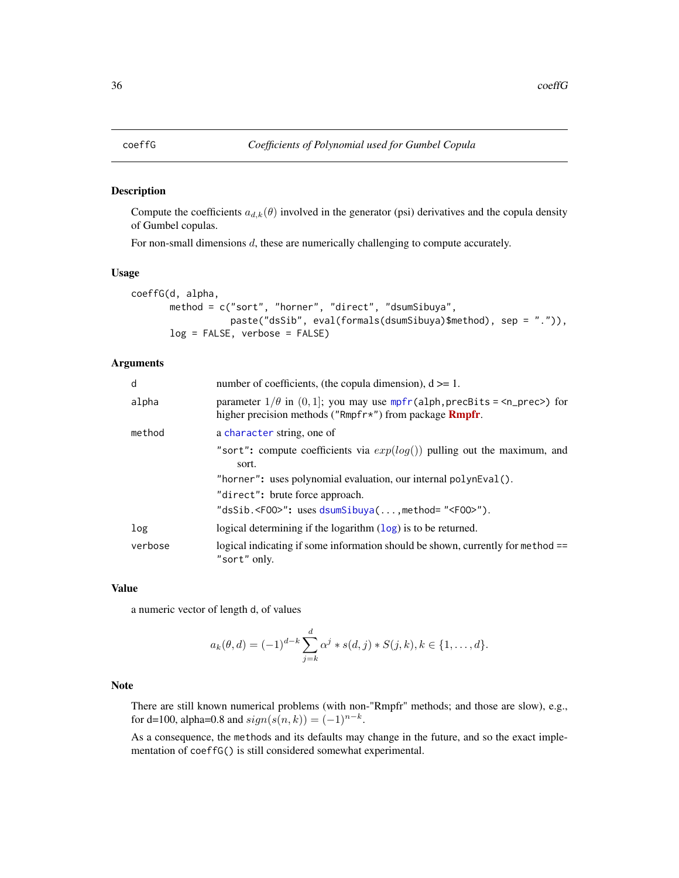#### <span id="page-35-0"></span>Description

Compute the coefficients  $a_{d,k}(\theta)$  involved in the generator (psi) derivatives and the copula density of Gumbel copulas.

For non-small dimensions  $d$ , these are numerically challenging to compute accurately.

#### Usage

```
coeffG(d, alpha,
       method = c("sort", "horner", "direct", "dsumSibuya",
                  paste("dsSib", eval(formals(dsumSibuya)$method), sep = ".")),
       log = FALSE, verbose = FALSE)
```
### Arguments

| d       | number of coefficients, (the copula dimension), $d \ge 1$ .                                                                                                                     |
|---------|---------------------------------------------------------------------------------------------------------------------------------------------------------------------------------|
| alpha   | parameter $1/\theta$ in $(0, 1]$ ; you may use mpfr(alph, precBits = <n_prec>) for<br/>higher precision methods ("Rmpfr<math>\star</math>") from package <b>Rmpfr</b>.</n_prec> |
| method  | a character string, one of                                                                                                                                                      |
|         | "sort": compute coefficients via $exp(log()$ pulling out the maximum, and<br>sort.                                                                                              |
|         | "horner": uses polynomial evaluation, our internal polynEval().                                                                                                                 |
|         | "direct": brute force approach.                                                                                                                                                 |
|         | "dsSib. <f00>": uses dsumSibuya(, method= "<f00>").</f00></f00>                                                                                                                 |
| log     | logical determining if the logarithm $(\log)$ is to be returned.                                                                                                                |
| verbose | logical indicating if some information should be shown, currently for method ==<br>"sort" only.                                                                                 |

#### Value

a numeric vector of length d, of values

$$
a_k(\theta, d) = (-1)^{d-k} \sum_{j=k}^d \alpha^j * s(d, j) * S(j, k), k \in \{1, ..., d\}.
$$

### Note

There are still known numerical problems (with non-"Rmpfr" methods; and those are slow), e.g., for d=100, alpha=0.8 and  $sign(s(n, k)) = (-1)^{n-k}$ .

As a consequence, the methods and its defaults may change in the future, and so the exact implementation of coeffG() is still considered somewhat experimental.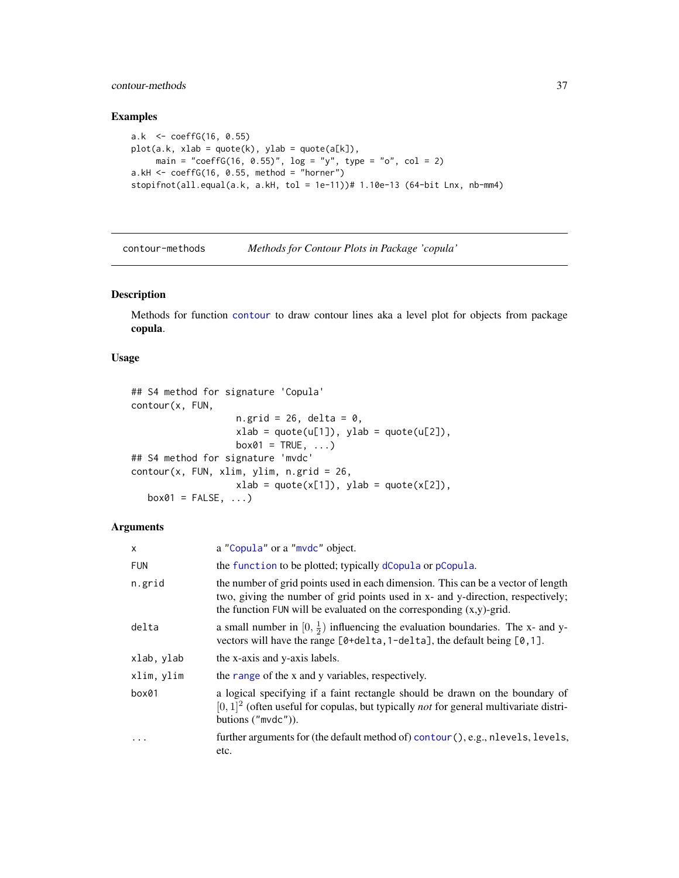# contour-methods 37

## Examples

```
a.k <- coeffG(16, 0.55)
plot(a.k, xlab = quote(k), ylab = quote(a[k]),main = "coeffG(16, 0.55)", \log = "y", type = "o", col = 2)
a.kH < -\text{coeffG}(16, 0.55, \text{ method} = \text{"horner"}stopifnot(all.equal(a.k, a.kH, tol = 1e-11))# 1.10e-13 (64-bit Lnx, nb-mm4)
```
<span id="page-36-0"></span>contour-methods *Methods for Contour Plots in Package 'copula'*

#### Description

Methods for function [contour](#page-0-0) to draw contour lines aka a level plot for objects from package copula.

## Usage

```
## S4 method for signature 'Copula'
contour(x, FUN,
                   n.grid = 26, delta = 0,
                   xlab = quote(u[1]), ylab = quote(u[2]),box01 = TRUE, ...## S4 method for signature 'mvdc'
contour(x, FUN, xlim, ylim, n.grid = 26,xlab = quote(x[1]), ylab = quote(x[2]),
   box01 = FALSE, ...)
```
## Arguments

| X          | a "Copula" or a "mvdc" object.                                                                                                                                                                                                                |
|------------|-----------------------------------------------------------------------------------------------------------------------------------------------------------------------------------------------------------------------------------------------|
| <b>FUN</b> | the function to be plotted; typically dCopula or pCopula.                                                                                                                                                                                     |
| n.grid     | the number of grid points used in each dimension. This can be a vector of length<br>two, giving the number of grid points used in x- and y-direction, respectively;<br>the function FUN will be evaluated on the corresponding $(x,y)$ -grid. |
| delta      | a small number in $[0, \frac{1}{2})$ influencing the evaluation boundaries. The x- and y-<br>vectors will have the range $[0 + \text{delta}, 1 - \text{delta}]$ , the default being $[0, 1]$ .                                                |
| xlab, ylab | the x-axis and y-axis labels.                                                                                                                                                                                                                 |
| xlim, ylim | the range of the x and y variables, respectively.                                                                                                                                                                                             |
| box01      | a logical specifying if a faint rectangle should be drawn on the boundary of<br>$[0, 1]$ <sup>2</sup> (often useful for copulas, but typically <i>not</i> for general multivariate distri-<br>butions $("mvdc").$                             |
| $\cdot$    | further arguments for (the default method of) contour (), e.g., nlevels, levels,<br>etc.                                                                                                                                                      |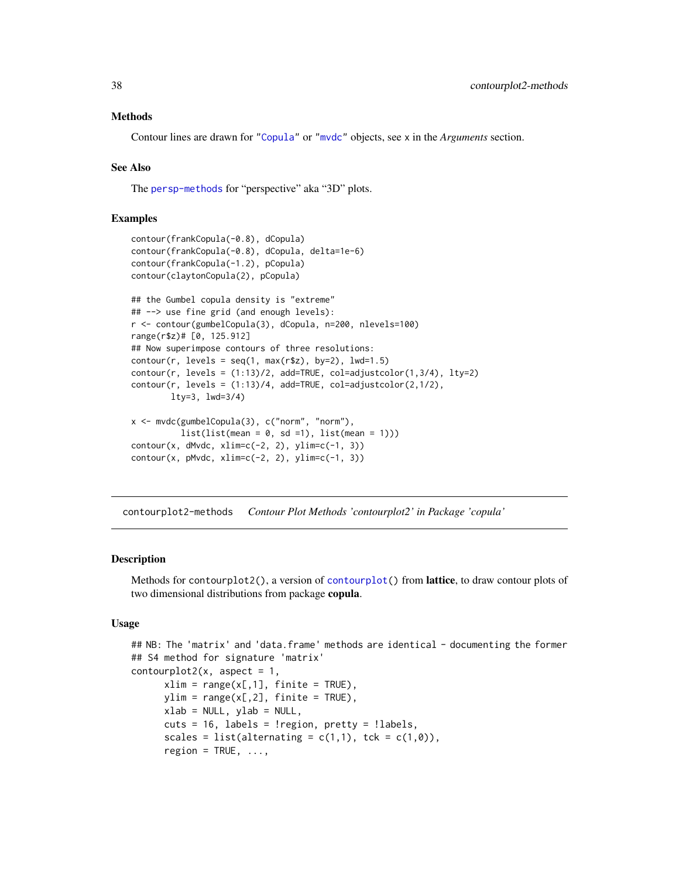## Methods

Contour lines are drawn for ["Copula"](#page-44-0) or ["mvdc"](#page-148-0) objects, see x in the *Arguments* section.

## See Also

The [persp-methods](#page-162-0) for "perspective" aka "3D" plots.

 $contour(x, pMvdc, xlim=c(-2, 2), ylim=c(-1, 3))$ 

## Examples

```
contour(frankCopula(-0.8), dCopula)
contour(frankCopula(-0.8), dCopula, delta=1e-6)
contour(frankCopula(-1.2), pCopula)
contour(claytonCopula(2), pCopula)
## the Gumbel copula density is "extreme"
## --> use fine grid (and enough levels):
r <- contour(gumbelCopula(3), dCopula, n=200, nlevels=100)
range(r$z)# [0, 125.912]
## Now superimpose contours of three resolutions:
contour(r, levels = seq(1, max(r$z), by=2), lwd=1.5)contour(r, levels = (1:13)/2, add = TRUE, col = adjustcolor(1, 3/4), lty = 2)contour(r, levels = (1:13)/4, add=TRUE, col=adjustcolor(2,1/2),
       lty=3, lwd=3/4)
x <- mvdc(gumbelCopula(3), c("norm", "norm"),
          list(list(mean = 0, sd = 1), list(mean = 1)))contour(x, dMvdc, xlim=c(-2, 2), ylim=c(-1, 3))
```
contourplot2-methods *Contour Plot Methods 'contourplot2' in Package 'copula'*

## Description

Methods for contourplot2(), a version of [contourplot\(](#page-0-0)) from **lattice**, to draw contour plots of two dimensional distributions from package copula.

#### Usage

```
## NB: The 'matrix' and 'data.frame' methods are identical - documenting the former
## S4 method for signature 'matrix'
contourplot2(x, aspect = 1,xlim = range(x[, 1], finite = TRUE),ylim = range(x[, 2], finite = TRUE),xlab = NULL, ylab = NULL,
      cuts = 16, labels = !region, pretty = !labels,
      scales = list(alternating = c(1,1), tck = c(1,0)),
      region = TRUE, \ldots,
```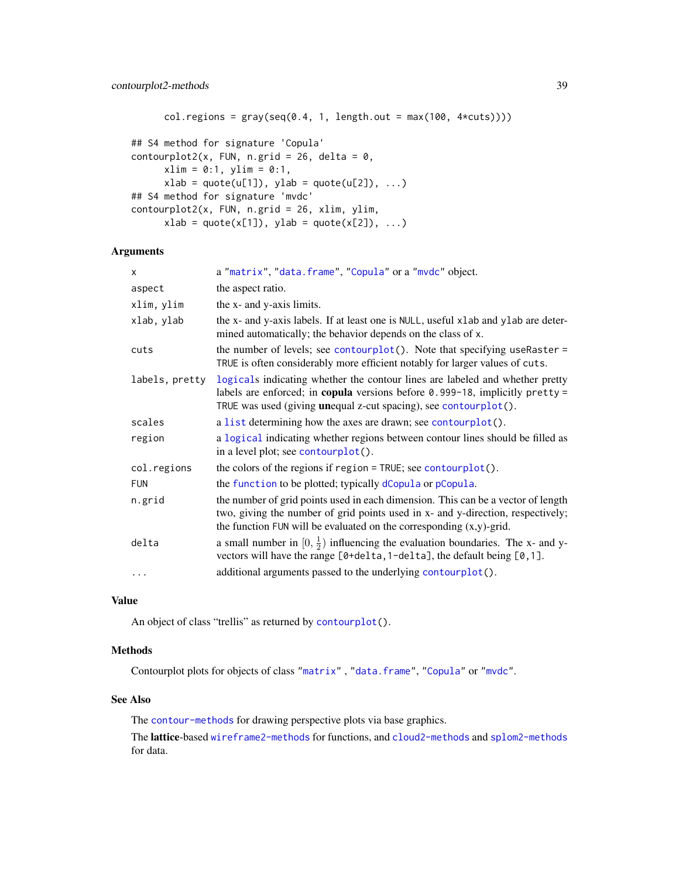```
col. regions = gray(seq(0.4, 1, length.out = max(100, 4*cuts))))
## S4 method for signature 'Copula'
contourplot2(x, FUN, n.grid = 26, delta = 0,
     xlim = 0:1, ylim = 0:1,
     xlab = quote(u[1]), ylab = quote(u[2]), ...## S4 method for signature 'mvdc'
contourplot2(x, FUN, n.grid = 26, xlim, ylim,
     xlab = quote(x[1]), ylab = quote(x[2]), ...)
```
## Arguments

| X              | a "matrix", "data.frame", "Copula" or a "mvdc" object.                                                                                                                                                                                        |
|----------------|-----------------------------------------------------------------------------------------------------------------------------------------------------------------------------------------------------------------------------------------------|
| aspect         | the aspect ratio.                                                                                                                                                                                                                             |
| xlim, ylim     | the x- and y-axis limits.                                                                                                                                                                                                                     |
| xlab, ylab     | the x- and y-axis labels. If at least one is NULL, useful xlab and ylab are deter-<br>mined automatically; the behavior depends on the class of x.                                                                                            |
| cuts           | the number of levels; see contourplot(). Note that specifying useRaster =<br>TRUE is often considerably more efficient notably for larger values of cuts.                                                                                     |
| labels, pretty | logicals indicating whether the contour lines are labeled and whether pretty<br>labels are enforced; in copula versions before $0.999-18$ , implicitly pretty =<br>TRUE was used (giving <b>un</b> equal z-cut spacing), see contourplot().   |
| scales         | a list determining how the axes are drawn; see contourplot().                                                                                                                                                                                 |
| region         | a logical indicating whether regions between contour lines should be filled as<br>in a level plot; see contourplot().                                                                                                                         |
| col.regions    | the colors of the regions if region $=$ TRUE; see contourplot().                                                                                                                                                                              |
| <b>FUN</b>     | the function to be plotted; typically dCopula or pCopula.                                                                                                                                                                                     |
| n.grid         | the number of grid points used in each dimension. This can be a vector of length<br>two, giving the number of grid points used in x- and y-direction, respectively;<br>the function FUN will be evaluated on the corresponding $(x,y)$ -grid. |
| delta          | a small number in $[0, \frac{1}{2})$ influencing the evaluation boundaries. The x- and y-<br>vectors will have the range [0+delta, 1-delta], the default being [0, 1].                                                                        |
| .              | additional arguments passed to the underlying contourplot().                                                                                                                                                                                  |

## Value

An object of class "trellis" as returned by [contourplot\(](#page-0-0)).

#### Methods

Contourplot plots for objects of class ["matrix"](#page-0-0) , ["data.frame"](#page-0-0), ["Copula"](#page-44-0) or ["mvdc"](#page-148-0).

## See Also

The [contour-methods](#page-36-0) for drawing perspective plots via base graphics.

The lattice-based [wireframe2-methods](#page-212-0) for functions, and [cloud2-methods](#page-33-0) and [splom2-methods](#page-204-0) for data.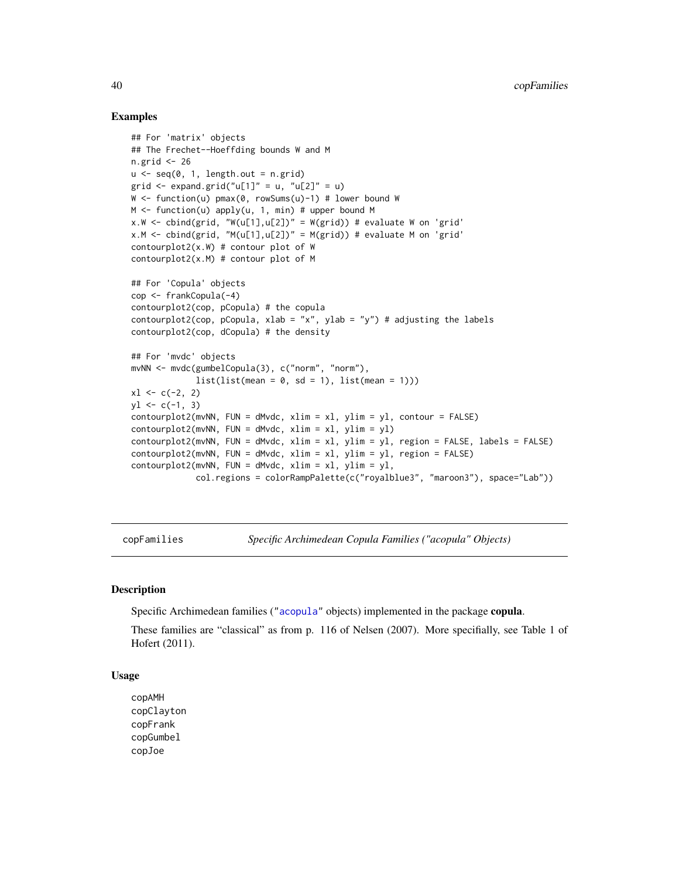## Examples

```
## For 'matrix' objects
## The Frechet--Hoeffding bounds W and M
n.grid <- 26
u \leq -\text{seq}(0, 1, \text{length.out} = n.\text{grid})grid \leq expand.grid("u[1]" = u, "u[2]" = u)
W <- function(u) pmax(0, rowSums(u)-1) # lower bound W
M \leq function(u) apply(u, 1, min) # upper bound M
x.W \leftarrow \text{cbind}(\text{grid}, \text{``W(u[1],u[2])'' = W(\text{grid})\text{)} \# \text{ evaluate } W \text{ on 'grid'}x.M \leftarrow \text{cbind}(\text{grid}, \text{ "M(u[1],u[2])" = M(\text{grid})) # evaluate M on 'grid'contourplot2(x.W) # contour plot of W
contourplot2(x.M) # contour plot of M
## For 'Copula' objects
cop <- frankCopula(-4)
contourplot2(cop, pCopula) # the copula
contourplot2(cop, pCopula, xlab = "x", ylab = "y") # adjusting the labels
contourplot2(cop, dCopula) # the density
## For 'mvdc' objects
mvNN <- mvdc(gumbelCopula(3), c("norm", "norm"),
              list(list(mean = 0, sd = 1), list(mean = 1)))x1 \leftarrow c(-2, 2)yl \leftarrow c(-1, 3)contourplot2(mvNN, FUN = dMvdc, xlim = xl, ylim = yl, contour = FALSE)
contourplot2(mvNN, FUN = dMvdc, xlim = x1, ylim = y1)contourplot2(mvNN, FUN = dMvdc, xlim = x1, ylim = y1, region = FALSE, labels = FALSE)contourplot2(mvNN, FUN = dMvdc, xlim = xl, ylim = yl, region = FALSE)
contourplot2(mvNN, FUN = dMvdc, xlim = x1, ylim = y1,
              col.regions = colorRampPalette(c("royalblue3", "maroon3"), space="Lab"))
```
copFamilies *Specific Archimedean Copula Families ("acopula" Objects)*

## <span id="page-39-0"></span>Description

Specific Archimedean families (["acopula"](#page-14-0) objects) implemented in the package copula.

These families are "classical" as from p. 116 of Nelsen (2007). More specifially, see Table 1 of Hofert (2011).

#### Usage

copAMH copClayton copFrank copGumbel copJoe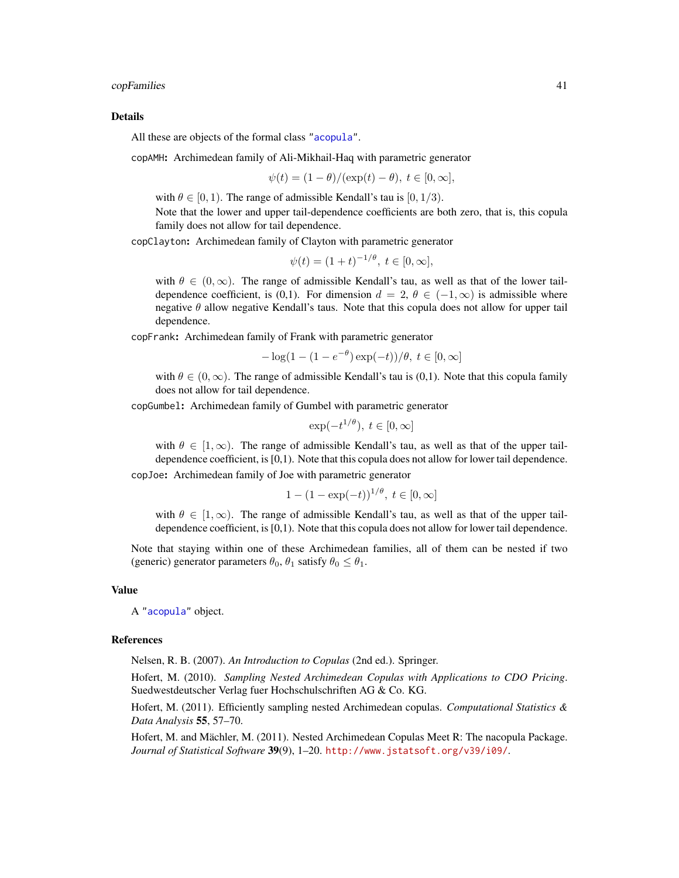#### copFamilies 41

#### Details

All these are objects of the formal class ["acopula"](#page-14-0).

copAMH: Archimedean family of Ali-Mikhail-Haq with parametric generator

$$
\psi(t) = (1 - \theta) / (\exp(t) - \theta), \ t \in [0, \infty],
$$

with  $\theta \in [0, 1)$ . The range of admissible Kendall's tau is  $[0, 1/3)$ .

Note that the lower and upper tail-dependence coefficients are both zero, that is, this copula family does not allow for tail dependence.

copClayton: Archimedean family of Clayton with parametric generator

$$
\psi(t) = (1+t)^{-1/\theta}, \ t \in [0, \infty],
$$

with  $\theta \in (0,\infty)$ . The range of admissible Kendall's tau, as well as that of the lower taildependence coefficient, is (0,1). For dimension  $d = 2, \theta \in (-1, \infty)$  is admissible where negative  $\theta$  allow negative Kendall's taus. Note that this copula does not allow for upper tail dependence.

copFrank: Archimedean family of Frank with parametric generator

$$
-\log(1 - (1 - e^{-\theta})\exp(-t))/\theta, t \in [0, \infty]
$$

with  $\theta \in (0,\infty)$ . The range of admissible Kendall's tau is (0,1). Note that this copula family does not allow for tail dependence.

copGumbel: Archimedean family of Gumbel with parametric generator

$$
\exp(-t^{1/\theta}), \ t \in [0, \infty]
$$

with  $\theta \in [1,\infty)$ . The range of admissible Kendall's tau, as well as that of the upper taildependence coefficient, is [0,1). Note that this copula does not allow for lower tail dependence.

copJoe: Archimedean family of Joe with parametric generator

$$
1 - (1 - \exp(-t))^{1/\theta}, t \in [0, \infty]
$$

with  $\theta \in [1,\infty)$ . The range of admissible Kendall's tau, as well as that of the upper taildependence coefficient, is [0,1). Note that this copula does not allow for lower tail dependence.

Note that staying within one of these Archimedean families, all of them can be nested if two (generic) generator parameters  $\theta_0$ ,  $\theta_1$  satisfy  $\theta_0 \le \theta_1$ .

#### Value

A ["acopula"](#page-14-0) object.

#### References

Nelsen, R. B. (2007). *An Introduction to Copulas* (2nd ed.). Springer.

Hofert, M. (2010). *Sampling Nested Archimedean Copulas with Applications to CDO Pricing*. Suedwestdeutscher Verlag fuer Hochschulschriften AG & Co. KG.

Hofert, M. (2011). Efficiently sampling nested Archimedean copulas. *Computational Statistics & Data Analysis* 55, 57–70.

Hofert, M. and Mächler, M. (2011). Nested Archimedean Copulas Meet R: The nacopula Package. *Journal of Statistical Software* 39(9), 1–20. <http://www.jstatsoft.org/v39/i09/>.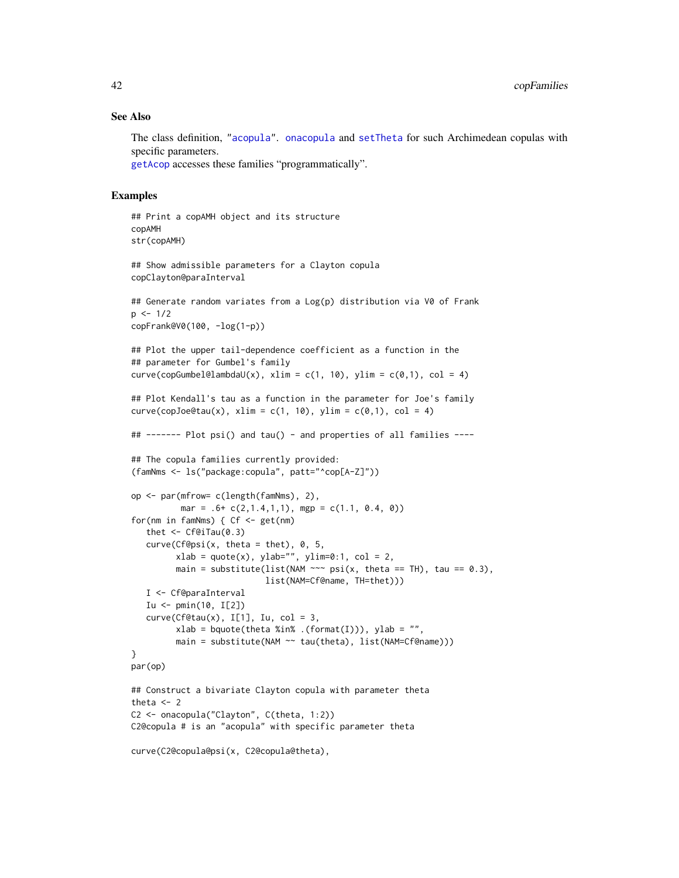## See Also

The class definition, ["acopula"](#page-14-0). [onacopula](#page-153-0) and [setTheta](#page-198-0) for such Archimedean copulas with specific parameters.

[getAcop](#page-96-0) accesses these families "programmatically".

```
## Print a copAMH object and its structure
copAMH
str(copAMH)
## Show admissible parameters for a Clayton copula
copClayton@paraInterval
## Generate random variates from a Log(p) distribution via V0 of Frank
p \le -1/2copFrank@V0(100, -log(1-p))
## Plot the upper tail-dependence coefficient as a function in the
## parameter for Gumbel's family
curve(copGumbel@lambdaU(x), xlim = c(1, 10), ylim = c(0,1), col = 4)## Plot Kendall's tau as a function in the parameter for Joe's family
curve(copJoe@tau(x), xlim = c(1, 10), ylim = c(0,1), col = 4)## ------- Plot psi() and tau() - and properties of all families ----
## The copula families currently provided:
(famNms <- ls("package:copula", patt="^cop[A-Z]"))
op <- par(mfrow= c(length(famNms), 2),
          mar = .6+ c(2,1.4,1,1), mgp = c(1.1, 0.4, 0)for(nm in famNms) { Cf <- get(nm)
   thet \leq Cf@iTau(0.3)
   curve(Cf@psi(x, theta = theta), 0, 5,xlab = quote(x), ylab="", ylim=0:1, col = 2,main = substitute(list(NAM \sim \in psi(x, theta == TH), tau == 0.3),
                           list(NAM=Cf@name, TH=thet)))
   I <- Cf@paraInterval
   Iu \le pmin(10, I[2])
   curve(Cf@tau(x), I[1], Iu, col = 3,xlab = bquote(theta %in % {format(I))}, ylab = "",main = substitute(NAM ~~ tau(theta), list(NAM=Cf@name)))
}
par(op)
## Construct a bivariate Clayton copula with parameter theta
theta <-2C2 <- onacopula("Clayton", C(theta, 1:2))
C2@copula # is an "acopula" with specific parameter theta
curve(C2@copula@psi(x, C2@copula@theta),
```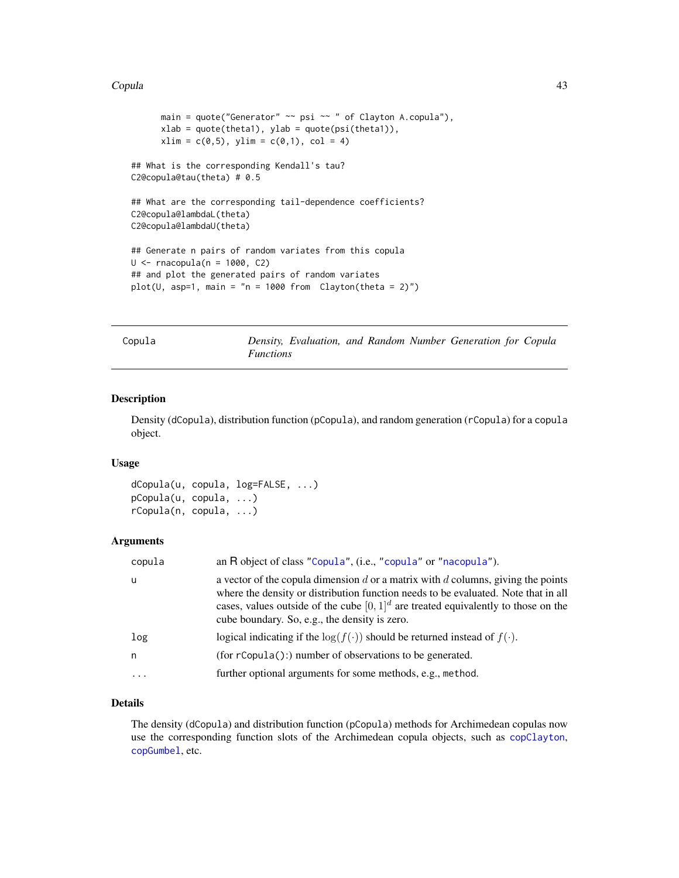#### Copula 43

```
main = quote("Generator" ~~ psi ~~ " of Clayton A.copula"),
      xlab = quote(theta1), ylab = quote(psi(theta1)),xlim = c(0,5), ylim = c(0,1), col = 4)
## What is the corresponding Kendall's tau?
C2@copula@tau(theta) # 0.5
## What are the corresponding tail-dependence coefficients?
C2@copula@lambdaL(theta)
C2@copula@lambdaU(theta)
## Generate n pairs of random variates from this copula
U \le -rnacopula(n = 1000, C2)
## and plot the generated pairs of random variates
plot(U, asp=1, main = "n = 1000 from Clayton(theta = 2)"
```

| TNGG |  |
|------|--|
|------|--|

Density, Evaluation, and Random Number Generation for Copula *Functions*

#### <span id="page-42-0"></span>Description

Density (dCopula), distribution function (pCopula), and random generation (rCopula) for a copula object.

## Usage

dCopula(u, copula, log=FALSE, ...) pCopula(u, copula, ...) rCopula(n, copula, ...)

## Arguments

| copula | an R object of class "Copula", (i.e., "copula" or "nacopula").                                                                                                                                                                                                                                                   |
|--------|------------------------------------------------------------------------------------------------------------------------------------------------------------------------------------------------------------------------------------------------------------------------------------------------------------------|
| u      | a vector of the copula dimension d or a matrix with d columns, giving the points<br>where the density or distribution function needs to be evaluated. Note that in all<br>cases, values outside of the cube $[0, 1]^d$ are treated equivalently to those on the<br>cube boundary. So, e.g., the density is zero. |
| log    | logical indicating if the $log(f(\cdot))$ should be returned instead of $f(\cdot)$ .                                                                                                                                                                                                                             |
| n.     | $(for rCopula():) number of observations to be generated.$                                                                                                                                                                                                                                                       |
| .      | further optional arguments for some methods, e.g., method.                                                                                                                                                                                                                                                       |

# Details

The density (dCopula) and distribution function (pCopula) methods for Archimedean copulas now use the corresponding function slots of the Archimedean copula objects, such as [copClayton](#page-39-0), [copGumbel](#page-39-0), etc.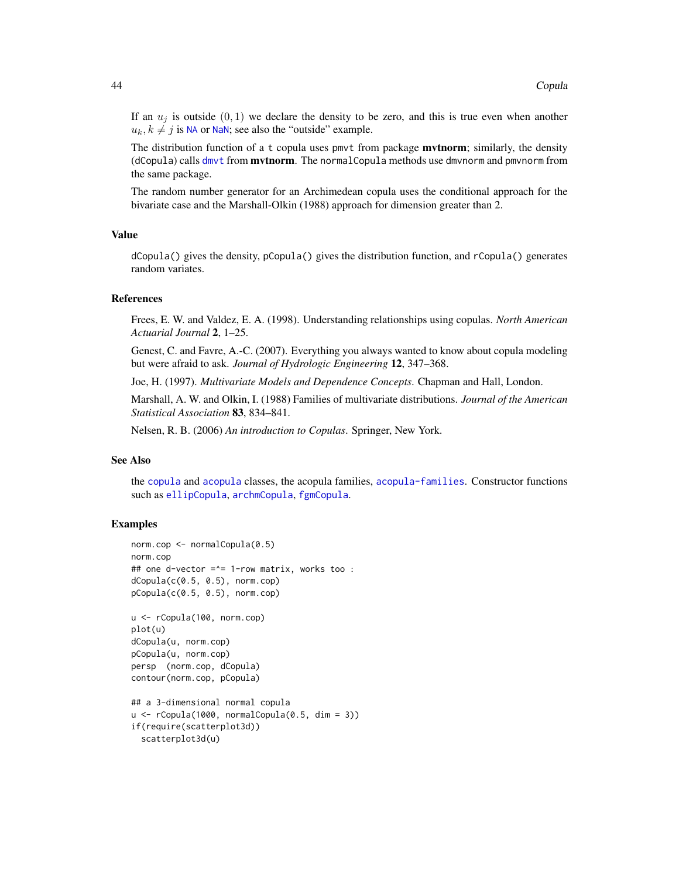If an  $u_i$  is outside  $(0, 1)$  we declare the density to be zero, and this is true even when another  $u_k, k \neq j$  is [NA](#page-0-0) or [NaN](#page-0-0); see also the "outside" example.

The distribution function of a t copula uses pmvt from package **mvtnorm**; similarly, the density (dCopula) calls [dmvt](#page-0-0) from mvtnorm. The normalCopula methods use dmvnorm and pmvnorm from the same package.

The random number generator for an Archimedean copula uses the conditional approach for the bivariate case and the Marshall-Olkin (1988) approach for dimension greater than 2.

#### Value

dCopula() gives the density, pCopula() gives the distribution function, and rCopula() generates random variates.

# References

Frees, E. W. and Valdez, E. A. (1998). Understanding relationships using copulas. *North American Actuarial Journal* 2, 1–25.

Genest, C. and Favre, A.-C. (2007). Everything you always wanted to know about copula modeling but were afraid to ask. *Journal of Hydrologic Engineering* 12, 347–368.

Joe, H. (1997). *Multivariate Models and Dependence Concepts*. Chapman and Hall, London.

Marshall, A. W. and Olkin, I. (1988) Families of multivariate distributions. *Journal of the American Statistical Association* 83, 834–841.

Nelsen, R. B. (2006) *An introduction to Copulas*. Springer, New York.

## See Also

the [copula](#page-44-1) and [acopula](#page-14-0) classes, the acopula families, [acopula-families](#page-39-0). Constructor functions such as [ellipCopula](#page-50-0), [archmCopula](#page-21-0), [fgmCopula](#page-77-0).

```
norm.cop <- normalCopula(0.5)
norm.cop
## one d-vector =^= 1-row matrix, works too :
dCopula(c(0.5, 0.5), norm.cop)
pCopula(c(0.5, 0.5), norm.cop)
u <- rCopula(100, norm.cop)
plot(u)
dCopula(u, norm.cop)
pCopula(u, norm.cop)
persp (norm.cop, dCopula)
contour(norm.cop, pCopula)
## a 3-dimensional normal copula
u \leq rCopula(1000, normalCopula(0.5, dim = 3))
if(require(scatterplot3d))
 scatterplot3d(u)
```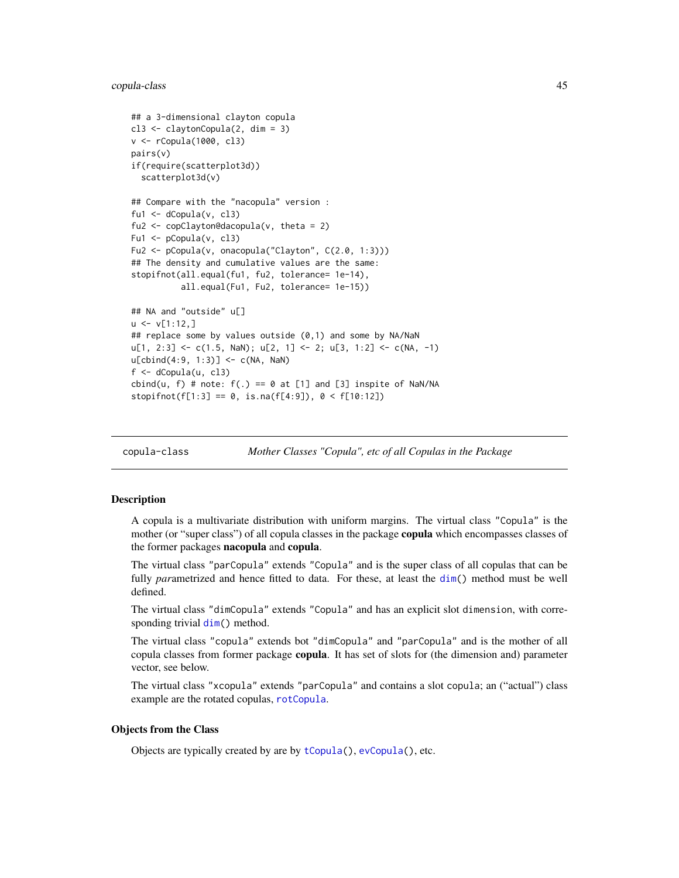## copula-class 45

```
## a 3-dimensional clayton copula
cl3 <- claytonCopula(2, dim = 3)
v <- rCopula(1000, cl3)
pairs(v)
if(require(scatterplot3d))
 scatterplot3d(v)
## Compare with the "nacopula" version :
fu1 \leftarrow dCopula(v, cl3)
fu2 <- copClayton@dacopula(v, theta = 2)
Fu1 <- pCopula(v, cl3)
Fu2 <- pCopula(v, onacopula("Clayton", C(2.0, 1:3)))
## The density and cumulative values are the same:
stopifnot(all.equal(fu1, fu2, tolerance= 1e-14),
          all.equal(Fu1, Fu2, tolerance= 1e-15))
## NA and "outside" u[]
u \le v[1:12,]## replace some by values outside (0,1) and some by NA/NaN
u[1, 2:3] \leftarrow c(1.5, \text{NaN}); u[2, 1] \leftarrow 2; u[3, 1:2] \leftarrow c(\text{NA}, -1)u[cbind(4:9, 1:3)] <- c(NA, NaN)
f <- dCopula(u, cl3)
cbind(u, f) # note: f(.) == 0 at [1] and [3] inspite of NaN/NA
stopifnot(f[1:3] == 0, is.na(f[4:9]), 0 < f[10:12])
```
<span id="page-44-1"></span>copula-class *Mother Classes "Copula", etc of all Copulas in the Package*

# <span id="page-44-0"></span>Description

A copula is a multivariate distribution with uniform margins. The virtual class "Copula" is the mother (or "super class") of all copula classes in the package **copula** which encompasses classes of the former packages **nacopula** and **copula**.

The virtual class "parCopula" extends "Copula" and is the super class of all copulas that can be fully *parametrized* and hence fitted to data. For these, at least the [dim\(](#page-0-0)) method must be well defined.

The virtual class "dimCopula" extends "Copula" and has an explicit slot dimension, with corresponding trivial [dim\(](#page-0-0)) method.

The virtual class "copula" extends bot "dimCopula" and "parCopula" and is the mother of all copula classes from former package copula. It has set of slots for (the dimension and) parameter vector, see below.

The virtual class "xcopula" extends "parCopula" and contains a slot copula; an ("actual") class example are the rotated copulas, [rotCopula](#page-188-0).

## Objects from the Class

Objects are typically created by are by [tCopula\(](#page-50-1)), [evCopula\(](#page-67-0)), etc.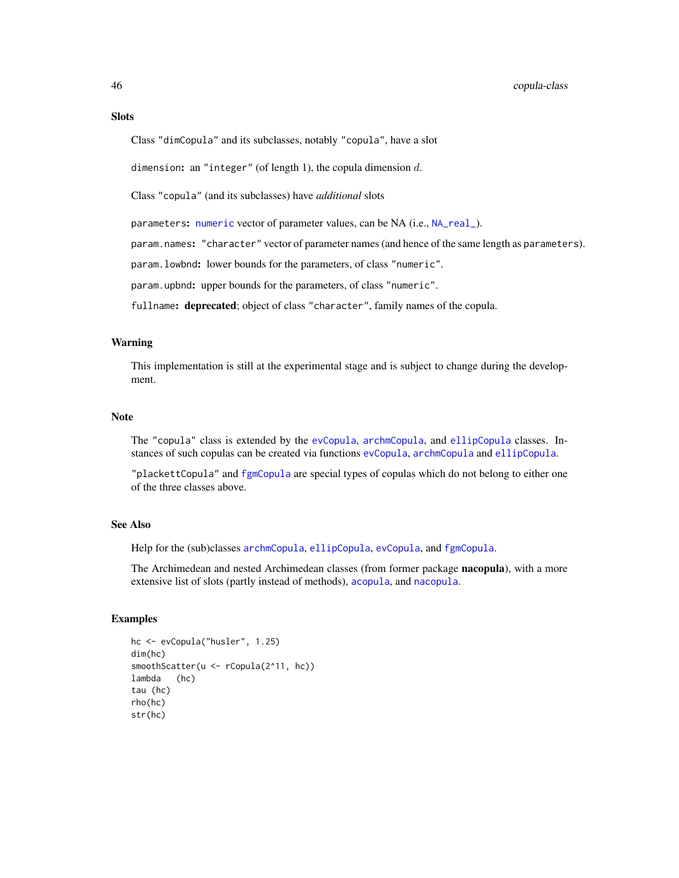# **Slots**

Class "dimCopula" and its subclasses, notably "copula", have a slot

dimension: an "integer" (of length 1), the copula dimension  $d$ .

Class "copula" (and its subclasses) have *additional* slots

parameters: [numeric](#page-0-0) vector of parameter values, can be NA (i.e., [NA\\_real\\_](#page-0-0)).

param.names: "character" vector of parameter names (and hence of the same length as parameters).

param.lowbnd: lower bounds for the parameters, of class "numeric".

param.upbnd: upper bounds for the parameters, of class "numeric".

fullname: deprecated; object of class "character", family names of the copula.

## Warning

This implementation is still at the experimental stage and is subject to change during the development.

#### Note

The "copula" class is extended by the [evCopula](#page-69-0), [archmCopula](#page-23-0), and [ellipCopula](#page-52-0) classes. Instances of such copulas can be created via functions [evCopula](#page-67-0), [archmCopula](#page-21-0) and [ellipCopula](#page-50-0).

"plackettCopula" and [fgmCopula](#page-78-0) are special types of copulas which do not belong to either one of the three classes above.

# See Also

Help for the (sub)classes [archmCopula](#page-23-0), [ellipCopula](#page-52-0), [evCopula](#page-69-0), and [fgmCopula](#page-78-0).

The Archimedean and nested Archimedean classes (from former package nacopula), with a more extensive list of slots (partly instead of methods), [acopula](#page-14-0), and [nacopula](#page-150-0).

```
hc <- evCopula("husler", 1.25)
dim(hc)
smoothScatter(u <- rCopula(2^11, hc))
lambda (hc)
tau (hc)
rho(hc)
str(hc)
```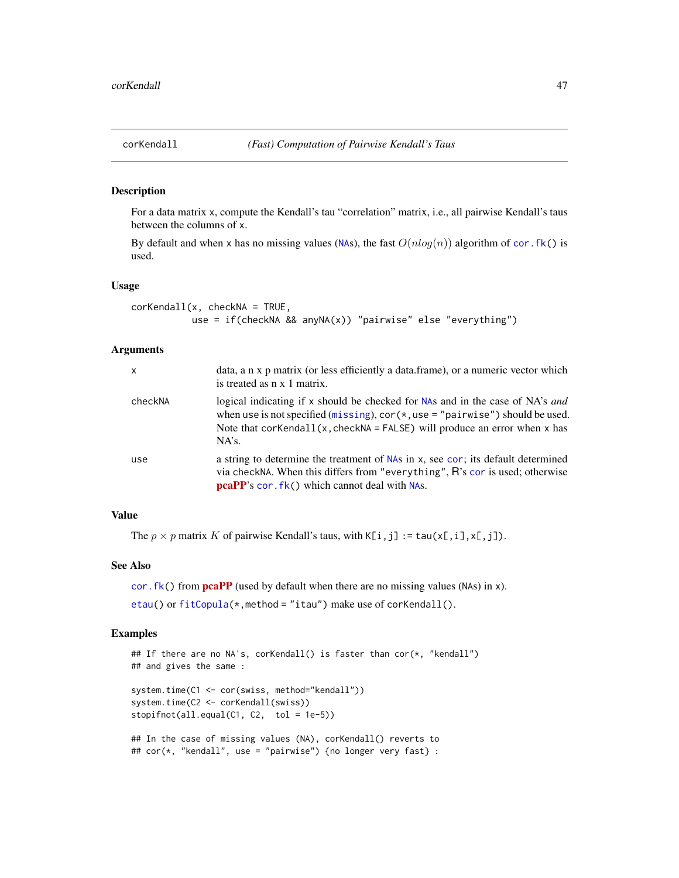<span id="page-46-0"></span>

## Description

For a data matrix x, compute the Kendall's tau "correlation" matrix, i.e., all pairwise Kendall's taus between the columns of x.

By default and when x has no missing values ([NA](#page-0-0)s), the fast  $O(nlog(n))$  algorithm of cor. fk() is used.

#### Usage

```
corKendall(x, checkNA = TRUE,use = if(checkNA && anyNA(x)) "pairwise" else "everything")
```
## Arguments

| $\mathsf{x}$ | data, a n x p matrix (or less efficiently a data frame), or a numeric vector which<br>is treated as $n \times 1$ matrix.                                                                                                                                 |
|--------------|----------------------------------------------------------------------------------------------------------------------------------------------------------------------------------------------------------------------------------------------------------|
| checkNA      | logical indicating if x should be checked for NAs and in the case of NA's and<br>when use is not specified (missing), $cor(*, use = "pairwise")$ should be used.<br>Note that $corKendall(x, checkNA = FALSE)$ will produce an error when x has<br>NA's. |
| use          | a string to determine the treatment of NAs in x, see cor; its default determined<br>via checkNA. When this differs from "everything", R's cor is used; otherwise<br><b>pcaPP</b> 's cor. fk() which cannot deal with NAs.                                |

## Value

The  $p \times p$  matrix K of pairwise Kendall's taus, with  $K[i, j] := \text{tau}(x[, i], x[, j]$ .

## See Also

cor. fk() from  $pcaPP$  (used by default when there are no missing values (NAs) in x).

[etau\(](#page-64-0)) or [fitCopula\(](#page-81-0)\*, method = "itau") make use of corKendall().

```
## If there are no NA's, corKendall() is faster than cor(*, "kendall")
## and gives the same :
system.time(C1 <- cor(swiss, method="kendall"))
system.time(C2 <- corKendall(swiss))
stopifnot(all.equal(C1, C2, tol = 1e-5))
## In the case of missing values (NA), corKendall() reverts to
## cor(*, "kendall", use = "pairwise") {no longer very fast} :
```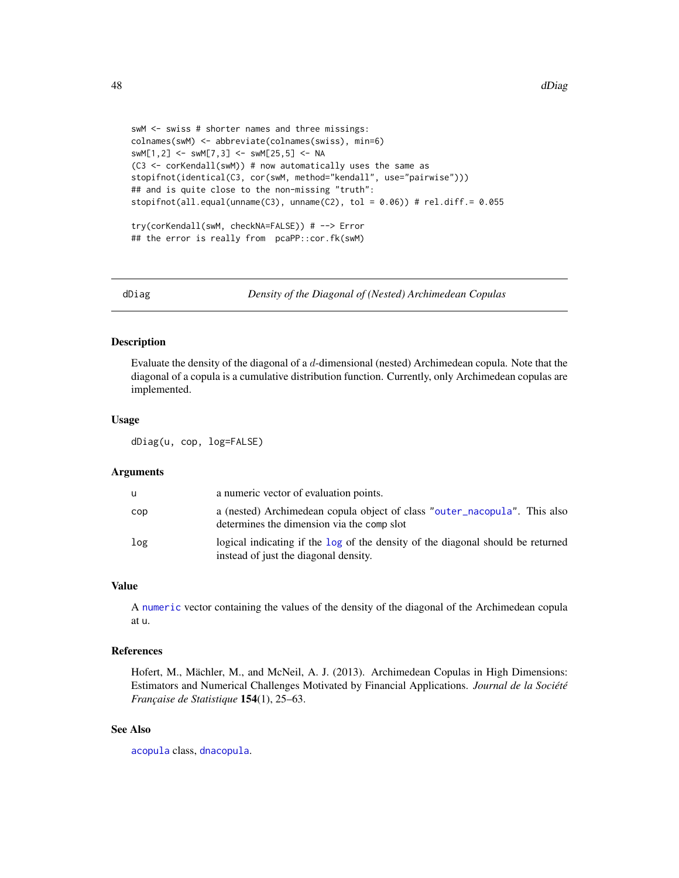```
swM <- swiss # shorter names and three missings:
colnames(swM) <- abbreviate(colnames(swiss), min=6)
swM[1,2] <- swM[7,3] <- swM[25,5] <- NA
(C3 <- corKendall(swM)) # now automatically uses the same as
stopifnot(identical(C3, cor(swM, method="kendall", use="pairwise")))
## and is quite close to the non-missing "truth":
stopifnot(all.equal(unname(C3), unname(C2), tol = 0.06)) # rel.diff.= 0.055
try(corKendall(swM, checkNA=FALSE)) # --> Error
## the error is really from pcaPP::cor.fk(swM)
```
dDiag *Density of the Diagonal of (Nested) Archimedean Copulas*

## Description

Evaluate the density of the diagonal of a d-dimensional (nested) Archimedean copula. Note that the diagonal of a copula is a cumulative distribution function. Currently, only Archimedean copulas are implemented.

#### Usage

dDiag(u, cop, log=FALSE)

#### Arguments

| u   | a numeric vector of evaluation points.                                                                                   |
|-----|--------------------------------------------------------------------------------------------------------------------------|
| cop | a (nested) Archimedean copula object of class "outer_nacopula". This also<br>determines the dimension via the comp slot  |
| log | logical indicating if the log of the density of the diagonal should be returned<br>instead of just the diagonal density. |

## Value

A [numeric](#page-0-0) vector containing the values of the density of the diagonal of the Archimedean copula at u.

## References

Hofert, M., Mächler, M., and McNeil, A. J. (2013). Archimedean Copulas in High Dimensions: Estimators and Numerical Challenges Motivated by Financial Applications. *Journal de la Société Française de Statistique* 154(1), 25–63.

## See Also

[acopula](#page-14-0) class, [dnacopula](#page-49-0).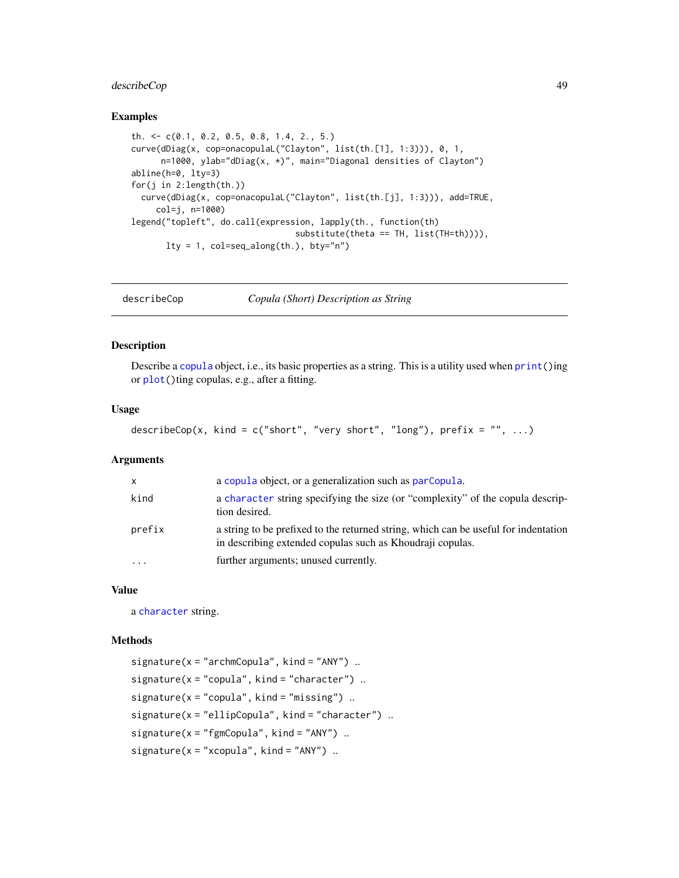# describeCop 49

## Examples

```
th. <- c(0.1, 0.2, 0.5, 0.8, 1.4, 2., 5.)
curve(dDiag(x, cop=onacopulaL("Clayton", list(th.[1], 1:3))), 0, 1,
      n=1000, ylab="dDiag(x, *)", main="Diagonal densities of Clayton")
abline(h=0, lty=3)
for(j in 2:length(th.))
  curve(dDiag(x, cop=onacopulaL("Clayton", list(th.[j], 1:3))), add=TRUE,
     col=j, n=1000)
legend("topleft", do.call(expression, lapply(th., function(th)
                                 substitute(theta == TH, list(TH=th)))),
      lty = 1, col=seq_along(th.), bty="n")
```
describeCop *Copula (Short) Description as String*

## Description

Describe a [copula](#page-44-1) object, i.e., its basic properties as a string. This is a utility used when [print\(](#page-0-0))ing or [plot\(](#page-0-0))ting copulas, e.g., after a fitting.

## Usage

```
describeCop(x, kind = c("short", "very short", "long"), prefix = "", ...)
```
#### **Arguments**

| $\mathsf{x}$ | a copula object, or a generalization such as parcopula.                                                                                          |
|--------------|--------------------------------------------------------------------------------------------------------------------------------------------------|
| kind         | a character string specifying the size (or "complexity" of the copula descrip-<br>tion desired.                                                  |
| prefix       | a string to be prefixed to the returned string, which can be useful for indentation<br>in describing extended copulas such as Khoudraji copulas. |
| $\cdots$     | further arguments; unused currently.                                                                                                             |

## Value

a [character](#page-0-0) string.

## Methods

```
signature(x = "archmCopula", kind = "ANY")..
signature(x = "copula", kind = "character") ..
signature(x = "copula", kind = "missing")...
signature(x = "ellipCopula", kind = "character").
signature(x = "fgmCopula", kind = "ANY")..
signature(x = "xcopula", kind = "ANY")...
```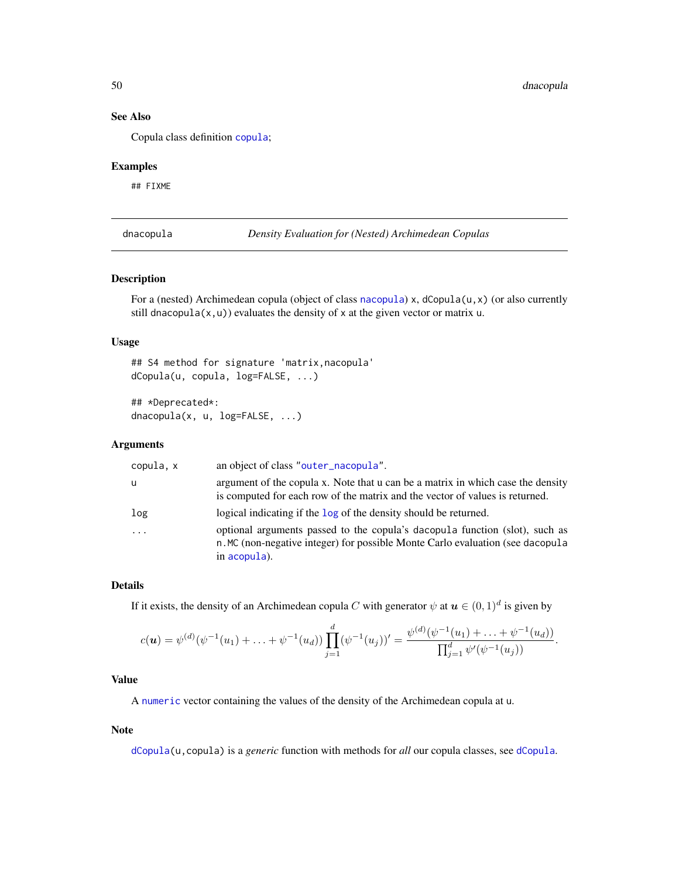## See Also

Copula class definition [copula](#page-44-1);

## Examples

## FIXME

<span id="page-49-0"></span>dnacopula *Density Evaluation for (Nested) Archimedean Copulas*

## Description

For a (nested) Archimedean copula (object of class [nacopula](#page-150-0)) x, dCopula(u,x) (or also currently still dnacopula(x,u)) evaluates the density of x at the given vector or matrix u.

# Usage

```
## S4 method for signature 'matrix,nacopula'
dCopula(u, copula, log=FALSE, ...)
```

```
## *Deprecated*:
dnacopula(x, u, log=FALSE, ...)
```
# Arguments

| copula, x | an object of class "outer_nacopula".                                                                                                                                          |
|-----------|-------------------------------------------------------------------------------------------------------------------------------------------------------------------------------|
| u         | argument of the copula x. Note that u can be a matrix in which case the density<br>is computed for each row of the matrix and the vector of values is returned.               |
| log       | logical indicating if the log of the density should be returned.                                                                                                              |
| .         | optional arguments passed to the copula's dacopula function (slot), such as<br>n. MC (non-negative integer) for possible Monte Carlo evaluation (see dacopula<br>in acopula). |

## Details

If it exists, the density of an Archimedean copula C with generator  $\psi$  at  $\boldsymbol{u} \in (0,1)^d$  is given by

$$
c(\mathbf{u}) = \psi^{(d)}(\psi^{-1}(u_1) + \ldots + \psi^{-1}(u_d)) \prod_{j=1}^d (\psi^{-1}(u_j))' = \frac{\psi^{(d)}(\psi^{-1}(u_1) + \ldots + \psi^{-1}(u_d))}{\prod_{j=1}^d \psi'(\psi^{-1}(u_j))}.
$$

# Value

A [numeric](#page-0-0) vector containing the values of the density of the Archimedean copula at u.

#### Note

[dCopula\(](#page-42-0)u,copula) is a *generic* function with methods for *all* our copula classes, see [dCopula](#page-42-0).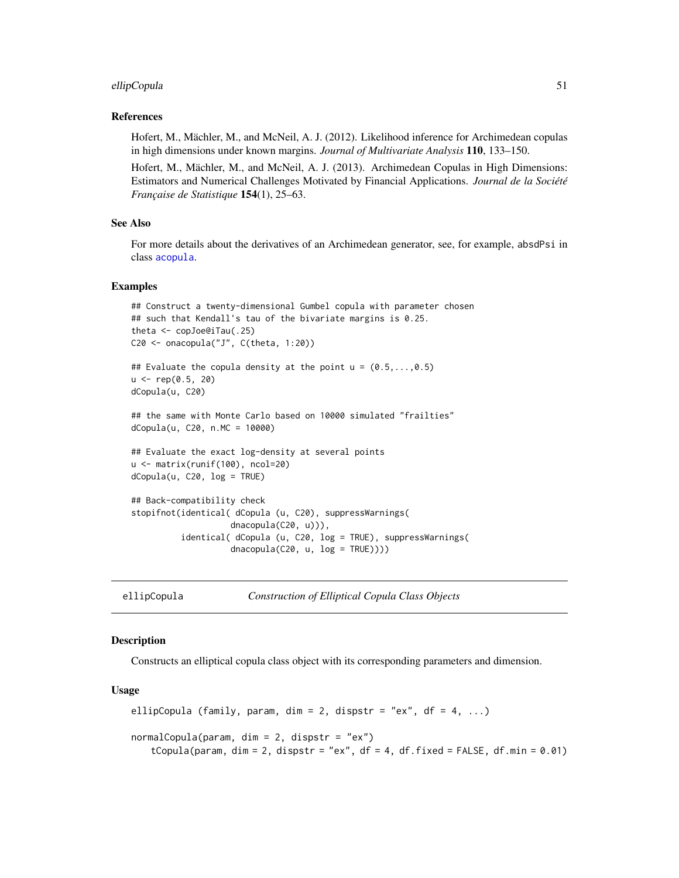#### ellipCopula 51

## References

Hofert, M., Mächler, M., and McNeil, A. J. (2012). Likelihood inference for Archimedean copulas in high dimensions under known margins. *Journal of Multivariate Analysis* 110, 133–150.

Hofert, M., Mächler, M., and McNeil, A. J. (2013). Archimedean Copulas in High Dimensions: Estimators and Numerical Challenges Motivated by Financial Applications. *Journal de la Société Française de Statistique* 154(1), 25–63.

## See Also

For more details about the derivatives of an Archimedean generator, see, for example, absdPsi in class [acopula](#page-14-0).

## Examples

```
## Construct a twenty-dimensional Gumbel copula with parameter chosen
## such that Kendall's tau of the bivariate margins is 0.25.
theta <- copJoe@iTau(.25)
C20 <- onacopula("J", C(theta, 1:20))
## Evaluate the copula density at the point u = (0.5, \ldots, 0.5)u < - rep(0.5, 20)dCopula(u, C20)
## the same with Monte Carlo based on 10000 simulated "frailties"
dCopula(u, C20, n.MC = 10000)
## Evaluate the exact log-density at several points
u <- matrix(runif(100), ncol=20)
dCopula(u, C20, log = TRUE)
## Back-compatibility check
stopifnot(identical( dCopula (u, C20), suppressWarnings(
                    dnacopula(C20, u))),
          identical( dCopula (u, C20, log = TRUE), suppressWarnings(
                    dnacopula(C20, u, log = TRUE))))
```
<span id="page-50-0"></span>ellipCopula *Construction of Elliptical Copula Class Objects*

## <span id="page-50-1"></span>Description

Constructs an elliptical copula class object with its corresponding parameters and dimension.

## Usage

```
ellipCopula (family, param, dim = 2, dispstr = "ex", df = 4, ...)
normalCopula(param, dim = 2, dispstr = "ex")tCopula(param, dim = 2, dispstr = "ex", df = 4, df.fixed = FALSE, df.min = 0.01)
```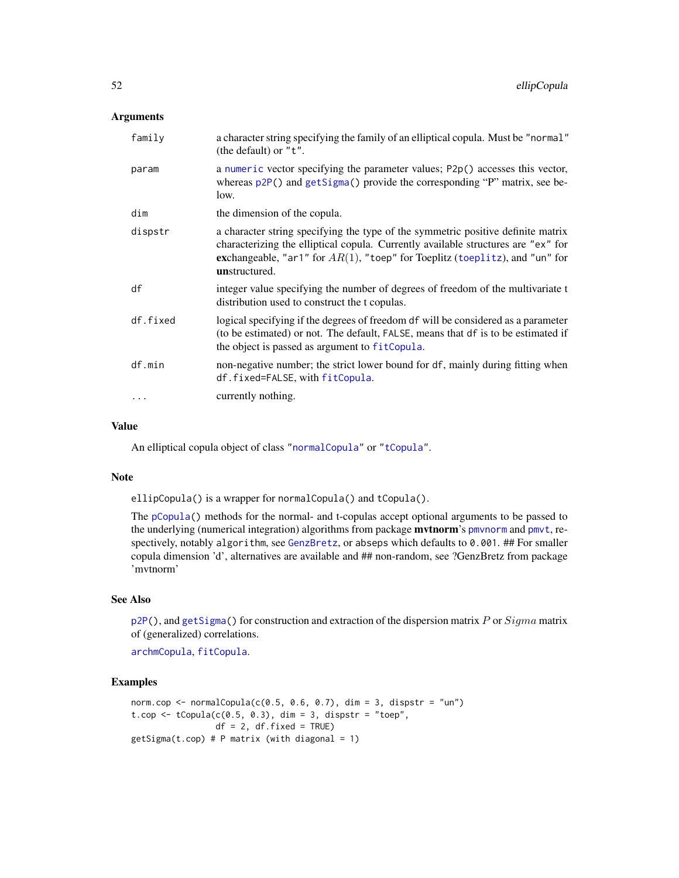## Arguments

| family   | a character string specifying the family of an elliptical copula. Must be "normal"<br>(the default) or $"t"$ .                                                                                                                                                           |
|----------|--------------------------------------------------------------------------------------------------------------------------------------------------------------------------------------------------------------------------------------------------------------------------|
| param    | a numeric vector specifying the parameter values; P2p() accesses this vector,<br>whereas $p2P()$ and $getSigma()$ provide the corresponding "P" matrix, see be-<br>low.                                                                                                  |
| dim      | the dimension of the copula.                                                                                                                                                                                                                                             |
| dispstr  | a character string specifying the type of the symmetric positive definite matrix<br>characterizing the elliptical copula. Currently available structures are "ex" for<br>exchangeable, "ar1" for $AR(1)$ , "toep" for Toeplitz (toeplitz), and "un" for<br>unstructured. |
| df       | integer value specifying the number of degrees of freedom of the multivariate t<br>distribution used to construct the t copulas.                                                                                                                                         |
| df.fixed | logical specifying if the degrees of freedom df will be considered as a parameter<br>(to be estimated) or not. The default, FALSE, means that df is to be estimated if<br>the object is passed as argument to fitCopula.                                                 |
| df.min   | non-negative number; the strict lower bound for df, mainly during fitting when<br>df.fixed=FALSE, with fitCopula.                                                                                                                                                        |
|          | currently nothing.                                                                                                                                                                                                                                                       |
|          |                                                                                                                                                                                                                                                                          |

## Value

An elliptical copula object of class ["normalCopula"](#page-52-1) or ["tCopula"](#page-52-1).

## Note

ellipCopula() is a wrapper for normalCopula() and tCopula().

The [pCopula\(](#page-42-0)) methods for the normal- and t-copulas accept optional arguments to be passed to the underlying (numerical integration) algorithms from package **mythorm**'s pmynorm and pmyt, respectively, notably algorithm, see [GenzBretz](#page-0-0), or abseps which defaults to 0.001. ## For smaller copula dimension 'd', alternatives are available and ## non-random, see ?GenzBretz from package 'mvtnorm'

## See Also

 $p2P($ ), and [getSigma\(](#page-135-0)) for construction and extraction of the dispersion matrix P or  $Sigma$  matrix of (generalized) correlations.

[archmCopula](#page-21-0), [fitCopula](#page-81-0).

```
norm.cop <- normalCopula(c(0.5, 0.6, 0.7), dim = 3, dispstr = "un")
t.cop \leq tCopula(c(0.5, 0.3), dim = 3, dispstr = "toep",
                 df = 2, df.fixed = TRUE)
getSigma(t.cop) # P matrix (with diagonal = 1)
```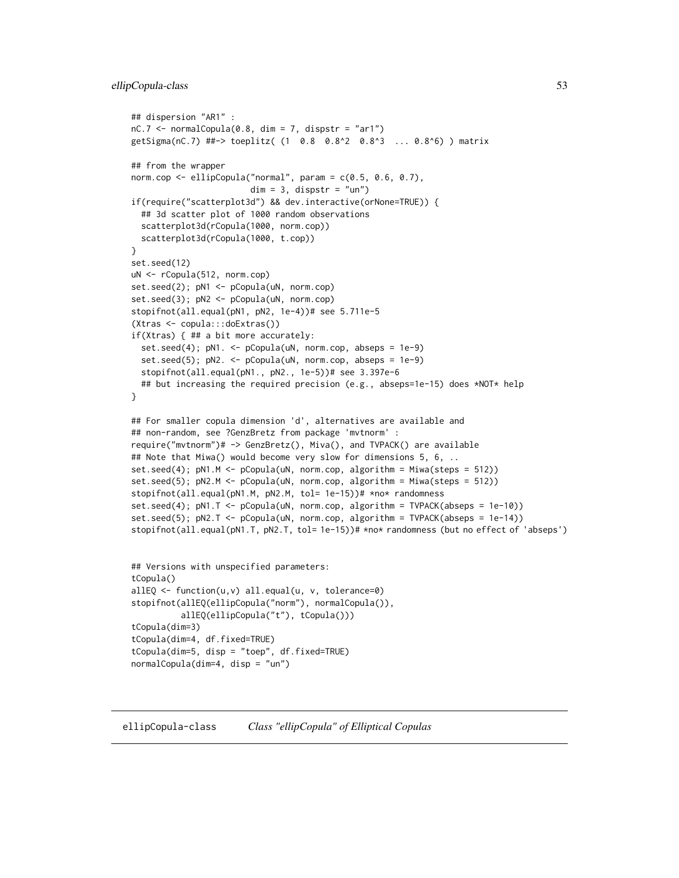## ellipCopula-class 53

```
## dispersion "AR1" :
nC.7 \leq normalCopula(0.8, dim = 7, dispstr = "ar1")getSigma(nC.7) ##-> toeplitz( (1 0.8 0.8^2 0.8^3 ... 0.8^6) ) matrix
## from the wrapper
norm.cop <- ellipCopula("normal", param = c(0.5, 0.6, 0.7),
                        dim = 3, dispstr = "un")if(require("scatterplot3d") && dev.interactive(orNone=TRUE)) {
 ## 3d scatter plot of 1000 random observations
 scatterplot3d(rCopula(1000, norm.cop))
 scatterplot3d(rCopula(1000, t.cop))
}
set.seed(12)
uN <- rCopula(512, norm.cop)
set.seed(2); pN1 <- pCopula(uN, norm.cop)
set.seed(3); pN2 <- pCopula(uN, norm.cop)
stopifnot(all.equal(pN1, pN2, 1e-4))# see 5.711e-5
(Xtras <- copula:::doExtras())
if(Xtras) { ## a bit more accurately:
 set.seed(4); pN1. <- pCopula(uN, norm.cop, abseps = 1e-9)
 set.seed(5); pN2. <- pCopula(uN, norm.cop, abseps = 1e-9)
 stopifnot(all.equal(pN1., pN2., 1e-5))# see 3.397e-6
 ## but increasing the required precision (e.g., abseps=1e-15) does *NOT* help
}
## For smaller copula dimension 'd', alternatives are available and
## non-random, see ?GenzBretz from package 'mvtnorm' :
require("mvtnorm")# -> GenzBretz(), Miva(), and TVPACK() are available
## Note that Miwa() would become very slow for dimensions 5, 6, ..
set.seed(4); pN1.M <- pCopula(uN, norm.cop, algorithm = Miwa(steps = 512))
set.seed(5); pN2.M <- pCopula(uN, norm.cop, algorithm = Miwa(steps = 512))
stopifnot(all.equal(pN1.M, pN2.M, tol= 1e-15))# *no* randomness
set.seed(4); pN1.T <- pCopula(uN, norm.cop, algorithm = TVPACK(abseps = 1e-10))
set.seed(5); pN2.T <- pCopula(uN, norm.cop, algorithm = TVPACK(abseps = 1e-14))
stopifnot(all.equal(pN1.T, pN2.T, tol= 1e-15))# *no* randomness (but no effect of 'abseps')
## Versions with unspecified parameters:
tCopula()
allEQ <- function(u,v) all.equal(u, v, tolerance=0)
stopifnot(allEQ(ellipCopula("norm"), normalCopula()),
          allEQ(ellipCopula("t"), tCopula()))
tCopula(dim=3)
tCopula(dim=4, df.fixed=TRUE)
tCopula(dim=5, disp = "toep", df.fixed=TRUE)
normalCopula(dim=4, disp = "un")
```
<span id="page-52-1"></span><span id="page-52-0"></span>ellipCopula-class *Class "ellipCopula" of Elliptical Copulas*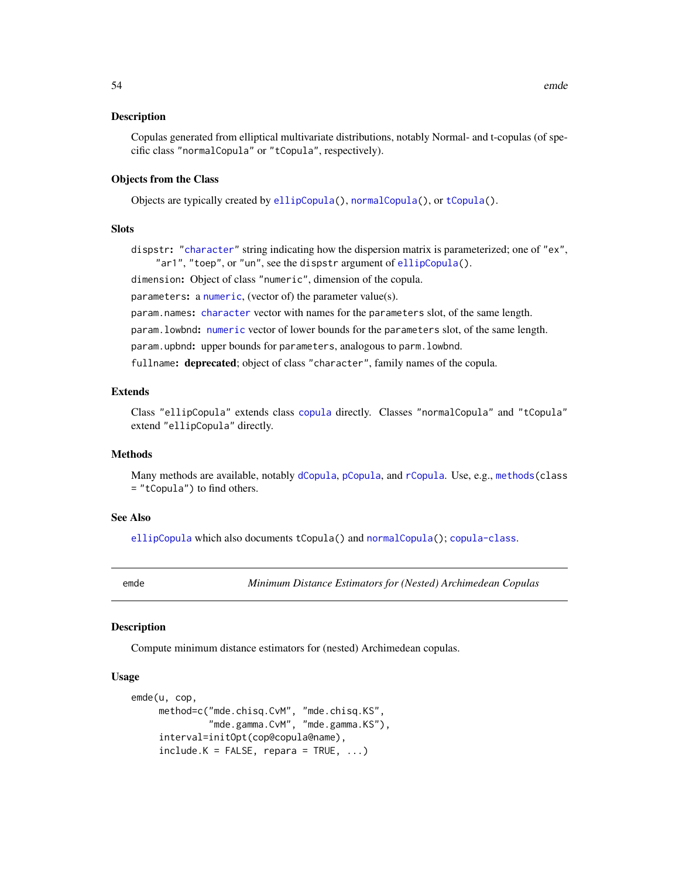#### Description

Copulas generated from elliptical multivariate distributions, notably Normal- and t-copulas (of specific class "normalCopula" or "tCopula", respectively).

## Objects from the Class

Objects are typically created by [ellipCopula\(](#page-50-0)), [normalCopula\(](#page-50-1)), or [tCopula\(](#page-50-1)).

## **Slots**

dispstr: ["character"](#page-0-0) string indicating how the dispersion matrix is parameterized; one of "ex", "ar1", "toep", or "un", see the dispstr argument of [ellipCopula\(](#page-50-0)).

dimension: Object of class "numeric", dimension of the copula.

parameters: a [numeric](#page-0-0), (vector of) the parameter value(s).

param.names: [character](#page-0-0) vector with names for the parameters slot, of the same length.

param.lowbnd: [numeric](#page-0-0) vector of lower bounds for the parameters slot, of the same length.

param.upbnd: upper bounds for parameters, analogous to parm.lowbnd.

fullname: deprecated; object of class "character", family names of the copula.

## Extends

Class "ellipCopula" extends class [copula](#page-44-1) directly. Classes "normalCopula" and "tCopula" extend "ellipCopula" directly.

# **Methods**

Many methods are available, notably [dCopula](#page-42-0), [pCopula](#page-42-0), and [rCopula](#page-42-0). Use, e.g., [methods\(](#page-0-0)class = "tCopula") to find others.

## See Also

[ellipCopula](#page-50-0) which also documents tCopula() and [normalCopula\(](#page-50-1)); [copula-class](#page-44-1).

<span id="page-53-0"></span>emde *Minimum Distance Estimators for (Nested) Archimedean Copulas*

## Description

Compute minimum distance estimators for (nested) Archimedean copulas.

#### Usage

```
emde(u, cop,
     method=c("mde.chisq.CvM", "mde.chisq.KS",
              "mde.gamma.CvM", "mde.gamma.KS"),
     interval=initOpt(cop@copula@name),
     include.K = FALSE, repara = TRUE, ...
```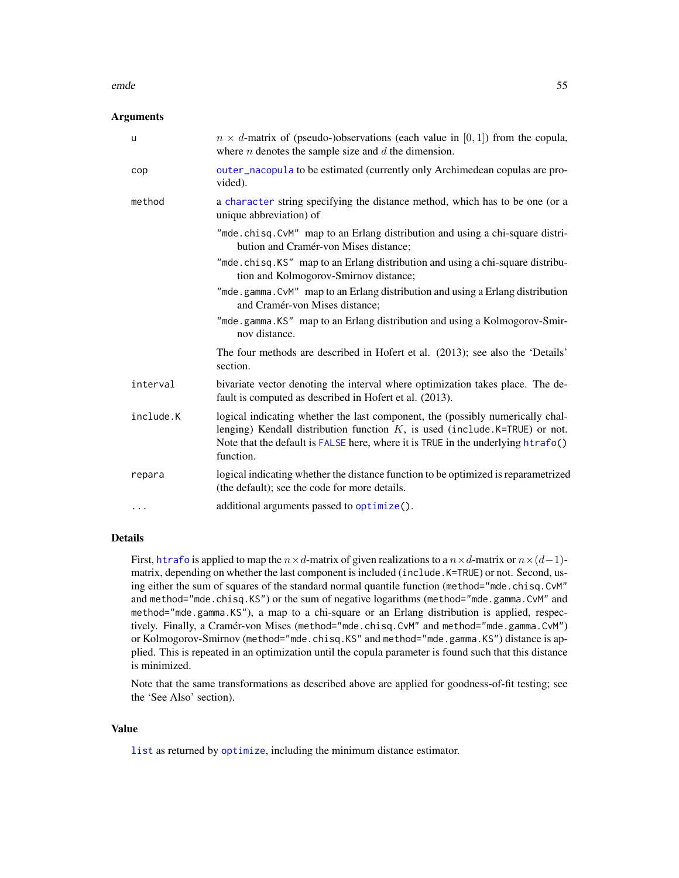#### emde 55

## **Arguments**

| u         | $n \times d$ -matrix of (pseudo-)observations (each value in [0, 1]) from the copula,<br>where $n$ denotes the sample size and $d$ the dimension.                                                                                                                |
|-----------|------------------------------------------------------------------------------------------------------------------------------------------------------------------------------------------------------------------------------------------------------------------|
| cop       | outer_nacopula to be estimated (currently only Archimedean copulas are pro-<br>vided).                                                                                                                                                                           |
| method    | a character string specifying the distance method, which has to be one (or a<br>unique abbreviation) of                                                                                                                                                          |
|           | "mde.chisq.CvM" map to an Erlang distribution and using a chi-square distri-<br>bution and Cramér-von Mises distance;                                                                                                                                            |
|           | "mde.chisq.KS" map to an Erlang distribution and using a chi-square distribu-<br>tion and Kolmogorov-Smirnov distance;                                                                                                                                           |
|           | "mde.gamma.CvM" map to an Erlang distribution and using a Erlang distribution<br>and Cramér-von Mises distance;                                                                                                                                                  |
|           | "mde.gamma.KS" map to an Erlang distribution and using a Kolmogorov-Smir-<br>nov distance.                                                                                                                                                                       |
|           | The four methods are described in Hofert et al. (2013); see also the 'Details'<br>section.                                                                                                                                                                       |
| interval  | bivariate vector denoting the interval where optimization takes place. The de-<br>fault is computed as described in Hofert et al. (2013).                                                                                                                        |
| include.K | logical indicating whether the last component, the (possibly numerically chal-<br>lenging) Kendall distribution function $K$ , is used (include K=TRUE) or not.<br>Note that the default is FALSE here, where it is TRUE in the underlying htrafo()<br>function. |
| repara    | logical indicating whether the distance function to be optimized is reparametrized<br>(the default); see the code for more details.                                                                                                                              |
| $\cdots$  | additional arguments passed to optimize().                                                                                                                                                                                                                       |

# Details

First, [htrafo](#page-112-0) is applied to map the  $n \times d$ -matrix of given realizations to a  $n \times d$ -matrix or  $n \times (d-1)$ matrix, depending on whether the last component is included (include.K=TRUE) or not. Second, using either the sum of squares of the standard normal quantile function (method="mde.chisq.CvM" and method="mde.chisq.KS") or the sum of negative logarithms (method="mde.gamma.CvM" and method="mde.gamma.KS"), a map to a chi-square or an Erlang distribution is applied, respectively. Finally, a Cramér-von Mises (method="mde.chisq.CvM" and method="mde.gamma.CvM") or Kolmogorov-Smirnov (method="mde.chisq.KS" and method="mde.gamma.KS") distance is applied. This is repeated in an optimization until the copula parameter is found such that this distance is minimized.

Note that the same transformations as described above are applied for goodness-of-fit testing; see the 'See Also' section).

#### Value

[list](#page-0-0) as returned by [optimize](#page-0-0), including the minimum distance estimator.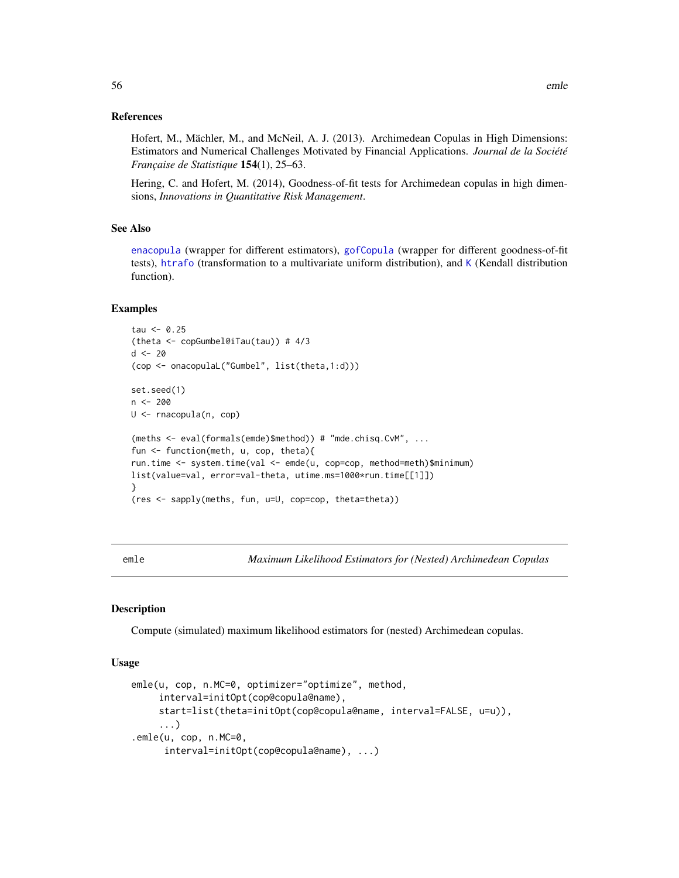## References

Hofert, M., Mächler, M., and McNeil, A. J. (2013). Archimedean Copulas in High Dimensions: Estimators and Numerical Challenges Motivated by Financial Applications. *Journal de la Société Française de Statistique* 154(1), 25–63.

Hering, C. and Hofert, M. (2014), Goodness-of-fit tests for Archimedean copulas in high dimensions, *Innovations in Quantitative Risk Management*.

## See Also

[enacopula](#page-62-0) (wrapper for different estimators), [gofCopula](#page-103-0) (wrapper for different goodness-of-fit tests), [htrafo](#page-112-0) (transformation to a multivariate uniform distribution), and [K](#page-122-0) (Kendall distribution function).

## Examples

```
tau < -0.25(theta <- copGumbel@iTau(tau)) # 4/3
d < -20(cop <- onacopulaL("Gumbel", list(theta,1:d)))
set.seed(1)
n <- 200
U <- rnacopula(n, cop)
(meths <- eval(formals(emde)$method)) # "mde.chisq.CvM", ...
fun <- function(meth, u, cop, theta){
run.time <- system.time(val <- emde(u, cop=cop, method=meth)$minimum)
list(value=val, error=val-theta, utime.ms=1000*run.time[[1]])
}
(res <- sapply(meths, fun, u=U, cop=cop, theta=theta))
```
emle *Maximum Likelihood Estimators for (Nested) Archimedean Copulas*

# <span id="page-55-0"></span>Description

Compute (simulated) maximum likelihood estimators for (nested) Archimedean copulas.

#### Usage

```
emle(u, cop, n.MC=0, optimizer="optimize", method,
     interval=initOpt(cop@copula@name),
     start=list(theta=initOpt(cop@copula@name, interval=FALSE, u=u)),
     ...)
.emle(u, cop, n.MC=0,
     interval=initOpt(cop@copula@name), ...)
```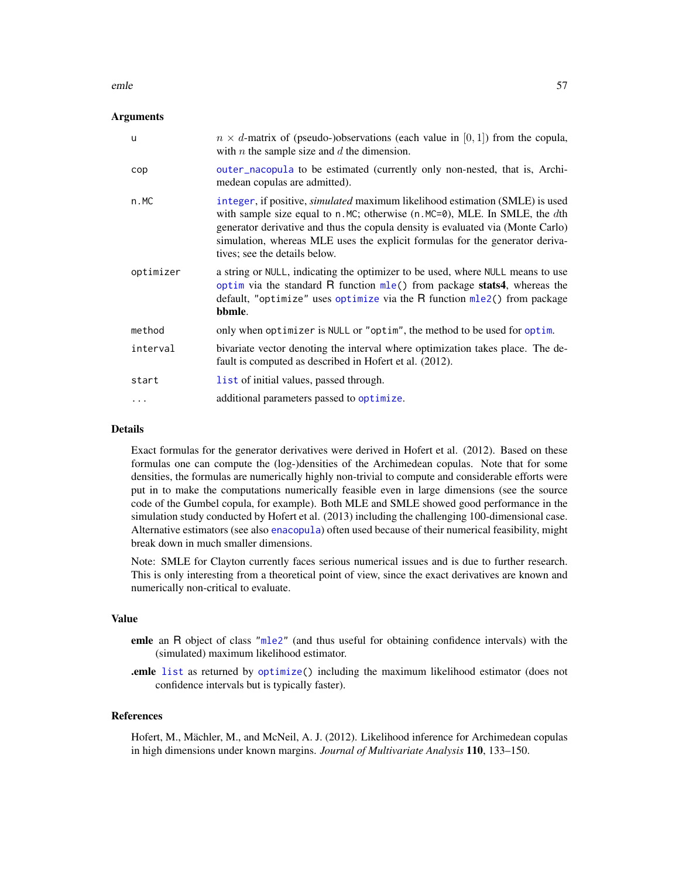#### emle 57

## **Arguments**

| u         | $n \times d$ -matrix of (pseudo-)observations (each value in [0, 1]) from the copula,<br>with $n$ the sample size and $d$ the dimension.                                                                                                                                                                                                                                   |
|-----------|----------------------------------------------------------------------------------------------------------------------------------------------------------------------------------------------------------------------------------------------------------------------------------------------------------------------------------------------------------------------------|
| cop       | outer_nacopula to be estimated (currently only non-nested, that is, Archi-<br>medean copulas are admitted).                                                                                                                                                                                                                                                                |
| n.MC      | integer, if positive, <i>simulated</i> maximum likelihood estimation (SMLE) is used<br>with sample size equal to $n.MC$ ; otherwise $(n.MC=0)$ , MLE. In SMLE, the dth<br>generator derivative and thus the copula density is evaluated via (Monte Carlo)<br>simulation, whereas MLE uses the explicit formulas for the generator deriva-<br>tives; see the details below. |
| optimizer | a string or NULL, indicating the optimizer to be used, where NULL means to use<br>optim via the standard R function mle() from package stats4, whereas the<br>default, "optimize" uses optimize via the R function mle2() from package<br>bbmle.                                                                                                                           |
| method    | only when optimizer is NULL or "optim", the method to be used for optim.                                                                                                                                                                                                                                                                                                   |
| interval  | bivariate vector denoting the interval where optimization takes place. The de-<br>fault is computed as described in Hofert et al. (2012).                                                                                                                                                                                                                                  |
| start     | list of initial values, passed through.                                                                                                                                                                                                                                                                                                                                    |
| .         | additional parameters passed to optimize.                                                                                                                                                                                                                                                                                                                                  |

## Details

Exact formulas for the generator derivatives were derived in Hofert et al. (2012). Based on these formulas one can compute the (log-)densities of the Archimedean copulas. Note that for some densities, the formulas are numerically highly non-trivial to compute and considerable efforts were put in to make the computations numerically feasible even in large dimensions (see the source code of the Gumbel copula, for example). Both MLE and SMLE showed good performance in the simulation study conducted by Hofert et al. (2013) including the challenging 100-dimensional case. Alternative estimators (see also [enacopula](#page-62-0)) often used because of their numerical feasibility, might break down in much smaller dimensions.

Note: SMLE for Clayton currently faces serious numerical issues and is due to further research. This is only interesting from a theoretical point of view, since the exact derivatives are known and numerically non-critical to evaluate.

#### Value

- emle an R object of class ["mle2"](#page-0-0) (and thus useful for obtaining confidence intervals) with the (simulated) maximum likelihood estimator.
- .emle [list](#page-0-0) as returned by [optimize\(](#page-0-0)) including the maximum likelihood estimator (does not confidence intervals but is typically faster).

#### References

Hofert, M., Mächler, M., and McNeil, A. J. (2012). Likelihood inference for Archimedean copulas in high dimensions under known margins. *Journal of Multivariate Analysis* 110, 133–150.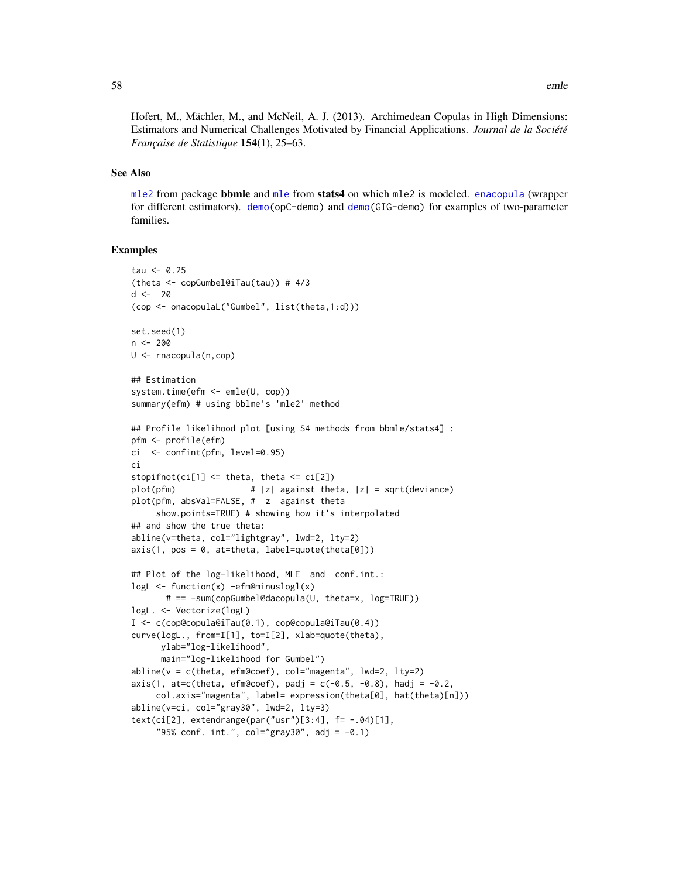Hofert, M., Mächler, M., and McNeil, A. J. (2013). Archimedean Copulas in High Dimensions: Estimators and Numerical Challenges Motivated by Financial Applications. *Journal de la Société Française de Statistique* 154(1), 25–63.

## See Also

[mle2](#page-0-0) from package bbmle and [mle](#page-0-0) from stats4 on which mle2 is modeled. [enacopula](#page-62-0) (wrapper for different estimators). [demo\(](#page-0-0)opC-demo) and [demo\(](#page-0-0)GIG-demo) for examples of two-parameter families.

```
tau < -0.25(theta <- copGumbel@iTau(tau)) # 4/3
d < -20(cop <- onacopulaL("Gumbel", list(theta,1:d)))
set.seed(1)
n <- 200
U <- rnacopula(n,cop)
## Estimation
system.time(efm <- emle(U, cop))
summary(efm) # using bblme's 'mle2' method
## Profile likelihood plot [using S4 methods from bbmle/stats4] :
pfm <- profile(efm)
ci <- confint(pfm, level=0.95)
ci
stopifnot(ci[1] \leq theta, theta \leq ci[2])
plot(pfm) # |z| against theta, |z| = sqrt(deviance)
plot(pfm, absVal=FALSE, # z against theta
     show.points=TRUE) # showing how it's interpolated
## and show the true theta:
abline(v=theta, col="lightgray", lwd=2, lty=2)
axis(1, pos = 0, at = theta, label = quote(theta[0]))## Plot of the log-likelihood, MLE and conf.int.:
logL <- function(x) -efm@minuslogl(x)
       # == -sum(copGumbel@dacopula(U, theta=x, log=TRUE))
logL. <- Vectorize(logL)
I <- c(cop@copula@iTau(0.1), cop@copula@iTau(0.4))
curve(logL., from=I[1], to=I[2], xlab=quote(theta),
      ylab="log-likelihood",
      main="log-likelihood for Gumbel")
abline(v = c(theta, efm@coef), col="magenta", lwd=2, lty=2)
axis(1, at=c(theta, effm@coef), padj = c(-0.5, -0.8), hadj = -0.2,col.axis="magenta", label= expression(theta[0], hat(theta)[n]))
abline(v=ci, col="gray30", lwd=2, lty=3)
text(ci[2], extendrange(par("usr")[3:4], f= -.04)[1],
     "95% conf. int.", col="gray30", adj = -0.1)
```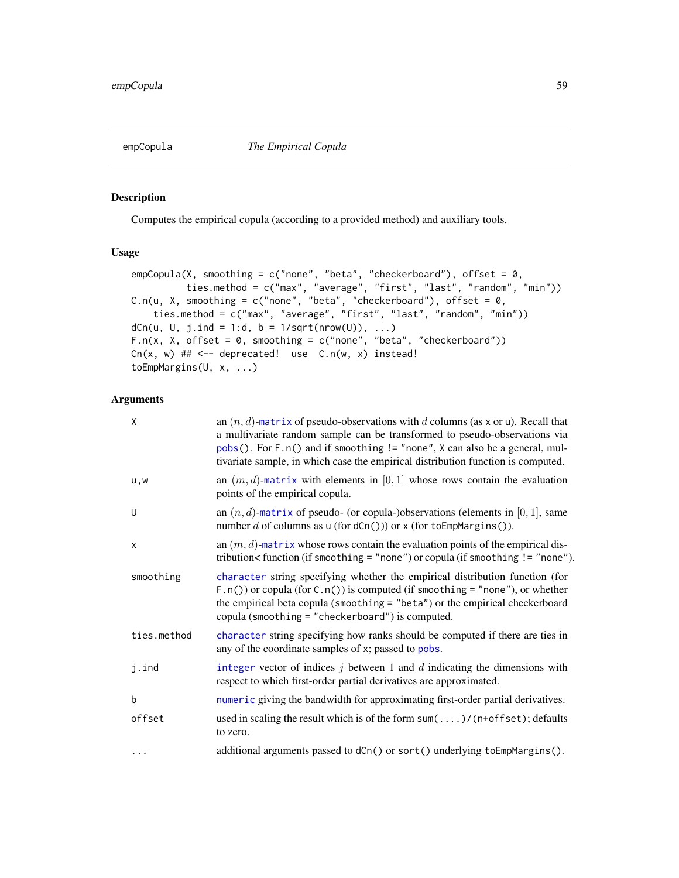<span id="page-58-0"></span>empCopula *The Empirical Copula*

## Description

Computes the empirical copula (according to a provided method) and auxiliary tools.

# Usage

```
empCopula(X, smoothing = c("none", "beta", "checkerboard"), offset = 0,
          ties.method = c("max", "average", "first", "last", "random", "min"))
C.n(u, X, smoothing = c("none", "beta", "checkroboral"), offset = <math>0</math>,ties.method = c("max", "average", "first", "last", "random", "min"))
dCn(u, U, j.ind = 1:d, b = 1/sqrt(nrow(U)), ...)F.n(x, X, offset = 0, smoothing = c("none", "beta", "checkerboard"))Cn(x, w) ## <-- deprecated! use C.n(w, x) instead!
toEmpMargins(U, x, ...)
```
# Arguments

| X           | an $(n, d)$ -matrix of pseudo-observations with d columns (as x or u). Recall that<br>a multivariate random sample can be transformed to pseudo-observations via<br>pobs(). For F.n() and if smoothing != "none", X can also be a general, mul-<br>tivariate sample, in which case the empirical distribution function is computed. |
|-------------|-------------------------------------------------------------------------------------------------------------------------------------------------------------------------------------------------------------------------------------------------------------------------------------------------------------------------------------|
| u,w         | an $(m, d)$ -matrix with elements in [0, 1] whose rows contain the evaluation<br>points of the empirical copula.                                                                                                                                                                                                                    |
| U           | an $(n, d)$ -matrix of pseudo- (or copula-)observations (elements in [0, 1], same<br>number d of columns as $u$ (for $dCn()$ ) or x (for toEmpMargins()).                                                                                                                                                                           |
| X           | an $(m, d)$ -matrix whose rows contain the evaluation points of the empirical dis-<br>tribution< function (if smoothing = "none") or copula (if smoothing != "none").                                                                                                                                                               |
| smoothing   | character string specifying whether the empirical distribution function (for<br>$F.n()$ or copula (for $C.n()$ ) is computed (if smoothing = "none"), or whether<br>the empirical beta copula (smoothing = "beta") or the empirical checkerboard<br>copula (smoothing = "checkerboard") is computed.                                |
| ties.method | character string specifying how ranks should be computed if there are ties in<br>any of the coordinate samples of x; passed to pobs.                                                                                                                                                                                                |
| j.ind       | integer vector of indices $j$ between 1 and $d$ indicating the dimensions with<br>respect to which first-order partial derivatives are approximated.                                                                                                                                                                                |
| b           | numeric giving the bandwidth for approximating first-order partial derivatives.                                                                                                                                                                                                                                                     |
| offset      | used in scaling the result which is of the form $sum(\ldots)/(n+offset)$ ; defaults<br>to zero.                                                                                                                                                                                                                                     |
| $\cdots$    | additional arguments passed to dCn() or sort() underlying toEmpMargins().                                                                                                                                                                                                                                                           |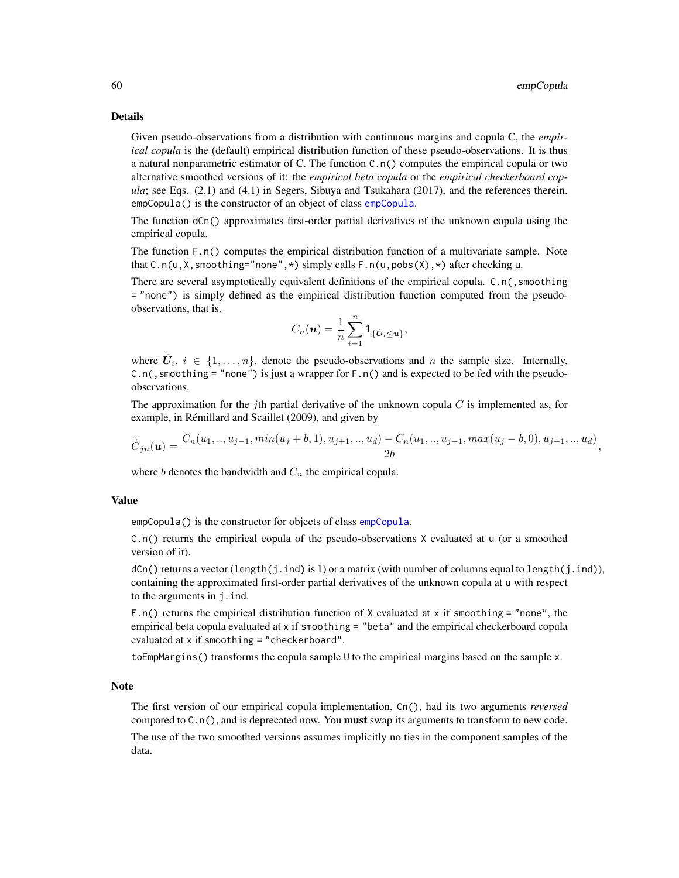,

## Details

Given pseudo-observations from a distribution with continuous margins and copula C, the *empirical copula* is the (default) empirical distribution function of these pseudo-observations. It is thus a natural nonparametric estimator of C. The function  $C \cdot n()$  computes the empirical copula or two alternative smoothed versions of it: the *empirical beta copula* or the *empirical checkerboard copula*; see Eqs. (2.1) and (4.1) in Segers, Sibuya and Tsukahara (2017), and the references therein. [empCopula](#page-62-1)() is the constructor of an object of class empCopula.

The function dCn() approximates first-order partial derivatives of the unknown copula using the empirical copula.

The function F.n() computes the empirical distribution function of a multivariate sample. Note that  $C.n(u,X,smoothing="none",*)$  simply calls  $F.n(u,pobs(X),*)$  after checking u.

There are several asymptotically equivalent definitions of the empirical copula. C.n(, smoothing = "none") is simply defined as the empirical distribution function computed from the pseudoobservations, that is,

$$
C_n(\boldsymbol{u}) = \frac{1}{n} \sum_{i=1}^n \mathbf{1}_{\{\hat{\boldsymbol{U}}_i \leq \boldsymbol{u}\}},
$$

where  $\hat{U}_i$ ,  $i \in \{1, \ldots, n\}$ , denote the pseudo-observations and n the sample size. Internally, C.n(, smoothing = "none") is just a wrapper for  $F \cdot n()$  and is expected to be fed with the pseudoobservations.

The approximation for the jth partial derivative of the unknown copula  $C$  is implemented as, for example, in Rémillard and Scaillet (2009), and given by

$$
\hat{C}_{jn}(\boldsymbol{u}) = \frac{C_n(u_1, \dots, u_{j-1}, \min(u_j + b, 1), u_{j+1}, \dots, u_d) - C_n(u_1, \dots, u_{j-1}, \max(u_j - b, 0), u_{j+1}, \dots, u_d)}{2b}
$$

where b denotes the bandwidth and  $C_n$  the empirical copula.

## Value

empCopula() is the constructor for objects of class [empCopula](#page-62-1).

C.n() returns the empirical copula of the pseudo-observations X evaluated at u (or a smoothed version of it).

 $dC_n()$  returns a vector (length(j.ind) is 1) or a matrix (with number of columns equal to length(j.ind)), containing the approximated first-order partial derivatives of the unknown copula at u with respect to the arguments in j.ind.

F.n() returns the empirical distribution function of X evaluated at x if smoothing = "none", the empirical beta copula evaluated at x if smoothing = "beta" and the empirical checkerboard copula evaluated at x if smoothing = "checkerboard".

toEmpMargins() transforms the copula sample U to the empirical margins based on the sample x.

## Note

The first version of our empirical copula implementation, Cn(), had its two arguments *reversed* compared to  $C \cdot n()$ , and is deprecated now. You **must** swap its arguments to transform to new code.

The use of the two smoothed versions assumes implicitly no ties in the component samples of the data.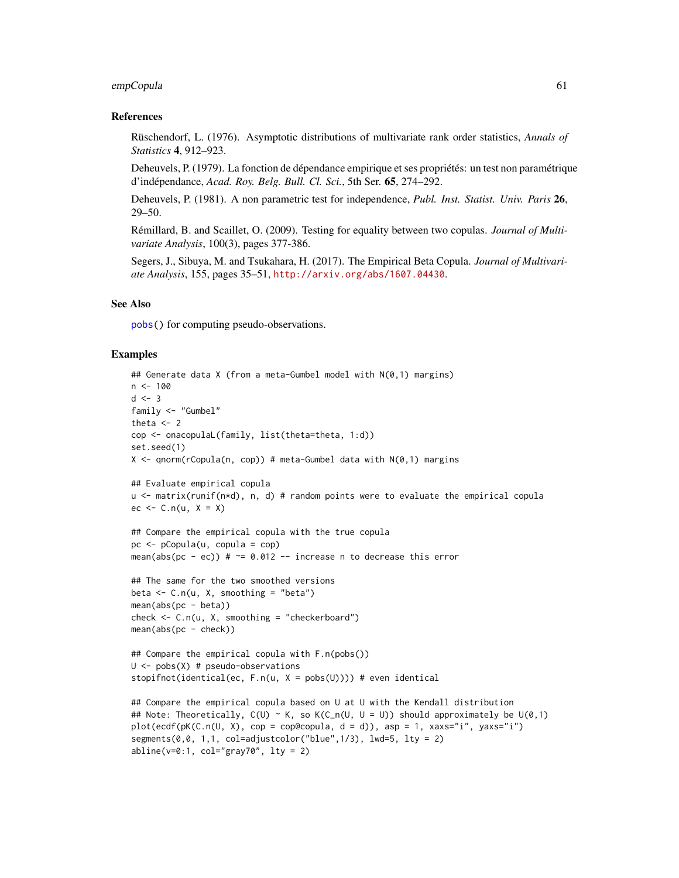## empCopula 61

## References

Rüschendorf, L. (1976). Asymptotic distributions of multivariate rank order statistics, *Annals of Statistics* 4, 912–923.

Deheuvels, P. (1979). La fonction de dépendance empirique et ses propriétés: un test non paramétrique d'indépendance, *Acad. Roy. Belg. Bull. Cl. Sci.*, 5th Ser. 65, 274–292.

Deheuvels, P. (1981). A non parametric test for independence, *Publ. Inst. Statist. Univ. Paris* 26, 29–50.

Rémillard, B. and Scaillet, O. (2009). Testing for equality between two copulas. *Journal of Multivariate Analysis*, 100(3), pages 377-386.

Segers, J., Sibuya, M. and Tsukahara, H. (2017). The Empirical Beta Copula. *Journal of Multivariate Analysis*, 155, pages 35–51, <http://arxiv.org/abs/1607.04430>.

#### See Also

[pobs\(](#page-167-0)) for computing pseudo-observations.

```
## Generate data X (from a meta-Gumbel model with N(0,1) margins)
n < -100d \le -3family <- "Gumbel"
theta \leq 2
cop <- onacopulaL(family, list(theta=theta, 1:d))
set.seed(1)
X \leq - qnorm(rCopula(n, cop)) # meta-Gumbel data with N(0,1) margins
## Evaluate empirical copula
u <- matrix(runif(n*d), n, d) # random points were to evaluate the empirical copula
ec \leq C.n(u, X = X)## Compare the empirical copula with the true copula
pc <- pCopula(u, copula = cop)
mean(abs(pc - ec)) # \approx 0.012 -- increase n to decrease this error
## The same for the two smoothed versions
beta \leq C.n(u, X, smoothing = "beta")mean(abs(pc - beta))check \leq C.n(u, X, smoothing = "checkerboard")mean(abs(pc - check))## Compare the empirical copula with F.n(pobs())
U \leftarrow \text{pobs}(X) # pseudo-observations
stopifnot(identical(ec, F.n(u, X = pobs(U)))) # even identical
## Compare the empirical copula based on U at U with the Kendall distribution
## Note: Theoretically, C(U) \sim K, so K(C_n(U, U = U)) should approximately be U(0, 1)plot(ecdf(pK(C.n(U, X), cop = cop@copula, d = d)), asp = 1, xaxs="i", yaxs="i")
segments(0, 0, 1, 1, col=adjustcolor("blue",1/3), lwd=5, lty = 2)
abline(v=0:1, col="gray70", lty = 2)
```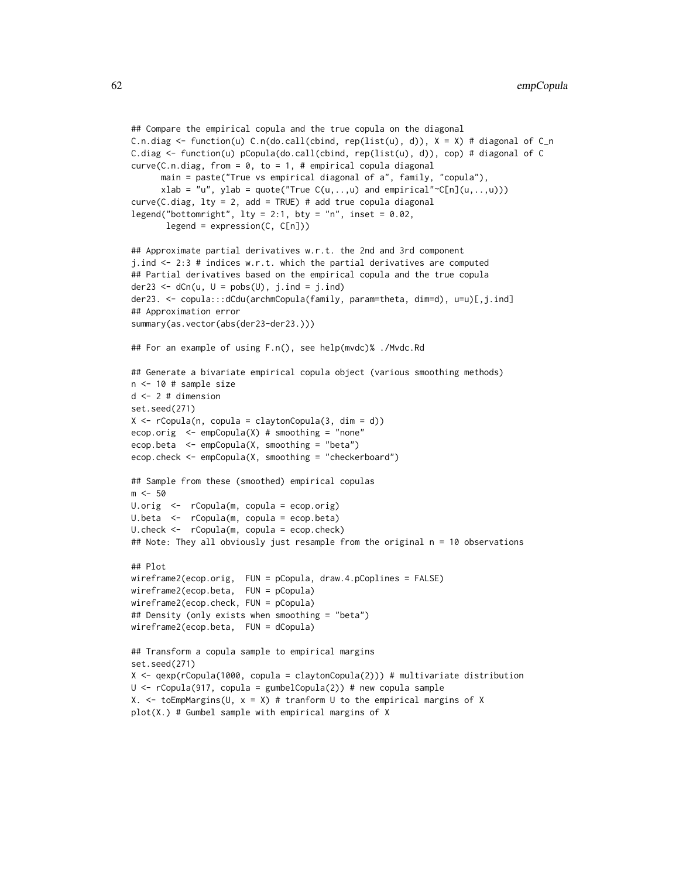```
## Compare the empirical copula and the true copula on the diagonal
C.n.diag \le function(u) C.n(do.call(cbind, rep(list(u), d)), X = X) # diagonal of C_n
C.diag \le function(u) pCopula(do.call(cbind, rep(list(u), d)), cop) # diagonal of C
curve(C.n.diag, from = 0, to = 1, # empirical copula diagonalmain = paste("True vs empirical diagonal of a", family, "copula"),
      xlab = "u", ylab = quote("True C(u, \ldots, u) and empirical"~C[n](u, \ldots, u)))
curve(C.diag, lty = 2, add = TRUE) # add true copula diagonal
legend("bottomright", lty = 2:1, bty = "n", inset = 0.02,
      legent = expression(C, C[n])## Approximate partial derivatives w.r.t. the 2nd and 3rd component
j.ind <- 2:3 # indices w.r.t. which the partial derivatives are computed
## Partial derivatives based on the empirical copula and the true copula
der23 <- dCn(u, U = pobs(U), j.int = j.int)der23. <- copula:::dCdu(archmCopula(family, param=theta, dim=d), u=u)[,j.ind]
## Approximation error
summary(as.vector(abs(der23-der23.)))
## For an example of using F.n(), see help(mvdc)% ./Mvdc.Rd
## Generate a bivariate empirical copula object (various smoothing methods)
n <- 10 # sample size
d <- 2 # dimension
set.seed(271)
X \leq rCopula(n, copula = claytonCopula(3, dim = d))
ecop.orig <- empCopula(X) # smoothing = "none"
ecop.beta <- empCopula(X, smoothing = "beta")
ecop.check <- empCopula(X, smoothing = "checkerboard")
## Sample from these (smoothed) empirical copulas
m < -50U.orig <- rCopula(m, copula = ecop.orig)
U.beta <- rCopula(m, copula = ecop.beta)
U.check <- rCopula(m, copula = ecop.check)
## Note: They all obviously just resample from the original n = 10 observations
## Plot
wireframe2(ecop.orig, FUN = pCopula, draw.4.pCoplines = FALSE)
wireframe2(ecop.beta, FUN = pCopula)
wireframe2(ecop.check, FUN = pCopula)
## Density (only exists when smoothing = "beta")
wireframe2(ecop.beta, FUN = dCopula)
## Transform a copula sample to empirical margins
set.seed(271)
X <- qexp(rCopula(1000, copula = claytonCopula(2))) # multivariate distribution
U \leq rCopula(917, copula = gumbelCopula(2)) # new copula sample
X. \le to EmpMargins(U, x = X) # tranform U to the empirical margins of X
plot(X.) # Gumbel sample with empirical margins of X
```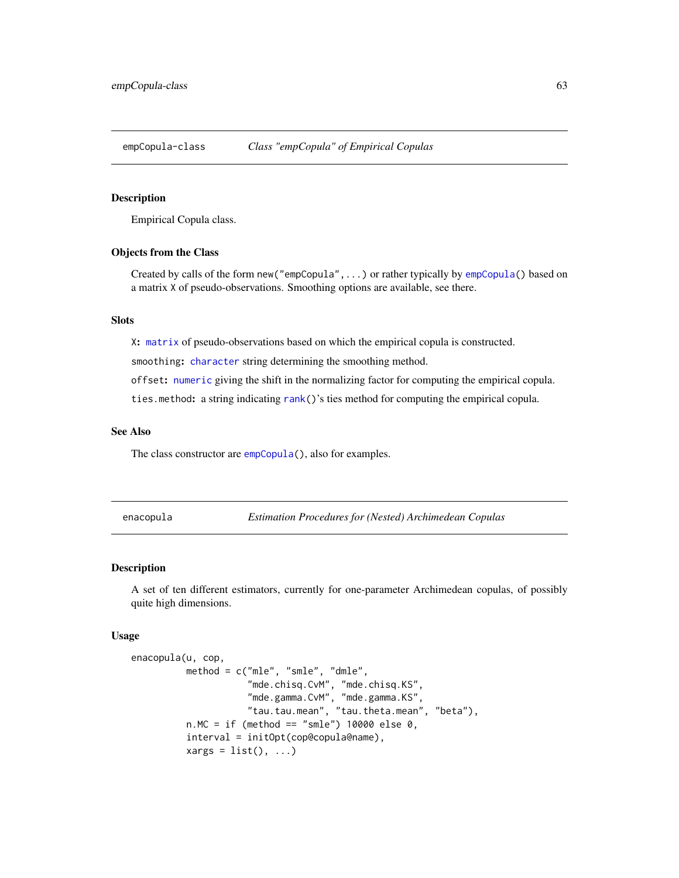<span id="page-62-1"></span>empCopula-class *Class "empCopula" of Empirical Copulas*

## **Description**

Empirical Copula class.

# Objects from the Class

Created by calls of the form new("empCopula",...) or rather typically by [empCopula\(](#page-58-0)) based on a matrix X of pseudo-observations. Smoothing options are available, see there.

# Slots

X: [matrix](#page-0-0) of pseudo-observations based on which the empirical copula is constructed.

smoothing: [character](#page-0-0) string determining the smoothing method.

offset: [numeric](#page-0-0) giving the shift in the normalizing factor for computing the empirical copula.

ties.method: a string indicating [rank\(](#page-0-0))'s ties method for computing the empirical copula.

## See Also

The class constructor are [empCopula\(](#page-58-0)), also for examples.

<span id="page-62-0"></span>enacopula *Estimation Procedures for (Nested) Archimedean Copulas*

# Description

A set of ten different estimators, currently for one-parameter Archimedean copulas, of possibly quite high dimensions.

## Usage

```
enacopula(u, cop,
          method = c("mle", "smle", "dmle",
                     "mde.chisq.CvM", "mde.chisq.KS",
                     "mde.gamma.CvM", "mde.gamma.KS",
                     "tau.tau.mean", "tau.theta.mean", "beta"),
          n.MC = if (method == "smle") 10000 else 0,interval = initOpt(cop@copula@name),
          xargs = list(), ...)
```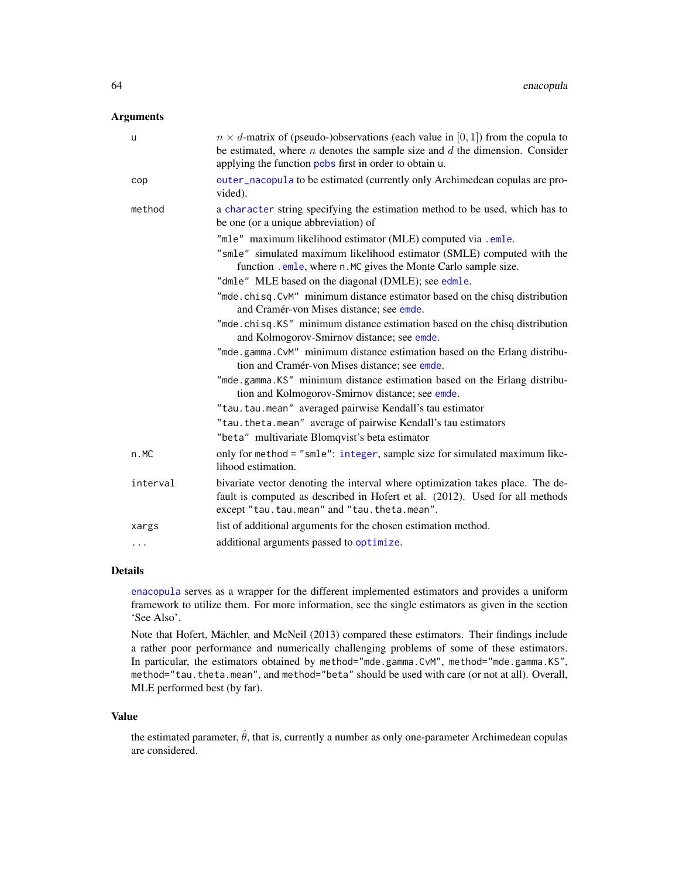# Arguments

| u        | $n \times d$ -matrix of (pseudo-)observations (each value in [0, 1]) from the copula to<br>be estimated, where $n$ denotes the sample size and $d$ the dimension. Consider                                    |
|----------|---------------------------------------------------------------------------------------------------------------------------------------------------------------------------------------------------------------|
|          | applying the function pobs first in order to obtain u.                                                                                                                                                        |
| cop      | outer_nacopula to be estimated (currently only Archimedean copulas are pro-<br>vided).                                                                                                                        |
| method   | a character string specifying the estimation method to be used, which has to<br>be one (or a unique abbreviation) of                                                                                          |
|          | "mle" maximum likelihood estimator (MLE) computed via .emle.                                                                                                                                                  |
|          | "smle" simulated maximum likelihood estimator (SMLE) computed with the<br>function . emle, where n. MC gives the Monte Carlo sample size.                                                                     |
|          | "dmle" MLE based on the diagonal (DMLE); see edmle.                                                                                                                                                           |
|          | "mde.chisq.CvM" minimum distance estimator based on the chisq distribution<br>and Cramér-von Mises distance; see emde.                                                                                        |
|          | "mde.chisq.KS" minimum distance estimation based on the chisq distribution<br>and Kolmogorov-Smirnov distance; see emde.                                                                                      |
|          | "mde.gamma.CvM" minimum distance estimation based on the Erlang distribu-<br>tion and Cramér-von Mises distance; see emde.                                                                                    |
|          | "mde.gamma.KS" minimum distance estimation based on the Erlang distribu-<br>tion and Kolmogorov-Smirnov distance; see emde.                                                                                   |
|          | "tau.tau.mean" averaged pairwise Kendall's tau estimator                                                                                                                                                      |
|          | "tau.theta.mean" average of pairwise Kendall's tau estimators                                                                                                                                                 |
|          | "beta" multivariate Blomqvist's beta estimator                                                                                                                                                                |
| n.MC     | only for method = "smle": integer, sample size for simulated maximum like-<br>lihood estimation.                                                                                                              |
| interval | bivariate vector denoting the interval where optimization takes place. The de-<br>fault is computed as described in Hofert et al. (2012). Used for all methods<br>except "tau.tau.mean" and "tau.theta.mean". |
| xargs    | list of additional arguments for the chosen estimation method.                                                                                                                                                |
| .        | additional arguments passed to optimize.                                                                                                                                                                      |

## Details

[enacopula](#page-62-0) serves as a wrapper for the different implemented estimators and provides a uniform framework to utilize them. For more information, see the single estimators as given in the section 'See Also'.

Note that Hofert, Mächler, and McNeil (2013) compared these estimators. Their findings include a rather poor performance and numerically challenging problems of some of these estimators. In particular, the estimators obtained by method="mde.gamma.CvM", method="mde.gamma.KS", method="tau.theta.mean", and method="beta" should be used with care (or not at all). Overall, MLE performed best (by far).

## Value

the estimated parameter,  $\hat{\theta}$ , that is, currently a number as only one-parameter Archimedean copulas are considered.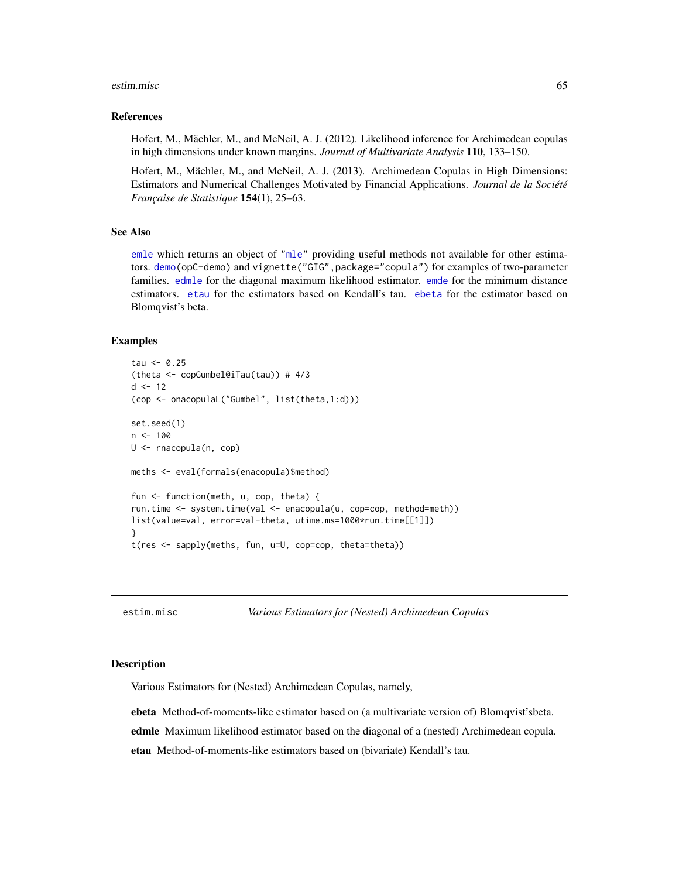#### estim.misc 65

## References

Hofert, M., Mächler, M., and McNeil, A. J. (2012). Likelihood inference for Archimedean copulas in high dimensions under known margins. *Journal of Multivariate Analysis* 110, 133–150.

Hofert, M., Mächler, M., and McNeil, A. J. (2013). Archimedean Copulas in High Dimensions: Estimators and Numerical Challenges Motivated by Financial Applications. *Journal de la Société Française de Statistique* 154(1), 25–63.

# See Also

[emle](#page-55-1) which returns an object of ["mle"](#page-0-0) providing useful methods not available for other estimators. [demo\(](#page-0-0)opC-demo) and vignette("GIG",package="copula") for examples of two-parameter families. [edmle](#page-64-0) for the diagonal maximum likelihood estimator. [emde](#page-53-0) for the minimum distance estimators. [etau](#page-64-0) for the estimators based on Kendall's tau. [ebeta](#page-64-0) for the estimator based on Blomqvist's beta.

## Examples

```
tau < -0.25(theta <- copGumbel@iTau(tau)) # 4/3
d \le -12(cop <- onacopulaL("Gumbel", list(theta,1:d)))
set.seed(1)
n < -100U <- rnacopula(n, cop)
meths <- eval(formals(enacopula)$method)
fun <- function(meth, u, cop, theta) {
run.time <- system.time(val <- enacopula(u, cop=cop, method=meth))
list(value=val, error=val-theta, utime.ms=1000*run.time[[1]])
}
t(res <- sapply(meths, fun, u=U, cop=cop, theta=theta))
```
estim.misc *Various Estimators for (Nested) Archimedean Copulas*

#### <span id="page-64-0"></span>Description

Various Estimators for (Nested) Archimedean Copulas, namely,

ebeta Method-of-moments-like estimator based on (a multivariate version of) Blomqvist'sbeta. edmle Maximum likelihood estimator based on the diagonal of a (nested) Archimedean copula. etau Method-of-moments-like estimators based on (bivariate) Kendall's tau.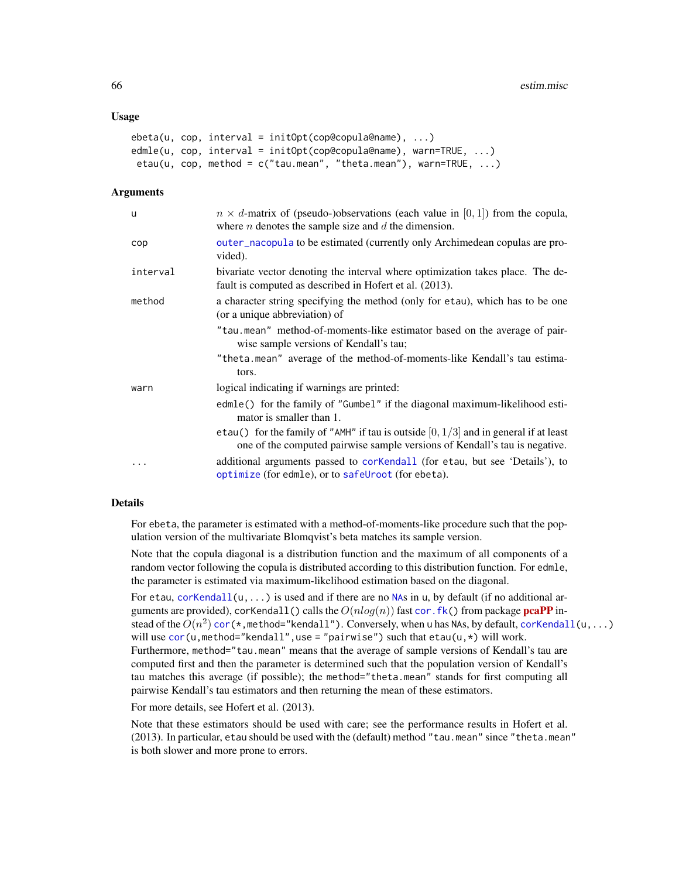## Usage

```
ebeta(u, cop, interval = initOpt(cop@copula@name), ...)edmle(u, cop, interval = initOpt(cop@copula@name), warn=TRUE, ...)
etau(u, cop, method = c("tau.mean", "theta.mean"), warn=TRUE, ...)
```
#### Arguments

| u        | $n \times d$ -matrix of (pseudo-)observations (each value in [0, 1]) from the copula,<br>where $n$ denotes the sample size and $d$ the dimension.                    |
|----------|----------------------------------------------------------------------------------------------------------------------------------------------------------------------|
| cop      | outer_nacopula to be estimated (currently only Archimedean copulas are pro-<br>vided).                                                                               |
| interval | bivariate vector denoting the interval where optimization takes place. The de-<br>fault is computed as described in Hofert et al. (2013).                            |
| method   | a character string specifying the method (only for etau), which has to be one<br>(or a unique abbreviation) of                                                       |
|          | "tau.mean" method-of-moments-like estimator based on the average of pair-<br>wise sample versions of Kendall's tau;                                                  |
|          | "theta.mean" average of the method-of-moments-like Kendall's tau estima-<br>tors.                                                                                    |
| warn     | logical indicating if warnings are printed:                                                                                                                          |
|          | edmle() for the family of "Gumbel" if the diagonal maximum-likelihood esti-<br>mator is smaller than 1.                                                              |
|          | etau() for the family of "AMH" if tau is outside $[0, 1/3]$ and in general if at least<br>one of the computed pairwise sample versions of Kendall's tau is negative. |
|          | additional arguments passed to corKendall (for etau, but see 'Details'), to<br>optimize (for edmle), or to safeUroot (for ebeta).                                    |

## Details

For ebeta, the parameter is estimated with a method-of-moments-like procedure such that the population version of the multivariate Blomqvist's beta matches its sample version.

Note that the copula diagonal is a distribution function and the maximum of all components of a random vector following the copula is distributed according to this distribution function. For edmle, the parameter is estimated via maximum-likelihood estimation based on the diagonal.

For etau, corKendall $(u, \ldots)$  is used and if there are no [NA](#page-0-0)s in u, by default (if no additional arguments are provided), corKendall() calls the  $O(nlog(n))$  fast cor. fk() from package [pcaPP](https://CRAN.R-project.org/package=pcaPP) instead of the  $O(n^2)$  cor (\*,method="kendall"). Conversely, when u has NAs, by default, [corKendall\(](#page-46-0)u, . . . ) will use  $cor(u, \text{method="k>kendall", use = "pairwise") such that  $etau(u, *)$  will work.$  $cor(u, \text{method="k>kendall", use = "pairwise") such that  $etau(u, *)$  will work.$ Furthermore, method="tau.mean" means that the average of sample versions of Kendall's tau are computed first and then the parameter is determined such that the population version of Kendall's tau matches this average (if possible); the method="theta.mean" stands for first computing all pairwise Kendall's tau estimators and then returning the mean of these estimators.

For more details, see Hofert et al. (2013).

Note that these estimators should be used with care; see the performance results in Hofert et al. (2013). In particular, etau should be used with the (default) method "tau.mean" since "theta.mean" is both slower and more prone to errors.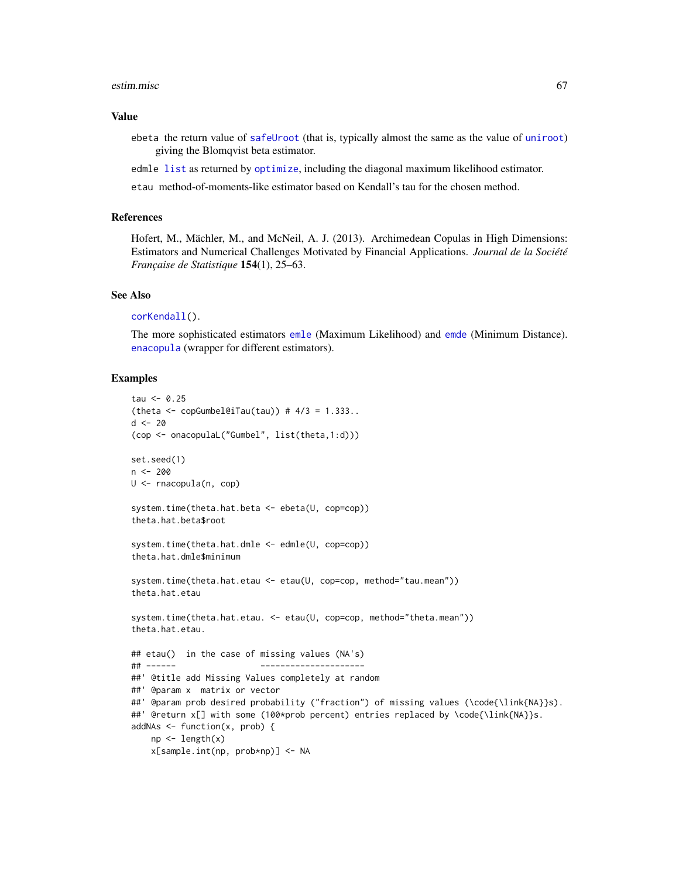#### estim.misc 67

#### Value

ebeta the return value of [safeUroot](#page-194-0) (that is, typically almost the same as the value of [uniroot](#page-0-0)) giving the Blomqvist beta estimator.

edmle [list](#page-0-0) as returned by [optimize](#page-0-0), including the diagonal maximum likelihood estimator.

etau method-of-moments-like estimator based on Kendall's tau for the chosen method.

## References

Hofert, M., Mächler, M., and McNeil, A. J. (2013). Archimedean Copulas in High Dimensions: Estimators and Numerical Challenges Motivated by Financial Applications. *Journal de la Société Française de Statistique* 154(1), 25–63.

#### See Also

```
corKendall().
```
The more sophisticated estimators [emle](#page-55-1) (Maximum Likelihood) and [emde](#page-53-0) (Minimum Distance). [enacopula](#page-62-0) (wrapper for different estimators).

```
tau < -0.25(theta \leq copGumbel@iTau(tau)) # 4/3 = 1.333..
d \le -20(cop <- onacopulaL("Gumbel", list(theta,1:d)))
set.seed(1)
n <- 200
U <- rnacopula(n, cop)
system.time(theta.hat.beta <- ebeta(U, cop=cop))
theta.hat.beta$root
system.time(theta.hat.dmle <- edmle(U, cop=cop))
theta.hat.dmle$minimum
system.time(theta.hat.etau <- etau(U, cop=cop, method="tau.mean"))
theta.hat.etau
system.time(theta.hat.etau. <- etau(U, cop=cop, method="theta.mean"))
theta.hat.etau.
## etau() in the case of missing values (NA's)
## ------ ---------------------
##' @title add Missing Values completely at random
##' @param x matrix or vector
##' @param prob desired probability ("fraction") of missing values (\code{\link{NA}}s).
##' @return x[] with some (100*prob percent) entries replaced by \code{\link{NA}}s.
addNAs \leq function(x, prob) {
   np <- length(x)
   x[sample.int(np, prob*np)] <- NA
```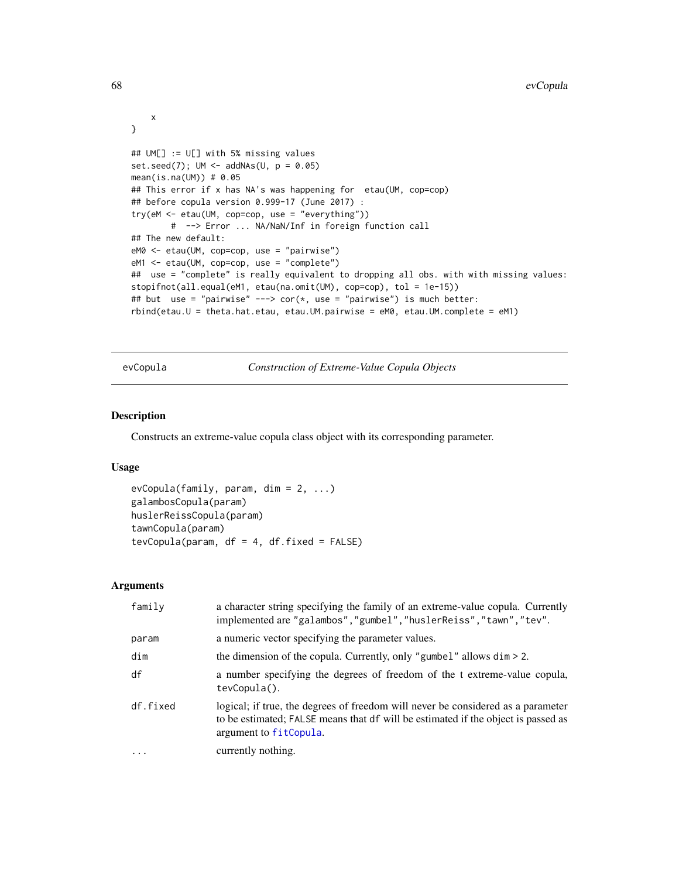```
x
}
## UM[] := U[] with 5% missing values
set.seed(7); UM \leftarrow addNAs(U, p = 0.05)mean(is.na(UM)) # 0.05## This error if x has NA's was happening for etau(UM, cop=cop)
## before copula version 0.999-17 (June 2017) :
try(eM <- etau(UM, cop=cop, use = "everything"))
        # --> Error ... NA/NaN/Inf in foreign function call
## The new default:
eM0 <- etau(UM, cop=cop, use = "pairwise")
eM1 <- etau(UM, cop=cop, use = "complete")
## use = "complete" is really equivalent to dropping all obs. with with missing values:
stopifnot(all.equal(eM1, etau(na.omit(UM), cop=cop), tol = 1e-15))
## but use = "pairwise" ---> cor(*, use = "pairwise") is much better:
rbind(etau.U = theta.hat.etau, etau.UM.pairwise = eM0, etau.UM.complete = eM1)
```
<span id="page-67-0"></span>evCopula *Construction of Extreme-Value Copula Objects*

## <span id="page-67-1"></span>Description

Constructs an extreme-value copula class object with its corresponding parameter.

## Usage

 $evCopula(family, param, dim = 2, ...)$ galambosCopula(param) huslerReissCopula(param) tawnCopula(param) tevCopula(param,  $df = 4$ ,  $df.fixed = FALSE$ )

## Arguments

| family   | a character string specifying the family of an extreme-value copula. Currently<br>implemented are "galambos", "gumbel", "huslerReiss", "tawn", "tev".                                           |
|----------|-------------------------------------------------------------------------------------------------------------------------------------------------------------------------------------------------|
| param    | a numeric vector specifying the parameter values.                                                                                                                                               |
| dim      | the dimension of the copula. Currently, only "gumbel" allows $\dim$ > 2.                                                                                                                        |
| df       | a number specifying the degrees of freedom of the t extreme-value copula,<br>tevCopula().                                                                                                       |
| df.fixed | logical; if true, the degrees of freedom will never be considered as a parameter<br>to be estimated; FALSE means that df will be estimated if the object is passed as<br>argument to fitCopula. |
| $\cdot$  | currently nothing.                                                                                                                                                                              |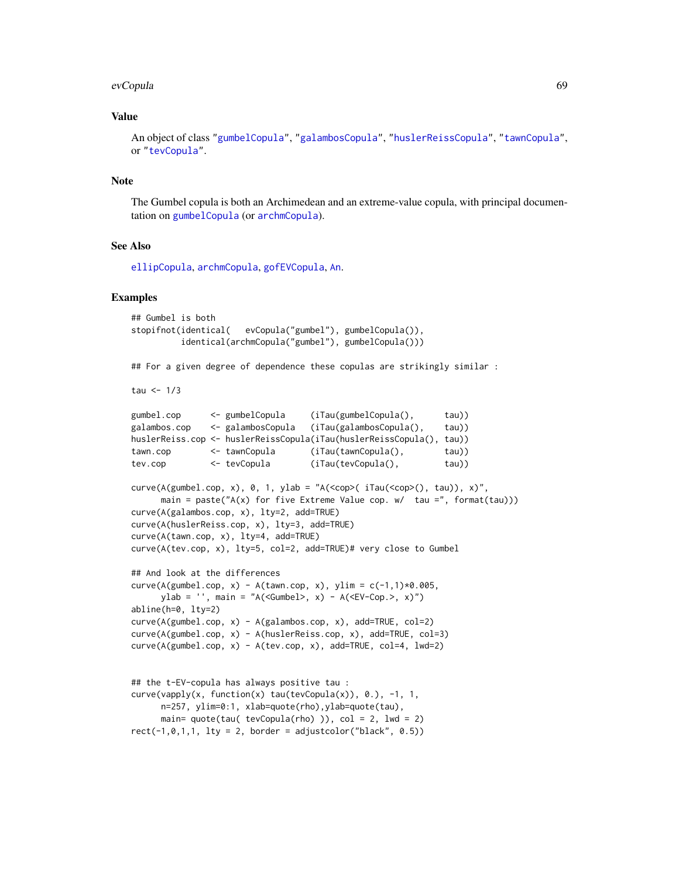#### evCopula 69

## Value

An object of class ["gumbelCopula"](#page-23-1), ["galambosCopula"](#page-69-1), ["huslerReissCopula"](#page-69-1), ["tawnCopula"](#page-69-1), or ["tevCopula"](#page-69-1).

## **Note**

The Gumbel copula is both an Archimedean and an extreme-value copula, with principal documentation on [gumbelCopula](#page-21-1) (or [archmCopula](#page-21-0)).

## See Also

[ellipCopula](#page-50-0), [archmCopula](#page-21-0), [gofEVCopula](#page-107-0), [An](#page-19-0).

#### Examples

```
## Gumbel is both
stopifnot(identical( evCopula("gumbel"), gumbelCopula()),
          identical(archmCopula("gumbel"), gumbelCopula()))
```
## For a given degree of dependence these copulas are strikingly similar :

tau  $<-1/3$ 

```
gumbel.cop <- gumbelCopula (iTau(gumbelCopula(), tau))
galambos.cop <- galambosCopula (iTau(galambosCopula(), tau))
huslerReiss.cop <- huslerReissCopula(iTau(huslerReissCopula(), tau))
tawn.cop <- tawnCopula (iTau(tawnCopula(), tau))
tev.cop <- tevCopula (iTau(tevCopula(), tau))
```

```
curve(A(gumbel.cop, x), 0, 1, ylab = "A(<cop>(iTau(<cop>(), tau)), x)",
     main = paste("A(x) for five Extreme Value cop. w/ tau =", format(tau)))
curve(A(galambos.cop, x), lty=2, add=TRUE)
curve(A(huslerReiss.cop, x), lty=3, add=TRUE)
curve(A(tawn.cop, x), lty=4, add=TRUE)
curve(A(tev.cop, x), lty=5, col=2, add=TRUE)# very close to Gumbel
## And look at the differences
curve(A(gumbel.cop, x) - A(tawn.cop, x), ylim = c(-1,1)*0.005,
     ylab = '', main = "A(<Gumbel>, x) - A(<EV-Cop.>, x)")
abline(h=0, lty=2)
curve(A(gumbel.cop, x) - A(galambos.cop, x), add=TRUE, col=2)
curve(A(gumbel.cop, x) - A(huslerReiss.cop, x), add=TRUE, col=3)
curve(A(gumbel.cop, x) - A(tev.cop, x), add=TRUE, col=4, lwd=2)
```

```
## the t-EV-copula has always positive tau :
curve(vapply(x, function(x) tau(tevCopula(x)), 0.), -1, 1,
     n=257, ylim=0:1, xlab=quote(rho),ylab=quote(tau),
     main= quote(tau(tevCopula(rho)), col = 2, lwd = 2)rect(-1, 0, 1, 1, 1ty = 2, border = adjustment("black", 0.5))
```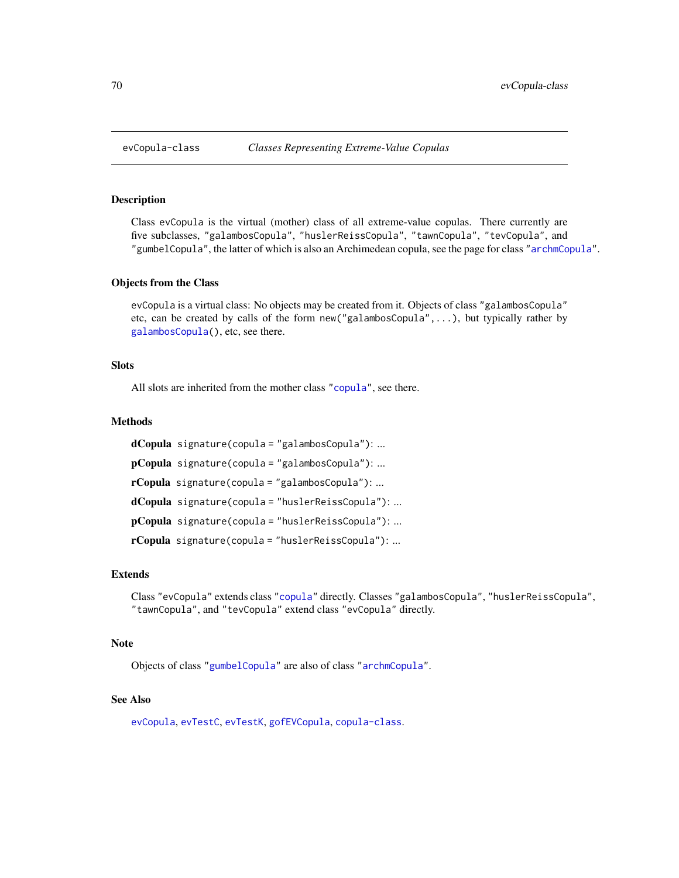<span id="page-69-0"></span>

## <span id="page-69-1"></span>**Description**

Class evCopula is the virtual (mother) class of all extreme-value copulas. There currently are five subclasses, "galambosCopula", "huslerReissCopula", "tawnCopula", "tevCopula", and "gumbelCopula", the latter of which is also an Archimedean copula, see the page for class ["archmCopula"](#page-23-0).

#### Objects from the Class

evCopula is a virtual class: No objects may be created from it. Objects of class "galambosCopula" etc, can be created by calls of the form new("galambosCopula",...), but typically rather by [galambosCopula\(](#page-67-1)), etc, see there.

## **Slots**

All slots are inherited from the mother class ["copula"](#page-44-1), see there.

#### Methods

```
dCopula signature(copula = "galambosCopula"): ...
pCopula signature(copula = "galambosCopula"): ...
rCopula signature(copula = "galambosCopula"): ...
dCopula signature(copula = "huslerReissCopula"): ...
pCopula signature(copula = "huslerReissCopula"): ...
rCopula signature(copula = "huslerReissCopula"): ...
```
# Extends

Class "evCopula" extends class ["copula"](#page-44-1) directly. Classes "galambosCopula", "huslerReissCopula", "tawnCopula", and "tevCopula" extend class "evCopula" directly.

## Note

Objects of class ["gumbelCopula"](#page-23-1) are also of class ["archmCopula"](#page-23-0).

## See Also

[evCopula](#page-67-0), [evTestC](#page-71-0), [evTestK](#page-73-0), [gofEVCopula](#page-107-0), [copula-class](#page-44-1).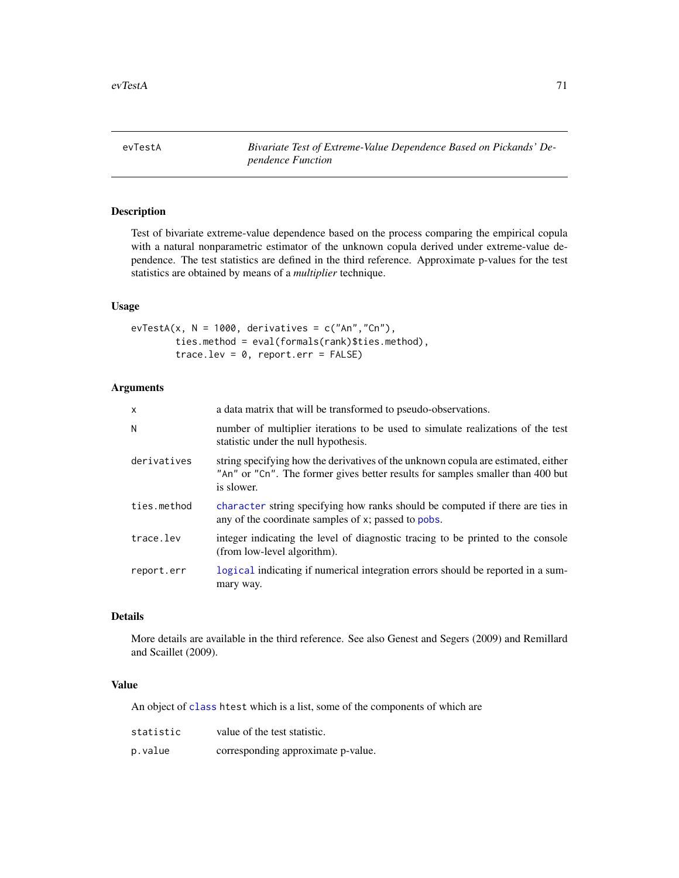evTestA *Bivariate Test of Extreme-Value Dependence Based on Pickands' Dependence Function*

# Description

Test of bivariate extreme-value dependence based on the process comparing the empirical copula with a natural nonparametric estimator of the unknown copula derived under extreme-value dependence. The test statistics are defined in the third reference. Approximate p-values for the test statistics are obtained by means of a *multiplier* technique.

# Usage

```
evTestA(x, N = 1000, derivatives = c("An", "Cn"),
        ties.method = eval(formals(rank)$ties.method),
        trace.lev = 0, report.err = FALSE)
```
# Arguments

| $\mathsf{x}$ | a data matrix that will be transformed to pseudo-observations.                                                                                                                    |
|--------------|-----------------------------------------------------------------------------------------------------------------------------------------------------------------------------------|
| N            | number of multiplier iterations to be used to simulate realizations of the test<br>statistic under the null hypothesis.                                                           |
| derivatives  | string specifying how the derivatives of the unknown copula are estimated, either<br>"An" or "Cn". The former gives better results for samples smaller than 400 but<br>is slower. |
| ties.method  | character string specifying how ranks should be computed if there are ties in<br>any of the coordinate samples of x; passed to pobs.                                              |
| trace.lev    | integer indicating the level of diagnostic tracing to be printed to the console<br>(from low-level algorithm).                                                                    |
| report.err   | logical indicating if numerical integration errors should be reported in a sum-<br>mary way.                                                                                      |

# Details

More details are available in the third reference. See also Genest and Segers (2009) and Remillard and Scaillet (2009).

# Value

An object of [class](#page-0-0) htest which is a list, some of the components of which are

| statistic | value of the test statistic.       |
|-----------|------------------------------------|
| p.value   | corresponding approximate p-value. |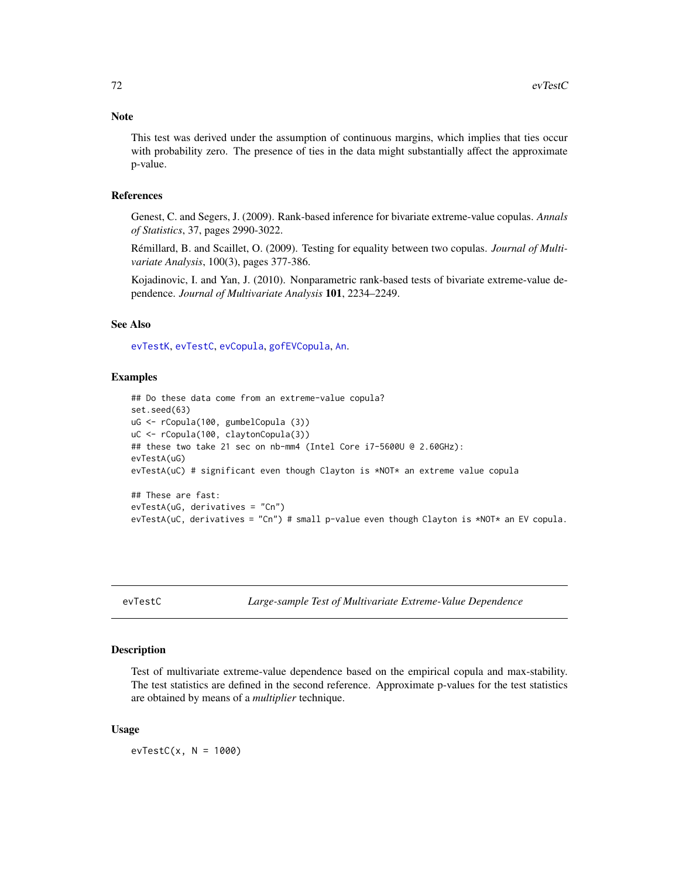## Note

This test was derived under the assumption of continuous margins, which implies that ties occur with probability zero. The presence of ties in the data might substantially affect the approximate p-value.

## References

Genest, C. and Segers, J. (2009). Rank-based inference for bivariate extreme-value copulas. *Annals of Statistics*, 37, pages 2990-3022.

Rémillard, B. and Scaillet, O. (2009). Testing for equality between two copulas. *Journal of Multivariate Analysis*, 100(3), pages 377-386.

Kojadinovic, I. and Yan, J. (2010). Nonparametric rank-based tests of bivariate extreme-value dependence. *Journal of Multivariate Analysis* 101, 2234–2249.

## See Also

[evTestK](#page-73-0), [evTestC](#page-71-0), [evCopula](#page-67-0), [gofEVCopula](#page-107-0), [An](#page-19-0).

#### Examples

```
## Do these data come from an extreme-value copula?
set.seed(63)
uG <- rCopula(100, gumbelCopula (3))
uC <- rCopula(100, claytonCopula(3))
## these two take 21 sec on nb-mm4 (Intel Core i7-5600U @ 2.60GHz):
evTestA(uG)
evTestA(uC) # significant even though Clayton is *NOT* an extreme value copula
## These are fast:
evTestA(uG, derivatives = "Cn")
evTestA(uC, derivatives = "Cn") # small p-value even though Clayton is *NOT* an EV copula.
```
<span id="page-71-0"></span>evTestC *Large-sample Test of Multivariate Extreme-Value Dependence*

## Description

Test of multivariate extreme-value dependence based on the empirical copula and max-stability. The test statistics are defined in the second reference. Approximate p-values for the test statistics are obtained by means of a *multiplier* technique.

#### Usage

 $evTestC(x, N = 1000)$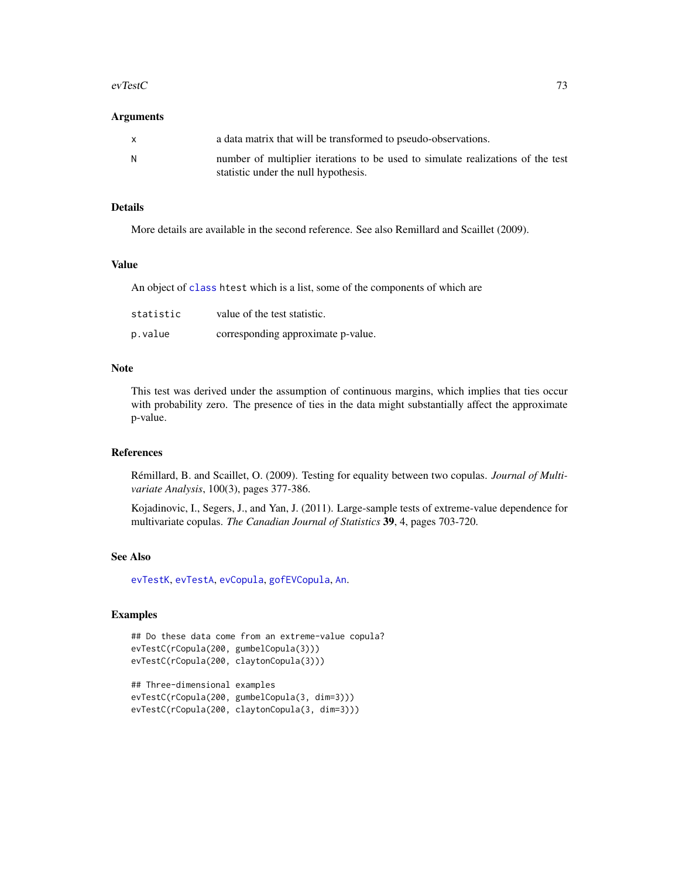#### evTestC 23

#### Arguments

| $\mathsf{x}$ | a data matrix that will be transformed to pseudo-observations.                  |
|--------------|---------------------------------------------------------------------------------|
| N.           | number of multiplier iterations to be used to simulate realizations of the test |
|              | statistic under the null hypothesis.                                            |

## Details

More details are available in the second reference. See also Remillard and Scaillet (2009).

## Value

An object of [class](#page-0-0) htest which is a list, some of the components of which are

| statistic | value of the test statistic.       |
|-----------|------------------------------------|
| p.value   | corresponding approximate p-value. |

#### Note

This test was derived under the assumption of continuous margins, which implies that ties occur with probability zero. The presence of ties in the data might substantially affect the approximate p-value.

#### References

Rémillard, B. and Scaillet, O. (2009). Testing for equality between two copulas. *Journal of Multivariate Analysis*, 100(3), pages 377-386.

Kojadinovic, I., Segers, J., and Yan, J. (2011). Large-sample tests of extreme-value dependence for multivariate copulas. *The Canadian Journal of Statistics* 39, 4, pages 703-720.

## See Also

[evTestK](#page-73-0), [evTestA](#page-70-0), [evCopula](#page-67-0), [gofEVCopula](#page-107-0), [An](#page-19-0).

```
## Do these data come from an extreme-value copula?
evTestC(rCopula(200, gumbelCopula(3)))
evTestC(rCopula(200, claytonCopula(3)))
```

```
## Three-dimensional examples
evTestC(rCopula(200, gumbelCopula(3, dim=3)))
evTestC(rCopula(200, claytonCopula(3, dim=3)))
```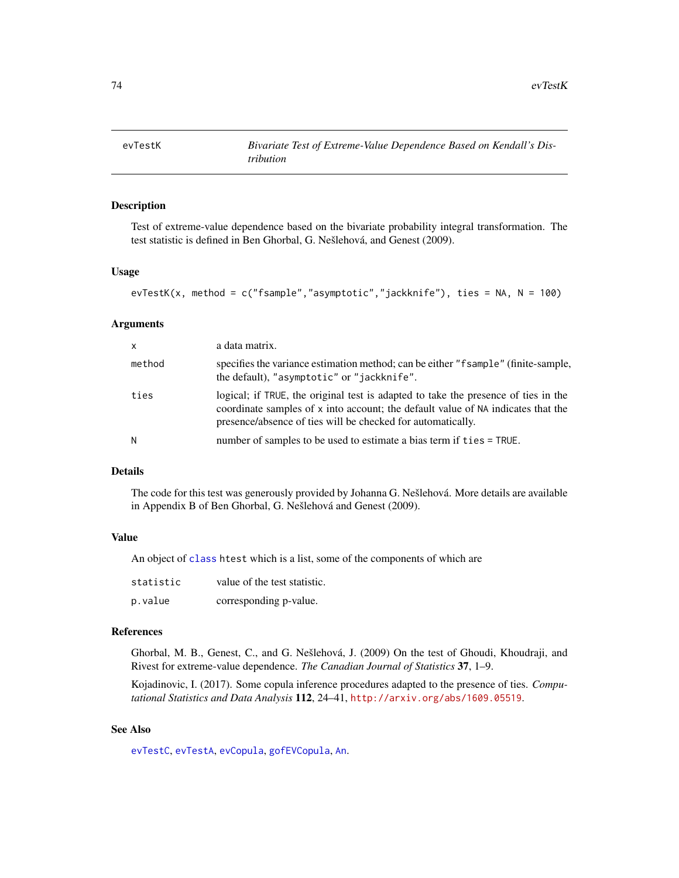<span id="page-73-0"></span>

#### Description

Test of extreme-value dependence based on the bivariate probability integral transformation. The test statistic is defined in Ben Ghorbal, G. Nešlehová, and Genest (2009).

#### Usage

```
evTestK(x, method = c("fsample","asymptotic","jackknife"), ties = NA, N = 100)
```
## Arguments

| $\mathsf{x}$ | a data matrix.                                                                                                                                                                                                                        |
|--------------|---------------------------------------------------------------------------------------------------------------------------------------------------------------------------------------------------------------------------------------|
| method       | specifies the variance estimation method; can be either "f sample" (finite-sample,<br>the default), "asymptotic" or "jackknife".                                                                                                      |
| ties         | logical; if TRUE, the original test is adapted to take the presence of ties in the<br>coordinate samples of x into account; the default value of NA indicates that the<br>presence/absence of ties will be checked for automatically. |
| N            | number of samples to be used to estimate a bias term if ties = TRUE.                                                                                                                                                                  |

#### Details

The code for this test was generously provided by Johanna G. Nešlehová. More details are available in Appendix B of Ben Ghorbal, G. Nešlehová and Genest (2009).

## Value

An object of [class](#page-0-0) htest which is a list, some of the components of which are

| statistic | value of the test statistic. |
|-----------|------------------------------|
| p.value   | corresponding p-value.       |

#### References

Ghorbal, M. B., Genest, C., and G. Nešlehová, J. (2009) On the test of Ghoudi, Khoudraji, and Rivest for extreme-value dependence. *The Canadian Journal of Statistics* 37, 1–9.

Kojadinovic, I. (2017). Some copula inference procedures adapted to the presence of ties. *Computational Statistics and Data Analysis* 112, 24–41, <http://arxiv.org/abs/1609.05519>.

## See Also

[evTestC](#page-71-0), [evTestA](#page-70-0), [evCopula](#page-67-0), [gofEVCopula](#page-107-0), [An](#page-19-0).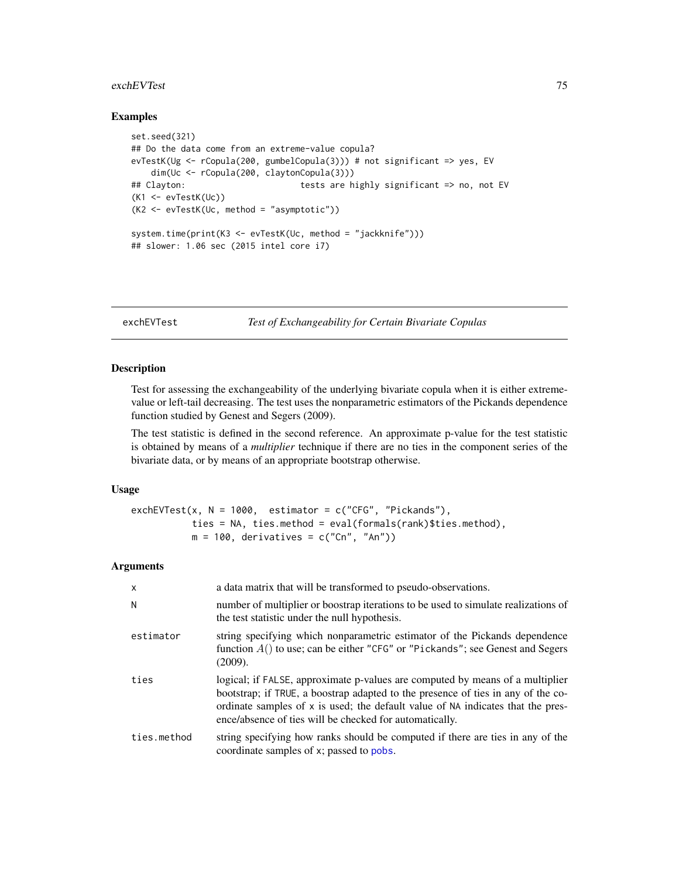#### exchEVTest 75

#### Examples

```
set.seed(321)
## Do the data come from an extreme-value copula?
evTestK(Ug <- rCopula(200, gumbelCopula(3))) # not significant => yes, EV
   dim(Uc <- rCopula(200, claytonCopula(3)))
## Clayton: tests are highly significant => no, not EV
(K1 <- evTestK(Uc))
(K2 <- evTestK(Uc, method = "asymptotic"))
system.time(print(K3 <- evTestK(Uc, method = "jackknife")))
## slower: 1.06 sec (2015 intel core i7)
```
<span id="page-74-0"></span>exchEVTest *Test of Exchangeability for Certain Bivariate Copulas*

## Description

Test for assessing the exchangeability of the underlying bivariate copula when it is either extremevalue or left-tail decreasing. The test uses the nonparametric estimators of the Pickands dependence function studied by Genest and Segers (2009).

The test statistic is defined in the second reference. An approximate p-value for the test statistic is obtained by means of a *multiplier* technique if there are no ties in the component series of the bivariate data, or by means of an appropriate bootstrap otherwise.

## Usage

```
exchEVTest(x, N = 1000, estimator = c("CFG", "Pickands"),
          ties = NA, ties.method = eval(formals(rank)$ties.method),
          m = 100, derivatives = c("Cn", "An")
```
## Arguments

| X           | a data matrix that will be transformed to pseudo-observations.                                                                                                                                                                                                                                                  |
|-------------|-----------------------------------------------------------------------------------------------------------------------------------------------------------------------------------------------------------------------------------------------------------------------------------------------------------------|
| N           | number of multiplier or boostrap iterations to be used to simulate realizations of<br>the test statistic under the null hypothesis.                                                                                                                                                                             |
| estimator   | string specifying which nonparametric estimator of the Pickands dependence<br>function $A()$ to use; can be either "CFG" or "Pickands"; see Genest and Segers<br>(2009).                                                                                                                                        |
| ties        | logical; if FALSE, approximate p-values are computed by means of a multiplier<br>bootstrap; if TRUE, a boostrap adapted to the presence of ties in any of the co-<br>ordinate samples of x is used; the default value of NA indicates that the pres-<br>ence/absence of ties will be checked for automatically. |
| ties.method | string specifying how ranks should be computed if there are ties in any of the<br>coordinate samples of x; passed to pobs.                                                                                                                                                                                      |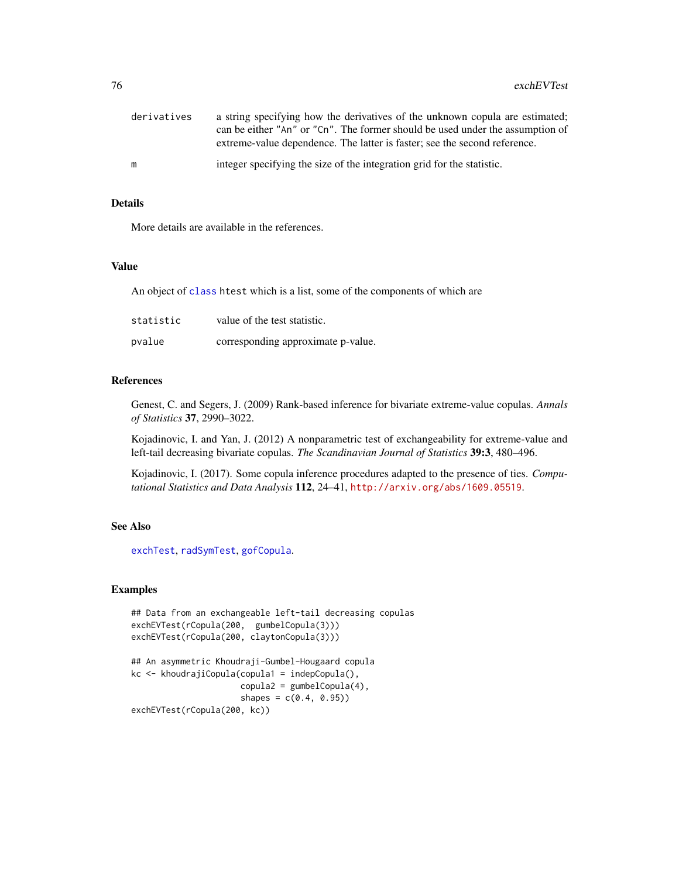| derivatives | a string specifying how the derivatives of the unknown copula are estimated;<br>can be either "An" or "Cn". The former should be used under the assumption of<br>extreme-value dependence. The latter is faster; see the second reference. |
|-------------|--------------------------------------------------------------------------------------------------------------------------------------------------------------------------------------------------------------------------------------------|
| m           | integer specifying the size of the integration grid for the statistic.                                                                                                                                                                     |

## Details

More details are available in the references.

#### Value

An object of [class](#page-0-0) htest which is a list, some of the components of which are

| statistic | value of the test statistic.       |
|-----------|------------------------------------|
| pvalue    | corresponding approximate p-value. |

#### References

Genest, C. and Segers, J. (2009) Rank-based inference for bivariate extreme-value copulas. *Annals of Statistics* 37, 2990–3022.

Kojadinovic, I. and Yan, J. (2012) A nonparametric test of exchangeability for extreme-value and left-tail decreasing bivariate copulas. *The Scandinavian Journal of Statistics* 39:3, 480–496.

Kojadinovic, I. (2017). Some copula inference procedures adapted to the presence of ties. *Computational Statistics and Data Analysis* 112, 24–41, <http://arxiv.org/abs/1609.05519>.

## See Also

[exchTest](#page-76-0), [radSymTest](#page-176-0), [gofCopula](#page-103-0).

```
## Data from an exchangeable left-tail decreasing copulas
exchEVTest(rCopula(200, gumbelCopula(3)))
exchEVTest(rCopula(200, claytonCopula(3)))
## An asymmetric Khoudraji-Gumbel-Hougaard copula
kc <- khoudrajiCopula(copula1 = indepCopula(),
                     copula2 = gumbelCopula(4),
                     shapes = c(0.4, 0.95)exchEVTest(rCopula(200, kc))
```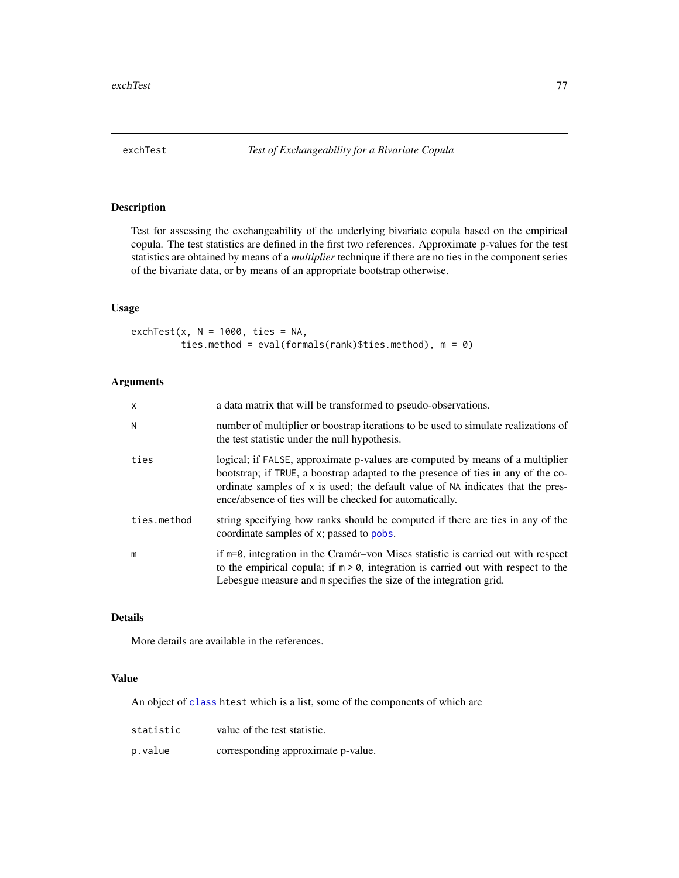## <span id="page-76-0"></span>Description

Test for assessing the exchangeability of the underlying bivariate copula based on the empirical copula. The test statistics are defined in the first two references. Approximate p-values for the test statistics are obtained by means of a *multiplier* technique if there are no ties in the component series of the bivariate data, or by means of an appropriate bootstrap otherwise.

## Usage

exchTest(x,  $N = 1000$ , ties = NA, ties.method = eval(formals(rank)\$ties.method), m = 0)

## Arguments

| $\mathsf{x}$ | a data matrix that will be transformed to pseudo-observations.                                                                                                                                                                                                                                                  |
|--------------|-----------------------------------------------------------------------------------------------------------------------------------------------------------------------------------------------------------------------------------------------------------------------------------------------------------------|
| N            | number of multiplier or boostrap iterations to be used to simulate realizations of<br>the test statistic under the null hypothesis.                                                                                                                                                                             |
| ties         | logical; if FALSE, approximate p-values are computed by means of a multiplier<br>bootstrap; if TRUE, a boostrap adapted to the presence of ties in any of the co-<br>ordinate samples of x is used; the default value of NA indicates that the pres-<br>ence/absence of ties will be checked for automatically. |
| ties.method  | string specifying how ranks should be computed if there are ties in any of the<br>coordinate samples of x; passed to pobs.                                                                                                                                                                                      |
| m            | if $m=0$ , integration in the Cramér-von Mises statistic is carried out with respect<br>to the empirical copula; if $m > 0$ , integration is carried out with respect to the<br>Lebesgue measure and m specifies the size of the integration grid.                                                              |

## Details

More details are available in the references.

## Value

An object of [class](#page-0-0) htest which is a list, some of the components of which are

| statistic | value of the test statistic.       |
|-----------|------------------------------------|
| p.value   | corresponding approximate p-value. |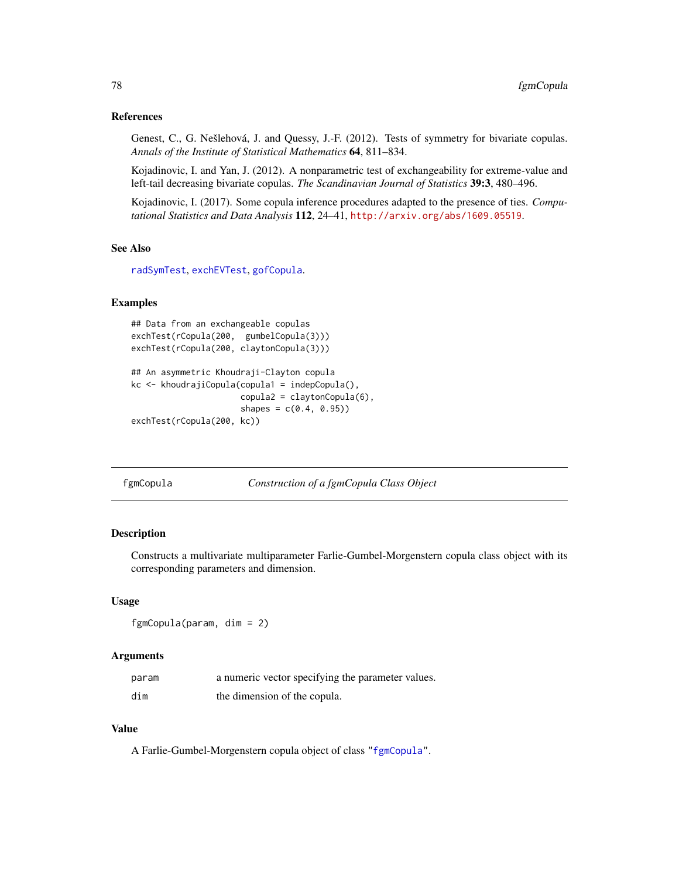## References

Genest, C., G. Nešlehová, J. and Quessy, J.-F. (2012). Tests of symmetry for bivariate copulas. *Annals of the Institute of Statistical Mathematics* 64, 811–834.

Kojadinovic, I. and Yan, J. (2012). A nonparametric test of exchangeability for extreme-value and left-tail decreasing bivariate copulas. *The Scandinavian Journal of Statistics* 39:3, 480–496.

Kojadinovic, I. (2017). Some copula inference procedures adapted to the presence of ties. *Computational Statistics and Data Analysis* 112, 24–41, <http://arxiv.org/abs/1609.05519>.

#### See Also

[radSymTest](#page-176-0), [exchEVTest](#page-74-0), [gofCopula](#page-103-0).

## Examples

```
## Data from an exchangeable copulas
exchTest(rCopula(200, gumbelCopula(3)))
exchTest(rCopula(200, claytonCopula(3)))
## An asymmetric Khoudraji-Clayton copula
kc <- khoudrajiCopula(copula1 = indepCopula(),
                     copula2 = claytonCopula(6),
                     shapes = c(0.4, 0.95)
```

```
exchTest(rCopula(200, kc))
```
<span id="page-77-0"></span>fgmCopula *Construction of a fgmCopula Class Object*

## Description

Constructs a multivariate multiparameter Farlie-Gumbel-Morgenstern copula class object with its corresponding parameters and dimension.

## Usage

```
fgmCopula(param, dim = 2)
```
#### **Arguments**

| param | a numeric vector specifying the parameter values. |
|-------|---------------------------------------------------|
| dim   | the dimension of the copula.                      |

#### Value

A Farlie-Gumbel-Morgenstern copula object of class ["fgmCopula"](#page-78-0).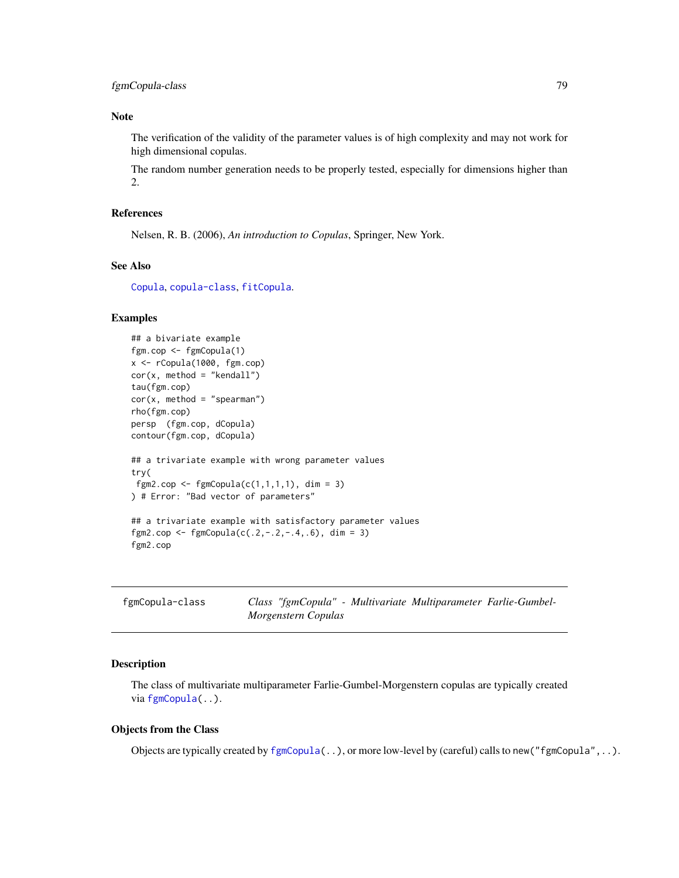# fgmCopula-class 79

## Note

The verification of the validity of the parameter values is of high complexity and may not work for high dimensional copulas.

The random number generation needs to be properly tested, especially for dimensions higher than 2.

## References

Nelsen, R. B. (2006), *An introduction to Copulas*, Springer, New York.

#### See Also

[Copula](#page-42-0), [copula-class](#page-44-0), [fitCopula](#page-81-0).

## Examples

```
## a bivariate example
fgm.cop <- fgmCopula(1)
x <- rCopula(1000, fgm.cop)
cor(x, method = "kendall")tau(fgm.cop)
cor(x, method = "spearman")rho(fgm.cop)
persp (fgm.cop, dCopula)
contour(fgm.cop, dCopula)
## a trivariate example with wrong parameter values
try(
fgm2.cop <- fgmCopula(c(1,1,1,1), dim = 3)
) # Error: "Bad vector of parameters"
## a trivariate example with satisfactory parameter values
fgm2.cop <- fgmCopula(c(.2, -.2, -.4, .6), dim = 3)
fgm2.cop
```
<span id="page-78-0"></span>

| fgmCopula-class |                     |  | Class "fgmCopula" - Multivariate Multiparameter Farlie-Gumbel- |  |
|-----------------|---------------------|--|----------------------------------------------------------------|--|
|                 | Morgenstern Copulas |  |                                                                |  |

## Description

The class of multivariate multiparameter Farlie-Gumbel-Morgenstern copulas are typically created via [fgmCopula\(](#page-77-0)..).

## Objects from the Class

Objects are typically created by  $fgmCopula(..)$  $fgmCopula(..)$ , or more low-level by (careful) calls to new(" $fgmCopula",..)$ .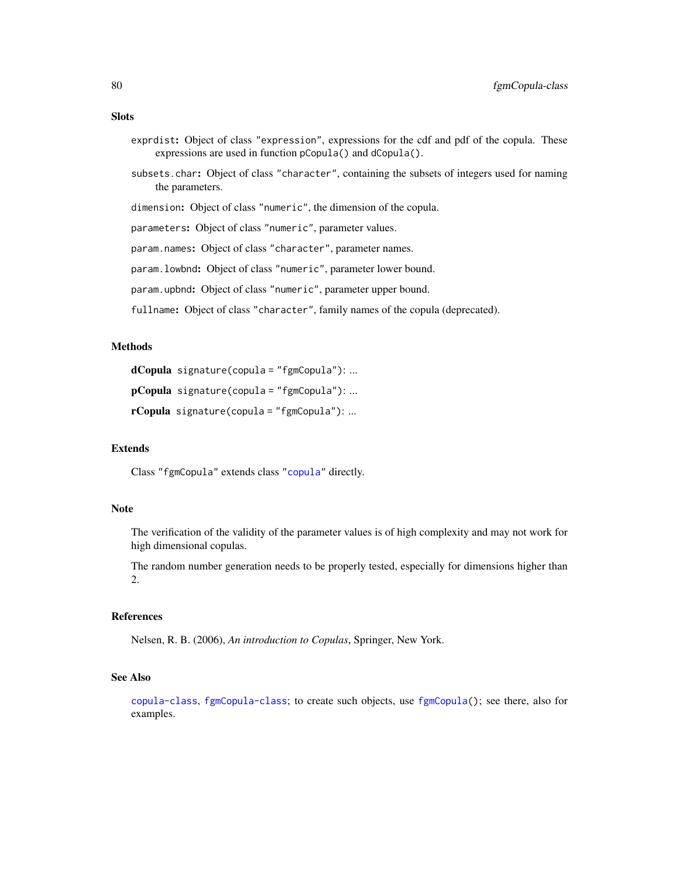## **Slots**

- exprdist: Object of class "expression", expressions for the cdf and pdf of the copula. These expressions are used in function pCopula() and dCopula().
- subsets.char: Object of class "character", containing the subsets of integers used for naming the parameters.

dimension: Object of class "numeric", the dimension of the copula.

parameters: Object of class "numeric", parameter values.

param.names: Object of class "character", parameter names.

param.lowbnd: Object of class "numeric", parameter lower bound.

param.upbnd: Object of class "numeric", parameter upper bound.

fullname: Object of class "character", family names of the copula (deprecated).

## Methods

```
dCopula signature(copula = "fgmCopula"): ...
```

```
pCopula signature(copula = "fgmCopula"): ...
```

```
rCopula signature(copula = "fgmCopula"): ...
```
## Extends

Class "fgmCopula" extends class ["copula"](#page-44-0) directly.

#### Note

The verification of the validity of the parameter values is of high complexity and may not work for high dimensional copulas.

The random number generation needs to be properly tested, especially for dimensions higher than 2.

## References

Nelsen, R. B. (2006), *An introduction to Copulas*, Springer, New York.

## See Also

[copula-class](#page-44-0), [fgmCopula-class](#page-78-0); to create such objects, use [fgmCopula\(](#page-77-0)); see there, also for examples.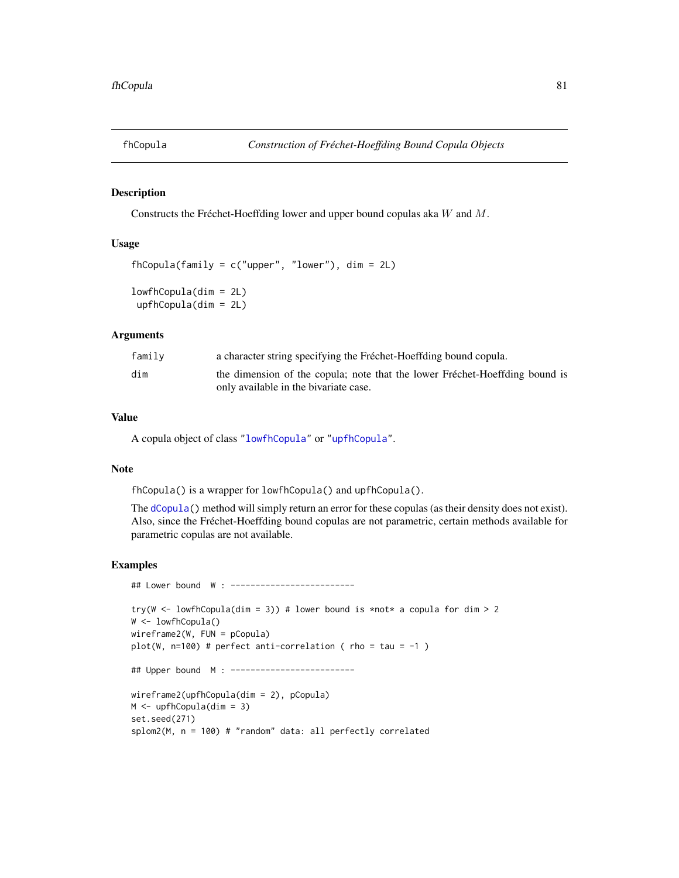<span id="page-80-0"></span>

## Description

Constructs the Fréchet-Hoeffding lower and upper bound copulas aka W and M.

# Usage

```
fhCopula(family = c("upper", "lower"), dim = 2L)lowfhCopula(dim = 2L)
upfhCopula(dim = 2L)
```
## Arguments

| family | a character string specifying the Fréchet-Hoeffding bound copula.                                                    |
|--------|----------------------------------------------------------------------------------------------------------------------|
| dim    | the dimension of the copula; note that the lower Fréchet-Hoeffding bound is<br>only available in the bivariate case. |

## Value

A copula object of class ["lowfhCopula"](#page-81-1) or ["upfhCopula"](#page-81-1).

## Note

fhCopula() is a wrapper for lowfhCopula() and upfhCopula().

The [dCopula\(](#page-42-1)) method will simply return an error for these copulas (as their density does not exist). Also, since the Fréchet-Hoeffding bound copulas are not parametric, certain methods available for parametric copulas are not available.

```
## Lower bound W : -------------------------
try(W <- lowfhCopula(dim = 3)) # lower bound is *not* a copula for dim > 2
W <- lowfhCopula()
wireframe2(W, FUN = pCopula)
plot(W, n=100) # perfect anti-correlation ( rho = tau = -1 )
## Upper bound M : -------------------------
wireframe2(upfhCopula(dim = 2), pCopula)
M <- upfhCopula(dim = 3)
set.seed(271)
splom2(M, n = 100) # "random" data: all perfectly correlated
```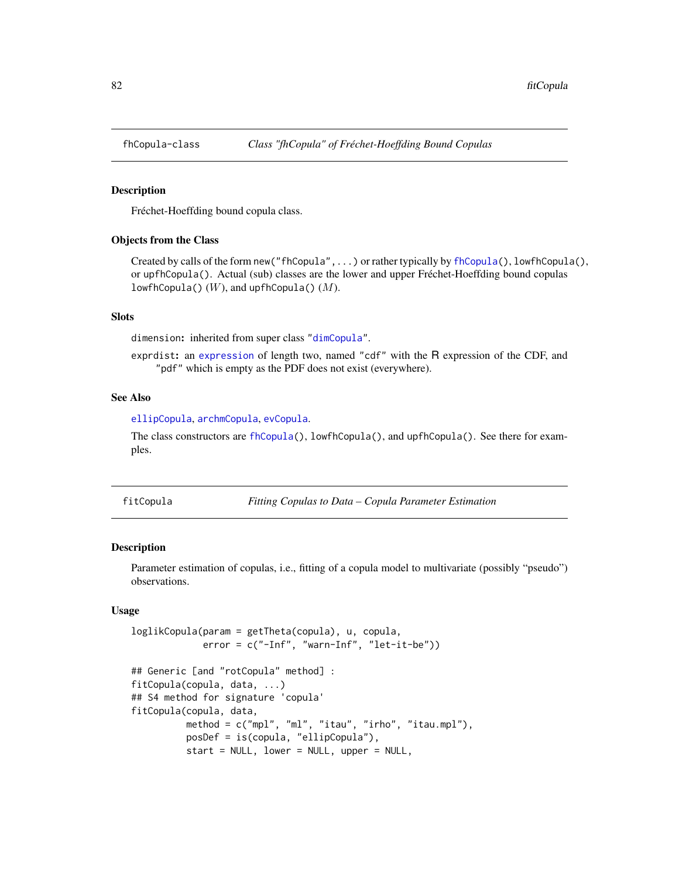## <span id="page-81-1"></span>**Description**

Fréchet-Hoeffding bound copula class.

#### Objects from the Class

Created by calls of the form new("fhCopula",...) or rather typically by [fhCopula\(](#page-80-0)), lowfhCopula(), or upfhCopula(). Actual (sub) classes are the lower and upper Fréchet-Hoeffding bound copulas lowfhCopula()  $(W)$ , and upfhCopula()  $(M)$ .

## Slots

dimension: inherited from super class ["dimCopula"](#page-44-1).

exprdist: an [expression](#page-0-0) of length two, named "cdf" with the R expression of the CDF, and "pdf" which is empty as the PDF does not exist (everywhere).

#### See Also

[ellipCopula](#page-50-0), [archmCopula](#page-21-0), [evCopula](#page-67-0).

The class constructors are [fhCopula\(](#page-80-0)), lowfhCopula(), and upfhCopula(). See there for examples.

<span id="page-81-0"></span>fitCopula *Fitting Copulas to Data – Copula Parameter Estimation*

## <span id="page-81-2"></span>Description

Parameter estimation of copulas, i.e., fitting of a copula model to multivariate (possibly "pseudo") observations.

## Usage

```
loglikCopula(param = getTheta(copula), u, copula,
            error = c("-Inf", "warn-Inf", "let-it-be"))
## Generic [and "rotCopula" method] :
fitCopula(copula, data, ...)
## S4 method for signature 'copula'
fitCopula(copula, data,
         method = c("mpl", "ml", "itau", "irho", "itau.mpl"),
         posDef = is(copula, "ellipCopula"),
         start = NULL, lower = NULL, upper = NULL,
```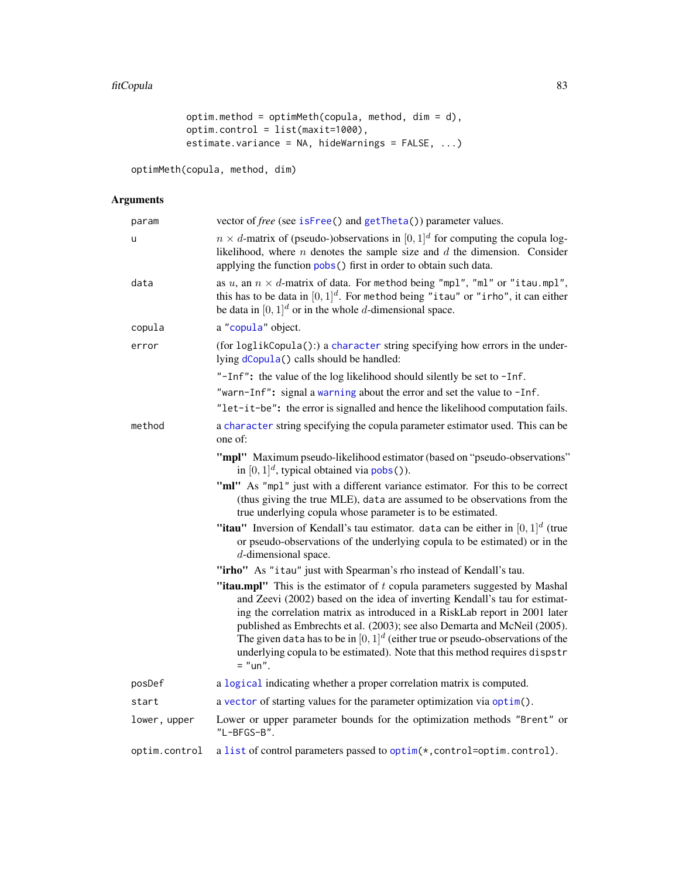```
optim.method = optimMeth(copula, method, dim = d),
optim.control = list(maxit=1000),
estimate.variance = NA, hideWarnings = FALSE, ...)
```
optimMeth(copula, method, dim)

# Arguments

| param         | vector of free (see isFree() and getTheta()) parameter values.                                                                                                                                                                                                                                                                                                                                                                                                                                         |
|---------------|--------------------------------------------------------------------------------------------------------------------------------------------------------------------------------------------------------------------------------------------------------------------------------------------------------------------------------------------------------------------------------------------------------------------------------------------------------------------------------------------------------|
| u             | $n \times d$ -matrix of (pseudo-)observations in [0, 1] <sup>d</sup> for computing the copula log-<br>likelihood, where $n$ denotes the sample size and $d$ the dimension. Consider<br>applying the function pobs() first in order to obtain such data.                                                                                                                                                                                                                                                |
| data          | as u, an $n \times d$ -matrix of data. For method being "mpl", "ml" or "itau.mpl",<br>this has to be data in $[0,1]^d$ . For method being "it au" or "irho", it can either<br>be data in $[0, 1]^d$ or in the whole d-dimensional space.                                                                                                                                                                                                                                                               |
| copula        | a "copula" object.                                                                                                                                                                                                                                                                                                                                                                                                                                                                                     |
| error         | (for loglikCopula():) a character string specifying how errors in the under-<br>lying dCopula() calls should be handled:                                                                                                                                                                                                                                                                                                                                                                               |
|               | "-Inf": the value of the log likelihood should silently be set to -Inf.                                                                                                                                                                                                                                                                                                                                                                                                                                |
|               | "warn-Inf": signal a warning about the error and set the value to -Inf.                                                                                                                                                                                                                                                                                                                                                                                                                                |
|               | "let-it-be": the error is signalled and hence the likelihood computation fails.                                                                                                                                                                                                                                                                                                                                                                                                                        |
| method        | a character string specifying the copula parameter estimator used. This can be<br>one of:                                                                                                                                                                                                                                                                                                                                                                                                              |
|               | "mpl" Maximum pseudo-likelihood estimator (based on "pseudo-observations"<br>in $[0, 1]^d$ , typical obtained via pobs()).                                                                                                                                                                                                                                                                                                                                                                             |
|               | "ml" As "mpl" just with a different variance estimator. For this to be correct<br>(thus giving the true MLE), data are assumed to be observations from the<br>true underlying copula whose parameter is to be estimated.                                                                                                                                                                                                                                                                               |
|               | "itau" Inversion of Kendall's tau estimator. data can be either in $[0, 1]^d$ (true<br>or pseudo-observations of the underlying copula to be estimated) or in the<br>$d$ -dimensional space.                                                                                                                                                                                                                                                                                                           |
|               | "irho" As "itau" just with Spearman's rho instead of Kendall's tau.                                                                                                                                                                                                                                                                                                                                                                                                                                    |
|               | "itau.mpl" This is the estimator of $t$ copula parameters suggested by Mashal<br>and Zeevi (2002) based on the idea of inverting Kendall's tau for estimat-<br>ing the correlation matrix as introduced in a RiskLab report in 2001 later<br>published as Embrechts et al. (2003); see also Demarta and McNeil (2005).<br>The given data has to be in $[0, 1]^d$ (either true or pseudo-observations of the<br>underlying copula to be estimated). Note that this method requires dispstr<br>$=$ "un". |
| posDef        | a logical indicating whether a proper correlation matrix is computed.                                                                                                                                                                                                                                                                                                                                                                                                                                  |
| start         | a vector of starting values for the parameter optimization via optim().                                                                                                                                                                                                                                                                                                                                                                                                                                |
| lower, upper  | Lower or upper parameter bounds for the optimization methods "Brent" or<br>"L-BFGS-B".                                                                                                                                                                                                                                                                                                                                                                                                                 |
| optim.control | a list of control parameters passed to optim(*, control=optim.control).                                                                                                                                                                                                                                                                                                                                                                                                                                |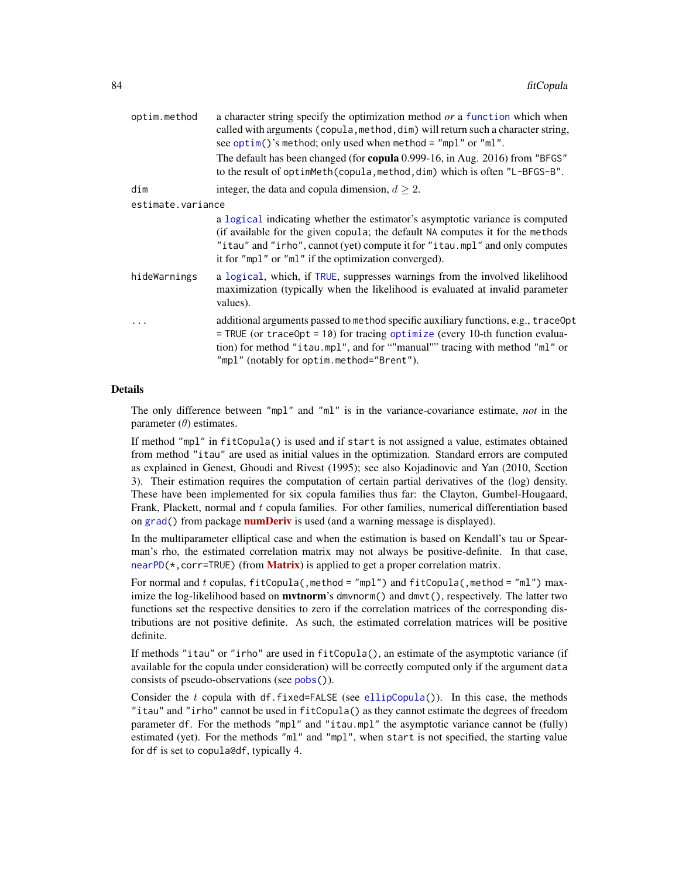| optim.method      | a character string specify the optimization method or a function which when<br>called with arguments (copula, method, dim) will return such a character string,<br>see optim()'s method; only used when method = "mpl" or "ml".                                                                       |  |
|-------------------|-------------------------------------------------------------------------------------------------------------------------------------------------------------------------------------------------------------------------------------------------------------------------------------------------------|--|
|                   | The default has been changed (for copula 0.999-16, in Aug. 2016) from "BFGS"<br>to the result of optimMeth(copula, method, dim) which is often "L-BFGS-B".                                                                                                                                            |  |
| dim               | integer, the data and copula dimension, $d \geq 2$ .                                                                                                                                                                                                                                                  |  |
| estimate.variance |                                                                                                                                                                                                                                                                                                       |  |
|                   | a logical indicating whether the estimator's asymptotic variance is computed<br>(if available for the given copula; the default NA computes it for the methods<br>"itau" and "irho", cannot (yet) compute it for "itau.mpl" and only computes<br>it for "mp1" or "m1" if the optimization converged). |  |
| hideWarnings      | a logical, which, if TRUE, suppresses warnings from the involved likelihood<br>maximization (typically when the likelihood is evaluated at invalid parameter<br>values).                                                                                                                              |  |
| .                 | additional arguments passed to method specific auxiliary functions, e.g., traceOpt<br>$=$ TRUE (or traceOpt = 10) for tracing optimize (every 10-th function evalua-<br>tion) for method "itau.mpl", and for ""manual"" tracing with method "ml" or<br>"mpl" (notably for optim.method="Brent").      |  |

## Details

The only difference between "mpl" and "ml" is in the variance-covariance estimate, *not* in the parameter  $(\theta)$  estimates.

If method "mpl" in fitCopula() is used and if start is not assigned a value, estimates obtained from method "itau" are used as initial values in the optimization. Standard errors are computed as explained in Genest, Ghoudi and Rivest (1995); see also Kojadinovic and Yan (2010, Section 3). Their estimation requires the computation of certain partial derivatives of the (log) density. These have been implemented for six copula families thus far: the Clayton, Gumbel-Hougaard, Frank, Plackett, normal and t copula families. For other families, numerical differentiation based on [grad\(](#page-0-0)) from package **[numDeriv](https://CRAN.R-project.org/package=numDeriv)** is used (and a warning message is displayed).

In the multiparameter elliptical case and when the estimation is based on Kendall's tau or Spearman's rho, the estimated correlation matrix may not always be positive-definite. In that case, [nearPD\(](#page-0-0) $\star$ , corr=TRUE) (from **[Matrix](https://CRAN.R-project.org/package=Matrix)**) is applied to get a proper correlation matrix.

For normal and t copulas,  $fitCopula($ , method = "mpl") and  $fitCopula($ , method = "ml") maximize the log-likelihood based on  $m$ vtnorm's dmvnorm() and dmvt(), respectively. The latter two functions set the respective densities to zero if the correlation matrices of the corresponding distributions are not positive definite. As such, the estimated correlation matrices will be positive definite.

If methods "itau" or "irho" are used in fitCopula(), an estimate of the asymptotic variance (if available for the copula under consideration) will be correctly computed only if the argument data consists of pseudo-observations (see [pobs\(](#page-167-0))).

Consider the t copula with df.fixed=FALSE (see [ellipCopula\(](#page-50-0))). In this case, the methods "itau" and "irho" cannot be used in fitCopula() as they cannot estimate the degrees of freedom parameter df. For the methods "mpl" and "itau.mpl" the asymptotic variance cannot be (fully) estimated (yet). For the methods "ml" and "mpl", when start is not specified, the starting value for df is set to copula@df, typically 4.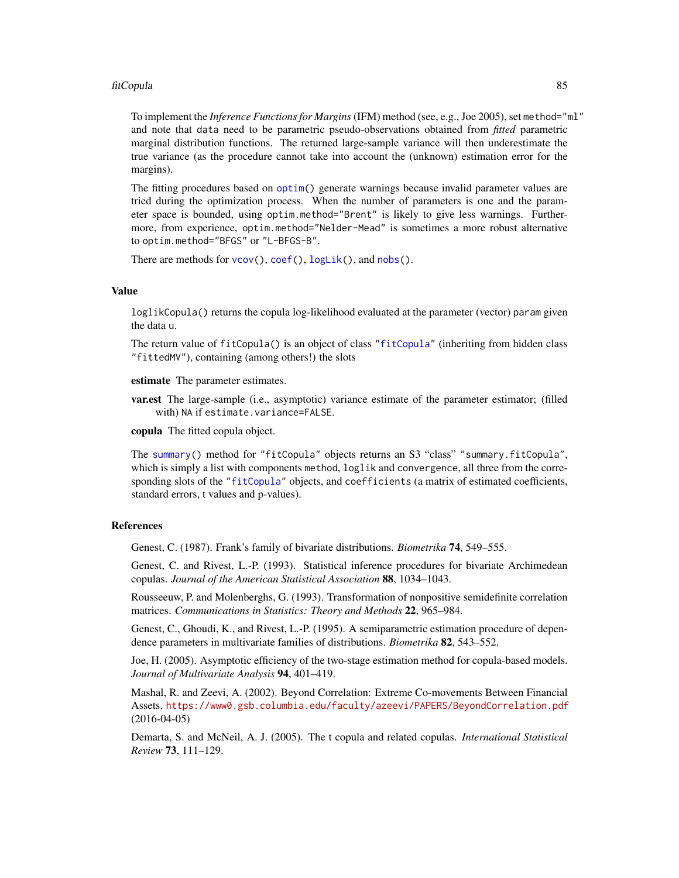#### fitCopula 85

To implement the *Inference Functions for Margins*(IFM) method (see, e.g., Joe 2005), set method="ml" and note that data need to be parametric pseudo-observations obtained from *fitted* parametric marginal distribution functions. The returned large-sample variance will then underestimate the true variance (as the procedure cannot take into account the (unknown) estimation error for the margins).

The fitting procedures based on [optim\(](#page-0-0)) generate warnings because invalid parameter values are tried during the optimization process. When the number of parameters is one and the parameter space is bounded, using optim.method="Brent" is likely to give less warnings. Furthermore, from experience, optim.method="Nelder-Mead" is sometimes a more robust alternative to optim.method="BFGS" or "L-BFGS-B".

There are methods for [vcov\(](#page-0-0)), [coef\(](#page-0-0)), [logLik\(](#page-0-0)), and [nobs\(](#page-0-0)).

#### Value

loglikCopula() returns the copula log-likelihood evaluated at the parameter (vector) param given the data u.

The return value of fitCopula() is an object of class ["fitCopula"](#page-87-0) (inheriting from hidden class "fittedMV"), containing (among others!) the slots

estimate The parameter estimates.

var.est The large-sample (i.e., asymptotic) variance estimate of the parameter estimator; (filled with) NA if estimate.variance=FALSE.

copula The fitted copula object.

The [summary\(](#page-0-0)) method for "fitCopula" objects returns an S3 "class" "summary.fitCopula", which is simply a list with components method, loglik and convergence, all three from the corresponding slots of the ["fitCopula"](#page-87-0) objects, and coefficients (a matrix of estimated coefficients, standard errors, t values and p-values).

#### References

Genest, C. (1987). Frank's family of bivariate distributions. *Biometrika* 74, 549–555.

Genest, C. and Rivest, L.-P. (1993). Statistical inference procedures for bivariate Archimedean copulas. *Journal of the American Statistical Association* 88, 1034–1043.

Rousseeuw, P. and Molenberghs, G. (1993). Transformation of nonpositive semidefinite correlation matrices. *Communications in Statistics: Theory and Methods* 22, 965–984.

Genest, C., Ghoudi, K., and Rivest, L.-P. (1995). A semiparametric estimation procedure of dependence parameters in multivariate families of distributions. *Biometrika* 82, 543–552.

Joe, H. (2005). Asymptotic efficiency of the two-stage estimation method for copula-based models. *Journal of Multivariate Analysis* 94, 401–419.

Mashal, R. and Zeevi, A. (2002). Beyond Correlation: Extreme Co-movements Between Financial Assets. <https://www0.gsb.columbia.edu/faculty/azeevi/PAPERS/BeyondCorrelation.pdf> (2016-04-05)

Demarta, S. and McNeil, A. J. (2005). The t copula and related copulas. *International Statistical Review* 73, 111–129.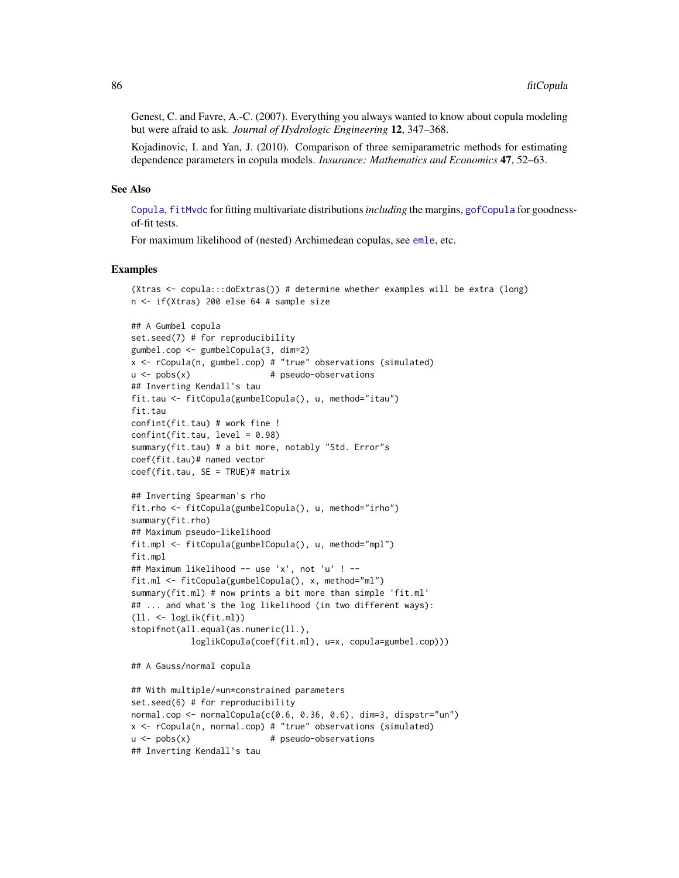Genest, C. and Favre, A.-C. (2007). Everything you always wanted to know about copula modeling but were afraid to ask. *Journal of Hydrologic Engineering* 12, 347–368.

Kojadinovic, I. and Yan, J. (2010). Comparison of three semiparametric methods for estimating dependence parameters in copula models. *Insurance: Mathematics and Economics* 47, 52–63.

#### See Also

[Copula](#page-42-0), [fitMvdc](#page-90-0) for fitting multivariate distributions*including* the margins, [gofCopula](#page-103-0) for goodnessof-fit tests.

For maximum likelihood of (nested) Archimedean copulas, see [emle](#page-55-0), etc.

```
(Xtras <- copula:::doExtras()) # determine whether examples will be extra (long)
n <- if(Xtras) 200 else 64 # sample size
```

```
## A Gumbel copula
set.seed(7) # for reproducibility
gumbel.cop <- gumbelCopula(3, dim=2)
x \le rCopula(n, gumbel.cop) # "true" observations (simulated)
u \le -\text{pobs}(x) # pseudo-observations
## Inverting Kendall's tau
fit.tau <- fitCopula(gumbelCopula(), u, method="itau")
fit.tau
confint(fit.tau) # work fine !
confint(fit.tau, level = 0.98)summary(fit.tau) # a bit more, notably "Std. Error"s
coef(fit.tau)# named vector
coef(fit.tau, SE = TRUE)# matrix
## Inverting Spearman's rho
fit.rho <- fitCopula(gumbelCopula(), u, method="irho")
summary(fit.rho)
## Maximum pseudo-likelihood
fit.mpl <- fitCopula(gumbelCopula(), u, method="mpl")
fit.mpl
## Maximum likelihood -- use 'x', not 'u' ! --
fit.ml <- fitCopula(gumbelCopula(), x, method="ml")
summary(fit.ml) # now prints a bit more than simple 'fit.ml'
## ... and what's the log likelihood (in two different ways):
(ll. <- logLik(fit.ml))
stopifnot(all.equal(as.numeric(ll.),
            loglikCopula(coef(fit.ml), u=x, copula=gumbel.cop)))
## A Gauss/normal copula
## With multiple/*un*constrained parameters
set.seed(6) # for reproducibility
normal.cop <- normalCopula(c(0.6, 0.36, 0.6), dim=3, dispstr="un")
x <- rCopula(n, normal.cop) # "true" observations (simulated)
u \leq -\text{pobs}(x) # pseudo-observations
## Inverting Kendall's tau
```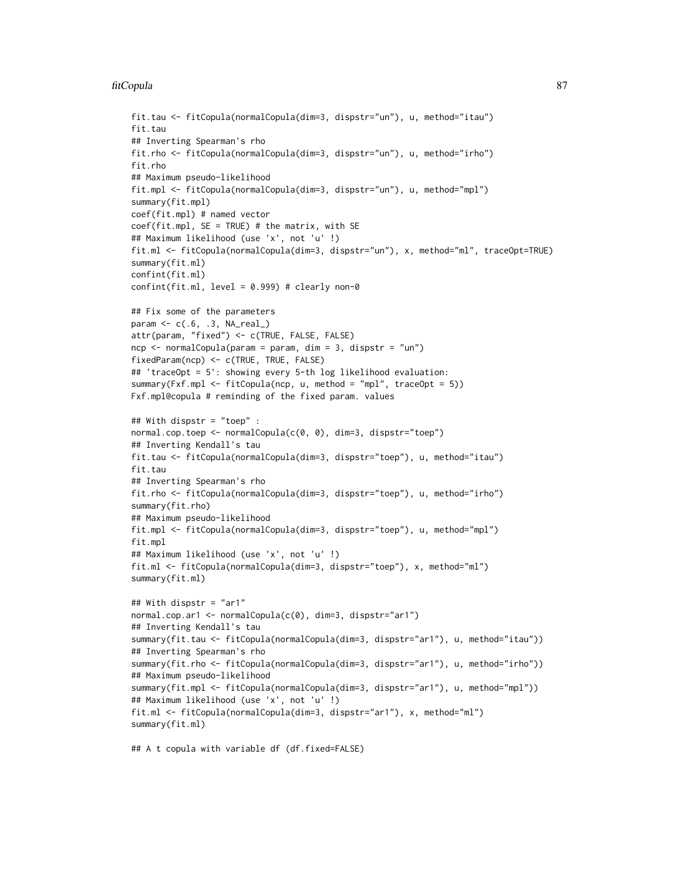#### fitCopula 87

```
fit.tau <- fitCopula(normalCopula(dim=3, dispstr="un"), u, method="itau")
fit.tau
## Inverting Spearman's rho
fit.rho <- fitCopula(normalCopula(dim=3, dispstr="un"), u, method="irho")
fit.rho
## Maximum pseudo-likelihood
fit.mpl <- fitCopula(normalCopula(dim=3, dispstr="un"), u, method="mpl")
summary(fit.mpl)
coef(fit.mpl) # named vector
coef(fit.mpl, SE = TRUE) # the matrix, with SE
## Maximum likelihood (use 'x', not 'u' !)
fit.ml <- fitCopula(normalCopula(dim=3, dispstr="un"), x, method="ml", traceOpt=TRUE)
summary(fit.ml)
confint(fit.ml)
confint(fit.m1, level = 0.999) # clearly non-0
## Fix some of the parameters
param <- c(.6, .3, NA_real_)
attr(param, "fixed") <- c(TRUE, FALSE, FALSE)
ncp \le - normalCopula(param = param, dim = 3, dispstr = "un")
fixedParam(ncp) <- c(TRUE, TRUE, FALSE)
## 'traceOpt = 5': showing every 5-th log likelihood evaluation:
summary(Fxf.mpl <- fitCopula(ncp, u, method = "mpl", traceOpt = 5))
Fxf.mpl@copula # reminding of the fixed param. values
## With dispstr = "toep" :
normal.cop.toep <- normalCopula(c(0, 0), dim=3, dispstr="toep")
## Inverting Kendall's tau
fit.tau <- fitCopula(normalCopula(dim=3, dispstr="toep"), u, method="itau")
fit.tau
## Inverting Spearman's rho
fit.rho <- fitCopula(normalCopula(dim=3, dispstr="toep"), u, method="irho")
summary(fit.rho)
## Maximum pseudo-likelihood
fit.mpl <- fitCopula(normalCopula(dim=3, dispstr="toep"), u, method="mpl")
fit.mpl
## Maximum likelihood (use 'x', not 'u' !)
fit.ml <- fitCopula(normalCopula(dim=3, dispstr="toep"), x, method="ml")
summary(fit.ml)
## With dispstr = "ar1"
normal.cop.ar1 <- normalCopula(c(0), dim=3, dispstr="ar1")
## Inverting Kendall's tau
summary(fit.tau <- fitCopula(normalCopula(dim=3, dispstr="ar1"), u, method="itau"))
## Inverting Spearman's rho
summary(fit.rho <- fitCopula(normalCopula(dim=3, dispstr="ar1"), u, method="irho"))
## Maximum pseudo-likelihood
summary(fit.mpl <- fitCopula(normalCopula(dim=3, dispstr="ar1"), u, method="mpl"))
## Maximum likelihood (use 'x', not 'u' !)
fit.ml <- fitCopula(normalCopula(dim=3, dispstr="ar1"), x, method="ml")
summary(fit.ml)
```
## A t copula with variable df (df.fixed=FALSE)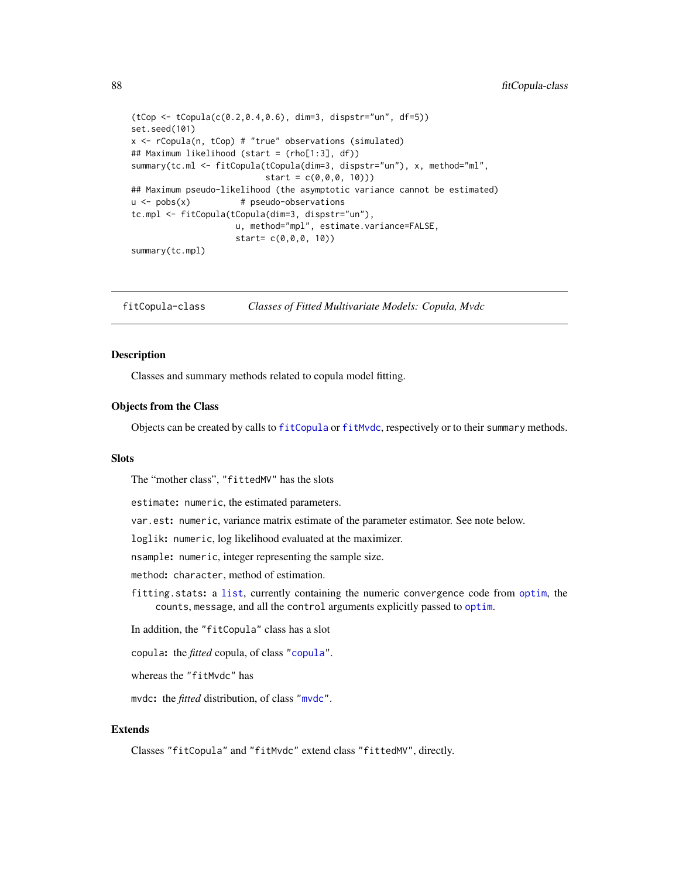```
(tCop <- tCopula(c(0.2,0.4,0.6), dim=3, dispstr="un", df=5))
set.seed(101)
x <- rCopula(n, tCop) # "true" observations (simulated)
## Maximum likelihood (start = (rho[1:3], df))
summary(tc.ml <- fitCopula(tCopula(dim=3, dispstr="un"), x, method="ml",
                           start = c(0, 0, 0, 10))## Maximum pseudo-likelihood (the asymptotic variance cannot be estimated)
u \leq -\text{pobs}(x) # pseudo-observations
tc.mpl <- fitCopula(tCopula(dim=3, dispstr="un"),
                    u, method="mpl", estimate.variance=FALSE,
                     start= c(0,0,0, 10))
summary(tc.mpl)
```
<span id="page-87-0"></span>fitCopula-class *Classes of Fitted Multivariate Models: Copula, Mvdc*

#### <span id="page-87-1"></span>Description

Classes and summary methods related to copula model fitting.

#### Objects from the Class

Objects can be created by calls to [fitCopula](#page-81-0) or [fitMvdc](#page-90-0), respectively or to their summary methods.

#### Slots

The "mother class", "fittedMV" has the slots

estimate: numeric, the estimated parameters.

var.est: numeric, variance matrix estimate of the parameter estimator. See note below.

loglik: numeric, log likelihood evaluated at the maximizer.

nsample: numeric, integer representing the sample size.

method: character, method of estimation.

fitting.stats: a [list](#page-0-0), currently containing the numeric convergence code from [optim](#page-0-0), the counts, message, and all the control arguments explicitly passed to [optim](#page-0-0).

In addition, the "fitCopula" class has a slot

copula: the *fitted* copula, of class ["copula"](#page-44-0).

whereas the "fitMvdc" has

mvdc: the *fitted* distribution, of class ["mvdc"](#page-148-0).

## Extends

Classes "fitCopula" and "fitMvdc" extend class "fittedMV", directly.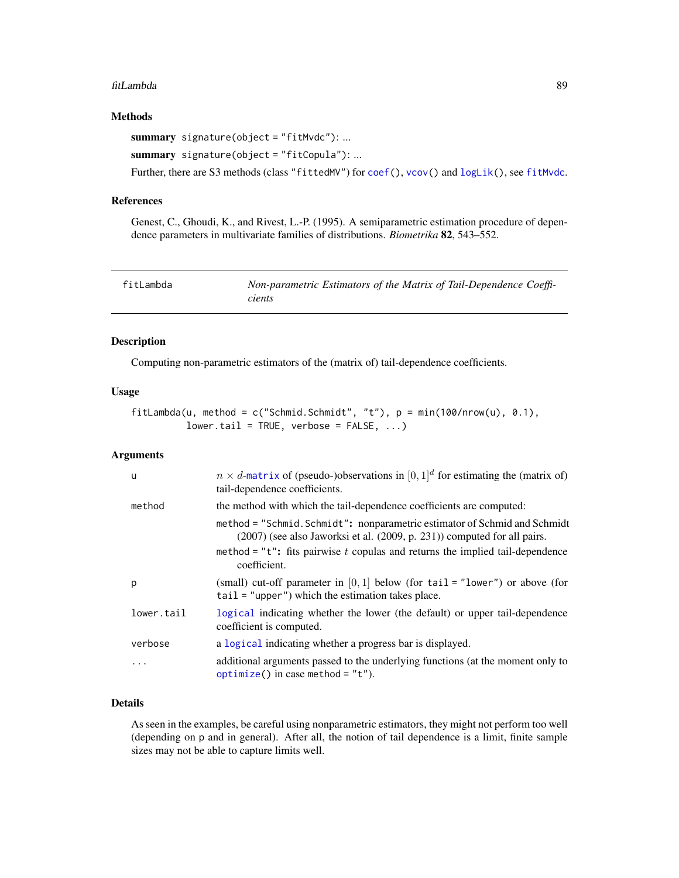#### fitLambda 89

## Methods

summary signature(object = "fitMvdc"): ...

```
summary signature(object = "fitCopula"): ...
```
Further, there are S3 methods (class "fittedMV") for [coef\(](#page-0-0)), [vcov\(](#page-0-0)) and [logLik\(](#page-0-0)), see [fitMvdc](#page-90-0).

## References

Genest, C., Ghoudi, K., and Rivest, L.-P. (1995). A semiparametric estimation procedure of dependence parameters in multivariate families of distributions. *Biometrika* 82, 543–552.

| fitLambda | Non-parametric Estimators of the Matrix of Tail-Dependence Coeffi- |
|-----------|--------------------------------------------------------------------|
|           | cients                                                             |

# Description

Computing non-parametric estimators of the (matrix of) tail-dependence coefficients.

#### Usage

```
fitLambda(u, method = c("Schmid.Schmidt", "t"), p = min(100/nrow(u), 0.1),lower.tail = TRUE, verbose = FALSE, ...)
```
## Arguments

| u          | $n \times d$ -matrix of (pseudo-)observations in $[0,1]^d$ for estimating the (matrix of)<br>tail-dependence coefficients.                                 |
|------------|------------------------------------------------------------------------------------------------------------------------------------------------------------|
| method     | the method with which the tail-dependence coefficients are computed:                                                                                       |
|            | method = "Schmid. Schmidt": nonparametric estimator of Schmid and Schmidt<br>$(2007)$ (see also Jaworksi et al. $(2009, p. 231)$ ) computed for all pairs. |
|            | method = " $t$ ": fits pairwise t copulas and returns the implied tail-dependence<br>coefficient.                                                          |
| p          | (small) cut-off parameter in $[0,1]$ below (for tail = "lower") or above (for<br>$tail = "upper")$ which the estimation takes place.                       |
| lower.tail | logical indicating whether the lower (the default) or upper tail-dependence<br>coefficient is computed.                                                    |
| verbose    | a logical indicating whether a progress bar is displayed.                                                                                                  |
| .          | additional arguments passed to the underlying functions (at the moment only to<br>optimize() in case method = $"t"$ ).                                     |

## Details

As seen in the examples, be careful using nonparametric estimators, they might not perform too well (depending on p and in general). After all, the notion of tail dependence is a limit, finite sample sizes may not be able to capture limits well.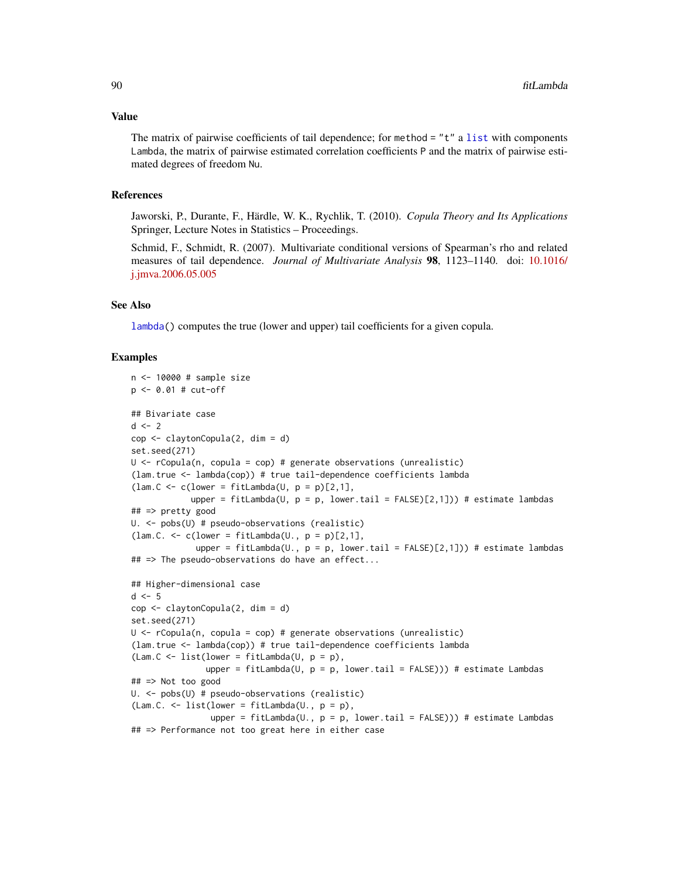#### Value

The matrix of pairwise coefficients of tail dependence; for method  $=$  "t" a [list](#page-0-0) with components Lambda, the matrix of pairwise estimated correlation coefficients P and the matrix of pairwise estimated degrees of freedom Nu.

## References

Jaworski, P., Durante, F., Härdle, W. K., Rychlik, T. (2010). *Copula Theory and Its Applications* Springer, Lecture Notes in Statistics – Proceedings.

Schmid, F., Schmidt, R. (2007). Multivariate conditional versions of Spearman's rho and related measures of tail dependence. *Journal of Multivariate Analysis* 98, 1123–1140. doi: [10.1016/](https://doi.org/10.1016/j.jmva.2006.05.005) [j.jmva.2006.05.005](https://doi.org/10.1016/j.jmva.2006.05.005)

## See Also

[lambda\(](#page-25-0)) computes the true (lower and upper) tail coefficients for a given copula.

```
n <- 10000 # sample size
p <- 0.01 # cut-off
## Bivariate case
d \leq -2cop <- claytonCopula(2, dim = d)
set.seed(271)
U <- rCopula(n, copula = cop) # generate observations (unrealistic)
(lam.true <- lambda(cop)) # true tail-dependence coefficients lambda
(lam.C \le c(lower = fitLambda(U, p = p)[2,1],upper = fitLambda(U, p = p, lower.tail = FALSE)[2,1])) # estimate lambdas
## => pretty good
U. <- pobs(U) # pseudo-observations (realistic)
(lam.C. \leq c(lower = fitLambda(U., p = p)[2,1],
             upper = fitLambda(U., p = p, lower.tail = FALSE)[2,1])) # estimate lambdas
## => The pseudo-observations do have an effect...
## Higher-dimensional case
d \leq -5cop <- claytonCopula(2, dim = d)
set.seed(271)
U <- rCopula(n, copula = cop) # generate observations (unrealistic)
(lam.true <- lambda(cop)) # true tail-dependence coefficients lambda
(Lam.C \le list(lower = fitLambda(U, p = p),
               upper = fitLambda(U, p = p, lower.tail = FALSE))) # estimate Lambdas
## => Not too good
U. <- pobs(U) # pseudo-observations (realistic)
(Lam.C. \le list(lower = fitLambda(U., p = p),
                upper = fitLambda(U., p = p, lower.tail = FALSE))) # estimate Lambdas
## => Performance not too great here in either case
```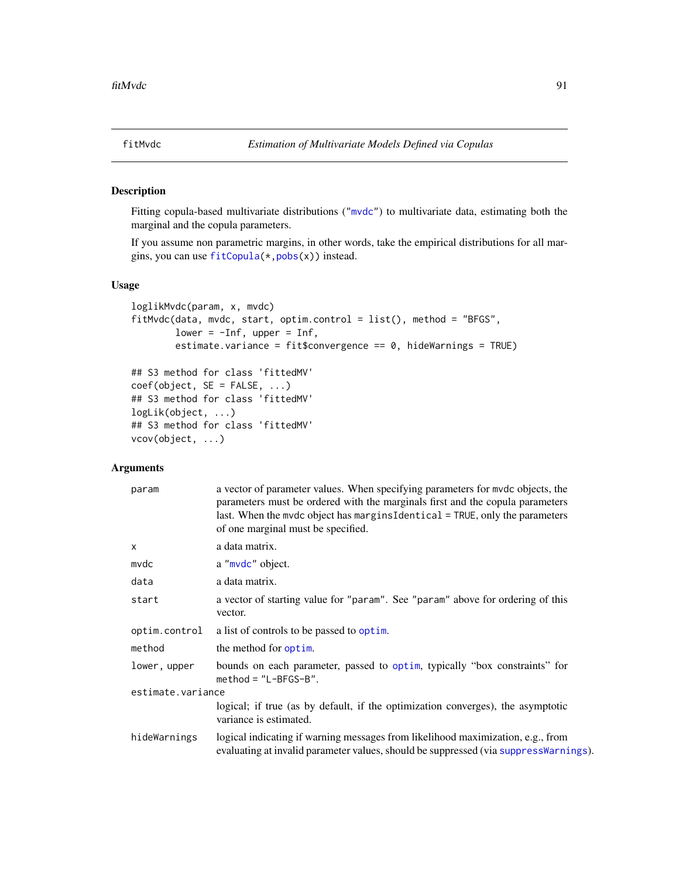<span id="page-90-0"></span>

## Description

Fitting copula-based multivariate distributions (["mvdc"](#page-148-0)) to multivariate data, estimating both the marginal and the copula parameters.

If you assume non parametric margins, in other words, take the empirical distributions for all margins, you can use [fitCopula\(](#page-81-0)\*[,pobs\(](#page-167-0)x)) instead.

## Usage

```
loglikMvdc(param, x, mvdc)
fitMvdc(data, mvdc, start, optim.control = list(), method = "BFGS",lower = -Inf, upper = Inf,estimate.variance = fit$convergence == 0, hideWarnings = TRUE)
## S3 method for class 'fittedMV'
coef(object, SE = FALSE, ...)## S3 method for class 'fittedMV'
logLik(object, ...)
## S3 method for class 'fittedMV'
vcov(object, ...)
```
#### Arguments

| param             | a vector of parameter values. When specifying parameters for mvdc objects, the<br>parameters must be ordered with the marginals first and the copula parameters<br>last. When the mvdc object has margins Identical $=$ TRUE, only the parameters<br>of one marginal must be specified. |
|-------------------|-----------------------------------------------------------------------------------------------------------------------------------------------------------------------------------------------------------------------------------------------------------------------------------------|
| $\times$          | a data matrix.                                                                                                                                                                                                                                                                          |
| mvdc              | a "mvdc" object.                                                                                                                                                                                                                                                                        |
| data              | a data matrix.                                                                                                                                                                                                                                                                          |
| start             | a vector of starting value for "param". See "param" above for ordering of this<br>vector.                                                                                                                                                                                               |
| optim.control     | a list of controls to be passed to optim.                                                                                                                                                                                                                                               |
| method            | the method for optim.                                                                                                                                                                                                                                                                   |
| lower, upper      | bounds on each parameter, passed to optim, typically "box constraints" for<br>$method = "L-BFGS-B".$                                                                                                                                                                                    |
| estimate.variance |                                                                                                                                                                                                                                                                                         |
|                   | logical; if true (as by default, if the optimization converges), the asymptotic<br>variance is estimated.                                                                                                                                                                               |
| hideWarnings      | logical indicating if warning messages from likelihood maximization, e.g., from<br>evaluating at invalid parameter values, should be suppressed (via suppressWarnings).                                                                                                                 |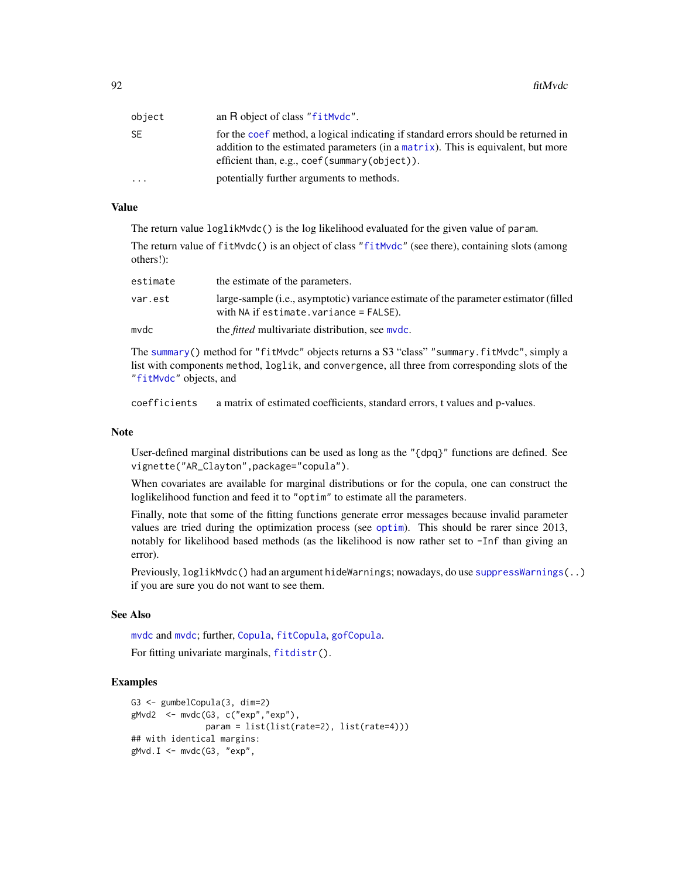| object | an R object of class "fitMvdc".                                                                                                                                                                                                                |
|--------|------------------------------------------------------------------------------------------------------------------------------------------------------------------------------------------------------------------------------------------------|
| SE     | for the coef method, a logical indicating if standard errors should be returned in<br>addition to the estimated parameters (in a matrix). This is equivalent, but more<br>efficient than, e.g., $\text{coef}(\text{summary}(\text{object}))$ . |
| .      | potentially further arguments to methods.                                                                                                                                                                                                      |

## Value

The return value loglikMvdc() is the log likelihood evaluated for the given value of param.

The return value of fitMvdc() is an object of class ["fitMvdc"](#page-87-1) (see there), containing slots (among others!):

| estimate | the estimate of the parameters.                                                                                                               |
|----------|-----------------------------------------------------------------------------------------------------------------------------------------------|
| var.est  | large-sample ( <i>i.e.</i> , asymptotic) variance estimate of the parameter estimator (filled<br>with $NA$ if estimate. variance = $FALSE$ ). |
| mvdc     | the <i>fitted</i> multivariate distribution, see mydc.                                                                                        |

The [summary\(](#page-0-0)) method for "fitMvdc" objects returns a S3 "class" "summary.fitMvdc", simply a list with components method, loglik, and convergence, all three from corresponding slots of the ["fitMvdc"](#page-87-1) objects, and

coefficients a matrix of estimated coefficients, standard errors, t values and p-values.

## Note

User-defined marginal distributions can be used as long as the "{dpq}" functions are defined. See vignette("AR\_Clayton",package="copula").

When covariates are available for marginal distributions or for the copula, one can construct the loglikelihood function and feed it to "optim" to estimate all the parameters.

Finally, note that some of the fitting functions generate error messages because invalid parameter values are tried during the optimization process (see [optim](#page-0-0)). This should be rarer since 2013, notably for likelihood based methods (as the likelihood is now rather set to -Inf than giving an error).

Previously, loglikMvdc() had an argument hideWarnings; nowadays, do use [suppressWarnings\(](#page-0-0)..) if you are sure you do not want to see them.

# See Also

[mvdc](#page-146-0) and [mvdc](#page-148-0); further, [Copula](#page-42-0), [fitCopula](#page-81-0), [gofCopula](#page-103-0).

For fitting univariate marginals, [fitdistr\(](#page-0-0)).

```
G3 <- gumbelCopula(3, dim=2)
gMvd2 <- mvdc(G3, c("exp","exp"),
               param = list(list(rate=2), list(rate=4)))
## with identical margins:
gMvd.I \leq Mwdc(G3, "exp",
```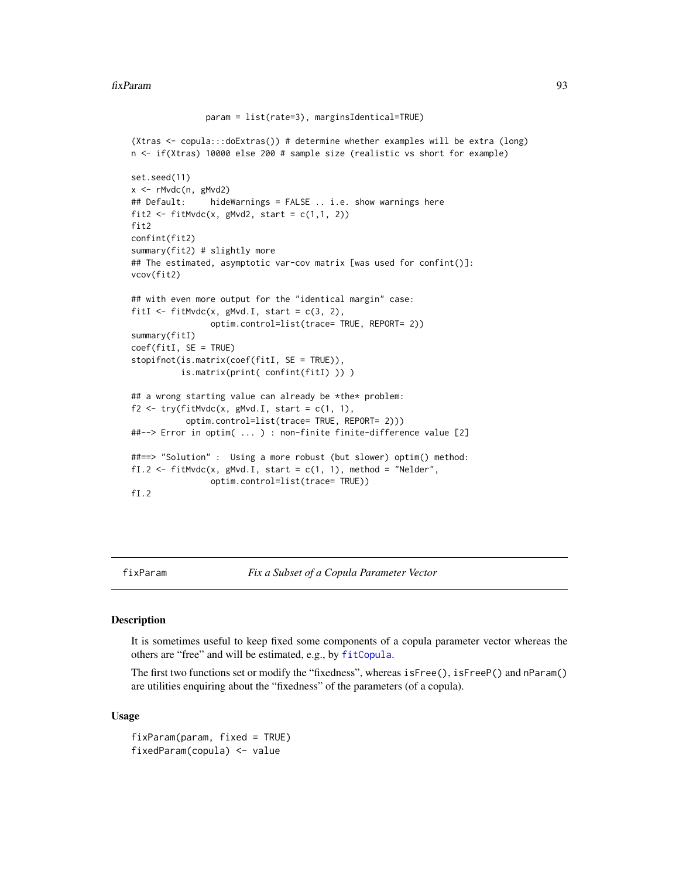```
param = list(rate=3), marginsIdentical=TRUE)
(Xtras <- copula:::doExtras()) # determine whether examples will be extra (long)
n <- if(Xtras) 10000 else 200 # sample size (realistic vs short for example)
set.seed(11)
x <- rMvdc(n, gMvd2)
## Default: hideWarnings = FALSE .. i.e. show warnings here
fit2 <- fitMvdc(x, gMvd2, start = c(1,1, 2))
fit2
confint(fit2)
summary(fit2) # slightly more
## The estimated, asymptotic var-cov matrix [was used for confint()]:
vcov(fit2)
## with even more output for the "identical margin" case:
fitI <- fitMvdc(x, gMvd.I, start = c(3, 2),
                optim.control=list(trace= TRUE, REPORT= 2))
summary(fitI)
coef(fitI, SE = TRUE)
stopifnot(is.matrix(coef(fitI, SE = TRUE)),
          is.matrix(print( confint(fitI) )) )
## a wrong starting value can already be *the* problem:
f2 \leq try(fithVdc(x, gMvd. I, start = c(1, 1),optim.control=list(trace= TRUE, REPORT= 2)))
##--> Error in optim( ... ) : non-finite finite-difference value [2]
##==> "Solution" : Using a more robust (but slower) optim() method:
fI.2 <- fitMvdc(x, gMvd.I, start = c(1, 1), method = "Nelder",
               optim.control=list(trace= TRUE))
fI.2
```
fixParam *Fix a Subset of a Copula Parameter Vector*

#### <span id="page-92-0"></span>**Description**

It is sometimes useful to keep fixed some components of a copula parameter vector whereas the others are "free" and will be estimated, e.g., by [fitCopula](#page-81-0).

The first two functions set or modify the "fixedness", whereas isFree(), isFreeP() and nParam() are utilities enquiring about the "fixedness" of the parameters (of a copula).

#### Usage

fixParam(param, fixed = TRUE) fixedParam(copula) <- value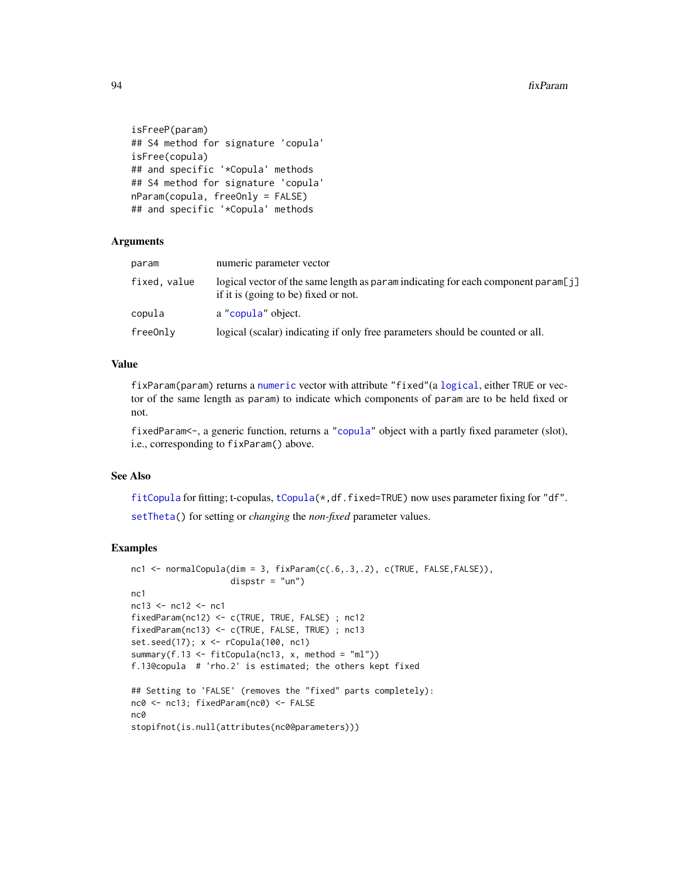```
isFreeP(param)
## S4 method for signature 'copula'
isFree(copula)
## and specific '*Copula' methods
## S4 method for signature 'copula'
nParam(copula, freeOnly = FALSE)
## and specific '*Copula' methods
```
#### Arguments

| param        | numeric parameter vector                                                                                              |
|--------------|-----------------------------------------------------------------------------------------------------------------------|
| fixed, value | logical vector of the same length as paramination for each component param[j]<br>if it is (going to be) fixed or not. |
| copula       | a "copula" object.                                                                                                    |
| freeOnlv     | logical (scalar) indicating if only free parameters should be counted or all.                                         |

## Value

fixParam(param) returns a [numeric](#page-0-0) vector with attribute "fixed"(a [logical](#page-0-0), either TRUE or vector of the same length as param) to indicate which components of param are to be held fixed or not.

fixedParam<-, a generic function, returns a ["copula"](#page-44-0) object with a partly fixed parameter (slot), i.e., corresponding to fixParam() above.

# See Also

[fitCopula](#page-81-0) for fitting; t-copulas, [tCopula\(](#page-50-1)\*,df.fixed=TRUE) now uses parameter fixing for "df". [setTheta\(](#page-198-0)) for setting or *changing* the *non-fixed* parameter values.

```
nc1 <- normalCopula(dim = 3, fixParam(c(.6,.3,.2), c(TRUE, FALSE,FALSE)),
                   dispstr = "un")nc1
nc13 <- nc12 <- nc1fixedParam(nc12) <- c(TRUE, TRUE, FALSE) ; nc12
fixedParam(nc13) <- c(TRUE, FALSE, TRUE) ; nc13
set.seed(17); x \le rCopula(100, nc1)
summary(f.13 <- fitCopula(nc13, x, method = m1))
f.13@copula # 'rho.2' is estimated; the others kept fixed
## Setting to 'FALSE' (removes the "fixed" parts completely):
nc0 <- nc13; fixedParam(nc0) <- FALSE
nc0
stopifnot(is.null(attributes(nc0@parameters)))
```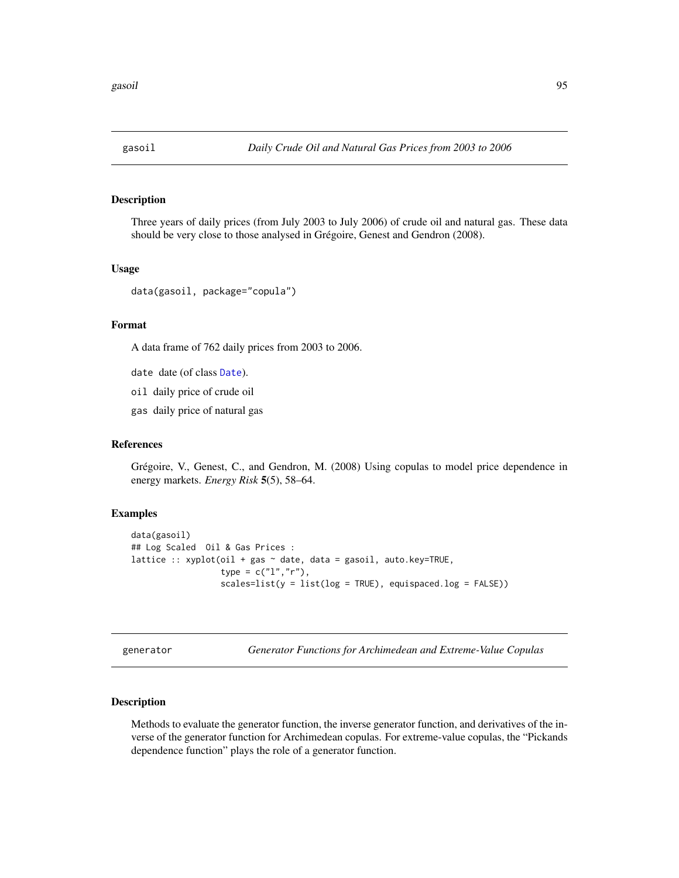# Description

Three years of daily prices (from July 2003 to July 2006) of crude oil and natural gas. These data should be very close to those analysed in Grégoire, Genest and Gendron (2008).

#### Usage

data(gasoil, package="copula")

#### Format

A data frame of 762 daily prices from 2003 to 2006.

date date (of class [Date](#page-0-0)).

oil daily price of crude oil

gas daily price of natural gas

### References

Grégoire, V., Genest, C., and Gendron, M. (2008) Using copulas to model price dependence in energy markets. *Energy Risk* 5(5), 58–64.

## Examples

```
data(gasoil)
## Log Scaled Oil & Gas Prices :
lattice :: xyplot(oil + gas \sim date, data = gasoil, auto.key=TRUE,
                  type = c("l", "r"),
                  scales=list(y = list(log = TRUE), equispaced.log = FALSE))
```
generator *Generator Functions for Archimedean and Extreme-Value Copulas*

#### Description

Methods to evaluate the generator function, the inverse generator function, and derivatives of the inverse of the generator function for Archimedean copulas. For extreme-value copulas, the "Pickands dependence function" plays the role of a generator function.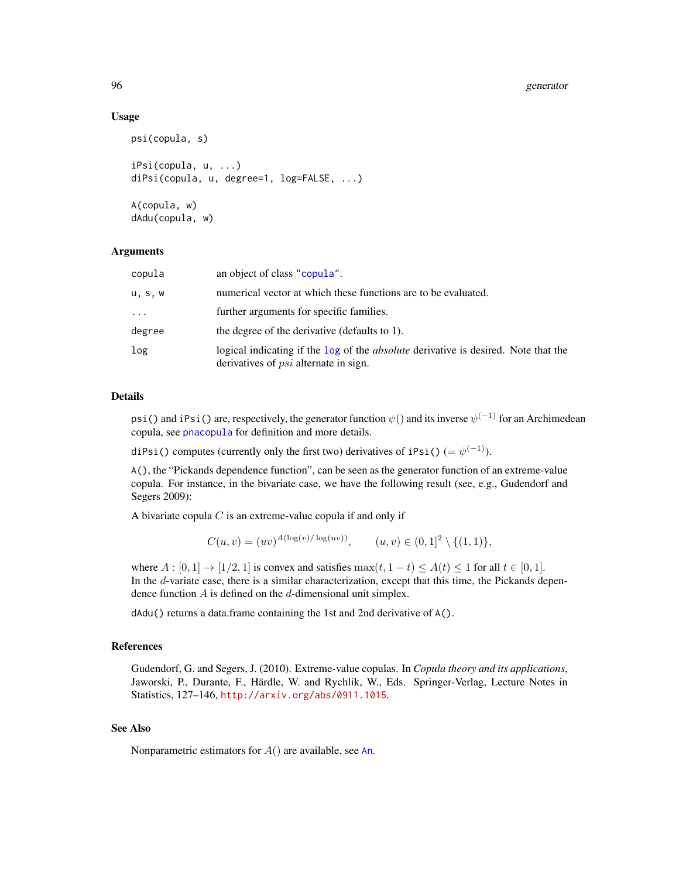#### 96 generator

## Usage

```
psi(copula, s)
iPsi(copula, u, ...)
diPsi(copula, u, degree=1, log=FALSE, ...)
```
A(copula, w) dAdu(copula, w)

#### **Arguments**

| copula     | an object of class "copula".                                                                                                              |
|------------|-------------------------------------------------------------------------------------------------------------------------------------------|
| u, s, w    | numerical vector at which these functions are to be evaluated.                                                                            |
| $\ddots$ . | further arguments for specific families.                                                                                                  |
| degree     | the degree of the derivative (defaults to 1).                                                                                             |
| log        | logical indicating if the log of the <i>absolute</i> derivative is desired. Note that the<br>derivatives of <i>psi</i> alternate in sign. |

#### Details

psi() and iPsi() are, respectively, the generator function  $\psi()$  and its inverse  $\psi^{(-1)}$  for an Archimedean copula, see [pnacopula](#page-166-0) for definition and more details.

diPsi() computes (currently only the first two) derivatives of iPsi() (=  $\psi^{(-1)}$ ).

A(), the "Pickands dependence function", can be seen as the generator function of an extreme-value copula. For instance, in the bivariate case, we have the following result (see, e.g., Gudendorf and Segers 2009):

A bivariate copula  $C$  is an extreme-value copula if and only if

$$
C(u, v) = (uv)^{A(\log(v)/\log(uv))}, \qquad (u, v) \in (0, 1]^2 \setminus \{(1, 1)\},
$$

where  $A : [0, 1] \rightarrow [1/2, 1]$  is convex and satisfies  $\max(t, 1-t) \leq A(t) \leq 1$  for all  $t \in [0, 1]$ . In the d-variate case, there is a similar characterization, except that this time, the Pickands dependence function  $A$  is defined on the  $d$ -dimensional unit simplex.

dAdu() returns a data.frame containing the 1st and 2nd derivative of A().

#### References

Gudendorf, G. and Segers, J. (2010). Extreme-value copulas. In *Copula theory and its applications*, Jaworski, P., Durante, F., Härdle, W. and Rychlik, W., Eds. Springer-Verlag, Lecture Notes in Statistics, 127–146, <http://arxiv.org/abs/0911.1015>.

## See Also

Nonparametric estimators for  $A()$  are available, see [An](#page-19-0).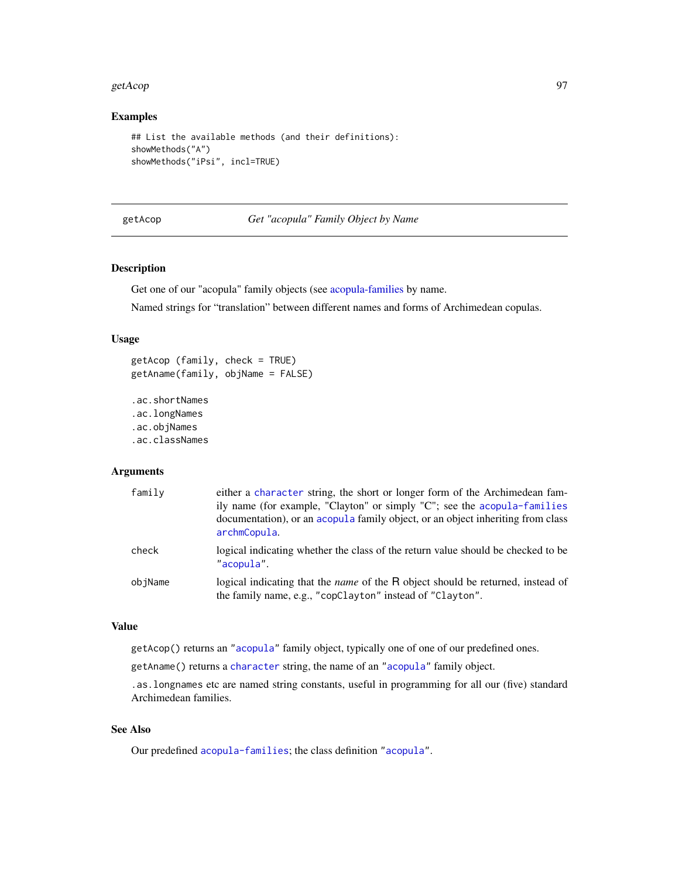#### getAcop 97

# Examples

```
## List the available methods (and their definitions):
showMethods("A")
showMethods("iPsi", incl=TRUE)
```
getAcop *Get "acopula" Family Object by Name*

# Description

Get one of our "acopula" family objects (see [acopula-families](#page-39-0) by name.

Named strings for "translation" between different names and forms of Archimedean copulas.

#### Usage

```
getAcop (family, check = TRUE)
getAname(family, objName = FALSE)
.ac.shortNames
```

```
.ac.longNames
.ac.objNames
.ac.classNames
```
#### Arguments

| family  | either a character string, the short or longer form of the Archimedean fam-<br>ily name (for example, "Clayton" or simply "C"; see the acopula-families<br>documentation), or an acopula family object, or an object inheriting from class<br>archmCopula. |
|---------|------------------------------------------------------------------------------------------------------------------------------------------------------------------------------------------------------------------------------------------------------------|
| check   | logical indicating whether the class of the return value should be checked to be<br>"acopula".                                                                                                                                                             |
| objName | logical indicating that the <i>name</i> of the R object should be returned, instead of<br>the family name, e.g., "copClayton" instead of "Clayton".                                                                                                        |

## Value

getAcop() returns an ["acopula"](#page-14-0) family object, typically one of one of our predefined ones.

getAname() returns a [character](#page-0-0) string, the name of an ["acopula"](#page-14-0) family object.

.as.longnames etc are named string constants, useful in programming for all our (five) standard Archimedean families.

## See Also

Our predefined [acopula-families](#page-39-0); the class definition ["acopula"](#page-14-0).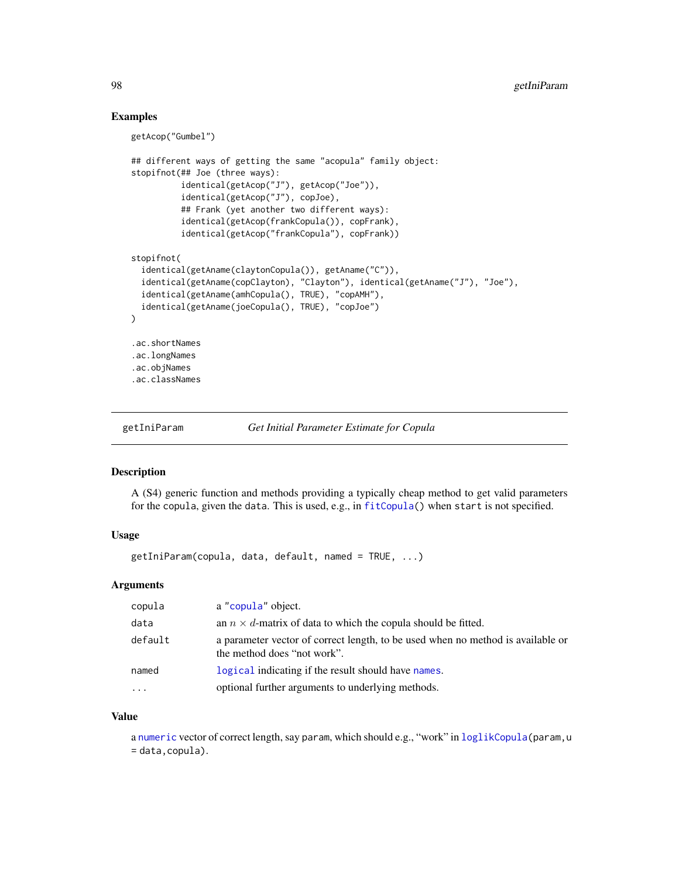## Examples

getAcop("Gumbel")

```
## different ways of getting the same "acopula" family object:
stopifnot(## Joe (three ways):
          identical(getAcop("J"), getAcop("Joe")),
          identical(getAcop("J"), copJoe),
          ## Frank (yet another two different ways):
          identical(getAcop(frankCopula()), copFrank),
          identical(getAcop("frankCopula"), copFrank))
stopifnot(
 identical(getAname(claytonCopula()), getAname("C")),
 identical(getAname(copClayton), "Clayton"), identical(getAname("J"), "Joe"),
 identical(getAname(amhCopula(), TRUE), "copAMH"),
 identical(getAname(joeCopula(), TRUE), "copJoe")
)
.ac.shortNames
.ac.longNames
.ac.objNames
.ac.classNames
```
getIniParam *Get Initial Parameter Estimate for Copula*

#### Description

A (S4) generic function and methods providing a typically cheap method to get valid parameters for the copula, given the data. This is used, e.g., in [fitCopula\(](#page-81-0)) when start is not specified.

## Usage

getIniParam(copula, data, default, named = TRUE, ...)

## Arguments

| copula   | a "copula" object.                                                                                             |
|----------|----------------------------------------------------------------------------------------------------------------|
| data     | an $n \times d$ -matrix of data to which the copula should be fitted.                                          |
| default  | a parameter vector of correct length, to be used when no method is available or<br>the method does "not work". |
| named    | logical indicating if the result should have names.                                                            |
| $\cdots$ | optional further arguments to underlying methods.                                                              |

#### Value

a [numeric](#page-0-0) vector of correct length, say param, which should e.g., "work" in [loglikCopula\(](#page-81-2)param, u = data,copula).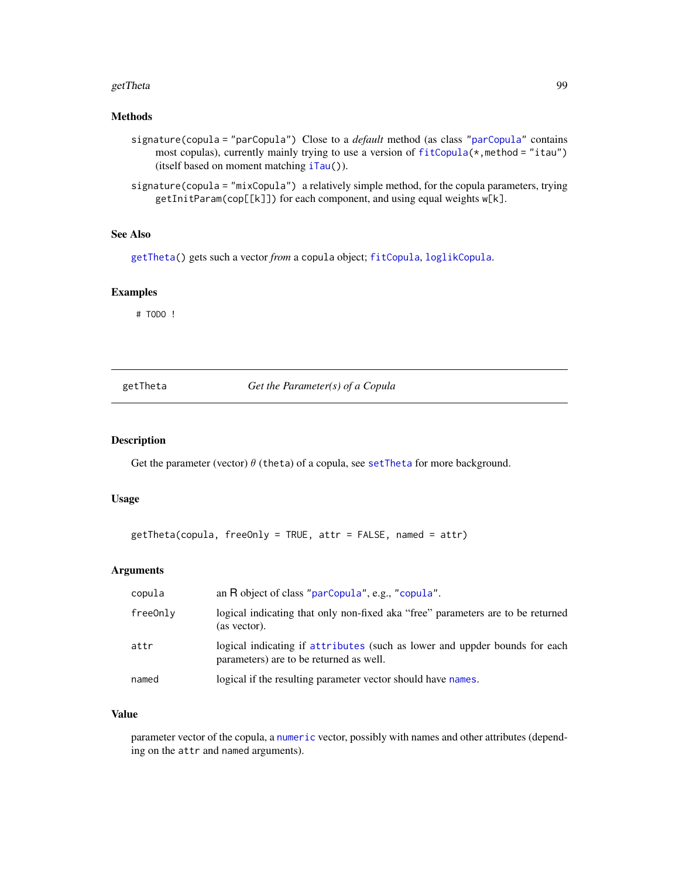#### getTheta 99

## Methods

- signature(copula = "parCopula") Close to a *default* method (as class ["parCopula"](#page-44-1) contains most copulas), currently mainly trying to use a version of [fitCopula\(](#page-81-0)\*, method = "itau") (itself based on moment matching [iTau\(](#page-25-0))).
- signature(copula = "mixCopula") a relatively simple method, for the copula parameters, trying getInitParam(cop[[k]]) for each component, and using equal weights w[k].

#### See Also

[getTheta\(](#page-98-0)) gets such a vector *from* a copula object; [fitCopula](#page-81-0), [loglikCopula](#page-81-2).

# Examples

# TODO !

<span id="page-98-0"></span>getTheta *Get the Parameter(s) of a Copula*

## Description

Get the parameter (vector)  $\theta$  (theta) of a copula, see [setTheta](#page-198-0) for more background.

#### Usage

```
getTheta(copula, freeOnly = TRUE, attr = FALSE, named = attr)
```
#### Arguments

| copula   | an R object of class "parCopula", e.g., "copula".                                                                     |
|----------|-----------------------------------------------------------------------------------------------------------------------|
| freeOnly | logical indicating that only non-fixed aka "free" parameters are to be returned<br>(as vector).                       |
| attr     | logical indicating if attributes (such as lower and uppder bounds for each<br>parameters) are to be returned as well. |
| named    | logical if the resulting parameter vector should have names.                                                          |

## Value

parameter vector of the copula, a [numeric](#page-0-0) vector, possibly with names and other attributes (depending on the attr and named arguments).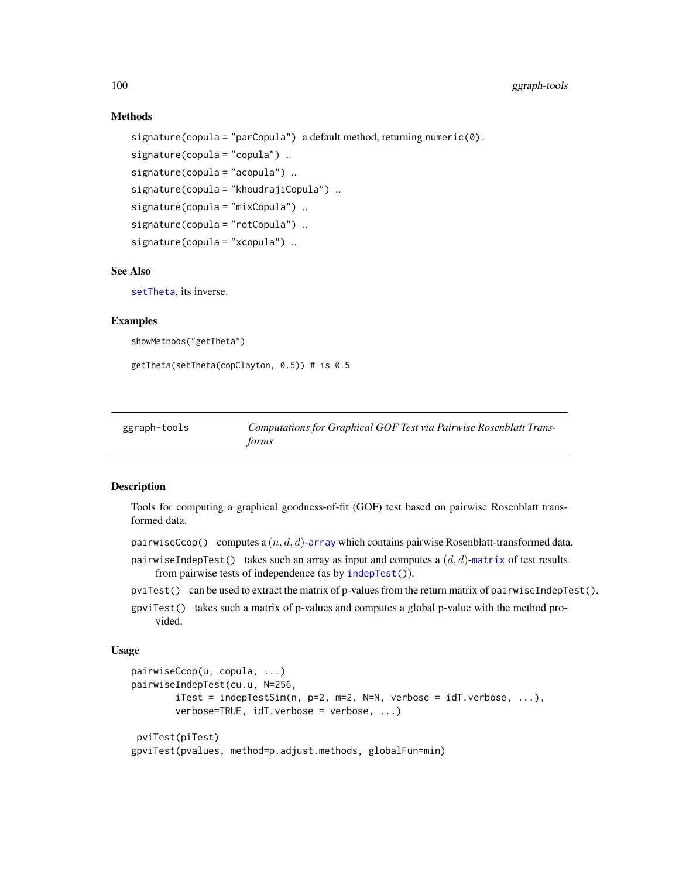# Methods

```
signature(copula = "parCopula") a default method, returning numeric(0).
signature(copula = "copula") ..
signature(copula = "acopula") ..
signature(copula = "khoudrajiCopula") ..
signature(copula = "mixCopula") ..
signature(copula = "rotCopula") ..
signature(copula = "xcopula") ..
```
## See Also

[setTheta](#page-198-0), its inverse.

## Examples

```
showMethods("getTheta")
```
getTheta(setTheta(copClayton, 0.5)) # is 0.5

| ggraph-tools | Computations for Graphical GOF Test via Pairwise Rosenblatt Trans- |
|--------------|--------------------------------------------------------------------|
|              | forms                                                              |

## Description

Tools for computing a graphical goodness-of-fit (GOF) test based on pairwise Rosenblatt transformed data.

- pairwiseCcop() computes a  $(n, d, d)$ -[array](#page-0-0) which contains pairwise Rosenblatt-transformed data.
- pairwiseIndepTest() takes such an array as input and computes a  $(d, d)$ -[matrix](#page-0-0) of test results from pairwise tests of independence (as by [indepTest\(](#page-116-0))).
- pviTest() can be used to extract the matrix of p-values from the return matrix of pairwiseIndepTest().
- gpviTest() takes such a matrix of p-values and computes a global p-value with the method provided.

## Usage

```
pairwiseCcop(u, copula, ...)
pairwiseIndepTest(cu.u, N=256,
        iTest = indepTestSim(n, p=2, m=2, N=N, verbose = idT.verbose, ...),verbose=TRUE, idT.verbose = verbose, ...)
pviTest(piTest)
gpviTest(pvalues, method=p.adjust.methods, globalFun=min)
```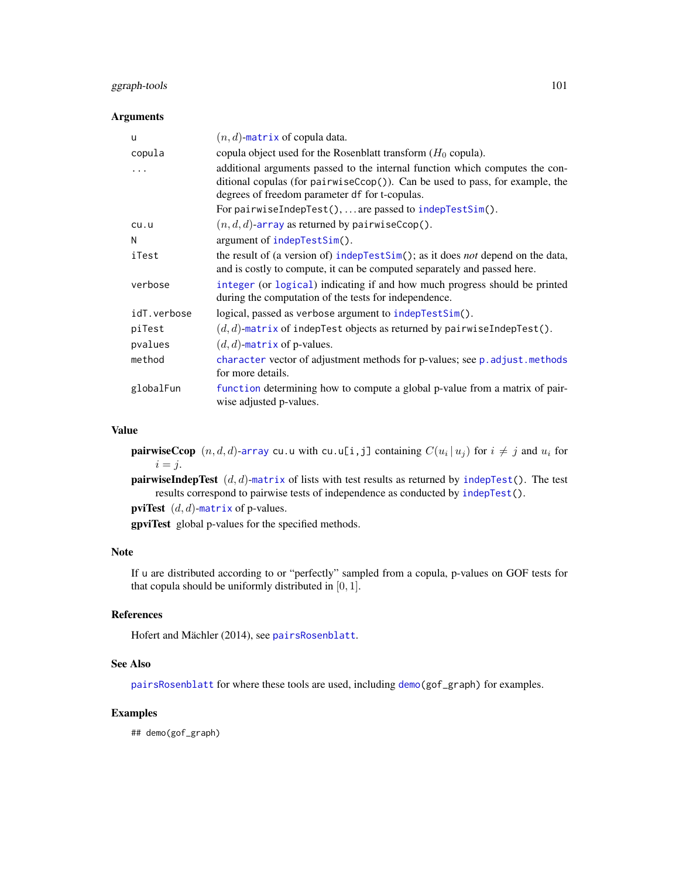# ggraph-tools 101

## Arguments

| u           | $(n, d)$ -matrix of copula data.                                                                                                                                                                                   |
|-------------|--------------------------------------------------------------------------------------------------------------------------------------------------------------------------------------------------------------------|
| copula      | copula object used for the Rosenblatt transform $(H_0 \text{ copula}).$                                                                                                                                            |
| .           | additional arguments passed to the internal function which computes the con-<br>ditional copulas (for pairwise $Ccop()$ ). Can be used to pass, for example, the<br>degrees of freedom parameter df for t-copulas. |
|             | For pairwiseIndepTest(),  are passed to indepTestSim().                                                                                                                                                            |
| cu.u        | $(n, d, d)$ -array as returned by pairwiseCcop().                                                                                                                                                                  |
| N           | argument of indepTestSim().                                                                                                                                                                                        |
| iTest       | the result of (a version of) indepTestSim(); as it does <i>not</i> depend on the data,<br>and is costly to compute, it can be computed separately and passed here.                                                 |
| verbose     | integer (or logical) indicating if and how much progress should be printed<br>during the computation of the tests for independence.                                                                                |
| idT.verbose | logical, passed as verbose argument to indepTestSim().                                                                                                                                                             |
| piTest      | $(d, d)$ -matrix of indepTest objects as returned by pairwiseIndepTest().                                                                                                                                          |
| pvalues     | $(d, d)$ -matrix of p-values.                                                                                                                                                                                      |
| method      | character vector of adjustment methods for p-values; see p. adjust.methods<br>for more details.                                                                                                                    |
| globalFun   | function determining how to compute a global p-value from a matrix of pair-<br>wise adjusted p-values.                                                                                                             |

#### Value

**pairwiseCcop**  $(n, d, d)$ -[array](#page-0-0) cu.u with cu.u[i,j] containing  $C(u_i \, | \, u_j)$  for  $i \neq j$  and  $u_i$  for  $i = j$ .

**pairwiseIndepTest**  $(d, d)$ -[matrix](#page-0-0) of lists with test results as returned by [indepTest\(](#page-116-0)). The test results correspond to pairwise tests of independence as conducted by [indepTest\(](#page-116-0)).

pviTest  $(d, d)$ -[matrix](#page-0-0) of p-values.

gpviTest global p-values for the specified methods.

#### Note

If u are distributed according to or "perfectly" sampled from a copula, p-values on GOF tests for that copula should be uniformly distributed in  $[0, 1]$ .

# References

Hofert and Mächler (2014), see [pairsRosenblatt](#page-158-0).

## See Also

[pairsRosenblatt](#page-158-0) for where these tools are used, including [demo\(](#page-0-0)gof\_graph) for examples.

# Examples

## demo(gof\_graph)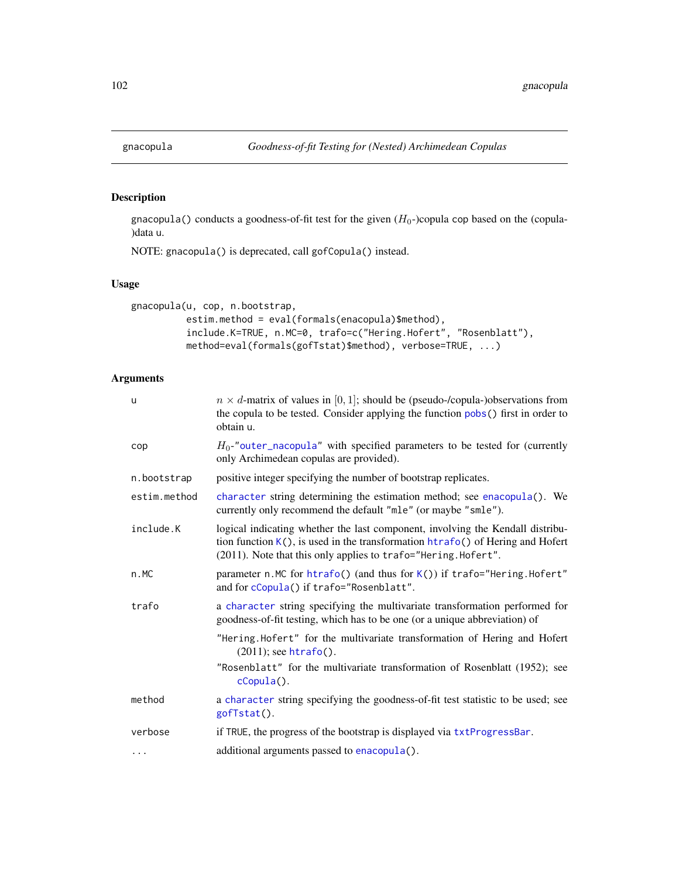# Description

gnacopula() conducts a goodness-of-fit test for the given  $(H_0$ -)copula cop based on the (copula-)data u.

NOTE: gnacopula() is deprecated, call gofCopula() instead.

# Usage

```
gnacopula(u, cop, n.bootstrap,
          estim.method = eval(formals(enacopula)$method),
          include.K=TRUE, n.MC=0, trafo=c("Hering.Hofert", "Rosenblatt"),
          method=eval(formals(gofTstat)$method), verbose=TRUE, ...)
```
# Arguments

| $\mathsf{u}$ | $n \times d$ -matrix of values in [0, 1]; should be (pseudo-/copula-)observations from<br>the copula to be tested. Consider applying the function pobs() first in order to<br>obtain u.                                            |
|--------------|------------------------------------------------------------------------------------------------------------------------------------------------------------------------------------------------------------------------------------|
| cop          | $H_0$ -"outer_nacopula" with specified parameters to be tested for (currently<br>only Archimedean copulas are provided).                                                                                                           |
| n.bootstrap  | positive integer specifying the number of bootstrap replicates.                                                                                                                                                                    |
| estim.method | character string determining the estimation method; see enacopula(). We<br>currently only recommend the default "mle" (or maybe "smle").                                                                                           |
| include.K    | logical indicating whether the last component, involving the Kendall distribu-<br>tion function K(), is used in the transformation htrafo() of Hering and Hofert<br>(2011). Note that this only applies to trafo="Hering. Hofert". |
| n.MC         | parameter n. MC for htrafo() (and thus for K()) if trafo="Hering. Hofert"<br>and for cCopula() if trafo="Rosenblatt".                                                                                                              |
| trafo        | a character string specifying the multivariate transformation performed for<br>goodness-of-fit testing, which has to be one (or a unique abbreviation) of                                                                          |
|              | "Hering.Hofert" for the multivariate transformation of Hering and Hofert<br>$(2011)$ ; see htrafo().                                                                                                                               |
|              | "Rosenblatt" for the multivariate transformation of Rosenblatt (1952); see<br>$c$ Copula $()$ .                                                                                                                                    |
| method       | a character string specifying the goodness-of-fit test statistic to be used; see<br>gofTstat().                                                                                                                                    |
| verbose      | if TRUE, the progress of the bootstrap is displayed via txtProgressBar.                                                                                                                                                            |
| $\cdots$     | additional arguments passed to enacopula().                                                                                                                                                                                        |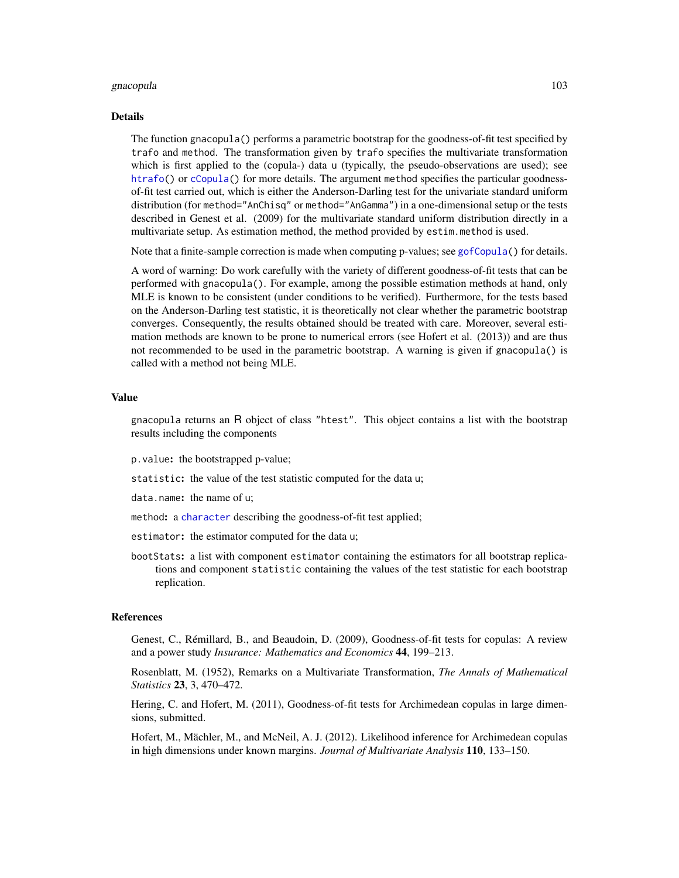#### gnacopula 103

#### Details

The function gnacopula() performs a parametric bootstrap for the goodness-of-fit test specified by trafo and method. The transformation given by trafo specifies the multivariate transformation which is first applied to the (copula-) data u (typically, the pseudo-observations are used); see [htrafo\(](#page-112-0)) or [cCopula\(](#page-30-0)) for more details. The argument method specifies the particular goodnessof-fit test carried out, which is either the Anderson-Darling test for the univariate standard uniform distribution (for method="AnChisq" or method="AnGamma") in a one-dimensional setup or the tests described in Genest et al. (2009) for the multivariate standard uniform distribution directly in a multivariate setup. As estimation method, the method provided by estim.method is used.

Note that a finite-sample correction is made when computing p-values; see [gofCopula\(](#page-103-0)) for details.

A word of warning: Do work carefully with the variety of different goodness-of-fit tests that can be performed with gnacopula(). For example, among the possible estimation methods at hand, only MLE is known to be consistent (under conditions to be verified). Furthermore, for the tests based on the Anderson-Darling test statistic, it is theoretically not clear whether the parametric bootstrap converges. Consequently, the results obtained should be treated with care. Moreover, several estimation methods are known to be prone to numerical errors (see Hofert et al. (2013)) and are thus not recommended to be used in the parametric bootstrap. A warning is given if gnacopula() is called with a method not being MLE.

#### Value

gnacopula returns an R object of class "htest". This object contains a list with the bootstrap results including the components

p.value: the bootstrapped p-value;

statistic: the value of the test statistic computed for the data u;

data.name: the name of u;

method: a [character](#page-0-0) describing the goodness-of-fit test applied;

- estimator: the estimator computed for the data u;
- bootStats: a list with component estimator containing the estimators for all bootstrap replications and component statistic containing the values of the test statistic for each bootstrap replication.

#### References

Genest, C., Rémillard, B., and Beaudoin, D. (2009), Goodness-of-fit tests for copulas: A review and a power study *Insurance: Mathematics and Economics* 44, 199–213.

Rosenblatt, M. (1952), Remarks on a Multivariate Transformation, *The Annals of Mathematical Statistics* 23, 3, 470–472.

Hering, C. and Hofert, M. (2011), Goodness-of-fit tests for Archimedean copulas in large dimensions, submitted.

Hofert, M., Mächler, M., and McNeil, A. J. (2012). Likelihood inference for Archimedean copulas in high dimensions under known margins. *Journal of Multivariate Analysis* 110, 133–150.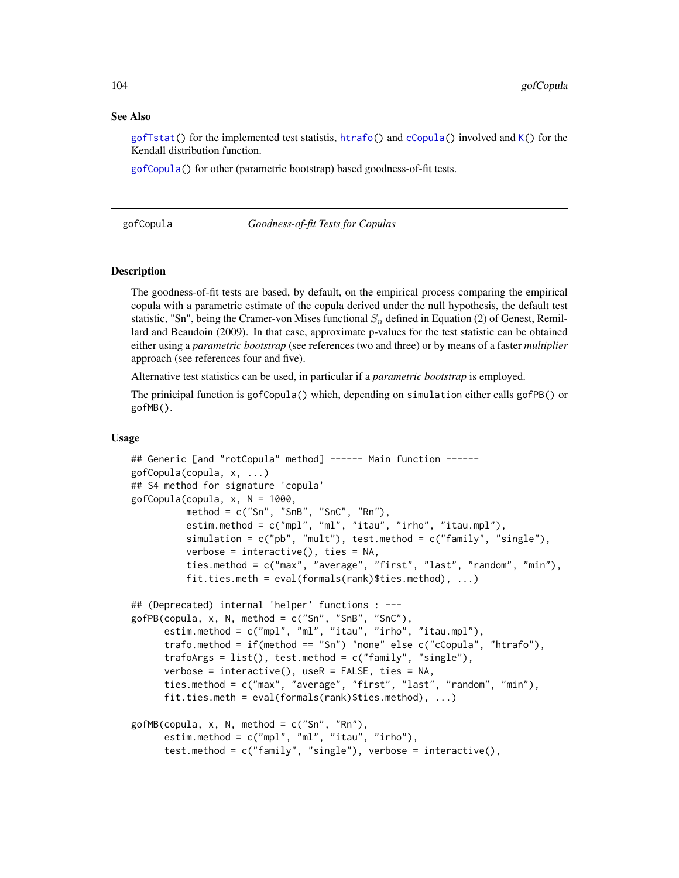#### See Also

[gofTstat\(](#page-110-0)) for the implemented test statistis, [htrafo\(](#page-112-0)) and [cCopula\(](#page-30-0)) involved and  $K()$  $K()$  for the Kendall distribution function.

[gofCopula\(](#page-103-0)) for other (parametric bootstrap) based goodness-of-fit tests.

#### <span id="page-103-0"></span>gofCopula *Goodness-of-fit Tests for Copulas*

#### **Description**

The goodness-of-fit tests are based, by default, on the empirical process comparing the empirical copula with a parametric estimate of the copula derived under the null hypothesis, the default test statistic, "Sn", being the Cramer-von Mises functional  $S_n$  defined in Equation (2) of Genest, Remillard and Beaudoin (2009). In that case, approximate p-values for the test statistic can be obtained either using a *parametric bootstrap* (see references two and three) or by means of a faster *multiplier* approach (see references four and five).

Alternative test statistics can be used, in particular if a *parametric bootstrap* is employed.

The prinicipal function is gofCopula() which, depending on simulation either calls gofPB() or gofMB().

#### Usage

```
## Generic [and "rotCopula" method] ------ Main function ------
gofCopula(copula, x, ...)
## S4 method for signature 'copula'
gofCopula(copula, x, N = 1000,
          method = c("Sn", "SnB", "SnC", "Rn"),
          estim.method = c("mpl", "ml", "itau", "irho", "itau.mpl"),
          simulation = c("pb", "mult"), test.method = c("family", "single"),
          verbose = interactive(), ties = NA,
          ties.method = c("max", "average", "first", "last", "random", "min"),
          fit.ties.meth = eval(formals(rank)$ties.method), ...)
## (Deprecated) internal 'helper' functions : ---
gofPB(copula, x, N, method = c("Sn", "SnB", "SnC"),
     estim.method = c("mpl", "ml", "itau", "irho", "itau.mpl"),
      trafo.method = if(method == "Sn") "none" else c("cCopula", "htrafo"),
     trafoArgs = list(), test.method = c("family", "single"),
     verbose = interactive(), useR = FALSE, ties = NA,
     ties.method = c("max", "average", "first", "last", "random", "min"),
     fit.ties.meth = eval(formals(rank)$ties.method), \dots)
gofMB(copula, x, N, method = c("Sn", "Rn"),estim.method = c("mpl", "ml", "itau", "irho"),
      test.method = c("family", "single"), verbose = interactive(),
```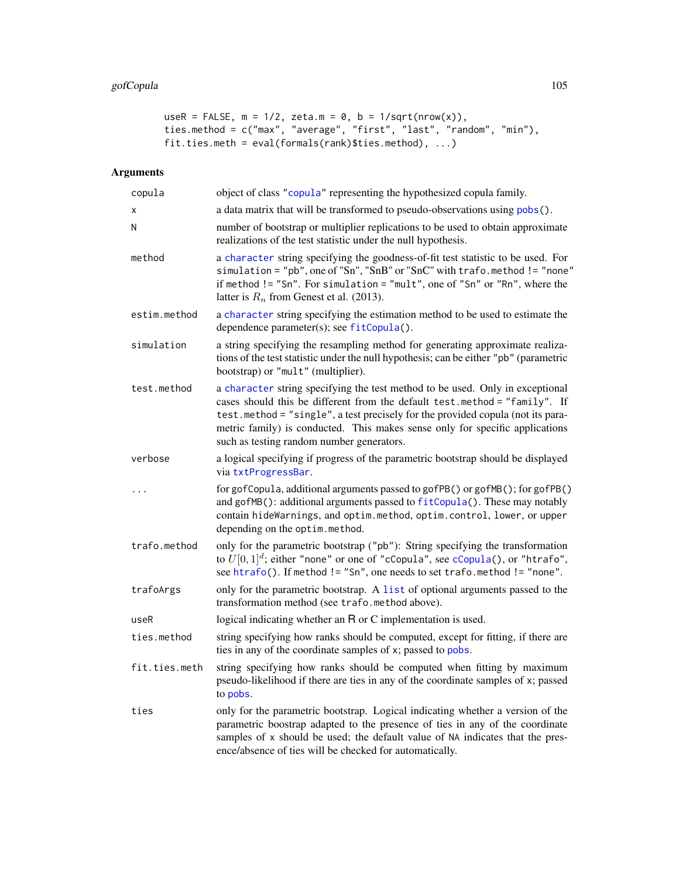```
useR = FALSE, m = 1/2, zeta.m = 0, b = 1/sqrt(nrow(x)),
ties.method = c("max", "average", "first", "last", "random", "min"),
fit.ties.meth = eval(fromals(rank)$ties.method), ...)
```
# Arguments

| copula        | object of class "copula" representing the hypothesized copula family.                                                                                                                                                                                                                                                                                                       |
|---------------|-----------------------------------------------------------------------------------------------------------------------------------------------------------------------------------------------------------------------------------------------------------------------------------------------------------------------------------------------------------------------------|
| x             | a data matrix that will be transformed to pseudo-observations using pobs().                                                                                                                                                                                                                                                                                                 |
| Ν             | number of bootstrap or multiplier replications to be used to obtain approximate<br>realizations of the test statistic under the null hypothesis.                                                                                                                                                                                                                            |
| method        | a character string specifying the goodness-of-fit test statistic to be used. For<br>simulation = "pb", one of "Sn", "SnB" or "SnC" with trafo.method != "none"<br>if method != "Sn". For simulation = "mult", one of "Sn" or "Rn", where the<br>latter is $R_n$ from Genest et al. (2013).                                                                                  |
| estim.method  | a character string specifying the estimation method to be used to estimate the<br>dependence parameter(s); see fitCopula().                                                                                                                                                                                                                                                 |
| simulation    | a string specifying the resampling method for generating approximate realiza-<br>tions of the test statistic under the null hypothesis; can be either "pb" (parametric<br>bootstrap) or "mult" (multiplier).                                                                                                                                                                |
| test.method   | a character string specifying the test method to be used. Only in exceptional<br>cases should this be different from the default test.method = "family". If<br>test.method = "single", a test precisely for the provided copula (not its para-<br>metric family) is conducted. This makes sense only for specific applications<br>such as testing random number generators. |
| verbose       | a logical specifying if progress of the parametric bootstrap should be displayed<br>via txtProgressBar.                                                                                                                                                                                                                                                                     |
|               | for gofCopula, additional arguments passed to gofPB() or gofMB(); for gofPB()<br>and gofMB(): additional arguments passed to fitCopula(). These may notably<br>contain hideWarnings, and optim.method, optim.control, lower, or upper<br>depending on the optim.method.                                                                                                     |
| trafo.method  | only for the parametric bootstrap ("pb"): String specifying the transformation<br>to $U[0,1]^d$ ; either "none" or one of "cCopula", see cCopula(), or "htrafo",<br>see htrafo(). If method != "Sn", one needs to set trafo.method != "none".                                                                                                                               |
| trafoArgs     | only for the parametric bootstrap. A list of optional arguments passed to the<br>transformation method (see trafo.method above).                                                                                                                                                                                                                                            |
| useR          | logical indicating whether an R or C implementation is used.                                                                                                                                                                                                                                                                                                                |
| ties.method   | string specifying how ranks should be computed, except for fitting, if there are<br>ties in any of the coordinate samples of x; passed to pobs.                                                                                                                                                                                                                             |
| fit.ties.meth | string specifying how ranks should be computed when fitting by maximum<br>pseudo-likelihood if there are ties in any of the coordinate samples of x; passed<br>to pobs.                                                                                                                                                                                                     |
| ties          | only for the parametric bootstrap. Logical indicating whether a version of the<br>parametric boostrap adapted to the presence of ties in any of the coordinate<br>samples of x should be used; the default value of NA indicates that the pres-<br>ence/absence of ties will be checked for automatically.                                                                  |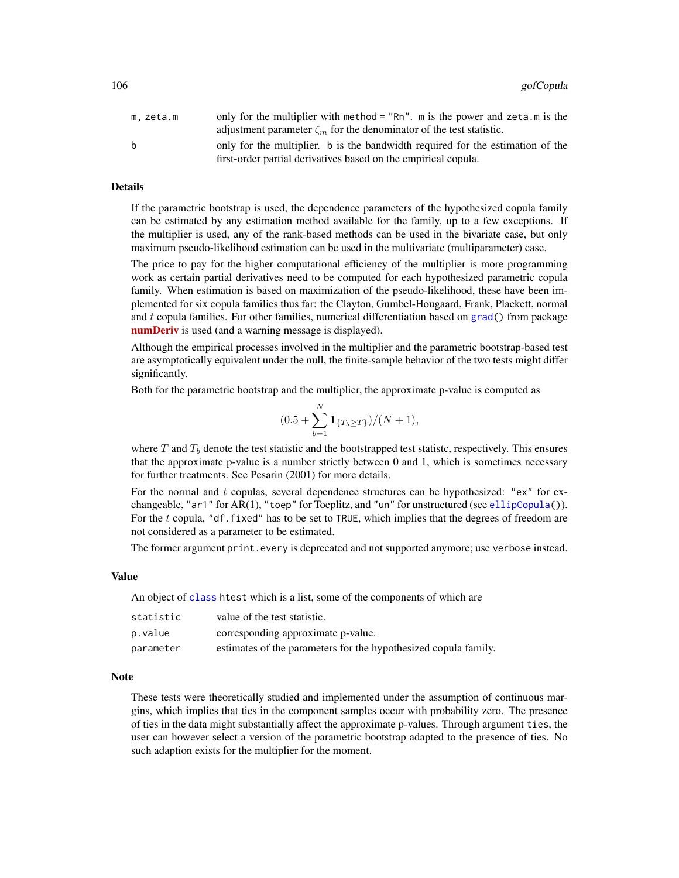| m. zeta.m | only for the multiplier with method = $"Rn"$ . m is the power and zeta.m is the |
|-----------|---------------------------------------------------------------------------------|
|           | adjustment parameter $\zeta_m$ for the denominator of the test statistic.       |
| h.        | only for the multiplier. b is the bandwidth required for the estimation of the  |
|           | first-order partial derivatives based on the empirical copula.                  |

#### Details

If the parametric bootstrap is used, the dependence parameters of the hypothesized copula family can be estimated by any estimation method available for the family, up to a few exceptions. If the multiplier is used, any of the rank-based methods can be used in the bivariate case, but only maximum pseudo-likelihood estimation can be used in the multivariate (multiparameter) case.

The price to pay for the higher computational efficiency of the multiplier is more programming work as certain partial derivatives need to be computed for each hypothesized parametric copula family. When estimation is based on maximization of the pseudo-likelihood, these have been implemented for six copula families thus far: the Clayton, Gumbel-Hougaard, Frank, Plackett, normal and t copula families. For other families, numerical differentiation based on [grad\(](#page-0-0)) from package [numDeriv](https://CRAN.R-project.org/package=numDeriv) is used (and a warning message is displayed).

Although the empirical processes involved in the multiplier and the parametric bootstrap-based test are asymptotically equivalent under the null, the finite-sample behavior of the two tests might differ significantly.

Both for the parametric bootstrap and the multiplier, the approximate p-value is computed as

$$
(0.5 + \sum_{b=1}^{N} \mathbf{1}_{\{T_b \ge T\}})/(N+1),
$$

where T and  $T_b$  denote the test statistic and the bootstrapped test statistc, respectively. This ensures that the approximate p-value is a number strictly between 0 and 1, which is sometimes necessary for further treatments. See Pesarin (2001) for more details.

For the normal and  $t$  copulas, several dependence structures can be hypothesized: "ex" for exchangeable, "ar1" for AR(1), "toep" for Toeplitz, and "un" for unstructured (see [ellipCopula\(](#page-50-0))). For the  $t$  copula, "df.fixed" has to be set to TRUE, which implies that the degrees of freedom are not considered as a parameter to be estimated.

The former argument print.every is deprecated and not supported anymore; use verbose instead.

#### Value

An object of [class](#page-0-0) htest which is a list, some of the components of which are

| statistic | value of the test statistic.                                    |
|-----------|-----------------------------------------------------------------|
| p.value   | corresponding approximate p-value.                              |
| parameter | estimates of the parameters for the hypothesized copula family. |

## Note

These tests were theoretically studied and implemented under the assumption of continuous margins, which implies that ties in the component samples occur with probability zero. The presence of ties in the data might substantially affect the approximate p-values. Through argument ties, the user can however select a version of the parametric bootstrap adapted to the presence of ties. No such adaption exists for the multiplier for the moment.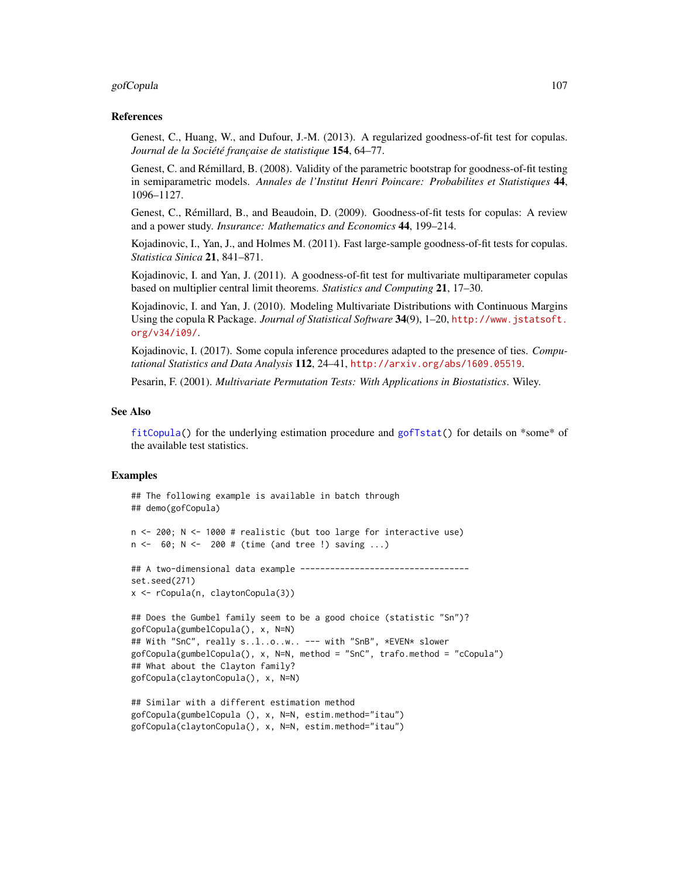#### gofCopula 107

#### References

Genest, C., Huang, W., and Dufour, J.-M. (2013). A regularized goodness-of-fit test for copulas. *Journal de la Société française de statistique* 154, 64–77.

Genest, C. and Rémillard, B. (2008). Validity of the parametric bootstrap for goodness-of-fit testing in semiparametric models. *Annales de l'Institut Henri Poincare: Probabilites et Statistiques* 44, 1096–1127.

Genest, C., Rémillard, B., and Beaudoin, D. (2009). Goodness-of-fit tests for copulas: A review and a power study. *Insurance: Mathematics and Economics* 44, 199–214.

Kojadinovic, I., Yan, J., and Holmes M. (2011). Fast large-sample goodness-of-fit tests for copulas. *Statistica Sinica* 21, 841–871.

Kojadinovic, I. and Yan, J. (2011). A goodness-of-fit test for multivariate multiparameter copulas based on multiplier central limit theorems. *Statistics and Computing* 21, 17–30.

Kojadinovic, I. and Yan, J. (2010). Modeling Multivariate Distributions with Continuous Margins Using the copula R Package. *Journal of Statistical Software* 34(9), 1–20, [http://www.jstatsoft.](http://www.jstatsoft.org/v34/i09/) [org/v34/i09/](http://www.jstatsoft.org/v34/i09/).

Kojadinovic, I. (2017). Some copula inference procedures adapted to the presence of ties. *Computational Statistics and Data Analysis* 112, 24–41, <http://arxiv.org/abs/1609.05519>.

Pesarin, F. (2001). *Multivariate Permutation Tests: With Applications in Biostatistics*. Wiley.

#### See Also

[fitCopula\(](#page-81-0)) for the underlying estimation procedure and [gofTstat\(](#page-110-0)) for details on \*some\* of the available test statistics.

```
## The following example is available in batch through
## demo(gofCopula)
n <- 200; N <- 1000 # realistic (but too large for interactive use)
n <- 60; N <- 200 # (time (and tree !) saving ...)
## A two-dimensional data example -----------------------------------
set.seed(271)
x <- rCopula(n, claytonCopula(3))
## Does the Gumbel family seem to be a good choice (statistic "Sn")?
gofCopula(gumbelCopula(), x, N=N)
## With "SnC", really s..l..o..w.. --- with "SnB", *EVEN* slower
gofCopula(gumbelCopula(), x, N=N, method = "SnC", trafo.method = "cCopula")
## What about the Clayton family?
gofCopula(claytonCopula(), x, N=N)
## Similar with a different estimation method
```

```
gofCopula(gumbelCopula (), x, N=N, estim.method="itau")
gofCopula(claytonCopula(), x, N=N, estim.method="itau")
```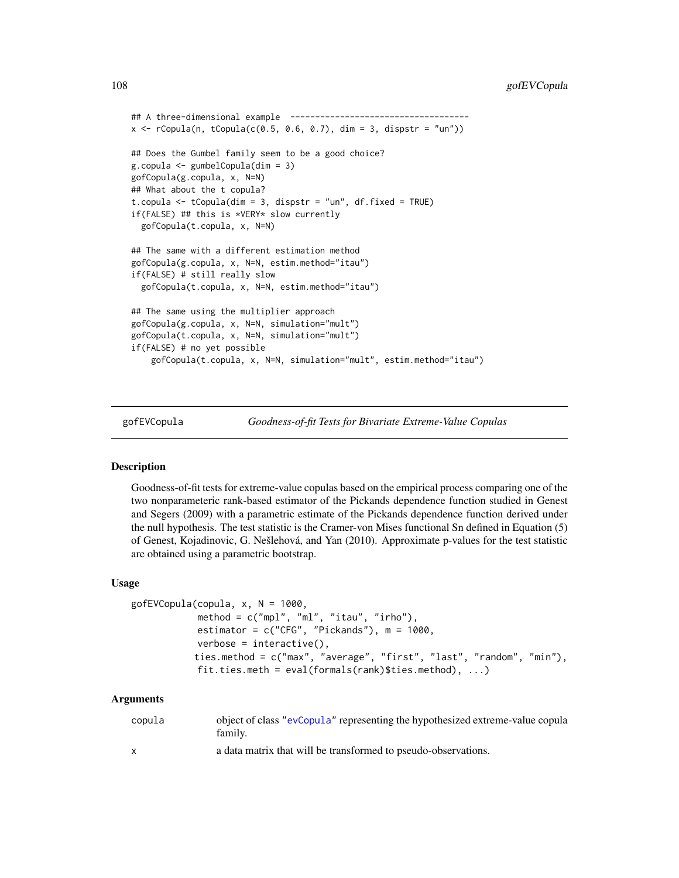```
## A three-dimensional example ------------------------------------
x \le rCopula(n, tCopula(c(0.5, 0.6, 0.7), dim = 3, dispstr = "un"))
## Does the Gumbel family seem to be a good choice?
g.copula <- gumbelCopula(dim = 3)
gofCopula(g.copula, x, N=N)
## What about the t copula?
t.copula <- tCopula(dim = 3, dispstr = "un", df.fixed = TRUE)
if(FALSE) ## this is *VERY* slow currently
 gofCopula(t.copula, x, N=N)
## The same with a different estimation method
gofCopula(g.copula, x, N=N, estim.method="itau")
if(FALSE) # still really slow
 gofCopula(t.copula, x, N=N, estim.method="itau")
## The same using the multiplier approach
gofCopula(g.copula, x, N=N, simulation="mult")
gofCopula(t.copula, x, N=N, simulation="mult")
if(FALSE) # no yet possible
    gofCopula(t.copula, x, N=N, simulation="mult", estim.method="itau")
```
gofEVCopula *Goodness-of-fit Tests for Bivariate Extreme-Value Copulas*

#### Description

Goodness-of-fit tests for extreme-value copulas based on the empirical process comparing one of the two nonparameteric rank-based estimator of the Pickands dependence function studied in Genest and Segers (2009) with a parametric estimate of the Pickands dependence function derived under the null hypothesis. The test statistic is the Cramer-von Mises functional Sn defined in Equation (5) of Genest, Kojadinovic, G. Nešlehová, and Yan (2010). Approximate p-values for the test statistic are obtained using a parametric bootstrap.

## Usage

```
gofEVCopula(copula, x, N = 1000,
            method = c("mpl", "ml", "itau", "irho"),estimator = c("CFG", "Pickands"), m = 1000,verbose = interactive(),ties.method = c("max", "average", "first", "last", "random", "min"),
            fit.ties.meth = eval(formals(rank)$ties.method), \ldots)
```
#### Arguments

| copula       | object of class "evCopula" representing the hypothesized extreme-value copula<br>family. |
|--------------|------------------------------------------------------------------------------------------|
| $\mathbf{x}$ | a data matrix that will be transformed to pseudo-observations.                           |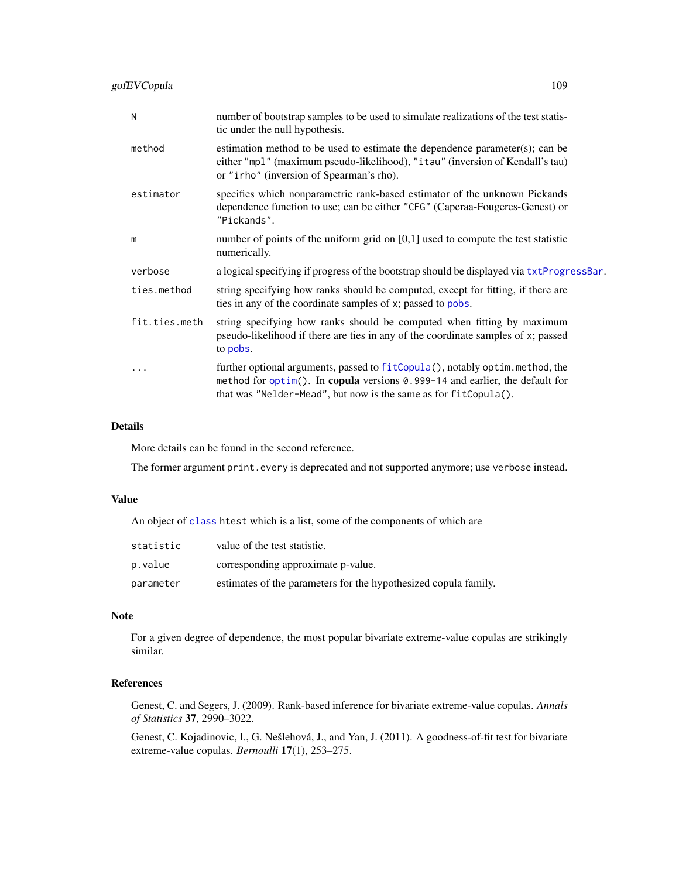gofEVCopula 109

| N             | number of bootstrap samples to be used to simulate realizations of the test statis-<br>tic under the null hypothesis.                                                                                                           |
|---------------|---------------------------------------------------------------------------------------------------------------------------------------------------------------------------------------------------------------------------------|
| method        | estimation method to be used to estimate the dependence parameter(s); can be<br>either "mpl" (maximum pseudo-likelihood), "itau" (inversion of Kendall's tau)<br>or "irho" (inversion of Spearman's rho).                       |
| estimator     | specifies which nonparametric rank-based estimator of the unknown Pickands<br>dependence function to use; can be either "CFG" (Caperaa-Fougeres-Genest) or<br>"Pickands".                                                       |
| m             | number of points of the uniform grid on $[0,1]$ used to compute the test statistic<br>numerically.                                                                                                                              |
| verbose       | a logical specifying if progress of the bootstrap should be displayed via txtProgressBar.                                                                                                                                       |
| ties.method   | string specifying how ranks should be computed, except for fitting, if there are<br>ties in any of the coordinate samples of x; passed to pobs.                                                                                 |
| fit.ties.meth | string specifying how ranks should be computed when fitting by maximum<br>pseudo-likelihood if there are ties in any of the coordinate samples of x; passed<br>to pobs.                                                         |
| .             | further optional arguments, passed to fitCopula(), notably optim.method, the<br>method for optim(). In copula versions 0.999-14 and earlier, the default for<br>that was "Nelder-Mead", but now is the same as for fitCopula(). |

## Details

More details can be found in the second reference.

The former argument print.every is deprecated and not supported anymore; use verbose instead.

## Value

An object of [class](#page-0-0) htest which is a list, some of the components of which are

| statistic | value of the test statistic.                                    |
|-----------|-----------------------------------------------------------------|
| p.value   | corresponding approximate p-value.                              |
| parameter | estimates of the parameters for the hypothesized copula family. |

## Note

For a given degree of dependence, the most popular bivariate extreme-value copulas are strikingly similar.

# References

Genest, C. and Segers, J. (2009). Rank-based inference for bivariate extreme-value copulas. *Annals of Statistics* 37, 2990–3022.

Genest, C. Kojadinovic, I., G. Nešlehová, J., and Yan, J. (2011). A goodness-of-fit test for bivariate extreme-value copulas. *Bernoulli* 17(1), 253–275.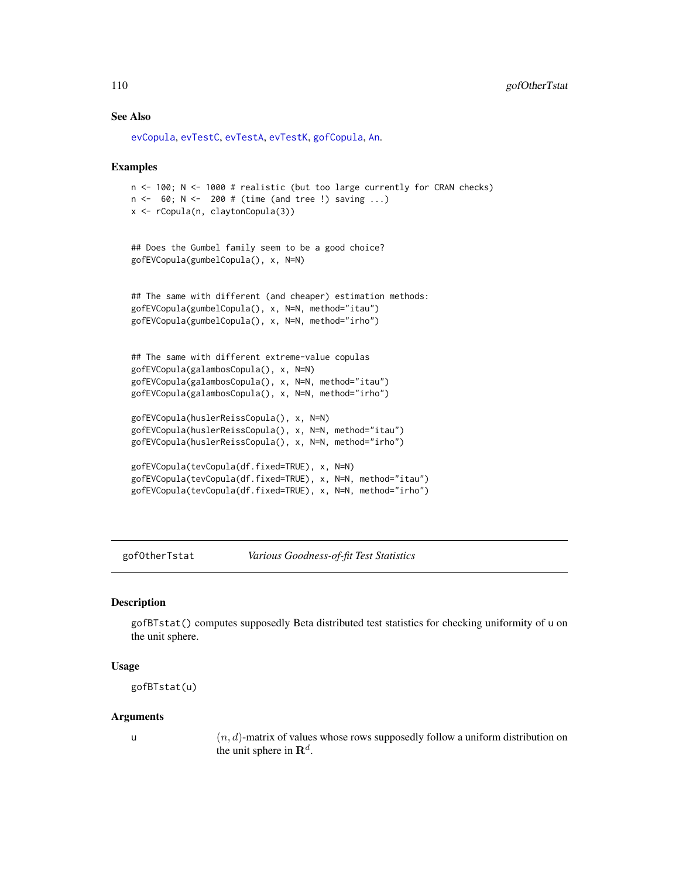## See Also

```
evCopula, evTestC, evTestA, evTestK, gofCopula, An.
```
#### Examples

```
n <- 100; N <- 1000 # realistic (but too large currently for CRAN checks)
n <- 60; N <- 200 # (time (and tree !) saving ...)
x <- rCopula(n, claytonCopula(3))
```

```
## Does the Gumbel family seem to be a good choice?
gofEVCopula(gumbelCopula(), x, N=N)
```

```
## The same with different (and cheaper) estimation methods:
gofEVCopula(gumbelCopula(), x, N=N, method="itau")
gofEVCopula(gumbelCopula(), x, N=N, method="irho")
```

```
## The same with different extreme-value copulas
gofEVCopula(galambosCopula(), x, N=N)
gofEVCopula(galambosCopula(), x, N=N, method="itau")
gofEVCopula(galambosCopula(), x, N=N, method="irho")
```

```
gofEVCopula(huslerReissCopula(), x, N=N)
gofEVCopula(huslerReissCopula(), x, N=N, method="itau")
gofEVCopula(huslerReissCopula(), x, N=N, method="irho")
```

```
gofEVCopula(tevCopula(df.fixed=TRUE), x, N=N)
gofEVCopula(tevCopula(df.fixed=TRUE), x, N=N, method="itau")
gofEVCopula(tevCopula(df.fixed=TRUE), x, N=N, method="irho")
```
gofOtherTstat *Various Goodness-of-fit Test Statistics*

## **Description**

gofBTstat() computes supposedly Beta distributed test statistics for checking uniformity of u on the unit sphere.

#### Usage

gofBTstat(u)

#### Arguments

u  $(n, d)$ -matrix of values whose rows supposedly follow a uniform distribution on the unit sphere in  $\mathbf{R}^d$ .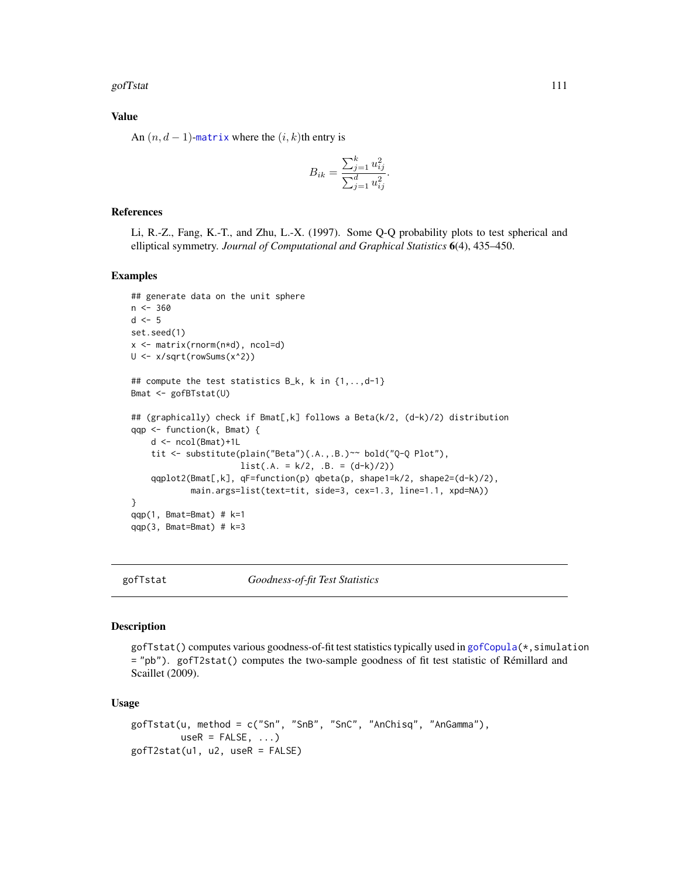gofTstat 111

## Value

An  $(n, d - 1)$ -[matrix](#page-0-0) where the  $(i, k)$ th entry is

$$
B_{ik} = \frac{\sum_{j=1}^{k} u_{ij}^2}{\sum_{j=1}^{d} u_{ij}^2}.
$$

## References

Li, R.-Z., Fang, K.-T., and Zhu, L.-X. (1997). Some Q-Q probability plots to test spherical and elliptical symmetry. *Journal of Computational and Graphical Statistics* 6(4), 435–450.

#### Examples

```
## generate data on the unit sphere
n < -360d \leq -5set.seed(1)
x <- matrix(rnorm(n*d), ncol=d)
U <- x/sqrt(rowSums(x^2))
## compute the test statistics B_k, k in {1,..,d-1}
Bmat <- gofBTstat(U)
## (graphically) check if Bmat[,k] follows a Beta(k/2, (d-k)/2) distribution
qqp <- function(k, Bmat) {
    d <- ncol(Bmat)+1L
    tit <- substitute(plain("Beta")(.A.,.B.)~~ bold("Q-Q Plot"),
                      list(.A. = k/2, .B. = (d-k)/2))qqplot2(Bmat[,k], qF=function(p) qbeta(p, shape1=k/2, shape2=(d-k)/2),
            main.args=list(text=tit, side=3, cex=1.3, line=1.1, xpd=NA))
}
qqp(1, Bmat=Bmat) # k=1
qqp(3, Bmat=Bmat) # k=3
```
gofTstat *Goodness-of-fit Test Statistics*

#### Description

gofTstat() computes various goodness-of-fit test statistics typically used in [gofCopula\(](#page-103-0)\*, simulation = "pb"). gofT2stat() computes the two-sample goodness of fit test statistic of Rémillard and Scaillet (2009).

#### Usage

```
gofTstat(u, method = c("Sn", "SnB", "SnC", "AnChisq", "AnGamma"),
        useR = FALSE, ...)gofT2stat(u1, u2, useR = FALSE)
```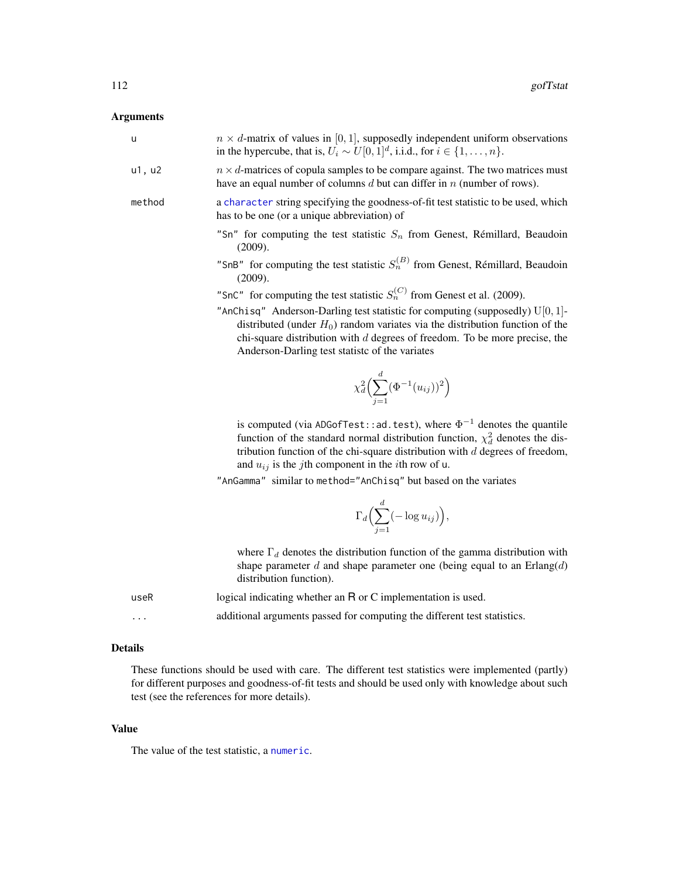# Arguments

| u        | $n \times d$ -matrix of values in [0, 1], supposedly independent uniform observations<br>in the hypercube, that is, $U_i \sim U[0, 1]^d$ , i.i.d., for $i \in \{1, , n\}$ .                                                                                                                                                       |
|----------|-----------------------------------------------------------------------------------------------------------------------------------------------------------------------------------------------------------------------------------------------------------------------------------------------------------------------------------|
| u1, u2   | $n \times d$ -matrices of copula samples to be compare against. The two matrices must<br>have an equal number of columns $d$ but can differ in $n$ (number of rows).                                                                                                                                                              |
| method   | a character string specifying the goodness-of-fit test statistic to be used, which<br>has to be one (or a unique abbreviation) of                                                                                                                                                                                                 |
|          | "Sn" for computing the test statistic $S_n$ from Genest, Rémillard, Beaudoin<br>(2009).                                                                                                                                                                                                                                           |
|          | "SnB" for computing the test statistic $S_n^{(B)}$ from Genest, Rémillard, Beaudoin<br>(2009).                                                                                                                                                                                                                                    |
|          | "SnC" for computing the test statistic $S_n^{(C)}$ from Genest et al. (2009).                                                                                                                                                                                                                                                     |
|          | "AnChisq" Anderson-Darling test statistic for computing (supposedly) $U[0, 1]$ -<br>distributed (under $H_0$ ) random variates via the distribution function of the<br>chi-square distribution with $d$ degrees of freedom. To be more precise, the<br>Anderson-Darling test statistc of the variates                             |
|          | $\chi_d^2\Biggl(\sum_{i=1}^d (\Phi^{-1}(u_{ij}))^2\Biggr)$                                                                                                                                                                                                                                                                        |
|          | is computed (via ADGofTest: : ad. test), where $\Phi^{-1}$ denotes the quantile<br>function of the standard normal distribution function, $\chi_d^2$ denotes the dis-<br>tribution function of the chi-square distribution with $d$ degrees of freedom,<br>and $u_{ij}$ is the <i>j</i> th component in the <i>i</i> th row of u. |
|          | "AnGamma" similar to method="AnChisq" but based on the variates                                                                                                                                                                                                                                                                   |
|          | $\Gamma_d\Bigl(\sum_{i=1}^d(-\log u_{ij})\Bigr),$                                                                                                                                                                                                                                                                                 |
|          | where $\Gamma_d$ denotes the distribution function of the gamma distribution with<br>shape parameter d and shape parameter one (being equal to an $Erlang(d)$<br>distribution function).                                                                                                                                          |
| useR     | logical indicating whether an R or C implementation is used.                                                                                                                                                                                                                                                                      |
| $\cdots$ | additional arguments passed for computing the different test statistics.                                                                                                                                                                                                                                                          |

# Details

These functions should be used with care. The different test statistics were implemented (partly) for different purposes and goodness-of-fit tests and should be used only with knowledge about such test (see the references for more details).

## Value

The value of the test statistic, a [numeric](#page-0-0).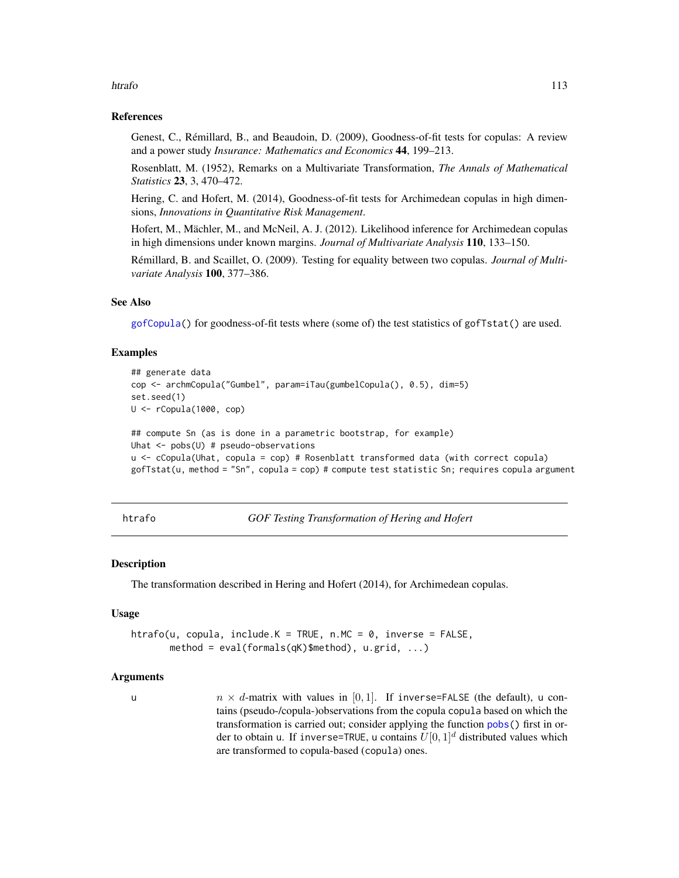#### htrafo 113

## References

Genest, C., Rémillard, B., and Beaudoin, D. (2009), Goodness-of-fit tests for copulas: A review and a power study *Insurance: Mathematics and Economics* 44, 199–213.

Rosenblatt, M. (1952), Remarks on a Multivariate Transformation, *The Annals of Mathematical Statistics* 23, 3, 470–472.

Hering, C. and Hofert, M. (2014), Goodness-of-fit tests for Archimedean copulas in high dimensions, *Innovations in Quantitative Risk Management*.

Hofert, M., Mächler, M., and McNeil, A. J. (2012). Likelihood inference for Archimedean copulas in high dimensions under known margins. *Journal of Multivariate Analysis* 110, 133–150.

Rémillard, B. and Scaillet, O. (2009). Testing for equality between two copulas. *Journal of Multivariate Analysis* 100, 377–386.

## See Also

[gofCopula\(](#page-103-0)) for goodness-of-fit tests where (some of) the test statistics of gofTstat() are used.

## Examples

```
## generate data
cop <- archmCopula("Gumbel", param=iTau(gumbelCopula(), 0.5), dim=5)
set.seed(1)
U <- rCopula(1000, cop)
## compute Sn (as is done in a parametric bootstrap, for example)
Uhat <- pobs(U) # pseudo-observations
u <- cCopula(Uhat, copula = cop) # Rosenblatt transformed data (with correct copula)
gofTstat(u, method = "Sn", copula = cop) # compute test statistic Sn; requires copula argument
```
<span id="page-112-0"></span>htrafo *GOF Testing Transformation of Hering and Hofert*

#### Description

The transformation described in Hering and Hofert (2014), for Archimedean copulas.

#### Usage

```
htrafo(u, copula, include.K = TRUE, n.MC = 0, inverse = FALSE,
       method = eval(formals(qK)$method), u.grid, ...)
```
## Arguments

u n  $\times d$ -matrix with values in [0,1]. If inverse=FALSE (the default), u contains (pseudo-/copula-)observations from the copula copula based on which the transformation is carried out; consider applying the function [pobs\(](#page-167-0)) first in order to obtain u. If inverse=TRUE, u contains  $U[0, 1]^d$  distributed values which are transformed to copula-based (copula) ones.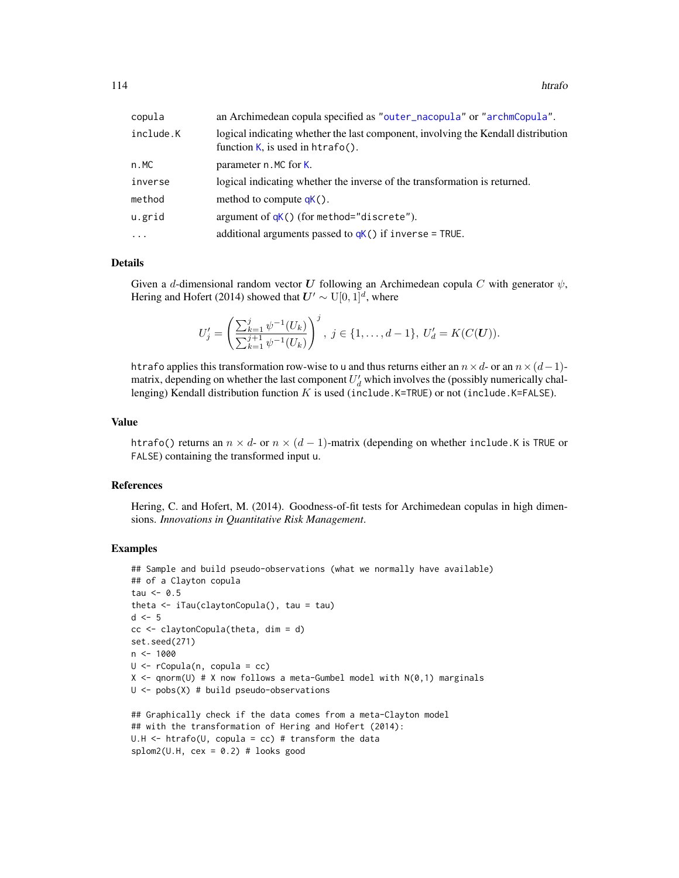114 htrafo

| copula    | an Archimedean copula specified as "outer_nacopula" or "archmCopula".                                                    |
|-----------|--------------------------------------------------------------------------------------------------------------------------|
| include.K | logical indicating whether the last component, involving the Kendall distribution<br>function $K$ , is used in htrafo(). |
| n.MC      | parameter n. MC for K.                                                                                                   |
| inverse   | logical indicating whether the inverse of the transformation is returned.                                                |
| method    | method to compute $qK()$ .                                                                                               |
| u.grid    | argument of $qK()$ (for method="discrete").                                                                              |
| $\ddots$  | additional arguments passed to $qK()$ if inverse = TRUE.                                                                 |

#### Details

Given a d-dimensional random vector U following an Archimedean copula C with generator  $\psi$ , Hering and Hofert (2014) showed that  $U' \sim U[0, 1]^d$ , where

$$
U'_{j} = \left(\frac{\sum_{k=1}^{j} \psi^{-1}(U_{k})}{\sum_{k=1}^{j+1} \psi^{-1}(U_{k})}\right)^{j}, \ j \in \{1, \ldots, d-1\}, \ U'_{d} = K(C(\mathbf{U})).
$$

htrafo applies this transformation row-wise to u and thus returns either an  $n \times d$ - or an  $n \times (d-1)$ matrix, depending on whether the last component  $U_d'$  which involves the (possibly numerically challenging) Kendall distribution function  $K$  is used (include.K=TRUE) or not (include.K=FALSE).

## Value

htrafo() returns an  $n \times d$ - or  $n \times (d - 1)$ -matrix (depending on whether include.K is TRUE or FALSE) containing the transformed input u.

#### References

Hering, C. and Hofert, M. (2014). Goodness-of-fit tests for Archimedean copulas in high dimensions. *Innovations in Quantitative Risk Management*.

## Examples

```
## Sample and build pseudo-observations (what we normally have available)
## of a Clayton copula
tau <-0.5theta <- iTau(claytonCopula(), tau = tau)
d \leq -5cc < - \text{claytonCopula}(theta, dim = d)
set.seed(271)
n < -1000U <- rCopula(n, copula = cc)
X \leq qnorm(U) # X now follows a meta-Gumbel model with N(0,1) marginals
U \leftarrow pobs(X) # build pseudo-observations
## Graphically check if the data comes from a meta-Clayton model
## with the transformation of Hering and Hofert (2014):
U.H \le htrafo(U, copula = cc) # transform the data
splom2(U.H, cex = 0.2) # looks good
```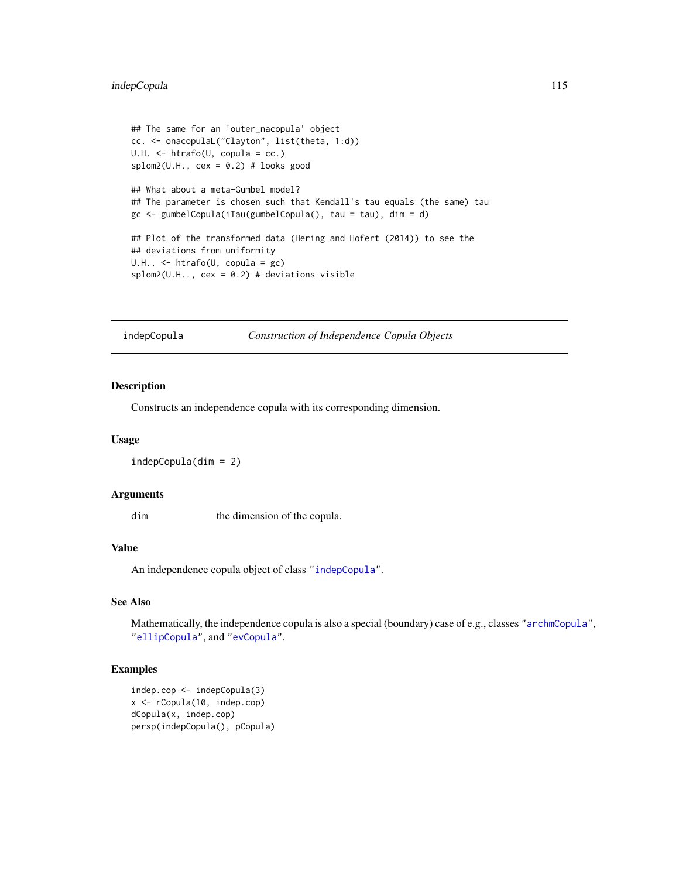## indepCopula 115

```
## The same for an 'outer_nacopula' object
cc. <- onacopulaL("Clayton", list(theta, 1:d))
U.H. <- htrafo(U, copula = cc.)
splom2(U.H., cex = 0.2) # looks good## What about a meta-Gumbel model?
## The parameter is chosen such that Kendall's tau equals (the same) tau
gc <- gumbelCopula(iTau(gumbelCopula(), tau = tau), dim = d)
## Plot of the transformed data (Hering and Hofert (2014)) to see the
## deviations from uniformity
U.H.. <- htrafo(U, copula = gc)
splom2(U.H., cex = 0.2) # deviations visible
```
<span id="page-114-0"></span>indepCopula *Construction of Independence Copula Objects*

# Description

Constructs an independence copula with its corresponding dimension.

#### Usage

indepCopula(dim = 2)

## Arguments

dim the dimension of the copula.

## Value

An independence copula object of class ["indepCopula"](#page-115-0).

## See Also

Mathematically, the independence copula is also a special (boundary) case of e.g., classes ["archmCopula"](#page-23-0), ["ellipCopula"](#page-52-0), and ["evCopula"](#page-69-0).

#### Examples

```
indep.cop <- indepCopula(3)
x <- rCopula(10, indep.cop)
dCopula(x, indep.cop)
persp(indepCopula(), pCopula)
```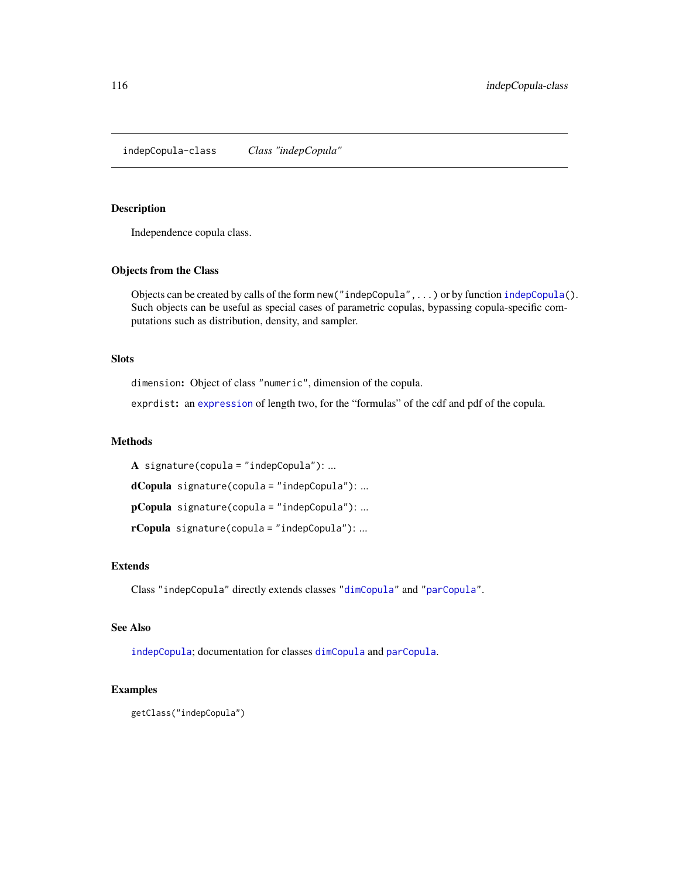<span id="page-115-0"></span>indepCopula-class *Class "indepCopula"*

#### Description

Independence copula class.

## Objects from the Class

Objects can be created by calls of the form new ("indepCopula", ...) or by function [indepCopula\(](#page-114-0)). Such objects can be useful as special cases of parametric copulas, bypassing copula-specific computations such as distribution, density, and sampler.

## Slots

dimension: Object of class "numeric", dimension of the copula.

exprdist: an [expression](#page-0-0) of length two, for the "formulas" of the cdf and pdf of the copula.

#### Methods

A signature(copula = "indepCopula"): ...

dCopula signature(copula = "indepCopula"): ...

pCopula signature(copula = "indepCopula"): ...

rCopula signature(copula = "indepCopula"): ...

## Extends

Class "indepCopula" directly extends classes ["dimCopula"](#page-44-0) and ["parCopula"](#page-44-0).

## See Also

[indepCopula](#page-114-0); documentation for classes [dimCopula](#page-44-0) and [parCopula](#page-44-0).

#### Examples

getClass("indepCopula")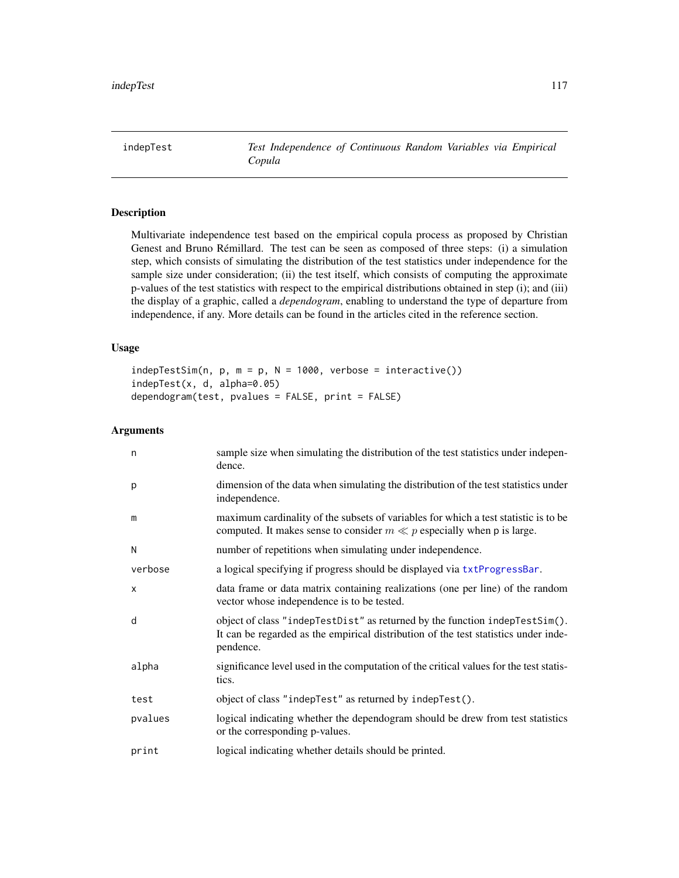<span id="page-116-0"></span>indepTest *Test Independence of Continuous Random Variables via Empirical Copula*

## <span id="page-116-1"></span>Description

Multivariate independence test based on the empirical copula process as proposed by Christian Genest and Bruno Rémillard. The test can be seen as composed of three steps: (i) a simulation step, which consists of simulating the distribution of the test statistics under independence for the sample size under consideration; (ii) the test itself, which consists of computing the approximate p-values of the test statistics with respect to the empirical distributions obtained in step (i); and (iii) the display of a graphic, called a *dependogram*, enabling to understand the type of departure from independence, if any. More details can be found in the articles cited in the reference section.

## Usage

```
indepTestSim(n, p, m = p, N = 1000, verbose = interactive())indepTest(x, d, alpha=0.05)
dependogram(test, pvalues = FALSE, print = FALSE)
```
## Arguments

| n       | sample size when simulating the distribution of the test statistics under indepen-<br>dence.                                                                                    |
|---------|---------------------------------------------------------------------------------------------------------------------------------------------------------------------------------|
| p       | dimension of the data when simulating the distribution of the test statistics under<br>independence.                                                                            |
| m       | maximum cardinality of the subsets of variables for which a test statistic is to be<br>computed. It makes sense to consider $m \ll p$ especially when p is large.               |
| N       | number of repetitions when simulating under independence.                                                                                                                       |
| verbose | a logical specifying if progress should be displayed via txtProgressBar.                                                                                                        |
| X       | data frame or data matrix containing realizations (one per line) of the random<br>vector whose independence is to be tested.                                                    |
| d       | object of class "indepTestDist" as returned by the function indepTestSim().<br>It can be regarded as the empirical distribution of the test statistics under inde-<br>pendence. |
| alpha   | significance level used in the computation of the critical values for the test statis-<br>tics.                                                                                 |
| test    | object of class "indepTest" as returned by indepTest().                                                                                                                         |
| pvalues | logical indicating whether the dependogram should be drew from test statistics<br>or the corresponding p-values.                                                                |
| print   | logical indicating whether details should be printed.                                                                                                                           |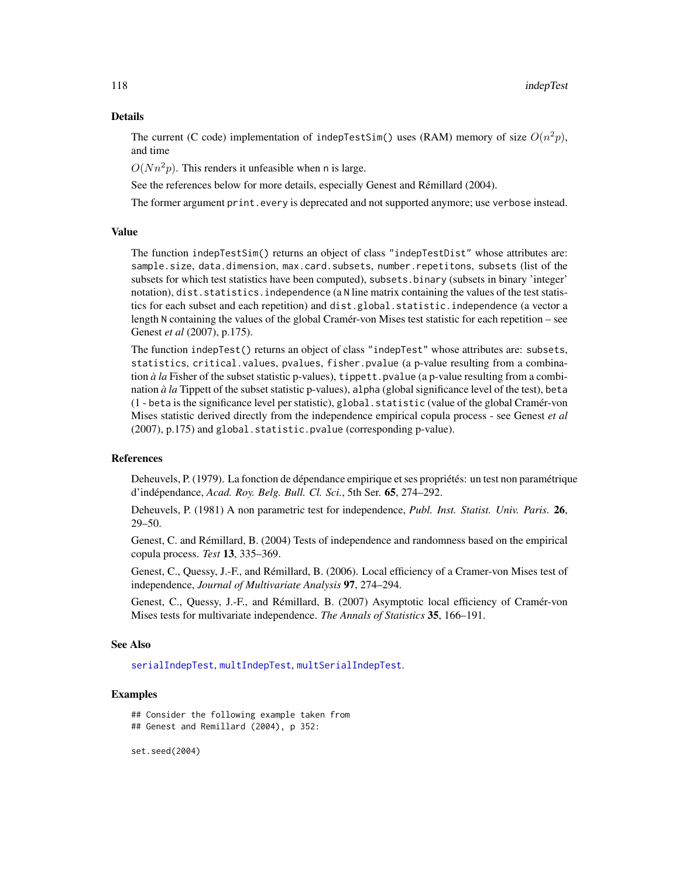#### Details

The current (C code) implementation of indepTestSim() uses (RAM) memory of size  $O(n^2p)$ , and time

 $O(Nn^2p)$ . This renders it unfeasible when n is large.

See the references below for more details, especially Genest and Rémillard (2004).

The former argument print.every is deprecated and not supported anymore; use verbose instead.

## Value

The function indepTestSim() returns an object of class "indepTestDist" whose attributes are: sample.size, data.dimension, max.card.subsets, number.repetitons, subsets (list of the subsets for which test statistics have been computed), subsets.binary (subsets in binary 'integer' notation), dist.statistics.independence (a N line matrix containing the values of the test statistics for each subset and each repetition) and dist.global.statistic.independence (a vector a length N containing the values of the global Cramér-von Mises test statistic for each repetition – see Genest *et al* (2007), p.175).

The function indepTest() returns an object of class "indepTest" whose attributes are: subsets, statistics, critical.values, pvalues, fisher.pvalue (a p-value resulting from a combination *à la* Fisher of the subset statistic p-values), tippett.pvalue (a p-value resulting from a combination *à la* Tippett of the subset statistic p-values), alpha (global significance level of the test), beta (1 - beta is the significance level per statistic), global.statistic (value of the global Cramér-von Mises statistic derived directly from the independence empirical copula process - see Genest *et al* (2007), p.175) and global.statistic.pvalue (corresponding p-value).

## References

Deheuvels, P. (1979). La fonction de dépendance empirique et ses propriétés: un test non paramétrique d'indépendance, *Acad. Roy. Belg. Bull. Cl. Sci.*, 5th Ser. 65, 274–292.

Deheuvels, P. (1981) A non parametric test for independence, *Publ. Inst. Statist. Univ. Paris*. 26, 29–50.

Genest, C. and Rémillard, B. (2004) Tests of independence and randomness based on the empirical copula process. *Test* 13, 335–369.

Genest, C., Quessy, J.-F., and Rémillard, B. (2006). Local efficiency of a Cramer-von Mises test of independence, *Journal of Multivariate Analysis* 97, 274–294.

Genest, C., Quessy, J.-F., and Rémillard, B. (2007) Asymptotic local efficiency of Cramér-von Mises tests for multivariate independence. *The Annals of Statistics* 35, 166–191.

#### See Also

[serialIndepTest](#page-196-0), [multIndepTest](#page-142-0), [multSerialIndepTest](#page-144-0).

## Examples

## Consider the following example taken from ## Genest and Remillard (2004), p 352:

set.seed(2004)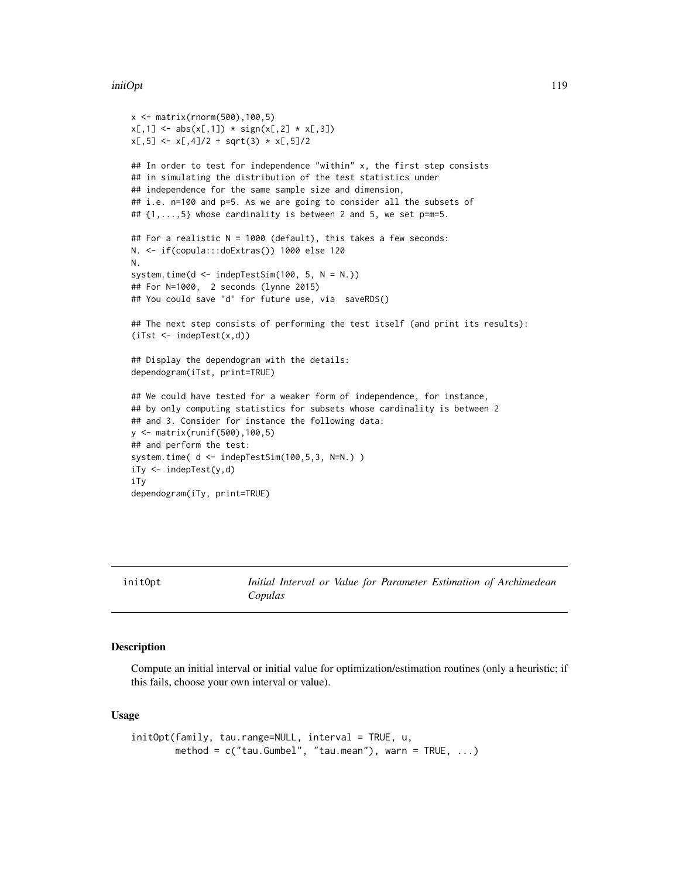#### initOpt 119

```
x <- matrix(rnorm(500),100,5)
x[,1] <- abs(x[,1]) * sign(x[,2] * x[,3])
x[,5] \leftarrow x[,4]/2 + sqrt(3) * x[,5]/2## In order to test for independence "within" x, the first step consists
## in simulating the distribution of the test statistics under
## independence for the same sample size and dimension,
## i.e. n=100 and p=5. As we are going to consider all the subsets of
## \{1,\ldots,5\} whose cardinality is between 2 and 5, we set p=m=5.
## For a realistic N = 1000 (default), this takes a few seconds:
N. <- if(copula:::doExtras()) 1000 else 120
N.
system.time(d \leq indepTestSim(100, 5, N = N.))
## For N=1000, 2 seconds (lynne 2015)
## You could save 'd' for future use, via saveRDS()
## The next step consists of performing the test itself (and print its results):
(iTst < -indepTest(x,d))## Display the dependogram with the details:
dependogram(iTst, print=TRUE)
## We could have tested for a weaker form of independence, for instance,
## by only computing statistics for subsets whose cardinality is between 2
## and 3. Consider for instance the following data:
y <- matrix(runif(500),100,5)
## and perform the test:
system.time( d <- indepTestSim(100,5,3, N=N.) )
iTy <- indepTest(y,d)
iTy
dependogram(iTy, print=TRUE)
```

```
initOpt Initial Interval or Value for Parameter Estimation of Archimedean
                     Copulas
```
#### Description

Compute an initial interval or initial value for optimization/estimation routines (only a heuristic; if this fails, choose your own interval or value).

#### Usage

```
initOpt(family, tau.range=NULL, interval = TRUE, u,
       method = c("tau.Gumbel", "tau.mean"), warn = TRUE, ...)
```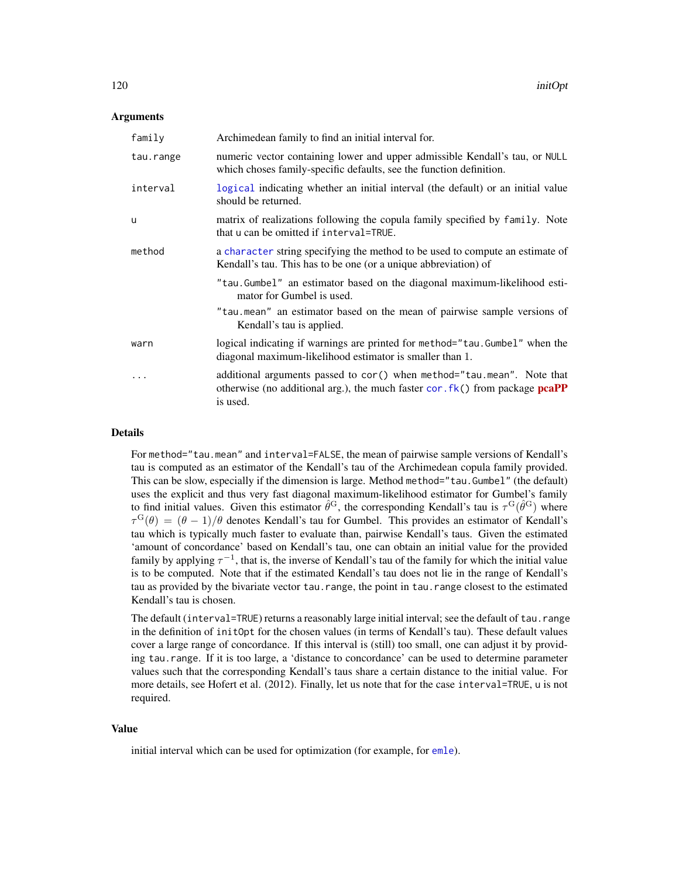#### Arguments

| family    | Archimedean family to find an initial interval for.                                                                                                                                 |
|-----------|-------------------------------------------------------------------------------------------------------------------------------------------------------------------------------------|
| tau.range | numeric vector containing lower and upper admissible Kendall's tau, or NULL<br>which choses family-specific defaults, see the function definition.                                  |
| interval  | logical indicating whether an initial interval (the default) or an initial value<br>should be returned.                                                                             |
| u         | matrix of realizations following the copula family specified by family. Note<br>that u can be omitted if interval=TRUE.                                                             |
| method    | a character string specifying the method to be used to compute an estimate of<br>Kendall's tau. This has to be one (or a unique abbreviation) of                                    |
|           | "tau.Gumbel" an estimator based on the diagonal maximum-likelihood esti-<br>mator for Gumbel is used.                                                                               |
|           | "tau mean" an estimator based on the mean of pairwise sample versions of<br>Kendall's tau is applied.                                                                               |
| warn      | logical indicating if warnings are printed for method="tau.Gumbel" when the<br>diagonal maximum-likelihood estimator is smaller than 1.                                             |
|           | additional arguments passed to cor() when method="tau.mean". Note that<br>otherwise (no additional arg.), the much faster $\text{cor.fk}()$ from package $\text{pcaPP}$<br>is used. |

## Details

For method="tau.mean" and interval=FALSE, the mean of pairwise sample versions of Kendall's tau is computed as an estimator of the Kendall's tau of the Archimedean copula family provided. This can be slow, especially if the dimension is large. Method method="tau.Gumbel" (the default) uses the explicit and thus very fast diagonal maximum-likelihood estimator for Gumbel's family to find initial values. Given this estimator  $\hat{\theta}^G$ , the corresponding Kendall's tau is  $\tau^G(\hat{\theta}^G)$  where  $\tau^{\rm G}(\theta) = (\theta - 1)/\theta$  denotes Kendall's tau for Gumbel. This provides an estimator of Kendall's tau which is typically much faster to evaluate than, pairwise Kendall's taus. Given the estimated 'amount of concordance' based on Kendall's tau, one can obtain an initial value for the provided family by applying  $\tau^{-1}$ , that is, the inverse of Kendall's tau of the family for which the initial value is to be computed. Note that if the estimated Kendall's tau does not lie in the range of Kendall's tau as provided by the bivariate vector tau.range, the point in tau.range closest to the estimated Kendall's tau is chosen.

The default (interval=TRUE) returns a reasonably large initial interval; see the default of tau.range in the definition of initOpt for the chosen values (in terms of Kendall's tau). These default values cover a large range of concordance. If this interval is (still) too small, one can adjust it by providing tau.range. If it is too large, a 'distance to concordance' can be used to determine parameter values such that the corresponding Kendall's taus share a certain distance to the initial value. For more details, see Hofert et al. (2012). Finally, let us note that for the case interval=TRUE, u is not required.

#### Value

initial interval which can be used for optimization (for example, for [emle](#page-55-0)).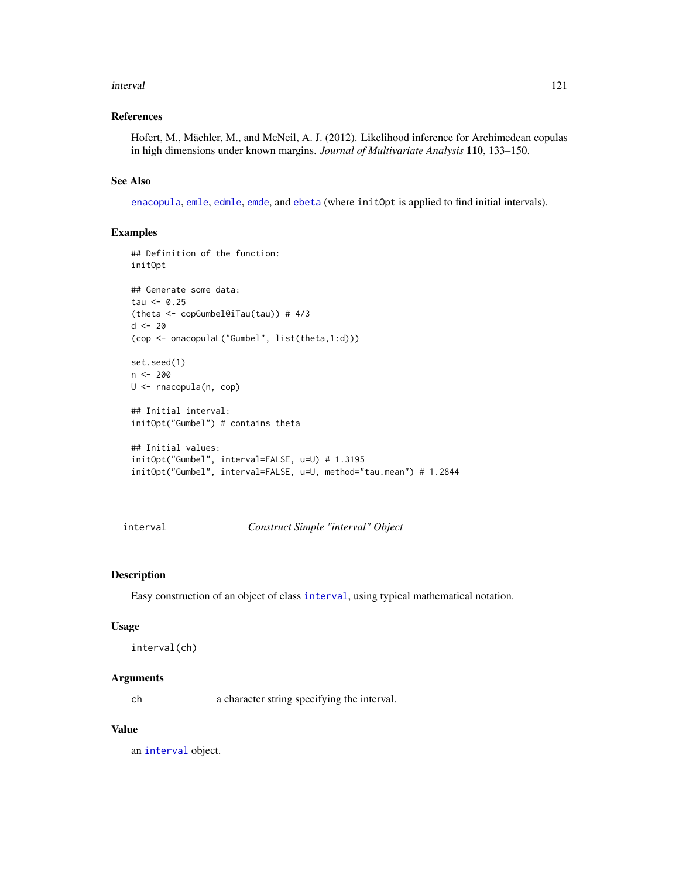#### interval 121

## References

Hofert, M., Mächler, M., and McNeil, A. J. (2012). Likelihood inference for Archimedean copulas in high dimensions under known margins. *Journal of Multivariate Analysis* 110, 133–150.

#### See Also

[enacopula](#page-62-0), [emle](#page-55-0), [edmle](#page-64-0), [emde](#page-53-0), and [ebeta](#page-64-0) (where initOpt is applied to find initial intervals).

# Examples

```
## Definition of the function:
initOpt
## Generate some data:
tau < -0.25(theta <- copGumbel@iTau(tau)) # 4/3
d < -20(cop <- onacopulaL("Gumbel", list(theta,1:d)))
set.seed(1)
n < -200U <- rnacopula(n, cop)
## Initial interval:
initOpt("Gumbel") # contains theta
## Initial values:
initOpt("Gumbel", interval=FALSE, u=U) # 1.3195
initOpt("Gumbel", interval=FALSE, u=U, method="tau.mean") # 1.2844
```
<span id="page-120-0"></span>interval *Construct Simple "interval" Object*

#### Description

Easy construction of an object of class [interval](#page-121-0), using typical mathematical notation.

#### Usage

```
interval(ch)
```
#### Arguments

ch a character string specifying the interval.

## Value

an [interval](#page-121-0) object.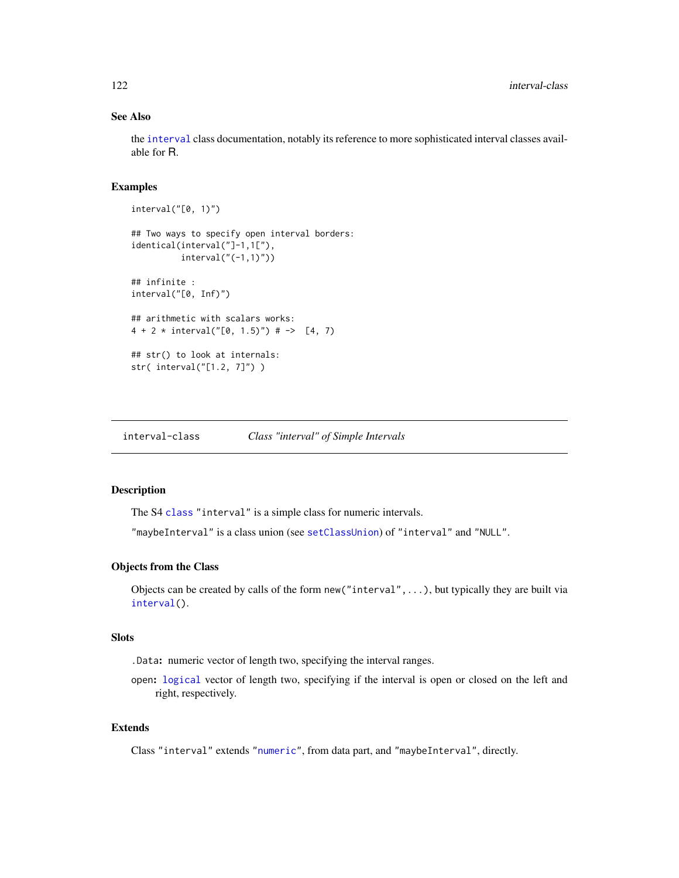## See Also

the [interval](#page-121-0) class documentation, notably its reference to more sophisticated interval classes available for R.

## Examples

```
interval("[0, 1)")
## Two ways to specify open interval borders:
identical(interval("]-1,1["),
         interval("(-1,1)"))
## infinite :
interval("[0, Inf)")
## arithmetic with scalars works:
4 + 2 * interval("[0, 1.5")" + -> [4, 7)## str() to look at internals:
str( interval("[1.2, 7]") )
```
<span id="page-121-0"></span>interval-class *Class "interval" of Simple Intervals*

#### Description

The S4 [class](#page-0-0) "interval" is a simple class for numeric intervals.

"maybeInterval" is a class union (see [setClassUnion](#page-0-0)) of "interval" and "NULL".

## Objects from the Class

Objects can be created by calls of the form new("interval",...), but typically they are built via [interval\(](#page-120-0)).

## **Slots**

.Data: numeric vector of length two, specifying the interval ranges.

open: [logical](#page-0-0) vector of length two, specifying if the interval is open or closed on the left and right, respectively.

#### Extends

Class "interval" extends ["numeric"](#page-0-0), from data part, and "maybeInterval", directly.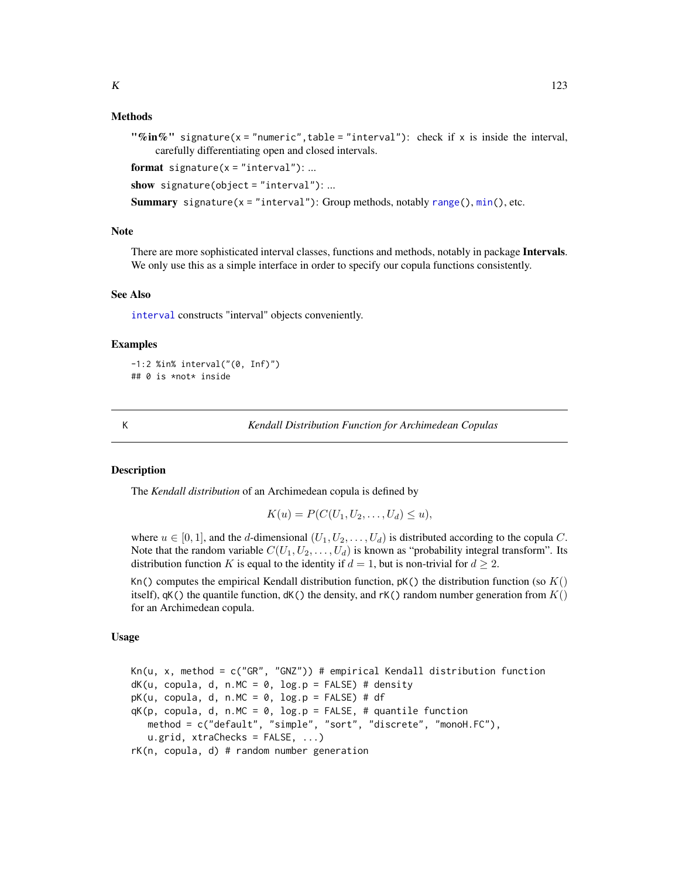## Methods

"%in%" signature(x = "numeric", table = "interval"): check if x is inside the interval, carefully differentiating open and closed intervals.

format signature( $x = "interval")$ : ...

show signature(object = "interval"): ...

**Summary** signature(x = "interval"): Group methods, notably [range\(](#page-0-0)),  $min()$  $min()$ , etc.

## Note

There are more sophisticated interval classes, functions and methods, notably in package **Intervals**. We only use this as a simple interface in order to specify our copula functions consistently.

#### See Also

[interval](#page-120-0) constructs "interval" objects conveniently.

#### Examples

```
-1:2 %in% interval("(0, Inf)")
## 0 is *not* inside
```
<span id="page-122-0"></span>

K *Kendall Distribution Function for Archimedean Copulas*

#### <span id="page-122-1"></span>**Description**

The *Kendall distribution* of an Archimedean copula is defined by

$$
K(u) = P(C(U_1, U_2, \dots, U_d) \le u),
$$

where  $u \in [0, 1]$ , and the d-dimensional  $(U_1, U_2, \ldots, U_d)$  is distributed according to the copula C. Note that the random variable  $C(U_1, U_2, \ldots, U_d)$  is known as "probability integral transform". Its distribution function K is equal to the identity if  $d = 1$ , but is non-trivial for  $d \geq 2$ .

Kn() computes the empirical Kendall distribution function,  $pK()$  the distribution function (so  $K()$ ) itself),  $qK()$  the quantile function,  $dK()$  the density, and  $rK()$  random number generation from  $K()$ for an Archimedean copula.

#### Usage

Kn(u, x, method = c("GR", "GNZ")) # empirical Kendall distribution function  $dK(u, copula, d, n.MC = 0, log.p = FALSE)$ # density  $pK(u, copula, d, n.MC = 0, log.p = FALSE) # df$  $qK(p, copula, d, n.MC = 0, log.p = FALSE, # quantile function)$ method = c("default", "simple", "sort", "discrete", "monoH.FC"), u.grid, xtraChecks = FALSE, ...) rK(n, copula, d) # random number generation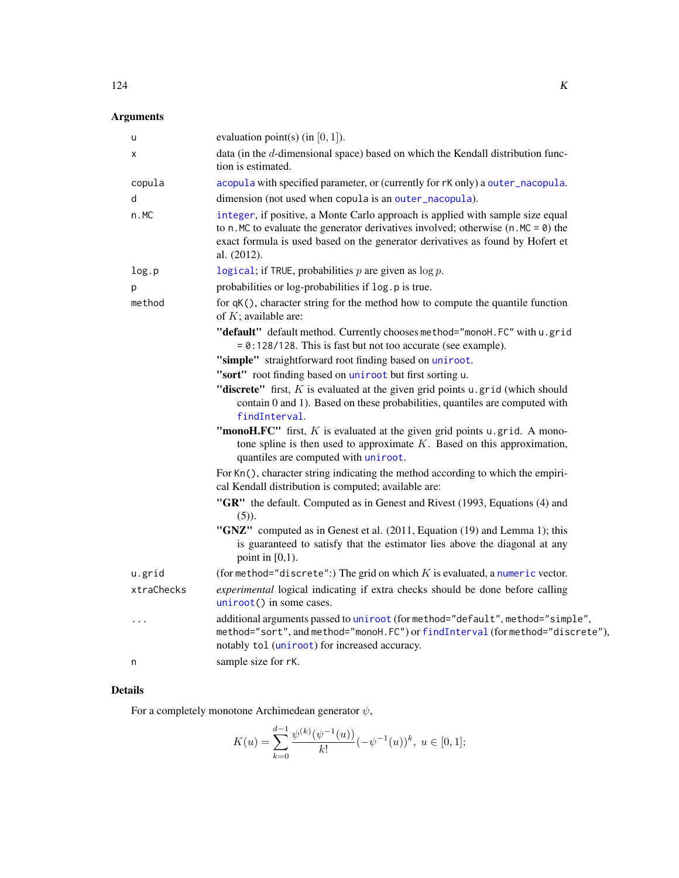# Arguments

| u          | evaluation point(s) (in $[0, 1]$ ).                                                                                                                                                                                                                                          |
|------------|------------------------------------------------------------------------------------------------------------------------------------------------------------------------------------------------------------------------------------------------------------------------------|
| х          | data (in the d-dimensional space) based on which the Kendall distribution func-<br>tion is estimated.                                                                                                                                                                        |
| copula     | acopula with specified parameter, or (currently for rK only) a outer_nacopula.                                                                                                                                                                                               |
| d          | dimension (not used when copula is an outer_nacopula).                                                                                                                                                                                                                       |
| n.MC       | integer, if positive, a Monte Carlo approach is applied with sample size equal<br>to n. MC to evaluate the generator derivatives involved; otherwise $(n \cdot MC = 0)$ the<br>exact formula is used based on the generator derivatives as found by Hofert et<br>al. (2012). |
| log.p      | logical; if TRUE, probabilities $p$ are given as $\log p$ .                                                                                                                                                                                                                  |
| p          | probabilities or log-probabilities if log.p is true.                                                                                                                                                                                                                         |
| method     | for qK(), character string for the method how to compute the quantile function<br>of $K$ ; available are:                                                                                                                                                                    |
|            | "default" default method. Currently chooses method="monoH.FC" with u.grid<br>= 0:128/128. This is fast but not too accurate (see example).                                                                                                                                   |
|            | "simple" straightforward root finding based on uniroot.                                                                                                                                                                                                                      |
|            | "sort" root finding based on uniroot but first sorting u.                                                                                                                                                                                                                    |
|            | "discrete" first, $K$ is evaluated at the given grid points $u$ . grid (which should<br>contain 0 and 1). Based on these probabilities, quantiles are computed with<br>findInterval.                                                                                         |
|            | "monoH.FC" first, $K$ is evaluated at the given grid points $u$ . grid. A mono-<br>tone spline is then used to approximate $K$ . Based on this approximation,<br>quantiles are computed with uniroot.                                                                        |
|            | For Kn(), character string indicating the method according to which the empiri-<br>cal Kendall distribution is computed; available are:                                                                                                                                      |
|            | "GR" the default. Computed as in Genest and Rivest (1993, Equations (4) and<br>$(5)$ ).                                                                                                                                                                                      |
|            | "GNZ" computed as in Genest et al. (2011, Equation (19) and Lemma 1); this<br>is guaranteed to satisfy that the estimator lies above the diagonal at any<br>point in $[0,1)$ .                                                                                               |
| u.grid     | (for method="discrete":) The grid on which $K$ is evaluated, a numeric vector.                                                                                                                                                                                               |
| xtraChecks | experimental logical indicating if extra checks should be done before calling<br>uniroot() in some cases.                                                                                                                                                                    |
| .          | additional arguments passed to uniroot (for method="default", method="simple",<br>method="sort", and method="monoH.FC") or findInterval (for method="discrete"),<br>notably tol (uniroot) for increased accuracy.                                                            |
| n          | sample size for rK.                                                                                                                                                                                                                                                          |

# Details

For a completely monotone Archimedean generator  $\psi$ ,

$$
K(u)=\sum_{k=0}^{d-1}\frac{\psi^{(k)}(\psi^{-1}(u))}{k!}(-\psi^{-1}(u))^k,\ u\in[0,1];
$$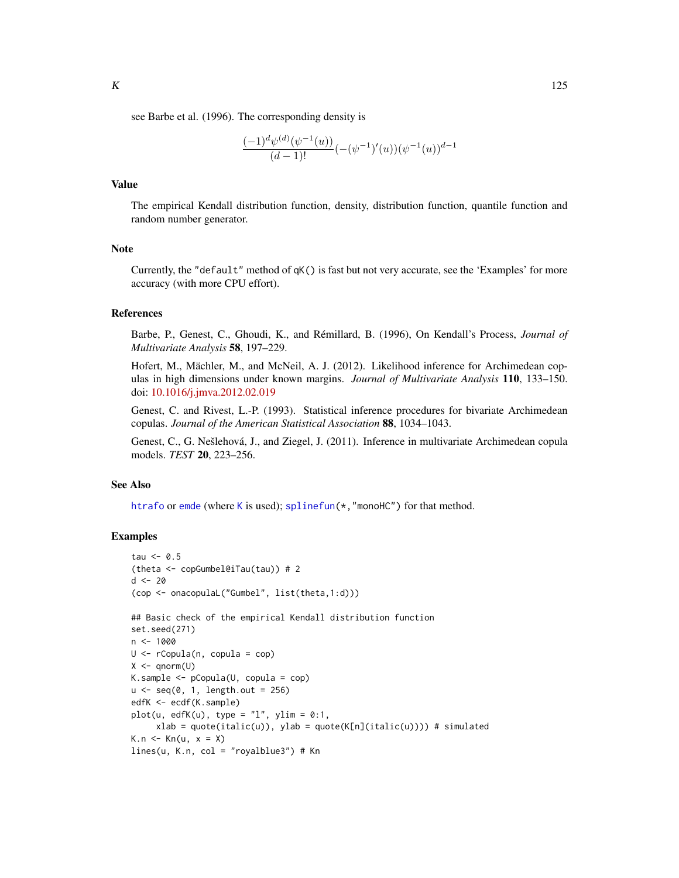see Barbe et al. (1996). The corresponding density is

$$
\frac{(-1)^{d} \psi^{(d)}(\psi^{-1}(u))}{(d-1)!}(-(\psi^{-1})'(u))(\psi^{-1}(u))^{d-1}
$$

## Value

The empirical Kendall distribution function, density, distribution function, quantile function and random number generator.

## Note

Currently, the "default" method of qK() is fast but not very accurate, see the 'Examples' for more accuracy (with more CPU effort).

#### References

Barbe, P., Genest, C., Ghoudi, K., and Rémillard, B. (1996), On Kendall's Process, *Journal of Multivariate Analysis* 58, 197–229.

Hofert, M., Mächler, M., and McNeil, A. J. (2012). Likelihood inference for Archimedean copulas in high dimensions under known margins. *Journal of Multivariate Analysis* 110, 133–150. doi: [10.1016/j.jmva.2012.02.019](https://doi.org/10.1016/j.jmva.2012.02.019)

Genest, C. and Rivest, L.-P. (1993). Statistical inference procedures for bivariate Archimedean copulas. *Journal of the American Statistical Association* 88, 1034–1043.

Genest, C., G. Nešlehová, J., and Ziegel, J. (2011). Inference in multivariate Archimedean copula models. *TEST* 20, 223–256.

#### See Also

[htrafo](#page-112-0) or [emde](#page-53-0) (where [K](#page-122-0) is used); [splinefun\(](#page-0-0)\*, "monoHC") for that method.

#### Examples

```
tau < -0.5(theta <- copGumbel@iTau(tau)) # 2
d \le -20(cop <- onacopulaL("Gumbel", list(theta,1:d)))
## Basic check of the empirical Kendall distribution function
set.seed(271)
n <- 1000
U <- rCopula(n, copula = cop)
X \leftarrow \text{qnorm}(U)K.sample <- pCopula(U, copula = cop)
u \leq -\text{seq}(0, 1, \text{length.out} = 256)edfK <- ecdf(K.sample)
plot(u, edfK(u), type = "1", ylim = 0:1,
     xlab = quote(italic(u)), ylab = quote(K[n](italic(u)))) # simulated
K.n \leq Kn(u, x = X)lines(u, K.n, col = "royalblue3") # Kn
```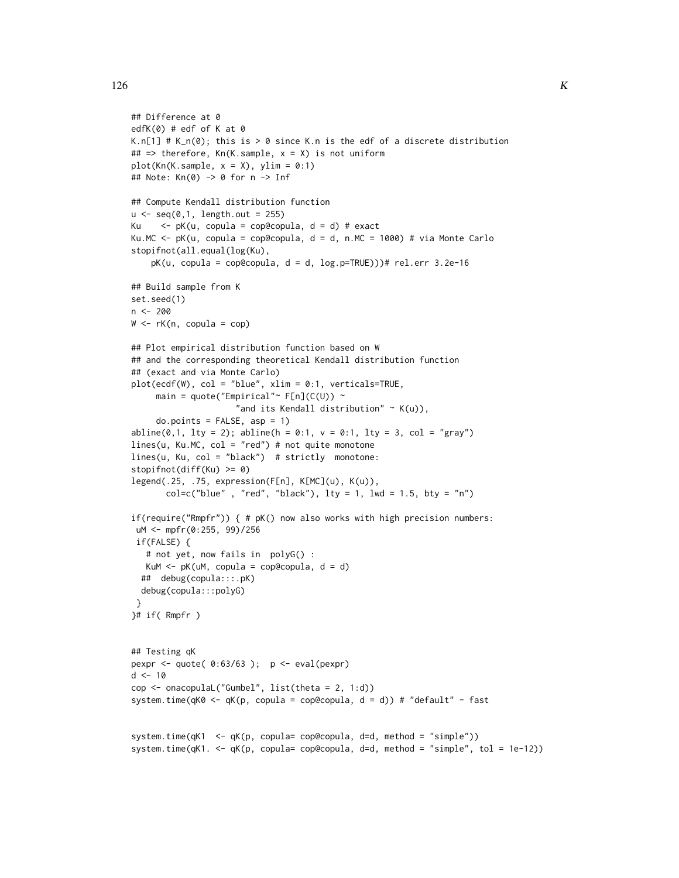```
## Difference at 0
edfK(0) # edf of K at 0
K.n[1] # K_n(0); this is > 0 since K.n is the edf of a discrete distribution
## \Rightarrow therefore, Kn(K.sample, x = X) is not uniform
plot(Kn(K.sample, x = X), ylim = 0:1)## Note: Kn(0) -> 0 for n -> Inf
## Compute Kendall distribution function
u \leq -\text{seq}(0,1, \text{length.out} = 255)Ku \langle -\rangle pK(u, copula = cop@copula, d = d) # exact
Ku.MC \leq pK(u, copula = cop@copula, d = d, n.MC = 1000) # via Monte Carlo
stopifnot(all.equal(log(Ku),
    pK(u, copula = cop@copula, d = d, log.p=TRUE)))# rel.err 3.2e-16
## Build sample from K
set.seed(1)
n <- 200
W \leftarrow rK(n, copula = cop)## Plot empirical distribution function based on W
## and the corresponding theoretical Kendall distribution function
## (exact and via Monte Carlo)
plot(ecdf(W), col = "blue", xlim = 0:1, verticals=TRUE,
     main = quote("Empirical"~ F[n](C(U)) ~
                      "and its Kendall distribution" \sim K(u)),
     do.points = FALSE, asp = 1)abline(0,1, 1ty = 2); abline(h = 0:1, v = 0:1, 1ty = 3, col = "gray")lines(u, Ku.MC, col = "red") # not quite monotonelines(u, Ku, col = "black") # strictly monotone:
stopifnot(diff(Ku) >= 0)
legend(.25, .75, expression(F[n], K[MC](u), K(u)),
       col=c("blue" , "red", "black"), \; lty = 1, \; lwd = 1.5, \; bty = "n")if(require("Rmpfr")) { # pK() now also works with high precision numbers:
 uM <- mpfr(0:255, 99)/256
 if(FALSE) {
   # not yet, now fails in polyG() :
  KuM \leq pK(uM, copula = cop@copula, d = d)
  ## debug(copula:::.pK)
  debug(copula:::polyG)
 }
}# if( Rmpfr )
## Testing qK
pexpr <- quote(0:63/63); p \le -\text{eval(pexpr)}d < -10cop \le onacopulaL("Gumbel", list(theta = 2, 1:d))
system.time(qK0 <- qK(p, copula = cop@copula, d = d)) # "default" - fast
system.time(qK1 <- qK(p, copula= cop@copula, d=d, method = "simple"))
system.time(qK1. <- qK(p, copula= cop@copula, d=d, method = "simple", tol = 1e-12))
```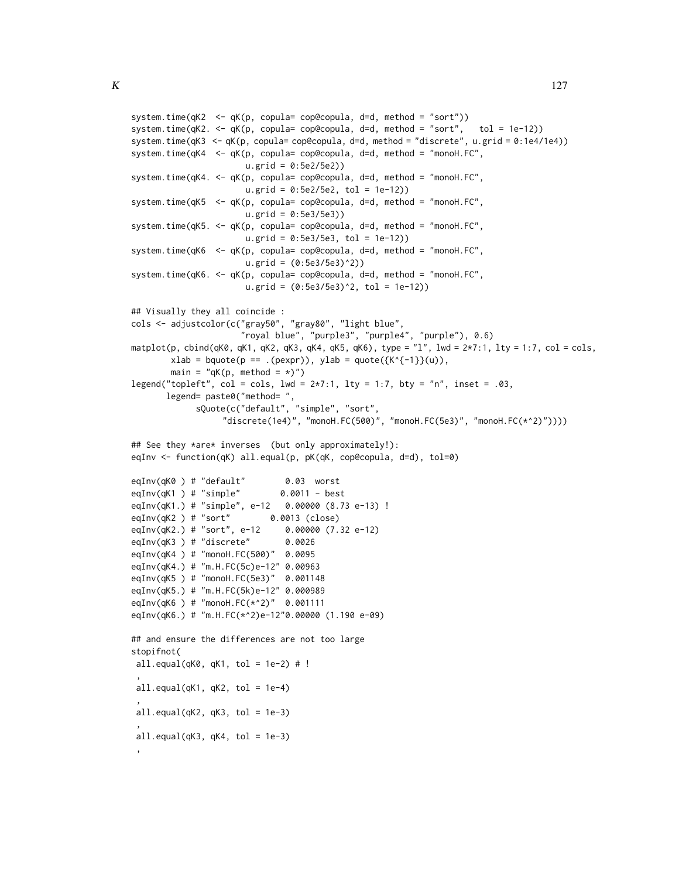```
system.time(qK2 <- qK(p, copula= cop@copula, d=d, method = "sort"))
system.time(qK2. <- qK(p, copula= cop@copula, d=d, method = "sort", tol = 1e-12))
system.time(qK3 <- qK(p, copula= cop@copula, d=d, method = "discrete", u.grid = 0:1e4/1e4))
system.time(qK4 <- qK(p, copula= cop@copula, d=d, method = "monoH.FC",
                      u.grid = 0:5e2/5e2))
system.time(qK4. <- qK(p, copula= cop@copula, d=d, method = "monoH.FC",
                      u.grid = 0:5e2/5e2, tol = 1e-12)system.time(qK5 <- qK(p, copula= cop@copula, d=d, method = "monoH.FC",
                      u.grid = 0:5e3/5e3))
system.time(qK5. <- qK(p, copula= cop@copula, d=d, method = "monoH.FC",
                      u.grid = 0:5e3/5e3, tol = 1e-12))
system.time(qK6 <- qK(p, copula= cop@copula, d=d, method = "monoH.FC",
                      u.grid = (0:5e3/5e3)^2))
system.time(qK6. <- qK(p, copula= cop@copula, d=d, method = "monoH.FC",
                      u.grid = (0:5e3/5e3)^2, tol = 1e-12))
## Visually they all coincide :
cols <- adjustcolor(c("gray50", "gray80", "light blue",
                      "royal blue", "purple3", "purple4", "purple"), 0.6)
matplot(p, cbind(qK0, qK1, qK2, qK3, qK4, qK5, qK6), type = "l", lwd = 2*7:1, lty = 1:7, col = cols,
       xlab = bquote(p == .(pexpr)), ylab = quote({K^{-1}}(u)),main = "qK(p, method = \star)")
legend("topleft", col = cols, lwd = 2*7:1, lty = 1:7, bty = "n", inset = .03,
       legend= paste0("method= ",
             sQuote(c("default", "simple", "sort",
                  "discrete(1e4)", "monoH.FC(500)", "monoH.FC(5e3)", "monoH.FC(*^2)"))))
## See they *are* inverses (but only approximately!):
eqInv <- function(qK) all.equal(p, pK(qK, cop@copula, d=d), tol=0)
eqInv(qK0 ) # "default" 0.03 worst
eqInv(qK1 ) # "simple" 0.0011 - best
eqInv(qK1.) # "simple", e-12 0.00000 (8.73 e-13) !
eqInv(qK2 ) # "sort" 0.0013 (close)
eqInv(qK2.) # "sort", e-12 0.00000 (7.32 e-12)
eqInv(qK3 ) # "discrete" 0.0026
eqInv(qK4 ) # "monoH.FC(500)" 0.0095
eqInv(qK4.) # "m.H.FC(5c)e-12" 0.00963
eqInv(qK5 ) # "monoH.FC(5e3)" 0.001148
eqInv(qK5.) # "m.H.FC(5k)e-12" 0.000989
eqInv(qK6 ) # "monoH.FC(*^2)" 0.001111
eqInv(qK6.) # "m.H.FC(*^2)e-12"0.00000 (1.190 e-09)
## and ensure the differences are not too large
stopifnot(
all.equal(qK0, qK1, tol = 1e-2) # !
 ,
 all.equal(qK1, qK2, tol = 1e-4)
 ,
 all.equals(qK2, qK3, tol = 1e-3),
 all.equals(qK3, qK4, tol = 1e-3),
```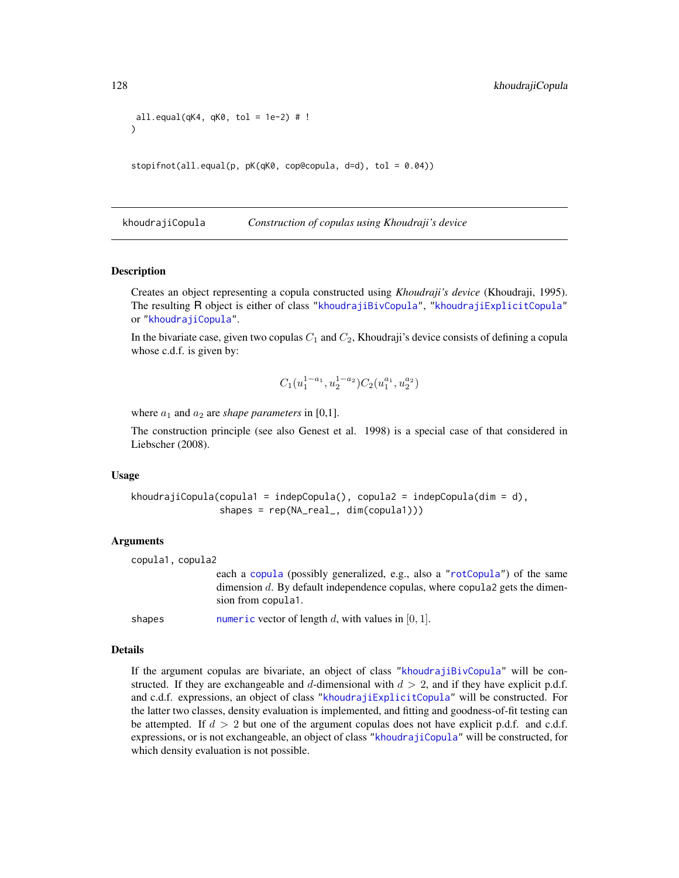```
all.equal(qK4, qK0, tol = 1e-2) # !
)
```
stopifnot(all.equal(p, pK(qK0, cop@copula, d=d), tol = 0.04))

<span id="page-127-0"></span>khoudrajiCopula *Construction of copulas using Khoudraji's device*

#### **Description**

Creates an object representing a copula constructed using *Khoudraji's device* (Khoudraji, 1995). The resulting R object is either of class ["khoudrajiBivCopula"](#page-130-0), ["khoudrajiExplicitCopula"](#page-130-0) or ["khoudrajiCopula"](#page-130-1).

In the bivariate case, given two copulas  $C_1$  and  $C_2$ , Khoudraji's device consists of defining a copula whose c.d.f. is given by:

$$
C_1(u_1^{1-a_1},u_2^{1-a_2})C_2(u_1^{a_1},u_2^{a_2})\\
$$

where  $a_1$  and  $a_2$  are *shape parameters* in [0,1].

The construction principle (see also Genest et al. 1998) is a special case of that considered in Liebscher (2008).

#### Usage

```
khoudrajiCopula(copula1 = indepCopula(), copula2 = indepCopula(dim = d),
                shapes = rep(NA_real_, dim(copula1)))
```
## Arguments

```
copula1, copula2
```
each a [copula](#page-44-1) (possibly generalized, e.g., also a ["rotCopula"](#page-188-0)) of the same dimension d. By default independence copulas, where copula2 gets the dimension from copula1.

shapes [numeric](#page-0-0) vector of length d, with values in  $[0, 1]$ .

#### Details

If the argument copulas are bivariate, an object of class ["khoudrajiBivCopula"](#page-130-0) will be constructed. If they are exchangeable and d-dimensional with  $d > 2$ , and if they have explicit p.d.f. and c.d.f. expressions, an object of class ["khoudrajiExplicitCopula"](#page-130-0) will be constructed. For the latter two classes, density evaluation is implemented, and fitting and goodness-of-fit testing can be attempted. If  $d > 2$  but one of the argument copulas does not have explicit p.d.f. and c.d.f. expressions, or is not exchangeable, an object of class ["khoudrajiCopula"](#page-130-1) will be constructed, for which density evaluation is not possible.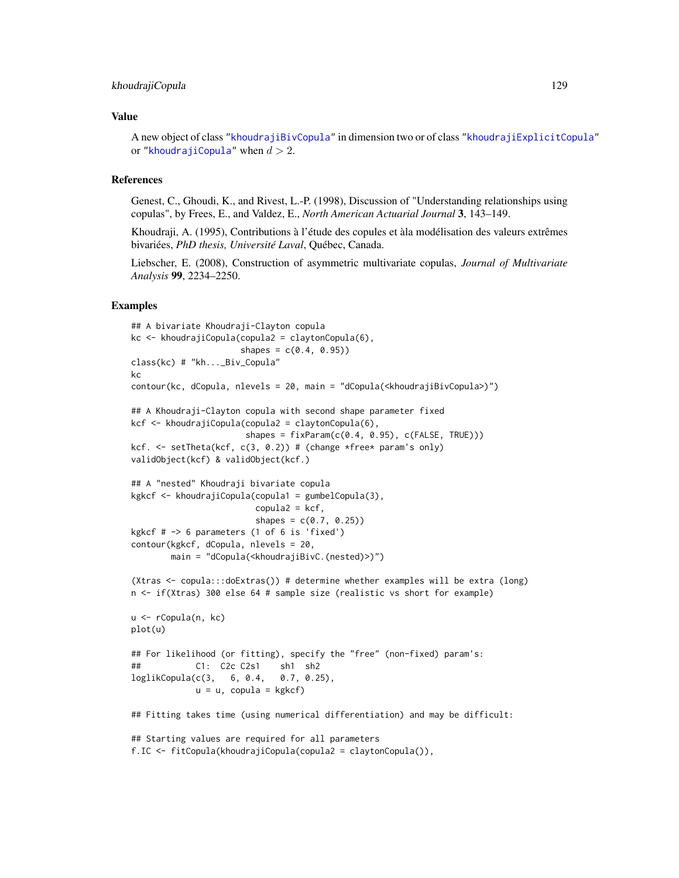#### khoudrajiCopula 129

#### Value

A new object of class ["khoudrajiBivCopula"](#page-130-0) in dimension two or of class ["khoudrajiExplicitCopula"](#page-130-0) or ["khoudrajiCopula"](#page-130-1) when  $d > 2$ .

#### References

Genest, C., Ghoudi, K., and Rivest, L.-P. (1998), Discussion of "Understanding relationships using copulas", by Frees, E., and Valdez, E., *North American Actuarial Journal* 3, 143–149.

Khoudraji, A. (1995), Contributions à l'étude des copules et àla modélisation des valeurs extrêmes bivariées, *PhD thesis, Université Laval*, Québec, Canada.

Liebscher, E. (2008), Construction of asymmetric multivariate copulas, *Journal of Multivariate Analysis* 99, 2234–2250.

#### Examples

```
## A bivariate Khoudraji-Clayton copula
kc <- khoudrajiCopula(copula2 = claytonCopula(6),
                     shapes = c(0.4, 0.95)class(kc) # "kh..._Biv_Copula"
kc
contour(kc, dCopula, nlevels = 20, main = "dCopula(<khoudrajiBivCopula>)")
## A Khoudraji-Clayton copula with second shape parameter fixed
kcf <- khoudrajiCopula(copula2 = claytonCopula(6),
                      shapes = fixParam(c(0.4, 0.95), c(FALSE, TRUE)))kcf. <- setTheta(kcf, c(3, 0.2)) # (change *free* param's only)
validObject(kcf) & validObject(kcf.)
## A "nested" Khoudraji bivariate copula
kgkcf <- khoudrajiCopula(copula1 = gumbelCopula(3),
                        copula2 = kcf,
                        shapes = c(0.7, 0.25)kgkcf # -> 6 parameters (1 of 6 is 'fixed')
contour(kgkcf, dCopula, nlevels = 20,
       main = "dCopula(<khoudrajiBivC.(nested)>)")
(Xtras <- copula:::doExtras()) # determine whether examples will be extra (long)
n <- if(Xtras) 300 else 64 # sample size (realistic vs short for example)
u <- rCopula(n, kc)
plot(u)
## For likelihood (or fitting), specify the "free" (non-fixed) param's:
## C1: C2c C2s1 sh1 sh2
loglikCopula(c(3, 6, 0.4, 0.7, 0.25),
            u = u, copula = kgkcf)
## Fitting takes time (using numerical differentiation) and may be difficult:
## Starting values are required for all parameters
f.IC <- fitCopula(khoudrajiCopula(copula2 = claytonCopula()),
```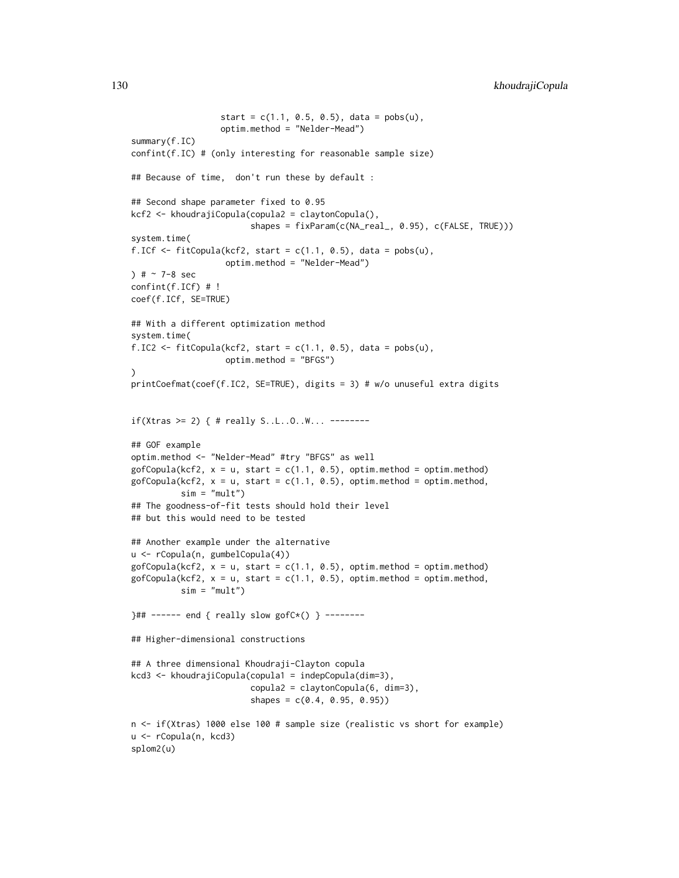```
start = c(1.1, 0.5, 0.5), data = pobs(u),
                  optim.method = "Nelder-Mead")
summary(f.IC)
confint(f.IC) # (only interesting for reasonable sample size)
## Because of time, don't run these by default :
## Second shape parameter fixed to 0.95
kcf2 <- khoudrajiCopula(copula2 = claytonCopula(),
                        shapes = fixParam(c(NA_real_, 0.95), c(FALSE, TRUE)))
system.time(
f.ICf \leq fitCopula(kcf2, start = c(1.1, 0.5), data = pobs(u),
                   optim.method = "Nelder-Mead")
) # ~ 7-8 secconfint(f.ICf) # !
coef(f.ICf, SE=TRUE)
## With a different optimization method
system.time(
f.IC2 <- fitCopula(kcf2, start = c(1.1, 0.5), data = pobs(u),
                   optim.method = "BFGS")
\lambdaprintCoefmat(coef(f.IC2, SE=TRUE), digits = 3) # w/o unuseful extra digits
if(Xtras >= 2) { # really S..L..O..W... --------
## GOF example
optim.method <- "Nelder-Mead" #try "BFGS" as well
gofCopula(kcf2, x = u, start = c(1.1, 0.5), optim method = optim.method)gofCopula(kcf2, x = u, start = c(1.1, 0.5), optim method = optim.method,sim = "mult")## The goodness-of-fit tests should hold their level
## but this would need to be tested
## Another example under the alternative
u <- rCopula(n, gumbelCopula(4))
gofCopula(kcf2, x = u, start = c(1.1, 0.5), optim method = optim.method)gofCopula(kcf2, x = u, start = c(1.1, 0.5), optim method = optim.method,sim = "mult")}## ------ end { really slow gofC*() } --------
## Higher-dimensional constructions
## A three dimensional Khoudraji-Clayton copula
kcd3 <- khoudrajiCopula(copula1 = indepCopula(dim=3),
                        copula2 = claytonCopula(6, dim=3),
                        shapes = c(0.4, 0.95, 0.95)n <- if(Xtras) 1000 else 100 # sample size (realistic vs short for example)
u <- rCopula(n, kcd3)
splom2(u)
```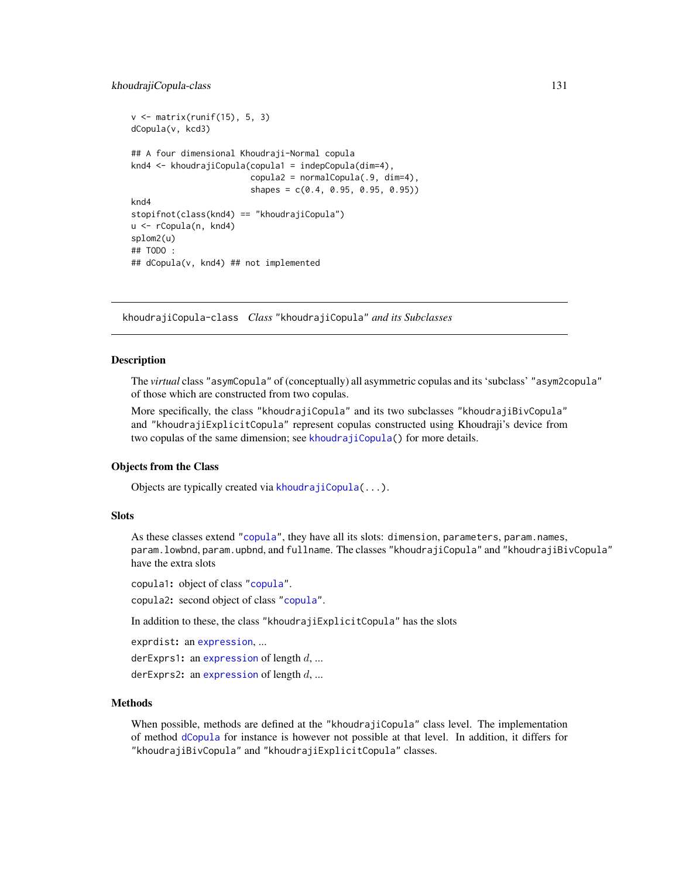#### khoudrajiCopula-class 131

```
v \le matrix(runif(15), 5, 3)
dCopula(v, kcd3)
## A four dimensional Khoudraji-Normal copula
knd4 <- khoudrajiCopula(copula1 = indepCopula(dim=4),
                        copula2 = normalCopula(.9, dim=4),shapes = c(0.4, 0.95, 0.95, 0.95))
knd4
stopifnot(class(knd4) == "khoudrajiCopula")
u <- rCopula(n, knd4)
splom2(u)
## TODO :
## dCopula(v, knd4) ## not implemented
```
<span id="page-130-1"></span>khoudrajiCopula-class *Class* "khoudrajiCopula" *and its Subclasses*

## <span id="page-130-0"></span>Description

The *virtual* class "asymCopula" of (conceptually) all asymmetric copulas and its 'subclass' "asym2copula" of those which are constructed from two copulas.

More specifically, the class "khoudrajiCopula" and its two subclasses "khoudrajiBivCopula" and "khoudrajiExplicitCopula" represent copulas constructed using Khoudraji's device from two copulas of the same dimension; see [khoudrajiCopula\(](#page-127-0)) for more details.

#### Objects from the Class

Objects are typically created via [khoudrajiCopula\(](#page-127-0)...).

#### **Slots**

As these classes extend ["copula"](#page-44-1), they have all its slots: dimension, parameters, param.names, param.lowbnd, param.upbnd, and fullname. The classes "khoudrajiCopula" and "khoudrajiBivCopula" have the extra slots

copula1: object of class ["copula"](#page-44-1).

copula2: second object of class ["copula"](#page-44-1).

In addition to these, the class "khoudrajiExplicitCopula" has the slots

exprdist: an [expression](#page-0-0), ...

derExprs1: an [expression](#page-0-0) of length  $d$ , ...

derExprs2: an [expression](#page-0-0) of length  $d, ...$ 

## Methods

When possible, methods are defined at the "khoudrajiCopula" class level. The implementation of method [dCopula](#page-42-0) for instance is however not possible at that level. In addition, it differs for "khoudrajiBivCopula" and "khoudrajiExplicitCopula" classes.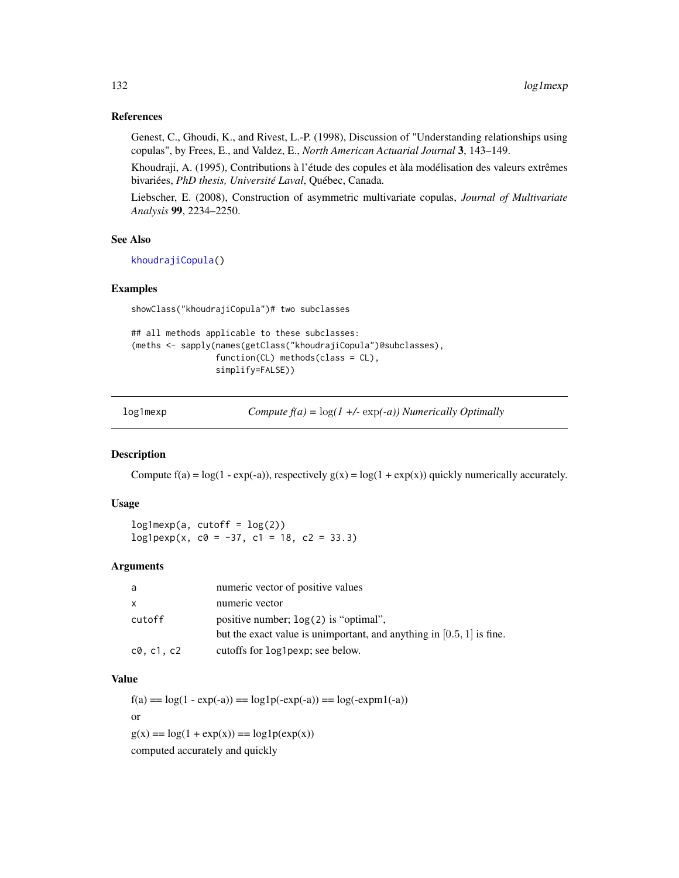## References

Genest, C., Ghoudi, K., and Rivest, L.-P. (1998), Discussion of "Understanding relationships using copulas", by Frees, E., and Valdez, E., *North American Actuarial Journal* 3, 143–149.

Khoudraji, A. (1995), Contributions à l'étude des copules et àla modélisation des valeurs extrêmes bivariées, *PhD thesis, Université Laval*, Québec, Canada.

Liebscher, E. (2008), Construction of asymmetric multivariate copulas, *Journal of Multivariate Analysis* 99, 2234–2250.

## See Also

[khoudrajiCopula\(](#page-127-0))

## Examples

showClass("khoudrajiCopula")# two subclasses

```
## all methods applicable to these subclasses:
(meths <- sapply(names(getClass("khoudrajiCopula")@subclasses),
                 function(CL) methods(class = CL),
                 simplify=FALSE))
```
log1mexp *Compute f(a) =* log*(1 +/-* exp*(-a)) Numerically Optimally*

## Description

Compute  $f(a) = log(1 - exp(-a))$ , respectively  $g(x) = log(1 + exp(x))$  quickly numerically accurately.

## Usage

 $log1$ mexp(a, cutoff =  $log(2)$ )  $log1pexp(x, c0 = -37, c1 = 18, c2 = 33.3)$ 

## Arguments

| a        | numeric vector of positive values                                       |
|----------|-------------------------------------------------------------------------|
| x        | numeric vector                                                          |
| cutoff   | positive number; $log(2)$ is "optimal",                                 |
|          | but the exact value is unimportant, and anything in $[0.5, 1]$ is fine. |
| c0.c1.c2 | cutoffs for log1pexp; see below.                                        |

## Value

 $f(a) = log(1 - exp(-a)) = log1p(-exp(-a)) = log(-exp(-a))$ or  $g(x) = log(1 + exp(x)) = log1p(exp(x))$ 

computed accurately and quickly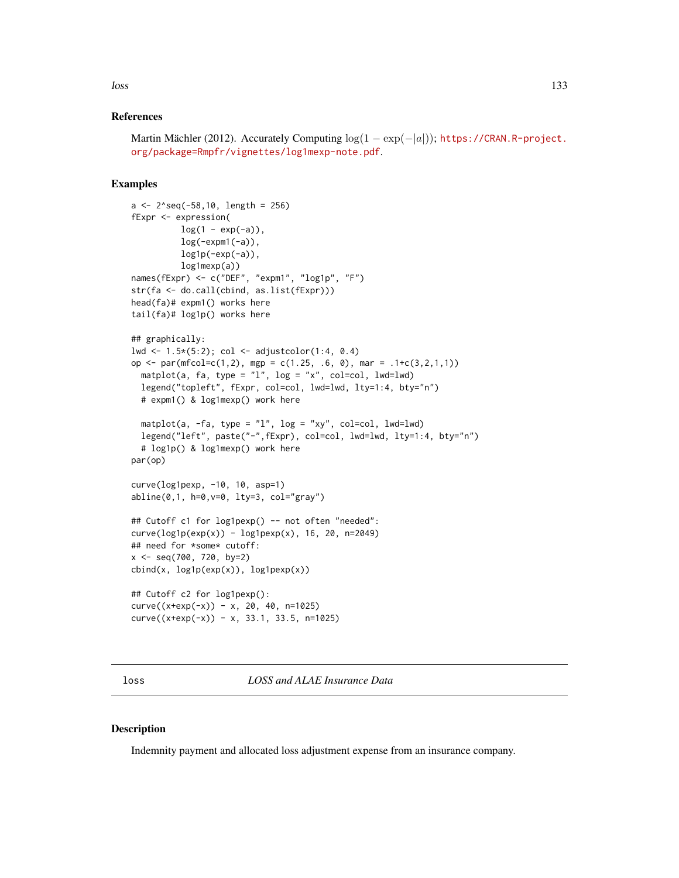## References

```
Martin Mächler (2012). Accurately Computing log(1 - exp(-|a|))https://CRAN.R-project.
org/package=Rmpfr/vignettes/log1mexp-note.pdf.
```
## Examples

```
a <- 2^seq(-58,10, length = 256)
fExpr <- expression(
          log(1 - exp(-a)),log(-expm1(-a)),
          log1p(-exp(-a)),
          log1mexp(a))
names(fExpr) <- c("DEF", "expm1", "log1p", "F")
str(fa <- do.call(cbind, as.list(fExpr)))
head(fa)# expm1() works here
tail(fa)# log1p() works here
## graphically:
lwd <- 1.5*(5:2); col <- adjustcolor(1:4, 0.4)
op <- par(mfcol=c(1,2), mgp = c(1.25, .6, 0), mar = .1+c(3,2,1,1))
  matplot(a, fa, type = "l", log = "x", col=col, lwd=lwd)
  legend("topleft", fExpr, col=col, lwd=lwd, lty=1:4, bty="n")
  # expm1() & log1mexp() work here
  matplot(a, -fa, type = "l", log = "xy", col=col, lwd=lwd)
  legend("left", paste("-",fExpr), col=col, lwd=lwd, lty=1:4, bty="n")
  # log1p() & log1mexp() work here
par(op)
curve(log1pexp, -10, 10, asp=1)
abline(0,1, h=0,v=0, lty=3, col="gray")
## Cutoff c1 for log1pexp() -- not often "needed":
curve(log1p(exp(x)) - log1pexp(x), 16, 20, n=2049)## need for *some* cutoff:
x <- seq(700, 720, by=2)
\text{cbind}(x, \text{log1p}(exp(x)), \text{log1p}(x))## Cutoff c2 for log1pexp():
curve((x+exp(-x)) - x, 20, 40, n=1025)curve((x+exp(-x)) - x, 33.1, 33.5, n=1025)
```
loss *LOSS and ALAE Insurance Data*

## Description

Indemnity payment and allocated loss adjustment expense from an insurance company.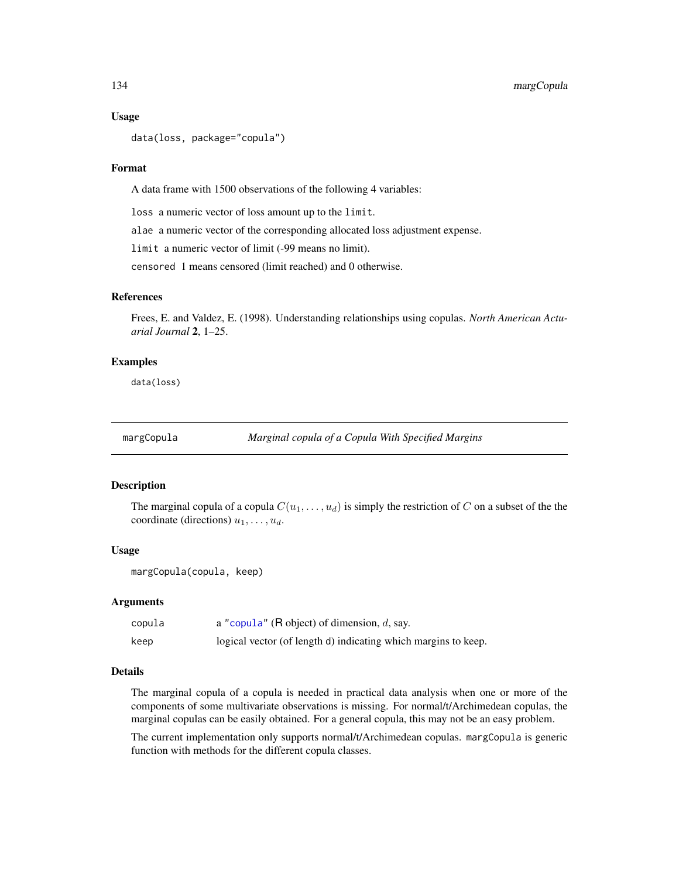#### Usage

```
data(loss, package="copula")
```
#### Format

A data frame with 1500 observations of the following 4 variables:

loss a numeric vector of loss amount up to the limit.

alae a numeric vector of the corresponding allocated loss adjustment expense.

limit a numeric vector of limit (-99 means no limit).

censored 1 means censored (limit reached) and 0 otherwise.

#### References

Frees, E. and Valdez, E. (1998). Understanding relationships using copulas. *North American Actuarial Journal* 2, 1–25.

### Examples

data(loss)

margCopula *Marginal copula of a Copula With Specified Margins*

#### **Description**

The marginal copula of a copula  $C(u_1, \ldots, u_d)$  is simply the restriction of C on a subset of the the coordinate (directions)  $u_1, \ldots, u_d$ .

#### Usage

margCopula(copula, keep)

#### Arguments

| copula | a "copula" (R object) of dimension, $d$ , say.                 |
|--------|----------------------------------------------------------------|
| keep   | logical vector (of length d) indicating which margins to keep. |

## Details

The marginal copula of a copula is needed in practical data analysis when one or more of the components of some multivariate observations is missing. For normal/t/Archimedean copulas, the marginal copulas can be easily obtained. For a general copula, this may not be an easy problem.

The current implementation only supports normal/t/Archimedean copulas. margCopula is generic function with methods for the different copula classes.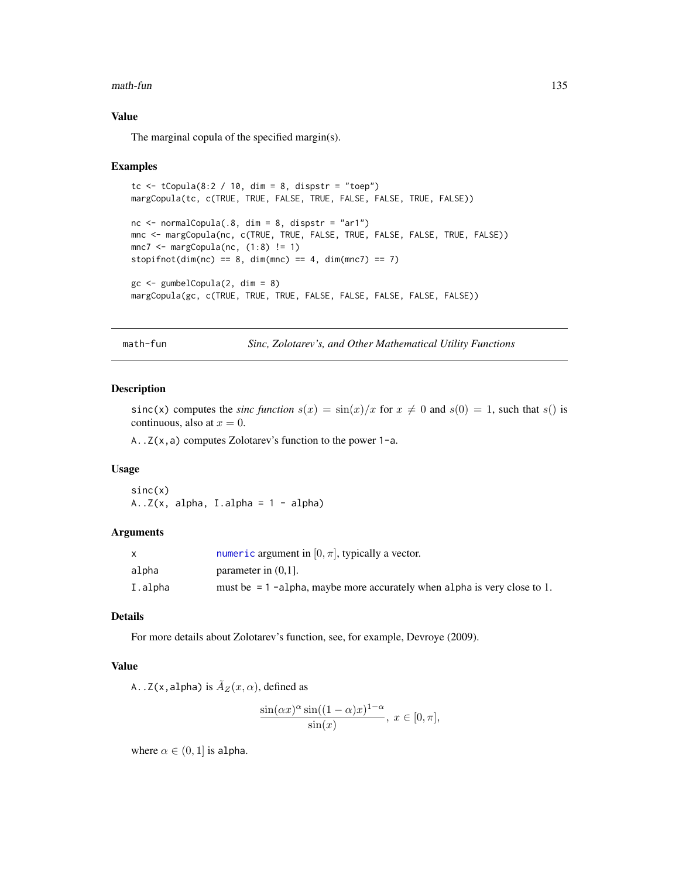#### math-fun 135

## Value

The marginal copula of the specified margin(s).

#### Examples

```
tc \le tCopula(8:2 / 10, dim = 8, dispstr = "toep")
margCopula(tc, c(TRUE, TRUE, FALSE, TRUE, FALSE, FALSE, TRUE, FALSE))
nc \le - normalCopula(.8, dim = 8, dispstr = "ar1")
mnc <- margCopula(nc, c(TRUE, TRUE, FALSE, TRUE, FALSE, FALSE, TRUE, FALSE))
mnc7 < -</math> margCopula(nc, (1:8) != 1)stopifnot(dim(nc) == 8, dim(mnc) == 4, dim(mnc7) == 7)
gc \leq-gumbelCopula(2, dim = 8)margCopula(gc, c(TRUE, TRUE, TRUE, FALSE, FALSE, FALSE, FALSE, FALSE))
```
math-fun *Sinc, Zolotarev's, and Other Mathematical Utility Functions*

#### Description

 $sinc(x)$  computes the *sinc function*  $s(x) = sin(x)/x$  for  $x \neq 0$  and  $s(0) = 1$ , such that  $s($ ) is continuous, also at  $x = 0$ .

A..Z(x,a) computes Zolotarev's function to the power 1-a.

## Usage

 $sinc(x)$  $A..Z(x, alpha, I.alpha = 1 - alpha)$ 

#### Arguments

|         | numeric argument in $[0, \pi]$ , typically a vector.                       |
|---------|----------------------------------------------------------------------------|
| alpha   | parameter in $(0,1]$ .                                                     |
| I.alpha | must be $= 1$ -alpha, maybe more accurately when alpha is very close to 1. |

# Details

For more details about Zolotarev's function, see, for example, Devroye (2009).

## Value

A..Z(x,alpha) is  $\tilde{A}_Z(x, \alpha)$ , defined as

$$
\frac{\sin(\alpha x)^{\alpha}\sin((1-\alpha)x)^{1-\alpha}}{\sin(x)}, x \in [0, \pi],
$$

where  $\alpha \in (0,1]$  is alpha.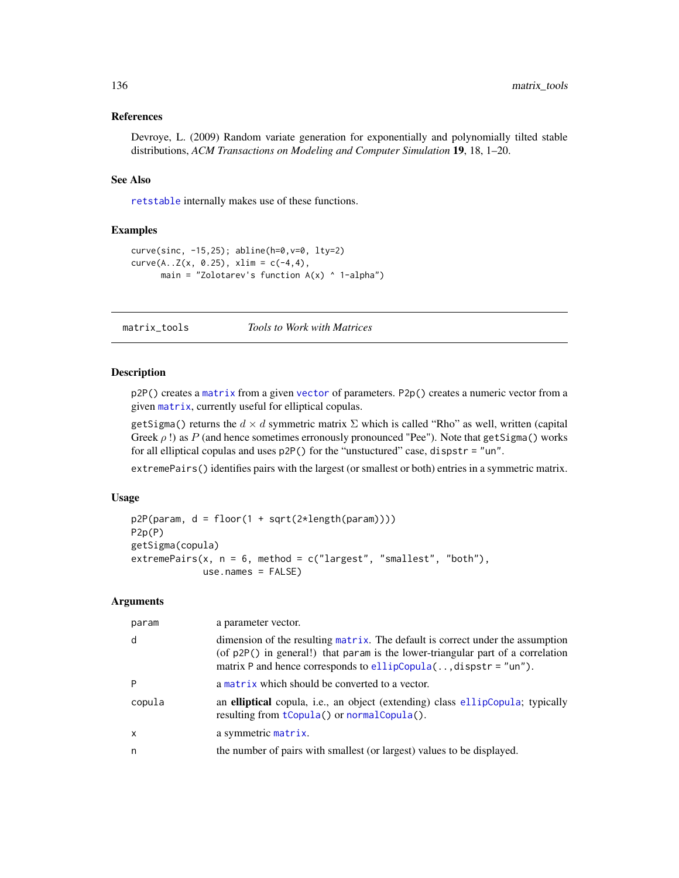## References

Devroye, L. (2009) Random variate generation for exponentially and polynomially tilted stable distributions, *ACM Transactions on Modeling and Computer Simulation* 19, 18, 1–20.

## See Also

[retstable](#page-179-0) internally makes use of these functions.

### Examples

```
curve(sinc, -15,25); abline(h=0,v=0, lty=2)
curve(A..Z(x, 0.25), xlim = c(-4, 4),main = "Zolotarev's function A(x) ^ 1-alpha")
```
## matrix\_tools *Tools to Work with Matrices*

## Description

p2P() creates a [matrix](#page-0-0) from a given [vector](#page-0-0) of parameters. P2p() creates a numeric vector from a given [matrix](#page-0-0), currently useful for elliptical copulas.

getSigma() returns the  $d \times d$  symmetric matrix  $\Sigma$  which is called "Rho" as well, written (capital Greek  $\rho$  !) as P (and hence sometimes erronously pronounced "Pee"). Note that getSigma() works for all elliptical copulas and uses p2P() for the "unstuctured" case, dispstr = "un".

extremePairs() identifies pairs with the largest (or smallest or both) entries in a symmetric matrix.

## Usage

```
p2P(param, d = floor(1 + sqrt(2*length(param))))
P2p(P)
getSigma(copula)
extremePairs(x, n = 6, method = c("largest", "smallest", "both"),
             use.names = FALSE)
```
## Arguments

| param  | a parameter vector.                                                                                                                                                                                                                     |
|--------|-----------------------------------------------------------------------------------------------------------------------------------------------------------------------------------------------------------------------------------------|
| d      | dimension of the resulting matrix. The default is correct under the assumption<br>(of p2P() in general!) that param is the lower-triangular part of a correlation<br>matrix P and hence corresponds to $ellipCopula$ , dispstr = "un"). |
|        | a matrix which should be converted to a vector.                                                                                                                                                                                         |
| copula | an elliptical copula, i.e., an object (extending) class ellipCopula; typically<br>resulting from tCopula() or normalCopula().                                                                                                           |
| x      | a symmetric matrix.                                                                                                                                                                                                                     |
| n      | the number of pairs with smallest (or largest) values to be displayed.                                                                                                                                                                  |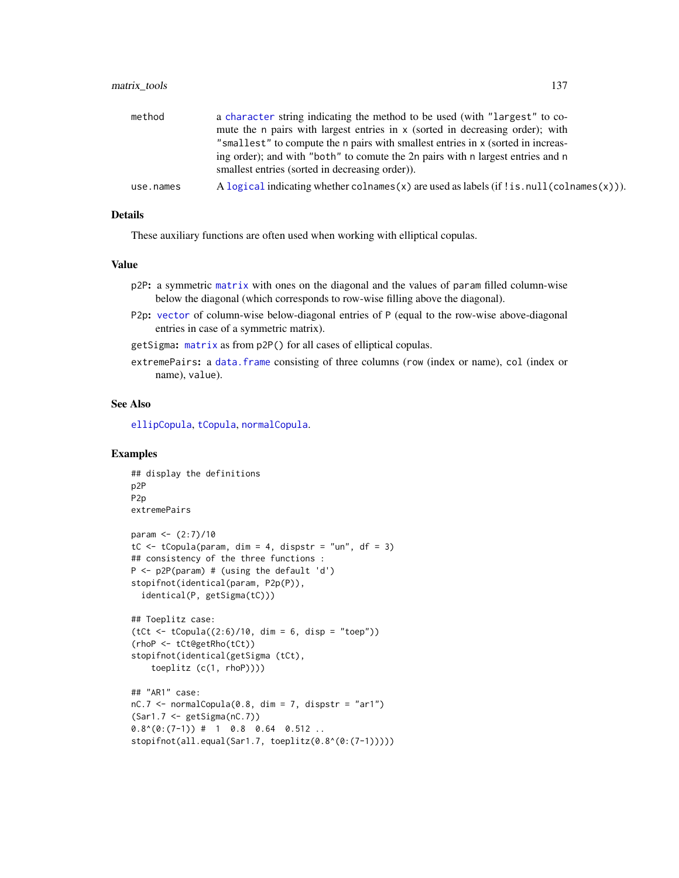## matrix\_tools 137

| method    | a character string indicating the method to be used (with "largest" to co-                       |
|-----------|--------------------------------------------------------------------------------------------------|
|           | mute the n pairs with largest entries in x (sorted in decreasing order); with                    |
|           | "smallest" to compute the n pairs with smallest entries in x (sorted in increas-                 |
|           | ing order); and with "both" to comute the 2n pairs with n largest entries and n                  |
|           | smallest entries (sorted in decreasing order)).                                                  |
| use.names | A logical indicating whether colnames $(x)$ are used as labels (if ! is null (colnames $(x)$ )). |

## Details

These auxiliary functions are often used when working with elliptical copulas.

## Value

- p2P: a symmetric [matrix](#page-0-0) with ones on the diagonal and the values of param filled column-wise below the diagonal (which corresponds to row-wise filling above the diagonal).
- P2p: [vector](#page-0-0) of column-wise below-diagonal entries of P (equal to the row-wise above-diagonal entries in case of a symmetric matrix).
- getSigma: [matrix](#page-0-0) as from p2P() for all cases of elliptical copulas.
- extremePairs: a [data.frame](#page-0-0) consisting of three columns (row (index or name), col (index or name), value).

#### See Also

[ellipCopula](#page-50-0), [tCopula](#page-50-1), [normalCopula](#page-50-1).

#### Examples

```
## display the definitions
p2P
P2p
extremePairs
param <- (2:7)/10
tC \le tCopula(param, dim = 4, dispstr = "un", df = 3)
## consistency of the three functions :
P \le -p2P(param) # (using the default 'd')
stopifnot(identical(param, P2p(P)),
  identical(P, getSigma(tC)))
## Toeplitz case:
(tCt < -tCopula((2:6)/10, dim = 6, disp = "toep"))(rhoP <- tCt@getRho(tCt))
stopifnot(identical(getSigma (tCt),
    toeplitz (c(1, rhoP))))
## "AR1" case:
nC.7 \leq normalCopula(0.8, dim = 7, dispstr = "ar1")(Sar1.7 <- getSigma(nC.7))
0.8^(0:(7-1)) # 1 0.8 0.64 0.512 ..
stopifnot(all.equal(Sar1.7, toeplitz(0.8^(0:(7-1)))))
```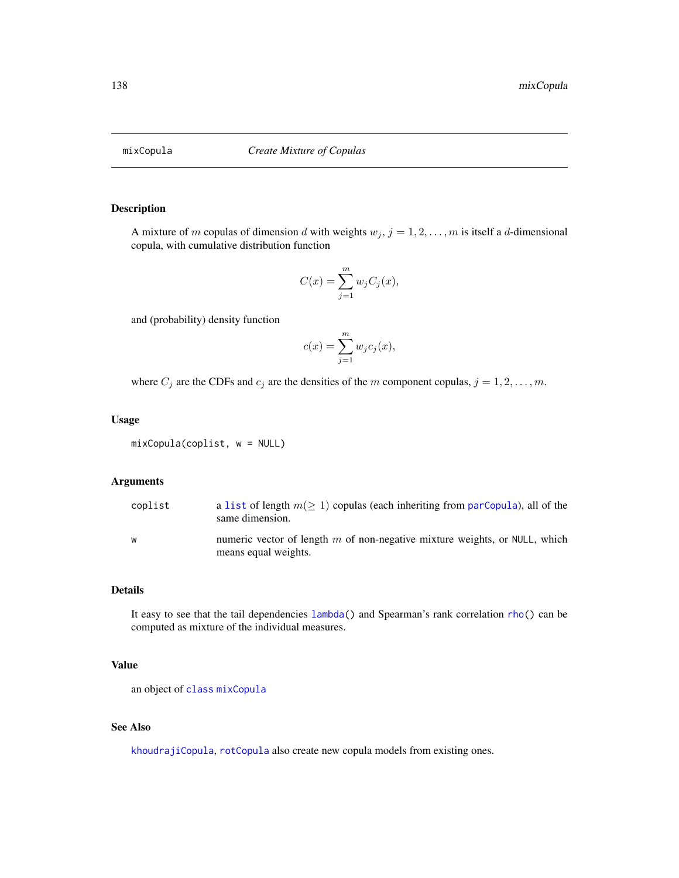<span id="page-137-0"></span>

## Description

A mixture of m copulas of dimension d with weights  $w_j$ ,  $j = 1, 2, \ldots, m$  is itself a d-dimensional copula, with cumulative distribution function

$$
C(x) = \sum_{j=1}^{m} w_j C_j(x),
$$

and (probability) density function

$$
c(x) = \sum_{j=1}^{m} w_j c_j(x),
$$

where  $C_j$  are the CDFs and  $c_j$  are the densities of the m component copulas,  $j = 1, 2, \ldots, m$ .

## Usage

mixCopula(coplist, w = NULL)

## Arguments

| coplist | a list of length $m(\geq 1)$ copulas (each inheriting from parCopula), all of the<br>same dimension. |
|---------|------------------------------------------------------------------------------------------------------|
| W       | numeric vector of length $m$ of non-negative mixture weights, or NULL, which<br>means equal weights. |

## Details

It easy to see that the tail dependencies [lambda\(](#page-25-0)) and Spearman's rank correlation [rho\(](#page-25-0)) can be computed as mixture of the individual measures.

## Value

an object of [class](#page-0-0) [mixCopula](#page-139-0)

## See Also

[khoudrajiCopula](#page-127-0), [rotCopula](#page-188-1) also create new copula models from existing ones.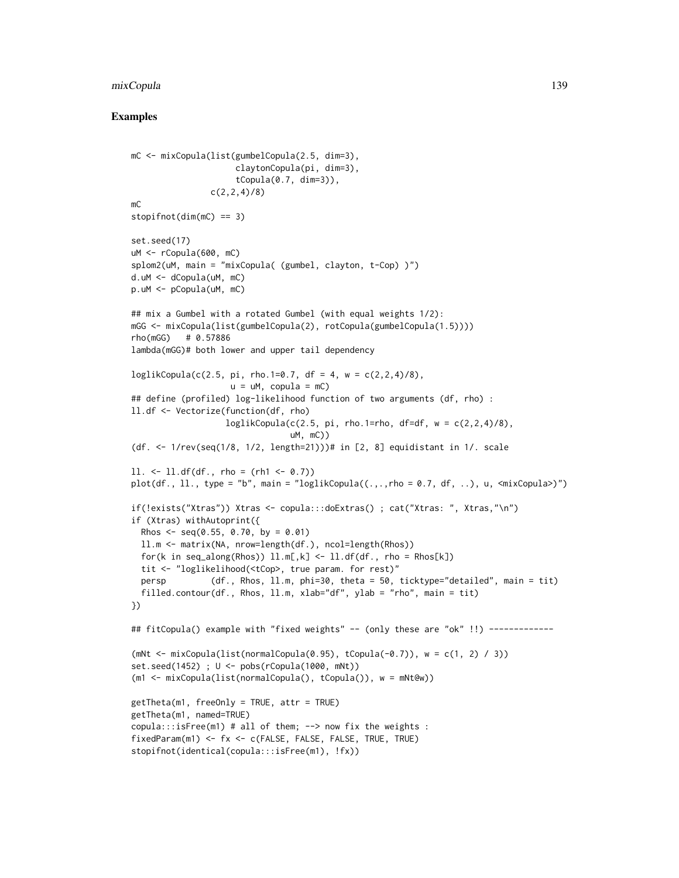#### mixCopula 139

## Examples

```
mC <- mixCopula(list(gumbelCopula(2.5, dim=3),
                     claytonCopula(pi, dim=3),
                     tCopula(0.7, dim=3)),
                c(2, 2, 4)/8mC
stopifnot(dim(mC) == 3)
set.seed(17)
uM <- rCopula(600, mC)
splom2(uM, main = "mixCopula( (gumbel, clayton, t-Cop) )")
d.uM <- dCopula(uM, mC)
p.uM <- pCopula(uM, mC)
## mix a Gumbel with a rotated Gumbel (with equal weights 1/2):
mGG <- mixCopula(list(gumbelCopula(2), rotCopula(gumbelCopula(1.5))))
rho(mGG) # 0.57886
lambda(mGG)# both lower and upper tail dependency
loglikCopula(c(2.5, pi, rho.1=0.7, df = 4, w = c(2,2,4)/8),u = uM, copula = mC)
## define (profiled) log-likelihood function of two arguments (df, rho) :
ll.df <- Vectorize(function(df, rho)
                   loglikCopula(c(2.5, pi, rho.1=rho, df=df, w = c(2,2,4)/8),uM, mC))
(df. <- 1/rev(seq(1/8, 1/2, length=21)))# in [2, 8] equidistant in 1/. scale
11. \leftarrow 11.df(df., rho = (rh1 \leftarrow 0.7))
plot(df., 1l., type = "b", main = "loglikCopula((.,.,rho = 0.7, df, ..), u, <maxCopula&gt;)")if(!exists("Xtras")) Xtras <- copula:::doExtras() ; cat("Xtras: ", Xtras,"\n")
if (Xtras) withAutoprint({
 Rhos \leq seq(0.55, 0.70, by = 0.01)
 ll.m <- matrix(NA, nrow=length(df.), ncol=length(Rhos))
 for(k in seq_along(Rhos)) l.l.m[, k] \leftarrow l.l.df(df., rho = Rhos[k])tit <- "loglikelihood(<tCop>, true param. for rest)"
 persp (df., Rhos, ll.m, phi=30, theta = 50, ticktype="detailed", main = tit)
 filled.contour(df., Rhos, ll.m, xlab="df", ylab = "rho", main = tit)
})
## fitCopula() example with "fixed weights" -- (only these are "ok" !!) ------------
(mNt < -\text{mixCopula}(list(normalCopula(0.95), tCopula(-0.7)), w = c(1, 2) / 3))set.seed(1452) ; U <- pobs(rCopula(1000, mNt))
(m1 <- mixCopula(list(normalCopula(), tCopula()), w = mNt@w))
getTheta(m1, freeOnly = TRUE, attr = TRUE)
getTheta(m1, named=TRUE)
copula:::isFree(m1) # all of them; --> now fix the weights :
fixedParam(m1) <- fx <- c(FALSE, FALSE, FALSE, TRUE, TRUE)
stopifnot(identical(copula:::isFree(m1), !fx))
```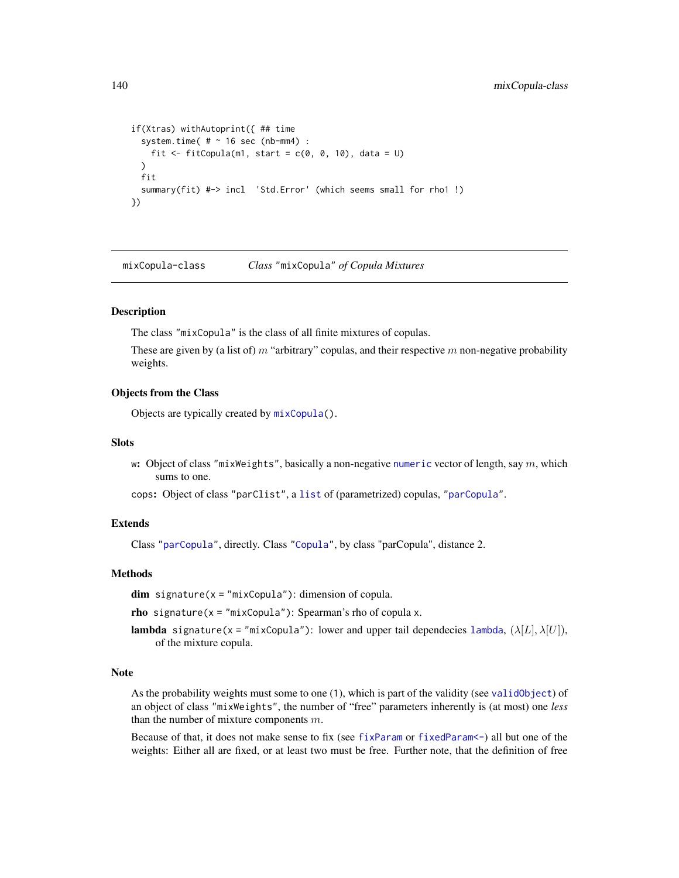```
if(Xtras) withAutoprint({ ## time
 system.time( # ~ 16 sec (nb-mm4) :
   fit \le- fitCopula(m1, start = c(0, 0, 10), data = U)
 )
 fit
 summary(fit) #-> incl 'Std.Error' (which seems small for rho1 !)
})
```
<span id="page-139-0"></span>mixCopula-class *Class* "mixCopula" *of Copula Mixtures*

## **Description**

The class "mixCopula" is the class of all finite mixtures of copulas.

These are given by (a list of)  $m$  "arbitrary" copulas, and their respective  $m$  non-negative probability weights.

## Objects from the Class

Objects are typically created by [mixCopula\(](#page-137-0)).

#### **Slots**

w: Object of class "mixWeights", basically a non-negative [numeric](#page-0-0) vector of length, say  $m$ , which sums to one.

cops: Object of class "parClist", a [list](#page-0-0) of (parametrized) copulas, ["parCopula"](#page-44-0).

## Extends

Class ["parCopula"](#page-44-0), directly. Class ["Copula"](#page-44-0), by class "parCopula", distance 2.

## Methods

 $dim$  signature( $x = "mixCopula")$ : dimension of copula.

rho signature( $x = "mixCopula")$ : Spearman's rho of copula x.

**[lambda](#page-25-0)** signature(x = "mixCopula"): lower and upper tail dependecies lambda,  $(\lambda[L], \lambda[U])$ , of the mixture copula.

#### Note

As the probability weights must some to one (1), which is part of the validity (see [validObject](#page-0-0)) of an object of class "mixWeights", the number of "free" parameters inherently is (at most) one *less* than the number of mixture components  $m$ .

Because of that, it does not make sense to fix (see [fixParam](#page-92-0) or fixedParam <-) all but one of the weights: Either all are fixed, or at least two must be free. Further note, that the definition of free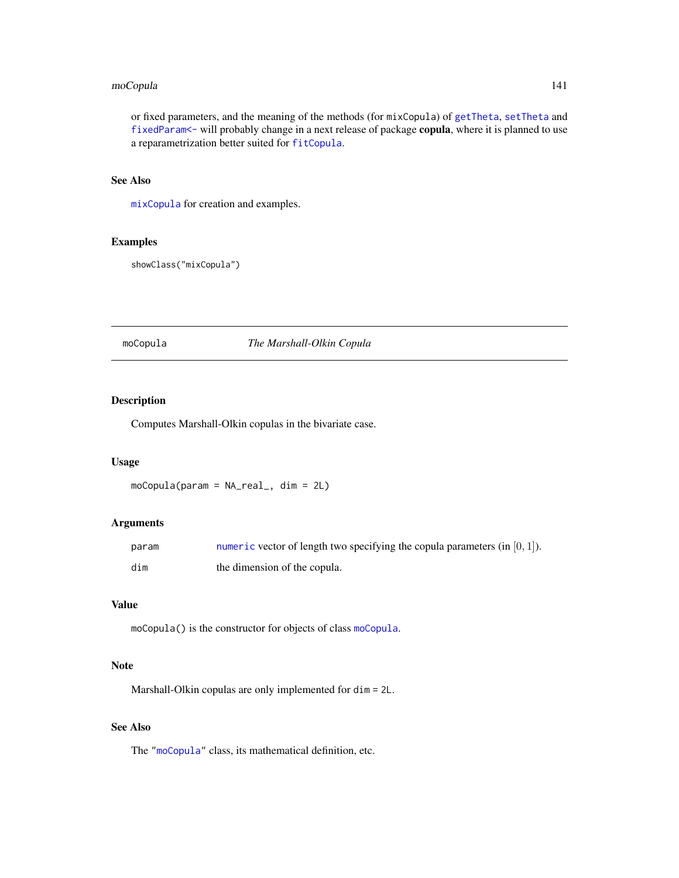## moCopula 141

or fixed parameters, and the meaning of the methods (for mixCopula) of [getTheta](#page-98-0), [setTheta](#page-198-0) and [fixedParam<-](#page-92-1) will probably change in a next release of package copula, where it is planned to use a reparametrization better suited for [fitCopula](#page-81-0).

## See Also

[mixCopula](#page-137-0) for creation and examples.

## Examples

showClass("mixCopula")

## <span id="page-140-0"></span>moCopula *The Marshall-Olkin Copula*

#### Description

Computes Marshall-Olkin copulas in the bivariate case.

#### Usage

moCopula(param = NA\_real\_, dim = 2L)

#### Arguments

| param | numeric vector of length two specifying the copula parameters (in $[0, 1]$ ). |
|-------|-------------------------------------------------------------------------------|
| dim   | the dimension of the copula.                                                  |

## Value

moCopula() is the constructor for objects of class [moCopula](#page-141-0).

## Note

Marshall-Olkin copulas are only implemented for dim = 2L.

## See Also

The ["moCopula"](#page-141-0) class, its mathematical definition, etc.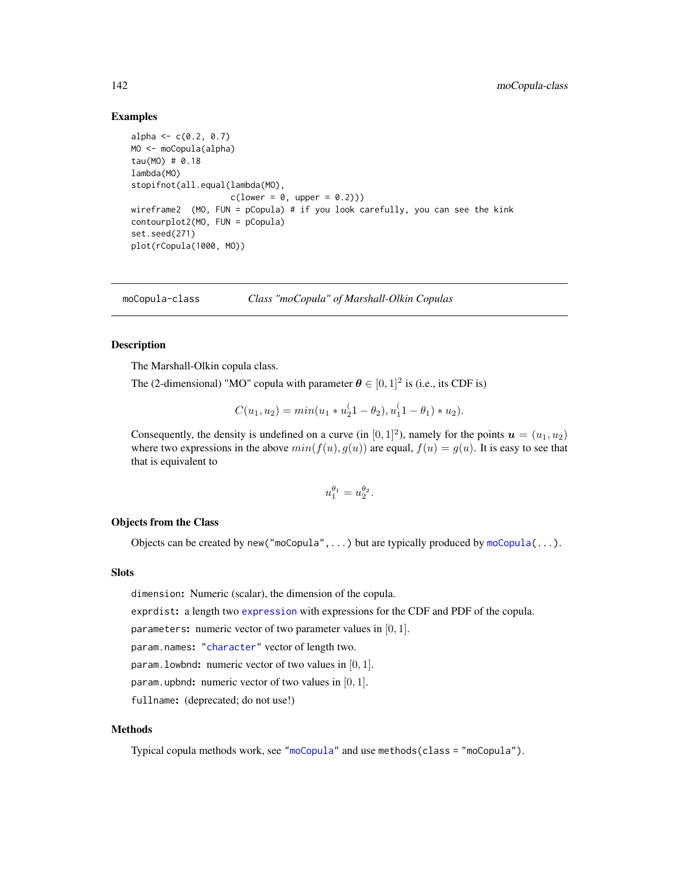## Examples

```
alpha \leq -c(0.2, 0.7)MO <- moCopula(alpha)
tau(MO) # 0.18
lambda(MO)
stopifnot(all.equal(lambda(MO),
                   c(lower = 0, upper = 0.2)))wireframe2 (MO, FUN = pCopula) # if you look carefully, you can see the kink
contourplot2(MO, FUN = pCopula)
set.seed(271)
plot(rCopula(1000, MO))
```
<span id="page-141-0"></span>moCopula-class *Class "moCopula" of Marshall-Olkin Copulas*

## Description

The Marshall-Olkin copula class.

The (2-dimensional) "MO" copula with parameter  $\theta \in [0,1]^2$  is (i.e., its CDF is)

$$
C(u_1, u_2) = min(u_1 * u_2^{(1 - \theta_2), u_1^{(1 - \theta_1) * u_2}).
$$

Consequently, the density is undefined on a curve (in  $[0, 1]^2$ ), namely for the points  $u = (u_1, u_2)$ where two expressions in the above  $min(f(u), g(u))$  are equal,  $f(u) = g(u)$ . It is easy to see that that is equivalent to

$$
u_1^{\theta_1} = u_2^{\theta_2}.
$$

#### Objects from the Class

Objects can be created by new ("moCopula", ...) but are typically produced by  $\text{moCopula}(\dots)$ .

## Slots

dimension: Numeric (scalar), the dimension of the copula.

exprdist: a length two [expression](#page-0-0) with expressions for the CDF and PDF of the copula.

parameters: numeric vector of two parameter values in  $[0, 1]$ .

param.names: ["character"](#page-0-0) vector of length two.

param. lowbnd: numeric vector of two values in  $[0, 1]$ .

param.upbnd: numeric vector of two values in  $[0, 1]$ .

fullname: (deprecated; do not use!)

#### Methods

Typical copula methods work, see ["moCopula"](#page-141-0) and use methods(class = "moCopula").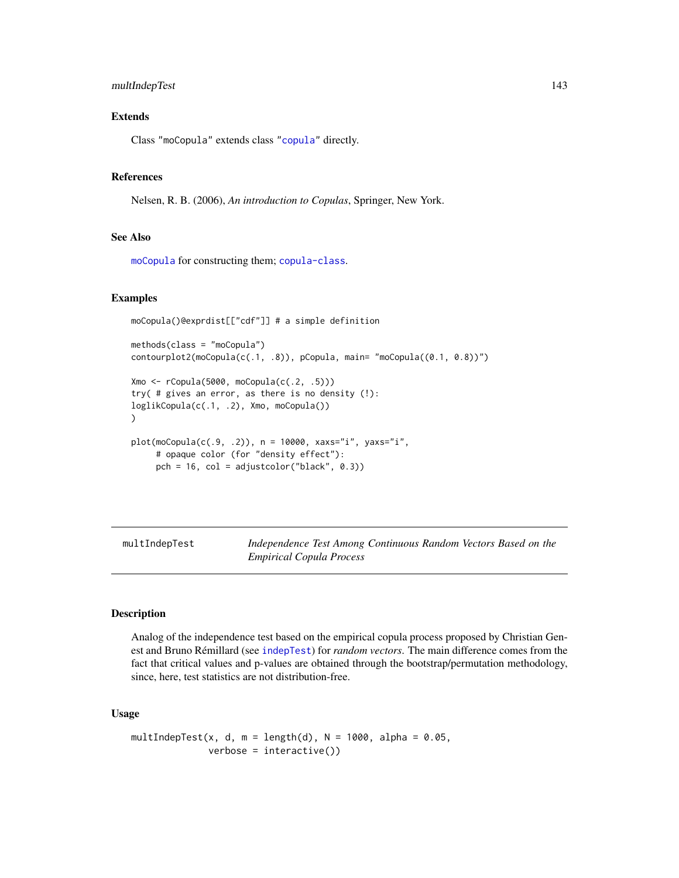## multIndepTest 143

## Extends

Class "moCopula" extends class ["copula"](#page-44-1) directly.

## References

Nelsen, R. B. (2006), *An introduction to Copulas*, Springer, New York.

## See Also

[moCopula](#page-140-0) for constructing them; [copula-class](#page-44-1).

## Examples

```
moCopula()@exprdist[["cdf"]] # a simple definition
```

```
methods(class = "moCopula")
contourplot2(moCopula(c(.1, .8)), pCopula, main="moCopula((0.1, 0.8))")Xmo <- rCopula(5000, moCopula(c(.2, .5)))
```

```
try( # gives an error, as there is no density (!):
loglikCopula(c(.1, .2), Xmo, moCopula())
)
```

```
plot(moCopula(c(.9, .2)), n = 10000, xaxs="i", yaxs="i",
     # opaque color (for "density effect"):
     pch = 16, col = adjustcolor("black", 0.3))
```
<span id="page-142-0"></span>multIndepTest *Independence Test Among Continuous Random Vectors Based on the Empirical Copula Process*

#### Description

Analog of the independence test based on the empirical copula process proposed by Christian Genest and Bruno Rémillard (see [indepTest](#page-116-0)) for *random vectors*. The main difference comes from the fact that critical values and p-values are obtained through the bootstrap/permutation methodology, since, here, test statistics are not distribution-free.

#### Usage

```
multIndepTest(x, d, m = length(d), N = 1000, alpha = 0.05,
             verbose = interface()
```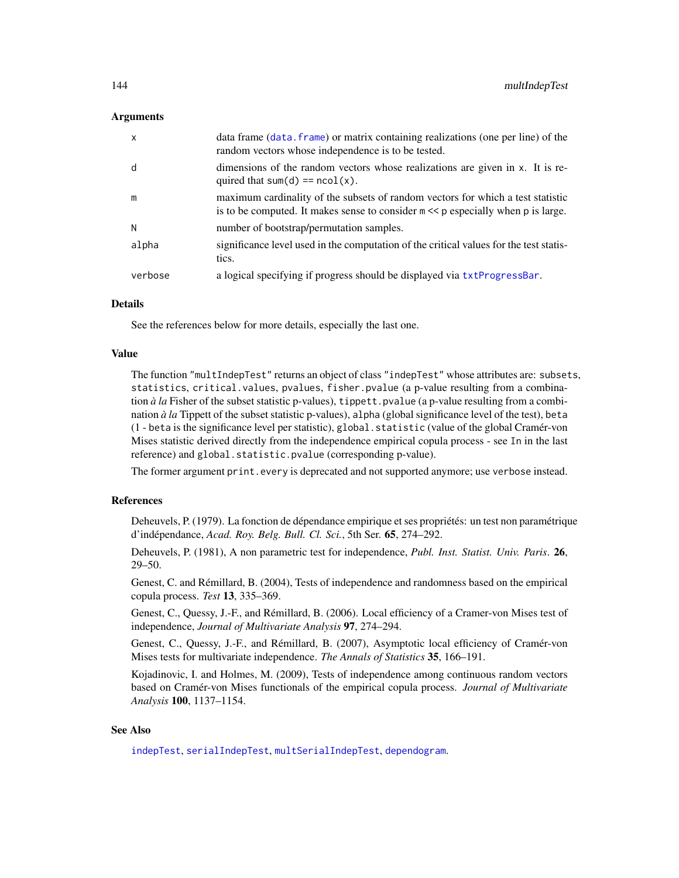## Arguments

| X       | data frame (data, frame) or matrix containing realizations (one per line) of the<br>random vectors whose independence is to be tested.                                 |
|---------|------------------------------------------------------------------------------------------------------------------------------------------------------------------------|
| d       | dimensions of the random vectors whose realizations are given in x. It is re-<br>quired that sum(d) == $ncol(x)$ .                                                     |
| m       | maximum cardinality of the subsets of random vectors for which a test statistic<br>is to be computed. It makes sense to consider $m \ll p$ especially when p is large. |
| N       | number of bootstrap/permutation samples.                                                                                                                               |
| alpha   | significance level used in the computation of the critical values for the test statis-<br>tics.                                                                        |
| verbose | a logical specifying if progress should be displayed via txtProgressBar.                                                                                               |

#### Details

See the references below for more details, especially the last one.

#### Value

The function "multIndepTest" returns an object of class "indepTest" whose attributes are: subsets, statistics, critical.values, pvalues, fisher.pvalue (a p-value resulting from a combination *à la* Fisher of the subset statistic p-values), tippett. pvalue (a p-value resulting from a combination *à la* Tippett of the subset statistic p-values), alpha (global significance level of the test), beta (1 - beta is the significance level per statistic), global.statistic (value of the global Cramér-von Mises statistic derived directly from the independence empirical copula process - see In in the last reference) and global.statistic.pvalue (corresponding p-value).

The former argument print.every is deprecated and not supported anymore; use verbose instead.

## References

Deheuvels, P. (1979). La fonction de dépendance empirique et ses propriétés: un test non paramétrique d'indépendance, *Acad. Roy. Belg. Bull. Cl. Sci.*, 5th Ser. 65, 274–292.

Deheuvels, P. (1981), A non parametric test for independence, *Publ. Inst. Statist. Univ. Paris*. 26, 29–50.

Genest, C. and Rémillard, B. (2004), Tests of independence and randomness based on the empirical copula process. *Test* 13, 335–369.

Genest, C., Quessy, J.-F., and Rémillard, B. (2006). Local efficiency of a Cramer-von Mises test of independence, *Journal of Multivariate Analysis* 97, 274–294.

Genest, C., Quessy, J.-F., and Rémillard, B. (2007), Asymptotic local efficiency of Cramér-von Mises tests for multivariate independence. *The Annals of Statistics* 35, 166–191.

Kojadinovic, I. and Holmes, M. (2009), Tests of independence among continuous random vectors based on Cramér-von Mises functionals of the empirical copula process. *Journal of Multivariate Analysis* 100, 1137–1154.

## See Also

[indepTest](#page-116-0), [serialIndepTest](#page-196-0), [multSerialIndepTest](#page-144-0), [dependogram](#page-116-1).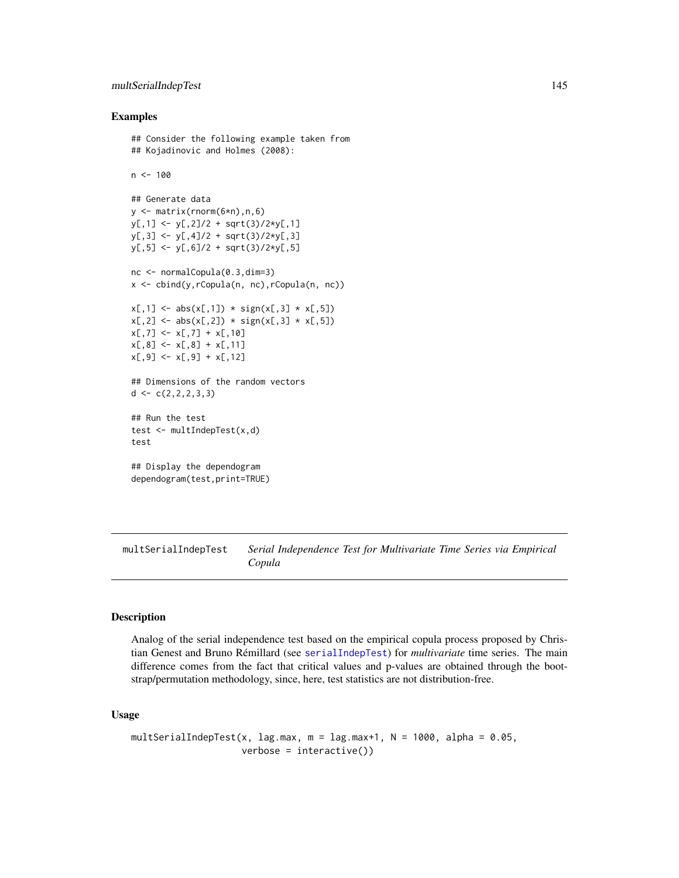# multSerialIndepTest 145

## Examples

```
## Consider the following example taken from
## Kojadinovic and Holmes (2008):
n < -100## Generate data
y <- matrix(rnorm(6*n),n,6)
y[,1] <- y[,2]/2 + sqrt(3)/2*y[,1]y[,3] <- y[,4]/2 + sqrt(3)/2*y[,3]
y[, 5] <- y[, 6]/2 + sqrt(3)/2*y[, 5]nc <- normalCopula(0.3,dim=3)
x <- cbind(y,rCopula(n, nc),rCopula(n, nc))
x[,1] \leftarrow abs(x[,1]) * sign(x[,3] * x[,5])x[, 2] \leftarrow abs(x[, 2]) * sign(x[, 3] * x[, 5])x[, 7] \leftarrow x[, 7] + x[, 10]x[, 8] \leftarrow x[, 8] + x[, 11]x[, 9] \leftarrow x[, 9] + x[, 12]## Dimensions of the random vectors
d \leftarrow c(2, 2, 2, 3, 3)## Run the test
test <- multIndepTest(x,d)
test
## Display the dependogram
dependogram(test,print=TRUE)
```
multSerialIndepTest *Serial Independence Test for Multivariate Time Series via Empirical Copula*

# Description

Analog of the serial independence test based on the empirical copula process proposed by Christian Genest and Bruno Rémillard (see [serialIndepTest](#page-196-0)) for *multivariate* time series. The main difference comes from the fact that critical values and p-values are obtained through the bootstrap/permutation methodology, since, here, test statistics are not distribution-free.

## Usage

```
multSerialIndepTest(x, lag.max, m = \text{lag.max}+1, N = 1000, alpha = 0.05,
                    verbose = interface()
```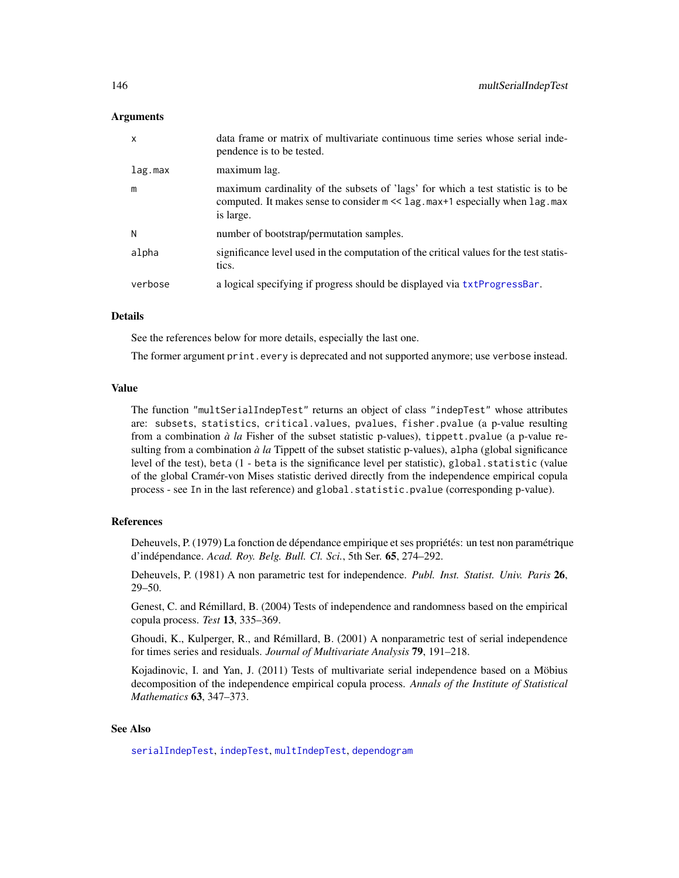## Arguments

| $\boldsymbol{\mathsf{x}}$ | data frame or matrix of multivariate continuous time series whose serial inde-<br>pendence is to be tested.                                                                               |
|---------------------------|-------------------------------------------------------------------------------------------------------------------------------------------------------------------------------------------|
| lag.max                   | maximum lag.                                                                                                                                                                              |
| m                         | maximum cardinality of the subsets of 'lags' for which a test statistic is to be<br>computed. It makes sense to consider $m \ll 1$ ag. $max+1$ especially when $lag$ . $max$<br>is large. |
| N                         | number of bootstrap/permutation samples.                                                                                                                                                  |
| alpha                     | significance level used in the computation of the critical values for the test statis-<br>tics.                                                                                           |
| verbose                   | a logical specifying if progress should be displayed via txtProgressBar.                                                                                                                  |

# Details

See the references below for more details, especially the last one.

The former argument print.every is deprecated and not supported anymore; use verbose instead.

## Value

The function "multSerialIndepTest" returns an object of class "indepTest" whose attributes are: subsets, statistics, critical.values, pvalues, fisher.pvalue (a p-value resulting from a combination *à la* Fisher of the subset statistic p-values), tippett.pvalue (a p-value resulting from a combination *à la* Tippett of the subset statistic p-values), alpha (global significance level of the test), beta (1 - beta is the significance level per statistic), global.statistic (value of the global Cramér-von Mises statistic derived directly from the independence empirical copula process - see In in the last reference) and global.statistic.pvalue (corresponding p-value).

## References

Deheuvels, P. (1979) La fonction de dépendance empirique et ses propriétés: un test non paramétrique d'indépendance. *Acad. Roy. Belg. Bull. Cl. Sci.*, 5th Ser. 65, 274–292.

Deheuvels, P. (1981) A non parametric test for independence. *Publ. Inst. Statist. Univ. Paris* 26, 29–50.

Genest, C. and Rémillard, B. (2004) Tests of independence and randomness based on the empirical copula process. *Test* 13, 335–369.

Ghoudi, K., Kulperger, R., and Rémillard, B. (2001) A nonparametric test of serial independence for times series and residuals. *Journal of Multivariate Analysis* 79, 191–218.

Kojadinovic, I. and Yan, J. (2011) Tests of multivariate serial independence based on a Möbius decomposition of the independence empirical copula process. *Annals of the Institute of Statistical Mathematics* 63, 347–373.

# See Also

[serialIndepTest](#page-196-0), [indepTest](#page-116-0), [multIndepTest](#page-142-0), [dependogram](#page-116-1)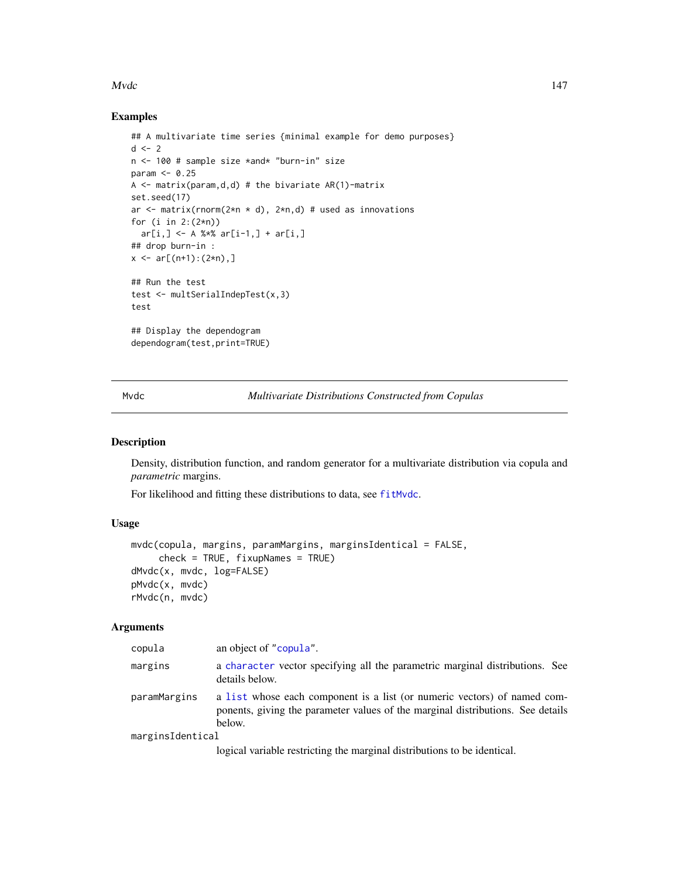#### Mvdc and the contract of the contract of the contract of the contract of the contract of the contract of the contract of the contract of the contract of the contract of the contract of the contract of the contract of the c

## Examples

```
## A multivariate time series {minimal example for demo purposes}
d \leq -2n <- 100 # sample size *and* "burn-in" size
param <- 0.25
A \leq matrix(param,d,d) # the bivariate AR(1)-matrix
set.seed(17)
ar \leq matrix(rnorm(2*n * d), 2*n,d) # used as innovations
for (i in 2:(2*n))
  ar[i, ] \leq A %*% ar[i-1, ] + ar[i, ]## drop burn-in :
x \leq -ar[(n+1):(2*n),]## Run the test
test <- multSerialIndepTest(x,3)
test
## Display the dependogram
dependogram(test,print=TRUE)
```
Mvdc *Multivariate Distributions Constructed from Copulas*

#### <span id="page-146-0"></span>Description

Density, distribution function, and random generator for a multivariate distribution via copula and *parametric* margins.

For likelihood and fitting these distributions to data, see [fitMvdc](#page-90-0).

# Usage

```
mvdc(copula, margins, paramMargins, marginsIdentical = FALSE,
     check = TRUE, fixupNames = TRUE)
dMvdc(x, mvdc, log=FALSE)
pMvdc(x, mvdc)
rMvdc(n, mvdc)
```

| copula           | an object of "copula".                                                                                                                                                |
|------------------|-----------------------------------------------------------------------------------------------------------------------------------------------------------------------|
| margins          | a character vector specifying all the parametric marginal distributions. See<br>details below.                                                                        |
| paramMargins     | a list whose each component is a list (or numeric vectors) of named com-<br>ponents, giving the parameter values of the marginal distributions. See details<br>below. |
| marginsIdentical |                                                                                                                                                                       |
|                  | logical variable restricting the marginal distributions to be identical.                                                                                              |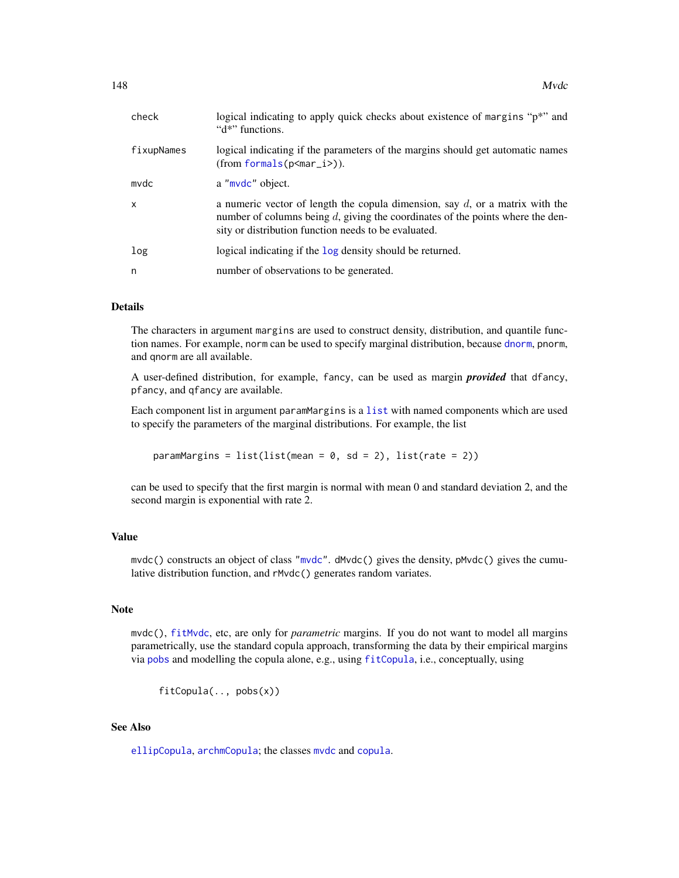| check        | logical indicating to apply quick checks about existence of margins "p*" and<br>"d*" functions.                                                                                                                              |
|--------------|------------------------------------------------------------------------------------------------------------------------------------------------------------------------------------------------------------------------------|
| fixupNames   | logical indicating if the parameters of the margins should get automatic names<br>$(from formals(p).$                                                                                                                        |
| mvdc         | a "mvdc" object.                                                                                                                                                                                                             |
| $\mathsf{x}$ | a numeric vector of length the copula dimension, say $d$ , or a matrix with the<br>number of columns being $d$ , giving the coordinates of the points where the den-<br>sity or distribution function needs to be evaluated. |
| log          | logical indicating if the log density should be returned.                                                                                                                                                                    |
| n            | number of observations to be generated.                                                                                                                                                                                      |

#### Details

The characters in argument margins are used to construct density, distribution, and quantile function names. For example, norm can be used to specify marginal distribution, because [dnorm](#page-0-0), pnorm, and qnorm are all available.

A user-defined distribution, for example, fancy, can be used as margin *provided* that dfancy, pfancy, and qfancy are available.

Each component list in argument paramMargins is a [list](#page-0-0) with named components which are used to specify the parameters of the marginal distributions. For example, the list

paramMargins =  $list(list(mean = 0, sd = 2), list(rate = 2))$ 

can be used to specify that the first margin is normal with mean 0 and standard deviation 2, and the second margin is exponential with rate 2.

# Value

mvdc() constructs an object of class ["mvdc"](#page-148-0). dMvdc() gives the density, pMvdc() gives the cumulative distribution function, and rMvdc() generates random variates.

# Note

mvdc(), [fitMvdc](#page-90-0), etc, are only for *parametric* margins. If you do not want to model all margins parametrically, use the standard copula approach, transforming the data by their empirical margins via [pobs](#page-167-0) and modelling the copula alone, e.g., using [fitCopula](#page-81-0), i.e., conceptually, using

fitCopula(.., pobs(x))

# See Also

[ellipCopula](#page-50-0), [archmCopula](#page-21-0); the classes [mvdc](#page-148-0) and [copula](#page-44-0).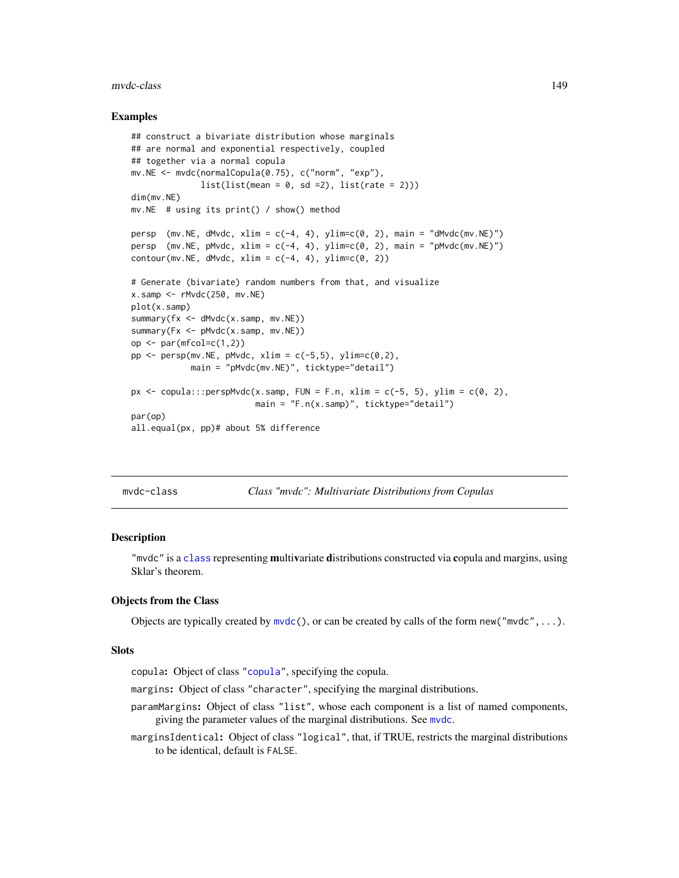#### mvdc-class 149

## Examples

```
## construct a bivariate distribution whose marginals
## are normal and exponential respectively, coupled
## together via a normal copula
mv.NE <- mvdc(normalCopula(0.75), c("norm", "exp"),
              list(list(mean = 0, sd = 2), list(rate = 2)))dim(mv.NE)
mv.NE # using its print() / show() method
persp (mv.NE, dMvdc, xlim = c(-4, 4), ylim=c(0, 2), main = "dMvdc(mv.NE)")
persp (mv.NE, pMvdc, xlim = c(-4, 4), ylim=c(0, 2), main = "pMvdc(mv.NE)")
contour(mv.NE, dMvdc, xlim = c(-4, 4), ylim = c(0, 2))# Generate (bivariate) random numbers from that, and visualize
x.samp \leftarrow rMvdc(250, mv.NE)plot(x.samp)
summary(fx <- dMvdc(x.samp, mv.NE))
summary(Fx <- pMvdc(x.samp, mv.NE))
op \leq par(mfcol=c(1,2))
pp \le - persp(mv.NE, pMvdc, xlim = c(-5,5), ylim=c(0,2),
            main = "pMvdc(mv.NE)", ticktype="detail")
px \leq copula:::perspMvdc(x.samp, FUN = F.n, xlim = c(-5, 5), ylim = c(0, 2),
                         main = "F.n(x.samp)", ticktype="detail")
par(op)
all.equal(px, pp)# about 5% difference
```
<span id="page-148-0"></span>mvdc-class *Class "mvdc": Multivariate Distributions from Copulas*

#### Description

"mvdc" is a [class](#page-0-0) representing multivariate distributions constructed via copula and margins, using Sklar's theorem.

### Objects from the Class

Objects are typically created by  $m\vee c$ , or can be created by calls of the form new(" $m\vee dc$ ",...).

#### **Slots**

copula: Object of class ["copula"](#page-44-0), specifying the copula.

- margins: Object of class "character", specifying the marginal distributions.
- paramMargins: Object of class "list", whose each component is a list of named components, giving the parameter values of the marginal distributions. See [mvdc](#page-146-0).

marginsIdentical: Object of class "logical", that, if TRUE, restricts the marginal distributions to be identical, default is FALSE.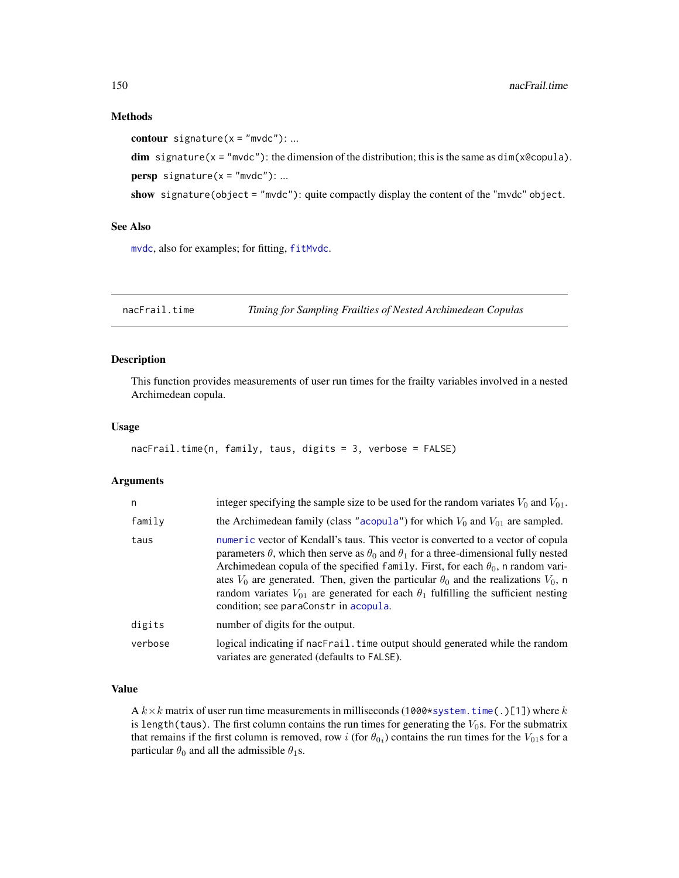#### Methods

contour signature( $x = "m$ vdc"): ...

```
dim signature(x = "mvdc"): the dimension of the distribution; this is the same as dim(x@copula).
persp signature(x = "mvdc"): ...
```
show signature(object = "mvdc"): quite compactly display the content of the "mvdc" object.

# See Also

[mvdc](#page-146-0), also for examples; for fitting, [fitMvdc](#page-90-0).

nacFrail.time *Timing for Sampling Frailties of Nested Archimedean Copulas*

# Description

This function provides measurements of user run times for the frailty variables involved in a nested Archimedean copula.

## Usage

```
nacFrail.time(n, family, taus, digits = 3, verbose = FALSE)
```
# Arguments

| n       | integer specifying the sample size to be used for the random variates $V_0$ and $V_{01}$ .                                                                                                                                                                                                                                                                                                                                                                                                                                         |
|---------|------------------------------------------------------------------------------------------------------------------------------------------------------------------------------------------------------------------------------------------------------------------------------------------------------------------------------------------------------------------------------------------------------------------------------------------------------------------------------------------------------------------------------------|
| family  | the Archimedean family (class "acopula") for which $V_0$ and $V_{01}$ are sampled.                                                                                                                                                                                                                                                                                                                                                                                                                                                 |
| taus    | numeric vector of Kendall's taus. This vector is converted to a vector of copula<br>parameters $\theta$ , which then serve as $\theta_0$ and $\theta_1$ for a three-dimensional fully nested<br>Archimedean copula of the specified family. First, for each $\theta_0$ , n random vari-<br>ates $V_0$ are generated. Then, given the particular $\theta_0$ and the realizations $V_0$ , n<br>random variates $V_{01}$ are generated for each $\theta_1$ fulfilling the sufficient nesting<br>condition; see paraConstr in acopula. |
| digits  | number of digits for the output.                                                                                                                                                                                                                                                                                                                                                                                                                                                                                                   |
| verbose | logical indicating if nacFrail. time output should generated while the random<br>variates are generated (defaults to FALSE).                                                                                                                                                                                                                                                                                                                                                                                                       |

# Value

A  $k \times k$  matrix of user run time measurements in milliseconds (1000[\\*system.time\(](#page-0-0).)[1]) where k is length(taus). The first column contains the run times for generating the  $V_0$ s. For the submatrix that remains if the first column is removed, row i (for  $\theta_{0i}$ ) contains the run times for the  $V_{01}$ s for a particular  $\theta_0$  and all the admissible  $\theta_1$ s.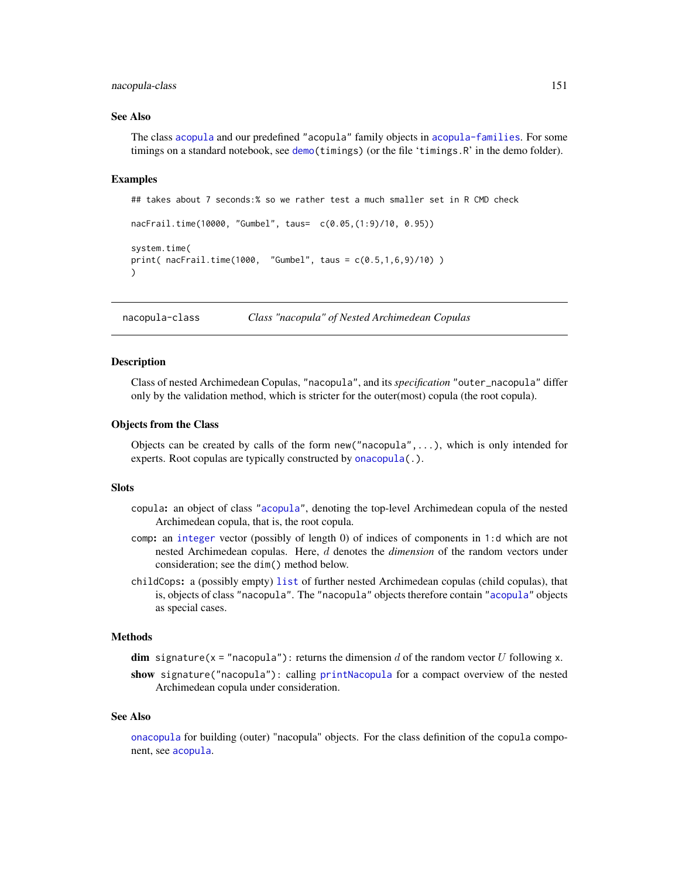## nacopula-class 151

#### See Also

The class [acopula](#page-14-0) and our predefined "acopula" family objects in [acopula-families](#page-39-0). For some timings on a standard notebook, see [demo\(](#page-0-0)timings) (or the file 'timings.R' in the demo folder).

## Examples

```
## takes about 7 seconds:% so we rather test a much smaller set in R CMD check
nacFrail.time(10000, "Gumbel", taus= c(0.05,(1:9)/10, 0.95))
system.time(
print( nacFrail.time(1000, "Gumbel", taus = c(0.5,1,6,9)/10) )
)
```
<span id="page-150-0"></span>nacopula-class *Class "nacopula" of Nested Archimedean Copulas*

## <span id="page-150-1"></span>Description

Class of nested Archimedean Copulas, "nacopula", and its *specification* "outer\_nacopula" differ only by the validation method, which is stricter for the outer(most) copula (the root copula).

## Objects from the Class

Objects can be created by calls of the form new ( $"nacopula", \ldots$ ), which is only intended for experts. Root copulas are typically constructed by [onacopula\(](#page-153-0).).

# **Slots**

- copula: an object of class ["acopula"](#page-14-0), denoting the top-level Archimedean copula of the nested Archimedean copula, that is, the root copula.
- comp: an [integer](#page-0-0) vector (possibly of length 0) of indices of components in 1:d which are not nested Archimedean copulas. Here, d denotes the *dimension* of the random vectors under consideration; see the dim() method below.
- childCops: a (possibly empty) [list](#page-0-0) of further nested Archimedean copulas (child copulas), that is, objects of class "nacopula". The "nacopula" objects therefore contain ["acopula"](#page-14-0) objects as special cases.

## Methods

dim signature(x = "nacopula"): returns the dimension d of the random vector U following x.

show signature("nacopula"): calling [printNacopula](#page-173-0) for a compact overview of the nested Archimedean copula under consideration.

#### See Also

[onacopula](#page-153-0) for building (outer) "nacopula" objects. For the class definition of the copula component, see [acopula](#page-14-0).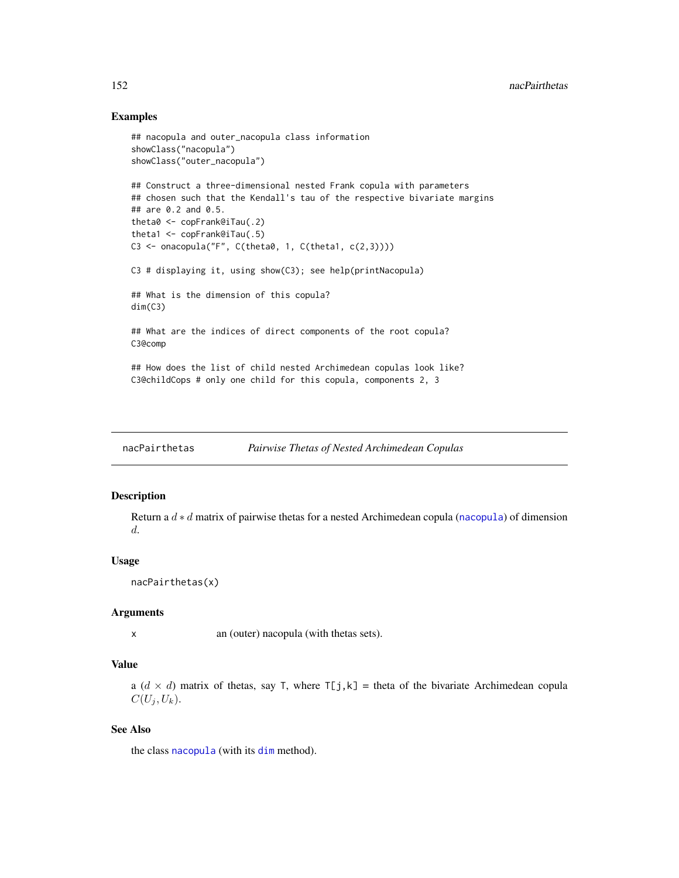## Examples

```
## nacopula and outer_nacopula class information
showClass("nacopula")
showClass("outer_nacopula")
## Construct a three-dimensional nested Frank copula with parameters
## chosen such that the Kendall's tau of the respective bivariate margins
## are 0.2 and 0.5.
theta0 <- copFrank@iTau(.2)
theta1 <- copFrank@iTau(.5)
C3 <- onacopula("F", C(\theta, 1, C(\theta, 1, c(2,3)))))
C3 # displaying it, using show(C3); see help(printNacopula)
## What is the dimension of this copula?
dim(C3)
## What are the indices of direct components of the root copula?
C3@comp
## How does the list of child nested Archimedean copulas look like?
C3@childCops # only one child for this copula, components 2, 3
```
nacPairthetas *Pairwise Thetas of Nested Archimedean Copulas*

## Description

Return a  $d * d$  matrix of pairwise thetas for a nested Archimedean copula ([nacopula](#page-150-0)) of dimension d.

## Usage

```
nacPairthetas(x)
```
## Arguments

x an (outer) nacopula (with thetas sets).

# Value

a  $(d \times d)$  matrix of thetas, say T, where  $T[j,k]$  = theta of the bivariate Archimedean copula  $C(U_j, U_k).$ 

# See Also

the class [nacopula](#page-150-0) (with its [dim](#page-0-0) method).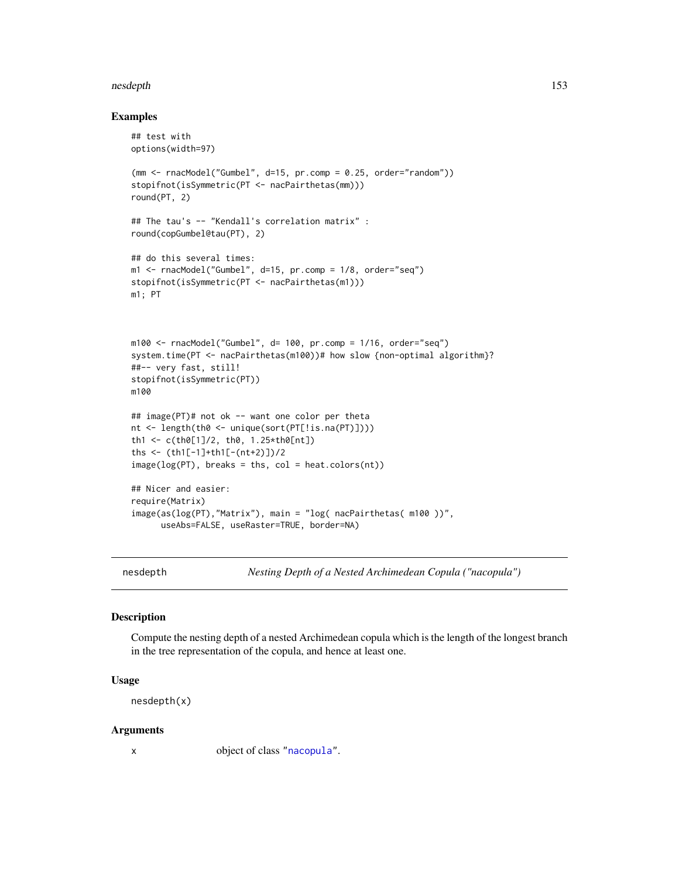#### nesdepth 153

## Examples

```
## test with
options(width=97)
(mm < - rncModel("Gumbel", d=15, pr.comp = 0.25, order="random"))stopifnot(isSymmetric(PT <- nacPairthetas(mm)))
round(PT, 2)
## The tau's -- "Kendall's correlation matrix" :
round(copGumbel@tau(PT), 2)
## do this several times:
m1 <- rnacModel("Gumbel", d=15, pr.comp = 1/8, order="seq")
stopifnot(isSymmetric(PT <- nacPairthetas(m1)))
m1; PT
m100 \le r rnacModel("Gumbel", d= 100, pr.comp = 1/16, order="seq")
system.time(PT <- nacPairthetas(m100))# how slow {non-optimal algorithm}?
##-- very fast, still!
stopifnot(isSymmetric(PT))
m100
## image(PT)# not ok -- want one color per theta
nt <- length(th0 <- unique(sort(PT[!is.na(PT)])))
th1 <- c(th0[1]/2, th0, 1.25*th0[nt])
ths <- (th1[-1]+th1[-(nt+2)])/2
image(log(PT), breaks = this, col = heat.colors(nt))## Nicer and easier:
require(Matrix)
image(as(log(PT),"Matrix"), main = "log( nacPairthetas( m100 ))",
      useAbs=FALSE, useRaster=TRUE, border=NA)
```
nesdepth *Nesting Depth of a Nested Archimedean Copula ("nacopula")*

# Description

Compute the nesting depth of a nested Archimedean copula which is the length of the longest branch in the tree representation of the copula, and hence at least one.

## Usage

nesdepth(x)

#### Arguments

x object of class ["nacopula"](#page-150-0).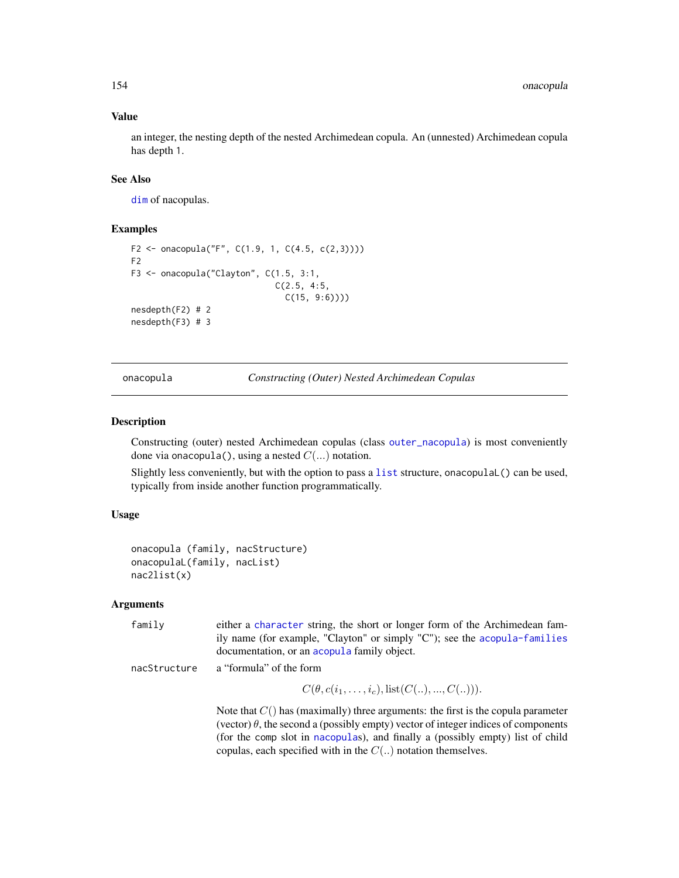## Value

an integer, the nesting depth of the nested Archimedean copula. An (unnested) Archimedean copula has depth 1.

# See Also

[dim](#page-150-0) of nacopulas.

# Examples

```
F2 <- onacopula("F", C(1.9, 1, C(4.5, c(2,3)))))
F2
F3 <- onacopula("Clayton", C(1.5, 3:1,
                             C(2.5, 4:5,
                               C(15, 9:6))))
nesdepth(F2) # 2
nesdepth(F3) # 3
```
<span id="page-153-0"></span>onacopula *Constructing (Outer) Nested Archimedean Copulas*

# Description

Constructing (outer) nested Archimedean copulas (class [outer\\_nacopula](#page-150-1)) is most conveniently done via onacopula(), using a nested  $C(...)$  notation.

Slightly less conveniently, but with the option to pass a [list](#page-0-0) structure, onacopulaL() can be used, typically from inside another function programmatically.

# Usage

```
onacopula (family, nacStructure)
onacopulaL(family, nacList)
nac2list(x)
```

| family       | either a character string, the short or longer form of the Archimedean fam-<br>ily name (for example, "Clayton" or simply "C"); see the acopula-families<br>documentation, or an acopula family object.                                                                                                                              |
|--------------|--------------------------------------------------------------------------------------------------------------------------------------------------------------------------------------------------------------------------------------------------------------------------------------------------------------------------------------|
| nacStructure | a "formula" of the form                                                                                                                                                                                                                                                                                                              |
|              | $C(\theta, c(i_1, \ldots, i_c), \text{list}(C(\ldots), \ldots, C(\ldots))).$                                                                                                                                                                                                                                                         |
|              | Note that $C()$ has (maximally) three arguments: the first is the copula parameter<br>(vector) $\theta$ , the second a (possibly empty) vector of integer indices of components<br>(for the comp slot in nacopulas), and finally a (possibly empty) list of child<br>copulas, each specified with in the $C(.)$ notation themselves. |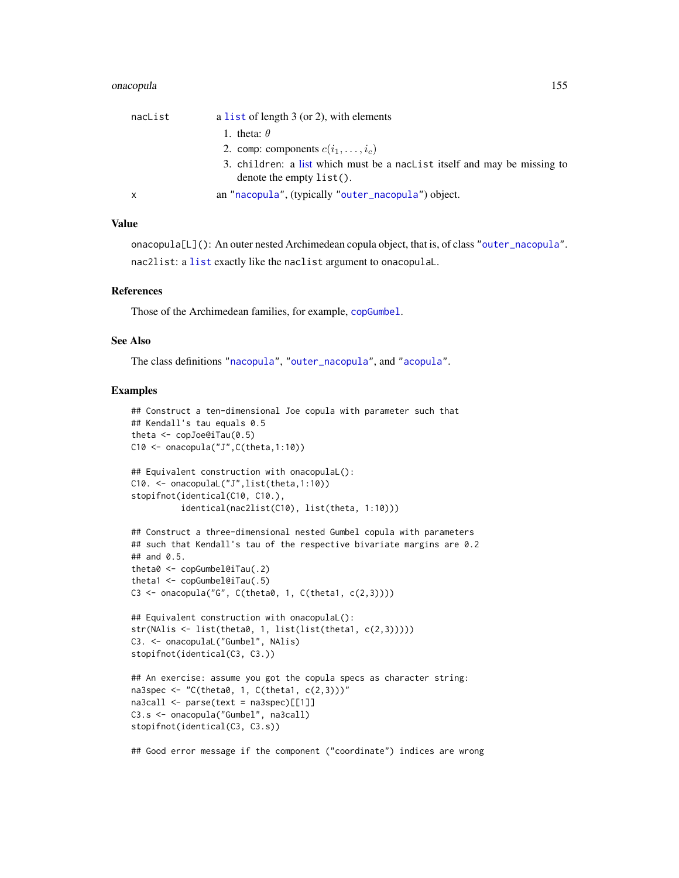#### onacopula 155

| nacList | a list of length $3$ (or 2), with elements                                                              |
|---------|---------------------------------------------------------------------------------------------------------|
|         | 1. theta: $\theta$                                                                                      |
|         | 2. comp: components $c(i_1, \ldots, i_c)$                                                               |
|         | 3. children: a list which must be a naclist itself and may be missing to<br>denote the empty $list()$ . |
| X       | an "nacopula", (typically "outer_nacopula") object.                                                     |

# Value

onacopula[L](): An outer nested Archimedean copula object, that is, of class ["outer\\_nacopula"](#page-150-1). nac2list: a [list](#page-0-0) exactly like the naclist argument to onacopulaL.

## **References**

Those of the Archimedean families, for example, [copGumbel](#page-39-0).

# See Also

The class definitions ["nacopula"](#page-150-0), ["outer\\_nacopula"](#page-150-1), and ["acopula"](#page-14-0).

```
## Construct a ten-dimensional Joe copula with parameter such that
## Kendall's tau equals 0.5
theta <- copJoe@iTau(0.5)
C10 \leftarrow onacopula("J", C(theta, 1:10))
## Equivalent construction with onacopulaL():
C10. <- onacopulaL("J",list(theta,1:10))
stopifnot(identical(C10, C10.),
          identical(nac2list(C10), list(theta, 1:10)))
## Construct a three-dimensional nested Gumbel copula with parameters
## such that Kendall's tau of the respective bivariate margins are 0.2
## and 0.5.
theta0 <- copGumbel@iTau(.2)
theta1 <- copGumbel@iTau(.5)
C3 <- onacopula("G", C(theta0, 1, C(theta1, c(2,3))))
## Equivalent construction with onacopulaL():
str(NAlis <- list(theta0, 1, list(list(theta1, c(2,3)))))
C3. <- onacopulaL("Gumbel", NAlis)
stopifnot(identical(C3, C3.))
## An exercise: assume you got the copula specs as character string:
na3spec \leq "C(theta0, 1, C(theta1, c(2,3)))"
na3call <- parse(text = na3spec)[[1]]
C3.s <- onacopula("Gumbel", na3call)
stopifnot(identical(C3, C3.s))
## Good error message if the component ("coordinate") indices are wrong
```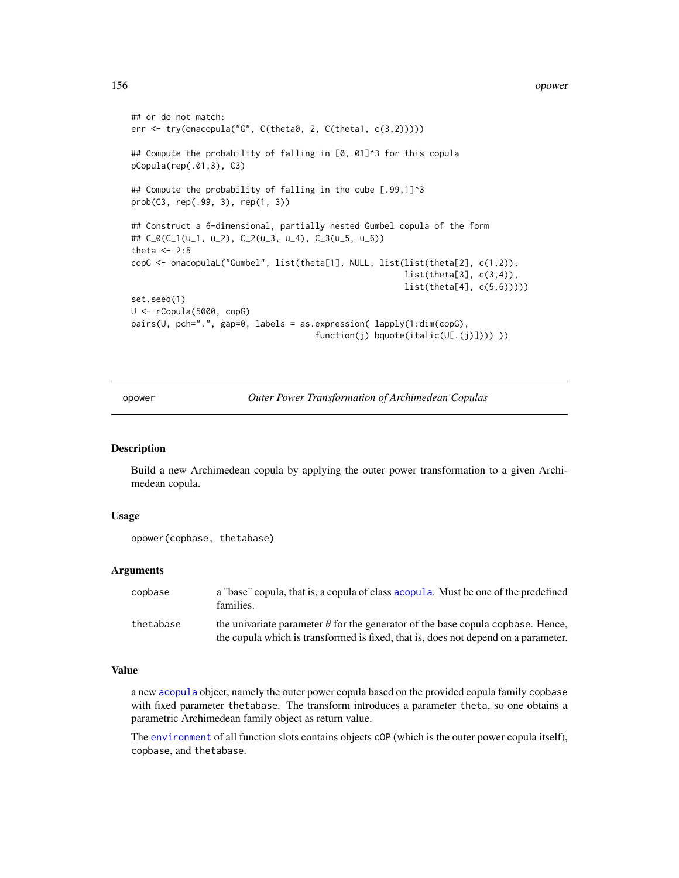```
## or do not match:
err <- try(onacopula("G", C(theta0, 2, C(theta1, c(3,2)))))
## Compute the probability of falling in [0,.01]^3 for this copula
pCopula(rep(.01,3), C3)
## Compute the probability of falling in the cube [.99,1]^3
prob(C3, rep(.99, 3), rep(1, 3))
## Construct a 6-dimensional, partially nested Gumbel copula of the form
## C_0(C_1(u_1, u_2), C_2(u_3, u_4), C_3(u_5, u_6))
theta <-2:5copG <- onacopulaL("Gumbel", list(theta[1], NULL, list(list(theta[2], c(1,2)),
                                                       list(theta[3], c(3,4)),
                                                       list(theta[4], c(5,6)))))
set.seed(1)
U <- rCopula(5000, copG)
pairs(U, pch=".", gap=0, labels = as.expression( lapply(1:dim(copG),
                                     function(j) bquote(italic(U[.(j)])))))
```
opower *Outer Power Transformation of Archimedean Copulas*

#### Description

Build a new Archimedean copula by applying the outer power transformation to a given Archimedean copula.

#### Usage

```
opower(copbase, thetabase)
```
#### Arguments

| copbase   | a "base" copula, that is, a copula of class acopula. Must be one of the predefined<br>families.                                                                              |
|-----------|------------------------------------------------------------------------------------------------------------------------------------------------------------------------------|
| thetabase | the univariate parameter $\theta$ for the generator of the base copula copbase. Hence,<br>the copula which is transformed is fixed, that is, does not depend on a parameter. |

### Value

a new [acopula](#page-14-0) object, namely the outer power copula based on the provided copula family copbase with fixed parameter thetabase. The transform introduces a parameter theta, so one obtains a parametric Archimedean family object as return value.

The [environment](#page-0-0) of all function slots contains objects cOP (which is the outer power copula itself), copbase, and thetabase.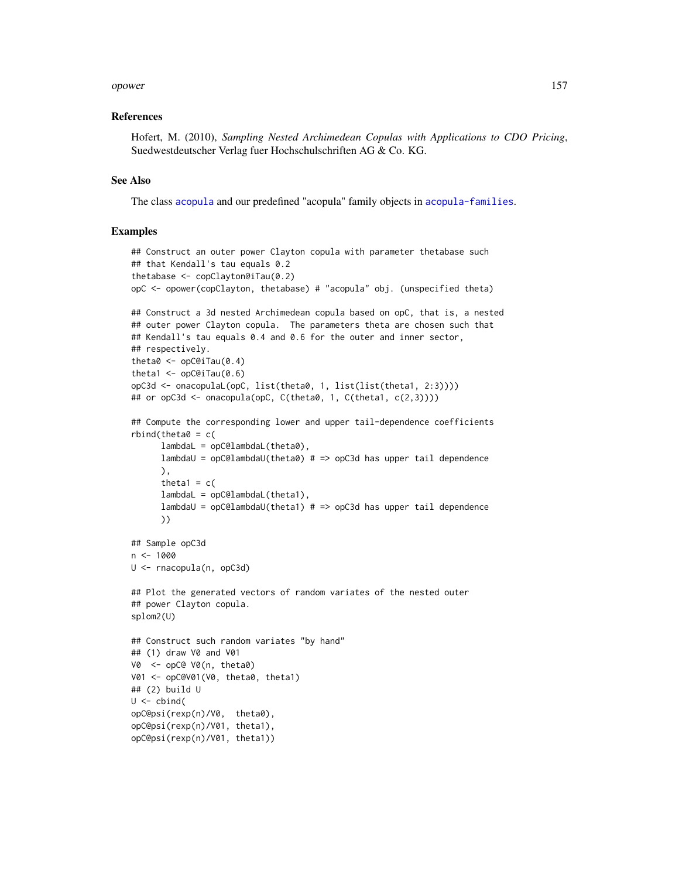#### opower and the set of the set of the set of the set of the set of the set of the set of the set of the set of the set of the set of the set of the set of the set of the set of the set of the set of the set of the set of th

## References

Hofert, M. (2010), *Sampling Nested Archimedean Copulas with Applications to CDO Pricing*, Suedwestdeutscher Verlag fuer Hochschulschriften AG & Co. KG.

#### See Also

The class [acopula](#page-14-0) and our predefined "acopula" family objects in [acopula-families](#page-39-0).

```
## Construct an outer power Clayton copula with parameter thetabase such
## that Kendall's tau equals 0.2
thetabase \leq copClayton@iTau(0.2)
opC <- opower(copClayton, thetabase) # "acopula" obj. (unspecified theta)
## Construct a 3d nested Archimedean copula based on opC, that is, a nested
## outer power Clayton copula. The parameters theta are chosen such that
## Kendall's tau equals 0.4 and 0.6 for the outer and inner sector,
## respectively.
theta0 \leq - opC@iTau(0.4)
theta1 \leq opC@iTau(0.6)
opC3d <- onacopulaL(opC, list(theta0, 1, list(list(theta1, 2:3))))
## or opC3d <- onacopula(opC, C(theta0, 1, C(theta1, c(2,3))))
## Compute the corresponding lower and upper tail-dependence coefficients
rbind(theta0 = c()lambdaL = opC@lambdaL(theta0),
      lambdaU = opC@lambdaU(theta0) # => opC3d has upper tail dependence
      ),
      theta1 = c(lambdaL = opC@lambdaL(theta1),
      lambdaU = opC@lambdaU(theta1) # => opC3d has upper tail dependence
      ))
## Sample opC3d
n <- 1000
U <- rnacopula(n, opC3d)
## Plot the generated vectors of random variates of the nested outer
## power Clayton copula.
splom2(U)
## Construct such random variates "by hand"
## (1) draw V0 and V01
V0 <- opC@ V0(n, theta0)
V01 <- opC@V01(V0, theta0, theta1)
## (2) build U
U \leftarrow \text{cbind}(opC@psi(rexp(n)/V0, theta0),
opC@psi(rexp(n)/V01, theta1),
opC@psi(rexp(n)/V01, theta1))
```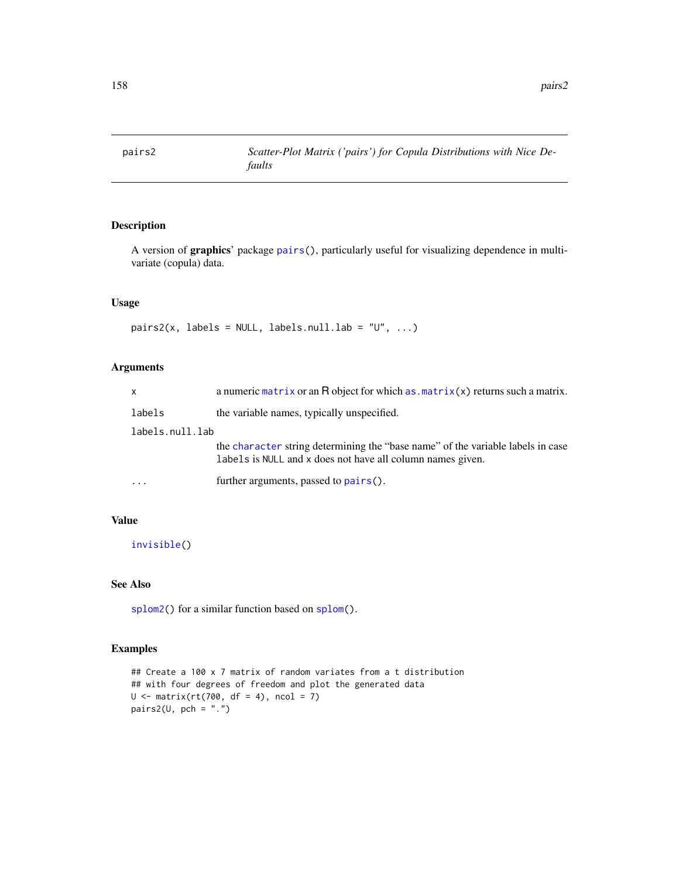A version of graphics' package [pairs\(](#page-0-0)), particularly useful for visualizing dependence in multivariate (copula) data.

# Usage

```
pairs2(x, labels = NULL, labels.null.lab = "U", ...)
```
# Arguments

| $\mathsf{x}$    | a numeric matrix or an $R$ object for which $as.matrix(x)$ returns such a matrix.                                                             |
|-----------------|-----------------------------------------------------------------------------------------------------------------------------------------------|
| labels          | the variable names, typically unspecified.                                                                                                    |
| labels.null.lab |                                                                                                                                               |
|                 | the character string determining the "base name" of the variable labels in case<br>labels is NULL and x does not have all column names given. |
| .               | further arguments, passed to pairs().                                                                                                         |

# Value

[invisible\(](#page-0-0))

# See Also

[splom2\(](#page-204-0)) for a similar function based on [splom\(](#page-0-0)).

```
## Create a 100 x 7 matrix of random variates from a t distribution
## with four degrees of freedom and plot the generated data
U \le - matrix(rt(700, df = 4), ncol = 7)
pairs2(\theta, pch = ".")
```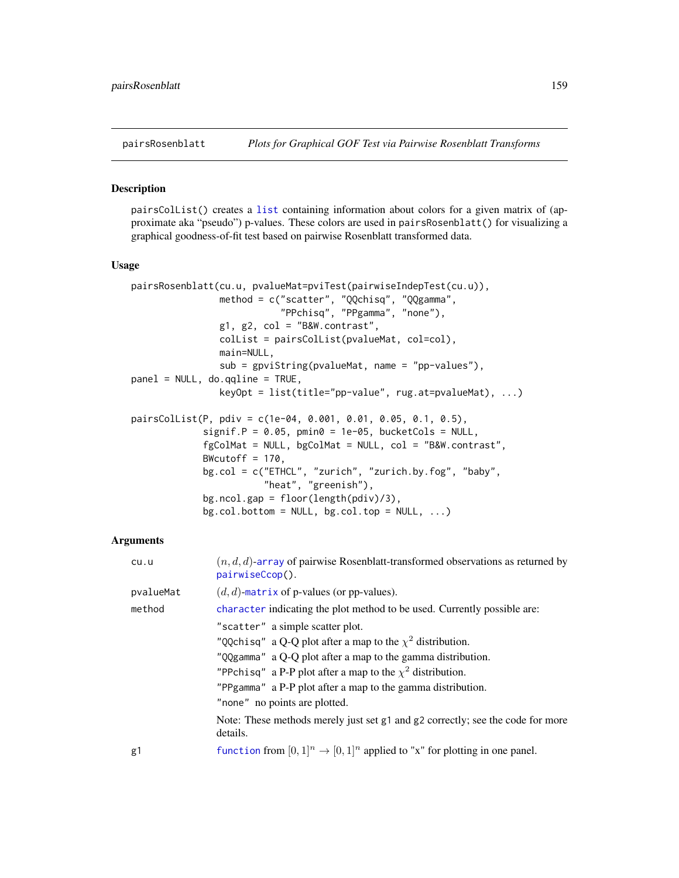pairsColList() creates a [list](#page-0-0) containing information about colors for a given matrix of (approximate aka "pseudo") p-values. These colors are used in pairsRosenblatt() for visualizing a graphical goodness-of-fit test based on pairwise Rosenblatt transformed data.

#### Usage

```
pairsRosenblatt(cu.u, pvalueMat=pviTest(pairwiseIndepTest(cu.u)),
                method = c("scatter", "QQchisq", "QQgamma",
                           "PPchisq", "PPgamma", "none"),
                g1, g2, col = "B&W.contrib.colList = pairsColList(pvalueMat, col=col),
                main=NULL,
                sub = gpviString(pvalueMat, name = "pp-values"),
panel = NULL, do.qqline = TRUE,
                keyOpt = list(title="pp-value", rug.at=pvalueMat), ...)
pairsColList(P, pdiv = c(1e-04, 0.001, 0.01, 0.05, 0.1, 0.5),
             signif.P = 0.05, pmin0 = 1e-05, bucketCols = NULL,
             fgColMat = NULL, bgColMat = NULL, col = "B&W.contrast",
             BWcutoff = 170,
             bg.col = c("ETHCL", "zurich", "zurich.by.fog", "baby",
                        "heat", "greenish"),
             bg.ncol.gap = floor(length(pdiv)/3),
             bg.col.bottom = NULL, bg.col.top = NULL, ...)
```

| cu.u      | $(n, d, d)$ -array of pairwise Rosenblatt-transformed observations as returned by<br>pairwiseCcop().                                                                                                                                                                                                                                |
|-----------|-------------------------------------------------------------------------------------------------------------------------------------------------------------------------------------------------------------------------------------------------------------------------------------------------------------------------------------|
| pvalueMat | $(d, d)$ -matrix of p-values (or pp-values).                                                                                                                                                                                                                                                                                        |
| method    | character indicating the plot method to be used. Currently possible are:                                                                                                                                                                                                                                                            |
|           | "scatter" a simple scatter plot.<br>"QQchisq" a Q-Q plot after a map to the $\chi^2$ distribution.<br>"QQgamma" a Q-Q plot after a map to the gamma distribution.<br>"PPchisq" a P-P plot after a map to the $\chi^2$ distribution.<br>"PPgamma" a P-P plot after a map to the gamma distribution.<br>"none" no points are plotted. |
|           | Note: These methods merely just set g1 and g2 correctly; see the code for more<br>details.                                                                                                                                                                                                                                          |
| g1        | function from $[0,1]^n \rightarrow [0,1]^n$ applied to "x" for plotting in one panel.                                                                                                                                                                                                                                               |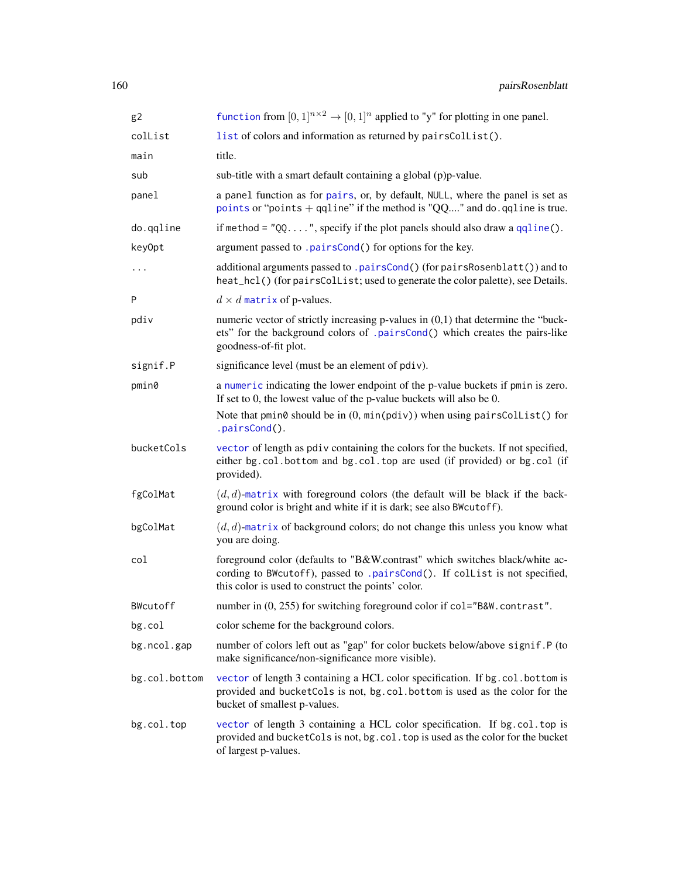| g <sub>2</sub> | function from $[0,1]^{n\times 2} \rightarrow [0,1]^{n}$ applied to "y" for plotting in one panel.                                                                                                               |
|----------------|-----------------------------------------------------------------------------------------------------------------------------------------------------------------------------------------------------------------|
| collist        | list of colors and information as returned by pairsCollist().                                                                                                                                                   |
| main           | title.                                                                                                                                                                                                          |
| sub            | sub-title with a smart default containing a global (p)p-value.                                                                                                                                                  |
| panel          | a panel function as for pairs, or, by default, NULL, where the panel is set as<br>points or "points $+$ qqline" if the method is "QQ" and do. qqline is true.                                                   |
| do.qqline      | if method = $"QQ$ , specify if the plot panels should also draw a $qqline()$ .                                                                                                                                  |
| key0pt         | argument passed to .pairsCond() for options for the key.                                                                                                                                                        |
| $\cdots$       | additional arguments passed to .pairsCond() (for pairsRosenblatt()) and to<br>heat_hcl()(for pairsCollist; used to generate the color palette), see Details.                                                    |
| P              | $d \times d$ matrix of p-values.                                                                                                                                                                                |
| pdiv           | numeric vector of strictly increasing p-values in $(0,1)$ that determine the "buck-<br>ets" for the background colors of .pairsCond() which creates the pairs-like<br>goodness-of-fit plot.                     |
| signif.P       | significance level (must be an element of pdiv).                                                                                                                                                                |
| pmin0          | a numeric indicating the lower endpoint of the p-value buckets if pmin is zero.<br>If set to 0, the lowest value of the $p$ -value buckets will also be 0.                                                      |
|                | Note that pmin0 should be in $(0, min(\text{poly}))$ when using pairsCollist() for<br>.pairsCond().                                                                                                             |
| bucketCols     | vector of length as pdiv containing the colors for the buckets. If not specified,<br>either bg.col.bottom and bg.col.top are used (if provided) or bg.col (if<br>provided).                                     |
| fgColMat       | $(d, d)$ -matrix with foreground colors (the default will be black if the back-<br>ground color is bright and white if it is dark; see also BWcutoff).                                                          |
| bgColMat       | $(d, d)$ -matrix of background colors; do not change this unless you know what<br>you are doing.                                                                                                                |
| col            | foreground color (defaults to "B&W.contrast" which switches black/white ac-<br>cording to BWcutoff), passed to .pairsCond(). If collist is not specified,<br>this color is used to construct the points' color. |
| BWcutoff       | number in (0, 255) for switching foreground color if col="B&W.contrast".                                                                                                                                        |
| bg.col         | color scheme for the background colors.                                                                                                                                                                         |
| bg.ncol.gap    | number of colors left out as "gap" for color buckets below/above signif. P (to<br>make significance/non-significance more visible).                                                                             |
| bg.col.bottom  | vector of length 3 containing a HCL color specification. If bg.col.bottom is<br>provided and bucketCols is not, bg.col.bottom is used as the color for the<br>bucket of smallest p-values.                      |
| bg.col.top     | vector of length 3 containing a HCL color specification. If bg.col.top is<br>provided and bucket Cols is not, bg. col. top is used as the color for the bucket<br>of largest p-values.                          |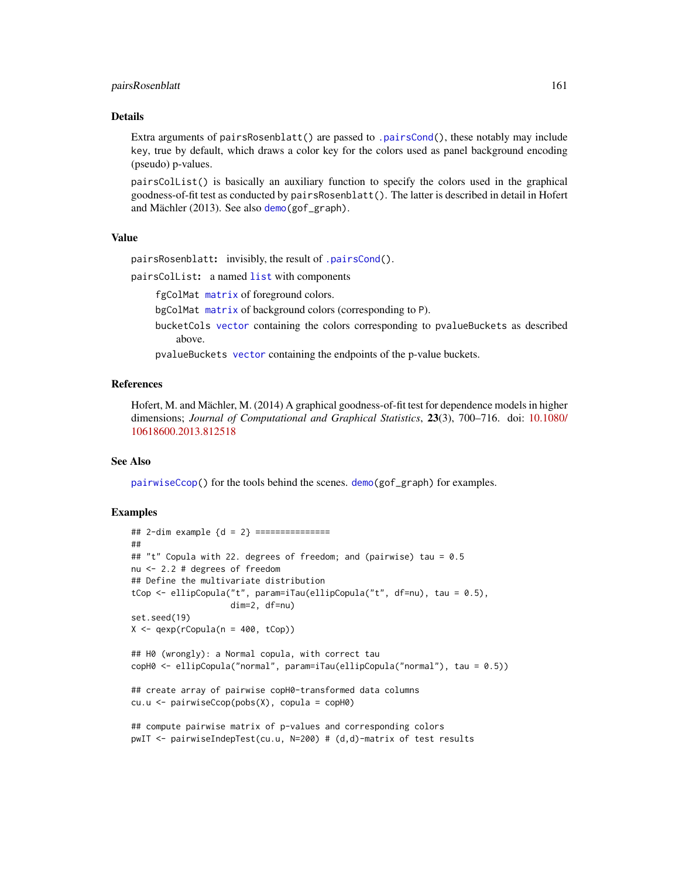## pairsRosenblatt 161

#### Details

Extra arguments of pairsRosenblatt() are passed to [.pairsCond\(](#page-11-0)), these notably may include key, true by default, which draws a color key for the colors used as panel background encoding (pseudo) p-values.

pairsColList() is basically an auxiliary function to specify the colors used in the graphical goodness-of-fit test as conducted by pairsRosenblatt(). The latter is described in detail in Hofert and Mächler (2013). See also [demo\(](#page-0-0)gof\_graph).

# Value

pairsRosenblatt: invisibly, the result of [.pairsCond\(](#page-11-0)).

pairsColList: a named [list](#page-0-0) with components

fgColMat [matrix](#page-0-0) of foreground colors.

bgColMat [matrix](#page-0-0) of background colors (corresponding to P).

bucketCols [vector](#page-0-0) containing the colors corresponding to pvalueBuckets as described above.

pvalueBuckets [vector](#page-0-0) containing the endpoints of the p-value buckets.

# References

Hofert, M. and Mächler, M. (2014) A graphical goodness-of-fit test for dependence models in higher dimensions; *Journal of Computational and Graphical Statistics*, 23(3), 700–716. doi: [10.1080/](https://doi.org/10.1080/10618600.2013.812518) [10618600.2013.812518](https://doi.org/10.1080/10618600.2013.812518)

## See Also

[pairwiseCcop\(](#page-99-0)) for the tools behind the scenes. [demo\(](#page-0-0)gof\_graph) for examples.

```
## 2-dim example {d = 2} ===============
##
## "t" Copula with 22. degrees of freedom; and (pairwise) tau = 0.5
nu <- 2.2 # degrees of freedom
## Define the multivariate distribution
tCop <- ellipCopula("t", param=iTau(ellipCopula("t", df=nu), tau = 0.5),
                    dim=2, df=nu)
set.seed(19)
X \leftarrow qexp(rCopula(n = 400, tCop))
## H0 (wrongly): a Normal copula, with correct tau
copH0 <- ellipCopula("normal", param=iTau(ellipCopula("normal"), tau = 0.5))
## create array of pairwise copH0-transformed data columns
cu.u <- pairwiseCcop(pobs(X), copula = copH0)
## compute pairwise matrix of p-values and corresponding colors
pwIT <- pairwiseIndepTest(cu.u, N=200) # (d,d)-matrix of test results
```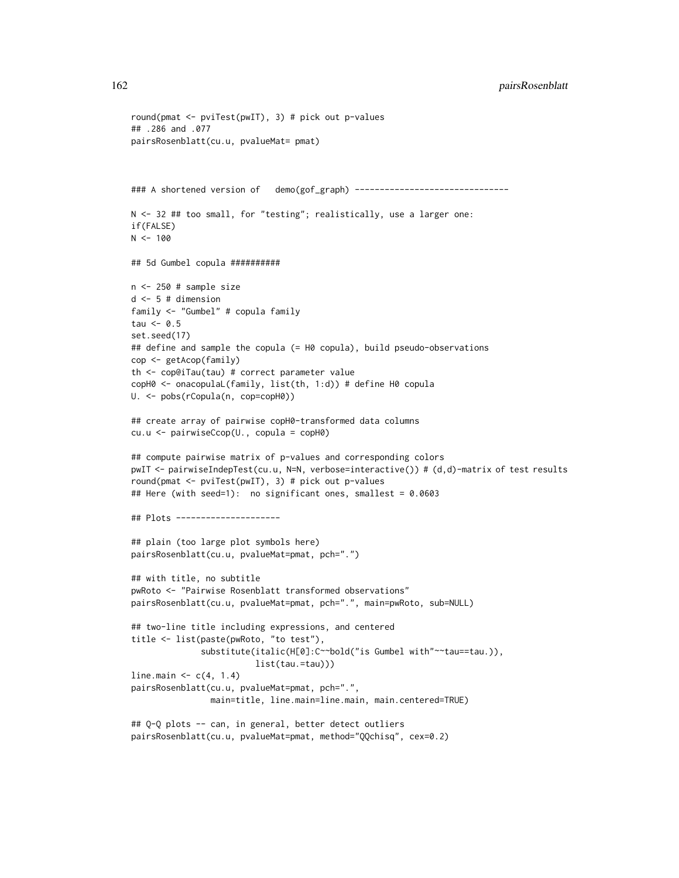```
round(pmat <- pviTest(pwIT), 3) # pick out p-values
## .286 and .077
pairsRosenblatt(cu.u, pvalueMat= pmat)
### A shortened version of demo(gof_graph) -------------------------------
N <- 32 ## too small, for "testing"; realistically, use a larger one:
if(FALSE)
N < - 100## 5d Gumbel copula ##########
n <- 250 # sample size
d <- 5 # dimension
family <- "Gumbel" # copula family
tau \leq 0.5set.seed(17)
## define and sample the copula (= H0 copula), build pseudo-observations
cop <- getAcop(family)
th <- cop@iTau(tau) # correct parameter value
copH0 <- onacopulaL(family, list(th, 1:d)) # define H0 copula
U. <- pobs(rCopula(n, cop=copH0))
## create array of pairwise copH0-transformed data columns
cu.u <- pairwiseCcop(U., copula = copH0)
## compute pairwise matrix of p-values and corresponding colors
pwIT <- pairwiseIndepTest(cu.u, N=N, verbose=interactive()) # (d,d)-matrix of test results
round(pmat <- pviTest(pwIT), 3) # pick out p-values
## Here (with seed=1): no significant ones, smallest = 0.0603
## Plots ---------------------
## plain (too large plot symbols here)
pairsRosenblatt(cu.u, pvalueMat=pmat, pch=".")
## with title, no subtitle
pwRoto <- "Pairwise Rosenblatt transformed observations"
pairsRosenblatt(cu.u, pvalueMat=pmat, pch=".", main=pwRoto, sub=NULL)
## two-line title including expressions, and centered
title <- list(paste(pwRoto, "to test"),
              substitute(italic(H[0]:C~~bold("is Gumbel with"~~tau==tau.)),
                         list(tau.=tau)))
line.main \leq c(4, 1.4)pairsRosenblatt(cu.u, pvalueMat=pmat, pch=".",
                main=title, line.main=line.main, main.centered=TRUE)
## Q-Q plots -- can, in general, better detect outliers
pairsRosenblatt(cu.u, pvalueMat=pmat, method="QQchisq", cex=0.2)
```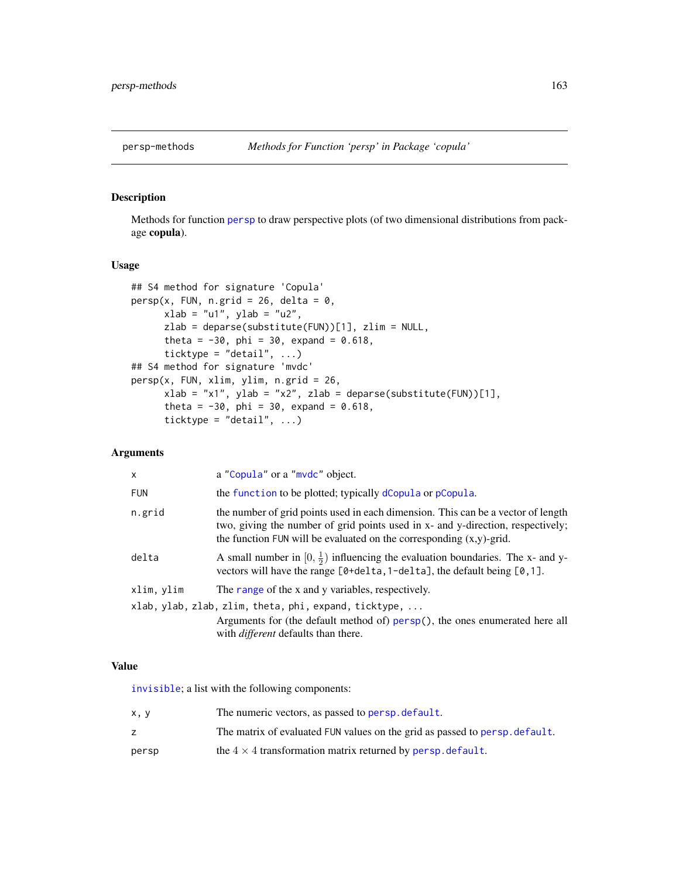Methods for function [persp](#page-0-0) to draw perspective plots (of two dimensional distributions from package copula).

#### Usage

```
## S4 method for signature 'Copula'
persp(x, FUN, n.grid = 26, delta = 0,xlab = "u1", ylab = "u2",zlab = deparse(substitute(FUN))[1], zlim = NULL,
      theta = -30, phi = 30, expand = 0.618,
      ticktype = "detail", \ldots)
## S4 method for signature 'mvdc'
persp(x, FUN, xlim, ylim, n.grid = 26,
      xlab = "x1", ylab = "x2", zlab = deparse(substitute(FUN))[1],theta = -30, phi = 30, expand = 0.618,
      ticktype = "detail", \ldots)
```
# Arguments

| X          | a "Copula" or a "mvdc" object.                                                                                                                                                                                                                |
|------------|-----------------------------------------------------------------------------------------------------------------------------------------------------------------------------------------------------------------------------------------------|
| <b>FUN</b> | the function to be plotted; typically dCopula or pCopula.                                                                                                                                                                                     |
| n.grid     | the number of grid points used in each dimension. This can be a vector of length<br>two, giving the number of grid points used in x- and y-direction, respectively;<br>the function FUN will be evaluated on the corresponding $(x,y)$ -grid. |
| delta      | A small number in $[0, \frac{1}{2})$ influencing the evaluation boundaries. The x- and y-<br>vectors will have the range $[0 + delta, 1 - delta]$ , the default being $[0, 1]$ .                                                              |
| xlim, ylim | The range of the x and y variables, respectively.                                                                                                                                                                                             |
|            | xlab, ylab, zlab, zlim, theta, phi, expand, ticktype,                                                                                                                                                                                         |
|            | Arguments for (the default method of) persp(), the ones enumerated here all<br>with <i>different</i> defaults than there.                                                                                                                     |
|            |                                                                                                                                                                                                                                               |

## Value

[invisible](#page-0-0); a list with the following components:

| x, y  | The numeric vectors, as passed to persp. default.                           |
|-------|-----------------------------------------------------------------------------|
|       | The matrix of evaluated FUN values on the grid as passed to persp. default. |
| persp | the $4 \times 4$ transformation matrix returned by persp. default.          |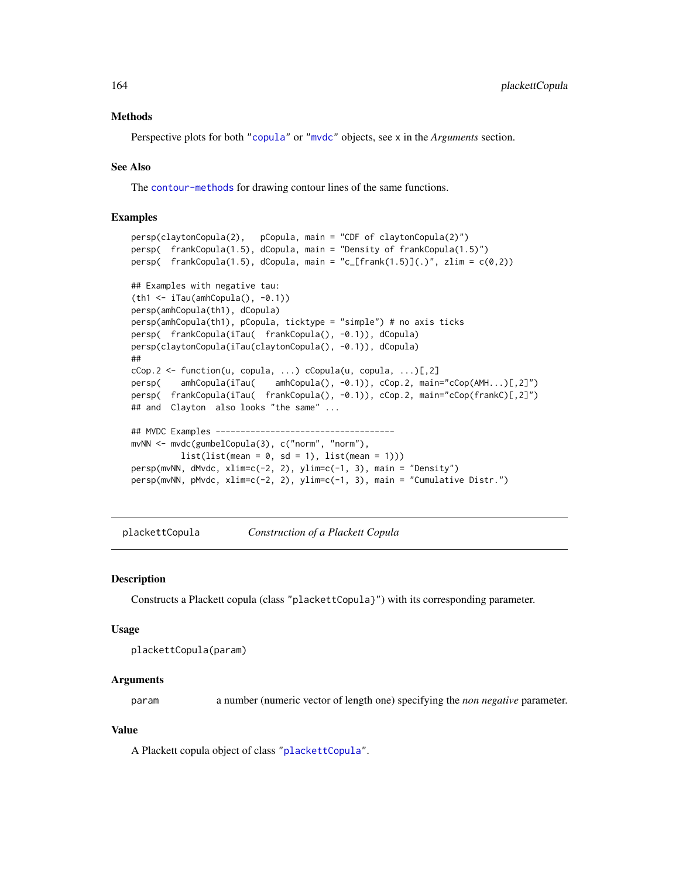#### Methods

Perspective plots for both ["copula"](#page-44-0) or ["mvdc"](#page-148-0) objects, see x in the *Arguments* section.

## See Also

The [contour-methods](#page-36-0) for drawing contour lines of the same functions.

# Examples

```
persp(claytonCopula(2), pCopula, main = "CDF of claytonCopula(2)")
persp( frankCopula(1.5), dCopula, main = "Density of frankCopula(1.5)")
persp( frankCopula(1.5), dCopula, main = "c_[frank(1.5)](.)", zlim = c(\emptyset,2))
## Examples with negative tau:
(th1 <- iTau(amhCopula(), -0.1))
persp(amhCopula(th1), dCopula)
persp(amhCopula(th1), pCopula, ticktype = "simple") # no axis ticks
persp( frankCopula(iTau( frankCopula(), -0.1)), dCopula)
persp(claytonCopula(iTau(claytonCopula(), -0.1)), dCopula)
##
cCop.2 \leq function(u, copula, ...) cCopula(u, copula, ...) [, 2]persp( amhCopula(iTau( amhCopula(), -0.1)), cCop.2, main="cCop(AMH...)[,2]")
persp( frankCopula(iTau( frankCopula(), -0.1)), cCop.2, main="cCop(frankC)[,2]")
## and Clayton also looks "the same" ...
## MVDC Examples ------------------------------------
mvNN <- mvdc(gumbelCopula(3), c("norm", "norm"),
         list(list(mean = 0, sd = 1), list(mean = 1)))persp(mvNN, dMvdc, xlim=c(-2, 2), ylim=c(-1, 3), main = "Density")
persp(mvNN, pMvdc, xlim=c(-2, 2), ylim=c(-1, 3), main = "Cumulative Distr.")
```
<span id="page-163-0"></span>plackettCopula *Construction of a Plackett Copula*

#### Description

Constructs a Plackett copula (class "plackettCopula}") with its corresponding parameter.

#### Usage

```
plackettCopula(param)
```
## Arguments

param a number (numeric vector of length one) specifying the *non negative* parameter.

#### Value

A Plackett copula object of class ["plackettCopula"](#page-164-0).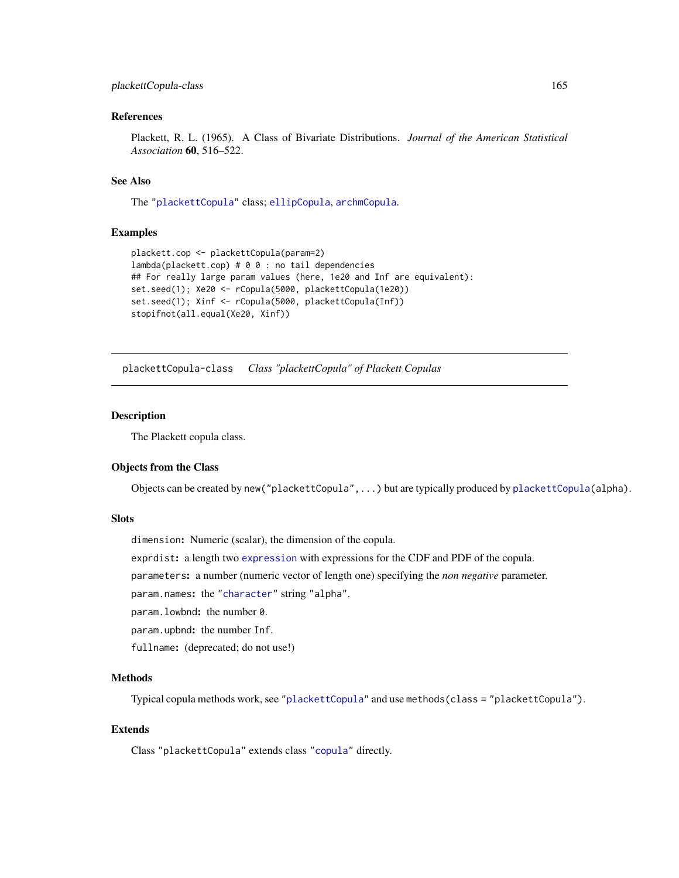# plackettCopula-class 165

## References

Plackett, R. L. (1965). A Class of Bivariate Distributions. *Journal of the American Statistical Association* 60, 516–522.

## See Also

The ["plackettCopula"](#page-164-0) class; [ellipCopula](#page-50-0), [archmCopula](#page-21-0).

## Examples

```
plackett.cop <- plackettCopula(param=2)
lambda(plackett.cop) # 0 0 : no tail dependencies
## For really large param values (here, 1e20 and Inf are equivalent):
set.seed(1); Xe20 <- rCopula(5000, plackettCopula(1e20))
set.seed(1); Xinf <- rCopula(5000, plackettCopula(Inf))
stopifnot(all.equal(Xe20, Xinf))
```
<span id="page-164-0"></span>plackettCopula-class *Class "plackettCopula" of Plackett Copulas*

#### Description

The Plackett copula class.

## Objects from the Class

Objects can be created by new("plackettCopula",...) but are typically produced by [plackettCopula\(](#page-163-0)alpha).

# **Slots**

dimension: Numeric (scalar), the dimension of the copula.

exprdist: a length two [expression](#page-0-0) with expressions for the CDF and PDF of the copula.

parameters: a number (numeric vector of length one) specifying the *non negative* parameter.

param.names: the ["character"](#page-0-0) string "alpha".

param.lowbnd: the number 0.

param.upbnd: the number Inf.

fullname: (deprecated; do not use!)

#### Methods

Typical copula methods work, see ["plackettCopula"](#page-164-0) and use methods(class = "plackettCopula").

# Extends

Class "plackettCopula" extends class ["copula"](#page-44-0) directly.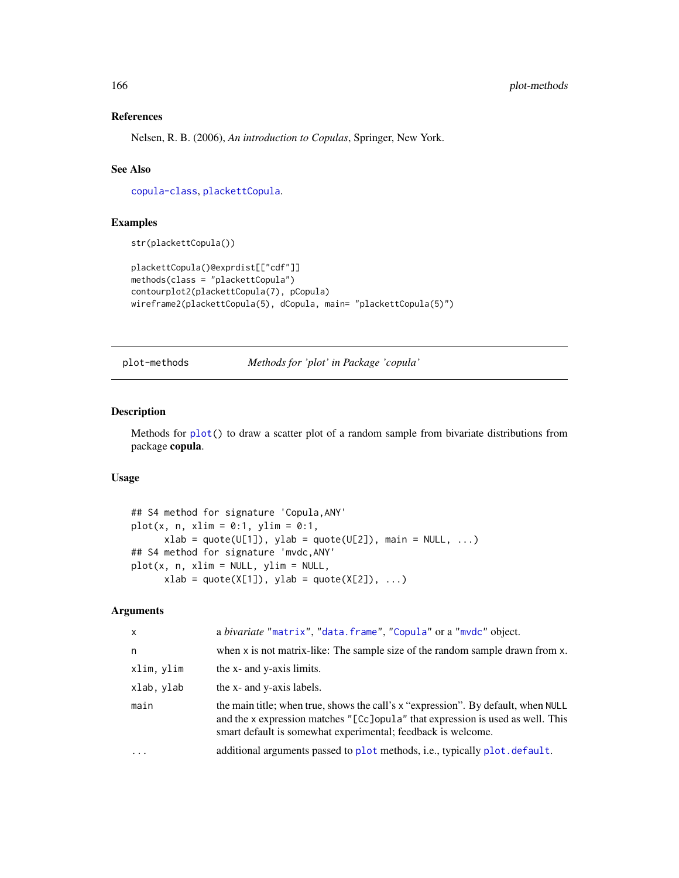# References

Nelsen, R. B. (2006), *An introduction to Copulas*, Springer, New York.

## See Also

[copula-class](#page-44-0), [plackettCopula](#page-163-0).

# Examples

str(plackettCopula())

```
plackettCopula()@exprdist[["cdf"]]
methods(class = "plackettCopula")
contourplot2(plackettCopula(7), pCopula)
wireframe2(plackettCopula(5), dCopula, main= "plackettCopula(5)")
```
plot-methods *Methods for 'plot' in Package 'copula'*

#### Description

Methods for [plot\(](#page-0-0)) to draw a scatter plot of a random sample from bivariate distributions from package copula.

# Usage

```
## S4 method for signature 'Copula,ANY'
plot(x, n, xlim = 0:1, ylim = 0:1,
     xlab = quote(U[1]), ylab = quote(U[2]), main = NULL, ...)## S4 method for signature 'mvdc,ANY'
plot(x, n, xlim = NULL, ylim = NULL,
      xlab = quote(X[1]), ylab = quote(X[2]), ...)
```

| $\mathsf{x}$ | a bivariate "matrix", "data.frame", "Copula" or a "mvdc" object.                                                                                                                                                                    |
|--------------|-------------------------------------------------------------------------------------------------------------------------------------------------------------------------------------------------------------------------------------|
| n.           | when x is not matrix-like: The sample size of the random sample drawn from x.                                                                                                                                                       |
| xlim, ylim   | the x- and y-axis limits.                                                                                                                                                                                                           |
| xlab, ylab   | the x- and y-axis labels.                                                                                                                                                                                                           |
| main         | the main title; when true, shows the call's x "expression". By default, when NULL<br>and the x expression matches "[Cc]opula" that expression is used as well. This<br>smart default is somewhat experimental; feedback is welcome. |
| $\ddotsc$    | additional arguments passed to plot methods, i.e., typically plot. default.                                                                                                                                                         |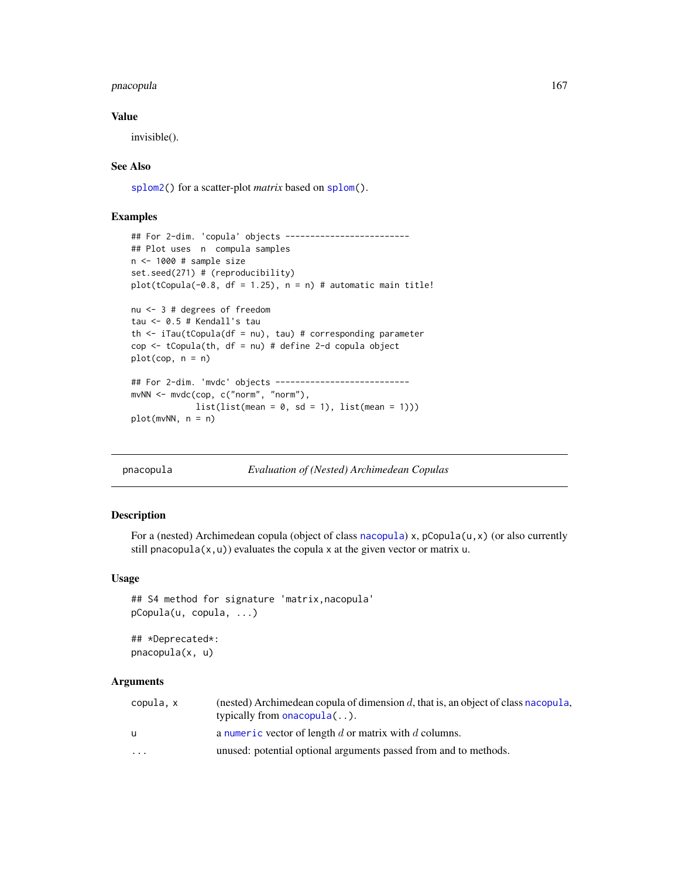#### pnacopula 167

## Value

invisible().

# See Also

[splom2\(](#page-204-0)) for a scatter-plot *matrix* based on [splom\(](#page-0-0)).

# Examples

```
## For 2-dim. 'copula' objects -------------------------
## Plot uses n compula samples
n <- 1000 # sample size
set.seed(271) # (reproducibility)
plot(tCopula(-0.8, df = 1.25), n = n) # automatic main title!
nu <- 3 # degrees of freedom
tau <- 0.5 # Kendall's tau
th \le iTau(tCopula(df = nu), tau) # corresponding parameter
cop <- tCopula(th, df = nu) # define 2-d copula object
plot(cop, n = n)## For 2-dim. 'mvdc' objects ---------------------------
mvNN <- mvdc(cop, c("norm", "norm"),
            list(list(mean = 0, sd = 1), list(mean = 1)))plot(mvNN, n = n)
```
pnacopula *Evaluation of (Nested) Archimedean Copulas*

## Description

For a (nested) Archimedean copula (object of class [nacopula](#page-150-0)) x, pCopula(u,x) (or also currently still pnacopula( $x, u$ )) evaluates the copula x at the given vector or matrix u.

## Usage

```
## S4 method for signature 'matrix,nacopula'
pCopula(u, copula, ...)
```
## \*Deprecated\*: pnacopula(x, u)

| copula, x               | (nested) Archimedean copula of dimension d, that is, an object of class nacopula,<br>typically from onacopula $(\ldots)$ . |
|-------------------------|----------------------------------------------------------------------------------------------------------------------------|
| u                       | a numeric vector of length $d$ or matrix with $d$ columns.                                                                 |
| $\cdot$ $\cdot$ $\cdot$ | unused: potential optional arguments passed from and to methods.                                                           |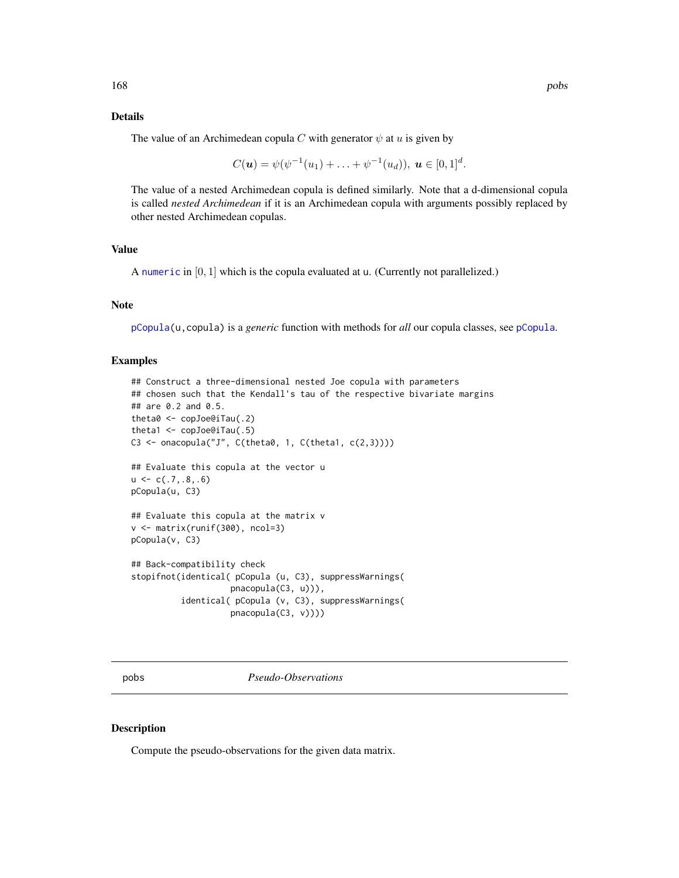## Details

The value of an Archimedean copula C with generator  $\psi$  at u is given by

$$
C(\mathbf{u}) = \psi(\psi^{-1}(u_1) + \ldots + \psi^{-1}(u_d)), \mathbf{u} \in [0,1]^d.
$$

The value of a nested Archimedean copula is defined similarly. Note that a d-dimensional copula is called *nested Archimedean* if it is an Archimedean copula with arguments possibly replaced by other nested Archimedean copulas.

# Value

A [numeric](#page-0-0) in [0, 1] which is the copula evaluated at u. (Currently not parallelized.)

# Note

[pCopula\(](#page-42-0)u,copula) is a *generic* function with methods for *all* our copula classes, see [pCopula](#page-42-0).

# Examples

```
## Construct a three-dimensional nested Joe copula with parameters
## chosen such that the Kendall's tau of the respective bivariate margins
## are 0.2 and 0.5.
theta0 <- copJoe@iTau(.2)
theta1 <- copJoe@iTau(.5)
C3 <- onacopula("J", C(\theta, 1, C(\theta, 1, c(2,3))))## Evaluate this copula at the vector u
u \leftarrow c(.7,.8,.6)pCopula(u, C3)
## Evaluate this copula at the matrix v
v <- matrix(runif(300), ncol=3)
pCopula(v, C3)
## Back-compatibility check
stopifnot(identical( pCopula (u, C3), suppressWarnings(
                    pnacopula(C3, u))),
          identical( pCopula (v, C3), suppressWarnings(
                    pnacopula(C3, v))))
```
<span id="page-167-0"></span>pobs *Pseudo-Observations*

## Description

Compute the pseudo-observations for the given data matrix.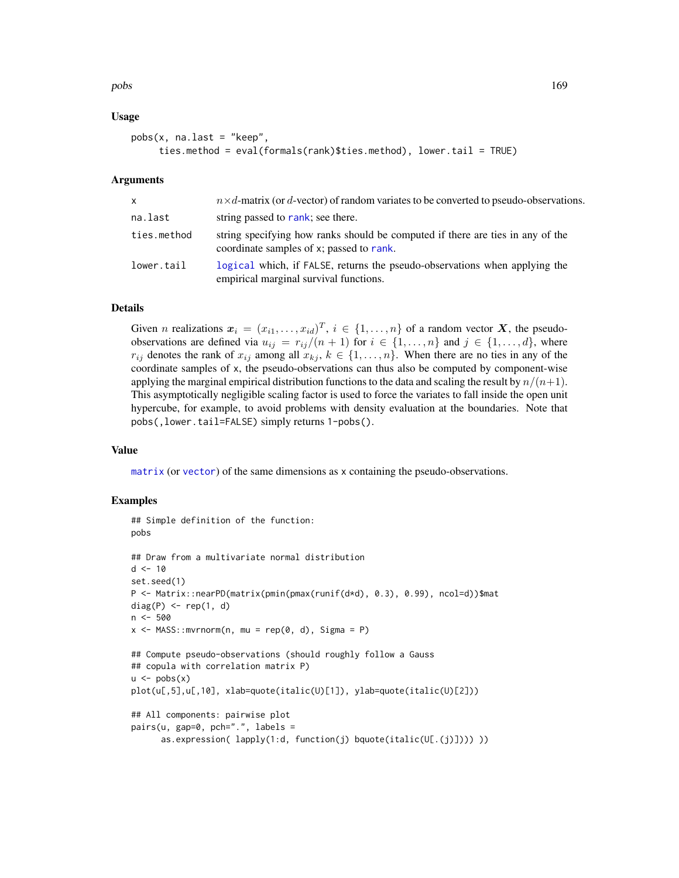pobs and the set of the set of the set of the set of the set of the set of the set of the set of the set of the set of the set of the set of the set of the set of the set of the set of the set of the set of the set of the

# Usage

```
pobs(x, na-last = "keep",ties.method = eval(formals(rank)$ties.method), lower.tail = TRUE)
```
## Arguments

| $\mathsf{x}$ | $n \times d$ -matrix (or d-vector) of random variates to be converted to pseudo-observations.                              |
|--------------|----------------------------------------------------------------------------------------------------------------------------|
| na.last      | string passed to rank; see there.                                                                                          |
| ties.method  | string specifying how ranks should be computed if there are ties in any of the<br>coordinate samples of x; passed to rank. |
| lower.tail   | logical which, if FALSE, returns the pseudo-observations when applying the<br>empirical marginal survival functions.       |

## Details

Given *n* realizations  $x_i = (x_{i1}, \ldots, x_{id})^T$ ,  $i \in \{1, \ldots, n\}$  of a random vector X, the pseudoobservations are defined via  $u_{ij} = r_{ij}/(n+1)$  for  $i \in \{1, ..., n\}$  and  $j \in \{1, ..., d\}$ , where  $r_{ij}$  denotes the rank of  $x_{ij}$  among all  $x_{ki}$ ,  $k \in \{1, ..., n\}$ . When there are no ties in any of the coordinate samples of x, the pseudo-observations can thus also be computed by component-wise applying the marginal empirical distribution functions to the data and scaling the result by  $n/(n+1)$ . This asymptotically negligible scaling factor is used to force the variates to fall inside the open unit hypercube, for example, to avoid problems with density evaluation at the boundaries. Note that pobs(,lower.tail=FALSE) simply returns 1-pobs().

#### Value

[matrix](#page-0-0) (or [vector](#page-0-0)) of the same dimensions as x containing the pseudo-observations.

```
## Simple definition of the function:
pobs
## Draw from a multivariate normal distribution
d < -10set.seed(1)
P <- Matrix::nearPD(matrix(pmin(pmax(runif(d*d), 0.3), 0.99), ncol=d))$mat
diag(P) \leq -rep(1, d)n <- 500
x \le - MASS:: mvrnorm(n, mu = rep(0, d), Sigma = P)
## Compute pseudo-observations (should roughly follow a Gauss
## copula with correlation matrix P)
u \leftarrow \text{pobs}(x)plot(u[,5],u[,10], xlab=quote(italic(U)[1]), ylab=quote(italic(U)[2]))
## All components: pairwise plot
pairs(u, gap=0, pch=".", labels =
      as.expression( lapply(1:d, function(j) bquote(italic(U[.(j)]))) ))
```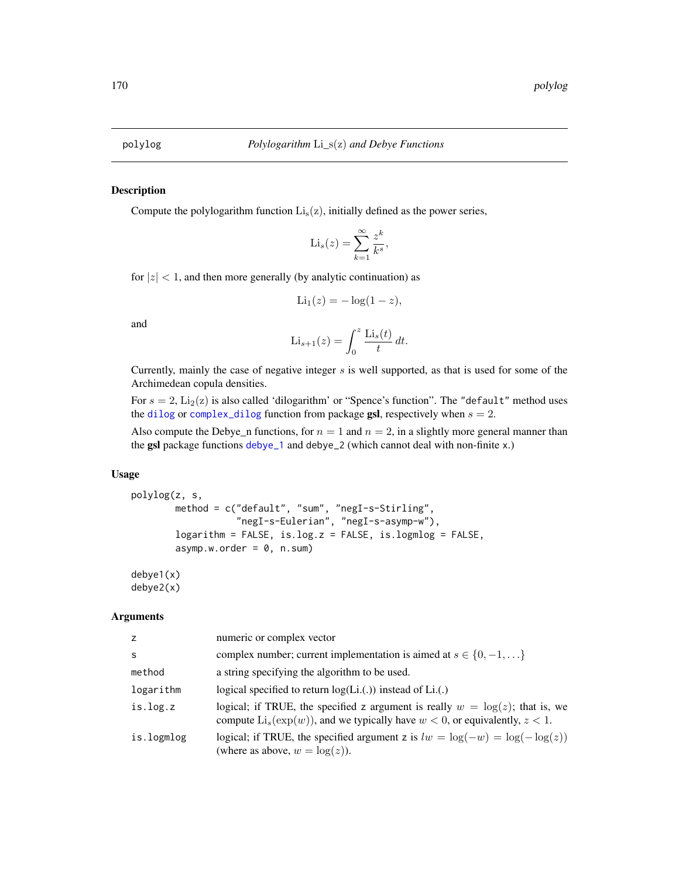Compute the polylogarithm function  $Li<sub>s</sub>(z)$ , initially defined as the power series,

$$
\mathrm{Li}_s(z) = \sum_{k=1}^{\infty} \frac{z^k}{k^s},
$$

for  $|z|$  < 1, and then more generally (by analytic continuation) as

$$
\mathrm{Li}_1(z) = -\log(1-z),
$$

and

$$
\text{Li}_{s+1}(z) = \int_0^z \frac{\text{Li}_s(t)}{t} dt.
$$

Currently, mainly the case of negative integer  $s$  is well supported, as that is used for some of the Archimedean copula densities.

For  $s = 2$ ,  $\text{Li}_2(z)$  is also called 'dilogarithm' or "Spence's function". The "default" method uses the [dilog](#page-0-0) or [complex\\_dilog](#page-0-0) function from package **gsl**, respectively when  $s = 2$ .

Also compute the Debye\_n functions, for  $n = 1$  and  $n = 2$ , in a slightly more general manner than the gsl package functions [debye\\_1](#page-0-0) and debye\_2 (which cannot deal with non-finite x.)

# Usage

```
polylog(z, s,
       method = c("default", "sum", "negI-s-Stirling",
                   "negI-s-Eulerian", "negI-s-asymp-w"),
       logarithm = FALSE, is.log.z = FALSE, is.logmlog = FALSE,
       asymp.w.order = 0, n.sum)
```
# debye1(x) debye2(x)

| z          | numeric or complex vector                                                                                                                                                       |
|------------|---------------------------------------------------------------------------------------------------------------------------------------------------------------------------------|
| -S         | complex number; current implementation is aimed at $s \in \{0, -1, \ldots\}$                                                                                                    |
| method     | a string specifying the algorithm to be used.                                                                                                                                   |
| logarithm  | logical specified to return $log(Li.())$ instead of $Li.()$                                                                                                                     |
| is.log.z   | logical; if TRUE, the specified z argument is really $w = \log(z)$ ; that is, we<br>compute $\text{Li}_s(\exp(w))$ , and we typically have $w < 0$ , or equivalently, $z < 1$ . |
| is.logmlog | logical; if TRUE, the specified argument z is $lw = \log(-w) = \log(-\log(z))$<br>(where as above, $w = \log(z)$ ).                                                             |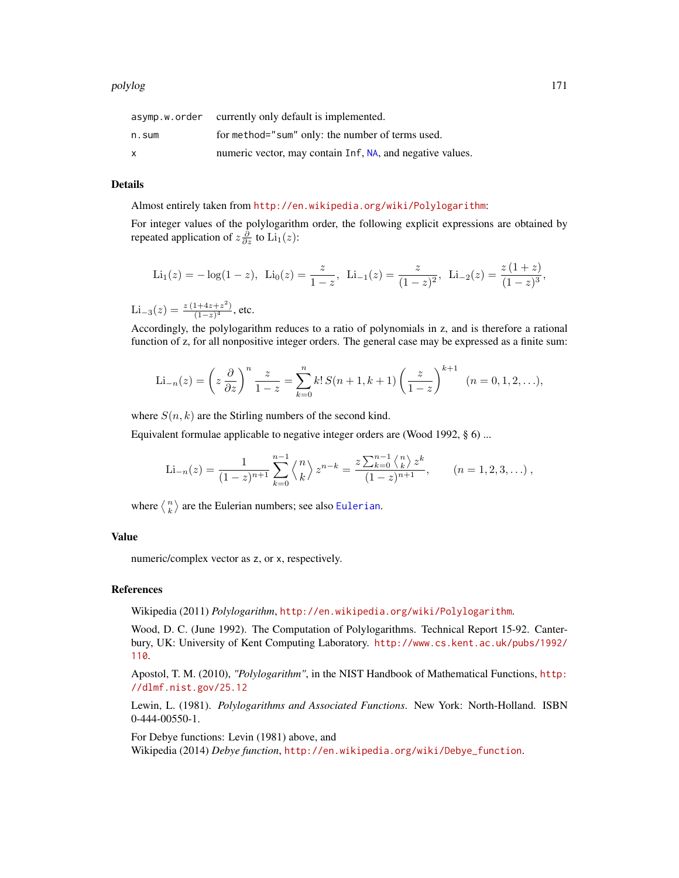|       | asymp.w.order currently only default is implemented.      |
|-------|-----------------------------------------------------------|
| n.sum | for method="sum" only: the number of terms used.          |
| x     | numeric vector, may contain Inf, NA, and negative values. |

#### Details

Almost entirely taken from <http://en.wikipedia.org/wiki/Polylogarithm>:

For integer values of the polylogarithm order, the following explicit expressions are obtained by repeated application of  $z\frac{\partial}{\partial z}$  to  $\text{Li}_1(z)$ :

$$
\text{Li}_1(z) = -\log(1-z), \ \text{Li}_0(z) = \frac{z}{1-z}, \ \text{Li}_{-1}(z) = \frac{z}{(1-z)^2}, \ \text{Li}_{-2}(z) = \frac{z(1+z)}{(1-z)^3},
$$

 $\text{Li}_{-3}(z) = \frac{z(1+4z+z^2)}{(1-z)^4}$  $\frac{1+4z+z}{(1-z)^4}$ , etc.

Accordingly, the polylogarithm reduces to a ratio of polynomials in z, and is therefore a rational function of z, for all nonpositive integer orders. The general case may be expressed as a finite sum:

$$
\text{Li}_{-n}(z) = \left(z \frac{\partial}{\partial z}\right)^n \frac{z}{1-z} = \sum_{k=0}^n k! S(n+1, k+1) \left(\frac{z}{1-z}\right)^{k+1} \quad (n = 0, 1, 2, \ldots),
$$

where  $S(n, k)$  are the Stirling numbers of the second kind.

Equivalent formulae applicable to negative integer orders are (Wood 1992, § 6) ...

Li<sub>-n</sub>(z) = 
$$
\frac{1}{(1-z)^{n+1}} \sum_{k=0}^{n-1} \binom{n}{k} z^{n-k} = \frac{z \sum_{k=0}^{n-1} \binom{n}{k} z^k}{(1-z)^{n+1}}, \qquad (n = 1, 2, 3, ...),
$$

where  $\langle \frac{n}{k} \rangle$  are the [Eulerian](#page-205-0) numbers; see also Eulerian.

## Value

numeric/complex vector as z, or x, respectively.

## References

Wikipedia (2011) *Polylogarithm*, <http://en.wikipedia.org/wiki/Polylogarithm>.

Wood, D. C. (June 1992). The Computation of Polylogarithms. Technical Report 15-92. Canterbury, UK: University of Kent Computing Laboratory. [http://www.cs.kent.ac.uk/pubs/1992/](http://www.cs.kent.ac.uk/pubs/1992/110) [110](http://www.cs.kent.ac.uk/pubs/1992/110).

Apostol, T. M. (2010), *"Polylogarithm"*, in the NIST Handbook of Mathematical Functions, [http:](http://dlmf.nist.gov/25.12) [//dlmf.nist.gov/25.12](http://dlmf.nist.gov/25.12)

Lewin, L. (1981). *Polylogarithms and Associated Functions*. New York: North-Holland. ISBN 0-444-00550-1.

For Debye functions: Levin (1981) above, and Wikipedia (2014) *Debye function*, [http://en.wikipedia.org/wiki/Debye\\_function](http://en.wikipedia.org/wiki/Debye_function).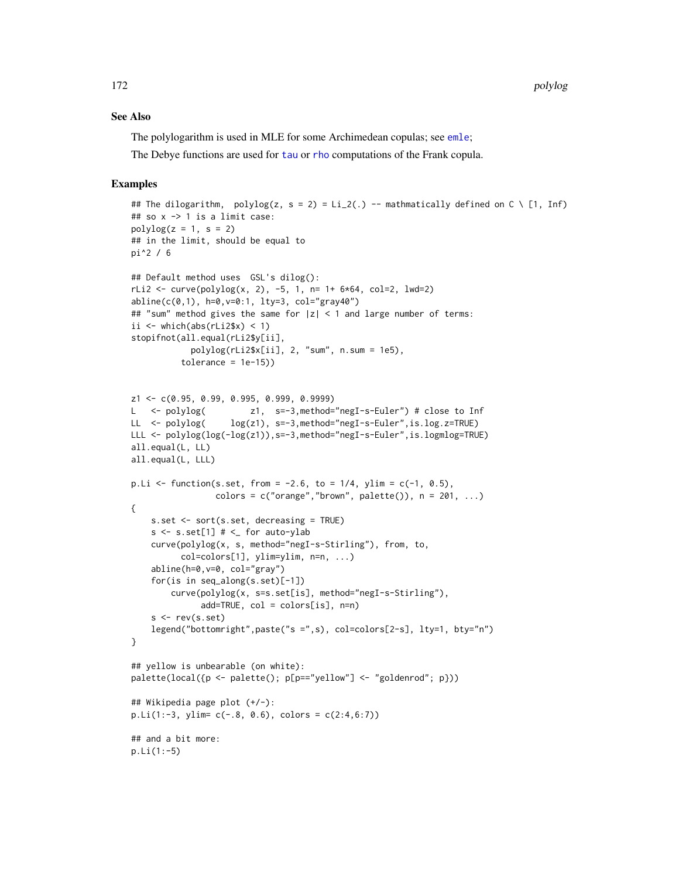## See Also

The polylogarithm is used in MLE for some Archimedean copulas; see [emle](#page-55-0);

The Debye functions are used for [tau](#page-25-0) or [rho](#page-25-0) computations of the Frank copula.

```
## The dilogarithm, polylog(z, s = 2) = Li_2(.) -- mathmatically defined on C \ [1, Inf)
## so x -> 1 is a limit case:
polylog(z = 1, s = 2)## in the limit, should be equal to
pi^2 / 6
## Default method uses GSL's dilog():
rLi2 <- curve(polylog(x, 2), -5, 1, n= 1+ 6*64, col=2, lwd=2)
abline(c(0,1), h=0, v=0:1, lty=3, col="gray40")## "sum" method gives the same for |z| < 1 and large number of terms:
ii \leftarrow which(abs(rLi2$x) \leftarrow 1)
stopifnot(all.equal(rLi2$y[ii],
            polylog(rLi2$x[ii], 2, "sum", n.sum = 1e5),
          tolerance = 1e-15)z1 <- c(0.95, 0.99, 0.995, 0.999, 0.9999)
L <- polylog( z1, s=-3,method="negI-s-Euler") # close to Inf
LL <- polylog( log(z1), s=-3,method="negI-s-Euler", is.log.z=TRUE)
LLL <- polylog(log(-log(z1)), s=-3, method="negI-s-Euler", is.logmlog=TRUE)
all.equal(L, LL)
all.equal(L, LLL)
p. Li <- function(s.set, from = -2.6, to = 1/4, ylim = c(-1, 0.5),
                 colors = c("orange", "brown", platete()); n = 201, ...){
    s.set <- sort(s.set, decreasing = TRUE)
    s \leq s.set[1] # \leq for auto-ylab
    curve(polylog(x, s, method="negI-s-Stirling"), from, to,
          col=colors[1], ylim=ylim, n=n, ...)
    abline(h=0,v=0, col="gray")
    for(is in seq_along(s.set)[-1])
        curve(polylog(x, s=s.set[is], method="negI-s-Stirling"),
              add=TRUE, col = colors[is], n=n)
    s < -rev(s.set)legend("bottomright",paste("s =",s), col=colors[2-s], lty=1, bty="n")
}
## yellow is unbearable (on white):
palette(local({p <- palette(); p[p=="yellow"] <- "goldenrod"; p}))
## Wikipedia page plot (+/-):
p.Li(1:-3, ylim= c(-.8, 0.6), colors = c(2:4,6:7))## and a bit more:
p.Li(1:-5)
```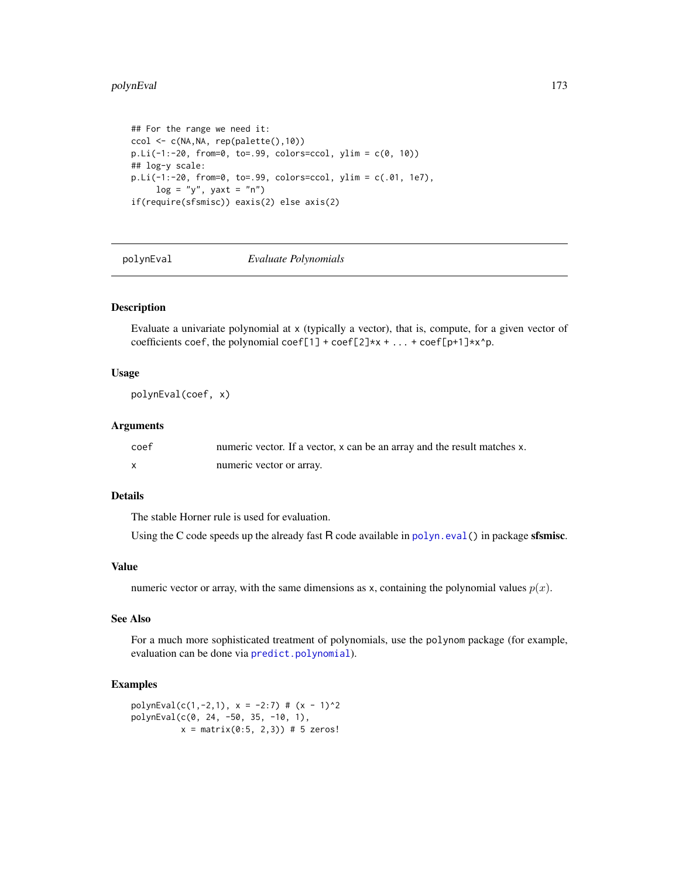### polynEval 173

```
## For the range we need it:
ccol <- c(NA,NA, rep(palette(),10))
p.Li(-1:-20, from=0, to=.99, colors=ccol, ylim = c(0, 10))## log-y scale:
p.Li(-1:-20, from=0, to=.99, colors=ccol, ylim = c(.01, 1e7),
     log = "y", yaxt = "n")if(require(sfsmisc)) eaxis(2) else axis(2)
```
polynEval *Evaluate Polynomials*

## Description

Evaluate a univariate polynomial at x (typically a vector), that is, compute, for a given vector of coefficients coef, the polynomial coef[1] + coef[2]\*x + ... + coef[p+1]\*x^p.

## Usage

polynEval(coef, x)

## Arguments

| coef | numeric vector. If a vector, x can be an array and the result matches x. |
|------|--------------------------------------------------------------------------|
|      | numeric vector or array.                                                 |

# Details

The stable Horner rule is used for evaluation.

Using the C code speeds up the already fast  $R$  code available in [polyn.eval\(](#page-0-0)) in package sfsmisc.

# Value

numeric vector or array, with the same dimensions as x, containing the polynomial values  $p(x)$ .

# See Also

For a much more sophisticated treatment of polynomials, use the polynom package (for example, evaluation can be done via [predict.polynomial](#page-0-0)).

```
polynEval(c(1,-2,1), x = -2:7) # (x - 1)^2polynEval(c(0, 24, -50, 35, -10, 1),
         x = matrix(0:5, 2, 3) # 5 zeros!
```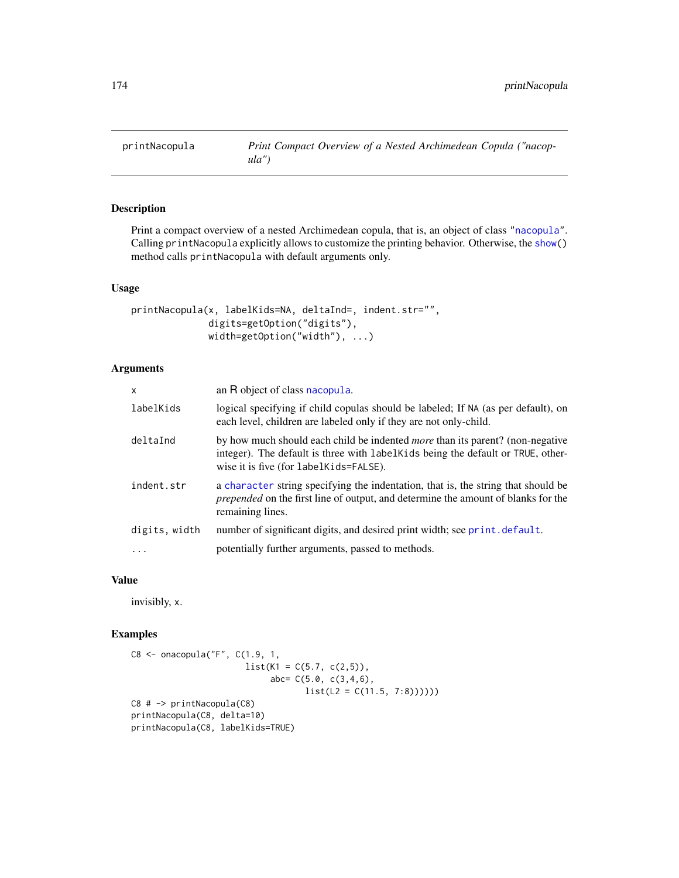<span id="page-173-0"></span>

Print a compact overview of a nested Archimedean copula, that is, an object of class ["nacopula"](#page-150-0). Calling printNacopula explicitly allows to customize the printing behavior. Otherwise, the [show\(](#page-0-0)) method calls printNacopula with default arguments only.

# Usage

```
printNacopula(x, labelKids=NA, deltaInd=, indent.str="",
              digits=getOption("digits"),
              width=getOption("width"), ...)
```
### Arguments

| X             | an R object of class nacopula.                                                                                                                                                                                    |
|---------------|-------------------------------------------------------------------------------------------------------------------------------------------------------------------------------------------------------------------|
| labelKids     | logical specifying if child copulas should be labeled; If NA (as per default), on<br>each level, children are labeled only if they are not only-child.                                                            |
| deltaInd      | by how much should each child be indented <i>more</i> than its parent? (non-negative<br>integer). The default is three with labelKids being the default or TRUE, other-<br>wise it is five (for labelKids=FALSE). |
| indent.str    | a character string specifying the indentation, that is, the string that should be<br>prepended on the first line of output, and determine the amount of blanks for the<br>remaining lines.                        |
| digits, width | number of significant digits, and desired print width; see print.default.                                                                                                                                         |
| .             | potentially further arguments, passed to methods.                                                                                                                                                                 |

# Value

invisibly, x.

```
C8 <- onacopula("F", C(1.9, 1,
                      list(K1 = C(5.7, c(2,5)),abc=C(5.0, c(3,4,6)),list(L2 = C(11.5, 7:8))))C8 # -> printNacopula(C8)
printNacopula(C8, delta=10)
printNacopula(C8, labelKids=TRUE)
```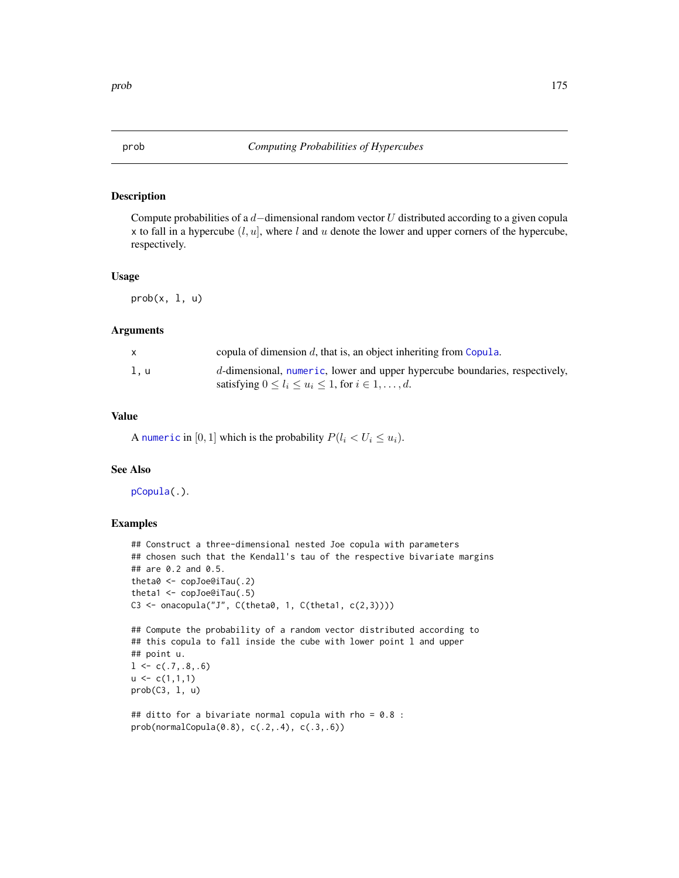Compute probabilities of a  $d$ -dimensional random vector U distributed according to a given copula x to fall in a hypercube  $(l, u]$ , where l and u denote the lower and upper corners of the hypercube, respectively.

#### Usage

 $prob(x, 1, u)$ 

#### Arguments

|     | copula of dimension $d$ , that is, an object inheriting from Copula.        |
|-----|-----------------------------------------------------------------------------|
| l.u | d-dimensional, numeric, lower and upper hypercube boundaries, respectively, |
|     | satisfying $0 \leq l_i \leq u_i \leq 1$ , for $i \in 1, \ldots, d$ .        |

# Value

A [numeric](#page-0-0) in [0, 1] which is the probability  $P(l_i < U_i \le u_i)$ .

# See Also

[pCopula\(](#page-42-0).).

```
## Construct a three-dimensional nested Joe copula with parameters
## chosen such that the Kendall's tau of the respective bivariate margins
## are 0.2 and 0.5.
theta0 <- copJoe@iTau(.2)
theta1 <- copJoe@iTau(.5)
C3 <- onacopula("J", C(theta0, 1, C(theta1, c(2,3))))
```

```
## Compute the probability of a random vector distributed according to
## this copula to fall inside the cube with lower point l and upper
## point u.
1 \leftarrow c(.7,.8,.6)u \leftarrow c(1,1,1)prob(C3, l, u)
```

```
## ditto for a bivariate normal copula with rho = 0.8 :
prob(normalCopula(0.8), c(.2,.4), c(.3,.6))
```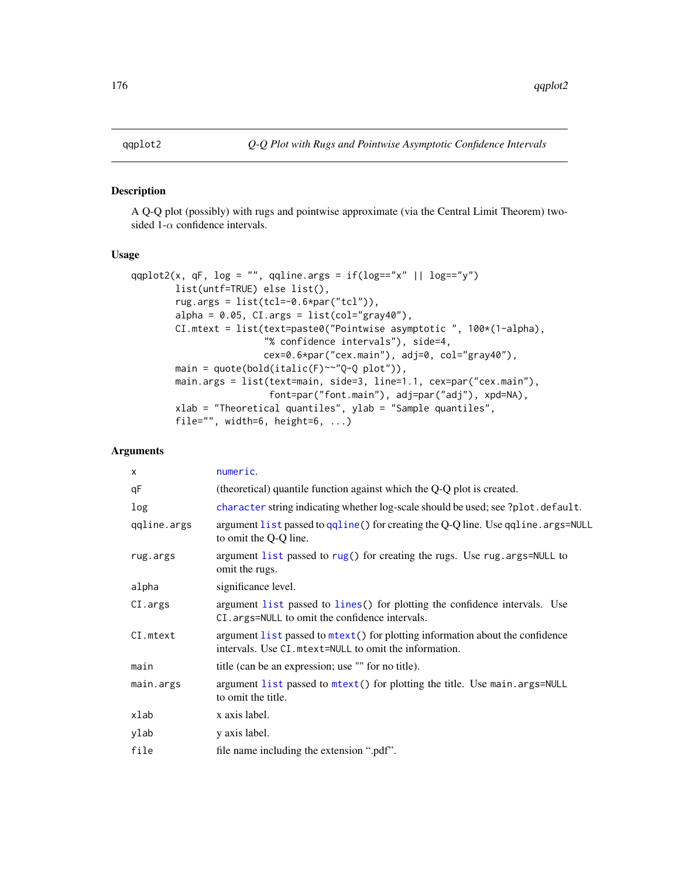A Q-Q plot (possibly) with rugs and pointwise approximate (via the Central Limit Theorem) twosided 1- $\alpha$  confidence intervals.

# Usage

```
qqplot2(x, qF, log = "", qqline.args = if(log=="x" || log=="y")
       list(untf=TRUE) else list(),
       rug.args = list(tcl=-0.6*par("tcl")),
       alpha = 0.05, CI.args = list(col="gray40"),
       CI.mtext = list(text=paste0("Pointwise asymptotic ", 100*(1-alpha),
                        "% confidence intervals"), side=4,
                        cex=0.6*par("cex.main"), adj=0, col="gray40"),
       main = quote(bold(italic(F)~~"Q-Q plot")),
       main.args = list(text=main, side=3, line=1.1, cex=par("cex.main"),
                         font=par("font.main"), adj=par("adj"), xpd=NA),
       xlab = "Theoretical quantiles", ylab = "Sample quantiles",
       file="", width=6, height=6, ...)
```

| $\times$    | numeric.                                                                                                                               |
|-------------|----------------------------------------------------------------------------------------------------------------------------------------|
| qF          | (theoretical) quantile function against which the Q-Q plot is created.                                                                 |
| log         | character string indicating whether log-scale should be used; see ?plot.default.                                                       |
| qqline.args | argument list passed to qqline() for creating the Q-Q line. Use qqline. args=NULL<br>to omit the Q-Q line.                             |
| rug.args    | argument list passed to rug() for creating the rugs. Use rug. args=NULL to<br>omit the rugs.                                           |
| alpha       | significance level.                                                                                                                    |
| CI.args     | argument list passed to lines() for plotting the confidence intervals. Use<br>CI. args=NULL to omit the confidence intervals.          |
| CI.mtext    | argument list passed to mtext() for plotting information about the confidence<br>intervals. Use CI mtext=NULL to omit the information. |
| main        | title (can be an expression; use "" for no title).                                                                                     |
| main.args   | argument list passed to mtext() for plotting the title. Use main.args=NULL<br>to omit the title.                                       |
| xlab        | x axis label.                                                                                                                          |
| ylab        | y axis label.                                                                                                                          |
| file        | file name including the extension ".pdf".                                                                                              |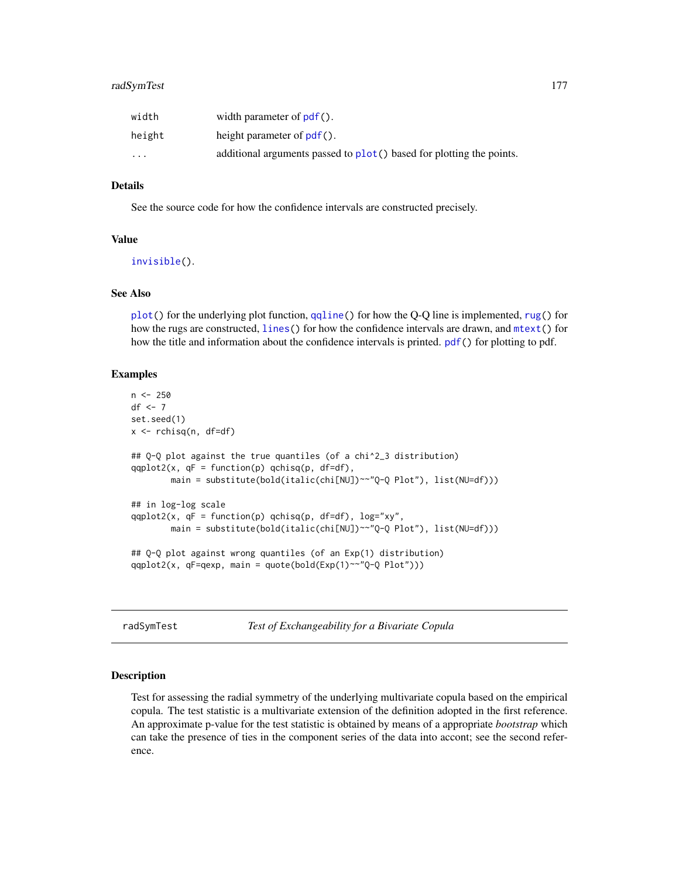| width    | width parameter of $pdf()$ .                                           |
|----------|------------------------------------------------------------------------|
| height   | height parameter of $pdf()$ .                                          |
| $\cdots$ | additional arguments passed to $plot()$ based for plotting the points. |

### Details

See the source code for how the confidence intervals are constructed precisely.

## Value

[invisible\(](#page-0-0)).

# See Also

[plot\(](#page-0-0)) for the underlying plot function, [qqline\(](#page-0-0)) for how the Q-Q line is implemented, [rug\(](#page-0-0)) for how the rugs are constructed, [lines\(](#page-0-0)) for how the confidence intervals are drawn, and [mtext\(](#page-0-0)) for how the title and information about the confidence intervals is printed. [pdf\(](#page-0-0)) for plotting to pdf.

### Examples

```
n <- 250
df \leftarrow 7set.seed(1)
x <- rchisq(n, df=df)
## Q-Q plot against the true quantiles (of a chi^2_3 distribution)
qqplot2(x, qF = function(p) qchisq(p, df=df),main = substitute(bold(italic(chi[NU])~~"Q-Q Plot"), list(NU=df)))
## in log-log scale
qqplot2(x, qF = function(p) qchisq(p, df=df), log="xy",
        main = substitute(bold(italic(chi[NU])~~"Q-Q Plot"), list(NU=df)))
## Q-Q plot against wrong quantiles (of an Exp(1) distribution)
qqplot2(x, qF=qexp, main = quote(bold(Exp(1)~~"Q-Q Plot")))
```
radSymTest *Test of Exchangeability for a Bivariate Copula*

#### Description

Test for assessing the radial symmetry of the underlying multivariate copula based on the empirical copula. The test statistic is a multivariate extension of the definition adopted in the first reference. An approximate p-value for the test statistic is obtained by means of a appropriate *bootstrap* which can take the presence of ties in the component series of the data into accont; see the second reference.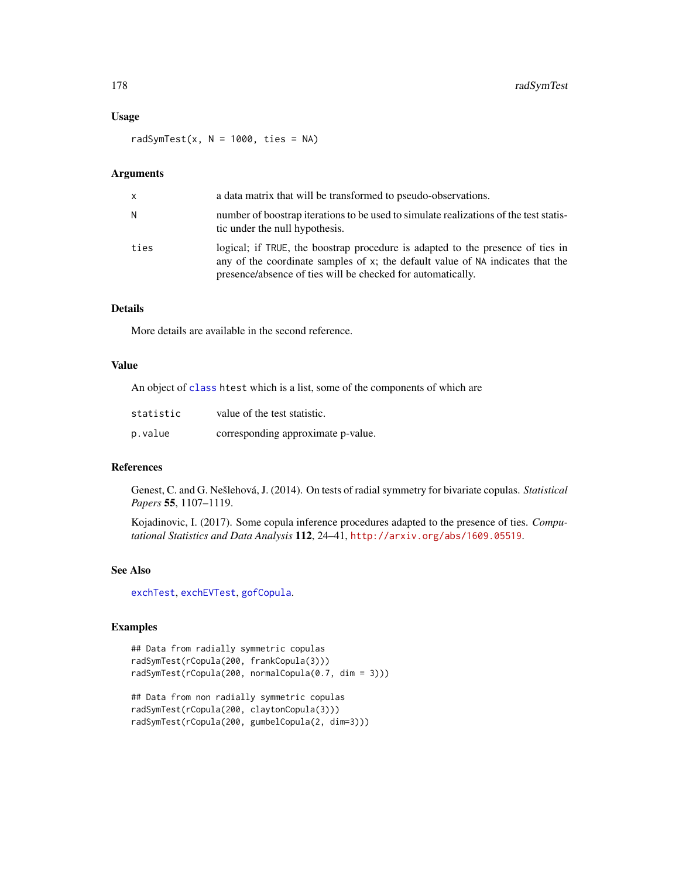# Usage

radSymTest(x,  $N = 1000$ , ties = NA)

# Arguments

| $\mathsf{x}$ | a data matrix that will be transformed to pseudo-observations.                                                                                                                                                                     |
|--------------|------------------------------------------------------------------------------------------------------------------------------------------------------------------------------------------------------------------------------------|
| N            | number of boostrap iterations to be used to simulate realizations of the test statis-<br>tic under the null hypothesis.                                                                                                            |
| ties         | logical; if TRUE, the boostrap procedure is adapted to the presence of ties in<br>any of the coordinate samples of $x$ ; the default value of NA indicates that the<br>presence/absence of ties will be checked for automatically. |

# Details

More details are available in the second reference.

## Value

An object of [class](#page-0-0) htest which is a list, some of the components of which are

| statistic | value of the test statistic.       |
|-----------|------------------------------------|
| p.value   | corresponding approximate p-value. |

## References

Genest, C. and G. Nešlehová, J. (2014). On tests of radial symmetry for bivariate copulas. *Statistical Papers* 55, 1107–1119.

Kojadinovic, I. (2017). Some copula inference procedures adapted to the presence of ties. *Computational Statistics and Data Analysis* 112, 24–41, <http://arxiv.org/abs/1609.05519>.

## See Also

[exchTest](#page-76-0), [exchEVTest](#page-74-0), [gofCopula](#page-103-0).

```
## Data from radially symmetric copulas
radSymTest(rCopula(200, frankCopula(3)))
radSymTest(rCopula(200, normalCopula(0.7, dim = 3)))
## Data from non radially symmetric copulas
radSymTest(rCopula(200, claytonCopula(3)))
radSymTest(rCopula(200, gumbelCopula(2, dim=3)))
```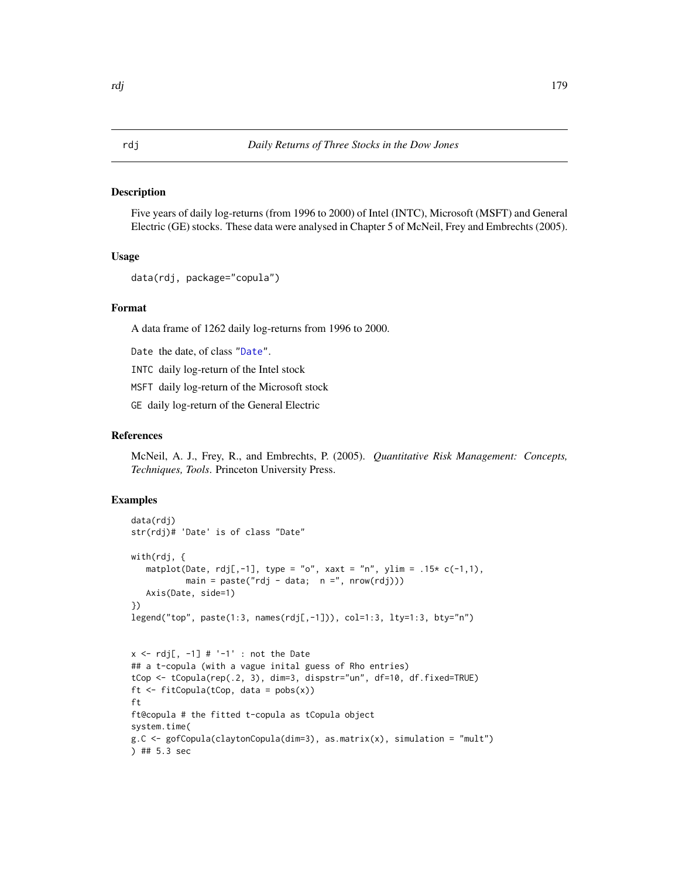Five years of daily log-returns (from 1996 to 2000) of Intel (INTC), Microsoft (MSFT) and General Electric (GE) stocks. These data were analysed in Chapter 5 of McNeil, Frey and Embrechts (2005).

## Usage

```
data(rdj, package="copula")
```
# Format

A data frame of 1262 daily log-returns from 1996 to 2000.

Date the date, of class ["Date"](#page-0-0).

INTC daily log-return of the Intel stock

MSFT daily log-return of the Microsoft stock

GE daily log-return of the General Electric

#### References

McNeil, A. J., Frey, R., and Embrechts, P. (2005). *Quantitative Risk Management: Concepts, Techniques, Tools*. Princeton University Press.

```
data(rdj)
str(rdj)# 'Date' is of class "Date"
with(rdj, {
  matplot(Date, rdj[,-1], type = "o", xaxt = "n", ylim = .15* c(-1,1),
          main = paste("rdj - data; n =", nrow(rdj)))Axis(Date, side=1)
})
legend("top", paste(1:3, names(rdj[,-1])), col=1:3, lty=1:3, bty="n")
x \leq -rdj[, -1] # '-1' : not the Date
## a t-copula (with a vague inital guess of Rho entries)
tCop <- tCopula(rep(.2, 3), dim=3, dispstr="un", df=10, df.fixed=TRUE)
ft \le fitCopula(tCop, data = pobs(x))
ft
ft@copula # the fitted t-copula as tCopula object
system.time(
g.C <- gofCopula(claytonCopula(dim=3), as.matrix(x), simulation = "mult")
) ## 5.3 sec
```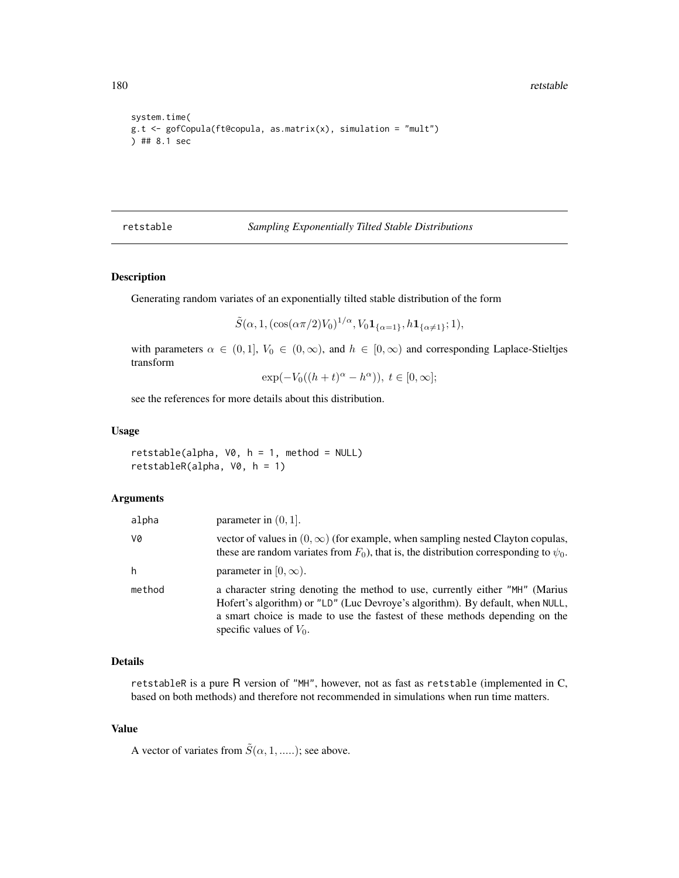180 retstable

```
system.time(
g.t <- gofCopula(ft@copula, as.matrix(x), simulation = "mult")
) ## 8.1 sec
```
## retstable *Sampling Exponentially Tilted Stable Distributions*

# Description

Generating random variates of an exponentially tilted stable distribution of the form

 $\tilde{S}(\alpha, 1, (\cos(\alpha \pi/2) V_0)^{1/\alpha}, V_0 \mathbf{1}_{\{\alpha=1\}}, h \mathbf{1}_{\{\alpha \neq 1\}}; 1),$ 

with parameters  $\alpha \in (0, 1]$ ,  $V_0 \in (0, \infty)$ , and  $h \in [0, \infty)$  and corresponding Laplace-Stieltjes transform

 $\exp(-V_0((h+t)^{\alpha}-h^{\alpha})), t \in [0,\infty];$ 

see the references for more details about this distribution.

## Usage

```
retstable(alpha, V0, h = 1, method = NULL)retstableR(alpha, V0, h = 1)
```
#### Arguments

| alpha  | parameter in $(0, 1]$ .                                                                                                                                                                                                                                                    |
|--------|----------------------------------------------------------------------------------------------------------------------------------------------------------------------------------------------------------------------------------------------------------------------------|
| V0     | vector of values in $(0, \infty)$ (for example, when sampling nested Clayton copulas,<br>these are random variates from $F_0$ ), that is, the distribution corresponding to $\psi_0$ .                                                                                     |
| h      | parameter in $[0, \infty)$ .                                                                                                                                                                                                                                               |
| method | a character string denoting the method to use, currently either "MH" (Marius<br>Hofert's algorithm) or "LD" (Luc Devroye's algorithm). By default, when NULL,<br>a smart choice is made to use the fastest of these methods depending on the<br>specific values of $V_0$ . |

#### Details

retstableR is a pure R version of "MH", however, not as fast as retstable (implemented in C, based on both methods) and therefore not recommended in simulations when run time matters.

#### Value

A vector of variates from  $\tilde{S}(\alpha, 1, \dots)$ ; see above.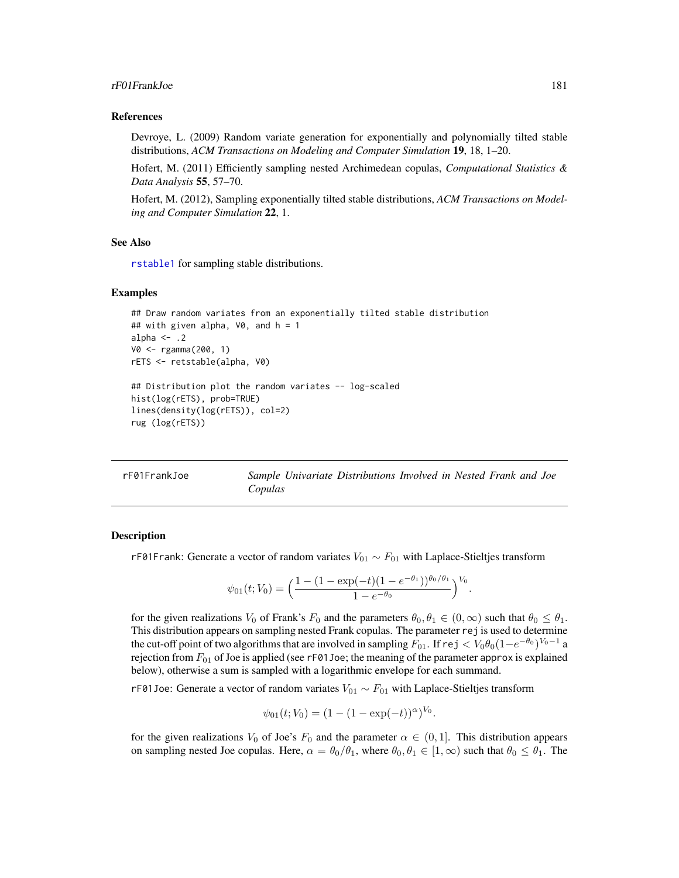### rF01FrankJoe 181

#### References

Devroye, L. (2009) Random variate generation for exponentially and polynomially tilted stable distributions, *ACM Transactions on Modeling and Computer Simulation* 19, 18, 1–20.

Hofert, M. (2011) Efficiently sampling nested Archimedean copulas, *Computational Statistics & Data Analysis* 55, 57–70.

Hofert, M. (2012), Sampling exponentially tilted stable distributions, *ACM Transactions on Modeling and Computer Simulation* 22, 1.

### See Also

[rstable1](#page-192-0) for sampling stable distributions.

### Examples

```
## Draw random variates from an exponentially tilted stable distribution
## with given alpha, \sqrt{0}, and h = 1alpha \leq -2V0 <- rgamma(200, 1)
rETS <- retstable(alpha, V0)
## Distribution plot the random variates -- log-scaled
hist(log(rETS), prob=TRUE)
lines(density(log(rETS)), col=2)
rug (log(rETS))
```

| rF01FrankJoe |         | Sample Univariate Distributions Involved in Nested Frank and Joe |  |  |  |
|--------------|---------|------------------------------------------------------------------|--|--|--|
|              | Copulas |                                                                  |  |  |  |

### <span id="page-180-0"></span>Description

rF01Frank: Generate a vector of random variates  $V_{01} \sim F_{01}$  with Laplace-Stieltjes transform

$$
\psi_{01}(t;V_0) = \left(\frac{1 - (1 - \exp(-t)(1 - e^{-\theta_1}))^{\theta_0/\theta_1}}{1 - e^{-\theta_0}}\right)^{V_0}.
$$

for the given realizations  $V_0$  of Frank's  $F_0$  and the parameters  $\theta_0, \theta_1 \in (0, \infty)$  such that  $\theta_0 \le \theta_1$ . This distribution appears on sampling nested Frank copulas. The parameter rej is used to determine the cut-off point of two algorithms that are involved in sampling  $F_{01}$ . If  $\textsf{rej} < V_0 \theta_0 (1-e^{-\theta_0})^{V_0-1}$  a rejection from  $F_{01}$  of Joe is applied (see rF01Joe; the meaning of the parameter approx is explained below), otherwise a sum is sampled with a logarithmic envelope for each summand.

rF01Joe: Generate a vector of random variates  $V_{01} \sim F_{01}$  with Laplace-Stieltjes transform

$$
\psi_{01}(t; V_0) = (1 - (1 - \exp(-t))^{\alpha})^{V_0}.
$$

for the given realizations  $V_0$  of Joe's  $F_0$  and the parameter  $\alpha \in (0,1]$ . This distribution appears on sampling nested Joe copulas. Here,  $\alpha = \theta_0/\theta_1$ , where  $\theta_0, \theta_1 \in [1,\infty)$  such that  $\theta_0 \le \theta_1$ . The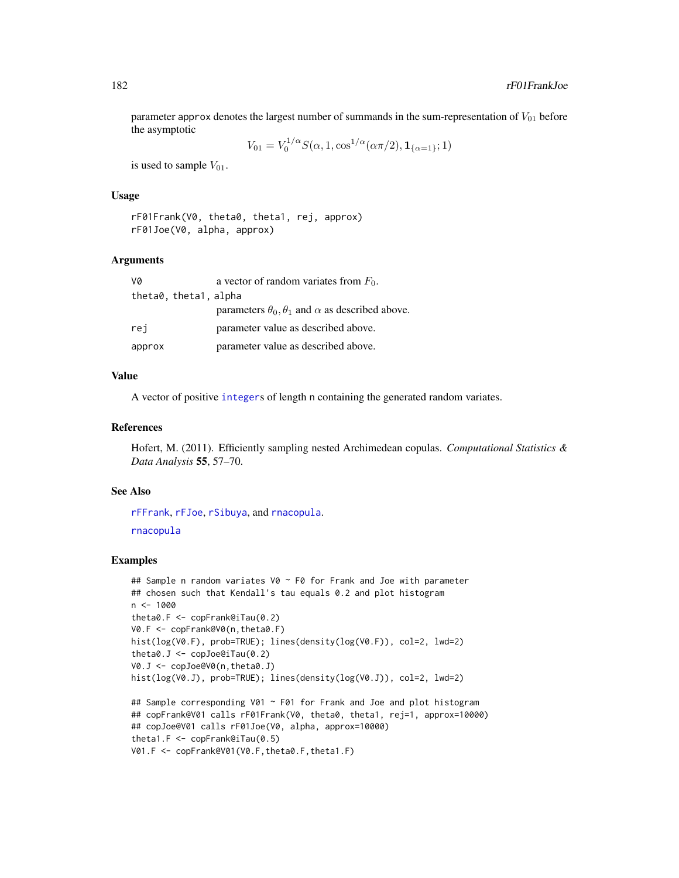parameter approx denotes the largest number of summands in the sum-representation of  $V_{01}$  before the asymptotic 1/α

$$
V_{01} = V_0^{1/\alpha} S(\alpha, 1, \cos^{1/\alpha}(\alpha \pi/2), \mathbf{1}_{\{\alpha=1\}}; 1)
$$

is used to sample  $V_{01}$ .

# Usage

rF01Frank(V0, theta0, theta1, rej, approx) rF01Joe(V0, alpha, approx)

#### Arguments

| va                    | a vector of random variates from $F_0$ .                            |
|-----------------------|---------------------------------------------------------------------|
| theta0, theta1, alpha |                                                                     |
|                       | parameters $\theta_0$ , $\theta_1$ and $\alpha$ as described above. |
| rei                   | parameter value as described above.                                 |
| approx                | parameter value as described above.                                 |

### Value

A vector of positive [integer](#page-0-0)s of length n containing the generated random variates.

### References

Hofert, M. (2011). Efficiently sampling nested Archimedean copulas. *Computational Statistics & Data Analysis* 55, 57–70.

### See Also

```
rFFrank, rFJoe, rSibuya, and rnacopula.
rnacopula
```

```
## Sample n random variates V0 ~ F0 for Frank and Joe with parameter
## chosen such that Kendall's tau equals 0.2 and plot histogram
n < -1000theta0.F <- copFrank@iTau(0.2)
V0.F <- copFrank@V0(n,theta0.F)
hist(log(V0.F), prob=TRUE); lines(density(log(V0.F)), col=2, lwd=2)
theta0.J \leq copJoe@iTau(0.2)
V0.J <- copJoe@V0(n,theta0.J)
hist(log(V0.J), prob=TRUE); lines(density(log(V0.J)), col=2, lwd=2)
## Sample corresponding V01 ~ F01 for Frank and Joe and plot histogram
## copFrank@V01 calls rF01Frank(V0, theta0, theta1, rej=1, approx=10000)
## copJoe@V01 calls rF01Joe(V0, alpha, approx=10000)
theta1.F <- copFrank@iTau(0.5)
V01.F <- copFrank@V01(V0.F,theta0.F,theta1.F)
```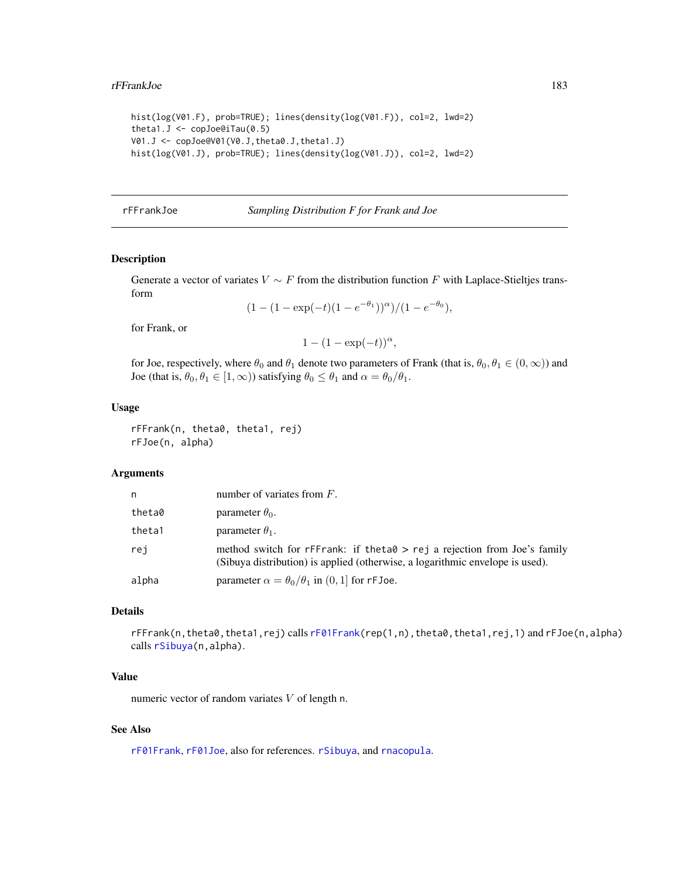```
hist(log(V01.F), prob=TRUE); lines(density(log(V01.F)), col=2, lwd=2)
theta1.J \leq copJoe@iTau(0.5)
V01.J <- copJoe@V01(V0.J,theta0.J,theta1.J)
hist(log(V01.J), prob=TRUE); lines(density(log(V01.J)), col=2, lwd=2)
```
#### rFFrankJoe *Sampling Distribution F for Frank and Joe*

### <span id="page-182-0"></span>Description

Generate a vector of variates  $V \sim F$  from the distribution function F with Laplace-Stieltjes transform

$$
(1 - (1 - \exp(-t)(1 - e^{-\theta_1}))^{\alpha})/(1 - e^{-\theta_0}),
$$

for Frank, or

 $1 - (1 - \exp(-t))^{\alpha},$ 

for Joe, respectively, where  $\theta_0$  and  $\theta_1$  denote two parameters of Frank (that is,  $\theta_0$ ,  $\theta_1 \in (0,\infty)$ ) and Joe (that is,  $\theta_0, \theta_1 \in [1, \infty)$ ) satisfying  $\theta_0 \le \theta_1$  and  $\alpha = \theta_0/\theta_1$ .

# Usage

rFFrank(n, theta0, theta1, rej) rFJoe(n, alpha)

# Arguments

| n      | number of variates from $F$ .                                                                                                                             |
|--------|-----------------------------------------------------------------------------------------------------------------------------------------------------------|
| theta0 | parameter $\theta_0$ .                                                                                                                                    |
| theta1 | parameter $\theta_1$ .                                                                                                                                    |
| rej    | method switch for rFFrank: if theta0 > rej a rejection from Joe's family<br>(Sibuya distribution) is applied (otherwise, a logarithmic envelope is used). |
| alpha  | parameter $\alpha = \theta_0/\theta_1$ in (0, 1) for rFJoe.                                                                                               |

### Details

rFFrank(n,theta0,theta1,rej) calls [rF01Frank\(](#page-180-0)rep(1,n),theta0,theta1,rej,1) and rFJoe(n,alpha) calls [rSibuya\(](#page-200-0)n,alpha).

# Value

numeric vector of random variates V of length n.

# See Also

[rF01Frank](#page-180-0), [rF01Joe](#page-180-0), also for references. [rSibuya](#page-200-0), and [rnacopula](#page-185-0).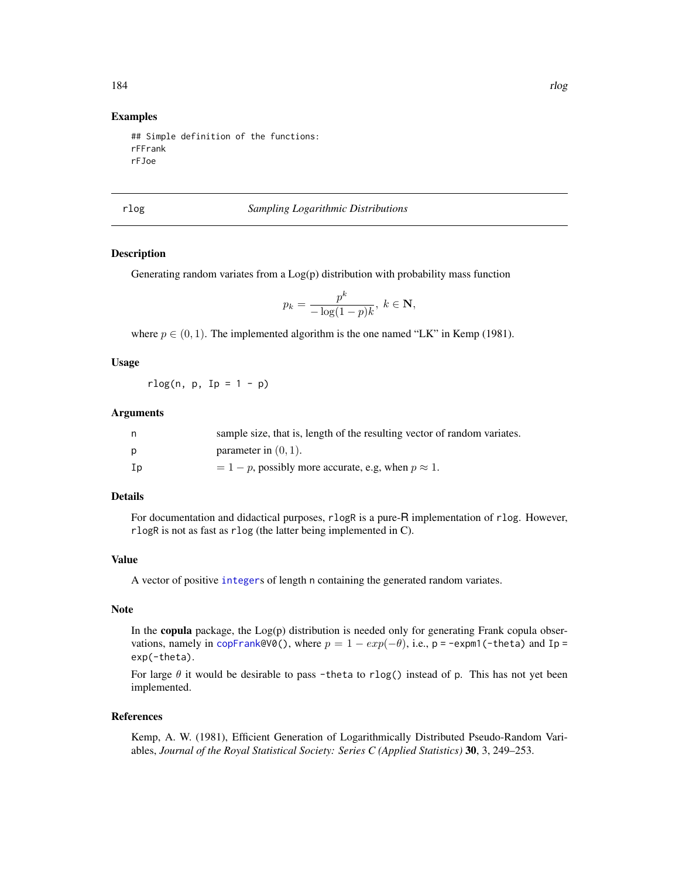# Examples

## Simple definition of the functions: rFFrank rFJoe

rlog *Sampling Logarithmic Distributions*

# Description

Generating random variates from a Log(p) distribution with probability mass function

$$
p_k = \frac{p^k}{-\log(1-p)k}, \ k \in \mathbf{N},
$$

where  $p \in (0, 1)$ . The implemented algorithm is the one named "LK" in Kemp (1981).

### Usage

 $r \log(n, p, Ip = 1 - p)$ 

### Arguments

|    | sample size, that is, length of the resulting vector of random variates. |
|----|--------------------------------------------------------------------------|
| Ŋ  | parameter in $(0, 1)$ .                                                  |
| Ip | $= 1 - p$ , possibly more accurate, e.g. when $p \approx 1$ .            |

### Details

For documentation and didactical purposes, rlogR is a pure-R implementation of rlog. However, rlogR is not as fast as rlog (the latter being implemented in C).

# Value

A vector of positive [integer](#page-0-0)s of length n containing the generated random variates.

# Note

In the **copula** package, the  $Log(p)$  distribution is needed only for generating Frank copula observations, namely in [copFrank@](#page-39-0)V0(), where  $p = 1 - exp(-\theta)$ , i.e., p = -expm1(-theta) and Ip = exp(-theta).

For large  $\theta$  it would be desirable to pass -theta to rlog() instead of p. This has not yet been implemented.

### References

Kemp, A. W. (1981), Efficient Generation of Logarithmically Distributed Pseudo-Random Variables, *Journal of the Royal Statistical Society: Series C (Applied Statistics)* 30, 3, 249–253.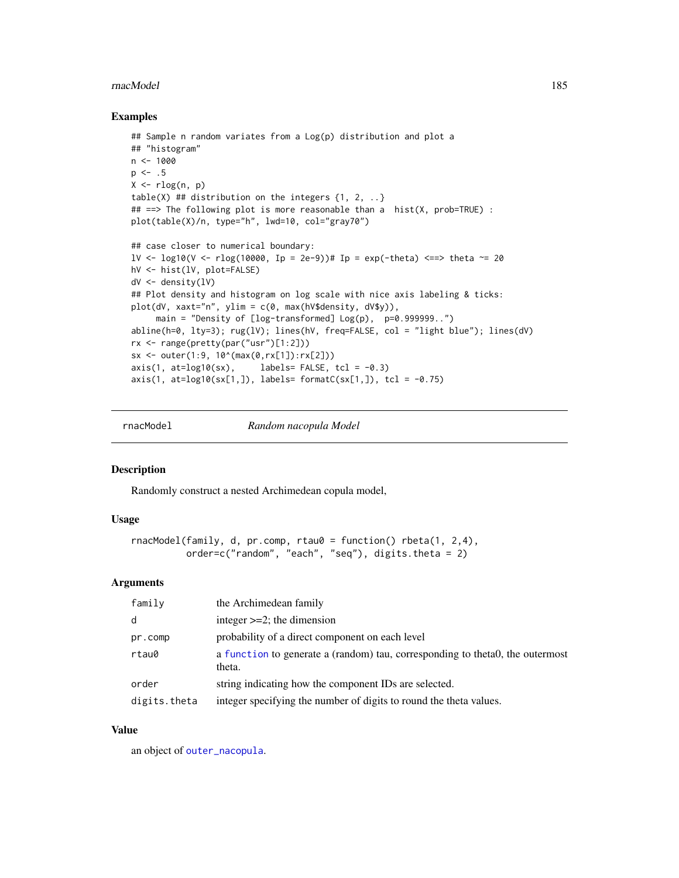### rnacModel **185** and 185 and 185 and 185 and 186 and 187 and 187 and 187 and 187 and 187 and 187 and 187 and 187 and 187 and 187 and 187 and 187 and 187 and 187 and 187 and 187 and 187 and 187 and 187 and 187 and 188 and 18

### Examples

```
## Sample n random variates from a Log(p) distribution and plot a
## "histogram"
n < -1000p \le -1.5X \leftarrow r \log(n, p)table(X) ## distribution on the integers \{1, 2, ...\}## ==> The following plot is more reasonable than a hist(X, prob=TRUE) :
plot(table(X)/n, type="h", lwd=10, col="gray70")
## case closer to numerical boundary:
lV <- log10(V <- rlog(10000, Ip = 2e-9))# Ip = exp(-theta) <==> theta ~= 20
hV <- hist(lV, plot=FALSE)
dV <- density(lV)
## Plot density and histogram on log scale with nice axis labeling & ticks:
plot(dV, xaxt="n", ylim = c(0, max(hV$density, dV$y)),main = "Density of [log-transformed] Log(p), p=0.999999...")
abline(h=0, lty=3); rug(lV); lines(hV, freq=FALSE, col = "light blue"); lines(dV)
rx <- range(pretty(par("usr")[1:2]))
sx <- outer(1:9, 10^(max(0,rx[1]):rx[2]))
axis(1, at=log10(sx), labels= FALSE, tcl = -0.3)
axis(1, at=log10(sx[1,]), labels= formatC(sx[1,]), tol = -0.75)
```
<span id="page-184-0"></span>

rnacModel *Random nacopula Model*

# Description

Randomly construct a nested Archimedean copula model,

# Usage

```
rnacModel(family, d, pr.comp, rtau\theta = function() rbeta(1, 2,4),
          order=c("random", "each", "seq"), digits.theta = 2)
```
### Arguments

| family       | the Archimedean family                                                                   |
|--------------|------------------------------------------------------------------------------------------|
| d            | integer $>=2$ ; the dimension                                                            |
| pr.comp      | probability of a direct component on each level                                          |
| rtau0        | a function to generate a (random) tau, corresponding to the tao, the outermost<br>theta. |
| order        | string indicating how the component IDs are selected.                                    |
| digits.theta | integer specifying the number of digits to round the theta values.                       |

### Value

an object of [outer\\_nacopula](#page-150-0).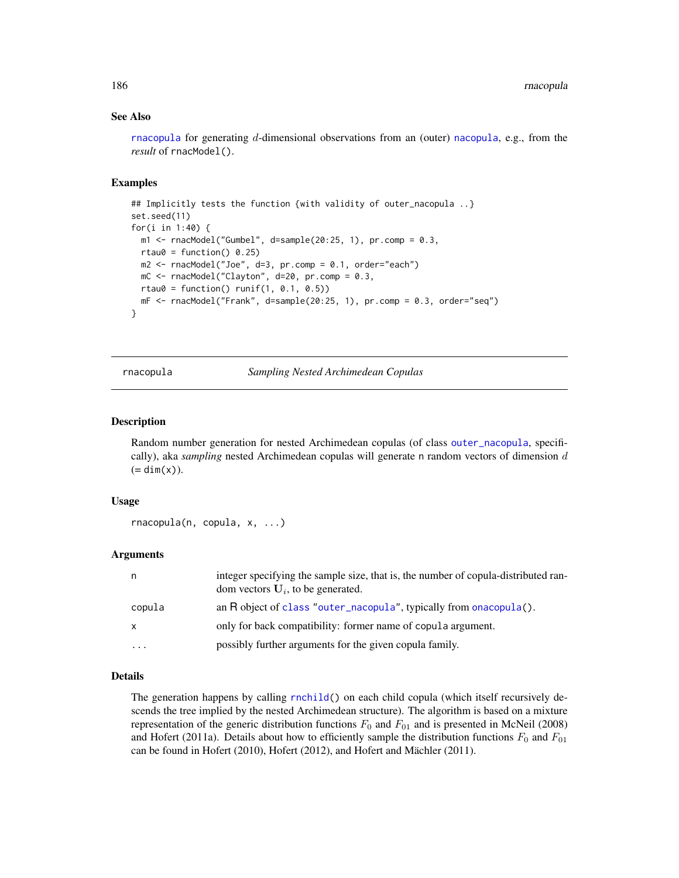# See Also

[rnacopula](#page-185-0) for generating d-dimensional observations from an (outer) [nacopula](#page-150-1), e.g., from the *result* of rnacModel().

# Examples

```
## Implicitly tests the function {with validity of outer_nacopula ..}
set.seed(11)
for(i in 1:40) {
 m1 < -rnacModel("Gumbel", d=sample(20:25, 1), pr.comp = 0.3,
 rtau0 = function() 0.25)m2 <- rnacModel("Joe", d=3, pr.comp = 0.1, order="each")
 mC \leq -rnacModel("Clayton", d=20, pr.comp = 0.3,
 rtau0 = function() runif(1, 0.1, 0.5))mF <- rnacModel("Frank", d=sample(20:25, 1), pr.comp = 0.3, order="seq")
}
```
<span id="page-185-0"></span>rnacopula *Sampling Nested Archimedean Copulas*

# Description

Random number generation for nested Archimedean copulas (of class [outer\\_nacopula](#page-150-0), specifically), aka *sampling* nested Archimedean copulas will generate n random vectors of dimension d  $(=\dim(x)).$ 

### Usage

```
rnacopula(n, copula, x, ...)
```
# Arguments

| n            | integer specifying the sample size, that is, the number of copula-distributed ran-<br>dom vectors $U_i$ , to be generated. |
|--------------|----------------------------------------------------------------------------------------------------------------------------|
| copula       | an R object of class "outer_nacopula", typically from onacopula().                                                         |
| $\mathsf{x}$ | only for back compatibility: former name of copula argument.                                                               |
| $\cdots$     | possibly further arguments for the given copula family.                                                                    |

### Details

The generation happens by calling [rnchild\(](#page-186-0)) on each child copula (which itself recursively descends the tree implied by the nested Archimedean structure). The algorithm is based on a mixture representation of the generic distribution functions  $F_0$  and  $F_{01}$  and is presented in McNeil (2008) and Hofert (2011a). Details about how to efficiently sample the distribution functions  $F_0$  and  $F_{01}$ can be found in Hofert (2010), Hofert (2012), and Hofert and Mächler (2011).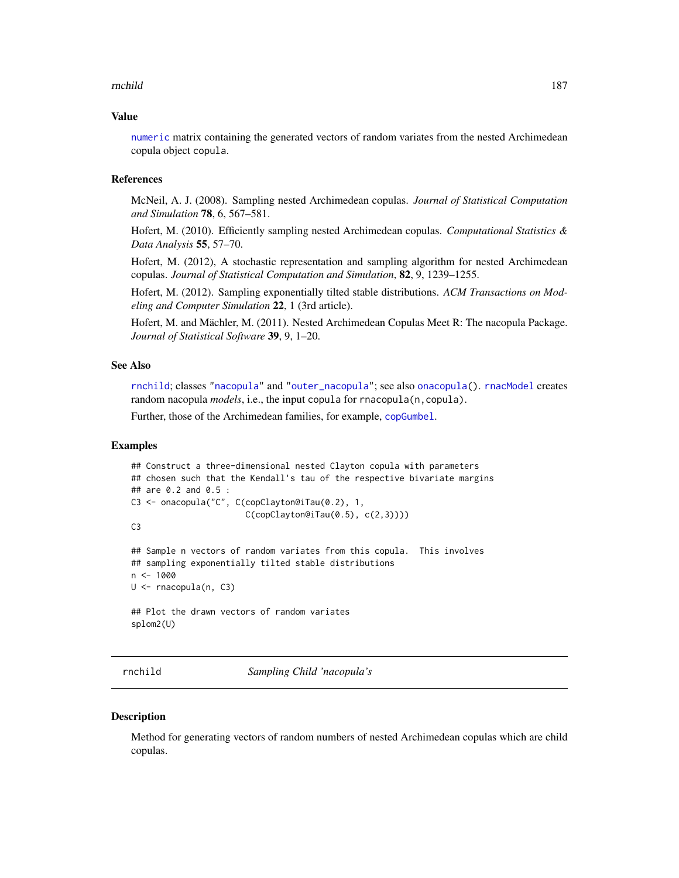### rnchild 187

### Value

[numeric](#page-0-0) matrix containing the generated vectors of random variates from the nested Archimedean copula object copula.

### References

McNeil, A. J. (2008). Sampling nested Archimedean copulas. *Journal of Statistical Computation and Simulation* 78, 6, 567–581.

Hofert, M. (2010). Efficiently sampling nested Archimedean copulas. *Computational Statistics & Data Analysis* 55, 57–70.

Hofert, M. (2012), A stochastic representation and sampling algorithm for nested Archimedean copulas. *Journal of Statistical Computation and Simulation*, 82, 9, 1239–1255.

Hofert, M. (2012). Sampling exponentially tilted stable distributions. *ACM Transactions on Modeling and Computer Simulation* 22, 1 (3rd article).

Hofert, M. and Mächler, M. (2011). Nested Archimedean Copulas Meet R: The nacopula Package. *Journal of Statistical Software* 39, 9, 1–20.

# See Also

[rnchild](#page-186-0); classes ["nacopula"](#page-150-1) and ["outer\\_nacopula"](#page-150-0); see also [onacopula\(](#page-153-0)). [rnacModel](#page-184-0) creates random nacopula *models*, i.e., the input copula for rnacopula(n, copula).

Further, those of the Archimedean families, for example, [copGumbel](#page-39-0).

# Examples

```
## Construct a three-dimensional nested Clayton copula with parameters
## chosen such that the Kendall's tau of the respective bivariate margins
## are 0.2 and 0.5 :
C3 <- onacopula("C", C(copClayton@iTau(0.2), 1,
                       C(copClayton@iTau(0.5), c(2,3))))
C3
## Sample n vectors of random variates from this copula. This involves
## sampling exponentially tilted stable distributions
n <- 1000
U <- rnacopula(n, C3)
## Plot the drawn vectors of random variates
splom2(U)
```
rnchild *Sampling Child 'nacopula's*

#### **Description**

Method for generating vectors of random numbers of nested Archimedean copulas which are child copulas.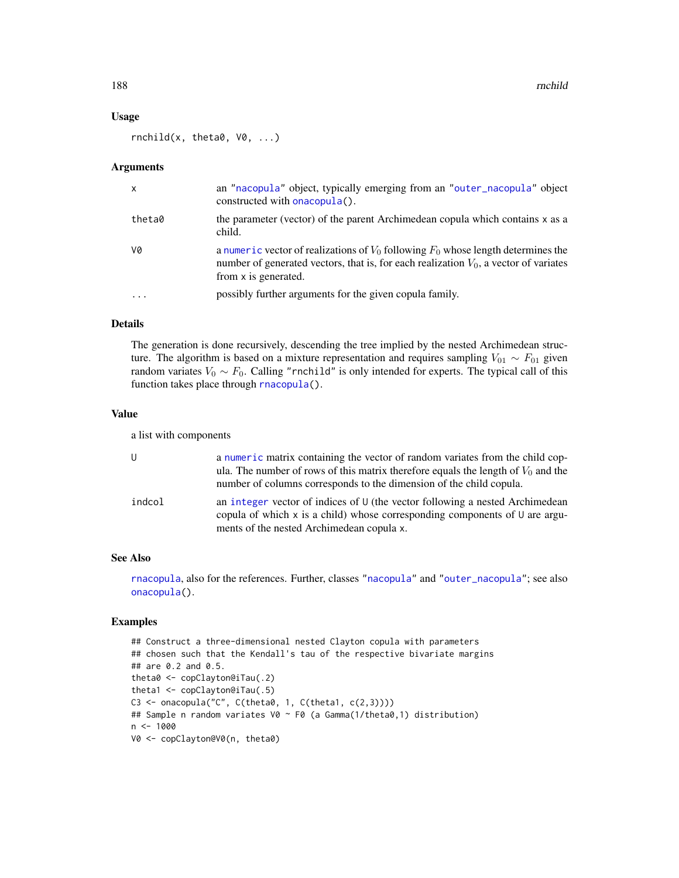188 rnchild

### Usage

 $r\nnchild(x, theta\emptyset, V\emptyset, ...)$ 

### Arguments

| $\mathsf{x}$ | an "nacopula" object, typically emerging from an "outer_nacopula" object<br>constructed with onacopula().                                                                                                |
|--------------|----------------------------------------------------------------------------------------------------------------------------------------------------------------------------------------------------------|
| theta0       | the parameter (vector) of the parent Archimedean copula which contains x as a<br>child.                                                                                                                  |
| V0           | a numeric vector of realizations of $V_0$ following $F_0$ whose length determines the<br>number of generated vectors, that is, for each realization $V_0$ , a vector of variates<br>from x is generated. |
| $\ddotsc$    | possibly further arguments for the given copula family.                                                                                                                                                  |

# Details

The generation is done recursively, descending the tree implied by the nested Archimedean structure. The algorithm is based on a mixture representation and requires sampling  $V_{01} \sim F_{01}$  given random variates  $V_0 \sim F_0$ . Calling "rnchild" is only intended for experts. The typical call of this function takes place through [rnacopula\(](#page-185-0)).

# Value

a list with components

| U      | a numeric matrix containing the vector of random variates from the child cop-<br>ula. The number of rows of this matrix therefore equals the length of $V_0$ and the<br>number of columns corresponds to the dimension of the child copula. |
|--------|---------------------------------------------------------------------------------------------------------------------------------------------------------------------------------------------------------------------------------------------|
| indcol | an integer vector of indices of U (the vector following a nested Archimedean<br>copula of which x is a child) whose corresponding components of $U$ are argu-<br>ments of the nested Archimedean copula x.                                  |

### See Also

[rnacopula](#page-185-0), also for the references. Further, classes ["nacopula"](#page-150-1) and ["outer\\_nacopula"](#page-150-0); see also [onacopula\(](#page-153-0)).

```
## Construct a three-dimensional nested Clayton copula with parameters
## chosen such that the Kendall's tau of the respective bivariate margins
## are 0.2 and 0.5.
theta0 <- copClayton@iTau(.2)
theta1 <- copClayton@iTau(.5)
C3 <- onacopula("C", C(theta0, 1, C(theta1, c(2,3))))
## Sample n random variates V0 ~ F0 (a Gamma(1/theta0,1) distribution)
n < - 1000V0 <- copClayton@V0(n, theta0)
```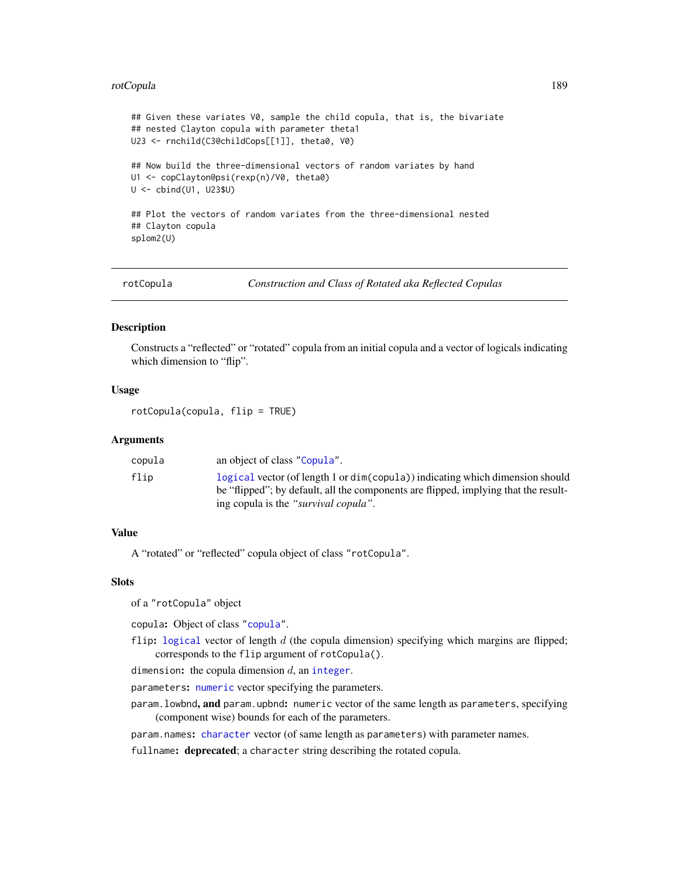### rotCopula 189

```
## Given these variates V0, sample the child copula, that is, the bivariate
## nested Clayton copula with parameter theta1
U23 <- rnchild(C3@childCops[[1]], theta0, V0)
## Now build the three-dimensional vectors of random variates by hand
U1 <- copClayton@psi(rexp(n)/V0, theta0)
U <- cbind(U1, U23$U)
## Plot the vectors of random variates from the three-dimensional nested
## Clayton copula
splom2(U)
```
rotCopula *Construction and Class of Rotated aka Reflected Copulas*

# Description

Constructs a "reflected" or "rotated" copula from an initial copula and a vector of logicals indicating which dimension to "flip".

# Usage

rotCopula(copula, flip = TRUE)

# **Arguments**

| an object of class "Copula".<br>copula                                                                                                                                                                               |  |
|----------------------------------------------------------------------------------------------------------------------------------------------------------------------------------------------------------------------|--|
| logical vector (of length 1 or dim(copula)) indicating which dimension should<br>flip<br>be "flipped"; by default, all the components are flipped, implying that the result-<br>ing copula is the "survival copula". |  |

### Value

A "rotated" or "reflected" copula object of class "rotCopula".

### **Slots**

of a "rotCopula" object

copula: Object of class ["copula"](#page-44-1).

flip: [logical](#page-0-0) vector of length  $d$  (the copula dimension) specifying which margins are flipped; corresponds to the flip argument of rotCopula().

dimension: the copula dimension  $d$ , an [integer](#page-0-0).

parameters: [numeric](#page-0-0) vector specifying the parameters.

param.lowbnd, and param.upbnd: numeric vector of the same length as parameters, specifying (component wise) bounds for each of the parameters.

param.names: [character](#page-0-0) vector (of same length as parameters) with parameter names.

fullname: deprecated; a character string describing the rotated copula.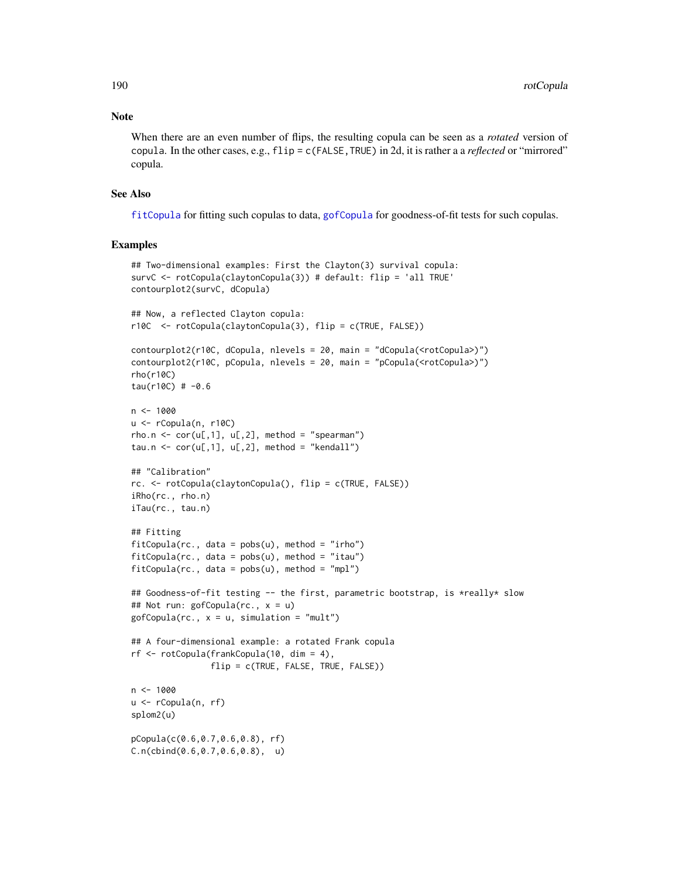# Note

When there are an even number of flips, the resulting copula can be seen as a *rotated* version of copula. In the other cases, e.g., flip = c(FALSE,TRUE) in 2d, it is rather a a *reflected* or "mirrored" copula.

# See Also

[fitCopula](#page-81-0) for fitting such copulas to data, [gofCopula](#page-103-0) for goodness-of-fit tests for such copulas.

```
## Two-dimensional examples: First the Clayton(3) survival copula:
survC <- rotCopula(claytonCopula(3)) # default: flip = 'all TRUE'
contourplot2(survC, dCopula)
## Now, a reflected Clayton copula:
r10C <- rotCopula(claytonCopula(3), flip = c(TRUE, FALSE))
contourplot2(r10C, dCopula, nlevels = 20, main = "dCopula(<rotCopula>)")
contourplot2(r10C, pCopula, nlevels = 20, main = "pCopula(<rotCopula>)")
rho(r10C)
tau(r10C) # -0.6n < -1000u <- rCopula(n, r10C)
rho.n \leftarrow cor(u[,1], u[,2], method = "spearman")
tau.n \le cor(u[,1], u[,2], method = "kendall")
## "Calibration"
rc. <- rotCopula(claytonCopula(), flip = c(TRUE, FALSE))
iRho(rc., rho.n)
iTau(rc., tau.n)
## Fitting
fitCopula(rc., data = pobs(u), method = "irho")fitCopula(rc., data = pobs(u), method = "itau")fitCopula(rc., data = pobs(u), method = "mpl")## Goodness-of-fit testing -- the first, parametric bootstrap, is *really* slow
## Not run: gofCopula(rc., x = u)
gofCopula(rc., x = u, simulation = "mult")## A four-dimensional example: a rotated Frank copula
rf <- rotCopula(frankCopula(10, dim = 4),
                flip = c(TRUE, FALSE, TRUE, FALSE))
n < - 1000u <- rCopula(n, rf)
splom2(u)
pCopula(c(0.6,0.7,0.6,0.8), rf)
C.n(cbind(0.6,0.7,0.6,0.8), u)
```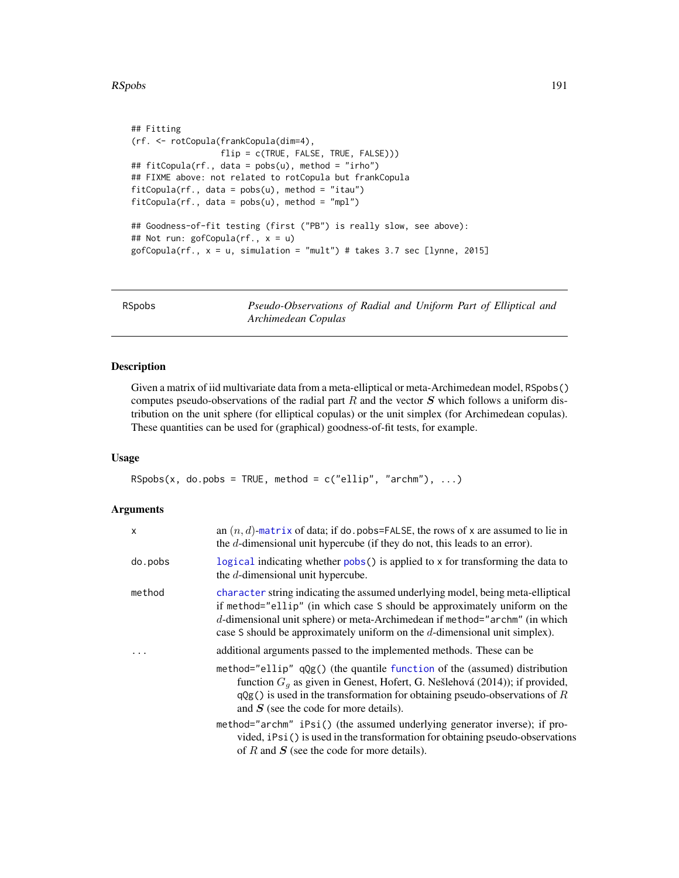### RSpobs 191

```
## Fitting
(rf. <- rotCopula(frankCopula(dim=4),
                 flip = c(TRUE, FALSE, TRUE, FALSE)))
## fitCopula(rf., data = pobs(u), method = "irho")
## FIXME above: not related to rotCopula but frankCopula
fitCopula(rf., data = pobs(u), method = "itau")fitCopula(rf., data = pobs(u), method = "mpl")## Goodness-of-fit testing (first ("PB") is really slow, see above):
## Not run: gofCopula(rf., x = u)
gofCopula(rf., x = u, simulation = "mult") # takes 3.7 sec [lynne, 2015]
```
RSpobs *Pseudo-Observations of Radial and Uniform Part of Elliptical and Archimedean Copulas*

# Description

Given a matrix of iid multivariate data from a meta-elliptical or meta-Archimedean model, RSpobs() computes pseudo-observations of the radial part  $R$  and the vector  $S$  which follows a uniform distribution on the unit sphere (for elliptical copulas) or the unit simplex (for Archimedean copulas). These quantities can be used for (graphical) goodness-of-fit tests, for example.

# Usage

 $RSpobs(x, do.pobs = TRUE, method = c("ellip", "archm"), ...)$ 

### Arguments

| $\mathsf{x}$ | an $(n, d)$ -matrix of data; if do. pobs=FALSE, the rows of x are assumed to lie in<br>the d-dimensional unit hypercube (if they do not, this leads to an error).                                                                                                                                                           |
|--------------|-----------------------------------------------------------------------------------------------------------------------------------------------------------------------------------------------------------------------------------------------------------------------------------------------------------------------------|
| do.pobs      | logical indicating whether pobs() is applied to x for transforming the data to<br>the d-dimensional unit hypercube.                                                                                                                                                                                                         |
| method       | character string indicating the assumed underlying model, being meta-elliptical<br>if method="ellip" (in which case S should be approximately uniform on the<br>d-dimensional unit sphere) or meta-Archimedean if method="archm" (in which<br>case S should be approximately uniform on the $d$ -dimensional unit simplex). |
| $\ddots$     | additional arguments passed to the implemented methods. These can be                                                                                                                                                                                                                                                        |
|              | method="ellip" $qQg()$ (the quantile function of the (assumed) distribution<br>function $Ga$ as given in Genest, Hofert, G. Nešlehová (2014)); if provided,<br>$qQg()$ is used in the transformation for obtaining pseudo-observations of R<br>and $S$ (see the code for more details).                                     |
|              | method="archm" iPsi() (the assumed underlying generator inverse); if pro-<br>vided, iPsi() is used in the transformation for obtaining pseudo-observations<br>of R and $S$ (see the code for more details).                                                                                                                 |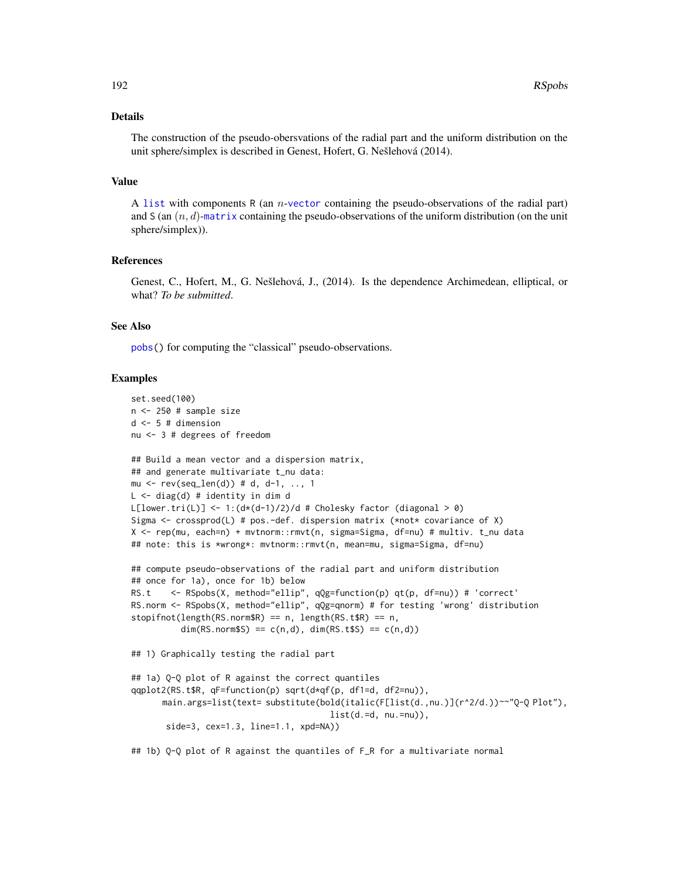### Details

The construction of the pseudo-obersvations of the radial part and the uniform distribution on the unit sphere/simplex is described in Genest, Hofert, G. Nešlehová (2014).

### Value

A [list](#page-0-0) with components R (an n-[vector](#page-0-0) containing the pseudo-observations of the radial part) and S (an  $(n, d)$ -[matrix](#page-0-0) containing the pseudo-observations of the uniform distribution (on the unit sphere/simplex)).

### References

Genest, C., Hofert, M., G. Nešlehová, J., (2014). Is the dependence Archimedean, elliptical, or what? *To be submitted*.

### See Also

[pobs\(](#page-167-0)) for computing the "classical" pseudo-observations.

### Examples

```
set.seed(100)
n <- 250 # sample size
d \le -5 # dimension
nu <- 3 # degrees of freedom
## Build a mean vector and a dispersion matrix,
## and generate multivariate t_nu data:
mu <- rev(seq\_len(d)) # d, d-1, .., 1
L <- diag(d) # identity in dim d
L[lower.tri(L)] \leq -1: \frac{d*(d-1)}{2}d # Cholesky factor (diagonal > 0)
Sigma \leq crossprod(L) # pos.-def. dispersion matrix (*not* covariance of X)
X <- rep(mu, each=n) + mvtnorm::rmvt(n, sigma=Sigma, df=nu) # multiv. t_nu data
## note: this is *wrong*: mvtnorm::rmvt(n, mean=mu, sigma=Sigma, df=nu)
## compute pseudo-observations of the radial part and uniform distribution
## once for 1a), once for 1b) below
RS.t <- RSpobs(X, method="ellip", qQg=function(p) qt(p, df=nu)) # 'correct'
RS.norm <- RSpobs(X, method="ellip", qQg=qnorm) # for testing 'wrong' distribution
stopifnot(length(RS.norm$R) == n, length(RS.t$R) == n,
          dim(RS.norm$S) == c(n,d), dim(RS.t$S) == c(n,d)## 1) Graphically testing the radial part
## 1a) Q-Q plot of R against the correct quantiles
qqplot2(RS.t$R, qF=function(p) sqrt(d*qf(p, df1=d, df2=nu)),
      main.args=list(text= substitute(bold(italic(F[list(d.,nu.)](r^2/d.))~~"Q-Q Plot"),
                                        list(d.-d, nu.-nu)),side=3, cex=1.3, line=1.1, xpd=NA))
```
## 1b) Q-Q plot of R against the quantiles of F\_R for a multivariate normal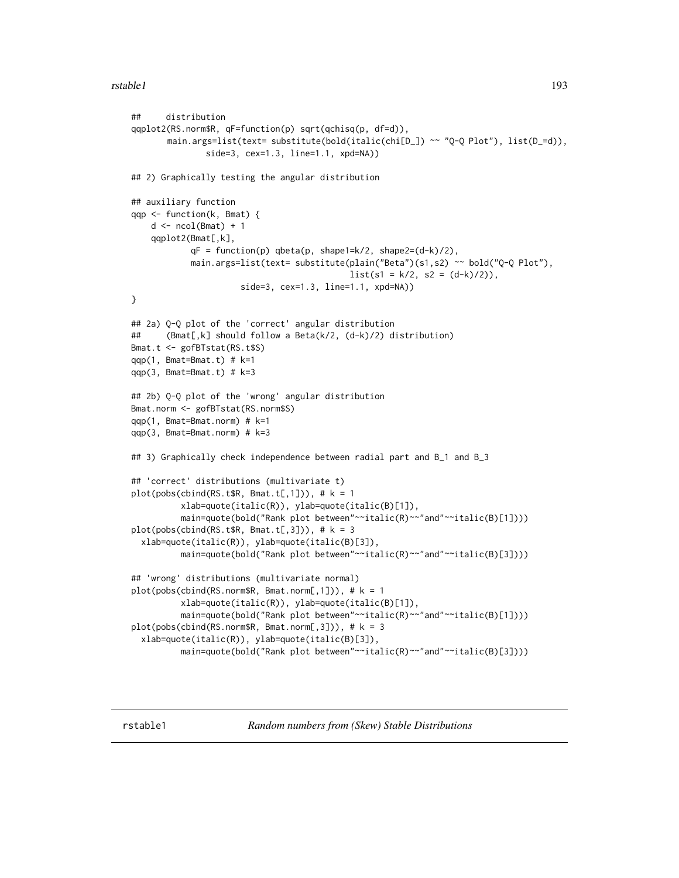### rstable1 193

```
## distribution
qqplot2(RS.norm$R, qF=function(p) sqrt(qchisq(p, df=d)),
       main.args=list(text= substitute(bold(italic(chi[D_]) ~~ "Q-Q Plot"), list(D_=d)),
               side=3, cex=1.3, line=1.1, xpd=NA))
## 2) Graphically testing the angular distribution
## auxiliary function
qqp <- function(k, Bmat) {
    d \leftarrow \text{ncol}(\text{Bmat}) + 1qqplot2(Bmat[,k],
            qF = function(p) qbeta(p, shape1=k/2, shape2=(d-k)/2),
            main.args=list(text= substitute(plain("Beta")(s1,s2) ~~ bold("Q-Q Plot"),
                                            list(s1 = k/2, s2 = (d-k)/2)),side=3, cex=1.3, line=1.1, xpd=NA))
}
## 2a) Q-Q plot of the 'correct' angular distribution
## (Bmat[,k] should follow a Beta(k/2, (d-k)/2) distribution)
Bmat.t <- gofBTstat(RS.t$S)
qqp(1, Bmat=Bmat.t) # k=1qqp(3, Bmat=Bmat.t) # k=3## 2b) Q-Q plot of the 'wrong' angular distribution
Bmat.norm <- gofBTstat(RS.norm$S)
qqp(1, Bmat=Bmat.norm) # k=1
qqp(3, Bmat=Bmat.norm) # k=3
## 3) Graphically check independence between radial part and B_1 and B_3
## 'correct' distributions (multivariate t)
plot(pobs(cbind(RS.t$R, Bmat.t[, 1])), # k = 1xlab=quote(italic(R)), ylab=quote(italic(B)[1]),
          main=quote(bold("Rank plot between"~~italic(R)~~"and"~~italic(B)[1])))
plot(pobs(cbind(RS.t$R, Bmat.t[, 3])), # k = 3xlab=quote(italic(R)), ylab=quote(italic(B)[3]),
          main=quote(bold("Rank plot between"~~italic(R)~~"and"~~italic(B)[3])))
## 'wrong' distributions (multivariate normal)
plot(pobs(cbind(RS.norm$R, Bmat.norm[, 1])), # k = 1xlab=quote(italic(R)), ylab=quote(italic(B)[1]),
          main=quote(bold("Rank plot between"~~italic(R)~~"and"~~italic(B)[1])))
plot(pobs(cbind(RS.norm$R, Bmat.norm[,3])), # k = 3
  xlab=quote(italic(R)), ylab=quote(italic(B)[3]),
          main=quote(bold("Rank plot between"~~italic(R)~~"and"~~italic(B)[3])))
```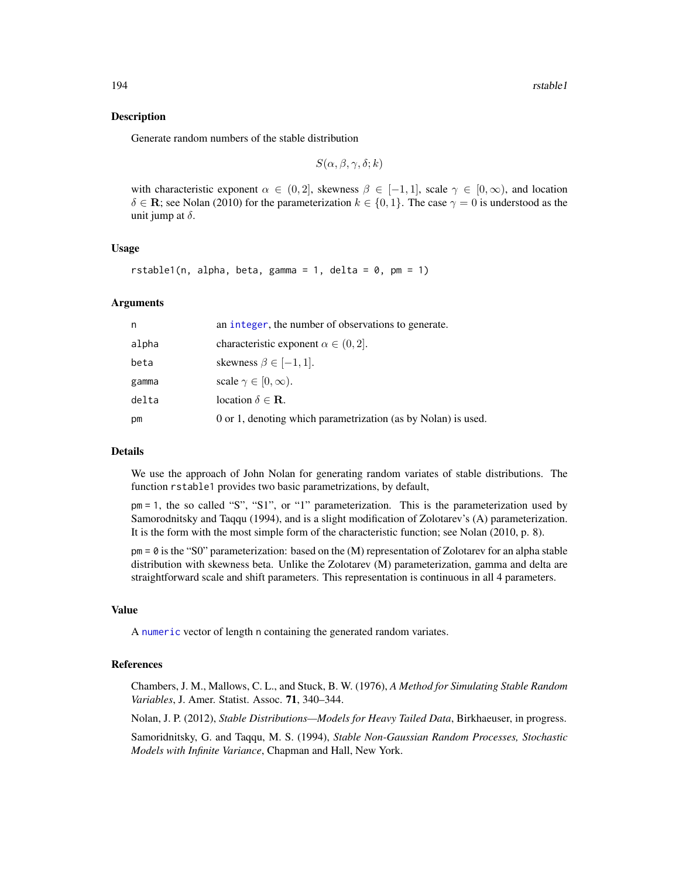### Description

Generate random numbers of the stable distribution

$$
S(\alpha, \beta, \gamma, \delta; k)
$$

with characteristic exponent  $\alpha \in (0, 2]$ , skewness  $\beta \in [-1, 1]$ , scale  $\gamma \in [0, \infty)$ , and location  $\delta \in \mathbf{R}$ ; see Nolan (2010) for the parameterization  $k \in \{0, 1\}$ . The case  $\gamma = 0$  is understood as the unit jump at  $\delta$ .

### Usage

rstable1(n, alpha, beta, gamma = 1, delta =  $0$ , pm = 1)

### Arguments

| n     | an integer, the number of observations to generate.           |
|-------|---------------------------------------------------------------|
| alpha | characteristic exponent $\alpha \in (0, 2]$ .                 |
| beta  | skewness $\beta \in [-1, 1]$ .                                |
| gamma | scale $\gamma \in [0, \infty)$ .                              |
| delta | location $\delta \in \mathbf{R}$ .                            |
| рm    | 0 or 1, denoting which parametrization (as by Nolan) is used. |

# Details

We use the approach of John Nolan for generating random variates of stable distributions. The function rstable1 provides two basic parametrizations, by default,

pm = 1, the so called "S", "S1", or "1" parameterization. This is the parameterization used by Samorodnitsky and Taqqu (1994), and is a slight modification of Zolotarev's (A) parameterization. It is the form with the most simple form of the characteristic function; see Nolan (2010, p. 8).

 $pm = 0$  is the "S0" parameterization: based on the (M) representation of Zolotarev for an alpha stable distribution with skewness beta. Unlike the Zolotarev (M) parameterization, gamma and delta are straightforward scale and shift parameters. This representation is continuous in all 4 parameters.

# Value

A [numeric](#page-0-0) vector of length n containing the generated random variates.

# References

Chambers, J. M., Mallows, C. L., and Stuck, B. W. (1976), *A Method for Simulating Stable Random Variables*, J. Amer. Statist. Assoc. 71, 340–344.

Nolan, J. P. (2012), *Stable Distributions—Models for Heavy Tailed Data*, Birkhaeuser, in progress.

Samoridnitsky, G. and Taqqu, M. S. (1994), *Stable Non-Gaussian Random Processes, Stochastic Models with Infinite Variance*, Chapman and Hall, New York.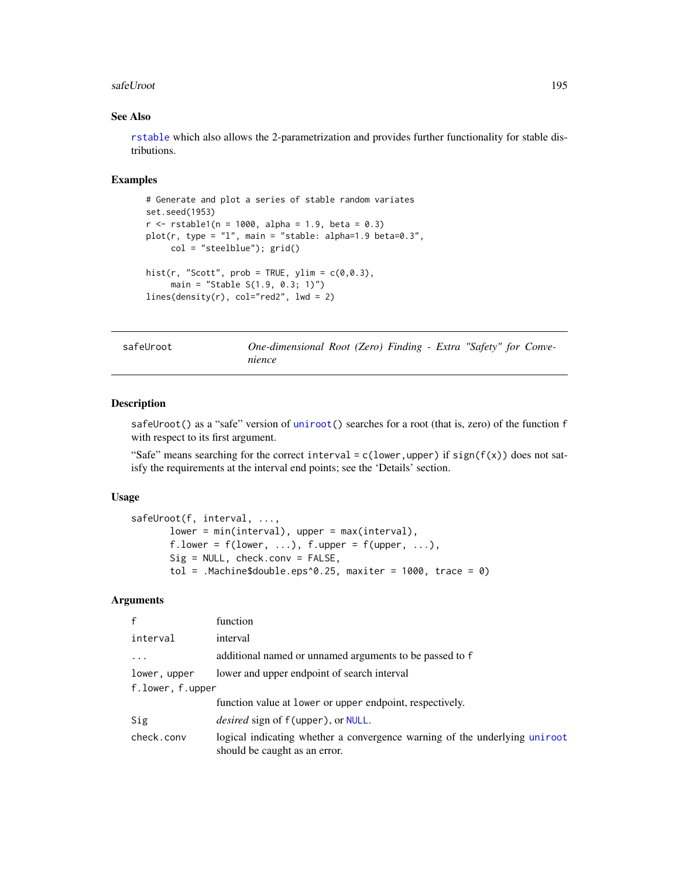### safeUroot 195

# See Also

[rstable](#page-192-1) which also allows the 2-parametrization and provides further functionality for stable distributions.

### Examples

```
# Generate and plot a series of stable random variates
set.seed(1953)
r <- rstable1(n = 1000, alpha = 1.9, beta = 0.3)
plot(r, type = "l", main = "stable: alpha=1.9 beta=0.3",
     col = "steelblue"); grid()
hist(r, "Scott", prob = TRUE, ylim = c(0, 0.3),
    main = "Stable S(1.9, 0.3; 1)")
lines(density(r), col="red2", lwd = 2)
```

| safeUroo <sup>.</sup> |  |
|-----------------------|--|
|-----------------------|--|

t **One-dimensional Root (Zero) Finding - Extra "Safety" for Conve***nience*

# Description

safeUroot() as a "safe" version of [uniroot\(](#page-0-0)) searches for a root (that is, zero) of the function f with respect to its first argument.

"Safe" means searching for the correct interval =  $c$ (lower,upper) if sign( $f(x)$ ) does not satisfy the requirements at the interval end points; see the 'Details' section.

# Usage

```
safeUroot(f, interval, ...,
       lower = min(interval), upper = max(interval),
       f.lower = f(lower, ...), f.upper = f(upper, ...),
       Sig = NULL, check.conv = FALSE,
       tol = .Machine$double.eps^0.25, maxiter = 1000, trace = 0)
```
### **Arguments**

| $\mathbf{f}$     | function                                                                                                    |
|------------------|-------------------------------------------------------------------------------------------------------------|
| interval         | interval                                                                                                    |
| $\cdot$          | additional named or unnamed arguments to be passed to f                                                     |
| lower, upper     | lower and upper endpoint of search interval                                                                 |
| f.lower, f.upper |                                                                                                             |
|                  | function value at lower or upper endpoint, respectively.                                                    |
| Sig              | <i>desired</i> sign of f(upper), or NULL.                                                                   |
| check.conv       | logical indicating whether a convergence warning of the underlying uniroot<br>should be caught as an error. |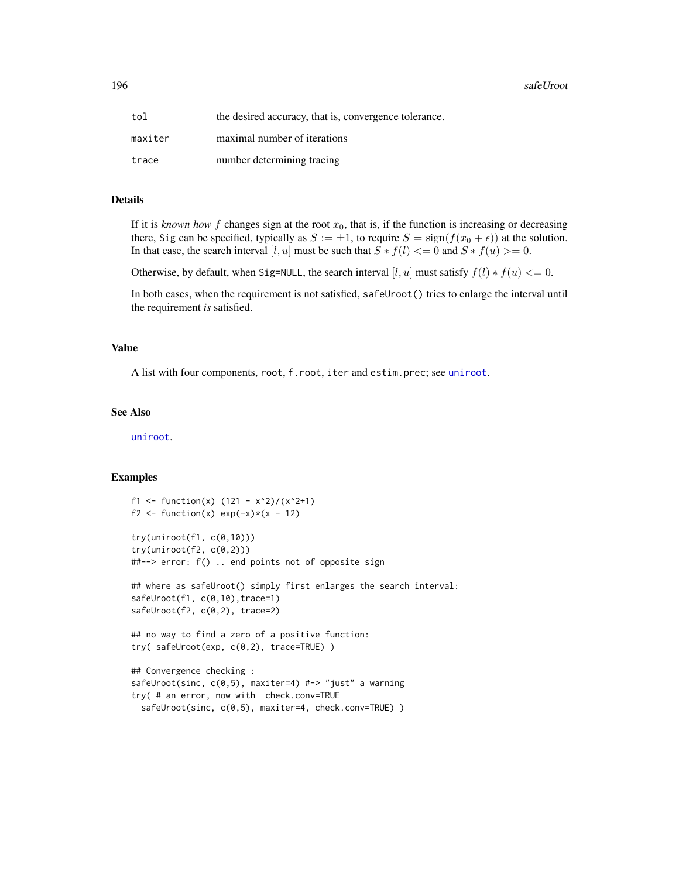| tol     | the desired accuracy, that is, convergence tolerance. |
|---------|-------------------------------------------------------|
| maxiter | maximal number of iterations                          |
| trace   | number determining tracing                            |

# Details

If it is *known how* f changes sign at the root  $x<sub>0</sub>$ , that is, if the function is increasing or decreasing there, Sig can be specified, typically as  $S := \pm 1$ , to require  $S = \text{sign}(f(x_0 + \epsilon))$  at the solution. In that case, the search interval [l, u] must be such that  $S * f(l) \leq 0$  and  $S * f(u) \geq 0$ .

Otherwise, by default, when Sig=NULL, the search interval [l, u] must satisfy  $f(l) * f(u) \leq 0$ .

In both cases, when the requirement is not satisfied, safeUroot() tries to enlarge the interval until the requirement *is* satisfied.

#### Value

A list with four components, root, f.root, iter and estim.prec; see [uniroot](#page-0-0).

#### See Also

[uniroot](#page-0-0).

```
f1 <- function(x) (121 - x^2)/(x^2+1)f2 <- function(x) exp(-x)*(x - 12)try(uniroot(f1, c(0,10)))
try(uniroot(f2, c(0,2)))##--> error: f() .. end points not of opposite sign
## where as safeUroot() simply first enlarges the search interval:
safeUroot(f1, c(0,10), trace=1)
safeUroot(f2, c(0,2), trace=2)
## no way to find a zero of a positive function:
try( safeUroot(exp, c(0,2), trace=TRUE) )
## Convergence checking :
safeUroot(sinc, c(0,5), maxiter=4) #-> "just" a warning
try( # an error, now with check.conv=TRUE
```

```
safeUroot(sinc, c(0,5), maxiter=4, check.conv=TRUE) )
```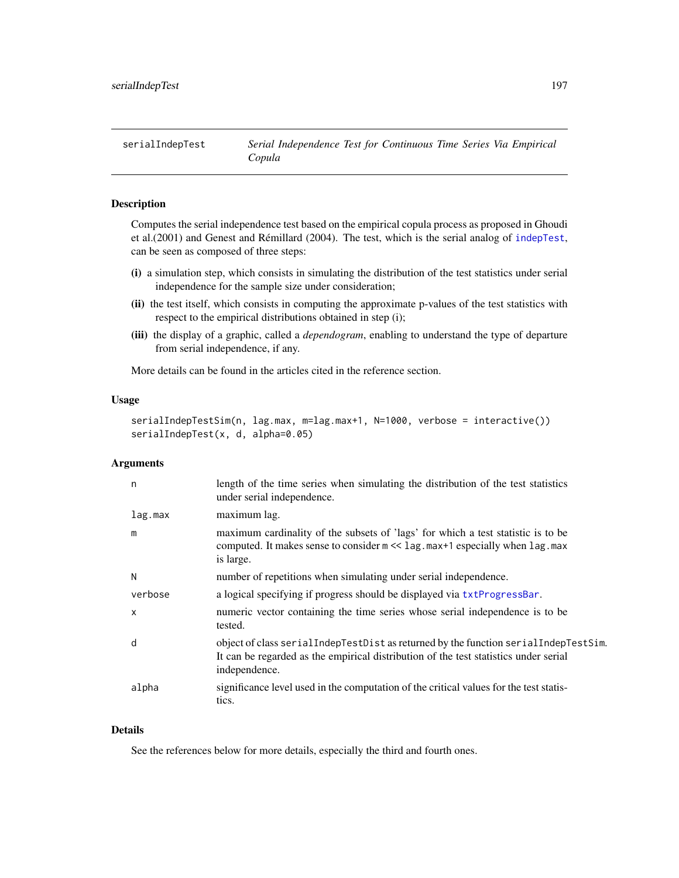# Description

Computes the serial independence test based on the empirical copula process as proposed in Ghoudi et al.(2001) and Genest and Rémillard (2004). The test, which is the serial analog of [indepTest](#page-116-0), can be seen as composed of three steps:

- (i) a simulation step, which consists in simulating the distribution of the test statistics under serial independence for the sample size under consideration;
- (ii) the test itself, which consists in computing the approximate p-values of the test statistics with respect to the empirical distributions obtained in step (i);
- (iii) the display of a graphic, called a *dependogram*, enabling to understand the type of departure from serial independence, if any.

More details can be found in the articles cited in the reference section.

### Usage

```
serialIndepTestSim(n, lag.max, m=lag.max+1, N=1000, verbose = interactive())
serialIndepTest(x, d, alpha=0.05)
```
# Arguments

| n       | length of the time series when simulating the distribution of the test statistics<br>under serial independence.                                                                                |
|---------|------------------------------------------------------------------------------------------------------------------------------------------------------------------------------------------------|
| lag.max | maximum lag.                                                                                                                                                                                   |
| m       | maximum cardinality of the subsets of 'lags' for which a test statistic is to be<br>computed. It makes sense to consider $m \ll 1$ ag. max+1 especially when lag. max<br>is large.             |
| N       | number of repetitions when simulating under serial independence.                                                                                                                               |
| verbose | a logical specifying if progress should be displayed via txtProgressBar.                                                                                                                       |
| X       | numeric vector containing the time series whose serial independence is to be<br>tested.                                                                                                        |
| d       | object of class serial IndepTestDist as returned by the function serial IndepTestSim.<br>It can be regarded as the empirical distribution of the test statistics under serial<br>independence. |
| alpha   | significance level used in the computation of the critical values for the test statis-<br>tics.                                                                                                |

# Details

See the references below for more details, especially the third and fourth ones.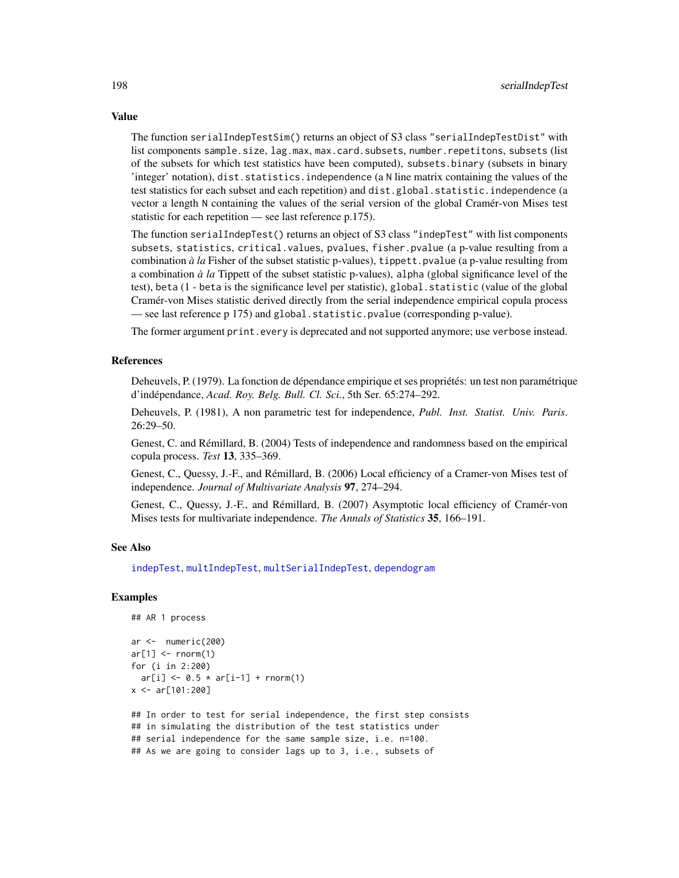The function serialIndepTestSim() returns an object of S3 class "serialIndepTestDist" with list components sample.size, lag.max, max.card.subsets, number.repetitons, subsets (list of the subsets for which test statistics have been computed), subsets.binary (subsets in binary 'integer' notation), dist.statistics.independence (a N line matrix containing the values of the test statistics for each subset and each repetition) and dist.global.statistic.independence (a vector a length N containing the values of the serial version of the global Cramér-von Mises test statistic for each repetition — see last reference p.175).

The function serialIndepTest() returns an object of S3 class "indepTest" with list components subsets, statistics, critical.values, pvalues, fisher.pvalue (a p-value resulting from a combination *à la* Fisher of the subset statistic p-values), tippett.pvalue (a p-value resulting from a combination *à la* Tippett of the subset statistic p-values), alpha (global significance level of the test), beta (1 - beta is the significance level per statistic), global.statistic (value of the global Cramér-von Mises statistic derived directly from the serial independence empirical copula process — see last reference p 175) and global.statistic.pvalue (corresponding p-value).

The former argument print.every is deprecated and not supported anymore; use verbose instead.

# References

Deheuvels, P. (1979). La fonction de dépendance empirique et ses propriétés: un test non paramétrique d'indépendance, *Acad. Roy. Belg. Bull. Cl. Sci.*, 5th Ser. 65:274–292.

Deheuvels, P. (1981), A non parametric test for independence, *Publ. Inst. Statist. Univ. Paris*. 26:29–50.

Genest, C. and Rémillard, B. (2004) Tests of independence and randomness based on the empirical copula process. *Test* 13, 335–369.

Genest, C., Quessy, J.-F., and Rémillard, B. (2006) Local efficiency of a Cramer-von Mises test of independence. *Journal of Multivariate Analysis* 97, 274–294.

Genest, C., Quessy, J.-F., and Rémillard, B. (2007) Asymptotic local efficiency of Cramér-von Mises tests for multivariate independence. *The Annals of Statistics* 35, 166–191.

# See Also

[indepTest](#page-116-0), [multIndepTest](#page-142-0), [multSerialIndepTest](#page-144-0), [dependogram](#page-116-1)

# Examples

## AR 1 process

```
ar <- numeric(200)
ar[1] <- rnorm(1)for (i in 2:200)
 ar[i] < -0.5 * ar[i-1] + rnorm(1)x \le -ar[101:200]
```
## In order to test for serial independence, the first step consists ## in simulating the distribution of the test statistics under ## serial independence for the same sample size, i.e. n=100. ## As we are going to consider lags up to 3, i.e., subsets of

# Value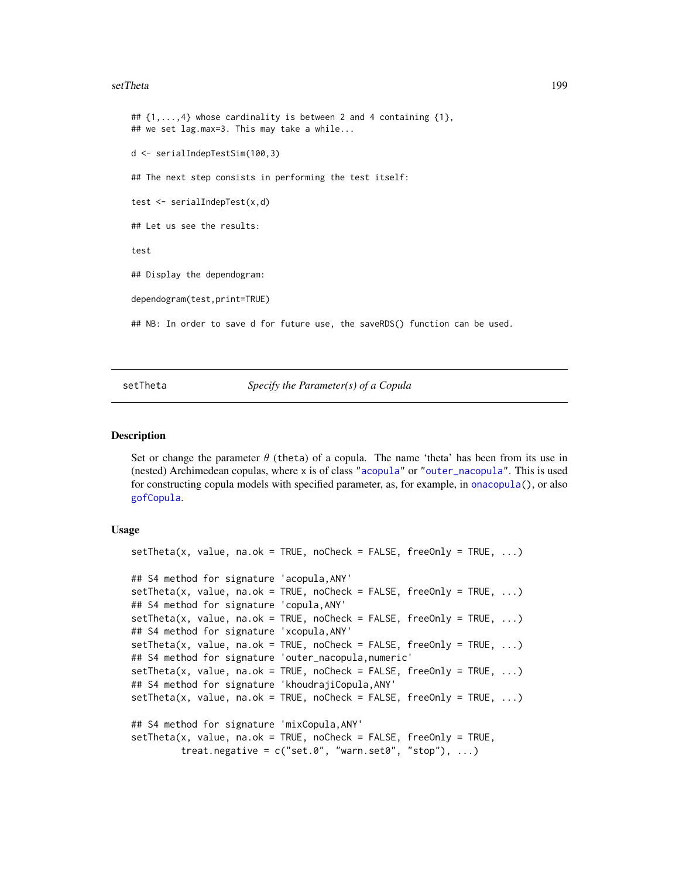### setTheta 199

##  $\{1,\ldots,4\}$  whose cardinality is between 2 and 4 containing  $\{1\}$ , ## we set lag.max=3. This may take a while... d <- serialIndepTestSim(100,3) ## The next step consists in performing the test itself: test <- serialIndepTest(x,d) ## Let us see the results: test ## Display the dependogram: dependogram(test,print=TRUE) ## NB: In order to save d for future use, the saveRDS() function can be used.

setTheta *Specify the Parameter(s) of a Copula*

### Description

Set or change the parameter  $\theta$  (theta) of a copula. The name 'theta' has been from its use in (nested) Archimedean copulas, where x is of class ["acopula"](#page-14-0) or ["outer\\_nacopula"](#page-150-0). This is used for constructing copula models with specified parameter, as, for example, in [onacopula\(](#page-153-0)), or also [gofCopula](#page-103-0).

### Usage

```
setTheta(x, value, na.ok = TRUE, noCheck = FALSE, freeOnly = TRUE, ...)## S4 method for signature 'acopula,ANY'
setTheta(x, value, na.ok = TRUE, noCheck = FALSE, freeOnly = TRUE, ...)
## S4 method for signature 'copula,ANY'
setTheta(x, value, na.ok = TRUE, noCheck = FALSE, freeOnly = TRUE, ...)
## S4 method for signature 'xcopula,ANY'
setTheta(x, value, na.ok = TRUE, noCheck = FALSE, freeOnly = TRUE, ...)## S4 method for signature 'outer_nacopula,numeric'
setTheta(x, value, na.ok = TRUE, noCheck = FALSE, freeOnly = TRUE, ...)
## S4 method for signature 'khoudrajiCopula,ANY'
setTheta(x, value, na.ok = TRUE, noCheck = FALSE, freeOnly = TRUE, ...)## S4 method for signature 'mixCopula,ANY'
setTheta(x, value, na.ok = TRUE, noCheck = FALSE, freeOnly = TRUE,treat.negative = c("set.0", "warn.set0", "stop"), ...)
```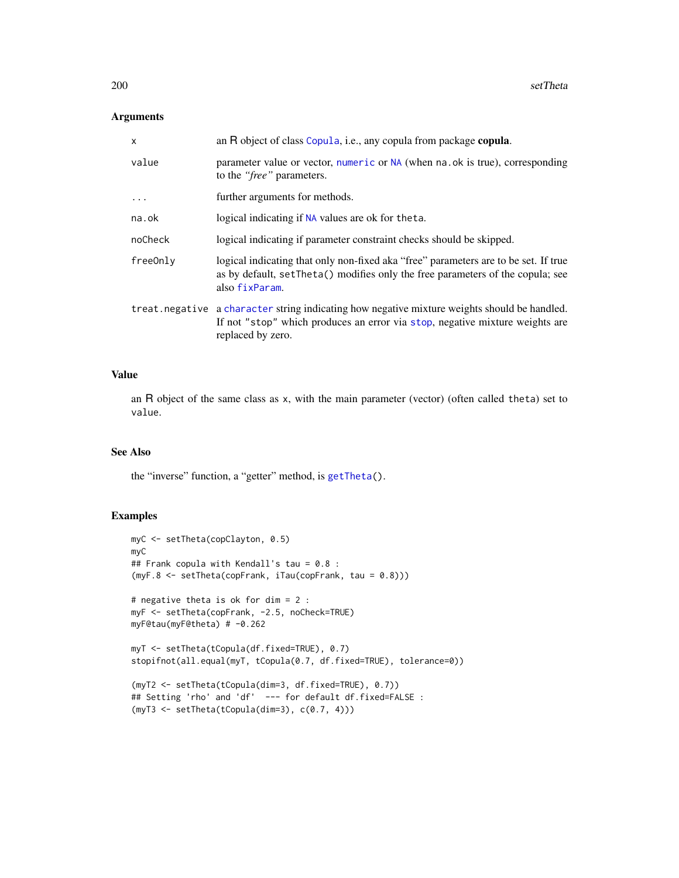# Arguments

| X        | an R object of class Copula, i.e., any copula from package copula.                                                                                                                                |
|----------|---------------------------------------------------------------------------------------------------------------------------------------------------------------------------------------------------|
| value    | parameter value or vector, numeric or NA (when na.ok is true), corresponding<br>to the " <i>free</i> " parameters.                                                                                |
| $\ddots$ | further arguments for methods.                                                                                                                                                                    |
| na.ok    | logical indicating if NA values are ok for theta.                                                                                                                                                 |
| noCheck  | logical indicating if parameter constraint checks should be skipped.                                                                                                                              |
| freeOnly | logical indicating that only non-fixed aka "free" parameters are to be set. If true<br>as by default, set Theta () modifies only the free parameters of the copula; see<br>also fixParam.         |
|          | treat negative a character string indicating how negative mixture weights should be handled.<br>If not "stop" which produces an error via stop, negative mixture weights are<br>replaced by zero. |

### Value

an R object of the same class as x, with the main parameter (vector) (often called theta) set to value.

# See Also

the "inverse" function, a "getter" method, is [getTheta\(](#page-98-0)).

```
myC <- setTheta(copClayton, 0.5)
myC
## Frank copula with Kendall's tau = 0.8 :
(myF.8 <- setTheta(copFrank, iTau(copFrank, tau = 0.8)))
# negative theta is ok for dim = 2 :
myF <- setTheta(copFrank, -2.5, noCheck=TRUE)
myF@tau(myF@theta) # -0.262
myT <- setTheta(tCopula(df.fixed=TRUE), 0.7)
stopifnot(all.equal(myT, tCopula(0.7, df.fixed=TRUE), tolerance=0))
(myT2 <- setTheta(tCopula(dim=3, df.fixed=TRUE), 0.7))
## Setting 'rho' and 'df' --- for default df.fixed=FALSE :
(myT3 <- setTheta(tCopula(dim=3), c(0.7, 4)))
```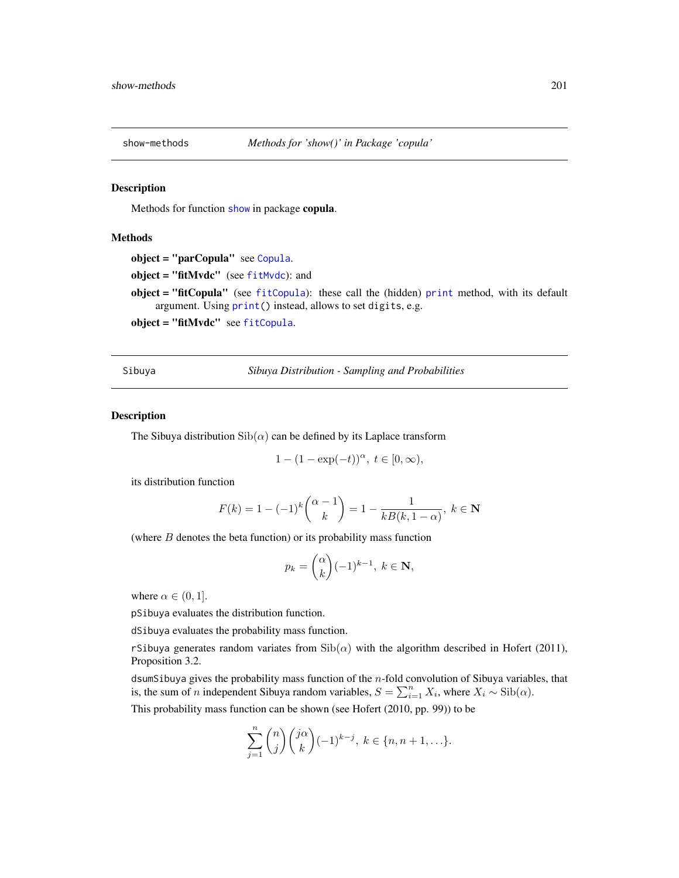### Description

Methods for function [show](#page-0-0) in package copula.

# Methods

```
object = "parCopula" see Copula.
fitMvdc" (see fitMvdc): and
fitCopulaprint method, with its default
   argument. Using print() instead, allows to set digits, e.g.
object = "fitMvdc" see fitCopula.
```
Sibuya *Sibuya Distribution - Sampling and Probabilities*

#### <span id="page-200-0"></span>Description

The Sibuya distribution  $\text{Sib}(\alpha)$  can be defined by its Laplace transform

$$
1 - (1 - \exp(-t))^{\alpha}, \ t \in [0, \infty),
$$

its distribution function

$$
F(k) = 1 - (-1)^k \binom{\alpha - 1}{k} = 1 - \frac{1}{kB(k, 1 - \alpha)}, \ k \in \mathbf{N}
$$

(where  $B$  denotes the beta function) or its probability mass function

$$
p_k = \binom{\alpha}{k} (-1)^{k-1}, \ k \in \mathbf{N},
$$

where  $\alpha \in (0, 1]$ .

pSibuya evaluates the distribution function.

dSibuya evaluates the probability mass function.

rSibuya generates random variates from  $\text{Sib}(\alpha)$  with the algorithm described in Hofert (2011), Proposition 3.2.

dsumSibuya gives the probability mass function of the  $n$ -fold convolution of Sibuya variables, that is, the sum of *n* independent Sibuya random variables,  $S = \sum_{i=1}^{n} X_i$ , where  $X_i \sim \text{Sib}(\alpha)$ .

This probability mass function can be shown (see Hofert (2010, pp. 99)) to be

$$
\sum_{j=1}^{n} {n \choose j} {j\alpha \choose k} (-1)^{k-j}, \ k \in \{n, n+1, \ldots\}.
$$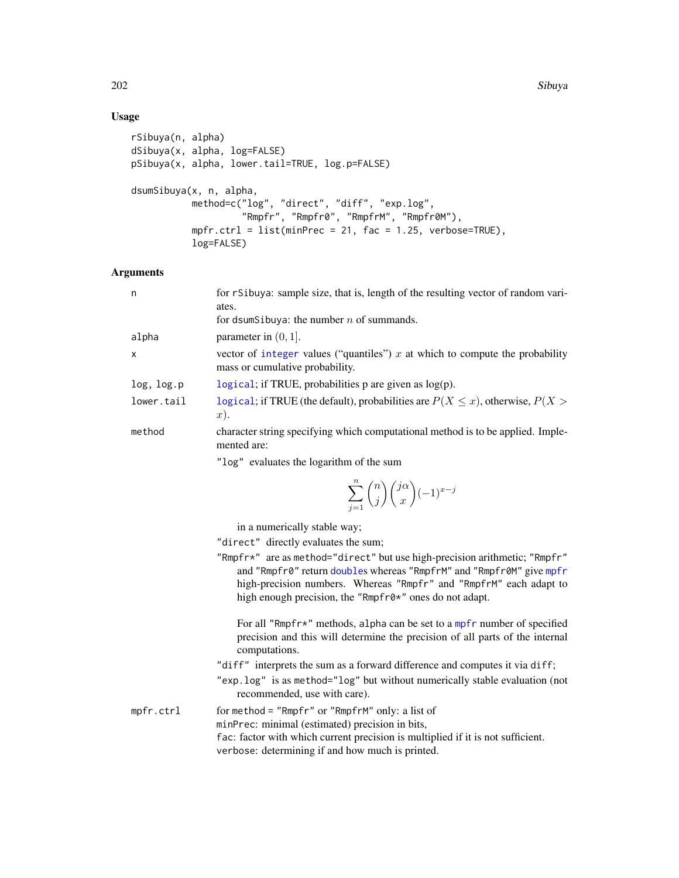# Usage

```
rSibuya(n, alpha)
dSibuya(x, alpha, log=FALSE)
pSibuya(x, alpha, lower.tail=TRUE, log.p=FALSE)
dsumSibuya(x, n, alpha,
           method=c("log", "direct", "diff", "exp.log",
                    "Rmpfr", "Rmpfr0", "RmpfrM", "Rmpfr0M"),
           mpfr.ctrl = list(minPrec = 21, fac = 1.25, verbose=TRUE),
           log=FALSE)
```
# Arguments

| n            | for rSibuya: sample size, that is, length of the resulting vector of random vari-<br>ates.<br>for dsumSibuya: the number $n$ of summands. |
|--------------|-------------------------------------------------------------------------------------------------------------------------------------------|
| alpha        | parameter in $(0, 1]$ .                                                                                                                   |
| $\mathsf{x}$ | vector of integer values ("quantiles") $x$ at which to compute the probability<br>mass or cumulative probability.                         |
| log, log.p   | logical; if TRUE, probabilities $p$ are given as $log(p)$ .                                                                               |
| lower.tail   | logical; if TRUE (the default), probabilities are $P(X \le x)$ , otherwise, $P(X >$<br>$x)$ .                                             |
| method       | character string specifying which computational method is to be applied. Imple-<br>mented are:                                            |

"log" evaluates the logarithm of the sum

$$
\sum_{j=1}^n \binom{n}{j} \binom{j\alpha}{x} (-1)^{x-j}
$$

in a numerically stable way;

"direct" directly evaluates the sum;

"Rmpfr\*" are as method="direct" but use high-precision arithmetic; "Rmpfr" and "Rmpfr0" return [double](#page-0-0)s whereas "RmpfrM" and "Rmpfr0M" give [mpfr](#page-0-0) high-precision numbers. Whereas "Rmpfr" and "RmpfrM" each adapt to high enough precision, the "Rmpfr0\*" ones do not adapt.

For all "R[mpfr](#page-0-0)\*" methods, alpha can be set to a mpfr number of specified precision and this will determine the precision of all parts of the internal computations.

"diff" interprets the sum as a forward difference and computes it via diff;

"exp.log" is as method="log" but without numerically stable evaluation (not recommended, use with care).

mpfr.ctrl for method = "Rmpfr" or "RmpfrM" only: a list of minPrec: minimal (estimated) precision in bits, fac: factor with which current precision is multiplied if it is not sufficient. verbose: determining if and how much is printed.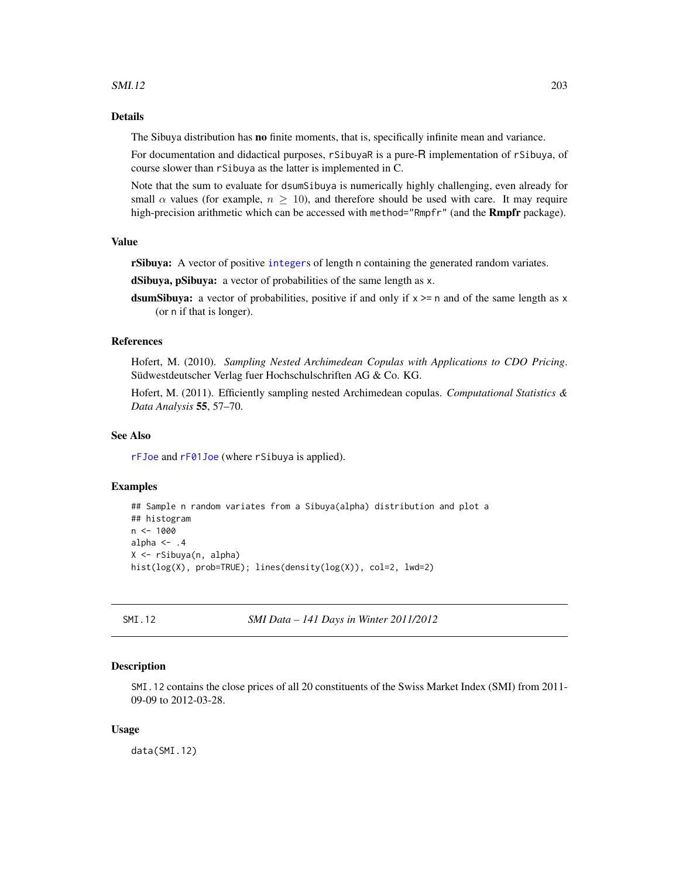### $SMI.12$  203

# Details

The Sibuya distribution has no finite moments, that is, specifically infinite mean and variance.

For documentation and didactical purposes, rSibuyaR is a pure-R implementation of rSibuya, of course slower than rSibuya as the latter is implemented in C.

Note that the sum to evaluate for dsumSibuya is numerically highly challenging, even already for small  $\alpha$  values (for example,  $n \geq 10$ ), and therefore should be used with care. It may require high-precision arithmetic which can be accessed with method="Rmpfr" (and the **Rmpfr** package).

# Value

rSibuya: A vector of positive [integer](#page-0-0)s of length n containing the generated random variates.

dSibuya, pSibuya: a vector of probabilities of the same length as x.

dsumSibuya: a vector of probabilities, positive if and only if  $x \ge$  n and of the same length as x (or n if that is longer).

# References

Hofert, M. (2010). *Sampling Nested Archimedean Copulas with Applications to CDO Pricing*. Südwestdeutscher Verlag fuer Hochschulschriften AG & Co. KG.

Hofert, M. (2011). Efficiently sampling nested Archimedean copulas. *Computational Statistics & Data Analysis* 55, 57–70.

# See Also

[rFJoe](#page-182-0) and [rF01Joe](#page-180-0) (where rSibuya is applied).

# Examples

```
## Sample n random variates from a Sibuya(alpha) distribution and plot a
## histogram
n < - 1000alpha \leq -14X <- rSibuya(n, alpha)
hist(log(X), prob=TRUE); lines(density(log(X)), col=2, lwd=2)
```
SMI.12 *SMI Data – 141 Days in Winter 2011/2012*

#### Description

SMI.12 contains the close prices of all 20 constituents of the Swiss Market Index (SMI) from 2011- 09-09 to 2012-03-28.

### Usage

data(SMI.12)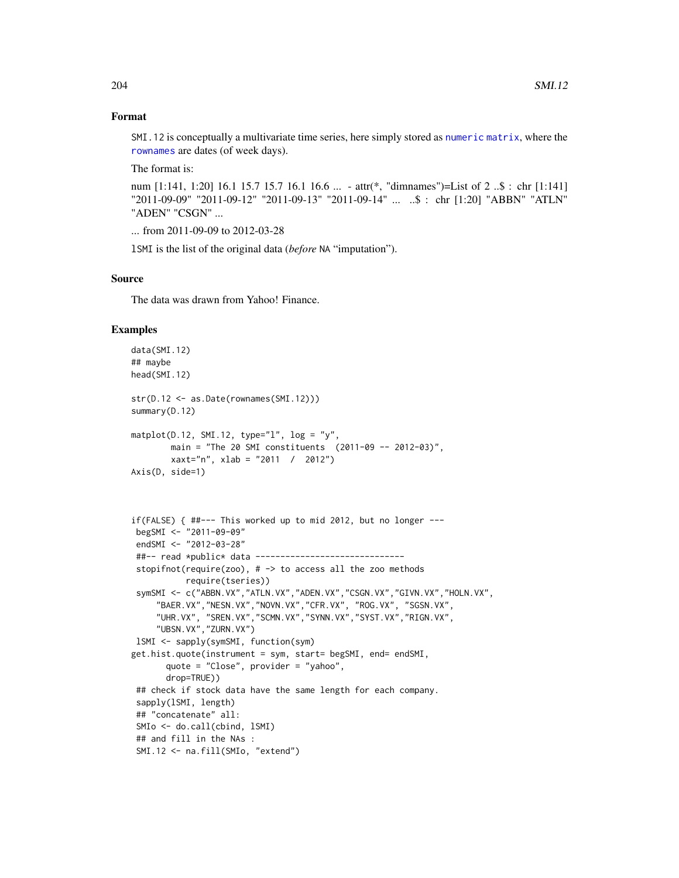### Format

SMI.12 is conceptually a multivariate time series, here simply stored as [numeric](#page-0-0) [matrix](#page-0-0), where the [rownames](#page-0-0) are dates (of week days).

The format is:

num [1:141, 1:20] 16.1 15.7 15.7 16.1 16.6 ... - attr(\*, "dimnames")=List of 2 ..\$ : chr [1:141] "2011-09-09" "2011-09-12" "2011-09-13" "2011-09-14" ... ..\$ : chr [1:20] "ABBN" "ATLN" "ADEN" "CSGN" ...

... from 2011-09-09 to 2012-03-28

lSMI is the list of the original data (*before* NA "imputation").

# Source

The data was drawn from Yahoo! Finance.

```
data(SMI.12)
## maybe
head(SMI.12)
str(D.12 <- as.Date(rownames(SMI.12)))
summary(D.12)
matplot(D.12, SMI.12, type="1", log = "y",
        main = "The 20 SMI constituents (2011-09 -- 2012-03)",
        xaxt="n", xlab = "2011 / 2012")
Axis(D, side=1)
if(FALSE) { ##--- This worked up to mid 2012, but no longer ---
 begSMI <- "2011-09-09"
 endSMI <- "2012-03-28"
 ##-- read *public* data ------------------------------
 stopifnot(require(zoo), # \rightarrow to access all the zoo methods
           require(tseries))
 symSMI <- c("ABBN.VX","ATLN.VX","ADEN.VX","CSGN.VX","GIVN.VX","HOLN.VX",
     "BAER.VX","NESN.VX","NOVN.VX","CFR.VX", "ROG.VX", "SGSN.VX",
     "UHR.VX", "SREN.VX","SCMN.VX","SYNN.VX","SYST.VX","RIGN.VX",
     "UBSN.VX","ZURN.VX")
 lSMI <- sapply(symSMI, function(sym)
get.hist.quote(instrument = sym, start= begSMI, end= endSMI,
       quote = "Close", provider = "yahoo",
       drop=TRUE))
 ## check if stock data have the same length for each company.
 sapply(lSMI, length)
 ## "concatenate" all:
 SMIo <- do.call(cbind, lSMI)
 ## and fill in the NAs :
 SMI.12 <- na.fill(SMIo, "extend")
```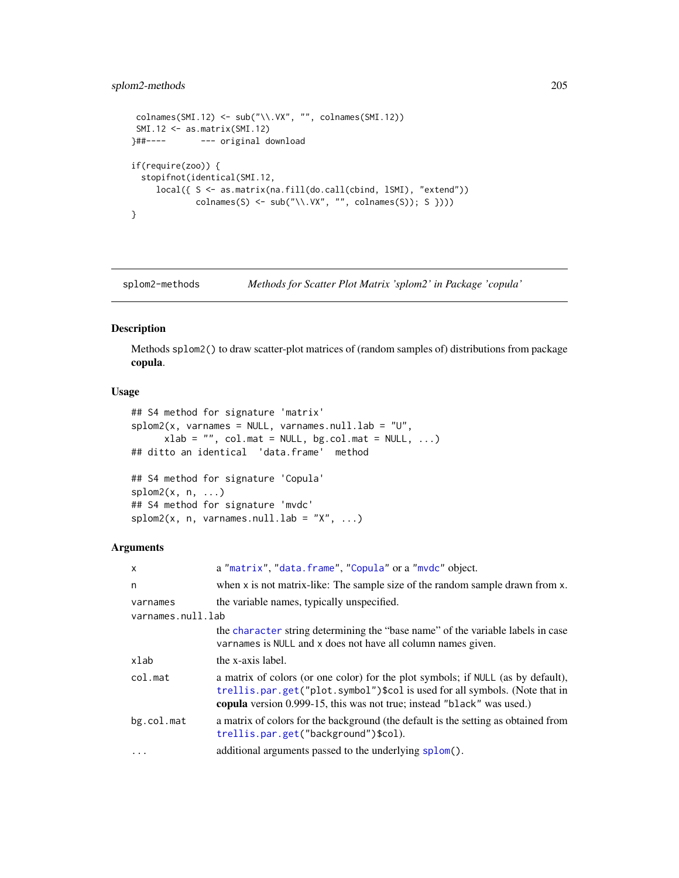# splom2-methods 205

```
\text{colnames}(\text{SMI}.12) \leftarrow \text{sub("\\.\VX", "", \text{colnames}(SMI.12))}SMI.12 <- as.matrix(SMI.12)
}##---- --- original download
if(require(zoo)) {
  stopifnot(identical(SMI.12,
     local({ S <- as.matrix(na.fill(do.call(cbind, lSMI), "extend"))
               \text{colnames}(S) \leftarrow \text{sub("\\.\VX", "", \text{colnames}(S)); S }\})}
```
splom2-methods *Methods for Scatter Plot Matrix 'splom2' in Package 'copula'*

# Description

Methods splom2() to draw scatter-plot matrices of (random samples of) distributions from package copula.

# Usage

```
## S4 method for signature 'matrix'
splom2(x, varnames = NULL, varnames.null.lab = "U",xlab = "", col.math = NULL, bg,col.math = NULL, ...)## ditto an identical 'data.frame' method
## S4 method for signature 'Copula'
splom2(x, n, ...)## S4 method for signature 'mvdc'
splom2(x, n, varnames.null.lab = "X", ...)
```
# Arguments

| $\mathsf{x}$      | a "matrix", "data.frame", "Copula" or a "mvdc" object.                                                                                                                                                                                   |
|-------------------|------------------------------------------------------------------------------------------------------------------------------------------------------------------------------------------------------------------------------------------|
| n                 | when x is not matrix-like: The sample size of the random sample drawn from x.                                                                                                                                                            |
| varnames          | the variable names, typically unspecified.                                                                                                                                                                                               |
| varnames.null.lab |                                                                                                                                                                                                                                          |
|                   | the character string determining the "base name" of the variable labels in case<br>variances is NULL and x does not have all column names given.                                                                                         |
| xlab              | the x-axis label.                                                                                                                                                                                                                        |
| col.mat           | a matrix of colors (or one color) for the plot symbols; if NULL (as by default),<br>trellis.par.get("plot.symbol")\$col is used for all symbols. (Note that in<br>copula version 0.999-15, this was not true; instead "black" was used.) |
| bg.col.mat        | a matrix of colors for the background (the default is the setting as obtained from<br>trellis.par.get("background")\$col).                                                                                                               |
| $\ddots$          | additional arguments passed to the underlying splom().                                                                                                                                                                                   |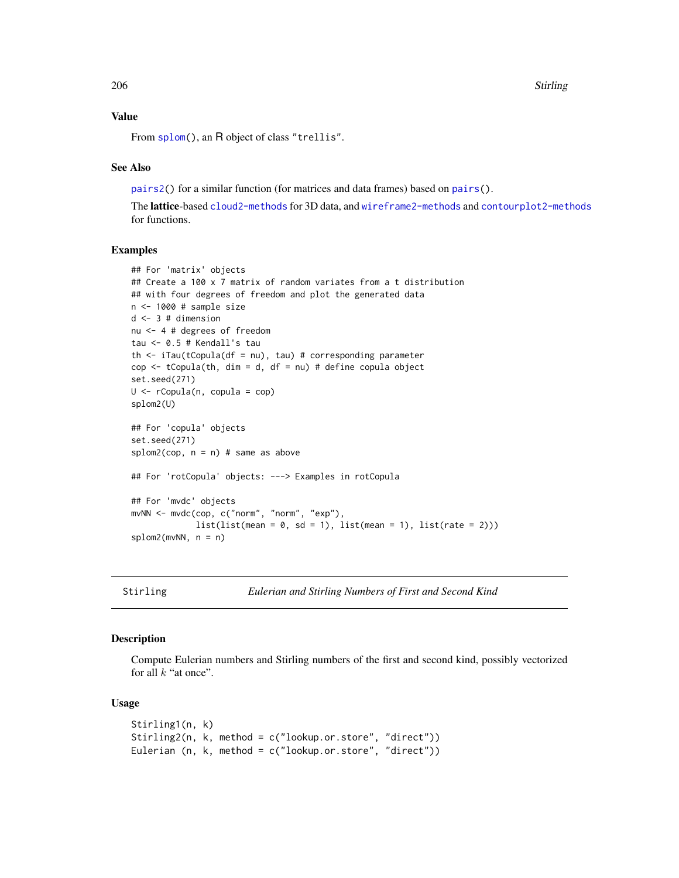206 Stirling

# Value

From [splom\(](#page-0-0)), an R object of class "trellis".

# See Also

[pairs2\(](#page-157-0)) for a similar function (for matrices and data frames) based on [pairs\(](#page-0-0)).

The lattice-based [cloud2-methods](#page-33-0) for 3D data, and [wireframe2-methods](#page-212-0) and [contourplot2-methods](#page-37-0) for functions.

# Examples

```
## For 'matrix' objects
## Create a 100 x 7 matrix of random variates from a t distribution
## with four degrees of freedom and plot the generated data
n <- 1000 # sample size
d \le -3 # dimension
nu <- 4 # degrees of freedom
tau <- 0.5 # Kendall's tau
th \le iTau(tCopula(df = nu), tau) # corresponding parameter
cop <- tCopula(th, dim = d, df = nu) # define copula object
set.seed(271)
U \leq -rCopula(n, copula = cop)
splom2(U)
## For 'copula' objects
set.seed(271)
splom2(cop, n = n) # same as above
## For 'rotCopula' objects: ---> Examples in rotCopula
## For 'mvdc' objects
mvNN <- mvdc(cop, c("norm", "norm", "exp"),
             list(list(mean = 0, sd = 1), list(mean = 1), list(rate = 2)))splom2(mvNN, n = n)
```
Stirling *Eulerian and Stirling Numbers of First and Second Kind*

# Description

Compute Eulerian numbers and Stirling numbers of the first and second kind, possibly vectorized for all  $k$  "at once".

### Usage

```
Stirling1(n, k)
Stirling2(n, k, method = c("lookup.or.store", "direct"))
Eulerian (n, k, method = c("lookup.or.store", "direct"))
```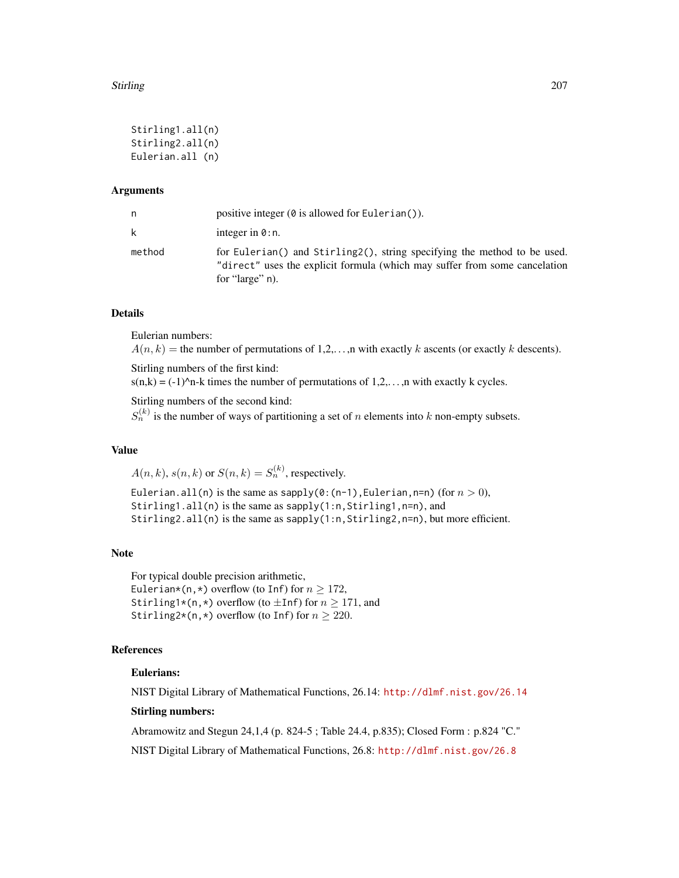### Stirling 207

```
Stirling1.all(n)
Stirling2.all(n)
Eulerian.all (n)
```
### Arguments

| n.     | positive integer $(\emptyset$ is allowed for Eulerian().                                                                                                                  |
|--------|---------------------------------------------------------------------------------------------------------------------------------------------------------------------------|
| k      | integer in $\theta$ : n.                                                                                                                                                  |
| method | for Eulerian() and Stirling2(), string specifying the method to be used.<br>"direct" uses the explicit formula (which may suffer from some cancelation<br>for "large" n). |

# Details

Eulerian numbers:

 $A(n, k)$  = the number of permutations of 1,2,..., n with exactly k ascents (or exactly k descents).

Stirling numbers of the first kind:

 $s(n,k) = (-1)^{n-k}$  times the number of permutations of  $1,2,...,n$  with exactly k cycles.

Stirling numbers of the second kind:

 $S_n^{(k)}$  is the number of ways of partitioning a set of n elements into k non-empty subsets.

# Value

 $A(n, k)$ ,  $s(n, k)$  or  $S(n, k) = S_n^{(k)}$ , respectively.

Eulerian.all(n) is the same as sapply(0:(n-1), Eulerian, n=n) (for  $n > 0$ ), Stirling1.all(n) is the same as sapply(1:n,Stirling1,n=n), and Stirling2.all(n) is the same as sapply(1:n, Stirling2, n=n), but more efficient.

### Note

For typical double precision arithmetic, Eulerian\*(n,\*) overflow (to Inf) for  $n \ge 172$ , Stirling1\*(n,\*) overflow (to  $\pm$ Inf) for  $n \ge 171$ , and Stirling2\*(n,\*) overflow (to Inf) for  $n \ge 220$ .

# References

### Eulerians:

NIST Digital Library of Mathematical Functions, 26.14: <http://dlmf.nist.gov/26.14>

# Stirling numbers:

Abramowitz and Stegun 24,1,4 (p. 824-5 ; Table 24.4, p.835); Closed Form : p.824 "C."

NIST Digital Library of Mathematical Functions, 26.8: <http://dlmf.nist.gov/26.8>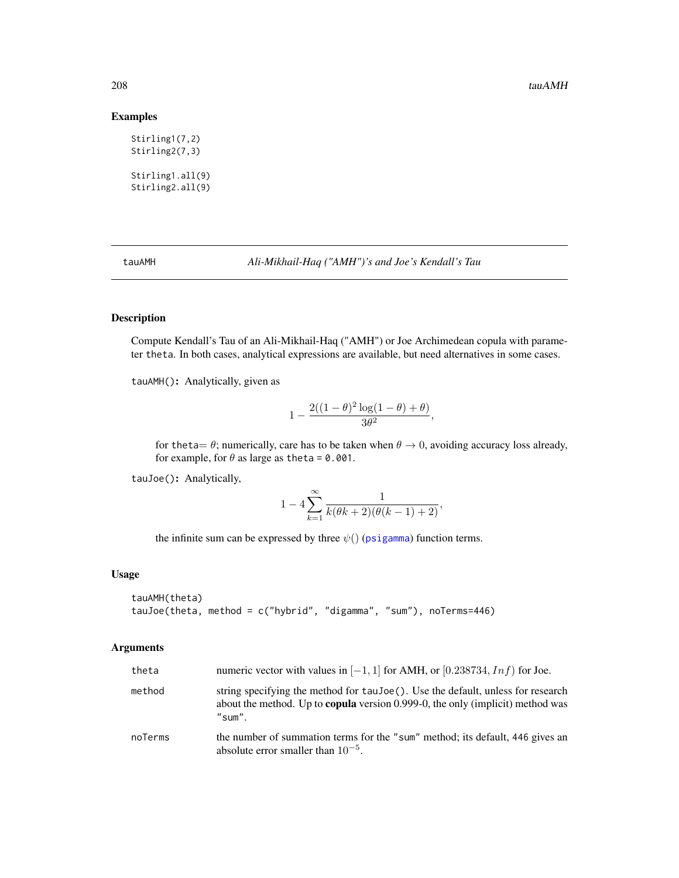# Examples

```
Stirling1(7,2)
Stirling2(7,3)
Stirling1.all(9)
Stirling2.all(9)
```
tauAMH *Ali-Mikhail-Haq ("AMH")'s and Joe's Kendall's Tau*

# Description

Compute Kendall's Tau of an Ali-Mikhail-Haq ("AMH") or Joe Archimedean copula with parameter theta. In both cases, analytical expressions are available, but need alternatives in some cases.

tauAMH(): Analytically, given as

$$
1-\frac{2((1-\theta)^2\log(1-\theta)+\theta)}{3\theta^2},
$$

for the ta =  $\theta$ ; numerically, care has to be taken when  $\theta \to 0$ , avoiding accuracy loss already, for example, for  $\theta$  as large as the ta = 0.001.

tauJoe(): Analytically,

$$
1 - 4\sum_{k=1}^{\infty} \frac{1}{k(\theta k + 2)(\theta(k-1) + 2)},
$$

the infinite sum can be expressed by three  $\psi()$  ([psigamma](#page-0-0)) function terms.

# Usage

```
tauAMH(theta)
tauJoe(theta, method = c("hybrid", "digamma", "sum"), noTerms=446)
```
# Arguments

| theta   | numeric vector with values in $[-1, 1]$ for AMH, or $[0.238734, Inf)$ for Joe.                                                                                                     |
|---------|------------------------------------------------------------------------------------------------------------------------------------------------------------------------------------|
| method  | string specifying the method for taujoe (). Use the default, unless for research<br>about the method. Up to <b>copula</b> version 0.999-0, the only (implicit) method was<br>"sum" |
| noTerms | the number of summation terms for the "sum" method; its default, 446 gives an<br>absolute error smaller than $10^{-5}$ .                                                           |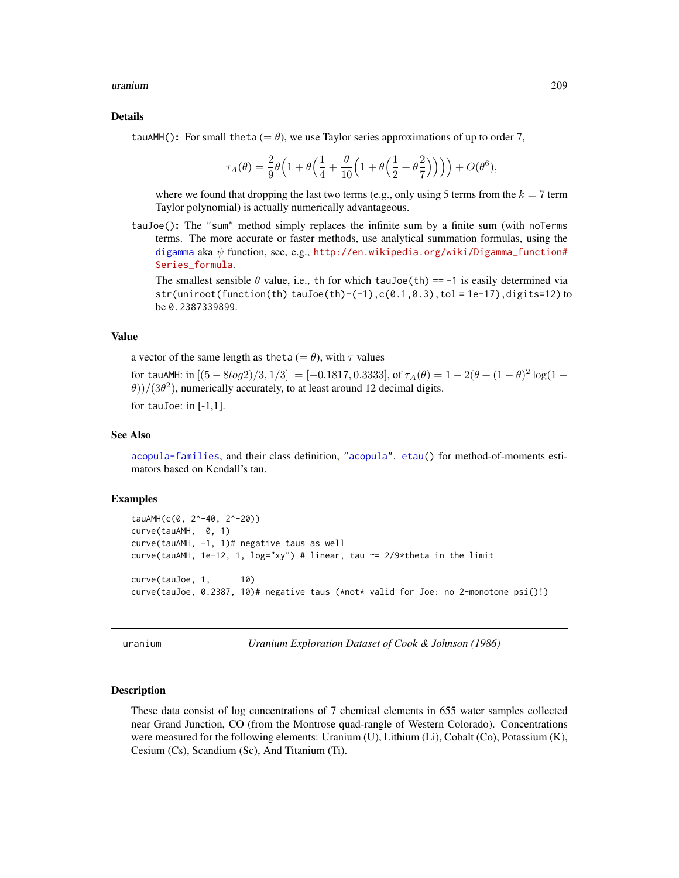### uranium 209

### Details

tauAMH(): For small theta (=  $\theta$ ), we use Taylor series approximations of up to order 7,

$$
\tau_A(\theta) = \frac{2}{9}\theta \Big(1 + \theta \Big(\frac{1}{4} + \frac{\theta}{10} \Big(1 + \theta \Big(\frac{1}{2} + \theta \frac{2}{7}\Big)\Big)\Big)\Big) + O(\theta^6),
$$

where we found that dropping the last two terms (e.g., only using 5 terms from the  $k = 7$  term Taylor polynomial) is actually numerically advantageous.

tauJoe(): The "sum" method simply replaces the infinite sum by a finite sum (with noTerms terms. The more accurate or faster methods, use analytical summation formulas, using the [digamma](#page-0-0) aka  $\psi$  function, see, e.g., [http://en.wikipedia.org/wiki/Digamma\\_function#](http://en.wikipedia.org/wiki/Digamma_function#Series_formula) [Series\\_formula](http://en.wikipedia.org/wiki/Digamma_function#Series_formula).

The smallest sensible  $\theta$  value, i.e., th for which tauJoe(th) == -1 is easily determined via str(uniroot(function(th) tauJoe(th)-(-1),c(0.1,0.3),tol = 1e-17),digits=12) to be 0.2387339899.

# Value

a vector of the same length as theta (=  $\theta$ ), with  $\tau$  values

for tauAMH: in  $[(5 - 8log2)/3, 1/3] = [-0.1817, 0.3333]$ , of  $\tau_A(\theta) = 1 - 2(\theta + (1 - \theta)^2 log(1 \theta$ ))/(3 $\theta$ <sup>2</sup>), numerically accurately, to at least around 12 decimal digits.

for tauJoe: in  $[-1,1]$ .

#### See Also

[acopula-families](#page-39-0), and their class definition, ["acopula"](#page-14-0). [etau\(](#page-64-0)) for method-of-moments estimators based on Kendall's tau.

# Examples

```
tauAMH(c(0, 2^-40, 2^-20))
curve(tauAMH, 0, 1)
curve(tauAMH, -1, 1)# negative taus as well
curve(tauAMH, 1e-12, 1, log="xy") # linear, tau ~= 2/9*theta in the limit
curve(tauJoe, 1, 10)
curve(tauJoe, 0.2387, 10)# negative taus (*not* valid for Joe: no 2-monotone psi()!)
```
uranium *Uranium Exploration Dataset of Cook & Johnson (1986)*

#### Description

These data consist of log concentrations of 7 chemical elements in 655 water samples collected near Grand Junction, CO (from the Montrose quad-rangle of Western Colorado). Concentrations were measured for the following elements: Uranium (U), Lithium (Li), Cobalt (Co), Potassium (K), Cesium (Cs), Scandium (Sc), And Titanium (Ti).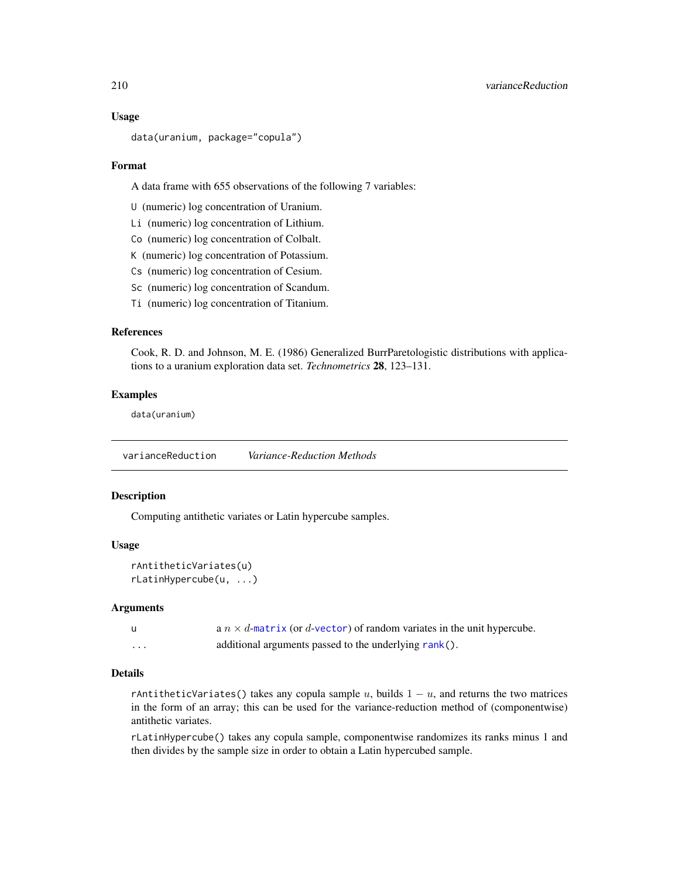### Usage

```
data(uranium, package="copula")
```
### Format

A data frame with 655 observations of the following 7 variables:

U (numeric) log concentration of Uranium.

Li (numeric) log concentration of Lithium.

Co (numeric) log concentration of Colbalt.

K (numeric) log concentration of Potassium.

Cs (numeric) log concentration of Cesium.

Sc (numeric) log concentration of Scandum.

Ti (numeric) log concentration of Titanium.

### References

Cook, R. D. and Johnson, M. E. (1986) Generalized BurrParetologistic distributions with applications to a uranium exploration data set. *Technometrics* 28, 123–131.

### Examples

data(uranium)

varianceReduction *Variance-Reduction Methods*

### Description

Computing antithetic variates or Latin hypercube samples.

#### Usage

rAntitheticVariates(u) rLatinHypercube(u, ...)

#### Arguments

|                         | a $n \times d$ -matrix (or d-vector) of random variates in the unit hypercube. |
|-------------------------|--------------------------------------------------------------------------------|
| $\cdot$ $\cdot$ $\cdot$ | additional arguments passed to the underlying rank().                          |

### Details

rAntitheticVariates() takes any copula sample  $u$ , builds  $1 - u$ , and returns the two matrices in the form of an array; this can be used for the variance-reduction method of (componentwise) antithetic variates.

rLatinHypercube() takes any copula sample, componentwise randomizes its ranks minus 1 and then divides by the sample size in order to obtain a Latin hypercubed sample.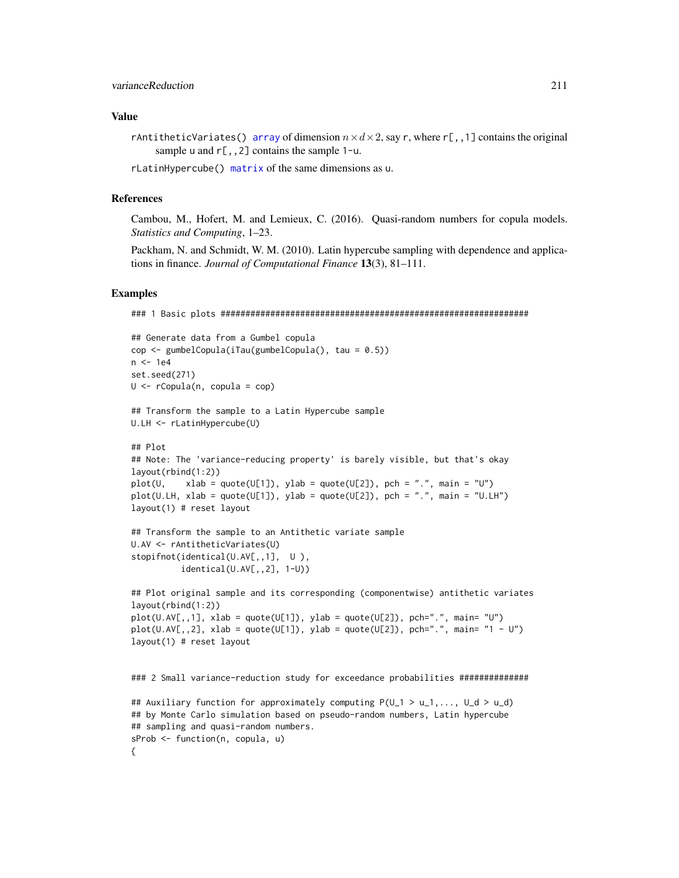### Value

rAntitheticVariates() [array](#page-0-0) of dimension  $n \times d \times 2$ , say r, where r[,,1] contains the original sample u and  $r$ [,,2] contains the sample 1-u.

rLatinHypercube() [matrix](#page-0-0) of the same dimensions as u.

#### References

Cambou, M., Hofert, M. and Lemieux, C. (2016). Quasi-random numbers for copula models. *Statistics and Computing*, 1–23.

Packham, N. and Schmidt, W. M. (2010). Latin hypercube sampling with dependence and applications in finance. *Journal of Computational Finance* 13(3), 81–111.

```
### 1 Basic plots ##############################################################
```

```
## Generate data from a Gumbel copula
cop <- gumbelCopula(iTau(gumbelCopula(), tau = 0.5))
n <- 1e4
set.seed(271)
U \leftarrow \text{rCopula}(n, \text{ copula} = \text{cop})## Transform the sample to a Latin Hypercube sample
U.LH <- rLatinHypercube(U)
## Plot
## Note: The 'variance-reducing property' is barely visible, but that's okay
layout(rbind(1:2))
plot(U, xlab = quote(U[1]), ylab = quote(U[2]), pch = ".", main = "U")plot(U.LH, xlab = quote(U[1]), ylab = quote(U[2]), pch = "." , main = "U.LH")layout(1) # reset layout
```

```
## Transform the sample to an Antithetic variate sample
U.AV <- rAntitheticVariates(U)
stopifnot(identical(U.AV[,,1], U),
          identical(U.AV[,,2], 1-U))
```

```
## Plot original sample and its corresponding (componentwise) antithetic variates
layout(rbind(1:2))
plot(U.AV[,, 1], xlab = quote(U[1]), ylab = quote(U[2]), pch=".", main= "U")
plot(U.AV[,, 2], xlab = quote(U[1]), ylab = quote(U[2]), pch=".", main="1 - U")layout(1) # reset layout
```

```
### 2 Small variance-reduction study for exceedance probabilities ##############
```

```
## Auxiliary function for approximately computing P(U_1 > u_1,..., U_d > u_d)
## by Monte Carlo simulation based on pseudo-random numbers, Latin hypercube
## sampling and quasi-random numbers.
sProb <- function(n, copula, u)
{
```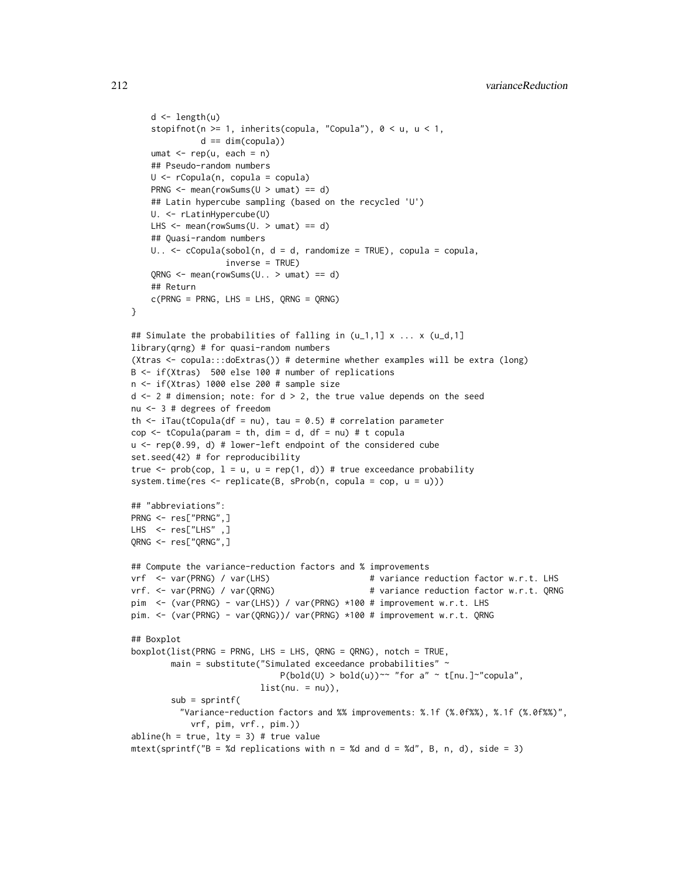```
d \leftarrow length(u)stopifnot(n >= 1, inherits(copula, "Copula"), 0 < u, u < 1,
              d == dim(copula))
   umat \leq rep(u, each = n)
    ## Pseudo-random numbers
   U <- rCopula(n, copula = copula)
   PRNG <- mean(rowSums(U > umat) == d)
    ## Latin hypercube sampling (based on the recycled 'U')
   U. <- rLatinHypercube(U)
   LHS \leq mean(rowSums(U. > umat) == d)
    ## Quasi-random numbers
   U.. \leq cCopula(sobol(n, d = d, randomize = TRUE), copula = copula,
                   inverse = TRUE)
    QRNG \leq mean(rowSums(U. . > umat) == d)## Return
   c(PRNG = PRNG, LHS = LHS, QRNG = QRNG)}
## Simulate the probabilities of falling in (u_1,1] \times \ldots \times (u_d,1]library(qrng) # for quasi-random numbers
(Xtras <- copula:::doExtras()) # determine whether examples will be extra (long)
B <- if(Xtras) 500 else 100 # number of replications
n <- if(Xtras) 1000 else 200 # sample size
d \leq 2 # dimension; note: for d > 2, the true value depends on the seed
nu <- 3 # degrees of freedom
th \le iTau(tCopula(df = nu), tau = 0.5) # correlation parameter
cop \leq tCopula(param = th, dim = d, df = nu) # t copulau <- rep(0.99, d) # lower-left endpoint of the considered cube
set.seed(42) # for reproducibility
true \leq prob(cop, l = u, u = rep(1, d)) # true exceedance probability
system.time(res \leq replicate(B, sProb(n, copula = cop, u = u)))
## "abbreviations":
PRNG <- res["PRNG",]
LHS <- res["LHS" ,]
QRNG <- res["QRNG",]
## Compute the variance-reduction factors and % improvements
vrf <- var(PRNG) / var(LHS) # variance reduction factor w.r.t. LHS
vrf. <- var(PRNG) / var(QRNG) # variance reduction factor w.r.t. QRNG
pim <- (var(PRNG) - var(LHS)) / var(PRNG) *100 # improvement w.r.t. LHS
pim. <- (var(PRNG) - var(QRNG))/ var(PRNG) *100 # improvement w.r.t. QRNG
## Boxplot
boxplot(list(PRNG = PRNG, LHS = LHS, QRNG = QRNG), notch = TRUE,
       main = substitute("Simulated exceedance probabilities" ~
                              P(bold(U) > bold(u)) \sim "for a" \sim t[nu.] \sim "copula",list(nu. = nu)),sub = spring"Variance-reduction factors and %% improvements: %.1f (%.0f%%), %.1f (%.0f%%)",
           vrf, pim, vrf., pim.))
abline(h = true, lty = 3) # true value
mtext(sprintf("B = %d replications with n = %d and d = %d", B, n, d), side = 3)
```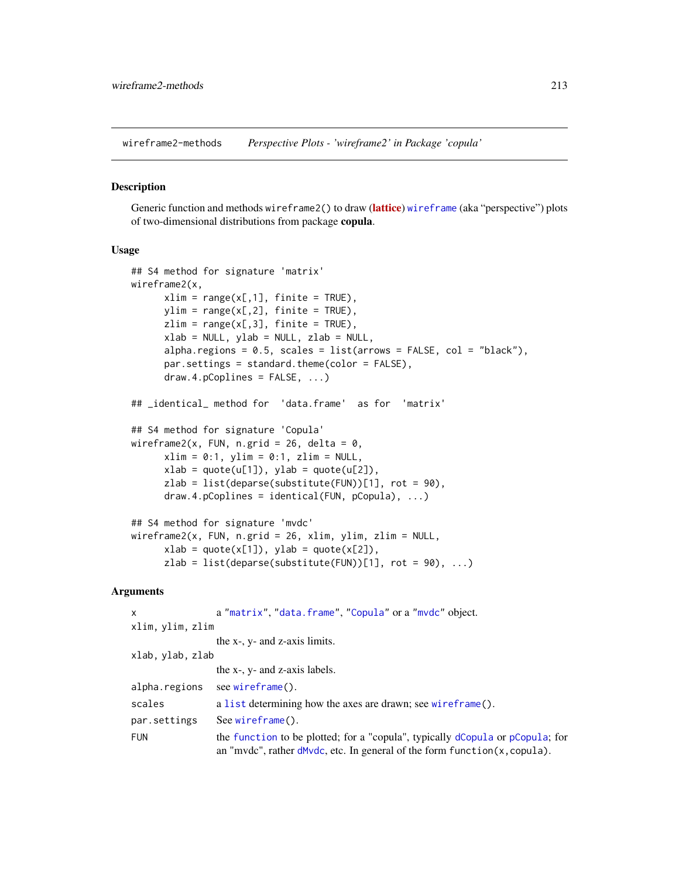<span id="page-212-0"></span>wireframe2-methods *Perspective Plots - 'wireframe2' in Package 'copula'*

#### Description

Generic function and methods wireframe2() to draw ([lattice](https://CRAN.R-project.org/package=lattice)) [wireframe](#page-0-0) (aka "perspective") plots of two-dimensional distributions from package copula.

### Usage

```
## S4 method for signature 'matrix'
wireframe2(x,
      xlim = range(x[, 1], finite = TRUE),
      ylim = range(x[, 2], finite = TRUE),zlim = range(x[, 3], finite = TRUE),xlab = NULL, ylab = NULL, zlab = NULL,
      alpha.regions = 0.5, scales = list(arrows = FALSE, col = "black"),
      par.settings = standard.theme(color = FALSE),
      draw.4.pCoplines = FALSE, ...)
## _identical_ method for 'data.frame' as for 'matrix'
## S4 method for signature 'Copula'
wireframe2(x, FUN, n.grid = 26, delta = 0,
      xlim = 0:1, ylim = 0:1, zlim = NULL,
      xlab = quote(u[1]), ylab = quote(u[2]),zlab = list(deparse(substitute(FUN))[1], rot = 90),draw.4.pCoplines = identical(FUN, pCopula), ...)
## S4 method for signature 'mvdc'
wireframe2(x, FUN, n.grid = 26, xlim, ylim, zlim = NULL,
      xlab = quote(x[1]), ylab = quote(x[2]),
```
 $zlab = list(deparse(substitute(FUN))[1], rot = 90), ...$ 

# Arguments

| $\mathsf{x}$     | a "matrix", "data.frame", "Copula" or a "mydc" object.                                                                                                           |
|------------------|------------------------------------------------------------------------------------------------------------------------------------------------------------------|
| xlim, ylim, zlim |                                                                                                                                                                  |
|                  | the x-, y- and z-axis limits.                                                                                                                                    |
| xlab, ylab, zlab |                                                                                                                                                                  |
|                  | the x-, y- and z-axis labels.                                                                                                                                    |
| alpha.regions    | see wireframe().                                                                                                                                                 |
| scales           | a list determining how the axes are drawn; see wireframe().                                                                                                      |
| par.settings     | $See wireframe()$ .                                                                                                                                              |
| <b>FUN</b>       | the function to be plotted; for a "copula", typically dCopula or pCopula; for<br>an "mvdc", rather $d$ Mvdc, etc. In general of the form function $(x,$ copula). |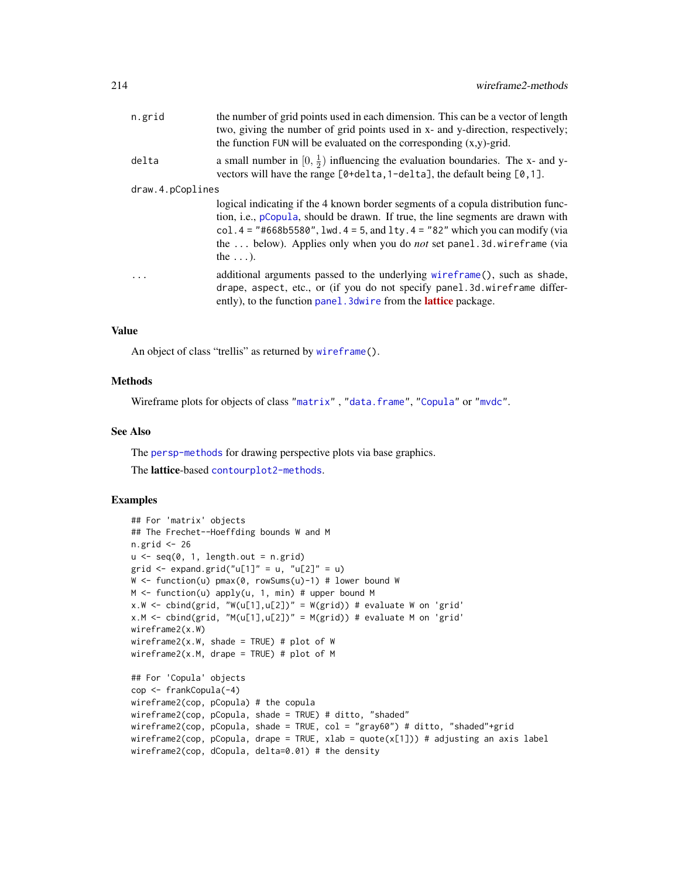| n.grid           | the number of grid points used in each dimension. This can be a vector of length<br>two, giving the number of grid points used in x- and y-direction, respectively;<br>the function FUN will be evaluated on the corresponding $(x,y)$ -grid.                                                                                                           |
|------------------|---------------------------------------------------------------------------------------------------------------------------------------------------------------------------------------------------------------------------------------------------------------------------------------------------------------------------------------------------------|
| delta            | a small number in $[0, \frac{1}{2})$ influencing the evaluation boundaries. The x- and y-<br>vectors will have the range $[0 + \text{delta}, 1 - \text{delta}]$ , the default being $[0, 1]$ .                                                                                                                                                          |
| draw.4.pCoplines |                                                                                                                                                                                                                                                                                                                                                         |
|                  | logical indicating if the 4 known border segments of a copula distribution func-<br>tion, i.e., pCopula, should be drawn. If true, the line segments are drawn with<br>col. $4 =$ "#668b5580", lwd. $4 = 5$ , and lty. $4 =$ "82" which you can modify (via<br>the  below). Applies only when you do not set panel.3d.wireframe (via<br>the $\ldots$ ). |
| $\cdots$         | additional arguments passed to the underlying wireframe(), such as shade,<br>drape, aspect, etc., or (if you do not specify panel.3d.wireframe differ-<br>ently), to the function panel. 3 dwire from the <b>lattice</b> package.                                                                                                                       |
|                  |                                                                                                                                                                                                                                                                                                                                                         |

### Value

An object of class "trellis" as returned by [wireframe\(](#page-0-0)).

# **Methods**

Wireframe plots for objects of class ["matrix"](#page-0-0) , ["data.frame"](#page-0-0), ["Copula"](#page-44-0) or ["mvdc"](#page-148-0).

# See Also

The [persp-methods](#page-162-0) for drawing perspective plots via base graphics.

The lattice-based [contourplot2-methods](#page-37-0).

```
## For 'matrix' objects
## The Frechet--Hoeffding bounds W and M
n.grid <- 26
u \leq -\text{seq}(0, 1, \text{length.out} = n.\text{grid})grid \leq expand.grid("u[1]" = u, "u[2]" = u)
W \leftarrow function(u) pmax(0, rowSums(u)-1) # lower bound W
M \leftarrow function(u) apply(u, 1, min) # upper bound M
x.W \leftarrow \text{cbind}(\text{grid}, "W(u[1], u[2])" = W(\text{grid}) # evaluate W on 'grid'
x.M \leq \text{cbind}(\text{grid}, M(u[1], u[2])' = M(\text{grid})) # evaluate M on 'grid'
wireframe2(x.W)
wireframe2(x.W, shade = TRUE) # plot of W
wireframe2(x.M, drape = TRUE) # plot of M
## For 'Copula' objects
cop <- frankCopula(-4)
wireframe2(cop, pCopula) # the copula
wireframe2(cop, pCopula, shade = TRUE) # ditto, "shaded"
wireframe2(cop, pCopula, shade = TRUE, col = "gray60") # ditto, "shaded"+grid
wireframe2(cop, pCopula, drape = TRUE, xlab = quote(x[1])) # adjusting an axis label
wireframe2(cop, dCopula, delta=0.01) # the density
```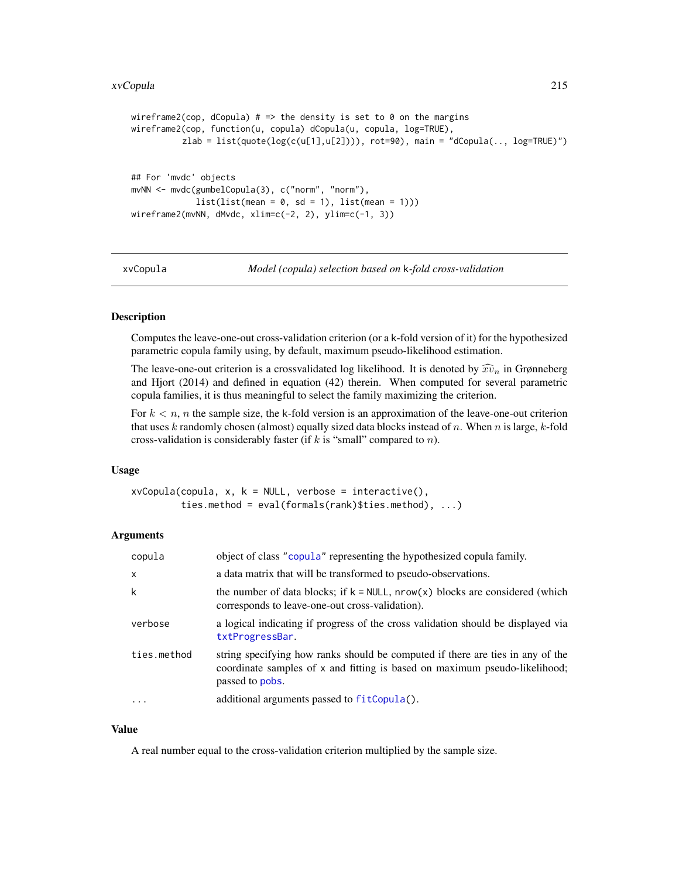```
wireframe2(cop, dCopula) # => the density is set to 0 on the margins
wireframe2(cop, function(u, copula) dCopula(u, copula, log=TRUE),
          zlab = list(quote(log(c(u[1],u[2]))), rot=90), main = "dCopula(.., log=TRUE)")
## For 'mvdc' objects
mvNN <- mvdc(gumbelCopula(3), c("norm", "norm"),
            list(list(mean = 0, sd = 1), list(mean = 1)))wireframe2(mvNN, dMvdc, xlim=c(-2, 2), ylim=c(-1, 3))
```
xvCopula *Model (copula) selection based on* k*-fold cross-validation*

# **Description**

Computes the leave-one-out cross-validation criterion (or a k-fold version of it) for the hypothesized parametric copula family using, by default, maximum pseudo-likelihood estimation.

The leave-one-out criterion is a crossvalidated log likelihood. It is denoted by  $\widehat{xv}_n$  in Grønneberg and Hjort (2014) and defined in equation (42) therein. When computed for several parametric copula families, it is thus meaningful to select the family maximizing the criterion.

For  $k < n$ , n the sample size, the k-fold version is an approximation of the leave-one-out criterion that uses k randomly chosen (almost) equally sized data blocks instead of  $n$ . When  $n$  is large,  $k$ -fold cross-validation is considerably faster (if  $k$  is "small" compared to  $n$ ).

### Usage

```
xvCopula(copula, x, k = NULL, verbose = interface(),
        ties.method = eval(formals(rank)$ties.method), ...)
```
# Arguments

| copula       | object of class "copula" representing the hypothesized copula family.                                                                                                           |
|--------------|---------------------------------------------------------------------------------------------------------------------------------------------------------------------------------|
| $\mathsf{x}$ | a data matrix that will be transformed to pseudo-observations.                                                                                                                  |
| k            | the number of data blocks; if $k = NULL$ , nrow(x) blocks are considered (which<br>corresponds to leave-one-out cross-validation).                                              |
| verbose      | a logical indicating if progress of the cross validation should be displayed via<br>txtProgressBar.                                                                             |
| ties.method  | string specifying how ranks should be computed if there are ties in any of the<br>coordinate samples of x and fitting is based on maximum pseudo-likelihood;<br>passed to pobs. |
| .            | additional arguments passed to fitCopula().                                                                                                                                     |

### Value

A real number equal to the cross-validation criterion multiplied by the sample size.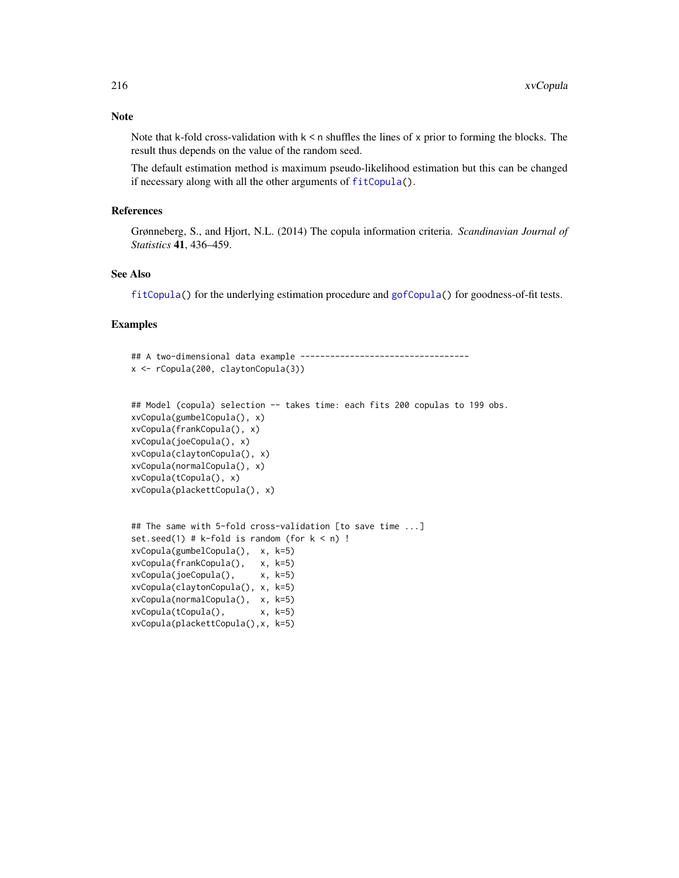Note that k-fold cross-validation with  $k < n$  shuffles the lines of x prior to forming the blocks. The result thus depends on the value of the random seed.

The default estimation method is maximum pseudo-likelihood estimation but this can be changed if necessary along with all the other arguments of [fitCopula\(](#page-81-0)).

# References

Grønneberg, S., and Hjort, N.L. (2014) The copula information criteria. *Scandinavian Journal of Statistics* 41, 436–459.

# See Also

[fitCopula\(](#page-81-0)) for the underlying estimation procedure and [gofCopula\(](#page-103-0)) for goodness-of-fit tests.

```
## A two-dimensional data example ----------------------------------
x <- rCopula(200, claytonCopula(3))
## Model (copula) selection -- takes time: each fits 200 copulas to 199 obs.
xvCopula(gumbelCopula(), x)
xvCopula(frankCopula(), x)
xvCopula(joeCopula(), x)
xvCopula(claytonCopula(), x)
xvCopula(normalCopula(), x)
xvCopula(tCopula(), x)
xvCopula(plackettCopula(), x)
## The same with 5-fold cross-validation [to save time ...]
set.seed(1) # k-fold is random (for k < n) !
xvCopula(gumbelCopula(), x, k=5)
xvCopula(frankCopula(), x, k=5)
xvCopula(joeCopula(), x, k=5)
xvCopula(claytonCopula(), x, k=5)
xvCopula(normalCopula(), x, k=5)
xvCopula(tCopula(), x, k=5)
xvCopula(plackettCopula(),x, k=5)
```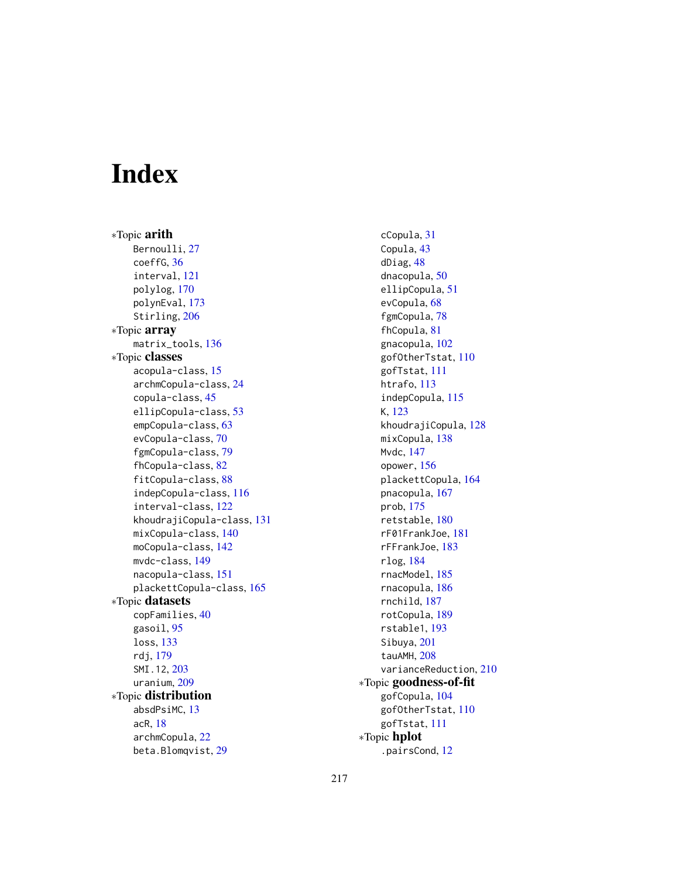# Index

∗Topic arith Bernoulli, [27](#page-26-0) coeffG, [36](#page-35-0) interval, [121](#page-120-0) polylog, [170](#page-169-0) polynEval, [173](#page-172-0) Stirling, [206](#page-205-0) ∗Topic array matrix\_tools, [136](#page-135-0) ∗Topic classes acopula-class, [15](#page-14-0) archmCopula-class, [24](#page-23-0) copula-class, [45](#page-44-0) ellipCopula-class, [53](#page-52-0) empCopula-class, [63](#page-62-0) evCopula-class, [70](#page-69-0) fgmCopula-class, [79](#page-78-0) fhCopula-class, [82](#page-81-0) fitCopula-class, [88](#page-87-0) indepCopula-class, [116](#page-115-0) interval-class, [122](#page-121-0) khoudrajiCopula-class, [131](#page-130-0) mixCopula-class, [140](#page-139-0) moCopula-class, [142](#page-141-0) mvdc-class, [149](#page-148-0) nacopula-class, [151](#page-150-0) plackettCopula-class, [165](#page-164-0) ∗Topic datasets copFamilies, [40](#page-39-0) gasoil, [95](#page-94-0) loss, [133](#page-132-0) rdj, [179](#page-178-0) SMI.12, [203](#page-202-0) uranium, [209](#page-208-0) ∗Topic distribution absdPsiMC, [13](#page-12-0) acR, [18](#page-17-0) archmCopula, [22](#page-21-0) beta.Blomqvist, [29](#page-28-0)

cCopula, [31](#page-30-0) Copula, [43](#page-42-0) dDiag, [48](#page-47-0) dnacopula, [50](#page-49-0) ellipCopula, [51](#page-50-0) evCopula, [68](#page-67-0) fgmCopula, [78](#page-77-0) fhCopula, [81](#page-80-0) gnacopula, [102](#page-101-0) gofOtherTstat, [110](#page-109-0) gofTstat, [111](#page-110-0) htrafo, [113](#page-112-0) indepCopula, [115](#page-114-0) K, [123](#page-122-0) khoudrajiCopula, [128](#page-127-0) mixCopula, [138](#page-137-0) Mvdc, [147](#page-146-0) opower, [156](#page-155-0) plackettCopula, [164](#page-163-0) pnacopula, [167](#page-166-0) prob, [175](#page-174-0) retstable, [180](#page-179-0) rF01FrankJoe, [181](#page-180-0) rFFrankJoe, [183](#page-182-0) rlog, [184](#page-183-0) rnacModel, [185](#page-184-0) rnacopula, [186](#page-185-0) rnchild, [187](#page-186-0) rotCopula, [189](#page-188-0) rstable1, [193](#page-192-0) Sibuya, [201](#page-200-0) tauAMH, [208](#page-207-0) varianceReduction, [210](#page-209-0) ∗Topic goodness-of-fit gofCopula, [104](#page-103-0) gofOtherTstat, [110](#page-109-0) gofTstat, [111](#page-110-0) ∗Topic hplot .pairsCond, [12](#page-11-0)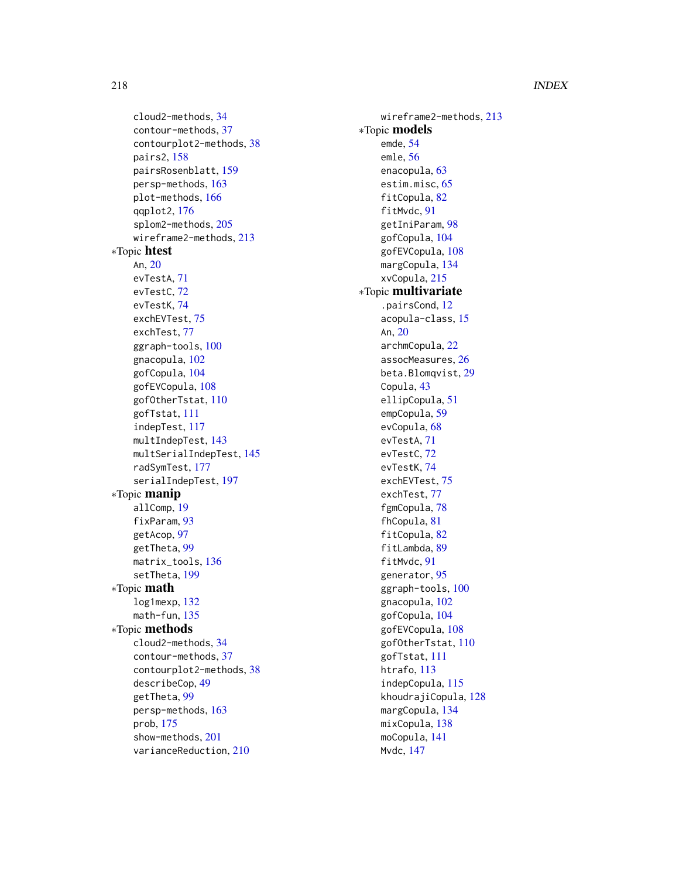cloud2-methods, [34](#page-33-0) contour-methods, [37](#page-36-0) contourplot2-methods, [38](#page-37-0) pairs2, [158](#page-157-0) pairsRosenblatt, [159](#page-158-0) persp-methods, [163](#page-162-0) plot-methods, [166](#page-165-0) qqplot2, [176](#page-175-0) splom2-methods, [205](#page-204-0) wireframe2-methods, [213](#page-212-0) ∗Topic htest An, [20](#page-19-0) evTestA, [71](#page-70-0) evTestC, [72](#page-71-0) evTestK, [74](#page-73-0) exchEVTest, [75](#page-74-0) exchTest, [77](#page-76-0) ggraph-tools, [100](#page-99-0) gnacopula, [102](#page-101-0) gofCopula, [104](#page-103-0) gofEVCopula, [108](#page-107-0) gofOtherTstat, [110](#page-109-0) gofTstat, [111](#page-110-0) indepTest, [117](#page-116-0) multIndepTest, [143](#page-142-0) multSerialIndepTest, [145](#page-144-0) radSymTest, [177](#page-176-0) serialIndepTest, [197](#page-196-0) ∗Topic manip allComp, [19](#page-18-0) fixParam, [93](#page-92-0) getAcop, [97](#page-96-0) getTheta, [99](#page-98-0) matrix\_tools, [136](#page-135-0) setTheta, [199](#page-198-0) ∗Topic math log1mexp, [132](#page-131-0) math-fun, [135](#page-134-0) ∗Topic methods cloud2-methods, [34](#page-33-0) contour-methods, [37](#page-36-0) contourplot2-methods, [38](#page-37-0) describeCop, [49](#page-48-0) getTheta, [99](#page-98-0) persp-methods, [163](#page-162-0) prob, [175](#page-174-0) show-methods, [201](#page-200-0) varianceReduction, [210](#page-209-0)

wireframe2-methods, [213](#page-212-0) ∗Topic models emde, [54](#page-53-0) emle, [56](#page-55-0) enacopula, [63](#page-62-0) estim.misc, [65](#page-64-0) fitCopula, [82](#page-81-0) fitMvdc, [91](#page-90-0) getIniParam, [98](#page-97-0) gofCopula, [104](#page-103-0) gofEVCopula, [108](#page-107-0) margCopula, [134](#page-133-0) xvCopula, [215](#page-214-0) ∗Topic multivariate .pairsCond, [12](#page-11-0) acopula-class, [15](#page-14-0) An, [20](#page-19-0) archmCopula, [22](#page-21-0) assocMeasures, [26](#page-25-0) beta.Blomqvist, [29](#page-28-0) Copula, [43](#page-42-0) ellipCopula, [51](#page-50-0) empCopula, [59](#page-58-0) evCopula, [68](#page-67-0) evTestA, [71](#page-70-0) evTestC, [72](#page-71-0) evTestK, [74](#page-73-0) exchEVTest, [75](#page-74-0) exchTest, [77](#page-76-0) fgmCopula, [78](#page-77-0) fhCopula, [81](#page-80-0) fitCopula, [82](#page-81-0) fitLambda, [89](#page-88-0) fitMvdc, [91](#page-90-0) generator, [95](#page-94-0) ggraph-tools, [100](#page-99-0) gnacopula, [102](#page-101-0) gofCopula, [104](#page-103-0) gofEVCopula, [108](#page-107-0) gofOtherTstat, [110](#page-109-0) gofTstat, [111](#page-110-0) htrafo, [113](#page-112-0) indepCopula, [115](#page-114-0) khoudrajiCopula, [128](#page-127-0) margCopula, [134](#page-133-0) mixCopula, [138](#page-137-0) moCopula, [141](#page-140-0) Mvdc, [147](#page-146-0)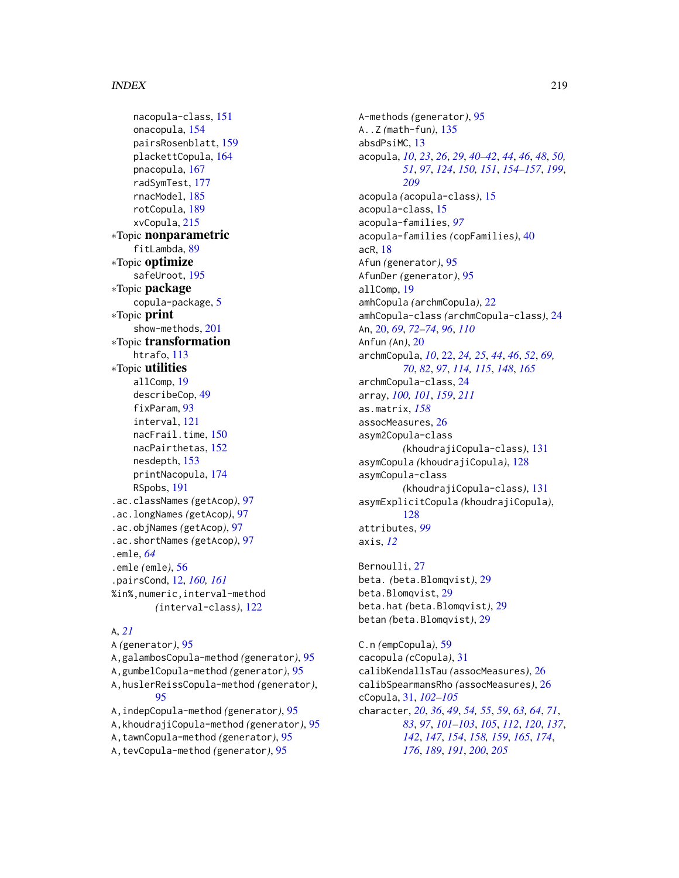nacopula-class, [151](#page-150-0) onacopula, [154](#page-153-0) pairsRosenblatt, [159](#page-158-0) plackettCopula, [164](#page-163-0) pnacopula, [167](#page-166-0) radSymTest, [177](#page-176-0) rnacModel, [185](#page-184-0) rotCopula, [189](#page-188-0) xvCopula, [215](#page-214-0) ∗Topic nonparametric fitLambda, [89](#page-88-0) ∗Topic optimize safeUroot, [195](#page-194-0) ∗Topic package copula-package, [5](#page-4-0) ∗Topic print show-methods, [201](#page-200-0) ∗Topic transformation htrafo, [113](#page-112-0) ∗Topic utilities allComp, [19](#page-18-0) describeCop, [49](#page-48-0) fixParam, [93](#page-92-0) interval, [121](#page-120-0) nacFrail.time, [150](#page-149-0) nacPairthetas, [152](#page-151-0) nesdepth, [153](#page-152-0) printNacopula, [174](#page-173-0) RSpobs, [191](#page-190-0) .ac.classNames *(*getAcop*)*, [97](#page-96-0) .ac.longNames *(*getAcop*)*, [97](#page-96-0) .ac.objNames *(*getAcop*)*, [97](#page-96-0) .ac.shortNames *(*getAcop*)*, [97](#page-96-0) .emle, *[64](#page-63-0)* .emle *(*emle*)*, [56](#page-55-0) .pairsCond, [12,](#page-11-0) *[160,](#page-159-0) [161](#page-160-0)* %in%,numeric,interval-method *(*interval-class*)*, [122](#page-121-0)

# A, *[21](#page-20-0)*

A *(*generator*)*, [95](#page-94-0) A,galambosCopula-method *(*generator*)*, [95](#page-94-0) A,gumbelCopula-method *(*generator*)*, [95](#page-94-0) A,huslerReissCopula-method *(*generator*)*, [95](#page-94-0) A,indepCopula-method *(*generator*)*, [95](#page-94-0) A,khoudrajiCopula-method *(*generator*)*, [95](#page-94-0) A,tawnCopula-method *(*generator*)*, [95](#page-94-0)

A,tevCopula-method *(*generator*)*, [95](#page-94-0)

A-methods *(*generator*)*, [95](#page-94-0) A..Z *(*math-fun*)*, [135](#page-134-0) absdPsiMC, [13](#page-12-0) acopula, *[10](#page-9-0)*, *[23](#page-22-0)*, *[26](#page-25-0)*, *[29](#page-28-0)*, *[40](#page-39-0)[–42](#page-41-0)*, *[44](#page-43-0)*, *[46](#page-45-0)*, *[48](#page-47-0)*, *[50,](#page-49-0) [51](#page-50-0)*, *[97](#page-96-0)*, *[124](#page-123-0)*, *[150,](#page-149-0) [151](#page-150-0)*, *[154](#page-153-0)[–157](#page-156-0)*, *[199](#page-198-0)*, *[209](#page-208-0)* acopula *(*acopula-class*)*, [15](#page-14-0) acopula-class, [15](#page-14-0) acopula-families, *[97](#page-96-0)* acopula-families *(*copFamilies*)*, [40](#page-39-0) acR, [18](#page-17-0) Afun *(*generator*)*, [95](#page-94-0) AfunDer *(*generator*)*, [95](#page-94-0) allComp, [19](#page-18-0) amhCopula *(*archmCopula*)*, [22](#page-21-0) amhCopula-class *(*archmCopula-class*)*, [24](#page-23-0) An, [20,](#page-19-0) *[69](#page-68-0)*, *[72](#page-71-0)[–74](#page-73-0)*, *[96](#page-95-0)*, *[110](#page-109-0)* Anfun *(*An*)*, [20](#page-19-0) archmCopula, *[10](#page-9-0)*, [22,](#page-21-0) *[24,](#page-23-0) [25](#page-24-0)*, *[44](#page-43-0)*, *[46](#page-45-0)*, *[52](#page-51-0)*, *[69,](#page-68-0) [70](#page-69-0)*, *[82](#page-81-0)*, *[97](#page-96-0)*, *[114,](#page-113-0) [115](#page-114-0)*, *[148](#page-147-0)*, *[165](#page-164-0)* archmCopula-class, [24](#page-23-0) array, *[100,](#page-99-0) [101](#page-100-0)*, *[159](#page-158-0)*, *[211](#page-210-0)* as.matrix, *[158](#page-157-0)* assocMeasures, [26](#page-25-0) asym2Copula-class *(*khoudrajiCopula-class*)*, [131](#page-130-0) asymCopula *(*khoudrajiCopula*)*, [128](#page-127-0) asymCopula-class *(*khoudrajiCopula-class*)*, [131](#page-130-0) asymExplicitCopula *(*khoudrajiCopula*)*, [128](#page-127-0) attributes, *[99](#page-98-0)* axis, *[12](#page-11-0)*

Bernoulli, [27](#page-26-0) beta. *(*beta.Blomqvist*)*, [29](#page-28-0) beta.Blomqvist, [29](#page-28-0) beta.hat *(*beta.Blomqvist*)*, [29](#page-28-0) betan *(*beta.Blomqvist*)*, [29](#page-28-0)

C.n *(*empCopula*)*, [59](#page-58-0) cacopula *(*cCopula*)*, [31](#page-30-0) calibKendallsTau *(*assocMeasures*)*, [26](#page-25-0) calibSpearmansRho *(*assocMeasures*)*, [26](#page-25-0) cCopula, [31,](#page-30-0) *[102](#page-101-0)[–105](#page-104-0)* character, *[20](#page-19-0)*, *[36](#page-35-0)*, *[49](#page-48-0)*, *[54,](#page-53-0) [55](#page-54-0)*, *[59](#page-58-0)*, *[63,](#page-62-0) [64](#page-63-0)*, *[71](#page-70-0)*, *[83](#page-82-0)*, *[97](#page-96-0)*, *[101](#page-100-0)[–103](#page-102-0)*, *[105](#page-104-0)*, *[112](#page-111-0)*, *[120](#page-119-0)*, *[137](#page-136-0)*, *[142](#page-141-0)*, *[147](#page-146-0)*, *[154](#page-153-0)*, *[158,](#page-157-0) [159](#page-158-0)*, *[165](#page-164-0)*, *[174](#page-173-0)*, *[176](#page-175-0)*, *[189](#page-188-0)*, *[191](#page-190-0)*, *[200](#page-199-0)*, *[205](#page-204-0)*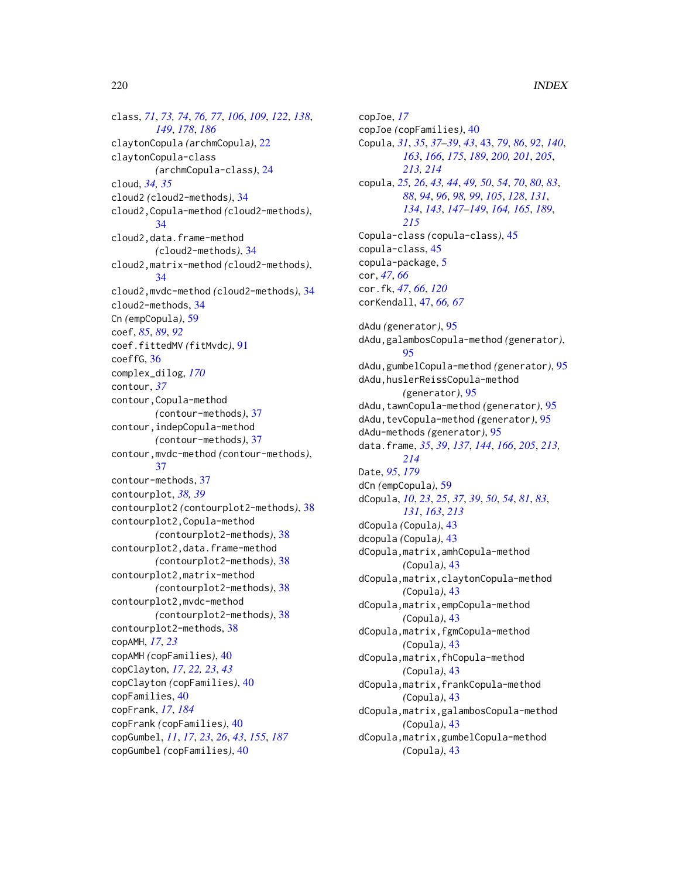class, *[71](#page-70-0)*, *[73,](#page-72-0) [74](#page-73-0)*, *[76,](#page-75-0) [77](#page-76-0)*, *[106](#page-105-0)*, *[109](#page-108-0)*, *[122](#page-121-0)*, *[138](#page-137-0)*, *[149](#page-148-0)*, *[178](#page-177-0)*, *[186](#page-185-0)* claytonCopula *(*archmCopula*)*, [22](#page-21-0) claytonCopula-class *(*archmCopula-class*)*, [24](#page-23-0) cloud, *[34,](#page-33-0) [35](#page-34-0)* cloud2 *(*cloud2-methods*)*, [34](#page-33-0) cloud2,Copula-method *(*cloud2-methods*)*, [34](#page-33-0) cloud2,data.frame-method *(*cloud2-methods*)*, [34](#page-33-0) cloud2,matrix-method *(*cloud2-methods*)*, [34](#page-33-0) cloud2,mvdc-method *(*cloud2-methods*)*, [34](#page-33-0) cloud2-methods, [34](#page-33-0) Cn *(*empCopula*)*, [59](#page-58-0) coef, *[85](#page-84-0)*, *[89](#page-88-0)*, *[92](#page-91-0)* coef.fittedMV *(*fitMvdc*)*, [91](#page-90-0) coeffG, [36](#page-35-0) complex\_dilog, *[170](#page-169-0)* contour, *[37](#page-36-0)* contour,Copula-method *(*contour-methods*)*, [37](#page-36-0) contour,indepCopula-method *(*contour-methods*)*, [37](#page-36-0) contour,mvdc-method *(*contour-methods*)*, [37](#page-36-0) contour-methods, [37](#page-36-0) contourplot, *[38,](#page-37-0) [39](#page-38-0)* contourplot2 *(*contourplot2-methods*)*, [38](#page-37-0) contourplot2,Copula-method *(*contourplot2-methods*)*, [38](#page-37-0) contourplot2,data.frame-method *(*contourplot2-methods*)*, [38](#page-37-0) contourplot2,matrix-method *(*contourplot2-methods*)*, [38](#page-37-0) contourplot2,mvdc-method *(*contourplot2-methods*)*, [38](#page-37-0) contourplot2-methods, [38](#page-37-0) copAMH, *[17](#page-16-0)*, *[23](#page-22-0)* copAMH *(*copFamilies*)*, [40](#page-39-0) copClayton, *[17](#page-16-0)*, *[22,](#page-21-0) [23](#page-22-0)*, *[43](#page-42-0)* copClayton *(*copFamilies*)*, [40](#page-39-0) copFamilies, [40](#page-39-0) copFrank, *[17](#page-16-0)*, *[184](#page-183-0)* copFrank *(*copFamilies*)*, [40](#page-39-0) copGumbel, *[11](#page-10-0)*, *[17](#page-16-0)*, *[23](#page-22-0)*, *[26](#page-25-0)*, *[43](#page-42-0)*, *[155](#page-154-0)*, *[187](#page-186-0)* copGumbel *(*copFamilies*)*, [40](#page-39-0)

copJoe, *[17](#page-16-0)* copJoe *(*copFamilies*)*, [40](#page-39-0) Copula, *[31](#page-30-0)*, *[35](#page-34-0)*, *[37](#page-36-0)[–39](#page-38-0)*, *[43](#page-42-0)*, [43,](#page-42-0) *[79](#page-78-0)*, *[86](#page-85-0)*, *[92](#page-91-0)*, *[140](#page-139-0)*, *[163](#page-162-0)*, *[166](#page-165-0)*, *[175](#page-174-0)*, *[189](#page-188-0)*, *[200,](#page-199-0) [201](#page-200-0)*, *[205](#page-204-0)*, *[213,](#page-212-0) [214](#page-213-0)* copula, *[25,](#page-24-0) [26](#page-25-0)*, *[43,](#page-42-0) [44](#page-43-0)*, *[49,](#page-48-0) [50](#page-49-0)*, *[54](#page-53-0)*, *[70](#page-69-0)*, *[80](#page-79-0)*, *[83](#page-82-0)*, *[88](#page-87-0)*, *[94](#page-93-0)*, *[96](#page-95-0)*, *[98,](#page-97-0) [99](#page-98-0)*, *[105](#page-104-0)*, *[128](#page-127-0)*, *[131](#page-130-0)*, *[134](#page-133-0)*, *[143](#page-142-0)*, *[147](#page-146-0)[–149](#page-148-0)*, *[164,](#page-163-0) [165](#page-164-0)*, *[189](#page-188-0)*, *[215](#page-214-0)* Copula-class *(*copula-class*)*, [45](#page-44-0) copula-class, [45](#page-44-0) copula-package, [5](#page-4-0) cor, *[47](#page-46-0)*, *[66](#page-65-0)* cor.fk, *[47](#page-46-0)*, *[66](#page-65-0)*, *[120](#page-119-0)* corKendall, [47,](#page-46-0) *[66,](#page-65-0) [67](#page-66-0)* dAdu *(*generator*)*, [95](#page-94-0) dAdu,galambosCopula-method *(*generator*)*, [95](#page-94-0) dAdu,gumbelCopula-method *(*generator*)*, [95](#page-94-0) dAdu,huslerReissCopula-method *(*generator*)*, [95](#page-94-0) dAdu,tawnCopula-method *(*generator*)*, [95](#page-94-0) dAdu,tevCopula-method *(*generator*)*, [95](#page-94-0) dAdu-methods *(*generator*)*, [95](#page-94-0) data.frame, *[35](#page-34-0)*, *[39](#page-38-0)*, *[137](#page-136-0)*, *[144](#page-143-0)*, *[166](#page-165-0)*, *[205](#page-204-0)*, *[213,](#page-212-0) [214](#page-213-0)* Date, *[95](#page-94-0)*, *[179](#page-178-0)* dCn *(*empCopula*)*, [59](#page-58-0) dCopula, *[10](#page-9-0)*, *[23](#page-22-0)*, *[25](#page-24-0)*, *[37](#page-36-0)*, *[39](#page-38-0)*, *[50](#page-49-0)*, *[54](#page-53-0)*, *[81](#page-80-0)*, *[83](#page-82-0)*, *[131](#page-130-0)*, *[163](#page-162-0)*, *[213](#page-212-0)* dCopula *(*Copula*)*, [43](#page-42-0) dcopula *(*Copula*)*, [43](#page-42-0) dCopula,matrix,amhCopula-method *(*Copula*)*, [43](#page-42-0) dCopula,matrix,claytonCopula-method *(*Copula*)*, [43](#page-42-0) dCopula,matrix,empCopula-method *(*Copula*)*, [43](#page-42-0) dCopula,matrix,fgmCopula-method *(*Copula*)*, [43](#page-42-0) dCopula,matrix,fhCopula-method *(*Copula*)*, [43](#page-42-0) dCopula,matrix,frankCopula-method *(*Copula*)*, [43](#page-42-0) dCopula,matrix,galambosCopula-method *(*Copula*)*, [43](#page-42-0) dCopula,matrix,gumbelCopula-method *(*Copula*)*, [43](#page-42-0)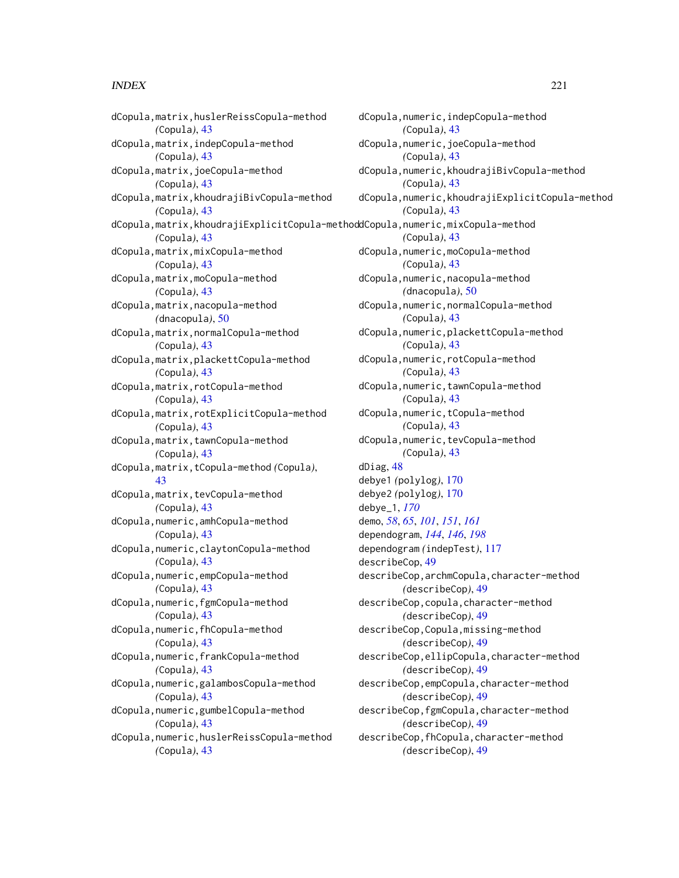dCopula,matrix,huslerReissCopula-method *(*Copula*)*, [43](#page-42-0) dCopula,matrix,indepCopula-method *(*Copula*)*, [43](#page-42-0) dCopula,matrix,joeCopula-method *(*Copula*)*, [43](#page-42-0) dCopula,matrix,khoudrajiBivCopula-method *(*Copula*)*, [43](#page-42-0) dCopula,matrix,khoudrajiExplicitCopula-method dCopula,numeric,mixCopula-method *(*Copula*)*, [43](#page-42-0) dCopula,matrix,mixCopula-method *(*Copula*)*, [43](#page-42-0) dCopula,matrix,moCopula-method *(*Copula*)*, [43](#page-42-0) dCopula,matrix,nacopula-method *(*dnacopula*)*, [50](#page-49-0) dCopula,matrix,normalCopula-method *(*Copula*)*, [43](#page-42-0) dCopula,matrix,plackettCopula-method *(*Copula*)*, [43](#page-42-0) dCopula,matrix,rotCopula-method *(*Copula*)*, [43](#page-42-0) dCopula,matrix,rotExplicitCopula-method *(*Copula*)*, [43](#page-42-0) dCopula,matrix,tawnCopula-method *(*Copula*)*, [43](#page-42-0) dCopula,matrix,tCopula-method *(*Copula*)*, [43](#page-42-0) dCopula,matrix,tevCopula-method *(*Copula*)*, [43](#page-42-0) dCopula,numeric,amhCopula-method *(*Copula*)*, [43](#page-42-0) dCopula,numeric,claytonCopula-method *(*Copula*)*, [43](#page-42-0) dCopula,numeric,empCopula-method *(*Copula*)*, [43](#page-42-0) dCopula,numeric,fgmCopula-method *(*Copula*)*, [43](#page-42-0) dCopula,numeric,fhCopula-method *(*Copula*)*, [43](#page-42-0) dCopula,numeric,frankCopula-method *(*Copula*)*, [43](#page-42-0) dCopula,numeric,galambosCopula-method *(*Copula*)*, [43](#page-42-0) dCopula,numeric,gumbelCopula-method *(*Copula*)*, [43](#page-42-0) dCopula,numeric,huslerReissCopula-method *(*Copula*)*, [43](#page-42-0)

dCopula,numeric,indepCopula-method *(*Copula*)*, [43](#page-42-0) dCopula,numeric,joeCopula-method *(*Copula*)*, [43](#page-42-0) dCopula,numeric,khoudrajiBivCopula-method *(*Copula*)*, [43](#page-42-0) dCopula,numeric,khoudrajiExplicitCopula-method *(*Copula*)*, [43](#page-42-0) *(*Copula*)*, [43](#page-42-0) dCopula,numeric,moCopula-method *(*Copula*)*, [43](#page-42-0) dCopula,numeric,nacopula-method *(*dnacopula*)*, [50](#page-49-0) dCopula,numeric,normalCopula-method *(*Copula*)*, [43](#page-42-0) dCopula,numeric,plackettCopula-method *(*Copula*)*, [43](#page-42-0) dCopula,numeric,rotCopula-method *(*Copula*)*, [43](#page-42-0) dCopula,numeric,tawnCopula-method *(*Copula*)*, [43](#page-42-0) dCopula,numeric,tCopula-method *(*Copula*)*, [43](#page-42-0) dCopula,numeric,tevCopula-method *(*Copula*)*, [43](#page-42-0) dDiag, [48](#page-47-0) debye1 *(*polylog*)*, [170](#page-169-0) debye2 *(*polylog*)*, [170](#page-169-0) debye\_1, *[170](#page-169-0)* demo, *[58](#page-57-0)*, *[65](#page-64-0)*, *[101](#page-100-0)*, *[151](#page-150-0)*, *[161](#page-160-0)* dependogram, *[144](#page-143-0)*, *[146](#page-145-0)*, *[198](#page-197-0)* dependogram *(*indepTest*)*, [117](#page-116-0) describeCop, [49](#page-48-0) describeCop,archmCopula,character-method *(*describeCop*)*, [49](#page-48-0) describeCop,copula,character-method *(*describeCop*)*, [49](#page-48-0) describeCop,Copula,missing-method *(*describeCop*)*, [49](#page-48-0) describeCop,ellipCopula,character-method *(*describeCop*)*, [49](#page-48-0) describeCop,empCopula,character-method *(*describeCop*)*, [49](#page-48-0) describeCop,fgmCopula,character-method *(*describeCop*)*, [49](#page-48-0) describeCop,fhCopula,character-method *(*describeCop*)*, [49](#page-48-0)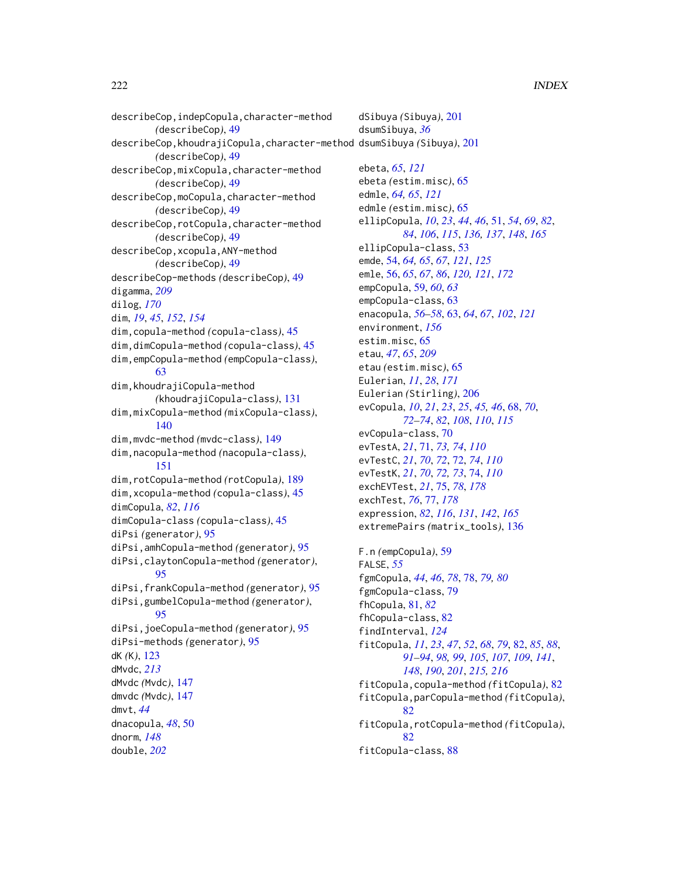describeCop,indepCopula,character-method *(*describeCop*)*, [49](#page-48-0) describeCop,khoudrajiCopula,character-method dsumSibuya *(*Sibuya*)*, [201](#page-200-0) *(*describeCop*)*, [49](#page-48-0) describeCop,mixCopula,character-method *(*describeCop*)*, [49](#page-48-0) describeCop,moCopula,character-method *(*describeCop*)*, [49](#page-48-0) describeCop,rotCopula,character-method *(*describeCop*)*, [49](#page-48-0) describeCop,xcopula,ANY-method *(*describeCop*)*, [49](#page-48-0) describeCop-methods *(*describeCop*)*, [49](#page-48-0) digamma, *[209](#page-208-0)* dilog, *[170](#page-169-0)* dim, *[19](#page-18-0)*, *[45](#page-44-0)*, *[152](#page-151-0)*, *[154](#page-153-0)* dim,copula-method *(*copula-class*)*, [45](#page-44-0) dim,dimCopula-method *(*copula-class*)*, [45](#page-44-0) dim,empCopula-method *(*empCopula-class*)*, [63](#page-62-0) dim,khoudrajiCopula-method *(*khoudrajiCopula-class*)*, [131](#page-130-0) dim,mixCopula-method *(*mixCopula-class*)*, [140](#page-139-0) dim,mvdc-method *(*mvdc-class*)*, [149](#page-148-0) dim,nacopula-method *(*nacopula-class*)*, [151](#page-150-0) dim,rotCopula-method *(*rotCopula*)*, [189](#page-188-0) dim,xcopula-method *(*copula-class*)*, [45](#page-44-0) dimCopula, *[82](#page-81-0)*, *[116](#page-115-0)* dimCopula-class *(*copula-class*)*, [45](#page-44-0) diPsi *(*generator*)*, [95](#page-94-0) diPsi,amhCopula-method *(*generator*)*, [95](#page-94-0) diPsi,claytonCopula-method *(*generator*)*, [95](#page-94-0) diPsi,frankCopula-method *(*generator*)*, [95](#page-94-0) diPsi,gumbelCopula-method *(*generator*)*, [95](#page-94-0) diPsi,joeCopula-method *(*generator*)*, [95](#page-94-0) diPsi-methods *(*generator*)*, [95](#page-94-0) dK *(*K*)*, [123](#page-122-0) dMvdc, *[213](#page-212-0)* dMvdc *(*Mvdc*)*, [147](#page-146-0) dmvdc *(*Mvdc*)*, [147](#page-146-0) dmvt, *[44](#page-43-0)* dnacopula, *[48](#page-47-0)*, [50](#page-49-0) dnorm, *[148](#page-147-0)* double, *[202](#page-201-0)*

dSibuya *(*Sibuya*)*, [201](#page-200-0) dsumSibuya, *[36](#page-35-0)* ebeta, *[65](#page-64-0)*, *[121](#page-120-0)* ebeta *(*estim.misc*)*, [65](#page-64-0) edmle, *[64,](#page-63-0) [65](#page-64-0)*, *[121](#page-120-0)* edmle *(*estim.misc*)*, [65](#page-64-0) ellipCopula, *[10](#page-9-0)*, *[23](#page-22-0)*, *[44](#page-43-0)*, *[46](#page-45-0)*, [51,](#page-50-0) *[54](#page-53-0)*, *[69](#page-68-0)*, *[82](#page-81-0)*, *[84](#page-83-0)*, *[106](#page-105-0)*, *[115](#page-114-0)*, *[136,](#page-135-0) [137](#page-136-0)*, *[148](#page-147-0)*, *[165](#page-164-0)* ellipCopula-class, [53](#page-52-0) emde, [54,](#page-53-0) *[64,](#page-63-0) [65](#page-64-0)*, *[67](#page-66-0)*, *[121](#page-120-0)*, *[125](#page-124-0)* emle, [56,](#page-55-0) *[65](#page-64-0)*, *[67](#page-66-0)*, *[86](#page-85-0)*, *[120,](#page-119-0) [121](#page-120-0)*, *[172](#page-171-0)* empCopula, [59,](#page-58-0) *[60](#page-59-0)*, *[63](#page-62-0)* empCopula-class, [63](#page-62-0) enacopula, *[56](#page-55-0)[–58](#page-57-0)*, [63,](#page-62-0) *[64](#page-63-0)*, *[67](#page-66-0)*, *[102](#page-101-0)*, *[121](#page-120-0)* environment, *[156](#page-155-0)* estim.misc, [65](#page-64-0) etau, *[47](#page-46-0)*, *[65](#page-64-0)*, *[209](#page-208-0)* etau *(*estim.misc*)*, [65](#page-64-0) Eulerian, *[11](#page-10-0)*, *[28](#page-27-0)*, *[171](#page-170-0)* Eulerian *(*Stirling*)*, [206](#page-205-0) evCopula, *[10](#page-9-0)*, *[21](#page-20-0)*, *[23](#page-22-0)*, *[25](#page-24-0)*, *[45,](#page-44-0) [46](#page-45-0)*, [68,](#page-67-0) *[70](#page-69-0)*, *[72](#page-71-0)[–74](#page-73-0)*, *[82](#page-81-0)*, *[108](#page-107-0)*, *[110](#page-109-0)*, *[115](#page-114-0)* evCopula-class, [70](#page-69-0) evTestA, *[21](#page-20-0)*, [71,](#page-70-0) *[73,](#page-72-0) [74](#page-73-0)*, *[110](#page-109-0)* evTestC, *[21](#page-20-0)*, *[70](#page-69-0)*, *[72](#page-71-0)*, [72,](#page-71-0) *[74](#page-73-0)*, *[110](#page-109-0)* evTestK, *[21](#page-20-0)*, *[70](#page-69-0)*, *[72,](#page-71-0) [73](#page-72-0)*, [74,](#page-73-0) *[110](#page-109-0)* exchEVTest, *[21](#page-20-0)*, [75,](#page-74-0) *[78](#page-77-0)*, *[178](#page-177-0)* exchTest, *[76](#page-75-0)*, [77,](#page-76-0) *[178](#page-177-0)* expression, *[82](#page-81-0)*, *[116](#page-115-0)*, *[131](#page-130-0)*, *[142](#page-141-0)*, *[165](#page-164-0)* extremePairs *(*matrix\_tools*)*, [136](#page-135-0) F.n *(*empCopula*)*, [59](#page-58-0) FALSE, *[55](#page-54-0)* fgmCopula, *[44](#page-43-0)*, *[46](#page-45-0)*, *[78](#page-77-0)*, [78,](#page-77-0) *[79,](#page-78-0) [80](#page-79-0)* fgmCopula-class, [79](#page-78-0) fhCopula, [81,](#page-80-0) *[82](#page-81-0)* fhCopula-class, [82](#page-81-0) findInterval, *[124](#page-123-0)* fitCopula, *[11](#page-10-0)*, *[23](#page-22-0)*, *[47](#page-46-0)*, *[52](#page-51-0)*, *[68](#page-67-0)*, *[79](#page-78-0)*, [82,](#page-81-0) *[85](#page-84-0)*, *[88](#page-87-0)*, *[91](#page-90-0)[–94](#page-93-0)*, *[98,](#page-97-0) [99](#page-98-0)*, *[105](#page-104-0)*, *[107](#page-106-0)*, *[109](#page-108-0)*, *[141](#page-140-0)*, *[148](#page-147-0)*, *[190](#page-189-0)*, *[201](#page-200-0)*, *[215,](#page-214-0) [216](#page-215-0)* fitCopula,copula-method *(*fitCopula*)*, [82](#page-81-0) fitCopula,parCopula-method *(*fitCopula*)*, [82](#page-81-0) fitCopula,rotCopula-method *(*fitCopula*)*, [82](#page-81-0) fitCopula-class, [88](#page-87-0)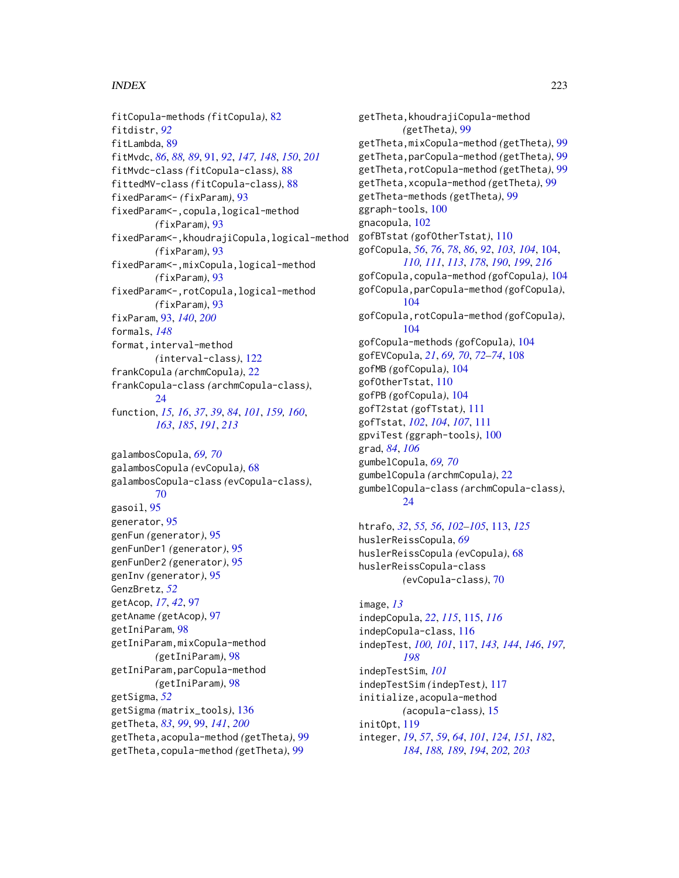fitCopula-methods *(*fitCopula*)*, [82](#page-81-0) fitdistr, *[92](#page-91-0)* fitLambda, [89](#page-88-0) fitMvdc, *[86](#page-85-0)*, *[88,](#page-87-0) [89](#page-88-0)*, [91,](#page-90-0) *[92](#page-91-0)*, *[147,](#page-146-0) [148](#page-147-0)*, *[150](#page-149-0)*, *[201](#page-200-0)* fitMvdc-class *(*fitCopula-class*)*, [88](#page-87-0) fittedMV-class *(*fitCopula-class*)*, [88](#page-87-0) fixedParam<- *(*fixParam*)*, [93](#page-92-0) fixedParam<-,copula,logical-method *(*fixParam*)*, [93](#page-92-0) fixedParam<-,khoudrajiCopula,logical-method *(*fixParam*)*, [93](#page-92-0) fixedParam<-,mixCopula,logical-method *(*fixParam*)*, [93](#page-92-0) fixedParam<-,rotCopula,logical-method *(*fixParam*)*, [93](#page-92-0) fixParam, [93,](#page-92-0) *[140](#page-139-0)*, *[200](#page-199-0)* formals, *[148](#page-147-0)* format,interval-method *(*interval-class*)*, [122](#page-121-0) frankCopula *(*archmCopula*)*, [22](#page-21-0) frankCopula-class *(*archmCopula-class*)*, [24](#page-23-0) function, *[15,](#page-14-0) [16](#page-15-0)*, *[37](#page-36-0)*, *[39](#page-38-0)*, *[84](#page-83-0)*, *[101](#page-100-0)*, *[159,](#page-158-0) [160](#page-159-0)*, *[163](#page-162-0)*, *[185](#page-184-0)*, *[191](#page-190-0)*, *[213](#page-212-0)*

galambosCopula, *[69,](#page-68-0) [70](#page-69-0)* galambosCopula *(*evCopula*)*, [68](#page-67-0) galambosCopula-class *(*evCopula-class*)*, [70](#page-69-0) gasoil, [95](#page-94-0) generator, [95](#page-94-0) genFun *(*generator*)*, [95](#page-94-0) genFunDer1 *(*generator*)*, [95](#page-94-0) genFunDer2 *(*generator*)*, [95](#page-94-0) genInv *(*generator*)*, [95](#page-94-0) GenzBretz, *[52](#page-51-0)* getAcop, *[17](#page-16-0)*, *[42](#page-41-0)*, [97](#page-96-0) getAname *(*getAcop*)*, [97](#page-96-0) getIniParam, [98](#page-97-0) getIniParam,mixCopula-method *(*getIniParam*)*, [98](#page-97-0) getIniParam,parCopula-method *(*getIniParam*)*, [98](#page-97-0) getSigma, *[52](#page-51-0)* getSigma *(*matrix\_tools*)*, [136](#page-135-0) getTheta, *[83](#page-82-0)*, *[99](#page-98-0)*, [99,](#page-98-0) *[141](#page-140-0)*, *[200](#page-199-0)* getTheta,acopula-method *(*getTheta*)*, [99](#page-98-0) getTheta,copula-method *(*getTheta*)*, [99](#page-98-0)

getTheta,khoudrajiCopula-method *(*getTheta*)*, [99](#page-98-0) getTheta,mixCopula-method *(*getTheta*)*, [99](#page-98-0) getTheta,parCopula-method *(*getTheta*)*, [99](#page-98-0) getTheta,rotCopula-method *(*getTheta*)*, [99](#page-98-0) getTheta,xcopula-method *(*getTheta*)*, [99](#page-98-0) getTheta-methods *(*getTheta*)*, [99](#page-98-0) ggraph-tools, [100](#page-99-0) gnacopula, [102](#page-101-0) gofBTstat *(*gofOtherTstat*)*, [110](#page-109-0) gofCopula, *[56](#page-55-0)*, *[76](#page-75-0)*, *[78](#page-77-0)*, *[86](#page-85-0)*, *[92](#page-91-0)*, *[103,](#page-102-0) [104](#page-103-0)*, [104,](#page-103-0) *[110,](#page-109-0) [111](#page-110-0)*, *[113](#page-112-0)*, *[178](#page-177-0)*, *[190](#page-189-0)*, *[199](#page-198-0)*, *[216](#page-215-0)* gofCopula,copula-method *(*gofCopula*)*, [104](#page-103-0) gofCopula,parCopula-method *(*gofCopula*)*, [104](#page-103-0) gofCopula,rotCopula-method *(*gofCopula*)*, [104](#page-103-0) gofCopula-methods *(*gofCopula*)*, [104](#page-103-0) gofEVCopula, *[21](#page-20-0)*, *[69,](#page-68-0) [70](#page-69-0)*, *[72](#page-71-0)[–74](#page-73-0)*, [108](#page-107-0) gofMB *(*gofCopula*)*, [104](#page-103-0) gofOtherTstat, [110](#page-109-0) gofPB *(*gofCopula*)*, [104](#page-103-0) gofT2stat *(*gofTstat*)*, [111](#page-110-0) gofTstat, *[102](#page-101-0)*, *[104](#page-103-0)*, *[107](#page-106-0)*, [111](#page-110-0) gpviTest *(*ggraph-tools*)*, [100](#page-99-0) grad, *[84](#page-83-0)*, *[106](#page-105-0)* gumbelCopula, *[69,](#page-68-0) [70](#page-69-0)* gumbelCopula *(*archmCopula*)*, [22](#page-21-0) gumbelCopula-class *(*archmCopula-class*)*, [24](#page-23-0)

```
htrafo, 32, 55, 56, 102–105, 113, 125
huslerReissCopula, 69
huslerReissCopula (evCopula), 68
huslerReissCopula-class
        (evCopula-class), 70
```
image, *[13](#page-12-0)* indepCopula, *[22](#page-21-0)*, *[115](#page-114-0)*, [115,](#page-114-0) *[116](#page-115-0)* indepCopula-class, [116](#page-115-0) indepTest, *[100,](#page-99-0) [101](#page-100-0)*, [117,](#page-116-0) *[143,](#page-142-0) [144](#page-143-0)*, *[146](#page-145-0)*, *[197,](#page-196-0) [198](#page-197-0)* indepTestSim, *[101](#page-100-0)* indepTestSim *(*indepTest*)*, [117](#page-116-0) initialize,acopula-method *(*acopula-class*)*, [15](#page-14-0) initOpt, [119](#page-118-0) integer, *[19](#page-18-0)*, *[57](#page-56-0)*, *[59](#page-58-0)*, *[64](#page-63-0)*, *[101](#page-100-0)*, *[124](#page-123-0)*, *[151](#page-150-0)*, *[182](#page-181-0)*, *[184](#page-183-0)*, *[188,](#page-187-0) [189](#page-188-0)*, *[194](#page-193-0)*, *[202,](#page-201-0) [203](#page-202-0)*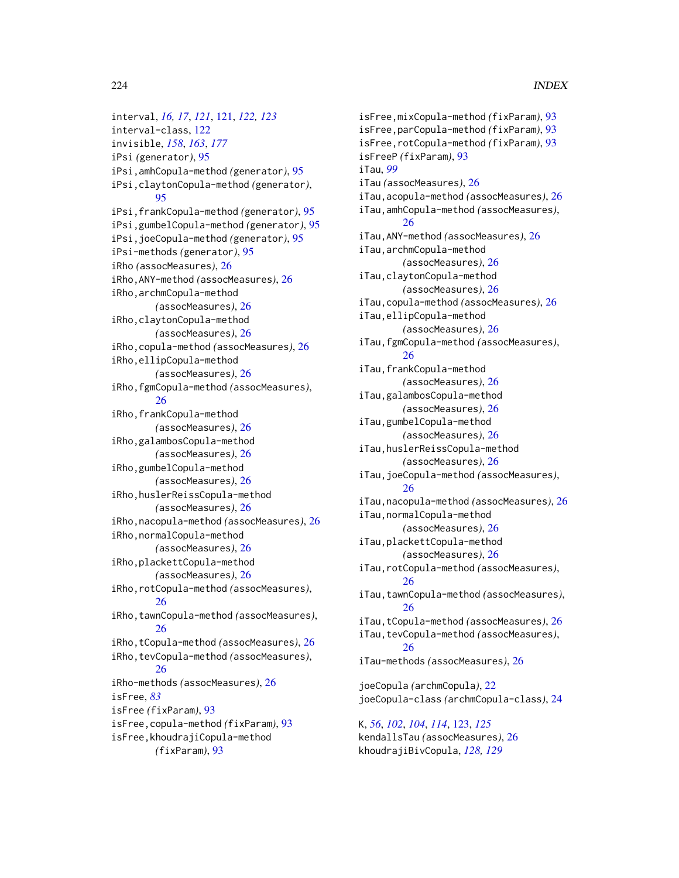interval, *[16,](#page-15-0) [17](#page-16-0)*, *[121](#page-120-0)*, [121,](#page-120-0) *[122,](#page-121-0) [123](#page-122-0)* interval-class, [122](#page-121-0) invisible, *[158](#page-157-0)*, *[163](#page-162-0)*, *[177](#page-176-0)* iPsi *(*generator*)*, [95](#page-94-0) iPsi,amhCopula-method *(*generator*)*, [95](#page-94-0) iPsi,claytonCopula-method *(*generator*)*, [95](#page-94-0) iPsi,frankCopula-method *(*generator*)*, [95](#page-94-0) iPsi,gumbelCopula-method *(*generator*)*, [95](#page-94-0) iPsi,joeCopula-method *(*generator*)*, [95](#page-94-0) iPsi-methods *(*generator*)*, [95](#page-94-0) iRho *(*assocMeasures*)*, [26](#page-25-0) iRho,ANY-method *(*assocMeasures*)*, [26](#page-25-0) iRho,archmCopula-method *(*assocMeasures*)*, [26](#page-25-0) iRho,claytonCopula-method *(*assocMeasures*)*, [26](#page-25-0) iRho,copula-method *(*assocMeasures*)*, [26](#page-25-0) iRho,ellipCopula-method *(*assocMeasures*)*, [26](#page-25-0) iRho,fgmCopula-method *(*assocMeasures*)*, [26](#page-25-0) iRho,frankCopula-method *(*assocMeasures*)*, [26](#page-25-0) iRho,galambosCopula-method *(*assocMeasures*)*, [26](#page-25-0) iRho,gumbelCopula-method *(*assocMeasures*)*, [26](#page-25-0) iRho,huslerReissCopula-method *(*assocMeasures*)*, [26](#page-25-0) iRho,nacopula-method *(*assocMeasures*)*, [26](#page-25-0) iRho, normalCopula-method *(*assocMeasures*)*, [26](#page-25-0) iRho,plackettCopula-method *(*assocMeasures*)*, [26](#page-25-0) iRho,rotCopula-method *(*assocMeasures*)*, [26](#page-25-0) iRho,tawnCopula-method *(*assocMeasures*)*, [26](#page-25-0) iRho,tCopula-method *(*assocMeasures*)*, [26](#page-25-0) iRho,tevCopula-method *(*assocMeasures*)*, [26](#page-25-0) iRho-methods *(*assocMeasures*)*, [26](#page-25-0) isFree, *[83](#page-82-0)* isFree *(*fixParam*)*, [93](#page-92-0) isFree,copula-method *(*fixParam*)*, [93](#page-92-0) isFree,khoudrajiCopula-method *(*fixParam*)*, [93](#page-92-0)

isFree,mixCopula-method *(*fixParam*)*, [93](#page-92-0) isFree,parCopula-method *(*fixParam*)*, [93](#page-92-0) isFree,rotCopula-method *(*fixParam*)*, [93](#page-92-0) isFreeP *(*fixParam*)*, [93](#page-92-0) iTau, *[99](#page-98-0)* iTau *(*assocMeasures*)*, [26](#page-25-0) iTau,acopula-method *(*assocMeasures*)*, [26](#page-25-0) iTau,amhCopula-method *(*assocMeasures*)*, [26](#page-25-0) iTau,ANY-method *(*assocMeasures*)*, [26](#page-25-0) iTau,archmCopula-method *(*assocMeasures*)*, [26](#page-25-0) iTau,claytonCopula-method *(*assocMeasures*)*, [26](#page-25-0) iTau,copula-method *(*assocMeasures*)*, [26](#page-25-0) iTau,ellipCopula-method *(*assocMeasures*)*, [26](#page-25-0) iTau,fgmCopula-method *(*assocMeasures*)*, [26](#page-25-0) iTau,frankCopula-method *(*assocMeasures*)*, [26](#page-25-0) iTau,galambosCopula-method *(*assocMeasures*)*, [26](#page-25-0) iTau,gumbelCopula-method *(*assocMeasures*)*, [26](#page-25-0) iTau,huslerReissCopula-method *(*assocMeasures*)*, [26](#page-25-0) iTau,joeCopula-method *(*assocMeasures*)*, [26](#page-25-0) iTau,nacopula-method *(*assocMeasures*)*, [26](#page-25-0) iTau,normalCopula-method *(*assocMeasures*)*, [26](#page-25-0) iTau,plackettCopula-method *(*assocMeasures*)*, [26](#page-25-0) iTau,rotCopula-method *(*assocMeasures*)*, [26](#page-25-0) iTau,tawnCopula-method *(*assocMeasures*)*, [26](#page-25-0) iTau,tCopula-method *(*assocMeasures*)*, [26](#page-25-0) iTau,tevCopula-method *(*assocMeasures*)*, [26](#page-25-0) iTau-methods *(*assocMeasures*)*, [26](#page-25-0) joeCopula *(*archmCopula*)*, [22](#page-21-0) joeCopula-class *(*archmCopula-class*)*, [24](#page-23-0) K, *[56](#page-55-0)*, *[102](#page-101-0)*, *[104](#page-103-0)*, *[114](#page-113-0)*, [123,](#page-122-0) *[125](#page-124-0)*

kendallsTau *(*assocMeasures*)*, [26](#page-25-0) khoudrajiBivCopula, *[128,](#page-127-0) [129](#page-128-0)*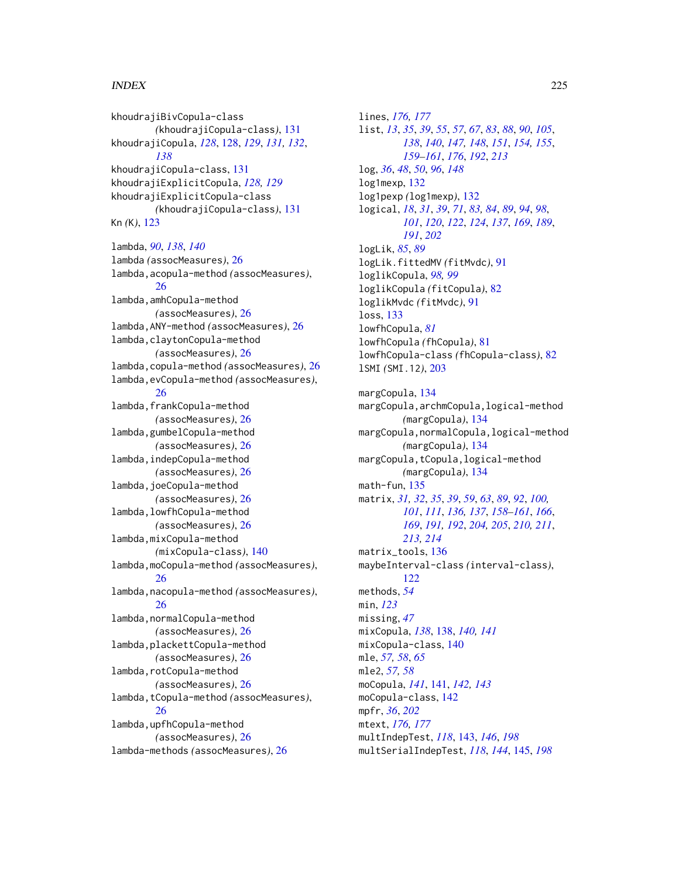khoudrajiBivCopula-class *(*khoudrajiCopula-class*)*, [131](#page-130-0) khoudrajiCopula, *[128](#page-127-0)*, [128,](#page-127-0) *[129](#page-128-0)*, *[131,](#page-130-0) [132](#page-131-0)*, *[138](#page-137-0)* khoudrajiCopula-class, [131](#page-130-0) khoudrajiExplicitCopula, *[128,](#page-127-0) [129](#page-128-0)* khoudrajiExplicitCopula-class *(*khoudrajiCopula-class*)*, [131](#page-130-0) Kn *(*K*)*, [123](#page-122-0)

lambda, *[90](#page-89-0)*, *[138](#page-137-0)*, *[140](#page-139-0)* lambda *(*assocMeasures*)*, [26](#page-25-0) lambda,acopula-method *(*assocMeasures*)*, [26](#page-25-0) lambda,amhCopula-method *(*assocMeasures*)*, [26](#page-25-0) lambda,ANY-method *(*assocMeasures*)*, [26](#page-25-0) lambda,claytonCopula-method *(*assocMeasures*)*, [26](#page-25-0) lambda,copula-method *(*assocMeasures*)*, [26](#page-25-0) lambda,evCopula-method *(*assocMeasures*)*, [26](#page-25-0) lambda,frankCopula-method *(*assocMeasures*)*, [26](#page-25-0) lambda,gumbelCopula-method *(*assocMeasures*)*, [26](#page-25-0) lambda,indepCopula-method *(*assocMeasures*)*, [26](#page-25-0) lambda,joeCopula-method *(*assocMeasures*)*, [26](#page-25-0) lambda,lowfhCopula-method *(*assocMeasures*)*, [26](#page-25-0) lambda,mixCopula-method *(*mixCopula-class*)*, [140](#page-139-0) lambda,moCopula-method *(*assocMeasures*)*, [26](#page-25-0) lambda,nacopula-method *(*assocMeasures*)*, [26](#page-25-0) lambda,normalCopula-method *(*assocMeasures*)*, [26](#page-25-0) lambda,plackettCopula-method *(*assocMeasures*)*, [26](#page-25-0) lambda,rotCopula-method *(*assocMeasures*)*, [26](#page-25-0) lambda,tCopula-method *(*assocMeasures*)*, [26](#page-25-0) lambda,upfhCopula-method *(*assocMeasures*)*, [26](#page-25-0) lambda-methods *(*assocMeasures*)*, [26](#page-25-0)

lines, *[176,](#page-175-0) [177](#page-176-0)* list, *[13](#page-12-0)*, *[35](#page-34-0)*, *[39](#page-38-0)*, *[55](#page-54-0)*, *[57](#page-56-0)*, *[67](#page-66-0)*, *[83](#page-82-0)*, *[88](#page-87-0)*, *[90](#page-89-0)*, *[105](#page-104-0)*, *[138](#page-137-0)*, *[140](#page-139-0)*, *[147,](#page-146-0) [148](#page-147-0)*, *[151](#page-150-0)*, *[154,](#page-153-0) [155](#page-154-0)*, *[159](#page-158-0)[–161](#page-160-0)*, *[176](#page-175-0)*, *[192](#page-191-0)*, *[213](#page-212-0)* log, *[36](#page-35-0)*, *[48](#page-47-0)*, *[50](#page-49-0)*, *[96](#page-95-0)*, *[148](#page-147-0)* log1mexp, [132](#page-131-0) log1pexp *(*log1mexp*)*, [132](#page-131-0) logical, *[18](#page-17-0)*, *[31](#page-30-0)*, *[39](#page-38-0)*, *[71](#page-70-0)*, *[83,](#page-82-0) [84](#page-83-0)*, *[89](#page-88-0)*, *[94](#page-93-0)*, *[98](#page-97-0)*, *[101](#page-100-0)*, *[120](#page-119-0)*, *[122](#page-121-0)*, *[124](#page-123-0)*, *[137](#page-136-0)*, *[169](#page-168-0)*, *[189](#page-188-0)*, *[191](#page-190-0)*, *[202](#page-201-0)* logLik, *[85](#page-84-0)*, *[89](#page-88-0)* logLik.fittedMV *(*fitMvdc*)*, [91](#page-90-0) loglikCopula, *[98,](#page-97-0) [99](#page-98-0)* loglikCopula *(*fitCopula*)*, [82](#page-81-0) loglikMvdc *(*fitMvdc*)*, [91](#page-90-0) loss, [133](#page-132-0) lowfhCopula, *[81](#page-80-0)* lowfhCopula *(*fhCopula*)*, [81](#page-80-0) lowfhCopula-class *(*fhCopula-class*)*, [82](#page-81-0) lSMI *(*SMI.12*)*, [203](#page-202-0) margCopula, [134](#page-133-0) margCopula,archmCopula,logical-method *(*margCopula*)*, [134](#page-133-0) margCopula,normalCopula,logical-method *(*margCopula*)*, [134](#page-133-0) margCopula,tCopula,logical-method *(*margCopula*)*, [134](#page-133-0) math-fun, [135](#page-134-0) matrix, *[31,](#page-30-0) [32](#page-31-0)*, *[35](#page-34-0)*, *[39](#page-38-0)*, *[59](#page-58-0)*, *[63](#page-62-0)*, *[89](#page-88-0)*, *[92](#page-91-0)*, *[100,](#page-99-0) [101](#page-100-0)*, *[111](#page-110-0)*, *[136,](#page-135-0) [137](#page-136-0)*, *[158](#page-157-0)[–161](#page-160-0)*, *[166](#page-165-0)*, *[169](#page-168-0)*, *[191,](#page-190-0) [192](#page-191-0)*, *[204,](#page-203-0) [205](#page-204-0)*, *[210,](#page-209-0) [211](#page-210-0)*, *[213,](#page-212-0) [214](#page-213-0)* matrix\_tools, [136](#page-135-0) maybeInterval-class *(*interval-class*)*, [122](#page-121-0) methods, *[54](#page-53-0)* min, *[123](#page-122-0)* missing, *[47](#page-46-0)* mixCopula, *[138](#page-137-0)*, [138,](#page-137-0) *[140,](#page-139-0) [141](#page-140-0)* mixCopula-class, [140](#page-139-0) mle, *[57,](#page-56-0) [58](#page-57-0)*, *[65](#page-64-0)* mle2, *[57,](#page-56-0) [58](#page-57-0)* moCopula, *[141](#page-140-0)*, [141,](#page-140-0) *[142,](#page-141-0) [143](#page-142-0)* moCopula-class, [142](#page-141-0) mpfr, *[36](#page-35-0)*, *[202](#page-201-0)* mtext, *[176,](#page-175-0) [177](#page-176-0)* multIndepTest, *[118](#page-117-0)*, [143,](#page-142-0) *[146](#page-145-0)*, *[198](#page-197-0)* multSerialIndepTest, *[118](#page-117-0)*, *[144](#page-143-0)*, [145,](#page-144-0) *[198](#page-197-0)*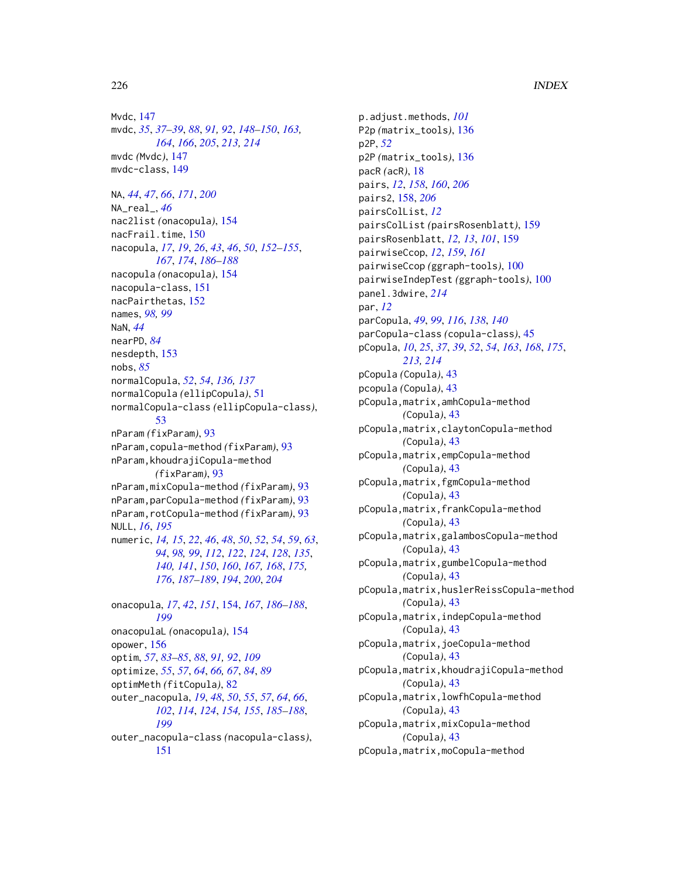Mvdc, [147](#page-146-0) mvdc, *[35](#page-34-0)*, *[37](#page-36-0)[–39](#page-38-0)*, *[88](#page-87-0)*, *[91,](#page-90-0) [92](#page-91-0)*, *[148–](#page-147-0)[150](#page-149-0)*, *[163,](#page-162-0) [164](#page-163-0)*, *[166](#page-165-0)*, *[205](#page-204-0)*, *[213,](#page-212-0) [214](#page-213-0)* mvdc *(*Mvdc*)*, [147](#page-146-0) mvdc-class, [149](#page-148-0)

NA, *[44](#page-43-0)*, *[47](#page-46-0)*, *[66](#page-65-0)*, *[171](#page-170-0)*, *[200](#page-199-0)* NA\_real\_, *[46](#page-45-0)* nac2list *(*onacopula*)*, [154](#page-153-0) nacFrail.time, [150](#page-149-0) nacopula, *[17](#page-16-0)*, *[19](#page-18-0)*, *[26](#page-25-0)*, *[43](#page-42-0)*, *[46](#page-45-0)*, *[50](#page-49-0)*, *[152–](#page-151-0)[155](#page-154-0)*, *[167](#page-166-0)*, *[174](#page-173-0)*, *[186–](#page-185-0)[188](#page-187-0)* nacopula *(*onacopula*)*, [154](#page-153-0) nacopula-class, [151](#page-150-0) nacPairthetas, [152](#page-151-0) names, *[98,](#page-97-0) [99](#page-98-0)* NaN, *[44](#page-43-0)* nearPD, *[84](#page-83-0)* nesdepth, [153](#page-152-0) nobs, *[85](#page-84-0)* normalCopula, *[52](#page-51-0)*, *[54](#page-53-0)*, *[136,](#page-135-0) [137](#page-136-0)* normalCopula *(*ellipCopula*)*, [51](#page-50-0) normalCopula-class *(*ellipCopula-class*)*, [53](#page-52-0) nParam *(*fixParam*)*, [93](#page-92-0) nParam,copula-method *(*fixParam*)*, [93](#page-92-0) nParam,khoudrajiCopula-method *(*fixParam*)*, [93](#page-92-0) nParam,mixCopula-method *(*fixParam*)*, [93](#page-92-0) nParam,parCopula-method *(*fixParam*)*, [93](#page-92-0) nParam,rotCopula-method *(*fixParam*)*, [93](#page-92-0) NULL, *[16](#page-15-0)*, *[195](#page-194-0)* numeric, *[14,](#page-13-0) [15](#page-14-0)*, *[22](#page-21-0)*, *[46](#page-45-0)*, *[48](#page-47-0)*, *[50](#page-49-0)*, *[52](#page-51-0)*, *[54](#page-53-0)*, *[59](#page-58-0)*, *[63](#page-62-0)*, *[94](#page-93-0)*, *[98,](#page-97-0) [99](#page-98-0)*, *[112](#page-111-0)*, *[122](#page-121-0)*, *[124](#page-123-0)*, *[128](#page-127-0)*, *[135](#page-134-0)*, *[140,](#page-139-0) [141](#page-140-0)*, *[150](#page-149-0)*, *[160](#page-159-0)*, *[167,](#page-166-0) [168](#page-167-0)*, *[175,](#page-174-0) [176](#page-175-0)*, *[187](#page-186-0)[–189](#page-188-0)*, *[194](#page-193-0)*, *[200](#page-199-0)*, *[204](#page-203-0)* onacopula, *[17](#page-16-0)*, *[42](#page-41-0)*, *[151](#page-150-0)*, [154,](#page-153-0) *[167](#page-166-0)*, *[186–](#page-185-0)[188](#page-187-0)*, *[199](#page-198-0)* onacopulaL *(*onacopula*)*, [154](#page-153-0)

opower, [156](#page-155-0) optim, *[57](#page-56-0)*, *[83](#page-82-0)[–85](#page-84-0)*, *[88](#page-87-0)*, *[91,](#page-90-0) [92](#page-91-0)*, *[109](#page-108-0)* optimize, *[55](#page-54-0)*, *[57](#page-56-0)*, *[64](#page-63-0)*, *[66,](#page-65-0) [67](#page-66-0)*, *[84](#page-83-0)*, *[89](#page-88-0)* optimMeth *(*fitCopula*)*, [82](#page-81-0) outer\_nacopula, *[19](#page-18-0)*, *[48](#page-47-0)*, *[50](#page-49-0)*, *[55](#page-54-0)*, *[57](#page-56-0)*, *[64](#page-63-0)*, *[66](#page-65-0)*, *[102](#page-101-0)*, *[114](#page-113-0)*, *[124](#page-123-0)*, *[154,](#page-153-0) [155](#page-154-0)*, *[185–](#page-184-0)[188](#page-187-0)*, *[199](#page-198-0)* outer\_nacopula-class *(*nacopula-class*)*, [151](#page-150-0)

p.adjust.methods, *[101](#page-100-0)* P2p *(*matrix\_tools*)*, [136](#page-135-0) p2P, *[52](#page-51-0)* p2P *(*matrix\_tools*)*, [136](#page-135-0) pacR *(*acR*)*, [18](#page-17-0) pairs, *[12](#page-11-0)*, *[158](#page-157-0)*, *[160](#page-159-0)*, *[206](#page-205-0)* pairs2, [158,](#page-157-0) *[206](#page-205-0)* pairsColList, *[12](#page-11-0)* pairsColList *(*pairsRosenblatt*)*, [159](#page-158-0) pairsRosenblatt, *[12,](#page-11-0) [13](#page-12-0)*, *[101](#page-100-0)*, [159](#page-158-0) pairwiseCcop, *[12](#page-11-0)*, *[159](#page-158-0)*, *[161](#page-160-0)* pairwiseCcop *(*ggraph-tools*)*, [100](#page-99-0) pairwiseIndepTest *(*ggraph-tools*)*, [100](#page-99-0) panel.3dwire, *[214](#page-213-0)* par, *[12](#page-11-0)* parCopula, *[49](#page-48-0)*, *[99](#page-98-0)*, *[116](#page-115-0)*, *[138](#page-137-0)*, *[140](#page-139-0)* parCopula-class *(*copula-class*)*, [45](#page-44-0) pCopula, *[10](#page-9-0)*, *[25](#page-24-0)*, *[37](#page-36-0)*, *[39](#page-38-0)*, *[52](#page-51-0)*, *[54](#page-53-0)*, *[163](#page-162-0)*, *[168](#page-167-0)*, *[175](#page-174-0)*, *[213,](#page-212-0) [214](#page-213-0)* pCopula *(*Copula*)*, [43](#page-42-0) pcopula *(*Copula*)*, [43](#page-42-0) pCopula,matrix,amhCopula-method *(*Copula*)*, [43](#page-42-0) pCopula,matrix,claytonCopula-method *(*Copula*)*, [43](#page-42-0) pCopula,matrix,empCopula-method *(*Copula*)*, [43](#page-42-0) pCopula,matrix,fgmCopula-method *(*Copula*)*, [43](#page-42-0) pCopula,matrix,frankCopula-method *(*Copula*)*, [43](#page-42-0) pCopula,matrix,galambosCopula-method *(*Copula*)*, [43](#page-42-0) pCopula,matrix,gumbelCopula-method *(*Copula*)*, [43](#page-42-0) pCopula,matrix,huslerReissCopula-method *(*Copula*)*, [43](#page-42-0) pCopula,matrix,indepCopula-method *(*Copula*)*, [43](#page-42-0) pCopula,matrix,joeCopula-method *(*Copula*)*, [43](#page-42-0) pCopula,matrix,khoudrajiCopula-method *(*Copula*)*, [43](#page-42-0) pCopula,matrix,lowfhCopula-method *(*Copula*)*, [43](#page-42-0) pCopula,matrix,mixCopula-method *(*Copula*)*, [43](#page-42-0) pCopula,matrix,moCopula-method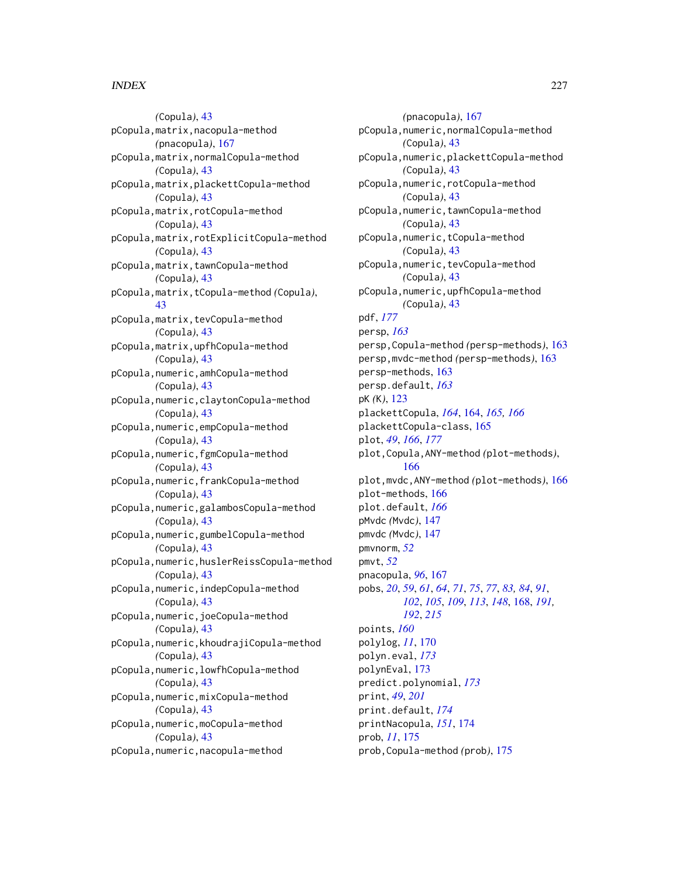*(*Copula*)*, [43](#page-42-0) pCopula,matrix,nacopula-method *(*pnacopula*)*, [167](#page-166-0) pCopula,matrix,normalCopula-method *(*Copula*)*, [43](#page-42-0) pCopula,matrix,plackettCopula-method *(*Copula*)*, [43](#page-42-0) pCopula,matrix,rotCopula-method *(*Copula*)*, [43](#page-42-0) pCopula,matrix,rotExplicitCopula-method *(*Copula*)*, [43](#page-42-0) pCopula,matrix,tawnCopula-method *(*Copula*)*, [43](#page-42-0) pCopula,matrix,tCopula-method *(*Copula*)*, [43](#page-42-0) pCopula,matrix,tevCopula-method *(*Copula*)*, [43](#page-42-0) pCopula,matrix,upfhCopula-method *(*Copula*)*, [43](#page-42-0) pCopula,numeric,amhCopula-method *(*Copula*)*, [43](#page-42-0) pCopula,numeric,claytonCopula-method *(*Copula*)*, [43](#page-42-0) pCopula,numeric,empCopula-method *(*Copula*)*, [43](#page-42-0) pCopula,numeric,fgmCopula-method *(*Copula*)*, [43](#page-42-0) pCopula,numeric,frankCopula-method *(*Copula*)*, [43](#page-42-0) pCopula,numeric,galambosCopula-method *(*Copula*)*, [43](#page-42-0) pCopula,numeric,gumbelCopula-method *(*Copula*)*, [43](#page-42-0) pCopula,numeric,huslerReissCopula-method *(*Copula*)*, [43](#page-42-0) pCopula,numeric,indepCopula-method *(*Copula*)*, [43](#page-42-0) pCopula,numeric,joeCopula-method *(*Copula*)*, [43](#page-42-0) pCopula,numeric,khoudrajiCopula-method *(*Copula*)*, [43](#page-42-0) pCopula,numeric,lowfhCopula-method *(*Copula*)*, [43](#page-42-0) pCopula,numeric,mixCopula-method *(*Copula*)*, [43](#page-42-0) pCopula,numeric,moCopula-method *(*Copula*)*, [43](#page-42-0) pCopula,numeric,nacopula-method

*(*pnacopula*)*, [167](#page-166-0) pCopula,numeric,normalCopula-method *(*Copula*)*, [43](#page-42-0) pCopula,numeric,plackettCopula-method *(*Copula*)*, [43](#page-42-0) pCopula,numeric,rotCopula-method *(*Copula*)*, [43](#page-42-0) pCopula,numeric,tawnCopula-method *(*Copula*)*, [43](#page-42-0) pCopula,numeric,tCopula-method *(*Copula*)*, [43](#page-42-0) pCopula,numeric,tevCopula-method *(*Copula*)*, [43](#page-42-0) pCopula,numeric,upfhCopula-method *(*Copula*)*, [43](#page-42-0) pdf, *[177](#page-176-0)* persp, *[163](#page-162-0)* persp,Copula-method *(*persp-methods*)*, [163](#page-162-0) persp,mvdc-method *(*persp-methods*)*, [163](#page-162-0) persp-methods, [163](#page-162-0) persp.default, *[163](#page-162-0)* pK *(*K*)*, [123](#page-122-0) plackettCopula, *[164](#page-163-0)*, [164,](#page-163-0) *[165,](#page-164-0) [166](#page-165-0)* plackettCopula-class, [165](#page-164-0) plot, *[49](#page-48-0)*, *[166](#page-165-0)*, *[177](#page-176-0)* plot,Copula,ANY-method *(*plot-methods*)*, [166](#page-165-0) plot,mvdc,ANY-method *(*plot-methods*)*, [166](#page-165-0) plot-methods, [166](#page-165-0) plot.default, *[166](#page-165-0)* pMvdc *(*Mvdc*)*, [147](#page-146-0) pmvdc *(*Mvdc*)*, [147](#page-146-0) pmvnorm, *[52](#page-51-0)* pmvt, *[52](#page-51-0)* pnacopula, *[96](#page-95-0)*, [167](#page-166-0) pobs, *[20](#page-19-0)*, *[59](#page-58-0)*, *[61](#page-60-0)*, *[64](#page-63-0)*, *[71](#page-70-0)*, *[75](#page-74-0)*, *[77](#page-76-0)*, *[83,](#page-82-0) [84](#page-83-0)*, *[91](#page-90-0)*, *[102](#page-101-0)*, *[105](#page-104-0)*, *[109](#page-108-0)*, *[113](#page-112-0)*, *[148](#page-147-0)*, [168,](#page-167-0) *[191,](#page-190-0) [192](#page-191-0)*, *[215](#page-214-0)* points, *[160](#page-159-0)* polylog, *[11](#page-10-0)*, [170](#page-169-0) polyn.eval, *[173](#page-172-0)* polynEval, [173](#page-172-0) predict.polynomial, *[173](#page-172-0)* print, *[49](#page-48-0)*, *[201](#page-200-0)* print.default, *[174](#page-173-0)* printNacopula, *[151](#page-150-0)*, [174](#page-173-0) prob, *[11](#page-10-0)*, [175](#page-174-0) prob,Copula-method *(*prob*)*, [175](#page-174-0)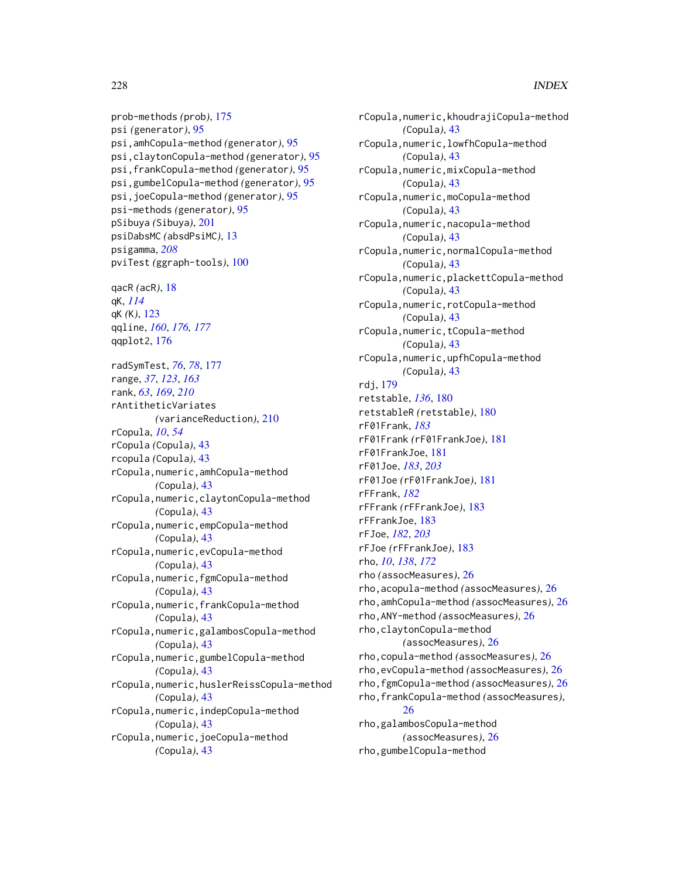prob-methods *(*prob*)*, [175](#page-174-0) psi *(*generator*)*, [95](#page-94-0) psi,amhCopula-method *(*generator*)*, [95](#page-94-0) psi,claytonCopula-method *(*generator*)*, [95](#page-94-0) psi,frankCopula-method *(*generator*)*, [95](#page-94-0) psi,gumbelCopula-method *(*generator*)*, [95](#page-94-0) psi,joeCopula-method *(*generator*)*, [95](#page-94-0) psi-methods *(*generator*)*, [95](#page-94-0) pSibuya *(*Sibuya*)*, [201](#page-200-0) psiDabsMC *(*absdPsiMC*)*, [13](#page-12-0) psigamma, *[208](#page-207-0)* pviTest *(*ggraph-tools*)*, [100](#page-99-0) qacR *(*acR*)*, [18](#page-17-0) qK, *[114](#page-113-0)* qK *(*K*)*, [123](#page-122-0) qqline, *[160](#page-159-0)*, *[176,](#page-175-0) [177](#page-176-0)* qqplot2, [176](#page-175-0) radSymTest, *[76](#page-75-0)*, *[78](#page-77-0)*, [177](#page-176-0) range, *[37](#page-36-0)*, *[123](#page-122-0)*, *[163](#page-162-0)* rank, *[63](#page-62-0)*, *[169](#page-168-0)*, *[210](#page-209-0)* rAntitheticVariates *(*varianceReduction*)*, [210](#page-209-0) rCopula, *[10](#page-9-0)*, *[54](#page-53-0)* rCopula *(*Copula*)*, [43](#page-42-0) rcopula *(*Copula*)*, [43](#page-42-0) rCopula,numeric,amhCopula-method *(*Copula*)*, [43](#page-42-0) rCopula,numeric,claytonCopula-method *(*Copula*)*, [43](#page-42-0) rCopula,numeric,empCopula-method *(*Copula*)*, [43](#page-42-0) rCopula,numeric,evCopula-method *(*Copula*)*, [43](#page-42-0) rCopula,numeric,fgmCopula-method *(*Copula*)*, [43](#page-42-0) rCopula,numeric,frankCopula-method *(*Copula*)*, [43](#page-42-0) rCopula,numeric,galambosCopula-method *(*Copula*)*, [43](#page-42-0) rCopula,numeric,gumbelCopula-method *(*Copula*)*, [43](#page-42-0) rCopula,numeric,huslerReissCopula-method *(*Copula*)*, [43](#page-42-0) rCopula,numeric,indepCopula-method *(*Copula*)*, [43](#page-42-0) rCopula,numeric,joeCopula-method *(*Copula*)*, [43](#page-42-0)

rCopula,numeric,khoudrajiCopula-method *(*Copula*)*, [43](#page-42-0) rCopula,numeric,lowfhCopula-method *(*Copula*)*, [43](#page-42-0) rCopula,numeric,mixCopula-method *(*Copula*)*, [43](#page-42-0) rCopula,numeric,moCopula-method *(*Copula*)*, [43](#page-42-0) rCopula,numeric,nacopula-method *(*Copula*)*, [43](#page-42-0) rCopula,numeric,normalCopula-method *(*Copula*)*, [43](#page-42-0) rCopula,numeric,plackettCopula-method *(*Copula*)*, [43](#page-42-0) rCopula,numeric,rotCopula-method *(*Copula*)*, [43](#page-42-0) rCopula,numeric,tCopula-method *(*Copula*)*, [43](#page-42-0) rCopula,numeric,upfhCopula-method *(*Copula*)*, [43](#page-42-0) rdj, [179](#page-178-0) retstable, *[136](#page-135-0)*, [180](#page-179-0) retstableR *(*retstable*)*, [180](#page-179-0) rF01Frank, *[183](#page-182-0)* rF01Frank *(*rF01FrankJoe*)*, [181](#page-180-0) rF01FrankJoe, [181](#page-180-0) rF01Joe, *[183](#page-182-0)*, *[203](#page-202-0)* rF01Joe *(*rF01FrankJoe*)*, [181](#page-180-0) rFFrank, *[182](#page-181-0)* rFFrank *(*rFFrankJoe*)*, [183](#page-182-0) rFFrankJoe, [183](#page-182-0) rFJoe, *[182](#page-181-0)*, *[203](#page-202-0)* rFJoe *(*rFFrankJoe*)*, [183](#page-182-0) rho, *[10](#page-9-0)*, *[138](#page-137-0)*, *[172](#page-171-0)* rho *(*assocMeasures*)*, [26](#page-25-0) rho,acopula-method *(*assocMeasures*)*, [26](#page-25-0) rho,amhCopula-method *(*assocMeasures*)*, [26](#page-25-0) rho,ANY-method *(*assocMeasures*)*, [26](#page-25-0) rho,claytonCopula-method *(*assocMeasures*)*, [26](#page-25-0) rho,copula-method *(*assocMeasures*)*, [26](#page-25-0) rho,evCopula-method *(*assocMeasures*)*, [26](#page-25-0) rho,fgmCopula-method *(*assocMeasures*)*, [26](#page-25-0) rho,frankCopula-method *(*assocMeasures*)*, [26](#page-25-0) rho,galambosCopula-method *(*assocMeasures*)*, [26](#page-25-0) rho,gumbelCopula-method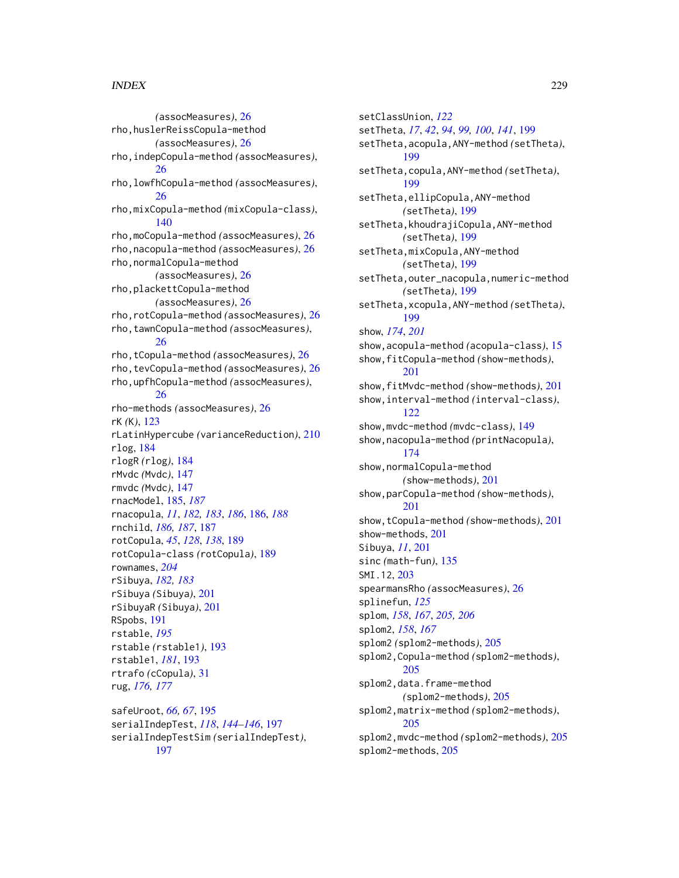*(*assocMeasures*)*, [26](#page-25-0) rho,huslerReissCopula-method *(*assocMeasures*)*, [26](#page-25-0) rho,indepCopula-method *(*assocMeasures*)*, [26](#page-25-0) rho,lowfhCopula-method *(*assocMeasures*)*, [26](#page-25-0) rho,mixCopula-method *(*mixCopula-class*)*, [140](#page-139-0) rho,moCopula-method *(*assocMeasures*)*, [26](#page-25-0) rho,nacopula-method *(*assocMeasures*)*, [26](#page-25-0) rho,normalCopula-method *(*assocMeasures*)*, [26](#page-25-0) rho,plackettCopula-method *(*assocMeasures*)*, [26](#page-25-0) rho,rotCopula-method *(*assocMeasures*)*, [26](#page-25-0) rho,tawnCopula-method *(*assocMeasures*)*, [26](#page-25-0) rho,tCopula-method *(*assocMeasures*)*, [26](#page-25-0) rho,tevCopula-method *(*assocMeasures*)*, [26](#page-25-0) rho,upfhCopula-method *(*assocMeasures*)*, [26](#page-25-0) rho-methods *(*assocMeasures*)*, [26](#page-25-0) rK *(*K*)*, [123](#page-122-0) rLatinHypercube *(*varianceReduction*)*, [210](#page-209-0) rlog, [184](#page-183-0) rlogR *(*rlog*)*, [184](#page-183-0) rMvdc *(*Mvdc*)*, [147](#page-146-0) rmvdc *(*Mvdc*)*, [147](#page-146-0) rnacModel, [185,](#page-184-0) *[187](#page-186-0)* rnacopula, *[11](#page-10-0)*, *[182,](#page-181-0) [183](#page-182-0)*, *[186](#page-185-0)*, [186,](#page-185-0) *[188](#page-187-0)* rnchild, *[186,](#page-185-0) [187](#page-186-0)*, [187](#page-186-0) rotCopula, *[45](#page-44-0)*, *[128](#page-127-0)*, *[138](#page-137-0)*, [189](#page-188-0) rotCopula-class *(*rotCopula*)*, [189](#page-188-0) rownames, *[204](#page-203-0)* rSibuya, *[182,](#page-181-0) [183](#page-182-0)* rSibuya *(*Sibuya*)*, [201](#page-200-0) rSibuyaR *(*Sibuya*)*, [201](#page-200-0) RSpobs, [191](#page-190-0) rstable, *[195](#page-194-0)* rstable *(*rstable1*)*, [193](#page-192-0) rstable1, *[181](#page-180-0)*, [193](#page-192-0) rtrafo *(*cCopula*)*, [31](#page-30-0) rug, *[176,](#page-175-0) [177](#page-176-0)*

safeUroot, *[66,](#page-65-0) [67](#page-66-0)*, [195](#page-194-0) serialIndepTest, *[118](#page-117-0)*, *[144–](#page-143-0)[146](#page-145-0)*, [197](#page-196-0) serialIndepTestSim *(*serialIndepTest*)*, [197](#page-196-0)

setClassUnion, *[122](#page-121-0)* setTheta, *[17](#page-16-0)*, *[42](#page-41-0)*, *[94](#page-93-0)*, *[99,](#page-98-0) [100](#page-99-0)*, *[141](#page-140-0)*, [199](#page-198-0) setTheta,acopula,ANY-method *(*setTheta*)*, [199](#page-198-0) setTheta,copula,ANY-method *(*setTheta*)*, [199](#page-198-0) setTheta,ellipCopula,ANY-method *(*setTheta*)*, [199](#page-198-0) setTheta,khoudrajiCopula,ANY-method *(*setTheta*)*, [199](#page-198-0) setTheta,mixCopula,ANY-method *(*setTheta*)*, [199](#page-198-0) setTheta,outer\_nacopula,numeric-method *(*setTheta*)*, [199](#page-198-0) setTheta,xcopula,ANY-method *(*setTheta*)*, [199](#page-198-0) show, *[174](#page-173-0)*, *[201](#page-200-0)* show,acopula-method *(*acopula-class*)*, [15](#page-14-0) show,fitCopula-method *(*show-methods*)*, [201](#page-200-0) show,fitMvdc-method *(*show-methods*)*, [201](#page-200-0) show,interval-method *(*interval-class*)*, [122](#page-121-0) show,mvdc-method *(*mvdc-class*)*, [149](#page-148-0) show,nacopula-method *(*printNacopula*)*, [174](#page-173-0) show,normalCopula-method *(*show-methods*)*, [201](#page-200-0) show,parCopula-method *(*show-methods*)*, [201](#page-200-0) show,tCopula-method *(*show-methods*)*, [201](#page-200-0) show-methods, [201](#page-200-0) Sibuya, *[11](#page-10-0)*, [201](#page-200-0) sinc *(*math-fun*)*, [135](#page-134-0) SMI.12, [203](#page-202-0) spearmansRho *(*assocMeasures*)*, [26](#page-25-0) splinefun, *[125](#page-124-0)* splom, *[158](#page-157-0)*, *[167](#page-166-0)*, *[205,](#page-204-0) [206](#page-205-0)* splom2, *[158](#page-157-0)*, *[167](#page-166-0)* splom2 *(*splom2-methods*)*, [205](#page-204-0) splom2,Copula-method *(*splom2-methods*)*, [205](#page-204-0) splom2,data.frame-method *(*splom2-methods*)*, [205](#page-204-0) splom2,matrix-method *(*splom2-methods*)*, [205](#page-204-0) splom2,mvdc-method *(*splom2-methods*)*, [205](#page-204-0) splom2-methods, [205](#page-204-0)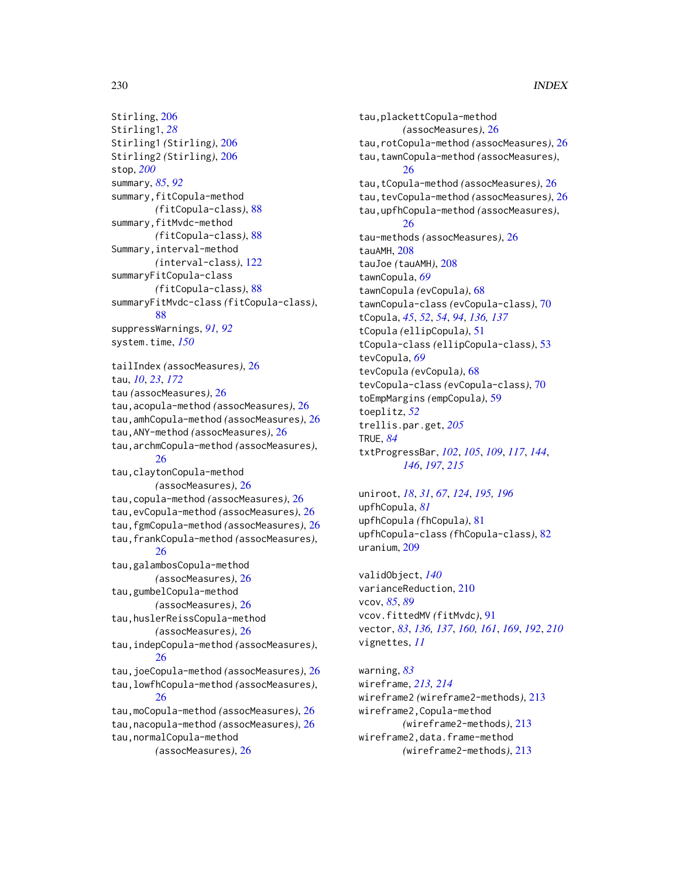```
Stirling, 206
Stirling1, 28
Stirling1 (Stirling), 206
Stirling2 (Stirling), 206
stop, 200
summary, 85, 92
summary, fitCopula-method
        (fitCopula-class), 88
summary,fitMvdc-method
        (fitCopula-class), 88
Summary,interval-method
        (interval-class), 122
summaryFitCopula-class
        (fitCopula-class), 88
summaryFitMvdc-class (fitCopula-class),
        88
suppressWarnings, 91, 92
system.time, 150
tailIndex (assocMeasures), 26
tau, 10, 23, 172
tau (assocMeasures), 26
tau,acopula-method (assocMeasures), 26
tau,amhCopula-method (assocMeasures), 26
tau,ANY-method (assocMeasures), 26
tau,archmCopula-method (assocMeasures),
        26
tau,claytonCopula-method
        (assocMeasures), 26
tau,copula-method (assocMeasures), 26
tau,evCopula-method (assocMeasures), 26
tau,fgmCopula-method (assocMeasures), 26
tau,frankCopula-method (assocMeasures),
        26
tau,galambosCopula-method
        (assocMeasures), 26
tau,gumbelCopula-method
        (assocMeasures), 26
tau,huslerReissCopula-method
        (assocMeasures), 26
tau,indepCopula-method (assocMeasures),
        26
tau,joeCopula-method (assocMeasures), 26
tau,lowfhCopula-method (assocMeasures),
        26
tau,moCopula-method (assocMeasures), 26
tau,nacopula-method (assocMeasures), 26
tau,normalCopula-method
        (assocMeasures), 26
```
tau,plackettCopula-method *(*assocMeasures*)*, [26](#page-25-0) tau,rotCopula-method *(*assocMeasures*)*, [26](#page-25-0) tau,tawnCopula-method *(*assocMeasures*)*, [26](#page-25-0) tau,tCopula-method *(*assocMeasures*)*, [26](#page-25-0) tau,tevCopula-method *(*assocMeasures*)*, [26](#page-25-0) tau,upfhCopula-method *(*assocMeasures*)*, [26](#page-25-0) tau-methods *(*assocMeasures*)*, [26](#page-25-0) tauAMH, [208](#page-207-0) tauJoe *(*tauAMH*)*, [208](#page-207-0) tawnCopula, *[69](#page-68-0)* tawnCopula *(*evCopula*)*, [68](#page-67-0) tawnCopula-class *(*evCopula-class*)*, [70](#page-69-0) tCopula, *[45](#page-44-0)*, *[52](#page-51-0)*, *[54](#page-53-0)*, *[94](#page-93-0)*, *[136,](#page-135-0) [137](#page-136-0)* tCopula *(*ellipCopula*)*, [51](#page-50-0) tCopula-class *(*ellipCopula-class*)*, [53](#page-52-0) tevCopula, *[69](#page-68-0)* tevCopula *(*evCopula*)*, [68](#page-67-0) tevCopula-class *(*evCopula-class*)*, [70](#page-69-0) toEmpMargins *(*empCopula*)*, [59](#page-58-0) toeplitz, *[52](#page-51-0)* trellis.par.get, *[205](#page-204-0)* TRUE, *[84](#page-83-0)* txtProgressBar, *[102](#page-101-0)*, *[105](#page-104-0)*, *[109](#page-108-0)*, *[117](#page-116-0)*, *[144](#page-143-0)*, *[146](#page-145-0)*, *[197](#page-196-0)*, *[215](#page-214-0)*

uniroot, *[18](#page-17-0)*, *[31](#page-30-0)*, *[67](#page-66-0)*, *[124](#page-123-0)*, *[195,](#page-194-0) [196](#page-195-0)* upfhCopula, *[81](#page-80-0)* upfhCopula *(*fhCopula*)*, [81](#page-80-0) upfhCopula-class *(*fhCopula-class*)*, [82](#page-81-0) uranium, [209](#page-208-0)

validObject, *[140](#page-139-0)* varianceReduction, [210](#page-209-0) vcov, *[85](#page-84-0)*, *[89](#page-88-0)* vcov.fittedMV *(*fitMvdc*)*, [91](#page-90-0) vector, *[83](#page-82-0)*, *[136,](#page-135-0) [137](#page-136-0)*, *[160,](#page-159-0) [161](#page-160-0)*, *[169](#page-168-0)*, *[192](#page-191-0)*, *[210](#page-209-0)* vignettes, *[11](#page-10-0)*

warning, *[83](#page-82-0)* wireframe, *[213,](#page-212-0) [214](#page-213-0)* wireframe2 *(*wireframe2-methods*)*, [213](#page-212-0) wireframe2,Copula-method *(*wireframe2-methods*)*, [213](#page-212-0) wireframe2,data.frame-method *(*wireframe2-methods*)*, [213](#page-212-0)